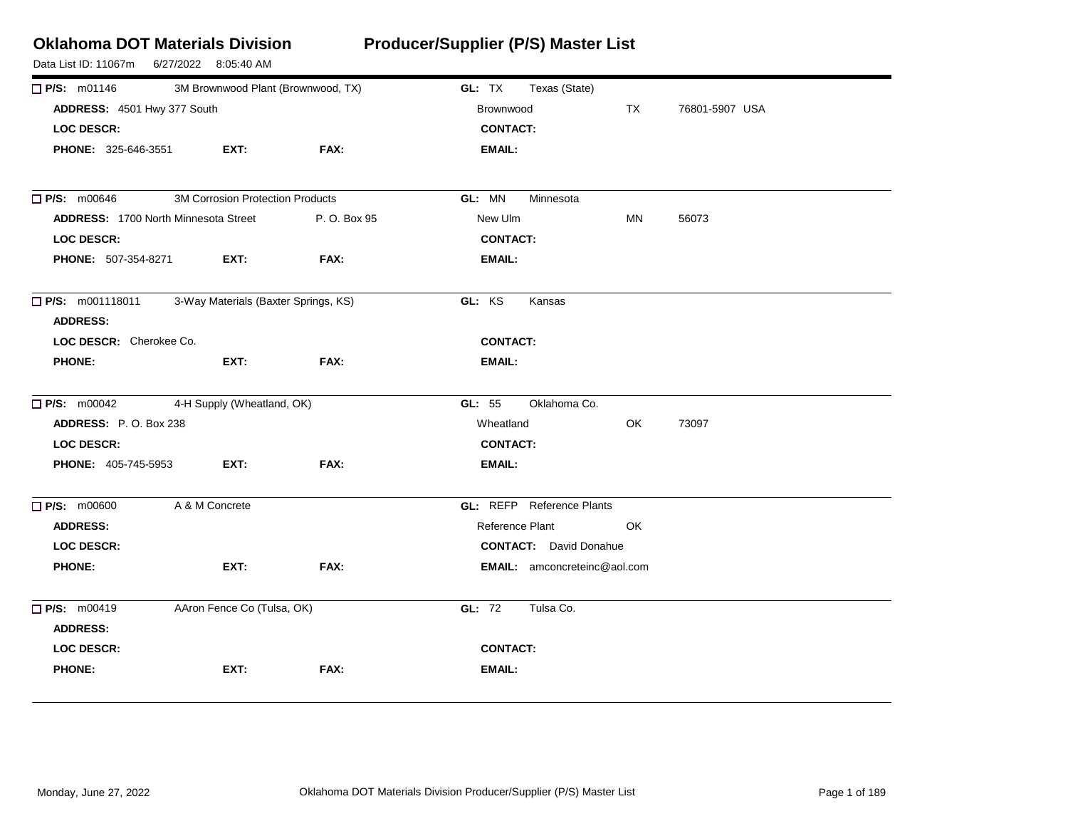| <b>Oklahoma DOT Materials Division</b><br>Data List ID: 11067m | 6/27/2022 8:05:40 AM                    |      | Producer/Supplier (P/S) Master List |                |
|----------------------------------------------------------------|-----------------------------------------|------|-------------------------------------|----------------|
| $\Box$ P/S: m01146                                             | 3M Brownwood Plant (Brownwood, TX)      |      | GL: TX<br>Texas (State)             |                |
| ADDRESS: 4501 Hwy 377 South                                    |                                         |      | TX<br>Brownwood                     | 76801-5907 USA |
| <b>LOC DESCR:</b>                                              |                                         |      | <b>CONTACT:</b>                     |                |
| PHONE: 325-646-3551                                            | EXT:                                    | FAX: | EMAIL:                              |                |
| <b>P/S: m00646</b>                                             | <b>3M Corrosion Protection Products</b> |      | GL: MN<br>Minnesota                 |                |
| <b>ADDRESS: 1700 North Minnesota Street</b><br>P. O. Box 95    |                                         |      | New Ulm<br>MN                       | 56073          |
| <b>LOC DESCR:</b>                                              |                                         |      | <b>CONTACT:</b>                     |                |
| PHONE: 507-354-8271                                            | EXT:                                    | FAX: | <b>EMAIL:</b>                       |                |
| <b>P/S:</b> m001118011<br><b>ADDRESS:</b>                      | 3-Way Materials (Baxter Springs, KS)    |      | GL: KS<br>Kansas                    |                |
| LOC DESCR: Cherokee Co.                                        |                                         |      | <b>CONTACT:</b>                     |                |
| <b>PHONE:</b>                                                  | EXT:                                    | FAX: | <b>EMAIL:</b>                       |                |
| <b>P/S:</b> m00042                                             | 4-H Supply (Wheatland, OK)              |      | GL: 55<br>Oklahoma Co.              |                |
| ADDRESS: P.O. Box 238                                          |                                         |      | Wheatland<br>OK                     | 73097          |
| <b>LOC DESCR:</b>                                              |                                         |      | <b>CONTACT:</b>                     |                |
| PHONE: 405-745-5953                                            | EXT:                                    | FAX: | <b>EMAIL:</b>                       |                |
| <b>P/S: m00600</b>                                             | A & M Concrete                          |      | <b>GL: REFP</b> Reference Plants    |                |
| <b>ADDRESS:</b>                                                |                                         |      | Reference Plant<br>OK               |                |
| <b>LOC DESCR:</b>                                              |                                         |      | <b>CONTACT:</b> David Donahue       |                |
| <b>PHONE:</b>                                                  | EXT:                                    | FAX: | <b>EMAIL:</b> amconcreteinc@aol.com |                |
| <b>P/S: m00419</b>                                             | AAron Fence Co (Tulsa, OK)              |      | GL: 72<br>Tulsa Co.                 |                |
| <b>ADDRESS:</b>                                                |                                         |      |                                     |                |
| <b>LOC DESCR:</b>                                              |                                         |      | <b>CONTACT:</b>                     |                |
| <b>PHONE:</b>                                                  | EXT:                                    | FAX: | <b>EMAIL:</b>                       |                |
|                                                                |                                         |      |                                     |                |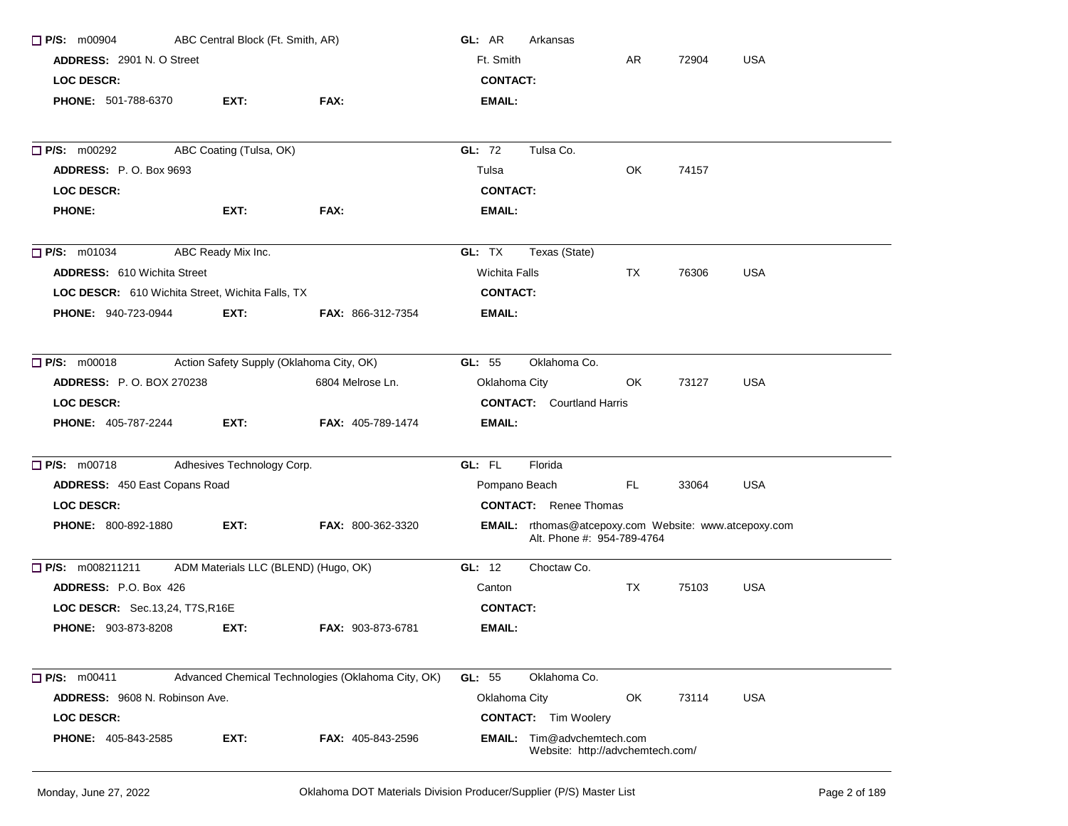| ABC Central Block (Ft. Smith, AR)<br>$\Box$ P/S: m00904 |                            |                                                    | GL: AR<br>Arkansas               |                                                                                            |           |       |            |  |
|---------------------------------------------------------|----------------------------|----------------------------------------------------|----------------------------------|--------------------------------------------------------------------------------------------|-----------|-------|------------|--|
| <b>ADDRESS: 2901 N. O Street</b>                        |                            |                                                    | Ft. Smith                        |                                                                                            | AR        | 72904 | <b>USA</b> |  |
| <b>LOC DESCR:</b>                                       |                            |                                                    | <b>CONTACT:</b>                  |                                                                                            |           |       |            |  |
| PHONE: 501-788-6370                                     | EXT:                       | FAX:                                               | <b>EMAIL:</b>                    |                                                                                            |           |       |            |  |
| <b>P/S: m00292</b>                                      | ABC Coating (Tulsa, OK)    |                                                    | GL: 72                           | Tulsa Co.                                                                                  |           |       |            |  |
| <b>ADDRESS: P.O. Box 9693</b>                           |                            |                                                    | Tulsa                            |                                                                                            | OK.       | 74157 |            |  |
| <b>LOC DESCR:</b>                                       |                            |                                                    | <b>CONTACT:</b>                  |                                                                                            |           |       |            |  |
| <b>PHONE:</b>                                           | EXT:                       | FAX:                                               | EMAIL:                           |                                                                                            |           |       |            |  |
| $\Box$ P/S: m01034                                      | ABC Ready Mix Inc.         |                                                    | GL: TX                           | Texas (State)                                                                              |           |       |            |  |
| <b>ADDRESS: 610 Wichita Street</b>                      |                            |                                                    | <b>Wichita Falls</b>             |                                                                                            | TX        | 76306 | <b>USA</b> |  |
| LOC DESCR: 610 Wichita Street, Wichita Falls, TX        |                            |                                                    | <b>CONTACT:</b>                  |                                                                                            |           |       |            |  |
| PHONE: 940-723-0944                                     | EXT:                       | <b>FAX: 866-312-7354</b>                           | <b>EMAIL:</b>                    |                                                                                            |           |       |            |  |
| $\Box$ P/S: m00018                                      |                            | Action Safety Supply (Oklahoma City, OK)           | GL: 55                           | Oklahoma Co.                                                                               |           |       |            |  |
| <b>ADDRESS: P.O. BOX 270238</b>                         |                            | 6804 Melrose Ln.                                   | Oklahoma City                    |                                                                                            | OK.       | 73127 | <b>USA</b> |  |
| <b>LOC DESCR:</b>                                       |                            |                                                    | <b>CONTACT:</b> Courtland Harris |                                                                                            |           |       |            |  |
| <b>PHONE: 405-787-2244</b>                              | EXT:                       | <b>FAX: 405-789-1474</b>                           | <b>EMAIL:</b>                    |                                                                                            |           |       |            |  |
| $\Box$ P/S: m00718                                      | Adhesives Technology Corp. |                                                    | GL: FL                           | Florida                                                                                    |           |       |            |  |
| <b>ADDRESS: 450 East Copans Road</b>                    |                            |                                                    | Pompano Beach                    |                                                                                            | FL.       | 33064 | <b>USA</b> |  |
| <b>LOC DESCR:</b>                                       |                            |                                                    |                                  | <b>CONTACT:</b> Renee Thomas                                                               |           |       |            |  |
| <b>PHONE: 800-892-1880</b>                              | EXT:                       | FAX: 800-362-3320                                  |                                  | <b>EMAIL:</b> rthomas@atcepoxy.com Website: www.atcepoxy.com<br>Alt. Phone #: 954-789-4764 |           |       |            |  |
| $\Box$ P/S: m008211211                                  |                            | ADM Materials LLC (BLEND) (Hugo, OK)               | GL: 12                           | Choctaw Co.                                                                                |           |       |            |  |
| ADDRESS: P.O. Box 426                                   |                            |                                                    | Canton                           |                                                                                            | <b>TX</b> | 75103 | <b>USA</b> |  |
| LOC DESCR: Sec.13,24, T7S, R16E                         |                            |                                                    | <b>CONTACT:</b>                  |                                                                                            |           |       |            |  |
| <b>PHONE: 903-873-8208</b>                              | EXT:                       | <b>FAX: 903-873-6781</b>                           | EMAIL:                           |                                                                                            |           |       |            |  |
| $\Box$ P/S: m00411                                      |                            | Advanced Chemical Technologies (Oklahoma City, OK) | GL: 55                           | Oklahoma Co.                                                                               |           |       |            |  |
| ADDRESS: 9608 N. Robinson Ave.                          |                            |                                                    | Oklahoma City                    |                                                                                            | OK        | 73114 | <b>USA</b> |  |
| <b>LOC DESCR:</b>                                       |                            |                                                    |                                  | <b>CONTACT:</b> Tim Woolery                                                                |           |       |            |  |
| <b>PHONE: 405-843-2585</b>                              | EXT:                       | <b>FAX: 405-843-2596</b>                           |                                  | <b>EMAIL:</b> Tim@advchemtech.com<br>Website: http://advchemtech.com/                      |           |       |            |  |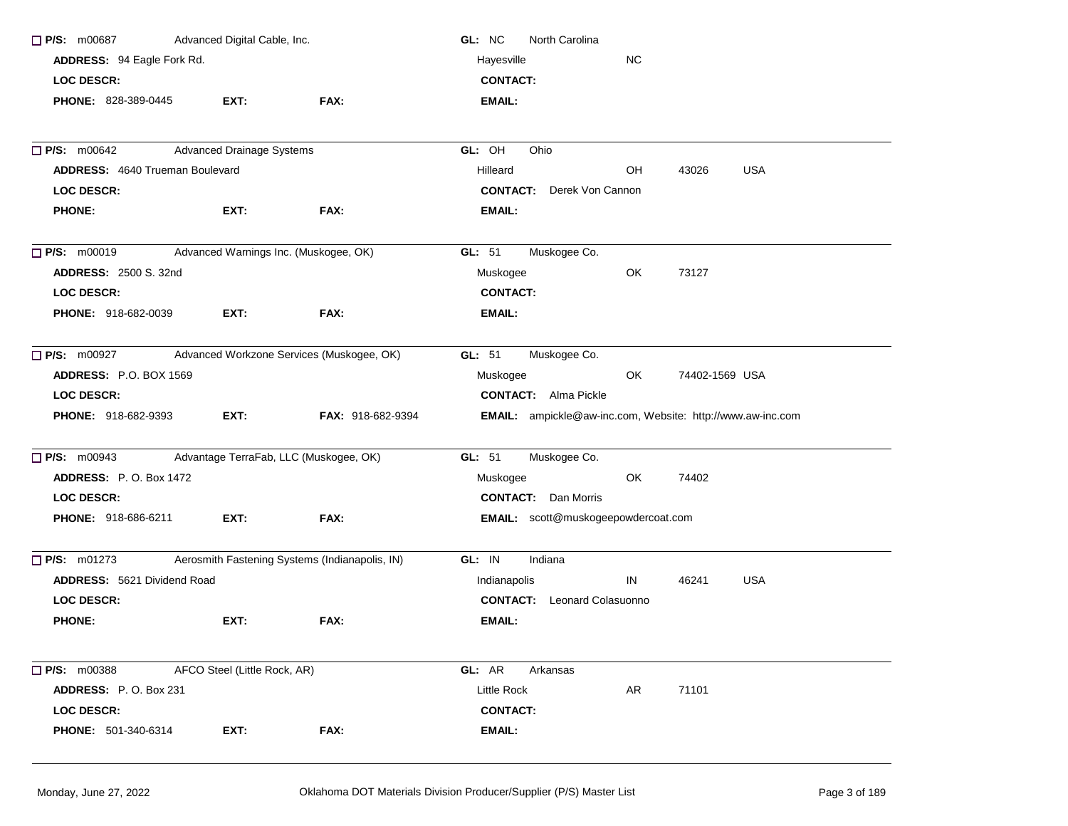| Advanced Digital Cable, Inc.<br>$\Box$ P/S: m00687 |                                        | GL: NC<br><b>North Carolina</b>                |                                                                   |           |                |            |  |
|----------------------------------------------------|----------------------------------------|------------------------------------------------|-------------------------------------------------------------------|-----------|----------------|------------|--|
| ADDRESS: 94 Eagle Fork Rd.                         |                                        |                                                | Hayesville                                                        | <b>NC</b> |                |            |  |
| <b>LOC DESCR:</b>                                  |                                        |                                                | <b>CONTACT:</b>                                                   |           |                |            |  |
| PHONE: 828-389-0445                                | EXT:                                   | FAX:                                           | <b>EMAIL:</b>                                                     |           |                |            |  |
| P/S: m00642                                        | <b>Advanced Drainage Systems</b>       |                                                | GL: OH<br>Ohio                                                    |           |                |            |  |
| <b>ADDRESS: 4640 Trueman Boulevard</b>             |                                        |                                                | Hilleard                                                          | OH        | 43026          | <b>USA</b> |  |
| <b>LOC DESCR:</b>                                  |                                        |                                                | <b>CONTACT:</b> Derek Von Cannon                                  |           |                |            |  |
| <b>PHONE:</b>                                      | EXT:                                   | FAX:                                           | EMAIL:                                                            |           |                |            |  |
| $\Box$ P/S: m00019                                 | Advanced Warnings Inc. (Muskogee, OK)  |                                                | Muskogee Co.<br>GL: 51                                            |           |                |            |  |
| <b>ADDRESS: 2500 S. 32nd</b>                       |                                        |                                                | Muskogee                                                          | OK.       | 73127          |            |  |
| <b>LOC DESCR:</b>                                  |                                        |                                                | <b>CONTACT:</b>                                                   |           |                |            |  |
| PHONE: 918-682-0039                                | EXT:                                   | FAX:                                           | EMAIL:                                                            |           |                |            |  |
| $\Box$ P/S: m00927                                 |                                        | Advanced Workzone Services (Muskogee, OK)      | GL: 51<br>Muskogee Co.                                            |           |                |            |  |
| <b>ADDRESS: P.O. BOX 1569</b>                      |                                        |                                                | Muskogee                                                          | OK.       | 74402-1569 USA |            |  |
| <b>LOC DESCR:</b>                                  |                                        |                                                | <b>CONTACT:</b> Alma Pickle                                       |           |                |            |  |
| <b>PHONE: 918-682-9393</b>                         | EXT:                                   | <b>FAX: 918-682-9394</b>                       | <b>EMAIL:</b> ampickle@aw-inc.com, Website: http://www.aw-inc.com |           |                |            |  |
| $\Box$ P/S: m00943                                 | Advantage TerraFab, LLC (Muskogee, OK) |                                                | GL: 51<br>Muskogee Co.                                            |           |                |            |  |
| <b>ADDRESS: P.O. Box 1472</b>                      |                                        |                                                | Muskogee                                                          | OK.       | 74402          |            |  |
| <b>LOC DESCR:</b>                                  |                                        |                                                | <b>CONTACT:</b> Dan Morris                                        |           |                |            |  |
| <b>PHONE: 918-686-6211</b>                         | EXT:                                   | FAX:                                           | EMAIL: scott@muskogeepowdercoat.com                               |           |                |            |  |
| $\Box$ P/S: m01273                                 |                                        | Aerosmith Fastening Systems (Indianapolis, IN) | Indiana<br>GL: IN                                                 |           |                |            |  |
| <b>ADDRESS: 5621 Dividend Road</b>                 |                                        |                                                | Indianapolis                                                      | IN        | 46241          | <b>USA</b> |  |
| <b>LOC DESCR:</b>                                  |                                        |                                                | <b>CONTACT:</b> Leonard Colasuonno                                |           |                |            |  |
| <b>PHONE:</b>                                      | EXT:                                   | FAX:                                           | EMAIL:                                                            |           |                |            |  |
| $\Box$ P/S: m00388                                 | AFCO Steel (Little Rock, AR)           |                                                | GL: AR<br>Arkansas                                                |           |                |            |  |
| ADDRESS: P.O. Box 231                              |                                        |                                                | Little Rock                                                       | AR        | 71101          |            |  |
| <b>LOC DESCR:</b>                                  |                                        |                                                | <b>CONTACT:</b>                                                   |           |                |            |  |
| PHONE: 501-340-6314                                | EXT:                                   | FAX:                                           | <b>EMAIL:</b>                                                     |           |                |            |  |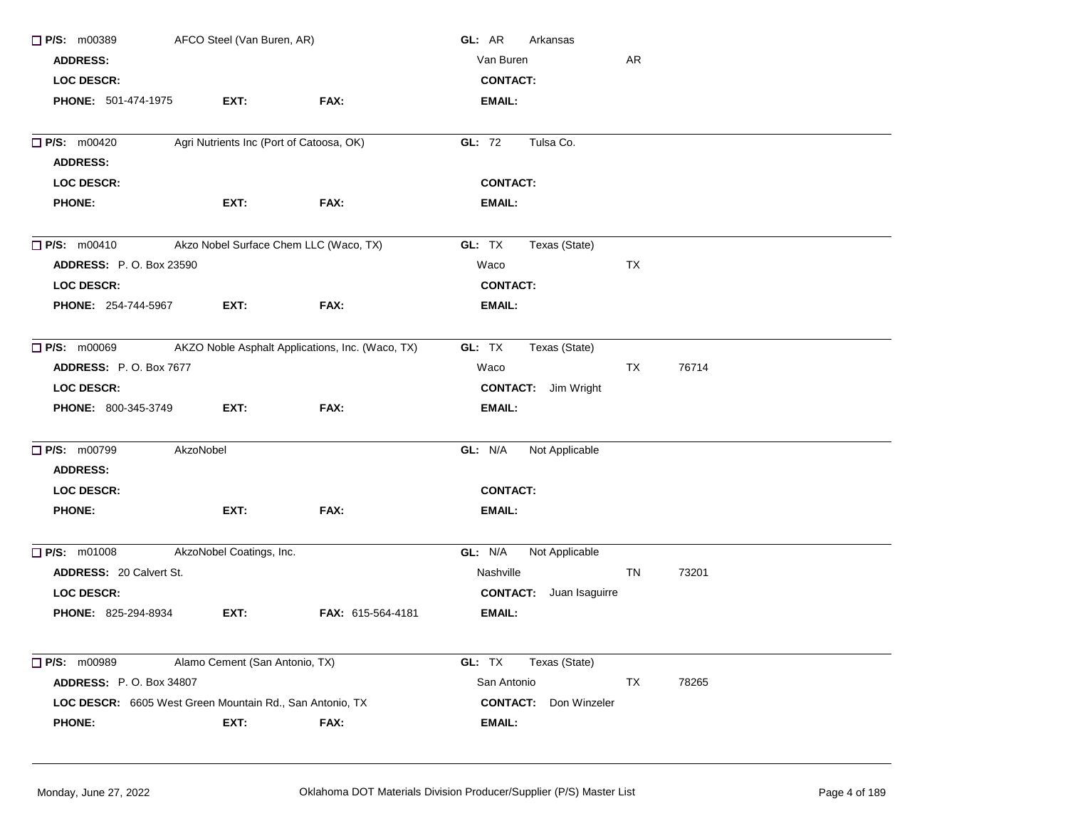| $\Box$ P/S: m00389<br>AFCO Steel (Van Buren, AR)               |                                        |                                                  | GL: AR<br>Arkansas              |    |       |  |
|----------------------------------------------------------------|----------------------------------------|--------------------------------------------------|---------------------------------|----|-------|--|
| <b>ADDRESS:</b>                                                |                                        |                                                  | Van Buren                       | AR |       |  |
| <b>LOC DESCR:</b>                                              |                                        |                                                  | <b>CONTACT:</b>                 |    |       |  |
| <b>PHONE: 501-474-1975</b>                                     | EXT:                                   | FAX:                                             | <b>EMAIL:</b>                   |    |       |  |
| Agri Nutrients Inc (Port of Catoosa, OK)<br><b>P/S: m00420</b> |                                        |                                                  | Tulsa Co.<br>GL: 72             |    |       |  |
| <b>ADDRESS:</b>                                                |                                        |                                                  |                                 |    |       |  |
| <b>LOC DESCR:</b>                                              |                                        |                                                  | <b>CONTACT:</b>                 |    |       |  |
| <b>PHONE:</b>                                                  | EXT:                                   | FAX:                                             | <b>EMAIL:</b>                   |    |       |  |
| $\Box$ P/S: m00410                                             | Akzo Nobel Surface Chem LLC (Waco, TX) |                                                  | GL: TX<br>Texas (State)         |    |       |  |
| <b>ADDRESS: P.O. Box 23590</b>                                 |                                        |                                                  | Waco                            | TX |       |  |
| LOC DESCR:                                                     |                                        |                                                  | <b>CONTACT:</b>                 |    |       |  |
| <b>PHONE: 254-744-5967</b>                                     | EXT:                                   | FAX:                                             | <b>EMAIL:</b>                   |    |       |  |
| $\Box$ P/S: m00069                                             |                                        | AKZO Noble Asphalt Applications, Inc. (Waco, TX) | GL: TX<br>Texas (State)         |    |       |  |
| <b>ADDRESS: P.O. Box 7677</b>                                  |                                        |                                                  | Waco                            | TX | 76714 |  |
| <b>LOC DESCR:</b>                                              |                                        |                                                  | <b>CONTACT:</b> Jim Wright      |    |       |  |
| PHONE: 800-345-3749                                            | EXT:                                   | FAX:                                             | <b>EMAIL:</b>                   |    |       |  |
| <b>P/S: m00799</b>                                             | AkzoNobel                              |                                                  | GL: N/A<br>Not Applicable       |    |       |  |
| <b>ADDRESS:</b>                                                |                                        |                                                  |                                 |    |       |  |
| <b>LOC DESCR:</b>                                              |                                        |                                                  | <b>CONTACT:</b>                 |    |       |  |
| <b>PHONE:</b>                                                  | EXT:                                   | FAX:                                             | <b>EMAIL:</b>                   |    |       |  |
| $\Box$ P/S: m01008                                             | AkzoNobel Coatings, Inc.               |                                                  | GL: N/A<br>Not Applicable       |    |       |  |
| <b>ADDRESS: 20 Calvert St.</b>                                 |                                        |                                                  | Nashville                       | TN | 73201 |  |
| LOC DESCR:                                                     |                                        |                                                  | <b>CONTACT:</b> Juan Isaguirre  |    |       |  |
| PHONE: 825-294-8934                                            | EXT:                                   | FAX: 615-564-4181                                | <b>EMAIL:</b>                   |    |       |  |
| P/S: m00989                                                    | Alamo Cement (San Antonio, TX)         |                                                  | GL: TX<br>Texas (State)         |    |       |  |
| <b>ADDRESS: P.O. Box 34807</b>                                 |                                        |                                                  | San Antonio                     | TX | 78265 |  |
| LOC DESCR: 6605 West Green Mountain Rd., San Antonio, TX       |                                        |                                                  | <b>CONTACT:</b><br>Don Winzeler |    |       |  |
| <b>PHONE:</b>                                                  | EXT:                                   | FAX:                                             | <b>EMAIL:</b>                   |    |       |  |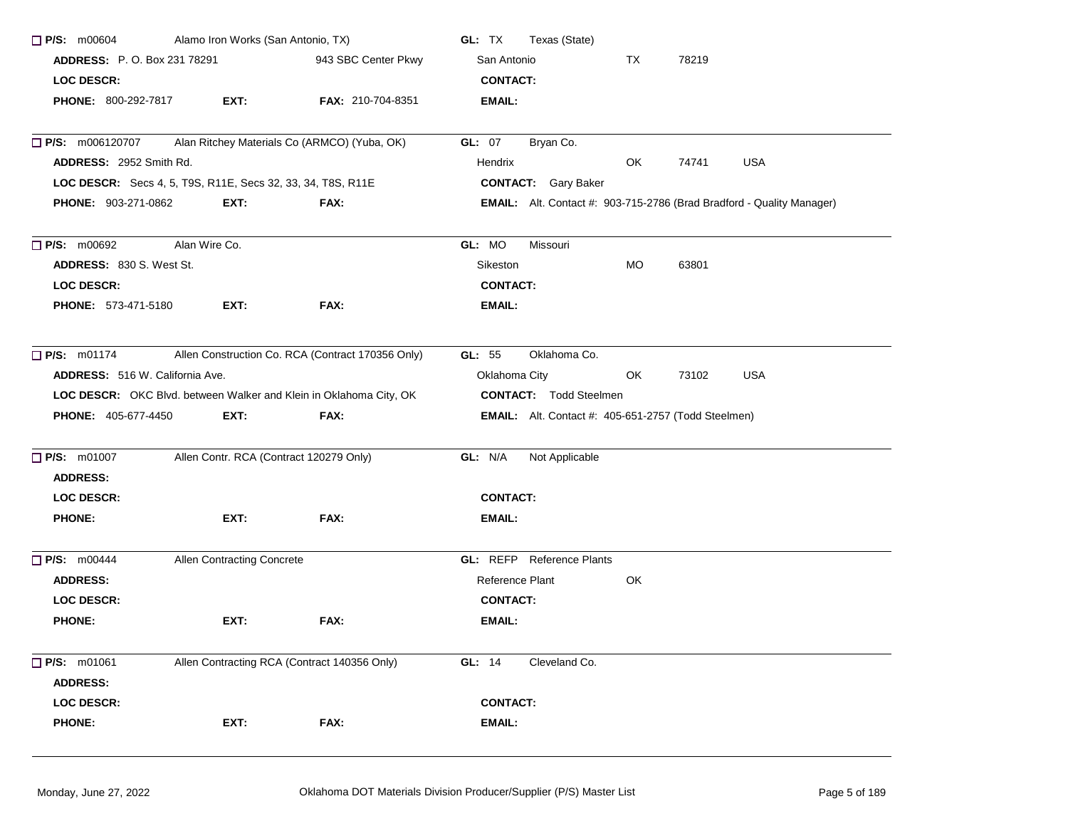| $\Box$ P/S: $m00604$                                               |               | Alamo Iron Works (San Antonio, TX) |                                                   | GL: TX                                                     | Texas (State)                    |            |       |                                                                              |  |
|--------------------------------------------------------------------|---------------|------------------------------------|---------------------------------------------------|------------------------------------------------------------|----------------------------------|------------|-------|------------------------------------------------------------------------------|--|
| <b>ADDRESS: P.O. Box 231 78291</b>                                 |               |                                    | 943 SBC Center Pkwy                               | San Antonio                                                |                                  | TX         | 78219 |                                                                              |  |
| LOC DESCR:                                                         |               |                                    |                                                   | <b>CONTACT:</b>                                            |                                  |            |       |                                                                              |  |
| <b>PHONE: 800-292-7817</b>                                         |               | EXT:                               | FAX: 210-704-8351                                 | <b>EMAIL:</b>                                              |                                  |            |       |                                                                              |  |
| <b>P/S:</b> m006120707                                             |               |                                    | Alan Ritchey Materials Co (ARMCO) (Yuba, OK)      | <b>GL: 07</b>                                              | Bryan Co.                        |            |       |                                                                              |  |
| ADDRESS: 2952 Smith Rd.                                            |               |                                    |                                                   | Hendrix                                                    |                                  | OK         | 74741 | <b>USA</b>                                                                   |  |
| LOC DESCR: Secs 4, 5, T9S, R11E, Secs 32, 33, 34, T8S, R11E        |               |                                    |                                                   |                                                            | <b>CONTACT:</b> Gary Baker       |            |       |                                                                              |  |
| PHONE: 903-271-0862                                                |               | EXT:                               | FAX:                                              |                                                            |                                  |            |       | <b>EMAIL:</b> Alt. Contact #: 903-715-2786 (Brad Bradford - Quality Manager) |  |
| $\Box$ P/S: m00692                                                 | Alan Wire Co. |                                    |                                                   | GL: MO                                                     | Missouri                         |            |       |                                                                              |  |
| <b>ADDRESS: 830 S. West St.</b>                                    |               |                                    |                                                   | Sikeston                                                   |                                  | <b>MO</b>  | 63801 |                                                                              |  |
| LOC DESCR:                                                         |               |                                    |                                                   | <b>CONTACT:</b>                                            |                                  |            |       |                                                                              |  |
| <b>PHONE: 573-471-5180</b>                                         |               | EXT:                               | FAX:                                              | <b>EMAIL:</b>                                              |                                  |            |       |                                                                              |  |
| $\Box$ P/S: m01174                                                 |               |                                    | Allen Construction Co. RCA (Contract 170356 Only) | GL: $55$                                                   | Oklahoma Co.                     |            |       |                                                                              |  |
| <b>ADDRESS:</b> 516 W. California Ave.                             |               | Oklahoma City                      |                                                   | OK.                                                        | 73102                            | <b>USA</b> |       |                                                                              |  |
| LOC DESCR: OKC Blvd. between Walker and Klein in Oklahoma City, OK |               |                                    |                                                   | <b>CONTACT:</b> Todd Steelmen                              |                                  |            |       |                                                                              |  |
| <b>PHONE: 405-677-4450</b>                                         |               | EXT:                               | FAX:                                              | <b>EMAIL:</b> Alt. Contact #: 405-651-2757 (Todd Steelmen) |                                  |            |       |                                                                              |  |
| $\Box$ P/S: m01007                                                 |               |                                    | Allen Contr. RCA (Contract 120279 Only)           | GL: N/A                                                    | Not Applicable                   |            |       |                                                                              |  |
| <b>ADDRESS:</b>                                                    |               |                                    |                                                   |                                                            |                                  |            |       |                                                                              |  |
| <b>LOC DESCR:</b>                                                  |               |                                    |                                                   | <b>CONTACT:</b>                                            |                                  |            |       |                                                                              |  |
| <b>PHONE:</b>                                                      |               | EXT:                               | FAX:                                              | EMAIL:                                                     |                                  |            |       |                                                                              |  |
| <b>P/S: m00444</b>                                                 |               | Allen Contracting Concrete         |                                                   |                                                            | <b>GL:</b> REFP Reference Plants |            |       |                                                                              |  |
| <b>ADDRESS:</b>                                                    |               |                                    |                                                   | Reference Plant                                            |                                  | OK         |       |                                                                              |  |
| LOC DESCR:                                                         |               |                                    |                                                   | <b>CONTACT:</b>                                            |                                  |            |       |                                                                              |  |
| <b>PHONE:</b>                                                      |               | EXT:                               | FAX:                                              | <b>EMAIL:</b>                                              |                                  |            |       |                                                                              |  |
| P/S: m01061<br><b>ADDRESS:</b>                                     |               |                                    | Allen Contracting RCA (Contract 140356 Only)      | GL: 14                                                     | Cleveland Co.                    |            |       |                                                                              |  |
| <b>LOC DESCR:</b>                                                  |               |                                    |                                                   | <b>CONTACT:</b>                                            |                                  |            |       |                                                                              |  |
| <b>PHONE:</b>                                                      |               | EXT:                               | FAX:                                              | EMAIL:                                                     |                                  |            |       |                                                                              |  |
|                                                                    |               |                                    |                                                   |                                                            |                                  |            |       |                                                                              |  |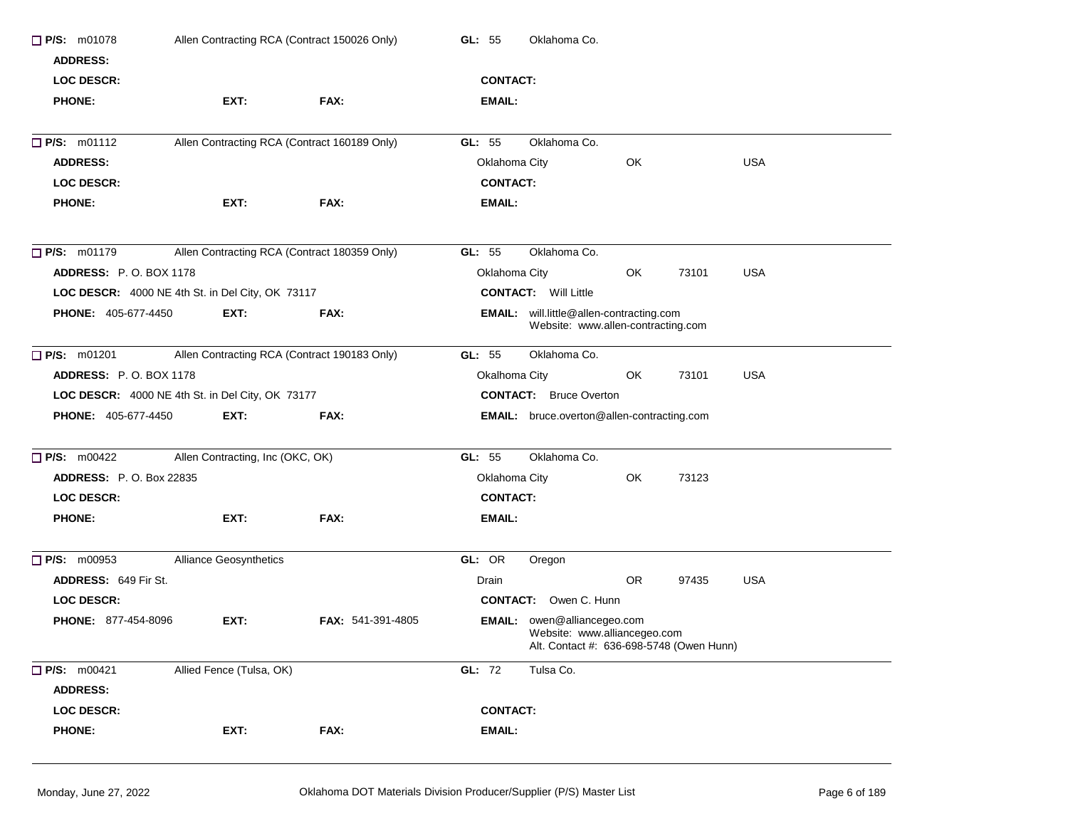| $\Box$ P/S: m01078                               | Allen Contracting RCA (Contract 150026 Only)     |                          | Oklahoma Co.<br>GL: $55$                                                                                       |  |  |  |  |
|--------------------------------------------------|--------------------------------------------------|--------------------------|----------------------------------------------------------------------------------------------------------------|--|--|--|--|
| <b>ADDRESS:</b>                                  |                                                  |                          |                                                                                                                |  |  |  |  |
| <b>LOC DESCR:</b>                                |                                                  |                          | <b>CONTACT:</b>                                                                                                |  |  |  |  |
| <b>PHONE:</b>                                    | EXT:                                             | FAX:                     | EMAIL:                                                                                                         |  |  |  |  |
| $\Box$ P/S: m01112                               | Allen Contracting RCA (Contract 160189 Only)     |                          | Oklahoma Co.<br>GL: 55                                                                                         |  |  |  |  |
| <b>ADDRESS:</b>                                  |                                                  |                          | <b>USA</b><br>Oklahoma City<br>OK                                                                              |  |  |  |  |
| <b>LOC DESCR:</b>                                |                                                  |                          | <b>CONTACT:</b>                                                                                                |  |  |  |  |
| <b>PHONE:</b>                                    | EXT:                                             | FAX:                     | EMAIL:                                                                                                         |  |  |  |  |
| $\Box$ P/S: m01179                               | Allen Contracting RCA (Contract 180359 Only)     |                          | Oklahoma Co.<br>GL: $55$                                                                                       |  |  |  |  |
| <b>ADDRESS: P.O. BOX 1178</b>                    |                                                  |                          | Oklahoma City<br>73101<br><b>USA</b><br>OK.                                                                    |  |  |  |  |
|                                                  | LOC DESCR: 4000 NE 4th St. in Del City, OK 73117 |                          | <b>CONTACT:</b> Will Little                                                                                    |  |  |  |  |
| <b>PHONE: 405-677-4450</b>                       | EXT:                                             | FAX:                     | <b>EMAIL:</b> will.little@allen-contracting.com<br>Website: www.allen-contracting.com                          |  |  |  |  |
| $\Box$ P/S: m01201                               | Allen Contracting RCA (Contract 190183 Only)     |                          | GL: 55<br>Oklahoma Co.                                                                                         |  |  |  |  |
| ADDRESS: P.O. BOX 1178                           |                                                  |                          | <b>USA</b><br>Okalhoma City<br>OK<br>73101                                                                     |  |  |  |  |
| LOC DESCR: 4000 NE 4th St. in Del City, OK 73177 |                                                  |                          | <b>CONTACT:</b> Bruce Overton                                                                                  |  |  |  |  |
| <b>PHONE: 405-677-4450</b>                       | EXT:                                             | FAX:                     | EMAIL: bruce.overton@allen-contracting.com                                                                     |  |  |  |  |
| $\Box$ P/S: m00422                               | Allen Contracting, Inc (OKC, OK)                 |                          | GL: 55<br>Oklahoma Co.                                                                                         |  |  |  |  |
| <b>ADDRESS: P.O. Box 22835</b>                   |                                                  |                          | Oklahoma City<br>OK<br>73123                                                                                   |  |  |  |  |
| <b>LOC DESCR:</b>                                |                                                  |                          | <b>CONTACT:</b>                                                                                                |  |  |  |  |
| <b>PHONE:</b>                                    | EXT:                                             | FAX:                     | EMAIL:                                                                                                         |  |  |  |  |
| $\Box$ P/S: m00953                               | <b>Alliance Geosynthetics</b>                    |                          | GL: OR<br>Oregon                                                                                               |  |  |  |  |
| ADDRESS: 649 Fir St.                             |                                                  |                          | OR.<br>97435<br>USA<br>Drain                                                                                   |  |  |  |  |
| <b>LOC DESCR:</b>                                |                                                  |                          | <b>CONTACT:</b> Owen C. Hunn                                                                                   |  |  |  |  |
| <b>PHONE: 877-454-8096</b>                       | EXT:                                             | <b>FAX: 541-391-4805</b> | <b>EMAIL:</b> owen@alliancegeo.com<br>Website: www.alliancegeo.com<br>Alt. Contact #: 636-698-5748 (Owen Hunn) |  |  |  |  |
| P/S: m00421<br><b>ADDRESS:</b>                   | Allied Fence (Tulsa, OK)                         |                          | GL: 72<br>Tulsa Co.                                                                                            |  |  |  |  |
| LOC DESCR:                                       |                                                  |                          | <b>CONTACT:</b>                                                                                                |  |  |  |  |
| <b>PHONE:</b>                                    | EXT:                                             | FAX:                     | <b>EMAIL:</b>                                                                                                  |  |  |  |  |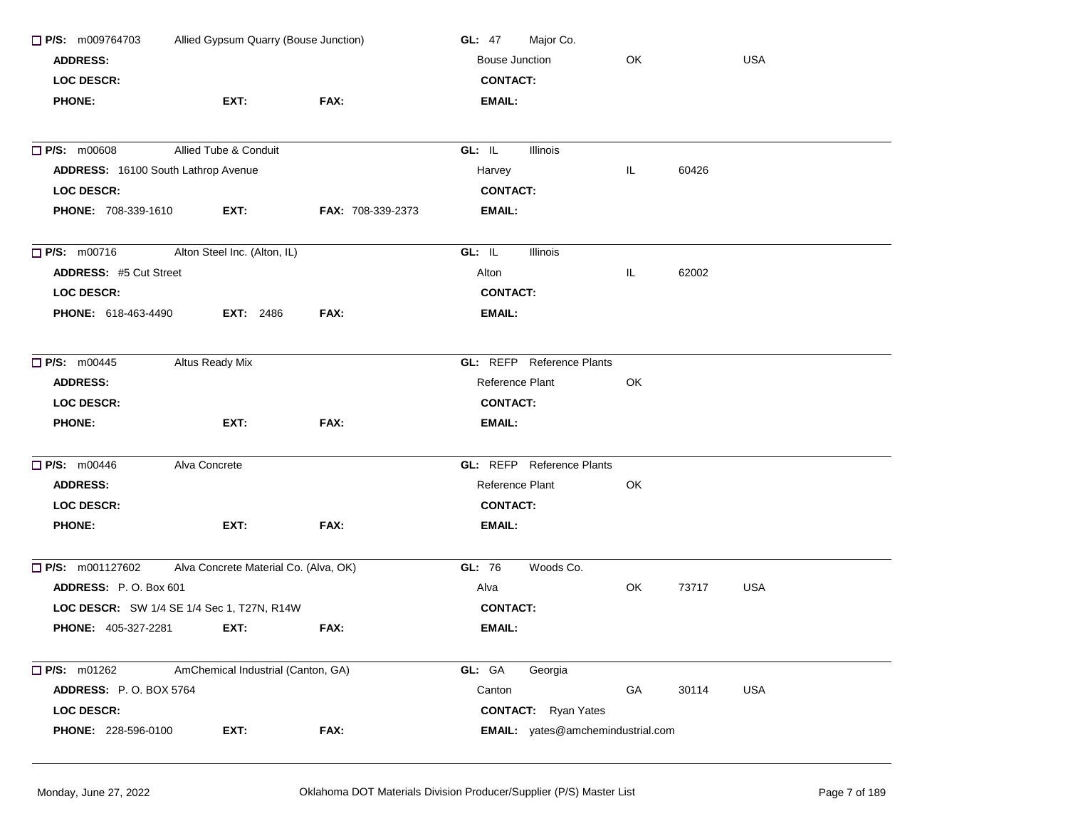| $\Box$ P/S: m009764703<br>Allied Gypsum Quarry (Bouse Junction) |                                            |                   | Major Co.<br><b>GL: 47</b>        |    |       |            |  |
|-----------------------------------------------------------------|--------------------------------------------|-------------------|-----------------------------------|----|-------|------------|--|
| <b>ADDRESS:</b>                                                 |                                            |                   | Bouse Junction                    | OK |       | <b>USA</b> |  |
| <b>LOC DESCR:</b>                                               |                                            |                   | <b>CONTACT:</b>                   |    |       |            |  |
| <b>PHONE:</b>                                                   | EXT:                                       | FAX:              | <b>EMAIL:</b>                     |    |       |            |  |
| <b>D</b> P/S: m00608                                            | Allied Tube & Conduit                      |                   | GL: IL<br>Illinois                |    |       |            |  |
| ADDRESS: 16100 South Lathrop Avenue                             |                                            |                   | Harvey                            | IL | 60426 |            |  |
| <b>LOC DESCR:</b>                                               |                                            |                   | <b>CONTACT:</b>                   |    |       |            |  |
| PHONE: 708-339-1610                                             | EXT:                                       | FAX: 708-339-2373 | <b>EMAIL:</b>                     |    |       |            |  |
| $\Box$ P/S: m00716                                              | Alton Steel Inc. (Alton, IL)               |                   | GL: IL<br>Illinois                |    |       |            |  |
| <b>ADDRESS: #5 Cut Street</b>                                   |                                            |                   | Alton                             | IL | 62002 |            |  |
| <b>LOC DESCR:</b>                                               |                                            |                   | <b>CONTACT:</b>                   |    |       |            |  |
| PHONE: 618-463-4490                                             | <b>EXT: 2486</b>                           | FAX:              | <b>EMAIL:</b>                     |    |       |            |  |
| $\Box$ P/S: m00445                                              | Altus Ready Mix                            |                   | <b>GL: REFP</b> Reference Plants  |    |       |            |  |
| <b>ADDRESS:</b>                                                 |                                            |                   | Reference Plant                   | OK |       |            |  |
| <b>LOC DESCR:</b>                                               |                                            |                   | <b>CONTACT:</b>                   |    |       |            |  |
| <b>PHONE:</b>                                                   | EXT:                                       | FAX:              | <b>EMAIL:</b>                     |    |       |            |  |
| <b>D</b> P/S: m00446                                            | Alva Concrete                              |                   | <b>GL: REFP</b> Reference Plants  |    |       |            |  |
| <b>ADDRESS:</b>                                                 |                                            |                   | Reference Plant                   | OK |       |            |  |
| <b>LOC DESCR:</b>                                               |                                            |                   | <b>CONTACT:</b>                   |    |       |            |  |
| <b>PHONE:</b>                                                   | EXT:                                       | FAX:              | <b>EMAIL:</b>                     |    |       |            |  |
| $\Box$ P/S: m001127602                                          | Alva Concrete Material Co. (Alva, OK)      |                   | GL: 76<br>Woods Co.               |    |       |            |  |
| ADDRESS: P.O. Box 601                                           |                                            |                   | Alva                              | OK | 73717 | <b>USA</b> |  |
|                                                                 | LOC DESCR: SW 1/4 SE 1/4 Sec 1, T27N, R14W |                   | <b>CONTACT:</b>                   |    |       |            |  |
| <b>PHONE: 405-327-2281</b>                                      | EXT:                                       | FAX:              | EMAIL:                            |    |       |            |  |
| $\Box$ P/S: m01262                                              | AmChemical Industrial (Canton, GA)         |                   | GL: GA<br>Georgia                 |    |       |            |  |
| ADDRESS: P.O. BOX 5764                                          |                                            |                   | Canton                            | GA | 30114 | <b>USA</b> |  |
| <b>LOC DESCR:</b>                                               |                                            |                   | <b>CONTACT:</b> Ryan Yates        |    |       |            |  |
| PHONE: 228-596-0100                                             | EXT:                                       | FAX:              | EMAIL: yates@amchemindustrial.com |    |       |            |  |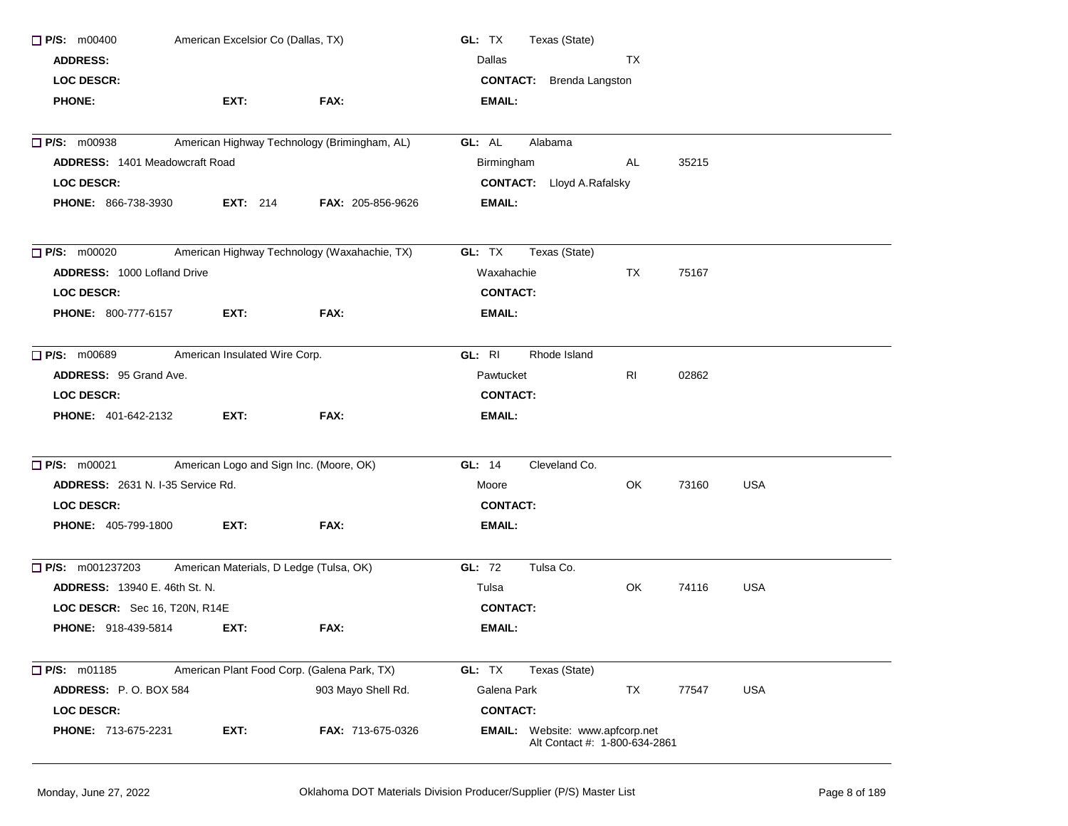| $\Box$ P/S: m00400                                             | American Excelsior Co (Dallas, TX)          |                                              | GL: TX<br>Texas (State)                                                 |       |            |  |  |  |
|----------------------------------------------------------------|---------------------------------------------|----------------------------------------------|-------------------------------------------------------------------------|-------|------------|--|--|--|
| <b>ADDRESS:</b>                                                |                                             |                                              | Dallas<br><b>TX</b>                                                     |       |            |  |  |  |
| <b>LOC DESCR:</b>                                              |                                             |                                              | <b>CONTACT:</b> Brenda Langston                                         |       |            |  |  |  |
| <b>PHONE:</b>                                                  | EXT:                                        | FAX:                                         | EMAIL:                                                                  |       |            |  |  |  |
| $\Box$ P/S: m00938                                             |                                             | American Highway Technology (Brimingham, AL) | Alabama<br>GL: AL                                                       |       |            |  |  |  |
| ADDRESS: 1401 Meadowcraft Road                                 |                                             |                                              | Birmingham<br>AL                                                        | 35215 |            |  |  |  |
| <b>LOC DESCR:</b>                                              |                                             |                                              | <b>CONTACT:</b> Lloyd A.Rafalsky                                        |       |            |  |  |  |
| <b>PHONE: 866-738-3930</b>                                     | <b>EXT:</b> 214                             | <b>FAX: 205-856-9626</b>                     | EMAIL:                                                                  |       |            |  |  |  |
| $\Box$ P/S: m00020                                             |                                             | American Highway Technology (Waxahachie, TX) | GL: TX<br>Texas (State)                                                 |       |            |  |  |  |
| <b>ADDRESS: 1000 Lofland Drive</b>                             |                                             |                                              | TX<br>Waxahachie                                                        | 75167 |            |  |  |  |
| <b>LOC DESCR:</b>                                              |                                             |                                              | <b>CONTACT:</b>                                                         |       |            |  |  |  |
| <b>PHONE: 800-777-6157</b>                                     | EXT:                                        | FAX:                                         | EMAIL:                                                                  |       |            |  |  |  |
| $\Box$ P/S: m00689                                             | American Insulated Wire Corp.               |                                              | GL: RI<br>Rhode Island                                                  |       |            |  |  |  |
| <b>ADDRESS: 95 Grand Ave.</b>                                  |                                             |                                              | RI<br>Pawtucket                                                         | 02862 |            |  |  |  |
| <b>LOC DESCR:</b>                                              |                                             |                                              | <b>CONTACT:</b>                                                         |       |            |  |  |  |
| <b>PHONE: 401-642-2132</b>                                     | EXT:                                        | FAX:                                         | EMAIL:                                                                  |       |            |  |  |  |
| $\Box$ P/S: m00021                                             | American Logo and Sign Inc. (Moore, OK)     |                                              | Cleveland Co.<br>GL: 14                                                 |       |            |  |  |  |
| ADDRESS: 2631 N. I-35 Service Rd.                              |                                             |                                              | OK<br>Moore                                                             | 73160 | <b>USA</b> |  |  |  |
| <b>LOC DESCR:</b>                                              |                                             |                                              | <b>CONTACT:</b>                                                         |       |            |  |  |  |
| <b>PHONE: 405-799-1800</b>                                     | EXT:                                        | FAX:                                         | EMAIL:                                                                  |       |            |  |  |  |
| <b>P/S:</b> m001237203 American Materials, D Ledge (Tulsa, OK) |                                             |                                              | GL: 72<br>Tulsa Co.                                                     |       |            |  |  |  |
| <b>ADDRESS: 13940 E. 46th St. N.</b>                           |                                             |                                              | Tulsa<br>OK.                                                            | 74116 | <b>USA</b> |  |  |  |
| LOC DESCR: Sec 16, T20N, R14E                                  |                                             |                                              | <b>CONTACT:</b>                                                         |       |            |  |  |  |
| <b>PHONE: 918-439-5814</b>                                     | EXT:                                        | FAX:                                         | EMAIL:                                                                  |       |            |  |  |  |
| $\Box$ P/S: m01185                                             | American Plant Food Corp. (Galena Park, TX) |                                              | GL: TX<br>Texas (State)                                                 |       |            |  |  |  |
| ADDRESS: P.O. BOX 584                                          |                                             | 903 Mayo Shell Rd.                           | Galena Park<br>TX                                                       | 77547 | <b>USA</b> |  |  |  |
| <b>LOC DESCR:</b>                                              |                                             |                                              | <b>CONTACT:</b>                                                         |       |            |  |  |  |
| PHONE: 713-675-2231                                            | EXT:                                        | <b>FAX: 713-675-0326</b>                     | <b>EMAIL:</b> Website: www.apfcorp.net<br>Alt Contact #: 1-800-634-2861 |       |            |  |  |  |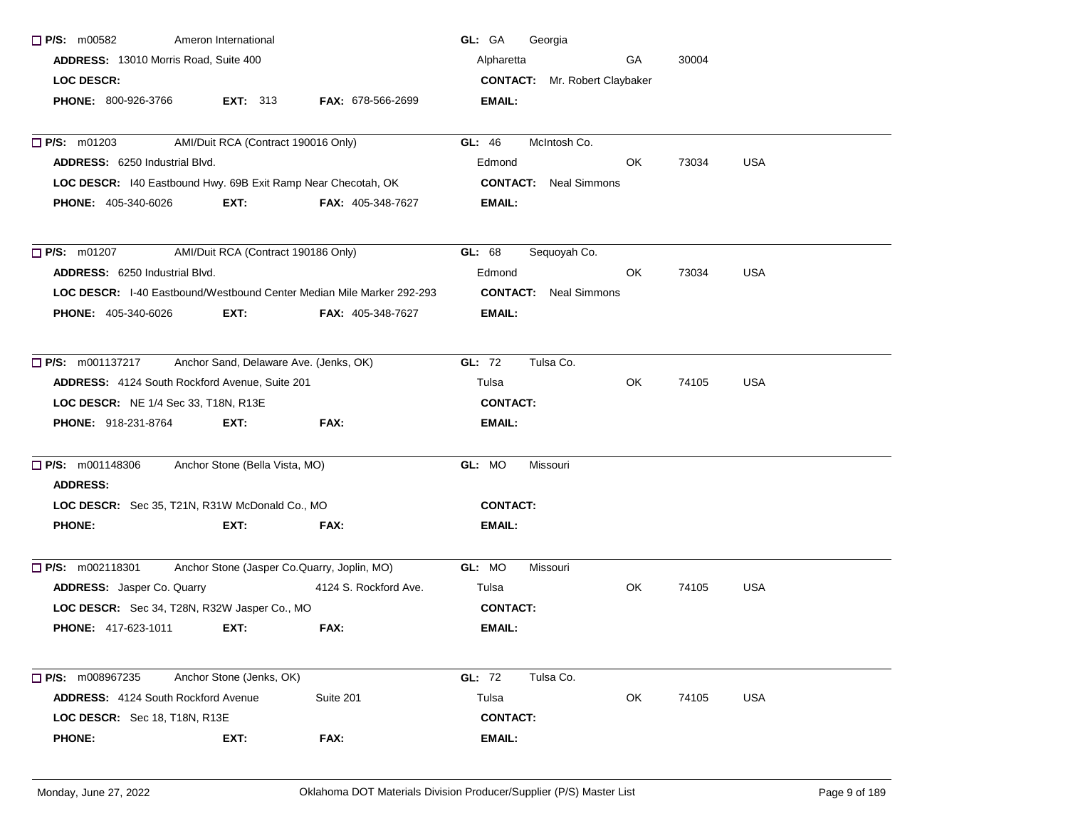| $\Box$ P/S: m00582                                                           | Ameron International                   |                                             | GL: GA<br>Georgia                    |     |       |            |
|------------------------------------------------------------------------------|----------------------------------------|---------------------------------------------|--------------------------------------|-----|-------|------------|
| ADDRESS: 13010 Morris Road, Suite 400                                        |                                        |                                             | Alpharetta                           | GA  | 30004 |            |
| <b>LOC DESCR:</b>                                                            |                                        |                                             | <b>CONTACT:</b> Mr. Robert Claybaker |     |       |            |
| PHONE: 800-926-3766                                                          | <b>EXT: 313</b>                        | FAX: 678-566-2699                           | <b>EMAIL:</b>                        |     |       |            |
|                                                                              |                                        |                                             |                                      |     |       |            |
| $P/S:$ m01203                                                                | AMI/Duit RCA (Contract 190016 Only)    |                                             | McIntosh Co.<br>GL: 46               |     |       |            |
| <b>ADDRESS: 6250 Industrial Blvd.</b>                                        |                                        |                                             | Edmond                               | OK. | 73034 | <b>USA</b> |
| LOC DESCR: 140 Eastbound Hwy. 69B Exit Ramp Near Checotah, OK                |                                        |                                             | <b>CONTACT:</b> Neal Simmons         |     |       |            |
| PHONE: 405-340-6026                                                          | EXT:                                   | <b>FAX: 405-348-7627</b>                    | EMAIL:                               |     |       |            |
| $P/S:$ m01207                                                                | AMI/Duit RCA (Contract 190186 Only)    |                                             | GL: 68<br>Sequoyah Co.               |     |       |            |
| ADDRESS: 6250 Industrial Blvd.                                               |                                        |                                             | Edmond                               | OK. | 73034 | <b>USA</b> |
| <b>LOC DESCR:</b> I-40 Eastbound/Westbound Center Median Mile Marker 292-293 |                                        |                                             | <b>CONTACT:</b> Neal Simmons         |     |       |            |
| <b>PHONE: 405-340-6026</b>                                                   | EXT:                                   | <b>FAX: 405-348-7627</b>                    | EMAIL:                               |     |       |            |
| $\Box$ P/S: m001137217                                                       | Anchor Sand, Delaware Ave. (Jenks, OK) |                                             | GL: 72<br>Tulsa Co.                  |     |       |            |
| ADDRESS: 4124 South Rockford Avenue, Suite 201                               |                                        |                                             | Tulsa                                | OK. | 74105 | <b>USA</b> |
| LOC DESCR: NE 1/4 Sec 33, T18N, R13E                                         |                                        |                                             | <b>CONTACT:</b>                      |     |       |            |
| <b>PHONE: 918-231-8764</b>                                                   | EXT:                                   | FAX:                                        | EMAIL:                               |     |       |            |
| $\Box$ P/S: m001148306                                                       | Anchor Stone (Bella Vista, MO)         |                                             | GL: MO<br>Missouri                   |     |       |            |
| <b>ADDRESS:</b>                                                              |                                        |                                             |                                      |     |       |            |
| LOC DESCR: Sec 35, T21N, R31W McDonald Co., MO                               |                                        |                                             | <b>CONTACT:</b>                      |     |       |            |
| <b>PHONE:</b>                                                                | EXT:                                   | FAX:                                        | EMAIL:                               |     |       |            |
| $\Box$ P/S: m002118301                                                       |                                        | Anchor Stone (Jasper Co.Quarry, Joplin, MO) | GL: MO<br>Missouri                   |     |       |            |
| ADDRESS: Jasper Co. Quarry                                                   |                                        | 4124 S. Rockford Ave.                       | Tulsa                                | OK  | 74105 | <b>USA</b> |
| LOC DESCR: Sec 34, T28N, R32W Jasper Co., MO                                 |                                        |                                             | <b>CONTACT:</b>                      |     |       |            |
| <b>PHONE: 417-623-1011</b>                                                   | EXT:                                   | FAX:                                        | EMAIL:                               |     |       |            |
| $\Box$ P/S: m008967235                                                       | Anchor Stone (Jenks, OK)               |                                             | GL: 72<br>Tulsa Co.                  |     |       |            |
| <b>ADDRESS: 4124 South Rockford Avenue</b>                                   |                                        | Suite 201                                   | Tulsa                                | OK  | 74105 | <b>USA</b> |
| LOC DESCR: Sec 18, T18N, R13E                                                |                                        |                                             | <b>CONTACT:</b>                      |     |       |            |
| <b>PHONE:</b>                                                                | EXT:                                   | FAX:                                        | <b>EMAIL:</b>                        |     |       |            |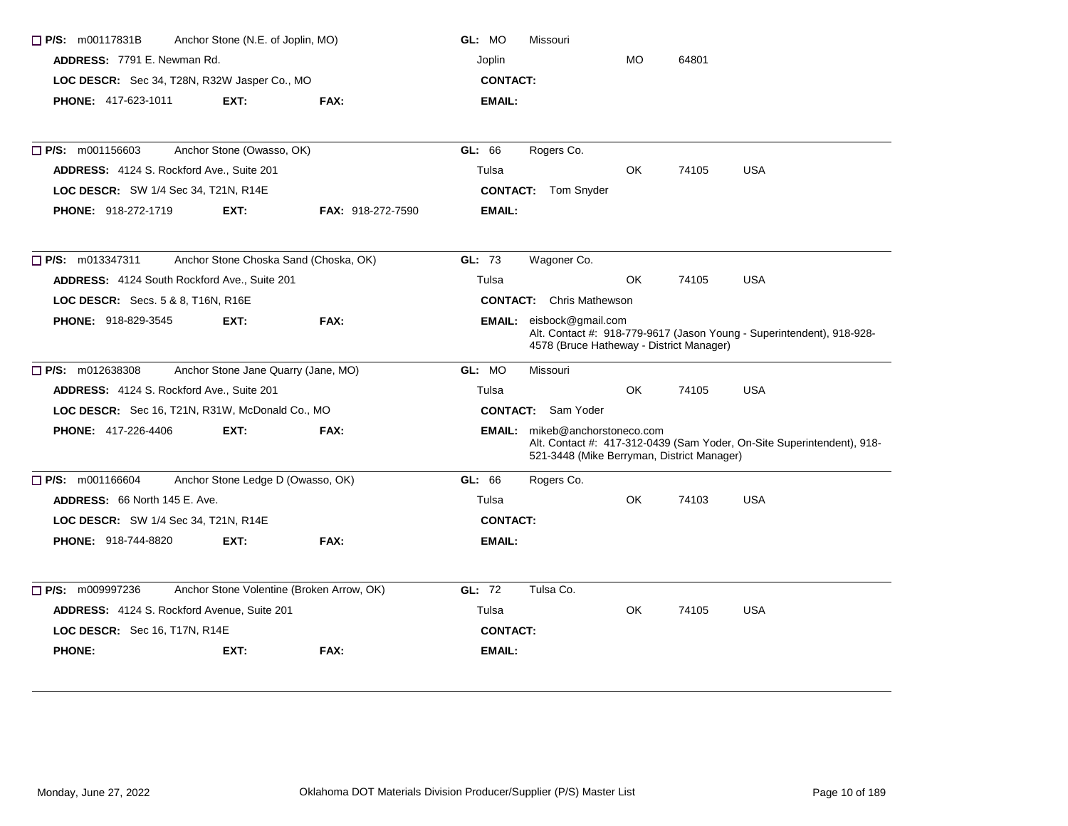| $\Box$ P/S: m00117831B                              | Anchor Stone (N.E. of Joplin, MO)     |                                           | GL: MO                          | Missouri                                                                            |            |       |                                                                        |  |
|-----------------------------------------------------|---------------------------------------|-------------------------------------------|---------------------------------|-------------------------------------------------------------------------------------|------------|-------|------------------------------------------------------------------------|--|
| ADDRESS: 7791 E. Newman Rd.                         |                                       |                                           | Joplin                          |                                                                                     | <b>MO</b>  | 64801 |                                                                        |  |
| LOC DESCR: Sec 34, T28N, R32W Jasper Co., MO        |                                       |                                           | <b>CONTACT:</b>                 |                                                                                     |            |       |                                                                        |  |
| <b>PHONE: 417-623-1011</b>                          | EXT:                                  | FAX:                                      | <b>EMAIL:</b>                   |                                                                                     |            |       |                                                                        |  |
| $\Box$ P/S: m001156603                              | Anchor Stone (Owasso, OK)             |                                           | GL: 66                          | Rogers Co.                                                                          |            |       |                                                                        |  |
| ADDRESS: 4124 S. Rockford Ave., Suite 201           | Tulsa                                 |                                           | <b>OK</b>                       | 74105                                                                               | <b>USA</b> |       |                                                                        |  |
| LOC DESCR: SW 1/4 Sec 34, T21N, R14E                |                                       |                                           |                                 | <b>CONTACT:</b> Tom Snyder                                                          |            |       |                                                                        |  |
| <b>PHONE: 918-272-1719</b>                          | EXT:                                  | <b>FAX: 918-272-7590</b>                  | <b>EMAIL:</b>                   |                                                                                     |            |       |                                                                        |  |
| $\Box$ P/S: m013347311                              | Anchor Stone Choska Sand (Choska, OK) |                                           | GL: 73                          | Wagoner Co.                                                                         |            |       |                                                                        |  |
| <b>ADDRESS:</b> 4124 South Rockford Ave., Suite 201 |                                       |                                           | Tulsa                           |                                                                                     | OK         | 74105 | <b>USA</b>                                                             |  |
| <b>LOC DESCR:</b> Secs. 5 & 8, T16N, R16E           |                                       |                                           | <b>CONTACT:</b> Chris Mathewson |                                                                                     |            |       |                                                                        |  |
| <b>PHONE: 918-829-3545</b>                          | EXT:                                  | FAX:                                      |                                 | <b>EMAIL:</b> eisbock@gmail.com<br>4578 (Bruce Hatheway - District Manager)         |            |       | Alt. Contact #: 918-779-9617 (Jason Young - Superintendent), 918-928-  |  |
| $\Box$ P/S: m012638308                              | Anchor Stone Jane Quarry (Jane, MO)   |                                           | GL: MO                          | <b>Missouri</b>                                                                     |            |       |                                                                        |  |
| ADDRESS: 4124 S. Rockford Ave., Suite 201           |                                       |                                           | Tulsa                           |                                                                                     | OK         | 74105 | <b>USA</b>                                                             |  |
| LOC DESCR: Sec 16, T21N, R31W, McDonald Co., MO     |                                       |                                           |                                 | <b>CONTACT:</b> Sam Yoder                                                           |            |       |                                                                        |  |
| <b>PHONE: 417-226-4406</b>                          | EXT:                                  | FAX:                                      |                                 | <b>EMAIL:</b> mikeb@anchorstoneco.com<br>521-3448 (Mike Berryman, District Manager) |            |       | Alt. Contact #: 417-312-0439 (Sam Yoder, On-Site Superintendent), 918- |  |
| $\Box$ P/S: m001166604                              | Anchor Stone Ledge D (Owasso, OK)     |                                           | GL: 66                          | Rogers Co.                                                                          |            |       |                                                                        |  |
| <b>ADDRESS: 66 North 145 E. Ave.</b>                |                                       |                                           | Tulsa                           |                                                                                     | OK.        | 74103 | <b>USA</b>                                                             |  |
| LOC DESCR: SW 1/4 Sec 34, T21N, R14E                |                                       |                                           | <b>CONTACT:</b>                 |                                                                                     |            |       |                                                                        |  |
| <b>PHONE: 918-744-8820</b>                          | EXT:                                  | FAX:                                      | EMAIL:                          |                                                                                     |            |       |                                                                        |  |
| $\Box$ P/S: m009997236                              |                                       | Anchor Stone Volentine (Broken Arrow, OK) | GL: 72                          | Tulsa Co.                                                                           |            |       |                                                                        |  |
| ADDRESS: 4124 S. Rockford Avenue, Suite 201         |                                       |                                           | Tulsa                           |                                                                                     | OK.        | 74105 | <b>USA</b>                                                             |  |
| LOC DESCR: Sec 16, T17N, R14E                       |                                       |                                           | <b>CONTACT:</b>                 |                                                                                     |            |       |                                                                        |  |
| <b>PHONE:</b>                                       | EXT:                                  | FAX:                                      | <b>EMAIL:</b>                   |                                                                                     |            |       |                                                                        |  |
|                                                     |                                       |                                           |                                 |                                                                                     |            |       |                                                                        |  |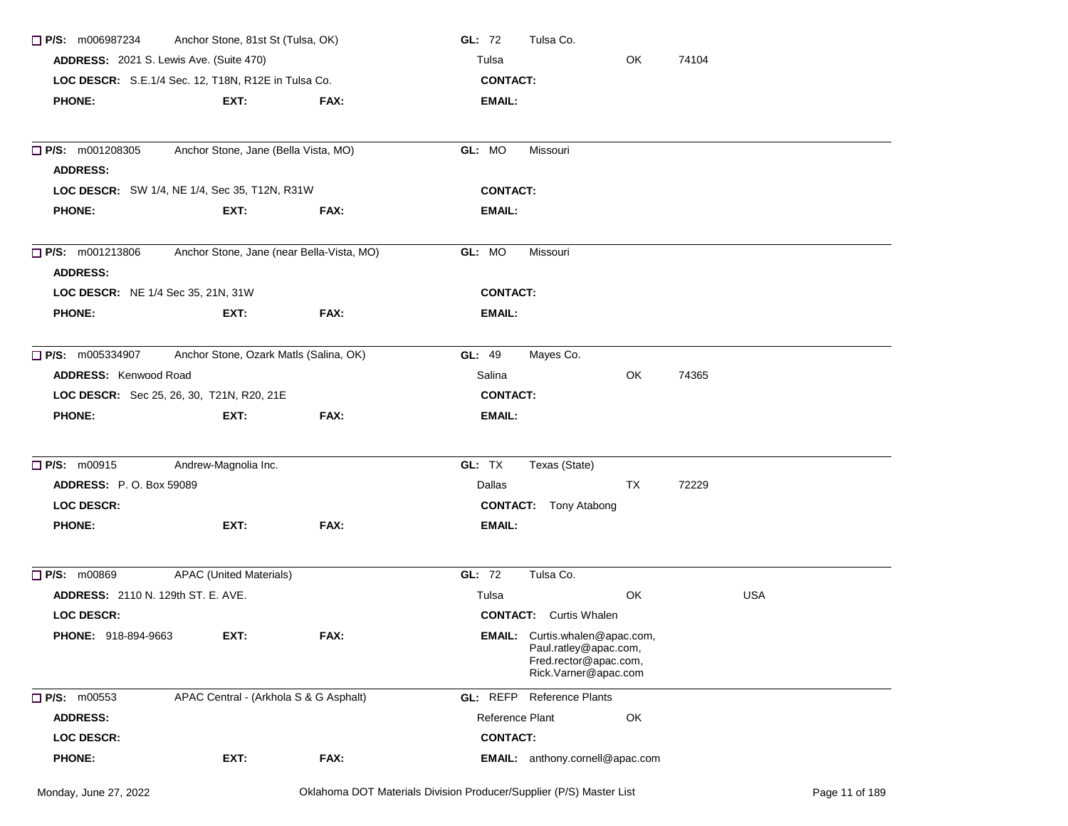| Anchor Stone, 81st St (Tulsa, OK)<br>$\Box$ P/S: m006987234    |                                        |      | GL: 72<br>Tulsa Co.                                                                                            |    |            |  |
|----------------------------------------------------------------|----------------------------------------|------|----------------------------------------------------------------------------------------------------------------|----|------------|--|
| <b>ADDRESS:</b> 2021 S. Lewis Ave. (Suite 470)                 |                                        |      | Tulsa                                                                                                          | OK | 74104      |  |
| LOC DESCR: S.E.1/4 Sec. 12, T18N, R12E in Tulsa Co.            |                                        |      | <b>CONTACT:</b>                                                                                                |    |            |  |
| <b>PHONE:</b>                                                  | EXT:                                   | FAX: | <b>EMAIL:</b>                                                                                                  |    |            |  |
|                                                                |                                        |      |                                                                                                                |    |            |  |
| $\Box$ P/S: m001208305<br>Anchor Stone, Jane (Bella Vista, MO) |                                        |      | GL: MO<br>Missouri                                                                                             |    |            |  |
| <b>ADDRESS:</b>                                                |                                        |      |                                                                                                                |    |            |  |
| LOC DESCR: SW 1/4, NE 1/4, Sec 35, T12N, R31W                  |                                        |      | <b>CONTACT:</b>                                                                                                |    |            |  |
| <b>PHONE:</b>                                                  | EXT:                                   | FAX: | EMAIL:                                                                                                         |    |            |  |
| Anchor Stone, Jane (near Bella-Vista, MO)<br>P/S: m001213806   |                                        |      | GL: MO<br>Missouri                                                                                             |    |            |  |
| <b>ADDRESS:</b>                                                |                                        |      |                                                                                                                |    |            |  |
| LOC DESCR: NE 1/4 Sec 35, 21N, 31W                             |                                        |      | <b>CONTACT:</b>                                                                                                |    |            |  |
| <b>PHONE:</b>                                                  | EXT:                                   | FAX: | <b>EMAIL:</b>                                                                                                  |    |            |  |
| $\Box$ P/S: m005334907                                         | Anchor Stone, Ozark Matls (Salina, OK) |      | GL: 49<br>Mayes Co.                                                                                            |    |            |  |
| ADDRESS: Kenwood Road                                          |                                        |      | Salina                                                                                                         | OK | 74365      |  |
| LOC DESCR: Sec 25, 26, 30, T21N, R20, 21E                      |                                        |      | <b>CONTACT:</b>                                                                                                |    |            |  |
| <b>PHONE:</b>                                                  | EXT:                                   | FAX: | <b>EMAIL:</b>                                                                                                  |    |            |  |
| $\Box$ P/S: m00915                                             | Andrew-Magnolia Inc.                   |      | GL: TX<br>Texas (State)                                                                                        |    |            |  |
| <b>ADDRESS: P.O. Box 59089</b>                                 |                                        |      | Dallas                                                                                                         | TX | 72229      |  |
| <b>LOC DESCR:</b>                                              |                                        |      | <b>CONTACT:</b> Tony Atabong                                                                                   |    |            |  |
| <b>PHONE:</b>                                                  | EXT:                                   | FAX: | EMAIL:                                                                                                         |    |            |  |
| $\Box$ P/S: m00869                                             | <b>APAC (United Materials)</b>         |      | GL: 72<br>Tulsa Co.                                                                                            |    |            |  |
| <b>ADDRESS: 2110 N. 129th ST. E. AVE.</b>                      |                                        |      | Tulsa                                                                                                          | OK | <b>USA</b> |  |
| <b>LOC DESCR:</b>                                              |                                        |      | <b>CONTACT:</b> Curtis Whalen                                                                                  |    |            |  |
| <b>PHONE: 918-894-9663</b>                                     | EXT:                                   | FAX: | <b>EMAIL:</b> Curtis.whalen@apac.com<br>Paul.ratley@apac.com,<br>Fred.rector@apac.com,<br>Rick.Varner@apac.com |    |            |  |
| P/S: m00553                                                    | APAC Central - (Arkhola S & G Asphalt) |      | <b>GL:</b> REFP Reference Plants                                                                               |    |            |  |
| <b>ADDRESS:</b>                                                |                                        |      | Reference Plant                                                                                                | OK |            |  |
| <b>LOC DESCR:</b>                                              |                                        |      | <b>CONTACT:</b>                                                                                                |    |            |  |
| <b>PHONE:</b>                                                  | EXT:                                   | FAX: | EMAIL: anthony.cornell@apac.com                                                                                |    |            |  |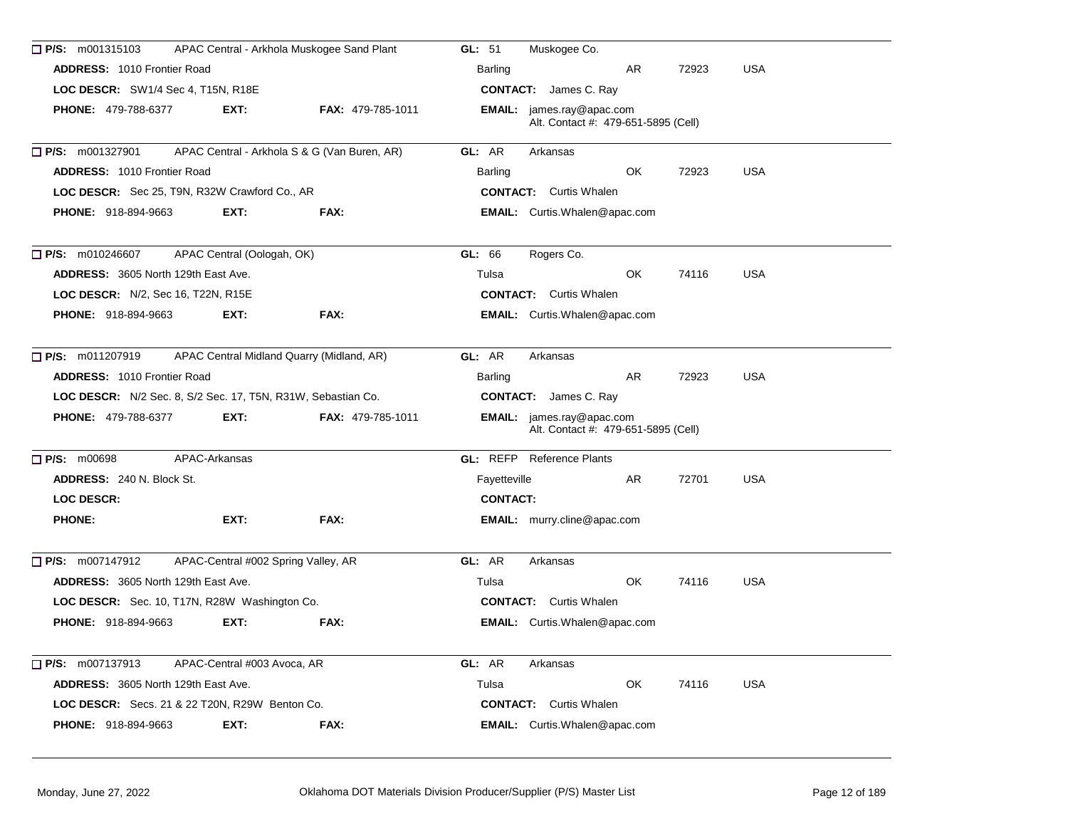| $\Box$ P/S: m001315103                                       |                                     | APAC Central - Arkhola Muskogee Sand Plant   | GL: 51<br>Muskogee Co.                                           |
|--------------------------------------------------------------|-------------------------------------|----------------------------------------------|------------------------------------------------------------------|
| <b>ADDRESS: 1010 Frontier Road</b>                           |                                     |                                              | AR<br>72923<br><b>USA</b><br>Barling                             |
| LOC DESCR: SW1/4 Sec 4, T15N, R18E                           |                                     |                                              | <b>CONTACT:</b> James C. Ray                                     |
| <b>PHONE: 479-788-6377</b>                                   | EXT.                                | <b>FAX: 479-785-1011</b>                     | EMAIL: james.ray@apac.com<br>Alt. Contact #: 479-651-5895 (Cell) |
| $\Box$ P/S: m001327901                                       |                                     | APAC Central - Arkhola S & G (Van Buren, AR) | GL: AR<br>Arkansas                                               |
| <b>ADDRESS: 1010 Frontier Road</b>                           |                                     |                                              | OK.<br>72923<br><b>USA</b><br><b>Barling</b>                     |
| LOC DESCR: Sec 25, T9N, R32W Crawford Co., AR                |                                     |                                              | <b>CONTACT:</b> Curtis Whalen                                    |
| <b>PHONE: 918-894-9663</b>                                   | EXT:                                | FAX:                                         | EMAIL: Curtis.Whalen@apac.com                                    |
| $\Box$ P/S: m010246607                                       | APAC Central (Oologah, OK)          |                                              | GL: 66<br>Rogers Co.                                             |
| <b>ADDRESS: 3605 North 129th East Ave.</b>                   |                                     |                                              | OK<br><b>USA</b><br>Tulsa<br>74116                               |
| <b>LOC DESCR:</b> N/2, Sec 16, T22N, R15E                    |                                     |                                              | <b>CONTACT:</b> Curtis Whalen                                    |
| <b>PHONE: 918-894-9663</b>                                   | EXT:                                | FAX:                                         | <b>EMAIL:</b> Curtis.Whalen@apac.com                             |
| $\Box$ P/S: m011207919                                       |                                     | APAC Central Midland Quarry (Midland, AR)    | GL: AR<br>Arkansas                                               |
| <b>ADDRESS: 1010 Frontier Road</b>                           |                                     |                                              | AR<br>72923<br><b>USA</b><br>Barling                             |
| LOC DESCR: N/2 Sec. 8, S/2 Sec. 17, T5N, R31W, Sebastian Co. |                                     |                                              | <b>CONTACT:</b> James C. Ray                                     |
| <b>PHONE: 479-788-6377</b>                                   | EXT:                                | <b>FAX: 479-785-1011</b>                     | EMAIL: james.ray@apac.com<br>Alt. Contact #: 479-651-5895 (Cell) |
| $\Box$ P/S: m00698                                           | APAC-Arkansas                       |                                              | <b>GL: REFP</b> Reference Plants                                 |
| <b>ADDRESS: 240 N. Block St.</b>                             |                                     |                                              | Fayetteville<br>AR.<br>72701<br><b>USA</b>                       |
| <b>LOC DESCR:</b>                                            |                                     |                                              | <b>CONTACT:</b>                                                  |
| <b>PHONE:</b>                                                | EXT:                                | FAX:                                         | <b>EMAIL:</b> murry.cline@apac.com                               |
| $\Box$ P/S: m007147912                                       | APAC-Central #002 Spring Valley, AR |                                              | GL: AR<br>Arkansas                                               |
| <b>ADDRESS: 3605 North 129th East Ave.</b>                   |                                     |                                              | OK.<br><b>USA</b><br>Tulsa<br>74116                              |
| LOC DESCR: Sec. 10, T17N, R28W Washington Co.                |                                     |                                              | <b>CONTACT:</b> Curtis Whalen                                    |
| <b>PHONE: 918-894-9663</b>                                   | EXT:                                | FAX:                                         | <b>EMAIL:</b> Curtis.Whalen@apac.com                             |
| $\Box$ P/S: m007137913                                       | APAC-Central #003 Avoca, AR         |                                              | GL: AR<br>Arkansas                                               |
| <b>ADDRESS: 3605 North 129th East Ave.</b>                   |                                     |                                              | Tulsa<br>OK<br>74116<br><b>USA</b>                               |
| LOC DESCR: Secs. 21 & 22 T20N, R29W Benton Co.               |                                     |                                              | <b>CONTACT:</b> Curtis Whalen                                    |
| <b>PHONE: 918-894-9663</b>                                   | EXT:                                | FAX:                                         | <b>EMAIL:</b> Curtis.Whalen@apac.com                             |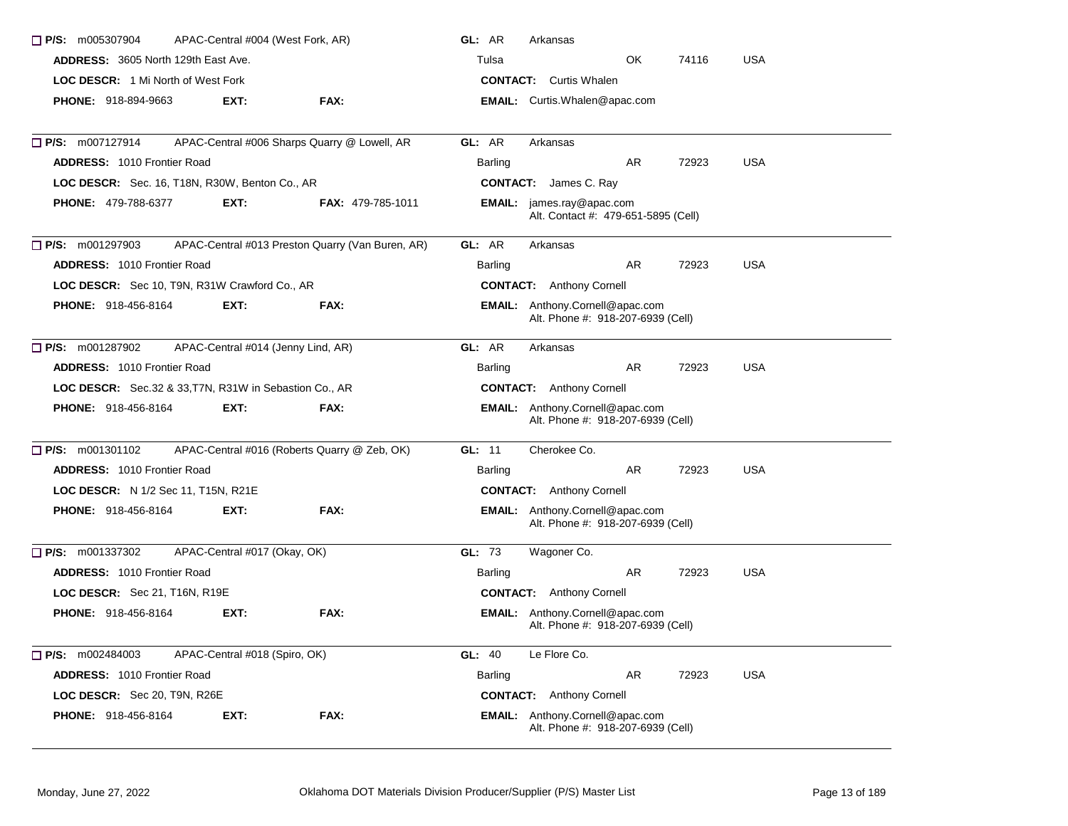| $\Box$ P/S: m005307904                                 | APAC-Central #004 (West Fork, AR)  |                                                  | GL: AR                        | Arkansas                                                                    |    |       |            |  |
|--------------------------------------------------------|------------------------------------|--------------------------------------------------|-------------------------------|-----------------------------------------------------------------------------|----|-------|------------|--|
| <b>ADDRESS: 3605 North 129th East Ave.</b>             |                                    |                                                  | Tulsa                         |                                                                             | OK | 74116 | <b>USA</b> |  |
| <b>LOC DESCR:</b> 1 Mi North of West Fork              |                                    |                                                  | <b>CONTACT:</b> Curtis Whalen |                                                                             |    |       |            |  |
| <b>PHONE: 918-894-9663</b>                             | EXT:                               | FAX:                                             |                               | EMAIL: Curtis.Whalen@apac.com                                               |    |       |            |  |
| □ P/S: m007127914                                      |                                    | APAC-Central #006 Sharps Quarry @ Lowell, AR     | GL: AR                        | Arkansas                                                                    |    |       |            |  |
| <b>ADDRESS: 1010 Frontier Road</b>                     |                                    |                                                  | Barling                       |                                                                             | AR | 72923 | <b>USA</b> |  |
| LOC DESCR: Sec. 16, T18N, R30W, Benton Co., AR         |                                    |                                                  |                               | <b>CONTACT:</b> James C. Ray                                                |    |       |            |  |
| <b>PHONE: 479-788-6377</b>                             | EXT:                               | <b>FAX: 479-785-1011</b>                         |                               | <b>EMAIL:</b> james.ray@apac.com<br>Alt. Contact #: 479-651-5895 (Cell)     |    |       |            |  |
| $\Box$ P/S: m001297903                                 |                                    | APAC-Central #013 Preston Quarry (Van Buren, AR) | GL: AR                        | Arkansas                                                                    |    |       |            |  |
| <b>ADDRESS: 1010 Frontier Road</b>                     |                                    |                                                  | Barling                       |                                                                             | AR | 72923 | <b>USA</b> |  |
| LOC DESCR: Sec 10, T9N, R31W Crawford Co., AR          |                                    |                                                  |                               | <b>CONTACT:</b> Anthony Cornell                                             |    |       |            |  |
| <b>PHONE: 918-456-8164</b>                             | EXT:                               | FAX:                                             |                               | <b>EMAIL:</b> Anthony.Cornell@apac.com<br>Alt. Phone #: 918-207-6939 (Cell) |    |       |            |  |
| P/S: m001287902                                        | APAC-Central #014 (Jenny Lind, AR) |                                                  | GL: AR                        | Arkansas                                                                    |    |       |            |  |
| <b>ADDRESS: 1010 Frontier Road</b>                     |                                    |                                                  | Barling                       |                                                                             | AR | 72923 | <b>USA</b> |  |
| LOC DESCR: Sec.32 & 33, T7N, R31W in Sebastion Co., AR |                                    |                                                  |                               | <b>CONTACT:</b> Anthony Cornell                                             |    |       |            |  |
| PHONE: 918-456-8164                                    | EXT:                               | FAX:                                             |                               | EMAIL: Anthony.Cornell@apac.com<br>Alt. Phone #: 918-207-6939 (Cell)        |    |       |            |  |
| $\Box$ P/S: m001301102                                 |                                    | APAC-Central #016 (Roberts Quarry @ Zeb, OK)     | GL: 11                        | Cherokee Co.                                                                |    |       |            |  |
| ADDRESS: 1010 Frontier Road                            |                                    |                                                  | Barling                       |                                                                             | AR | 72923 | <b>USA</b> |  |
| LOC DESCR: N 1/2 Sec 11, T15N, R21E                    |                                    |                                                  |                               | <b>CONTACT:</b> Anthony Cornell                                             |    |       |            |  |
| <b>PHONE: 918-456-8164</b>                             | EXT:                               | FAX:                                             |                               | <b>EMAIL:</b> Anthony.Cornell@apac.com<br>Alt. Phone #: 918-207-6939 (Cell) |    |       |            |  |
| $\Box$ P/S: m001337302                                 | APAC-Central #017 (Okay, OK)       |                                                  | GL: 73                        | Wagoner Co.                                                                 |    |       |            |  |
| <b>ADDRESS: 1010 Frontier Road</b>                     |                                    |                                                  | Barling                       |                                                                             | AR | 72923 | <b>USA</b> |  |
| LOC DESCR: Sec 21, T16N, R19E                          |                                    |                                                  |                               | <b>CONTACT:</b> Anthony Cornell                                             |    |       |            |  |
| <b>PHONE: 918-456-8164</b>                             | EXT:                               | FAX:                                             |                               | <b>EMAIL:</b> Anthony.Cornell@apac.com<br>Alt. Phone #: 918-207-6939 (Cell) |    |       |            |  |
| $\Box$ P/S: m002484003                                 | APAC-Central #018 (Spiro, OK)      |                                                  | <b>GL: 40</b>                 | Le Flore Co.                                                                |    |       |            |  |
| ADDRESS: 1010 Frontier Road                            |                                    |                                                  | Barling                       |                                                                             | AR | 72923 | <b>USA</b> |  |
| LOC DESCR: Sec 20, T9N, R26E                           |                                    |                                                  |                               | <b>CONTACT:</b> Anthony Cornell                                             |    |       |            |  |
| <b>PHONE: 918-456-8164</b>                             | EXT:                               | FAX:                                             |                               | EMAIL: Anthony.Cornell@apac.com<br>Alt. Phone #: 918-207-6939 (Cell)        |    |       |            |  |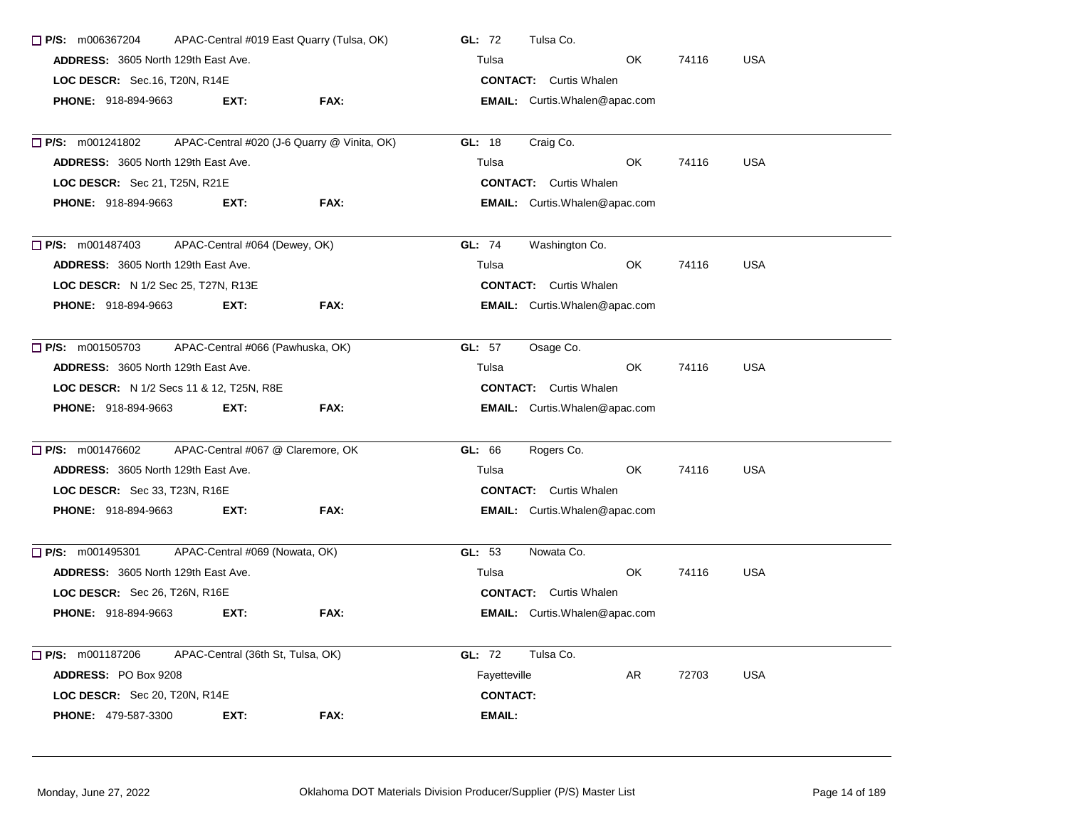| $\Box$ P/S: m006367204                     |                                   | APAC-Central #019 East Quarry (Tulsa, OK)   | Tulsa Co.<br>GL: 72                    |     |       |            |  |  |
|--------------------------------------------|-----------------------------------|---------------------------------------------|----------------------------------------|-----|-------|------------|--|--|
| <b>ADDRESS: 3605 North 129th East Ave.</b> |                                   |                                             | Tulsa                                  | OK. | 74116 | <b>USA</b> |  |  |
| LOC DESCR: Sec.16, T20N, R14E              |                                   |                                             | <b>CONTACT:</b> Curtis Whalen          |     |       |            |  |  |
| <b>PHONE: 918-894-9663</b>                 | EXT:                              | FAX:                                        | <b>EMAIL:</b> Curtis. Whalen @apac.com |     |       |            |  |  |
| $\Box$ P/S: m001241802                     |                                   | APAC-Central #020 (J-6 Quarry @ Vinita, OK) | GL: 18<br>Craig Co.                    |     |       |            |  |  |
| <b>ADDRESS: 3605 North 129th East Ave.</b> |                                   |                                             | Tulsa                                  | OK  | 74116 | <b>USA</b> |  |  |
| LOC DESCR: Sec 21, T25N, R21E              |                                   |                                             | <b>CONTACT:</b> Curtis Whalen          |     |       |            |  |  |
| <b>PHONE: 918-894-9663</b>                 | EXT:                              | FAX:                                        | <b>EMAIL:</b> Curtis.Whalen@apac.com   |     |       |            |  |  |
| $\Box$ P/S: m001487403                     | APAC-Central #064 (Dewey, OK)     |                                             | GL: 74<br>Washington Co.               |     |       |            |  |  |
| <b>ADDRESS:</b> 3605 North 129th East Ave. |                                   |                                             | Tulsa                                  | OK. | 74116 | <b>USA</b> |  |  |
| LOC DESCR: N 1/2 Sec 25, T27N, R13E        |                                   |                                             | <b>CONTACT:</b> Curtis Whalen          |     |       |            |  |  |
| <b>PHONE: 918-894-9663</b>                 | EXT:                              | FAX:                                        | <b>EMAIL:</b> Curtis.Whalen@apac.com   |     |       |            |  |  |
| $\Box$ P/S: m001505703                     | APAC-Central #066 (Pawhuska, OK)  |                                             | GL: 57<br>Osage Co.                    |     |       |            |  |  |
| <b>ADDRESS: 3605 North 129th East Ave.</b> |                                   |                                             | Tulsa                                  | OK. | 74116 | <b>USA</b> |  |  |
| LOC DESCR: N 1/2 Secs 11 & 12, T25N, R8E   |                                   |                                             | <b>CONTACT:</b> Curtis Whalen          |     |       |            |  |  |
| <b>PHONE: 918-894-9663</b>                 | EXT:                              | FAX:                                        | <b>EMAIL:</b> Curtis. Whalen@apac.com  |     |       |            |  |  |
| $\Box$ P/S: m001476602                     | APAC-Central #067 @ Claremore, OK |                                             | GL: 66<br>Rogers Co.                   |     |       |            |  |  |
| ADDRESS: 3605 North 129th East Ave.        |                                   |                                             | Tulsa                                  | OK. | 74116 | <b>USA</b> |  |  |
| LOC DESCR: Sec 33, T23N, R16E              |                                   |                                             | <b>CONTACT:</b> Curtis Whalen          |     |       |            |  |  |
| <b>PHONE: 918-894-9663</b>                 | EXT:                              | FAX:                                        | EMAIL: Curtis.Whalen@apac.com          |     |       |            |  |  |
| $\Box$ P/S: m001495301                     | APAC-Central #069 (Nowata, OK)    |                                             | GL: 53<br>Nowata Co.                   |     |       |            |  |  |
| <b>ADDRESS: 3605 North 129th East Ave.</b> |                                   |                                             | Tulsa                                  | OK. | 74116 | <b>USA</b> |  |  |
| LOC DESCR: Sec 26, T26N, R16E              |                                   |                                             | <b>CONTACT:</b> Curtis Whalen          |     |       |            |  |  |
| <b>PHONE: 918-894-9663</b>                 | EXT:                              | FAX:                                        | <b>EMAIL:</b> Curtis.Whalen@apac.com   |     |       |            |  |  |
| P/S: m001187206                            | APAC-Central (36th St, Tulsa, OK) |                                             | <b>GL: 72</b><br>Tulsa Co.             |     |       |            |  |  |
| ADDRESS: PO Box 9208                       |                                   |                                             | Fayetteville                           | AR  | 72703 | <b>USA</b> |  |  |
| LOC DESCR: Sec 20, T20N, R14E              |                                   |                                             | <b>CONTACT:</b>                        |     |       |            |  |  |
| <b>PHONE: 479-587-3300</b>                 | EXT:                              | FAX:                                        | <b>EMAIL:</b>                          |     |       |            |  |  |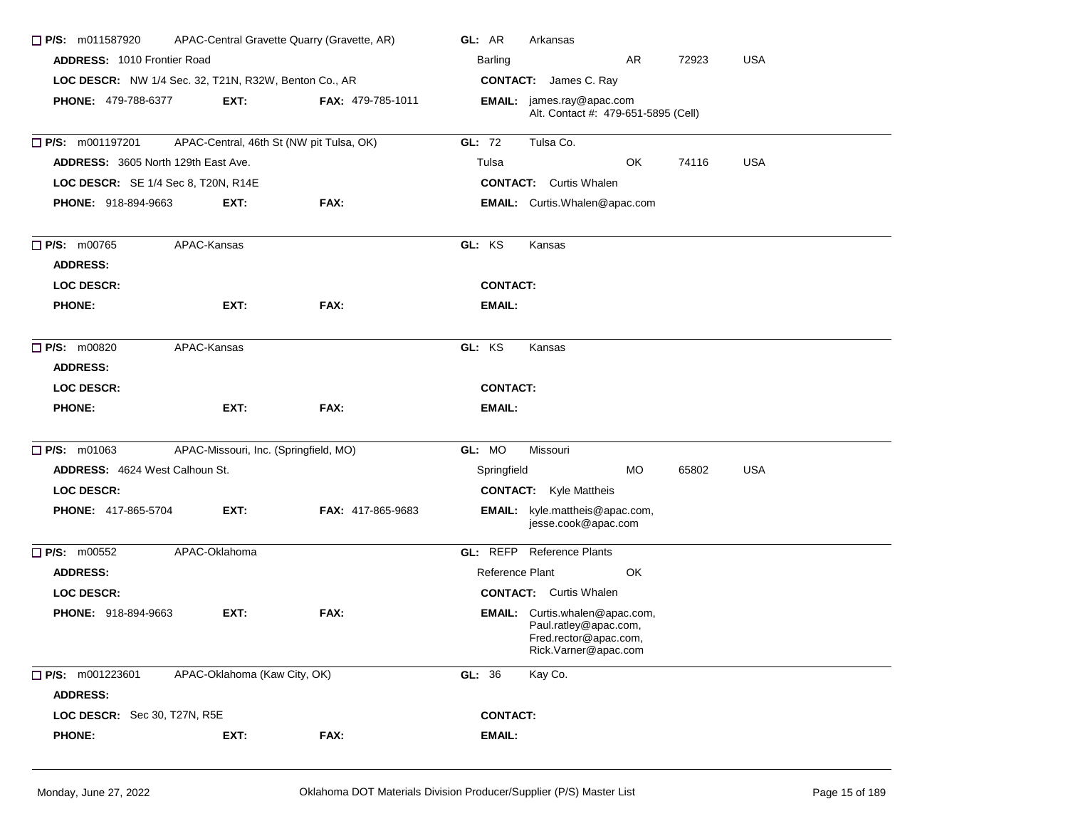| $\Box$ P/S: m011587920                                |                                       | APAC-Central Gravette Quarry (Gravette, AR) | GL: AR<br>Arkansas                                                                                       |  |  |  |  |
|-------------------------------------------------------|---------------------------------------|---------------------------------------------|----------------------------------------------------------------------------------------------------------|--|--|--|--|
|                                                       | <b>ADDRESS: 1010 Frontier Road</b>    |                                             | AR<br>72923<br><b>USA</b><br>Barling                                                                     |  |  |  |  |
| LOC DESCR: NW 1/4 Sec. 32, T21N, R32W, Benton Co., AR |                                       |                                             | <b>CONTACT:</b> James C. Ray                                                                             |  |  |  |  |
| <b>PHONE: 479-788-6377</b>                            | EXT:                                  | <b>FAX: 479-785-1011</b>                    | <b>EMAIL:</b> james.ray@apac.com<br>Alt. Contact #: 479-651-5895 (Cell)                                  |  |  |  |  |
| $\Box$ P/S: m001197201                                |                                       | APAC-Central, 46th St (NW pit Tulsa, OK)    | GL: 72<br>Tulsa Co.                                                                                      |  |  |  |  |
| ADDRESS: 3605 North 129th East Ave.                   |                                       |                                             | Tulsa<br>OK<br>74116<br><b>USA</b>                                                                       |  |  |  |  |
| LOC DESCR: SE 1/4 Sec 8, T20N, R14E                   |                                       |                                             | <b>CONTACT:</b> Curtis Whalen                                                                            |  |  |  |  |
| <b>PHONE: 918-894-9663</b>                            | EXT:                                  | FAX:                                        | EMAIL: Curtis.Whalen@apac.com                                                                            |  |  |  |  |
| $\Box$ P/S: m00765<br><b>ADDRESS:</b>                 | APAC-Kansas                           |                                             | GL: KS<br>Kansas                                                                                         |  |  |  |  |
| <b>LOC DESCR:</b>                                     |                                       |                                             | <b>CONTACT:</b>                                                                                          |  |  |  |  |
| <b>PHONE:</b>                                         | EXT:                                  | FAX:                                        | EMAIL:                                                                                                   |  |  |  |  |
| $\Box$ P/S: m00820<br><b>ADDRESS:</b>                 | APAC-Kansas                           |                                             | GL: KS<br>Kansas                                                                                         |  |  |  |  |
| <b>LOC DESCR:</b>                                     |                                       |                                             | <b>CONTACT:</b>                                                                                          |  |  |  |  |
| <b>PHONE:</b>                                         | EXT:                                  | FAX:                                        | EMAIL:                                                                                                   |  |  |  |  |
| $\Box$ P/S: m01063                                    | APAC-Missouri, Inc. (Springfield, MO) |                                             | GL: MO<br>Missouri                                                                                       |  |  |  |  |
| ADDRESS: 4624 West Calhoun St.                        |                                       |                                             | <b>MO</b><br>65802<br><b>USA</b><br>Springfield                                                          |  |  |  |  |
| <b>LOC DESCR:</b>                                     |                                       |                                             | <b>CONTACT:</b> Kyle Mattheis                                                                            |  |  |  |  |
| <b>PHONE: 417-865-5704</b>                            | EXT:                                  | <b>FAX: 417-865-9683</b>                    | kyle.mattheis@apac.com,<br>EMAIL:<br>jesse.cook@apac.com                                                 |  |  |  |  |
| $\Box$ P/S: m00552                                    | APAC-Oklahoma                         |                                             | <b>GL:</b> REFP Reference Plants                                                                         |  |  |  |  |
| <b>ADDRESS:</b>                                       |                                       |                                             | Reference Plant<br>OK                                                                                    |  |  |  |  |
| LOC DESCR:                                            |                                       |                                             | <b>CONTACT:</b> Curtis Whalen                                                                            |  |  |  |  |
| <b>PHONE: 918-894-9663</b>                            | EXT:                                  | FAX:                                        | EMAIL: Curtis.whalen@apac.com,<br>Paul.ratley@apac.com,<br>Fred.rector@apac.com,<br>Rick.Varner@apac.com |  |  |  |  |
| P/S: m001223601                                       | APAC-Oklahoma (Kaw City, OK)          |                                             | GL: 36<br>Kay Co.                                                                                        |  |  |  |  |
| <b>ADDRESS:</b>                                       |                                       |                                             |                                                                                                          |  |  |  |  |
| LOC DESCR: Sec 30, T27N, R5E                          |                                       |                                             | <b>CONTACT:</b>                                                                                          |  |  |  |  |
| <b>PHONE:</b>                                         | EXT:                                  | FAX:                                        | EMAIL:                                                                                                   |  |  |  |  |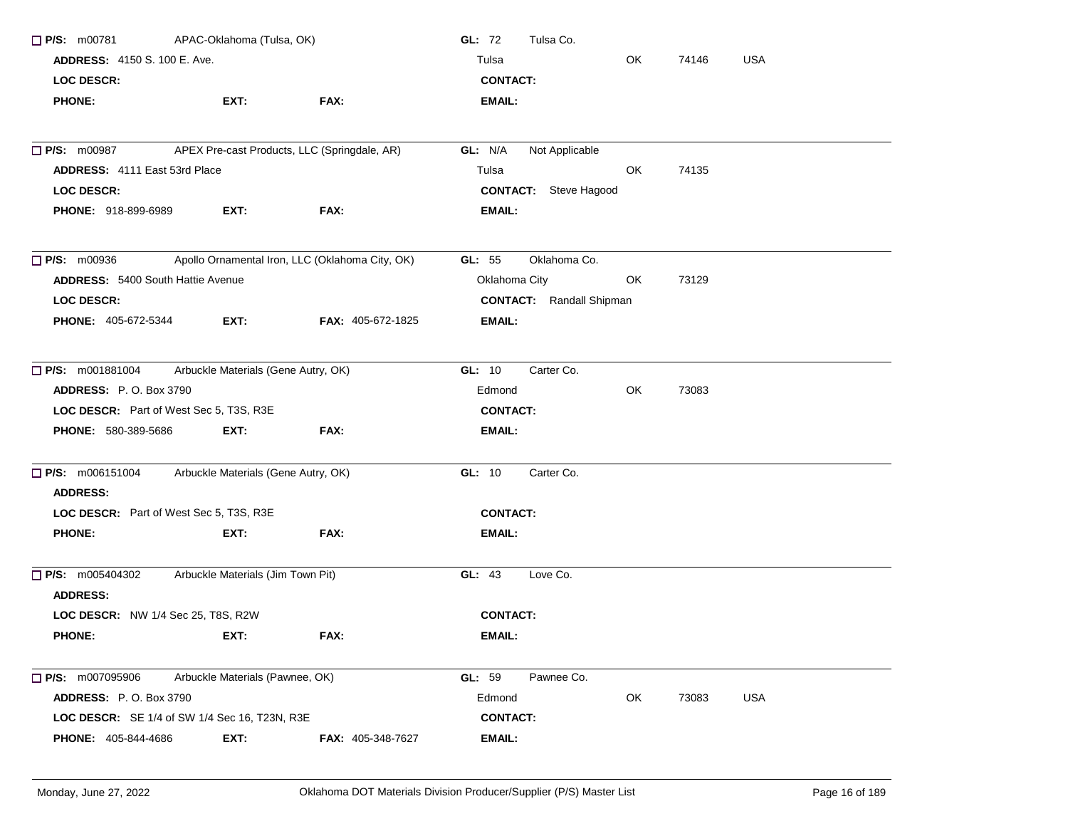| $\Box$ P/S: m00781                            | APAC-Oklahoma (Tulsa, OK)           |                                                 | GL: 72<br>Tulsa Co.             |     |       |            |
|-----------------------------------------------|-------------------------------------|-------------------------------------------------|---------------------------------|-----|-------|------------|
| <b>ADDRESS: 4150 S. 100 E. Ave.</b>           |                                     |                                                 | Tulsa                           | OK  | 74146 | <b>USA</b> |
| LOC DESCR:                                    |                                     |                                                 | <b>CONTACT:</b>                 |     |       |            |
| <b>PHONE:</b>                                 | EXT:                                | FAX:                                            | <b>EMAIL:</b>                   |     |       |            |
|                                               |                                     |                                                 |                                 |     |       |            |
| <b>P/S: m00987</b>                            |                                     | APEX Pre-cast Products, LLC (Springdale, AR)    | GL: N/A<br>Not Applicable       |     |       |            |
| ADDRESS: 4111 East 53rd Place                 |                                     |                                                 | Tulsa                           | OK. | 74135 |            |
| <b>LOC DESCR:</b>                             |                                     |                                                 | <b>CONTACT:</b> Steve Hagood    |     |       |            |
| <b>PHONE: 918-899-6989</b>                    | EXT:                                | FAX:                                            | <b>EMAIL:</b>                   |     |       |            |
| $\Box$ P/S: m00936                            |                                     | Apollo Ornamental Iron, LLC (Oklahoma City, OK) | GL: 55<br>Oklahoma Co.          |     |       |            |
| <b>ADDRESS: 5400 South Hattie Avenue</b>      |                                     |                                                 | Oklahoma City                   | OK  | 73129 |            |
| LOC DESCR:                                    |                                     |                                                 | <b>CONTACT:</b> Randall Shipman |     |       |            |
| PHONE: 405-672-5344                           | EXT:                                | <b>FAX: 405-672-1825</b>                        | <b>EMAIL:</b>                   |     |       |            |
| $\Box$ P/S: m001881004                        | Arbuckle Materials (Gene Autry, OK) |                                                 | GL: 10<br>Carter Co.            |     |       |            |
| <b>ADDRESS: P.O. Box 3790</b>                 |                                     |                                                 | Edmond                          | OK  | 73083 |            |
| LOC DESCR: Part of West Sec 5, T3S, R3E       |                                     |                                                 | <b>CONTACT:</b>                 |     |       |            |
| PHONE: 580-389-5686                           | EXT.                                | FAX:                                            | <b>EMAIL:</b>                   |     |       |            |
| <b>P/S:</b> m006151004                        | Arbuckle Materials (Gene Autry, OK) |                                                 | GL: 10<br>Carter Co.            |     |       |            |
| <b>ADDRESS:</b>                               |                                     |                                                 |                                 |     |       |            |
| LOC DESCR: Part of West Sec 5, T3S, R3E       |                                     |                                                 | <b>CONTACT:</b>                 |     |       |            |
| <b>PHONE:</b>                                 | EXT:                                | FAX:                                            | EMAIL:                          |     |       |            |
| $\Box$ P/S: m005404302<br><b>ADDRESS:</b>     | Arbuckle Materials (Jim Town Pit)   |                                                 | GL: 43<br>Love Co.              |     |       |            |
| LOC DESCR: NW 1/4 Sec 25, T8S, R2W            |                                     |                                                 | <b>CONTACT:</b>                 |     |       |            |
| <b>PHONE:</b>                                 | EXT:                                | FAX:                                            | <b>EMAIL:</b>                   |     |       |            |
| P/S: m007095906                               | Arbuckle Materials (Pawnee, OK)     |                                                 | GL: 59<br>Pawnee Co.            |     |       |            |
| <b>ADDRESS: P.O. Box 3790</b>                 |                                     |                                                 | Edmond                          | OK  | 73083 | <b>USA</b> |
| LOC DESCR: SE 1/4 of SW 1/4 Sec 16, T23N, R3E |                                     |                                                 | <b>CONTACT:</b>                 |     |       |            |
| <b>PHONE: 405-844-4686</b>                    | EXT:                                | <b>FAX: 405-348-7627</b>                        | <b>EMAIL:</b>                   |     |       |            |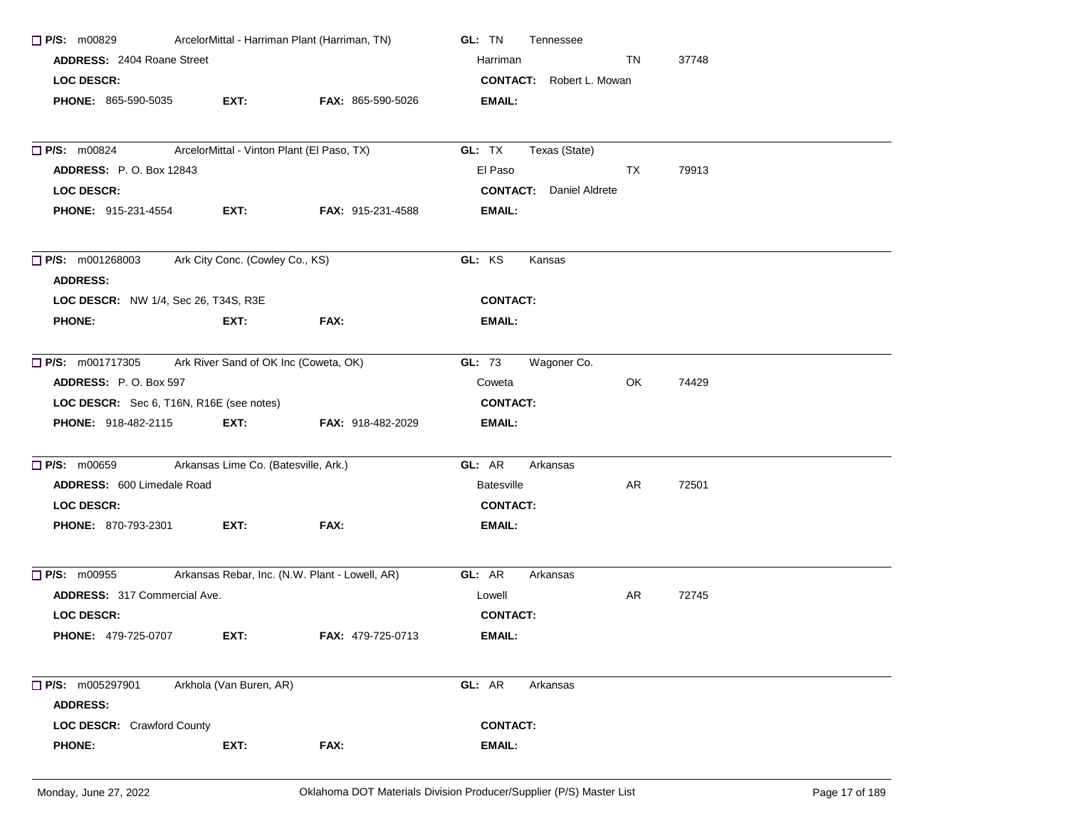| <b>P/S: m00829</b>                                              | ArcelorMittal - Harriman Plant (Harriman, TN) |                                                | GL: TN<br>Tennessee             |     |       |
|-----------------------------------------------------------------|-----------------------------------------------|------------------------------------------------|---------------------------------|-----|-------|
| <b>ADDRESS: 2404 Roane Street</b>                               |                                               |                                                | Harriman                        | TN  | 37748 |
| <b>LOC DESCR:</b>                                               |                                               |                                                | <b>CONTACT:</b> Robert L. Mowan |     |       |
| <b>PHONE: 865-590-5035</b>                                      | EXT:                                          | FAX: 865-590-5026                              | EMAIL:                          |     |       |
|                                                                 |                                               |                                                |                                 |     |       |
| <b>P/S: m00824</b>                                              | ArcelorMittal - Vinton Plant (El Paso, TX)    |                                                | GL: TX<br>Texas (State)         |     |       |
| <b>ADDRESS:</b> P.O. Box 12843                                  |                                               |                                                | El Paso                         | TX  | 79913 |
| LOC DESCR:                                                      |                                               |                                                | <b>CONTACT:</b> Daniel Aldrete  |     |       |
| <b>PHONE: 915-231-4554</b>                                      | EXT:                                          | <b>FAX: 915-231-4588</b>                       | EMAIL:                          |     |       |
| $\Box$ P/S: m001268003<br><b>ADDRESS:</b>                       | Ark City Conc. (Cowley Co., KS)               |                                                | GL: KS<br>Kansas                |     |       |
| LOC DESCR: NW 1/4, Sec 26, T34S, R3E                            |                                               |                                                | <b>CONTACT:</b>                 |     |       |
| <b>PHONE:</b>                                                   | EXT:                                          | FAX:                                           | EMAIL:                          |     |       |
|                                                                 |                                               |                                                |                                 |     |       |
| Ark River Sand of OK Inc (Coweta, OK)<br>$\Box$ P/S: m001717305 |                                               |                                                | GL: 73<br>Wagoner Co.           |     |       |
| <b>ADDRESS: P.O. Box 597</b>                                    |                                               |                                                | Coweta                          | OK. | 74429 |
| LOC DESCR: Sec 6, T16N, R16E (see notes)                        |                                               |                                                | <b>CONTACT:</b>                 |     |       |
| <b>PHONE: 918-482-2115</b>                                      | EXT:                                          | <b>FAX: 918-482-2029</b>                       | EMAIL:                          |     |       |
| $\Box$ P/S: m00659                                              | Arkansas Lime Co. (Batesville, Ark.)          |                                                | GL: AR<br>Arkansas              |     |       |
| ADDRESS: 600 Limedale Road                                      |                                               |                                                | <b>Batesville</b>               | AR  | 72501 |
| <b>LOC DESCR:</b>                                               |                                               |                                                | <b>CONTACT:</b>                 |     |       |
| <b>PHONE: 870-793-2301</b>                                      | EXT:                                          | FAX:                                           | EMAIL:                          |     |       |
| $\Box$ P/S: m00955                                              |                                               | Arkansas Rebar, Inc. (N.W. Plant - Lowell, AR) | GL: AR<br>Arkansas              |     |       |
| <b>ADDRESS: 317 Commercial Ave.</b>                             |                                               |                                                | Lowell                          | AR  | 72745 |
| <b>LOC DESCR:</b>                                               |                                               |                                                | <b>CONTACT:</b>                 |     |       |
| <b>PHONE: 479-725-0707</b>                                      | EXT:                                          | FAX: 479-725-0713                              | EMAIL:                          |     |       |
| <b>P/S:</b> m005297901                                          | Arkhola (Van Buren, AR)                       |                                                | GL: AR<br>Arkansas              |     |       |
| <b>ADDRESS:</b>                                                 |                                               |                                                |                                 |     |       |
| LOC DESCR: Crawford County                                      |                                               |                                                | <b>CONTACT:</b>                 |     |       |
| <b>PHONE:</b>                                                   | EXT:                                          | FAX:                                           | <b>EMAIL:</b>                   |     |       |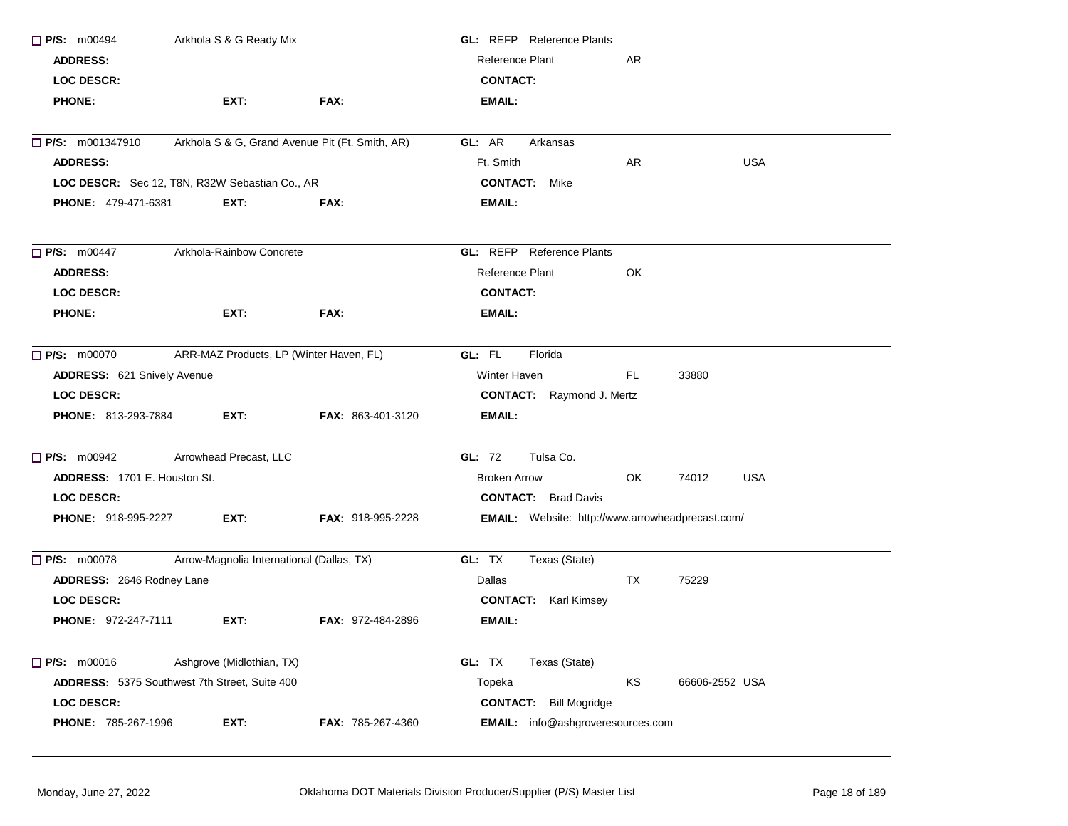| $\Box$ P/S: m00494                  | Arkhola S & G Ready Mix                         |                          | <b>GL:</b> REFP Reference Plants                 |     |                     |
|-------------------------------------|-------------------------------------------------|--------------------------|--------------------------------------------------|-----|---------------------|
| <b>ADDRESS:</b>                     |                                                 |                          | Reference Plant                                  | AR  |                     |
| <b>LOC DESCR:</b>                   |                                                 |                          | <b>CONTACT:</b>                                  |     |                     |
| <b>PHONE:</b>                       | EXT:                                            | FAX:                     | <b>EMAIL:</b>                                    |     |                     |
| $\Box$ P/S: m001347910              | Arkhola S & G, Grand Avenue Pit (Ft. Smith, AR) |                          | GL: AR<br>Arkansas                               |     |                     |
| <b>ADDRESS:</b>                     |                                                 |                          | Ft. Smith                                        | AR  | <b>USA</b>          |
|                                     | LOC DESCR: Sec 12, T8N, R32W Sebastian Co., AR  |                          | <b>CONTACT:</b> Mike                             |     |                     |
| <b>PHONE: 479-471-6381</b>          | EXT:                                            | FAX:                     | <b>EMAIL:</b>                                    |     |                     |
| $\Box$ P/S: m00447                  | Arkhola-Rainbow Concrete                        |                          | <b>GL:</b> REFP Reference Plants                 |     |                     |
| <b>ADDRESS:</b>                     |                                                 |                          | Reference Plant                                  | OK  |                     |
| <b>LOC DESCR:</b>                   |                                                 |                          | <b>CONTACT:</b>                                  |     |                     |
| <b>PHONE:</b>                       | EXT:                                            | FAX:                     | <b>EMAIL:</b>                                    |     |                     |
| $\Box$ P/S: m00070                  | ARR-MAZ Products, LP (Winter Haven, FL)         |                          | GL: FL<br>Florida                                |     |                     |
| ADDRESS: 621 Snively Avenue         |                                                 |                          | Winter Haven                                     | FL  | 33880               |
| <b>LOC DESCR:</b>                   |                                                 |                          | <b>CONTACT:</b> Raymond J. Mertz                 |     |                     |
| PHONE: 813-293-7884                 | EXT:                                            | FAX: 863-401-3120        | <b>EMAIL:</b>                                    |     |                     |
| P/S: m00942                         | Arrowhead Precast, LLC                          |                          | GL: 72<br>Tulsa Co.                              |     |                     |
| <b>ADDRESS: 1701 E. Houston St.</b> |                                                 |                          | <b>Broken Arrow</b>                              | OK. | 74012<br><b>USA</b> |
| LOC DESCR:                          |                                                 |                          | <b>CONTACT:</b> Brad Davis                       |     |                     |
| PHONE: 918-995-2227                 | EXT:                                            | <b>FAX: 918-995-2228</b> | EMAIL: Website: http://www.arrowheadprecast.com/ |     |                     |
| $\Box$ P/S: m00078                  | Arrow-Magnolia International (Dallas, TX)       |                          | GL: TX<br>Texas (State)                          |     |                     |
| ADDRESS: 2646 Rodney Lane           |                                                 |                          | Dallas                                           | TX  | 75229               |
| <b>LOC DESCR:</b>                   |                                                 |                          | <b>CONTACT:</b> Karl Kimsey                      |     |                     |
| <b>PHONE: 972-247-7111</b>          | EXT:                                            | <b>FAX: 972-484-2896</b> | <b>EMAIL:</b>                                    |     |                     |
| $\Box$ P/S: m00016                  | Ashgrove (Midlothian, TX)                       |                          | GL: TX<br>Texas (State)                          |     |                     |
|                                     | ADDRESS: 5375 Southwest 7th Street, Suite 400   |                          | Topeka                                           | KS  | 66606-2552 USA      |
| LOC DESCR:                          |                                                 |                          | <b>CONTACT:</b> Bill Mogridge                    |     |                     |
| PHONE: 785-267-1996                 | EXT:                                            | FAX: 785-267-4360        | EMAIL: info@ashgroveresources.com                |     |                     |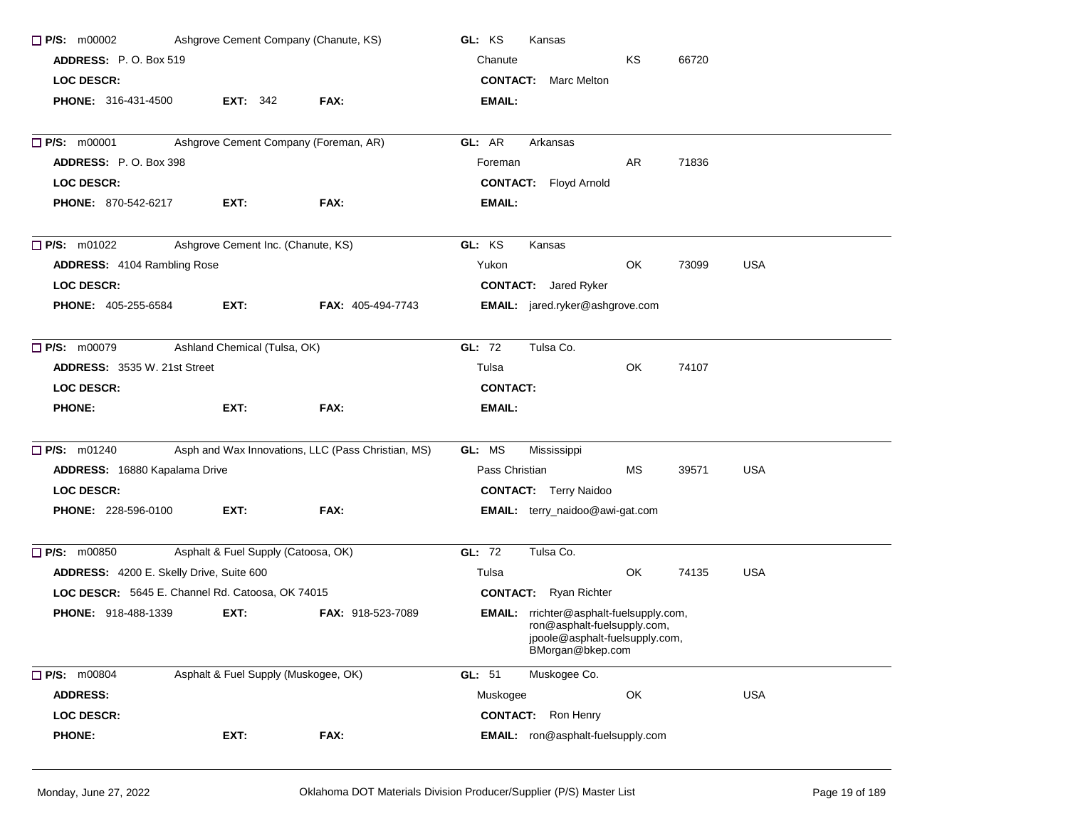| $\Box$ P/S: m00002                               | Ashgrove Cement Company (Chanute, KS) |                                                    | GL: KS<br>Kansas                                                                                                                    |
|--------------------------------------------------|---------------------------------------|----------------------------------------------------|-------------------------------------------------------------------------------------------------------------------------------------|
| <b>ADDRESS: P.O. Box 519</b>                     |                                       |                                                    | ΚS<br>66720<br>Chanute                                                                                                              |
| <b>LOC DESCR:</b>                                |                                       |                                                    | <b>CONTACT:</b> Marc Melton                                                                                                         |
| <b>PHONE: 316-431-4500</b>                       | <b>EXT: 342</b>                       | FAX:                                               | EMAIL:                                                                                                                              |
| $\Box$ P/S: m00001                               | Ashgrove Cement Company (Foreman, AR) |                                                    | GL: AR<br>Arkansas                                                                                                                  |
| ADDRESS: P.O. Box 398                            |                                       |                                                    | 71836<br>AR<br>Foreman                                                                                                              |
| <b>LOC DESCR:</b>                                |                                       |                                                    | <b>CONTACT:</b> Floyd Arnold                                                                                                        |
| <b>PHONE: 870-542-6217</b>                       | EXT:                                  | FAX:                                               | <b>EMAIL:</b>                                                                                                                       |
| $\Box$ P/S: m01022                               | Ashgrove Cement Inc. (Chanute, KS)    |                                                    | GL: KS<br>Kansas                                                                                                                    |
| ADDRESS: 4104 Rambling Rose                      |                                       |                                                    | <b>USA</b><br>Yukon<br>OK<br>73099                                                                                                  |
| <b>LOC DESCR:</b>                                |                                       |                                                    | <b>CONTACT:</b> Jared Ryker                                                                                                         |
| <b>PHONE: 405-255-6584</b>                       | EXT:                                  | <b>FAX: 405-494-7743</b>                           | EMAIL: jared.ryker@ashgrove.com                                                                                                     |
| $\Box$ P/S: m00079                               | Ashland Chemical (Tulsa, OK)          |                                                    | Tulsa Co.<br>GL: 72                                                                                                                 |
| <b>ADDRESS: 3535 W. 21st Street</b>              |                                       |                                                    | Tulsa<br>OK<br>74107                                                                                                                |
| <b>LOC DESCR:</b>                                |                                       |                                                    | <b>CONTACT:</b>                                                                                                                     |
| <b>PHONE:</b>                                    | EXT:                                  | FAX:                                               | EMAIL:                                                                                                                              |
| $\Box$ P/S: m01240                               |                                       | Asph and Wax Innovations, LLC (Pass Christian, MS) | GL: MS<br>Mississippi                                                                                                               |
| ADDRESS: 16880 Kapalama Drive                    |                                       |                                                    | <b>USA</b><br>Pass Christian<br>МS<br>39571                                                                                         |
| <b>LOC DESCR:</b>                                |                                       |                                                    | <b>CONTACT:</b> Terry Naidoo                                                                                                        |
| <b>PHONE: 228-596-0100</b>                       | EXT:                                  | FAX:                                               | EMAIL: terry_naidoo@awi-gat.com                                                                                                     |
| $\Box$ P/S: m00850                               | Asphalt & Fuel Supply (Catoosa, OK)   |                                                    | GL: 72<br>Tulsa Co.                                                                                                                 |
| ADDRESS: 4200 E. Skelly Drive, Suite 600         |                                       |                                                    | OK<br><b>USA</b><br>74135<br>Tulsa                                                                                                  |
| LOC DESCR: 5645 E. Channel Rd. Catoosa, OK 74015 |                                       |                                                    | <b>CONTACT:</b> Ryan Richter                                                                                                        |
| PHONE: 918-488-1339                              | EXT:                                  | <b>FAX: 918-523-7089</b>                           | <b>EMAIL:</b> rrichter@asphalt-fuelsupply.com,<br>ron@asphalt-fuelsupply.com,<br>jpoole@asphalt-fuelsupply.com,<br>BMorgan@bkep.com |
| P/S: m00804                                      | Asphalt & Fuel Supply (Muskogee, OK)  |                                                    | GL: 51<br>Muskogee Co.                                                                                                              |
| <b>ADDRESS:</b>                                  |                                       |                                                    | OK<br><b>USA</b><br>Muskogee                                                                                                        |
| <b>LOC DESCR:</b>                                |                                       |                                                    | <b>CONTACT:</b><br>Ron Henry                                                                                                        |
| <b>PHONE:</b>                                    | EXT:                                  | FAX:                                               | EMAIL: ron@asphalt-fuelsupply.com                                                                                                   |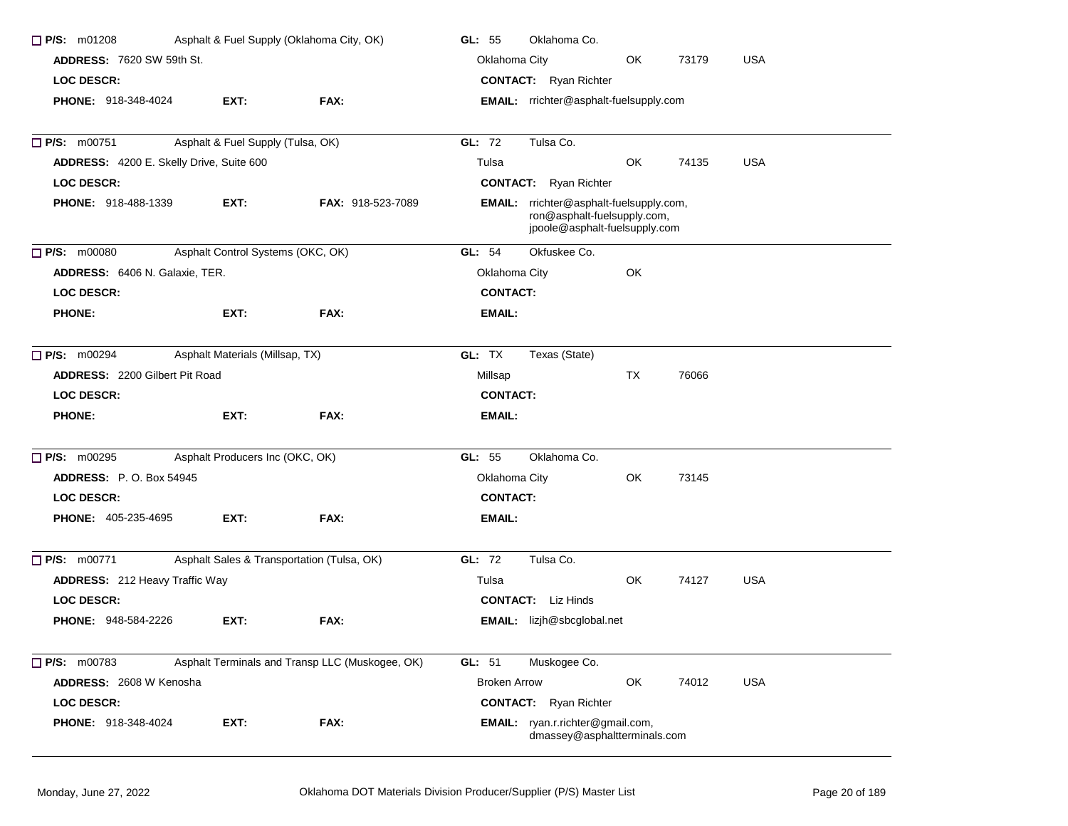| $P/S:$ m01208                            |                                   | Asphalt & Fuel Supply (Oklahoma City, OK)       | GL: 55<br>Oklahoma Co.                                                                                  |  |
|------------------------------------------|-----------------------------------|-------------------------------------------------|---------------------------------------------------------------------------------------------------------|--|
| <b>ADDRESS: 7620 SW 59th St.</b>         |                                   |                                                 | Oklahoma City<br>OK<br>73179<br><b>USA</b>                                                              |  |
| <b>LOC DESCR:</b>                        |                                   |                                                 | <b>CONTACT:</b> Ryan Richter                                                                            |  |
| <b>PHONE: 918-348-4024</b>               | EXT:                              | FAX:                                            | EMAIL: rrichter@asphalt-fuelsupply.com                                                                  |  |
| $\Box$ P/S: m00751                       | Asphalt & Fuel Supply (Tulsa, OK) |                                                 | GL: 72<br>Tulsa Co.                                                                                     |  |
| ADDRESS: 4200 E. Skelly Drive, Suite 600 |                                   |                                                 | OK<br>74135<br><b>USA</b><br>Tulsa                                                                      |  |
| <b>LOC DESCR:</b>                        |                                   |                                                 | <b>CONTACT:</b> Ryan Richter                                                                            |  |
| <b>PHONE: 918-488-1339</b>               | EXT:                              | <b>FAX: 918-523-7089</b>                        | EMAIL: rrichter@asphalt-fuelsupply.com,<br>ron@asphalt-fuelsupply.com,<br>jpoole@asphalt-fuelsupply.com |  |
| $\Box$ P/S: m00080                       | Asphalt Control Systems (OKC, OK) |                                                 | GL: 54<br>Okfuskee Co.                                                                                  |  |
| ADDRESS: 6406 N. Galaxie, TER.           |                                   |                                                 | Oklahoma City<br>OK                                                                                     |  |
| <b>LOC DESCR:</b>                        |                                   |                                                 | <b>CONTACT:</b>                                                                                         |  |
| <b>PHONE:</b>                            | EXT:                              | FAX:                                            | EMAIL:                                                                                                  |  |
| $\Box$ P/S: m00294                       | Asphalt Materials (Millsap, TX)   |                                                 | GL: TX<br>Texas (State)                                                                                 |  |
| ADDRESS: 2200 Gilbert Pit Road           |                                   |                                                 | TX<br>76066<br>Millsap                                                                                  |  |
| <b>LOC DESCR:</b>                        |                                   |                                                 | <b>CONTACT:</b>                                                                                         |  |
| <b>PHONE:</b>                            | EXT:                              | FAX:                                            | EMAIL:                                                                                                  |  |
| $\Box$ P/S: m00295                       | Asphalt Producers Inc (OKC, OK)   |                                                 | GL: 55<br>Oklahoma Co.                                                                                  |  |
| <b>ADDRESS: P.O. Box 54945</b>           |                                   |                                                 | Oklahoma City<br>OK<br>73145                                                                            |  |
| <b>LOC DESCR:</b>                        |                                   |                                                 | <b>CONTACT:</b>                                                                                         |  |
| <b>PHONE: 405-235-4695</b>               | EXT:                              | FAX:                                            | EMAIL:                                                                                                  |  |
| <b>P/S: m00771</b>                       |                                   | Asphalt Sales & Transportation (Tulsa, OK)      | GL: 72<br>Tulsa Co.                                                                                     |  |
| <b>ADDRESS: 212 Heavy Traffic Way</b>    |                                   |                                                 | OK<br>74127<br><b>USA</b><br>Tulsa                                                                      |  |
| <b>LOC DESCR:</b>                        |                                   |                                                 | <b>CONTACT:</b> Liz Hinds                                                                               |  |
| PHONE: 948-584-2226                      | EXT:                              | FAX:                                            | <b>EMAIL:</b> lizjh@sbcglobal.net                                                                       |  |
| P/S: m00783                              |                                   | Asphalt Terminals and Transp LLC (Muskogee, OK) | GL: 51<br>Muskogee Co.                                                                                  |  |
| ADDRESS: 2608 W Kenosha                  |                                   |                                                 | OK<br><b>USA</b><br><b>Broken Arrow</b><br>74012                                                        |  |
| <b>LOC DESCR:</b>                        |                                   |                                                 | <b>CONTACT:</b> Ryan Richter                                                                            |  |
| PHONE: 918-348-4024                      | EXT:                              | FAX:                                            | EMAIL: ryan.r.richter@gmail.com,<br>dmassey@asphaltterminals.com                                        |  |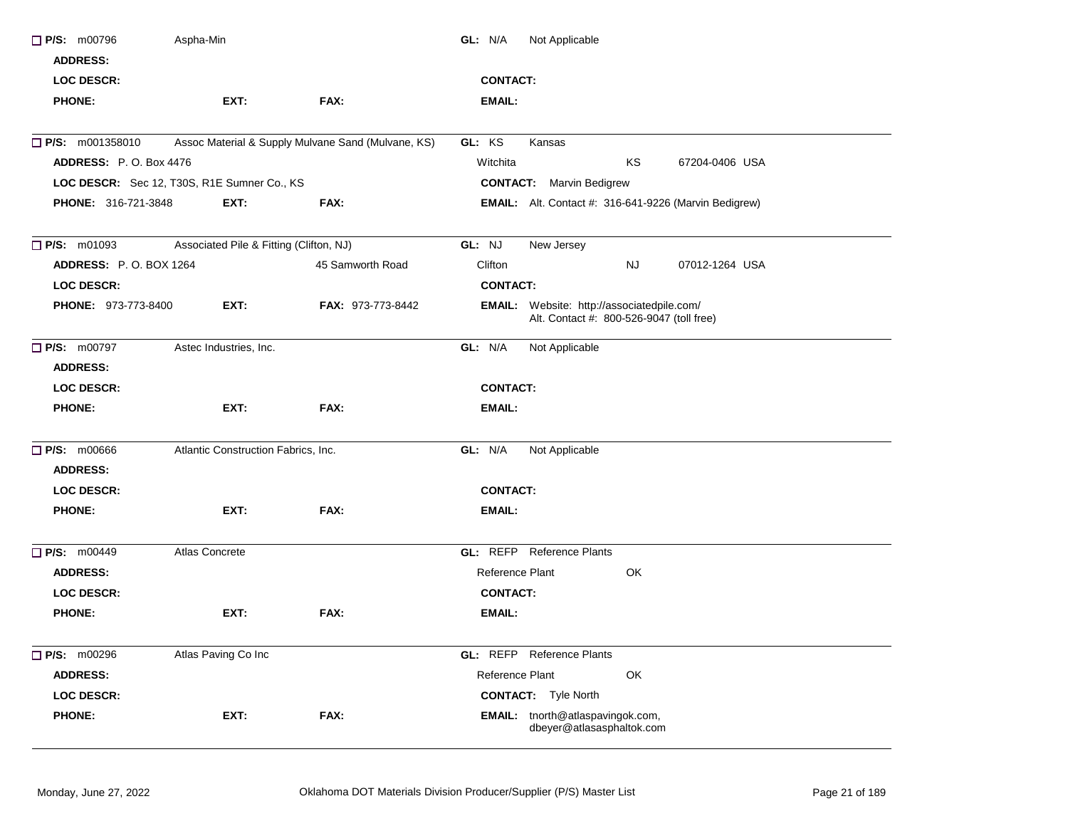| $\Box$ P/S: m00796            | Aspha-Min                                   |                                                    | GL: N/A         | Not Applicable                                                                                |     |                                                              |  |
|-------------------------------|---------------------------------------------|----------------------------------------------------|-----------------|-----------------------------------------------------------------------------------------------|-----|--------------------------------------------------------------|--|
| <b>ADDRESS:</b>               |                                             |                                                    |                 |                                                                                               |     |                                                              |  |
| <b>LOC DESCR:</b>             |                                             |                                                    | <b>CONTACT:</b> |                                                                                               |     |                                                              |  |
| <b>PHONE:</b>                 | EXT:                                        | FAX:                                               | <b>EMAIL:</b>   |                                                                                               |     |                                                              |  |
| $\Box$ P/S: m001358010        |                                             | Assoc Material & Supply Mulvane Sand (Mulvane, KS) | GL: KS          | Kansas                                                                                        |     |                                                              |  |
| <b>ADDRESS: P.O. Box 4476</b> |                                             |                                                    | Witchita        |                                                                                               | KS  | 67204-0406 USA                                               |  |
|                               | LOC DESCR: Sec 12, T30S, R1E Sumner Co., KS |                                                    |                 | <b>CONTACT:</b> Marvin Bedigrew                                                               |     |                                                              |  |
| PHONE: 316-721-3848           | EXT:                                        | FAX:                                               |                 |                                                                                               |     | <b>EMAIL:</b> Alt. Contact #: 316-641-9226 (Marvin Bedigrew) |  |
| $\Box$ P/S: m01093            | Associated Pile & Fitting (Clifton, NJ)     |                                                    | GL: NJ          | New Jersey                                                                                    |     |                                                              |  |
| <b>ADDRESS: P.O. BOX 1264</b> |                                             | 45 Samworth Road                                   | Clifton         |                                                                                               | NJ. | 07012-1264 USA                                               |  |
| <b>LOC DESCR:</b>             |                                             |                                                    | <b>CONTACT:</b> |                                                                                               |     |                                                              |  |
| PHONE: 973-773-8400           | EXT:                                        | <b>FAX: 973-773-8442</b>                           |                 | <b>EMAIL:</b> Website: http://associatedpile.com/<br>Alt. Contact #: 800-526-9047 (toll free) |     |                                                              |  |
| $\Box$ P/S: m00797            | Astec Industries, Inc.                      |                                                    | GL: N/A         | Not Applicable                                                                                |     |                                                              |  |
| <b>ADDRESS:</b>               |                                             |                                                    |                 |                                                                                               |     |                                                              |  |
| <b>LOC DESCR:</b>             |                                             |                                                    | <b>CONTACT:</b> |                                                                                               |     |                                                              |  |
| <b>PHONE:</b>                 | EXT:                                        | FAX:                                               | <b>EMAIL:</b>   |                                                                                               |     |                                                              |  |
| $\Box$ P/S: m00666            | Atlantic Construction Fabrics, Inc.         |                                                    | GL: N/A         | Not Applicable                                                                                |     |                                                              |  |
| <b>ADDRESS:</b>               |                                             |                                                    |                 |                                                                                               |     |                                                              |  |
| <b>LOC DESCR:</b>             |                                             |                                                    | <b>CONTACT:</b> |                                                                                               |     |                                                              |  |
| <b>PHONE:</b>                 | EXT:                                        | FAX:                                               | <b>EMAIL:</b>   |                                                                                               |     |                                                              |  |
| <b>P/S: m00449</b>            | Atlas Concrete                              |                                                    |                 | <b>GL:</b> REFP Reference Plants                                                              |     |                                                              |  |
| <b>ADDRESS:</b>               |                                             |                                                    | Reference Plant |                                                                                               | OK  |                                                              |  |
| <b>LOC DESCR:</b>             |                                             |                                                    | <b>CONTACT:</b> |                                                                                               |     |                                                              |  |
| <b>PHONE:</b>                 | EXT:                                        | FAX:                                               | <b>EMAIL:</b>   |                                                                                               |     |                                                              |  |
| $\Box$ P/S: m00296            | Atlas Paving Co Inc                         |                                                    |                 | <b>GL:</b> REFP Reference Plants                                                              |     |                                                              |  |
| <b>ADDRESS:</b>               |                                             |                                                    | Reference Plant |                                                                                               | OK  |                                                              |  |
| <b>LOC DESCR:</b>             |                                             |                                                    |                 | <b>CONTACT:</b> Tyle North                                                                    |     |                                                              |  |
| <b>PHONE:</b>                 | EXT:                                        | FAX:                                               |                 | EMAIL: tnorth@atlaspavingok.com,<br>dbeyer@atlasasphaltok.com                                 |     |                                                              |  |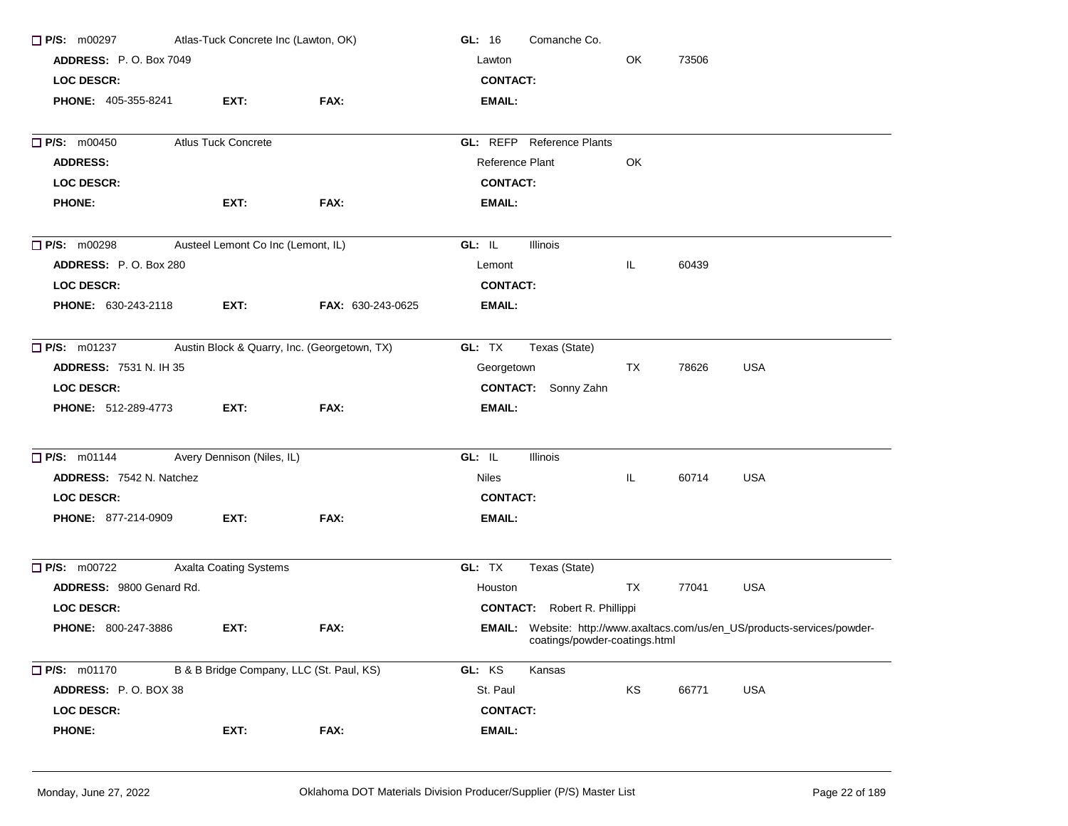| $\Box$ P/S: m00297              | Atlas-Tuck Concrete Inc (Lawton, OK)         |                          | GL: 16<br>Comanche Co.                                                                                      |    |       |            |  |
|---------------------------------|----------------------------------------------|--------------------------|-------------------------------------------------------------------------------------------------------------|----|-------|------------|--|
| <b>ADDRESS: P.O. Box 7049</b>   |                                              |                          | Lawton                                                                                                      | OK | 73506 |            |  |
| <b>LOC DESCR:</b>               |                                              |                          | <b>CONTACT:</b>                                                                                             |    |       |            |  |
| <b>PHONE: 405-355-8241</b>      | EXT:                                         | FAX:                     | EMAIL:                                                                                                      |    |       |            |  |
| <b>P/S: m00450</b>              | <b>Atlus Tuck Concrete</b>                   |                          | <b>GL: REFP</b> Reference Plants                                                                            |    |       |            |  |
| <b>ADDRESS:</b>                 |                                              |                          | Reference Plant                                                                                             | OK |       |            |  |
| <b>LOC DESCR:</b>               |                                              |                          | <b>CONTACT:</b>                                                                                             |    |       |            |  |
| <b>PHONE:</b>                   | EXT:                                         | FAX:                     | EMAIL:                                                                                                      |    |       |            |  |
| $\Box$ P/S: m00298              | Austeel Lemont Co Inc (Lemont, IL)           |                          | GL: IL<br>Illinois                                                                                          |    |       |            |  |
| ADDRESS: P.O. Box 280           |                                              |                          | Lemont                                                                                                      | IL | 60439 |            |  |
| <b>LOC DESCR:</b>               |                                              |                          | <b>CONTACT:</b>                                                                                             |    |       |            |  |
| <b>PHONE: 630-243-2118</b>      | EXT:                                         | <b>FAX: 630-243-0625</b> | EMAIL:                                                                                                      |    |       |            |  |
| $\Box$ P/S: m01237              | Austin Block & Quarry, Inc. (Georgetown, TX) |                          | GL: TX<br>Texas (State)                                                                                     |    |       |            |  |
| <b>ADDRESS: 7531 N. IH 35</b>   |                                              |                          | Georgetown                                                                                                  | TX | 78626 | <b>USA</b> |  |
| <b>LOC DESCR:</b>               |                                              |                          | <b>CONTACT:</b> Sonny Zahn                                                                                  |    |       |            |  |
| <b>PHONE: 512-289-4773</b>      | EXT:                                         | FAX:                     | <b>EMAIL:</b>                                                                                               |    |       |            |  |
| $\Box$ P/S: m01144              | Avery Dennison (Niles, IL)                   |                          | GL: IL<br>Illinois                                                                                          |    |       |            |  |
| <b>ADDRESS: 7542 N. Natchez</b> |                                              |                          | <b>Niles</b>                                                                                                | IL | 60714 | <b>USA</b> |  |
| <b>LOC DESCR:</b>               |                                              |                          | <b>CONTACT:</b>                                                                                             |    |       |            |  |
| <b>PHONE: 877-214-0909</b>      | EXT:                                         | FAX:                     | EMAIL:                                                                                                      |    |       |            |  |
| $\Box$ P/S: m00722              | <b>Axalta Coating Systems</b>                |                          | GL: TX<br>Texas (State)                                                                                     |    |       |            |  |
| ADDRESS: 9800 Genard Rd.        |                                              |                          | Houston                                                                                                     | TX | 77041 | <b>USA</b> |  |
| <b>LOC DESCR:</b>               |                                              |                          | <b>CONTACT:</b> Robert R. Phillippi                                                                         |    |       |            |  |
| PHONE: 800-247-3886             | EXT:                                         | FAX:                     | EMAIL: Website: http://www.axaltacs.com/us/en_US/products-services/powder-<br>coatings/powder-coatings.html |    |       |            |  |
| $\Box$ P/S: m01170              | B & B Bridge Company, LLC (St. Paul, KS)     |                          | GL: KS<br>Kansas                                                                                            |    |       |            |  |
| ADDRESS: P.O. BOX 38            |                                              |                          | St. Paul                                                                                                    | KS | 66771 | USA        |  |
| <b>LOC DESCR:</b>               |                                              |                          | <b>CONTACT:</b>                                                                                             |    |       |            |  |
| <b>PHONE:</b>                   | EXT:                                         | FAX:                     | EMAIL:                                                                                                      |    |       |            |  |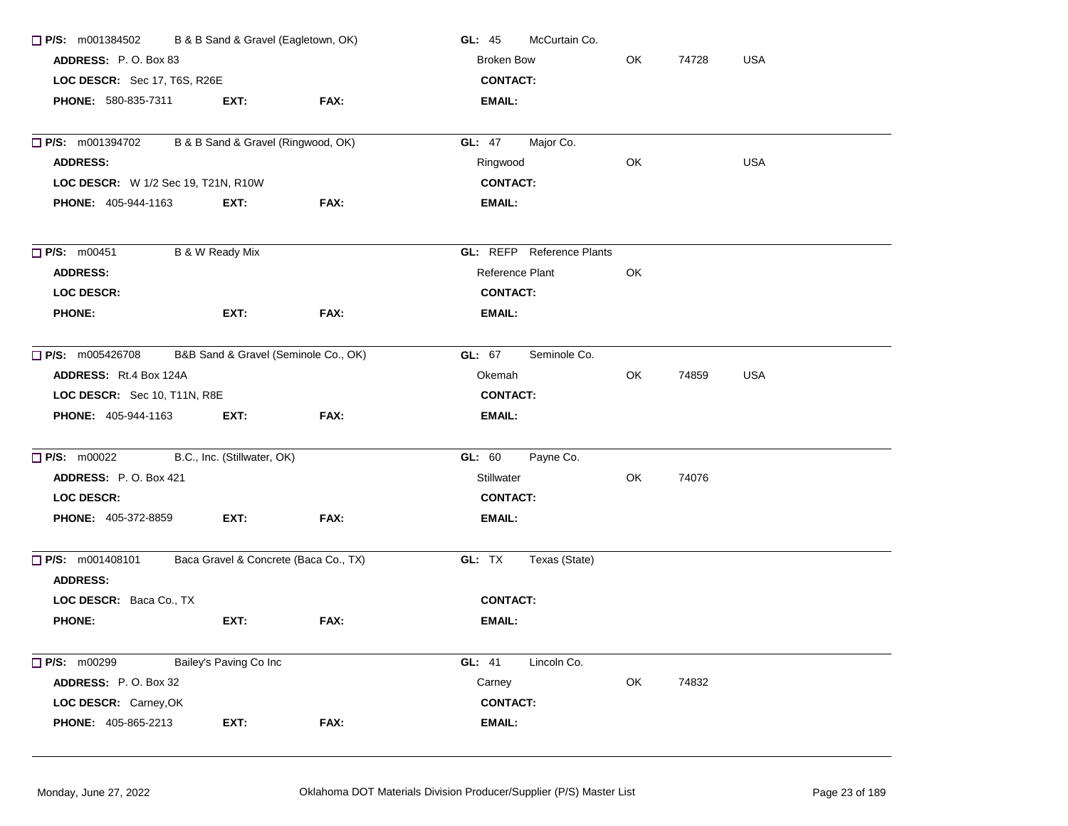| ADDRESS: P.O. Box 83<br><b>Broken Bow</b><br>OK<br>74728<br><b>USA</b><br>LOC DESCR: Sec 17, T6S, R26E<br><b>CONTACT:</b><br>PHONE: 580-835-7311<br>EXT:<br>FAX:<br><b>EMAIL:</b><br>B & B Sand & Gravel (Ringwood, OK)<br>GL: 47<br>Major Co.<br><b>USA</b><br>Ringwood<br>OK<br><b>ADDRESS:</b><br>LOC DESCR: W 1/2 Sec 19, T21N, R10W<br><b>CONTACT:</b><br><b>PHONE: 405-944-1163</b><br>EXT:<br>FAX:<br><b>EMAIL:</b><br>B & W Ready Mix<br><b>GL:</b> REFP Reference Plants<br>Reference Plant<br>OK<br><b>ADDRESS:</b><br><b>LOC DESCR:</b><br><b>CONTACT:</b><br>EXT:<br>FAX:<br><b>PHONE:</b><br><b>EMAIL:</b><br>B&B Sand & Gravel (Seminole Co., OK)<br>GL: 67<br>Seminole Co.<br>ADDRESS: Rt.4 Box 124A<br>OK<br>74859<br><b>USA</b><br>Okemah<br><b>CONTACT:</b><br>LOC DESCR: Sec 10, T11N, R8E<br>PHONE: 405-944-1163<br>EXT:<br>FAX:<br>EMAIL:<br>B.C., Inc. (Stillwater, OK)<br>GL: 60<br>Payne Co.<br>OK<br>ADDRESS: P.O. Box 421<br>Stillwater<br>74076<br><b>CONTACT:</b><br>LOC DESCR:<br>FAX:<br><b>PHONE: 405-372-8859</b><br>EXT:<br><b>EMAIL:</b><br>Baca Gravel & Concrete (Baca Co., TX)<br>GL: TX<br>Texas (State)<br><b>ADDRESS:</b><br>LOC DESCR: Baca Co., TX<br><b>CONTACT:</b><br><b>PHONE:</b><br>EXT:<br>FAX:<br><b>EMAIL:</b><br>$\Box$ P/S: m00299<br>Bailey's Paving Co Inc<br>GL: 41<br>Lincoln Co.<br>OK<br>ADDRESS: P.O. Box 32<br>74832<br>Carney<br>LOC DESCR: Carney, OK<br><b>CONTACT:</b><br>EXT:<br>FAX:<br><b>EMAIL:</b><br><b>PHONE: 405-865-2213</b> | $\Box$ P/S: m001384502 | B & B Sand & Gravel (Eagletown, OK) | McCurtain Co.<br>GL: $45$ |  |  |  |
|--------------------------------------------------------------------------------------------------------------------------------------------------------------------------------------------------------------------------------------------------------------------------------------------------------------------------------------------------------------------------------------------------------------------------------------------------------------------------------------------------------------------------------------------------------------------------------------------------------------------------------------------------------------------------------------------------------------------------------------------------------------------------------------------------------------------------------------------------------------------------------------------------------------------------------------------------------------------------------------------------------------------------------------------------------------------------------------------------------------------------------------------------------------------------------------------------------------------------------------------------------------------------------------------------------------------------------------------------------------------------------------------------------------------------------------------------------------------------------------------------------|------------------------|-------------------------------------|---------------------------|--|--|--|
|                                                                                                                                                                                                                                                                                                                                                                                                                                                                                                                                                                                                                                                                                                                                                                                                                                                                                                                                                                                                                                                                                                                                                                                                                                                                                                                                                                                                                                                                                                        |                        |                                     |                           |  |  |  |
|                                                                                                                                                                                                                                                                                                                                                                                                                                                                                                                                                                                                                                                                                                                                                                                                                                                                                                                                                                                                                                                                                                                                                                                                                                                                                                                                                                                                                                                                                                        |                        |                                     |                           |  |  |  |
|                                                                                                                                                                                                                                                                                                                                                                                                                                                                                                                                                                                                                                                                                                                                                                                                                                                                                                                                                                                                                                                                                                                                                                                                                                                                                                                                                                                                                                                                                                        |                        |                                     |                           |  |  |  |
|                                                                                                                                                                                                                                                                                                                                                                                                                                                                                                                                                                                                                                                                                                                                                                                                                                                                                                                                                                                                                                                                                                                                                                                                                                                                                                                                                                                                                                                                                                        | $\Box$ P/S: m001394702 |                                     |                           |  |  |  |
|                                                                                                                                                                                                                                                                                                                                                                                                                                                                                                                                                                                                                                                                                                                                                                                                                                                                                                                                                                                                                                                                                                                                                                                                                                                                                                                                                                                                                                                                                                        |                        |                                     |                           |  |  |  |
|                                                                                                                                                                                                                                                                                                                                                                                                                                                                                                                                                                                                                                                                                                                                                                                                                                                                                                                                                                                                                                                                                                                                                                                                                                                                                                                                                                                                                                                                                                        |                        |                                     |                           |  |  |  |
|                                                                                                                                                                                                                                                                                                                                                                                                                                                                                                                                                                                                                                                                                                                                                                                                                                                                                                                                                                                                                                                                                                                                                                                                                                                                                                                                                                                                                                                                                                        |                        |                                     |                           |  |  |  |
|                                                                                                                                                                                                                                                                                                                                                                                                                                                                                                                                                                                                                                                                                                                                                                                                                                                                                                                                                                                                                                                                                                                                                                                                                                                                                                                                                                                                                                                                                                        | P/S: m00451            |                                     |                           |  |  |  |
|                                                                                                                                                                                                                                                                                                                                                                                                                                                                                                                                                                                                                                                                                                                                                                                                                                                                                                                                                                                                                                                                                                                                                                                                                                                                                                                                                                                                                                                                                                        |                        |                                     |                           |  |  |  |
|                                                                                                                                                                                                                                                                                                                                                                                                                                                                                                                                                                                                                                                                                                                                                                                                                                                                                                                                                                                                                                                                                                                                                                                                                                                                                                                                                                                                                                                                                                        |                        |                                     |                           |  |  |  |
|                                                                                                                                                                                                                                                                                                                                                                                                                                                                                                                                                                                                                                                                                                                                                                                                                                                                                                                                                                                                                                                                                                                                                                                                                                                                                                                                                                                                                                                                                                        |                        |                                     |                           |  |  |  |
|                                                                                                                                                                                                                                                                                                                                                                                                                                                                                                                                                                                                                                                                                                                                                                                                                                                                                                                                                                                                                                                                                                                                                                                                                                                                                                                                                                                                                                                                                                        | $\Box$ P/S: m005426708 |                                     |                           |  |  |  |
|                                                                                                                                                                                                                                                                                                                                                                                                                                                                                                                                                                                                                                                                                                                                                                                                                                                                                                                                                                                                                                                                                                                                                                                                                                                                                                                                                                                                                                                                                                        |                        |                                     |                           |  |  |  |
|                                                                                                                                                                                                                                                                                                                                                                                                                                                                                                                                                                                                                                                                                                                                                                                                                                                                                                                                                                                                                                                                                                                                                                                                                                                                                                                                                                                                                                                                                                        |                        |                                     |                           |  |  |  |
|                                                                                                                                                                                                                                                                                                                                                                                                                                                                                                                                                                                                                                                                                                                                                                                                                                                                                                                                                                                                                                                                                                                                                                                                                                                                                                                                                                                                                                                                                                        |                        |                                     |                           |  |  |  |
|                                                                                                                                                                                                                                                                                                                                                                                                                                                                                                                                                                                                                                                                                                                                                                                                                                                                                                                                                                                                                                                                                                                                                                                                                                                                                                                                                                                                                                                                                                        | $\Box$ P/S: m00022     |                                     |                           |  |  |  |
|                                                                                                                                                                                                                                                                                                                                                                                                                                                                                                                                                                                                                                                                                                                                                                                                                                                                                                                                                                                                                                                                                                                                                                                                                                                                                                                                                                                                                                                                                                        |                        |                                     |                           |  |  |  |
|                                                                                                                                                                                                                                                                                                                                                                                                                                                                                                                                                                                                                                                                                                                                                                                                                                                                                                                                                                                                                                                                                                                                                                                                                                                                                                                                                                                                                                                                                                        |                        |                                     |                           |  |  |  |
|                                                                                                                                                                                                                                                                                                                                                                                                                                                                                                                                                                                                                                                                                                                                                                                                                                                                                                                                                                                                                                                                                                                                                                                                                                                                                                                                                                                                                                                                                                        |                        |                                     |                           |  |  |  |
|                                                                                                                                                                                                                                                                                                                                                                                                                                                                                                                                                                                                                                                                                                                                                                                                                                                                                                                                                                                                                                                                                                                                                                                                                                                                                                                                                                                                                                                                                                        | $\Box$ P/S: m001408101 |                                     |                           |  |  |  |
|                                                                                                                                                                                                                                                                                                                                                                                                                                                                                                                                                                                                                                                                                                                                                                                                                                                                                                                                                                                                                                                                                                                                                                                                                                                                                                                                                                                                                                                                                                        |                        |                                     |                           |  |  |  |
|                                                                                                                                                                                                                                                                                                                                                                                                                                                                                                                                                                                                                                                                                                                                                                                                                                                                                                                                                                                                                                                                                                                                                                                                                                                                                                                                                                                                                                                                                                        |                        |                                     |                           |  |  |  |
|                                                                                                                                                                                                                                                                                                                                                                                                                                                                                                                                                                                                                                                                                                                                                                                                                                                                                                                                                                                                                                                                                                                                                                                                                                                                                                                                                                                                                                                                                                        |                        |                                     |                           |  |  |  |
|                                                                                                                                                                                                                                                                                                                                                                                                                                                                                                                                                                                                                                                                                                                                                                                                                                                                                                                                                                                                                                                                                                                                                                                                                                                                                                                                                                                                                                                                                                        |                        |                                     |                           |  |  |  |
|                                                                                                                                                                                                                                                                                                                                                                                                                                                                                                                                                                                                                                                                                                                                                                                                                                                                                                                                                                                                                                                                                                                                                                                                                                                                                                                                                                                                                                                                                                        |                        |                                     |                           |  |  |  |
|                                                                                                                                                                                                                                                                                                                                                                                                                                                                                                                                                                                                                                                                                                                                                                                                                                                                                                                                                                                                                                                                                                                                                                                                                                                                                                                                                                                                                                                                                                        |                        |                                     |                           |  |  |  |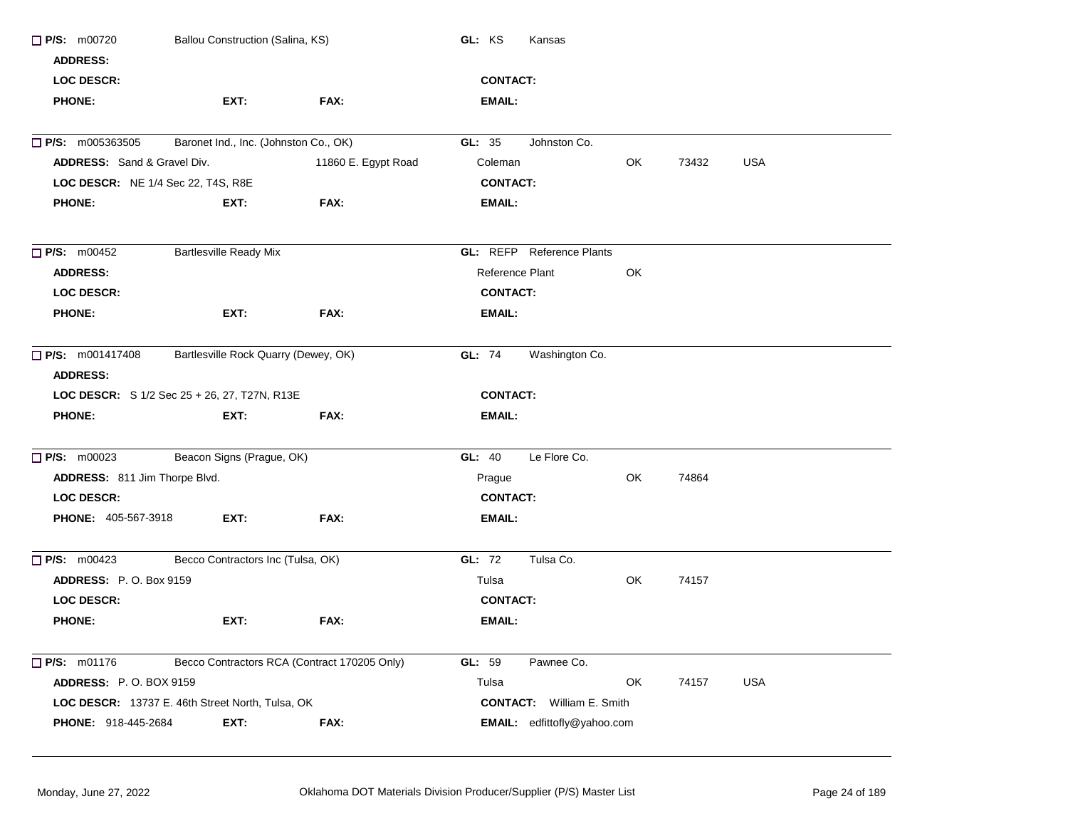| $\Box$ P/S: m00720                 | Ballou Construction (Salina, KS)                 |                     | GL: KS<br>Kansas                   |    |       |            |
|------------------------------------|--------------------------------------------------|---------------------|------------------------------------|----|-------|------------|
| <b>ADDRESS:</b>                    |                                                  |                     |                                    |    |       |            |
| <b>LOC DESCR:</b>                  |                                                  |                     | <b>CONTACT:</b>                    |    |       |            |
| <b>PHONE:</b>                      | EXT:                                             | FAX:                | <b>EMAIL:</b>                      |    |       |            |
| $\Box$ P/S: m005363505             | Baronet Ind., Inc. (Johnston Co., OK)            |                     | GL: 35<br>Johnston Co.             |    |       |            |
| ADDRESS: Sand & Gravel Div.        |                                                  | 11860 E. Egypt Road | Coleman                            | OK | 73432 | <b>USA</b> |
|                                    |                                                  |                     |                                    |    |       |            |
| LOC DESCR: NE 1/4 Sec 22, T4S, R8E |                                                  |                     | <b>CONTACT:</b>                    |    |       |            |
| <b>PHONE:</b>                      | EXT:                                             | FAX:                | EMAIL:                             |    |       |            |
| $\Box$ P/S: m00452                 | <b>Bartlesville Ready Mix</b>                    |                     | <b>GL:</b> REFP Reference Plants   |    |       |            |
| <b>ADDRESS:</b>                    |                                                  |                     | Reference Plant                    | OK |       |            |
| <b>LOC DESCR:</b>                  |                                                  |                     | <b>CONTACT:</b>                    |    |       |            |
| <b>PHONE:</b>                      | EXT:                                             | FAX:                | EMAIL:                             |    |       |            |
|                                    |                                                  |                     |                                    |    |       |            |
| <b>P/S:</b> m001417408             | Bartlesville Rock Quarry (Dewey, OK)             |                     | Washington Co.<br>GL: 74           |    |       |            |
| <b>ADDRESS:</b>                    |                                                  |                     |                                    |    |       |            |
|                                    | LOC DESCR: S 1/2 Sec 25 + 26, 27, T27N, R13E     |                     | <b>CONTACT:</b>                    |    |       |            |
| <b>PHONE:</b>                      | EXT:                                             | FAX:                | <b>EMAIL:</b>                      |    |       |            |
| $\Box$ P/S: m00023                 | Beacon Signs (Prague, OK)                        |                     | Le Flore Co.<br>GL: 40             |    |       |            |
| ADDRESS: 811 Jim Thorpe Blvd.      |                                                  |                     | Prague                             | OK | 74864 |            |
| <b>LOC DESCR:</b>                  |                                                  |                     | <b>CONTACT:</b>                    |    |       |            |
| PHONE: 405-567-3918                | EXT:                                             | FAX:                | EMAIL:                             |    |       |            |
|                                    |                                                  |                     |                                    |    |       |            |
| $\Box$ P/S: m00423                 | Becco Contractors Inc (Tulsa, OK)                |                     | GL: 72<br>Tulsa Co.                |    |       |            |
| <b>ADDRESS: P.O. Box 9159</b>      |                                                  |                     | Tulsa                              | OK | 74157 |            |
| <b>LOC DESCR:</b>                  |                                                  |                     | <b>CONTACT:</b>                    |    |       |            |
| <b>PHONE:</b>                      | EXT:                                             | FAX:                | EMAIL:                             |    |       |            |
| $\Box$ P/S: m01176                 | Becco Contractors RCA (Contract 170205 Only)     |                     | GL: 59<br>Pawnee Co.               |    |       |            |
| <b>ADDRESS: P.O. BOX 9159</b>      |                                                  |                     | Tulsa                              | OK | 74157 | USA        |
|                                    | LOC DESCR: 13737 E. 46th Street North, Tulsa, OK |                     | <b>CONTACT:</b> William E. Smith   |    |       |            |
| PHONE: 918-445-2684                | EXT:                                             | FAX:                | <b>EMAIL:</b> edfittofly@yahoo.com |    |       |            |
|                                    |                                                  |                     |                                    |    |       |            |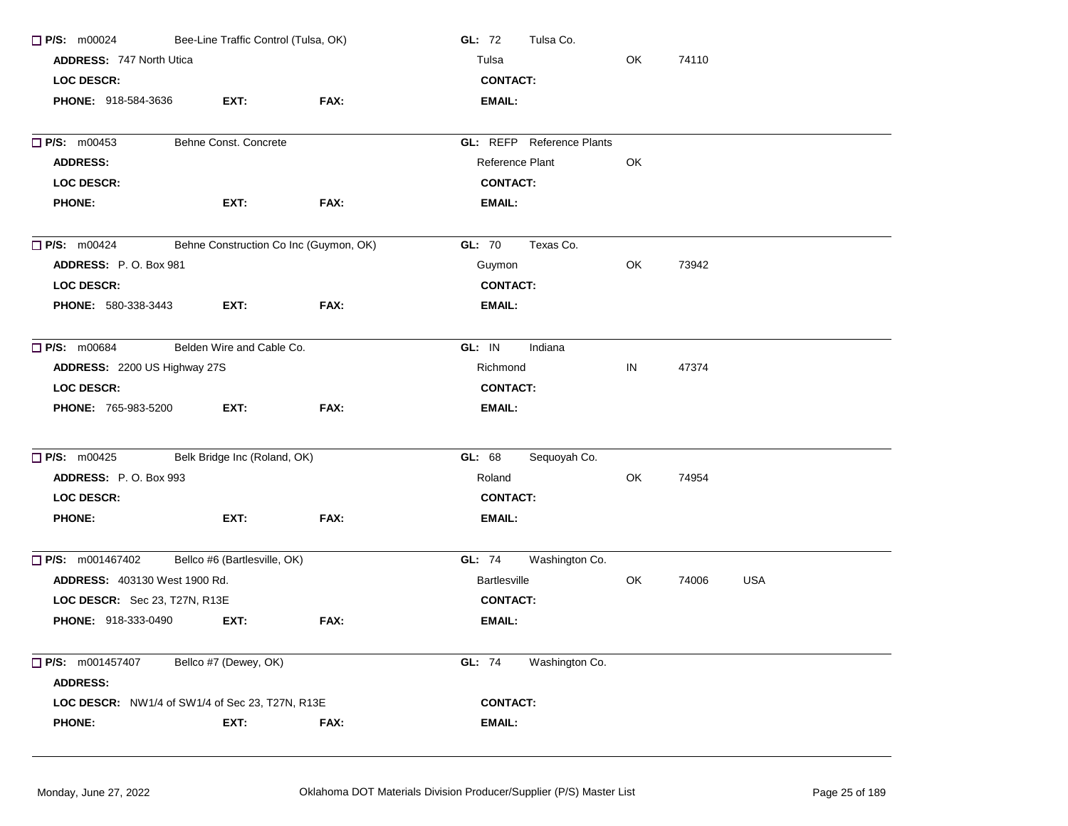| $\Box$ P/S: m00024                              | Bee-Line Traffic Control (Tulsa, OK) |                                        | GL: 72<br>Tulsa Co.              |     |       |            |  |
|-------------------------------------------------|--------------------------------------|----------------------------------------|----------------------------------|-----|-------|------------|--|
| <b>ADDRESS: 747 North Utical</b>                |                                      |                                        | OK<br>Tulsa<br>74110             |     |       |            |  |
| <b>LOC DESCR:</b>                               |                                      |                                        | <b>CONTACT:</b>                  |     |       |            |  |
| <b>PHONE: 918-584-3636</b>                      | EXT:                                 | FAX:                                   | <b>EMAIL:</b>                    |     |       |            |  |
| $\Box$ P/S: m00453                              | Behne Const. Concrete                |                                        | <b>GL: REFP</b> Reference Plants |     |       |            |  |
| <b>ADDRESS:</b>                                 |                                      |                                        | Reference Plant                  | OK  |       |            |  |
| <b>LOC DESCR:</b>                               |                                      |                                        | <b>CONTACT:</b>                  |     |       |            |  |
| <b>PHONE:</b>                                   | EXT:                                 | FAX:                                   | <b>EMAIL:</b>                    |     |       |            |  |
| $\Box$ P/S: m00424                              |                                      | Behne Construction Co Inc (Guymon, OK) | GL: 70<br>Texas Co.              |     |       |            |  |
| ADDRESS: P.O. Box 981                           |                                      |                                        | Guymon                           | OK  | 73942 |            |  |
| <b>LOC DESCR:</b>                               |                                      |                                        | <b>CONTACT:</b>                  |     |       |            |  |
| PHONE: 580-338-3443                             | EXT:                                 | FAX:                                   | <b>EMAIL:</b>                    |     |       |            |  |
| $\Box$ P/S: m00684                              | Belden Wire and Cable Co.            |                                        | GL: IN<br>Indiana                |     |       |            |  |
| ADDRESS: 2200 US Highway 27S                    |                                      |                                        | Richmond                         | IN  | 47374 |            |  |
| <b>LOC DESCR:</b>                               |                                      |                                        | <b>CONTACT:</b>                  |     |       |            |  |
| PHONE: 765-983-5200                             | EXT:                                 | FAX:                                   | <b>EMAIL:</b>                    |     |       |            |  |
| $\Box$ P/S: m00425                              | Belk Bridge Inc (Roland, OK)         |                                        | GL: 68<br>Sequoyah Co.           |     |       |            |  |
| ADDRESS: P.O. Box 993                           |                                      |                                        | Roland                           | OK. | 74954 |            |  |
| <b>LOC DESCR:</b>                               |                                      |                                        | <b>CONTACT:</b>                  |     |       |            |  |
| <b>PHONE:</b>                                   | EXT:                                 | FAX:                                   | <b>EMAIL:</b>                    |     |       |            |  |
| $\Box$ P/S: m001467402                          | Bellco #6 (Bartlesville, OK)         |                                        | GL: 74<br>Washington Co.         |     |       |            |  |
| <b>ADDRESS: 403130 West 1900 Rd.</b>            |                                      |                                        | Bartlesville                     | OK  | 74006 | <b>USA</b> |  |
| LOC DESCR: Sec 23, T27N, R13E                   |                                      |                                        | <b>CONTACT:</b>                  |     |       |            |  |
| PHONE: 918-333-0490                             | EXT:                                 | FAX:                                   | <b>EMAIL:</b>                    |     |       |            |  |
| □ P/S: m001457407<br><b>ADDRESS:</b>            | Bellco #7 (Dewey, OK)                |                                        | GL: 74<br>Washington Co.         |     |       |            |  |
| LOC DESCR: NW1/4 of SW1/4 of Sec 23, T27N, R13E |                                      |                                        | <b>CONTACT:</b>                  |     |       |            |  |
| <b>PHONE:</b>                                   |                                      | FAX:                                   |                                  |     |       |            |  |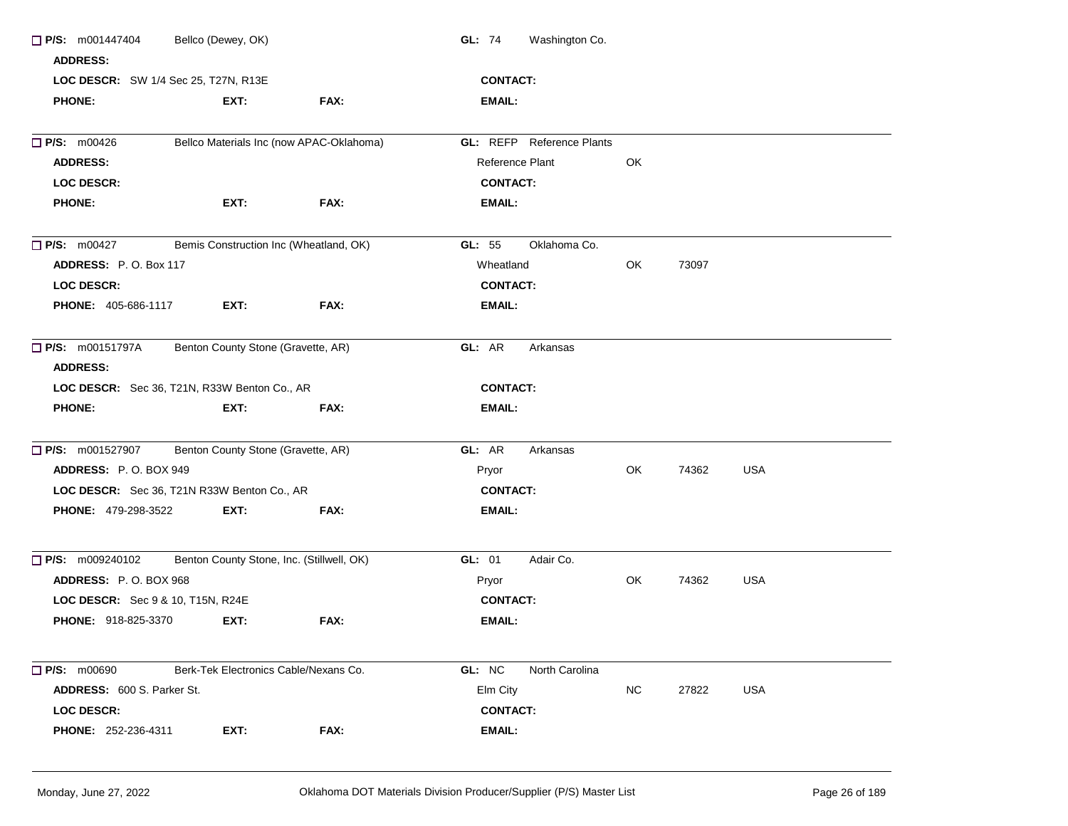| $\Box$ P/S: m001447404                       | Bellco (Dewey, OK)                        |                                          | Washington Co.<br><b>GL: 74</b>  |           |       |            |  |  |  |  |
|----------------------------------------------|-------------------------------------------|------------------------------------------|----------------------------------|-----------|-------|------------|--|--|--|--|
| <b>ADDRESS:</b>                              |                                           |                                          |                                  |           |       |            |  |  |  |  |
| LOC DESCR: SW 1/4 Sec 25, T27N, R13E         |                                           |                                          | <b>CONTACT:</b>                  |           |       |            |  |  |  |  |
| <b>PHONE:</b>                                | EXT:                                      | FAX:                                     | EMAIL:                           |           |       |            |  |  |  |  |
| $\Box$ P/S: m00426                           |                                           | Bellco Materials Inc (now APAC-Oklahoma) | <b>GL: REFP</b> Reference Plants |           |       |            |  |  |  |  |
| <b>ADDRESS:</b>                              |                                           |                                          | Reference Plant                  | OK        |       |            |  |  |  |  |
| <b>LOC DESCR:</b>                            |                                           |                                          | <b>CONTACT:</b>                  |           |       |            |  |  |  |  |
| <b>PHONE:</b>                                | EXT:                                      | FAX:                                     | <b>EMAIL:</b>                    |           |       |            |  |  |  |  |
| $\Box$ P/S: m00427                           | Bemis Construction Inc (Wheatland, OK)    |                                          | Oklahoma Co.<br>GL: 55           |           |       |            |  |  |  |  |
| <b>ADDRESS: P.O. Box 117</b>                 |                                           |                                          | Wheatland                        | OK        | 73097 |            |  |  |  |  |
| <b>LOC DESCR:</b>                            |                                           |                                          | <b>CONTACT:</b>                  |           |       |            |  |  |  |  |
| <b>PHONE: 405-686-1117</b>                   | EXT:                                      | FAX:                                     | <b>EMAIL:</b>                    |           |       |            |  |  |  |  |
| $\Box$ P/S: m00151797A<br><b>ADDRESS:</b>    | Benton County Stone (Gravette, AR)        |                                          | GL: AR<br>Arkansas               |           |       |            |  |  |  |  |
| LOC DESCR: Sec 36, T21N, R33W Benton Co., AR |                                           | <b>CONTACT:</b>                          |                                  |           |       |            |  |  |  |  |
| PHONE:                                       | EXT:                                      | FAX:                                     | EMAIL:                           |           |       |            |  |  |  |  |
| $\Box$ P/S: m001527907                       | Benton County Stone (Gravette, AR)        |                                          | GL: AR<br>Arkansas               |           |       |            |  |  |  |  |
| ADDRESS: P.O. BOX 949                        |                                           |                                          | Pryor                            | OK        | 74362 | <b>USA</b> |  |  |  |  |
| LOC DESCR: Sec 36, T21N R33W Benton Co., AR  |                                           |                                          | <b>CONTACT:</b>                  |           |       |            |  |  |  |  |
| <b>PHONE: 479-298-3522</b>                   | EXT:                                      | FAX:                                     | <b>EMAIL:</b>                    |           |       |            |  |  |  |  |
| $\Box$ P/S: m009240102                       | Benton County Stone, Inc. (Stillwell, OK) |                                          | GL: 01<br>Adair Co.              |           |       |            |  |  |  |  |
| ADDRESS: P.O. BOX 968                        |                                           |                                          | Pryor                            | OK        | 74362 | <b>USA</b> |  |  |  |  |
| LOC DESCR: Sec 9 & 10, T15N, R24E            |                                           |                                          | <b>CONTACT:</b>                  |           |       |            |  |  |  |  |
| <b>PHONE: 918-825-3370</b>                   | EXT:                                      | FAX:                                     | <b>EMAIL:</b>                    |           |       |            |  |  |  |  |
|                                              |                                           |                                          |                                  |           |       |            |  |  |  |  |
| $\Box$ P/S: m00690                           | Berk-Tek Electronics Cable/Nexans Co.     |                                          | GL: NC<br>North Carolina         |           |       |            |  |  |  |  |
| <b>ADDRESS: 600 S. Parker St.</b>            |                                           |                                          | Elm City                         | <b>NC</b> | 27822 | <b>USA</b> |  |  |  |  |
| <b>LOC DESCR:</b>                            |                                           |                                          | <b>CONTACT:</b>                  |           |       |            |  |  |  |  |
| PHONE: 252-236-4311                          | EXT:                                      | FAX:                                     | <b>EMAIL:</b>                    |           |       |            |  |  |  |  |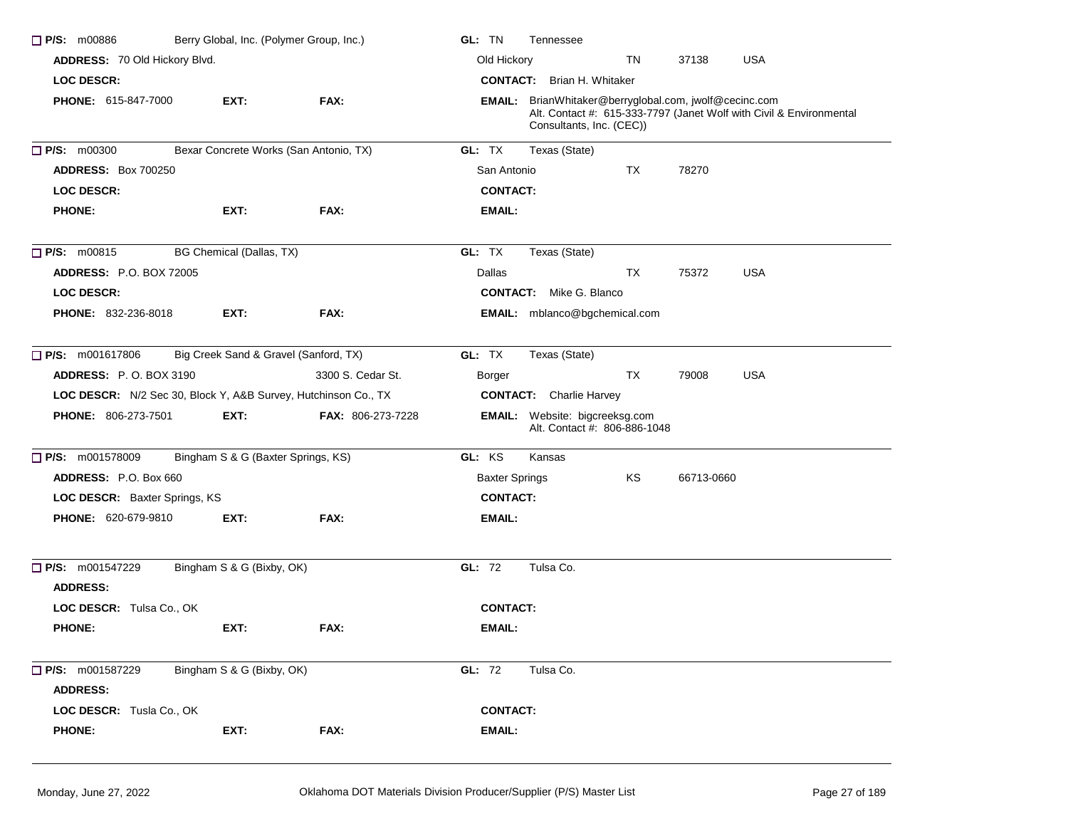| $\Box$ P/S: m00886                                             | Berry Global, Inc. (Polymer Group, Inc.) |                                        | GL: TN<br>Tennessee                                                                                                                                              |  |  |  |  |
|----------------------------------------------------------------|------------------------------------------|----------------------------------------|------------------------------------------------------------------------------------------------------------------------------------------------------------------|--|--|--|--|
| ADDRESS: 70 Old Hickory Blvd.                                  |                                          |                                        | Old Hickory<br><b>USA</b><br>TN<br>37138                                                                                                                         |  |  |  |  |
| <b>LOC DESCR:</b>                                              |                                          |                                        | <b>CONTACT:</b> Brian H. Whitaker                                                                                                                                |  |  |  |  |
| <b>PHONE: 615-847-7000</b>                                     | EXT:                                     | FAX:                                   | <b>EMAIL:</b> BrianWhitaker@berryglobal.com, jwolf@cecinc.com<br>Alt. Contact #: 615-333-7797 (Janet Wolf with Civil & Environmental<br>Consultants, Inc. (CEC)) |  |  |  |  |
| P/S: m00300                                                    |                                          | Bexar Concrete Works (San Antonio, TX) | GL: TX<br>Texas (State)                                                                                                                                          |  |  |  |  |
| <b>ADDRESS: Box 700250</b>                                     |                                          |                                        | San Antonio<br>TX<br>78270                                                                                                                                       |  |  |  |  |
| <b>LOC DESCR:</b>                                              |                                          |                                        | <b>CONTACT:</b>                                                                                                                                                  |  |  |  |  |
| <b>PHONE:</b>                                                  | EXT:                                     | FAX:                                   | <b>EMAIL:</b>                                                                                                                                                    |  |  |  |  |
| $\Box$ P/S: m00815                                             | BG Chemical (Dallas, TX)                 |                                        | GL: TX<br>Texas (State)                                                                                                                                          |  |  |  |  |
| <b>ADDRESS: P.O. BOX 72005</b>                                 |                                          |                                        | <b>USA</b><br>Dallas<br>TX<br>75372                                                                                                                              |  |  |  |  |
| <b>LOC DESCR:</b>                                              |                                          |                                        | <b>CONTACT:</b> Mike G. Blanco                                                                                                                                   |  |  |  |  |
| <b>PHONE: 832-236-8018</b>                                     | EXT:                                     | FAX:                                   | <b>EMAIL:</b> mblanco@bgchemical.com                                                                                                                             |  |  |  |  |
| $\Box$ P/S: m001617806                                         | Big Creek Sand & Gravel (Sanford, TX)    |                                        | GL: TX<br>Texas (State)                                                                                                                                          |  |  |  |  |
| <b>ADDRESS:</b> P.O. BOX 3190                                  |                                          | 3300 S. Cedar St.                      | ТX<br>79008<br><b>USA</b><br>Borger                                                                                                                              |  |  |  |  |
| LOC DESCR: N/2 Sec 30, Block Y, A&B Survey, Hutchinson Co., TX |                                          |                                        | <b>CONTACT:</b> Charlie Harvey                                                                                                                                   |  |  |  |  |
| <b>PHONE: 806-273-7501</b>                                     | EXT:                                     | FAX: 806-273-7228                      | <b>EMAIL:</b> Website: bigcreeksg.com<br>Alt. Contact #: 806-886-1048                                                                                            |  |  |  |  |
| P/S: m001578009                                                | Bingham S & G (Baxter Springs, KS)       |                                        | GL: KS<br>Kansas                                                                                                                                                 |  |  |  |  |
| ADDRESS: P.O. Box 660                                          |                                          |                                        | <b>Baxter Springs</b><br>KS<br>66713-0660                                                                                                                        |  |  |  |  |
| LOC DESCR: Baxter Springs, KS                                  |                                          |                                        | <b>CONTACT:</b>                                                                                                                                                  |  |  |  |  |
| <b>PHONE: 620-679-9810</b>                                     | EXT:                                     | FAX:                                   | <b>EMAIL:</b>                                                                                                                                                    |  |  |  |  |
| P/S: m001547229<br><b>ADDRESS:</b>                             | Bingham S & G (Bixby, OK)                |                                        | GL: 72<br>Tulsa Co.                                                                                                                                              |  |  |  |  |
| LOC DESCR: Tulsa Co., OK                                       |                                          |                                        | <b>CONTACT:</b>                                                                                                                                                  |  |  |  |  |
| <b>PHONE:</b>                                                  | EXT:                                     | FAX:                                   | <b>EMAIL:</b>                                                                                                                                                    |  |  |  |  |
| $\Box$ P/S: m001587229<br><b>ADDRESS:</b>                      | Bingham S & G (Bixby, OK)                |                                        | GL: 72<br>Tulsa Co.                                                                                                                                              |  |  |  |  |
| LOC DESCR: Tusla Co., OK                                       |                                          |                                        | <b>CONTACT:</b>                                                                                                                                                  |  |  |  |  |
| <b>PHONE:</b>                                                  | EXT:                                     | FAX:                                   | <b>EMAIL:</b>                                                                                                                                                    |  |  |  |  |
|                                                                |                                          |                                        |                                                                                                                                                                  |  |  |  |  |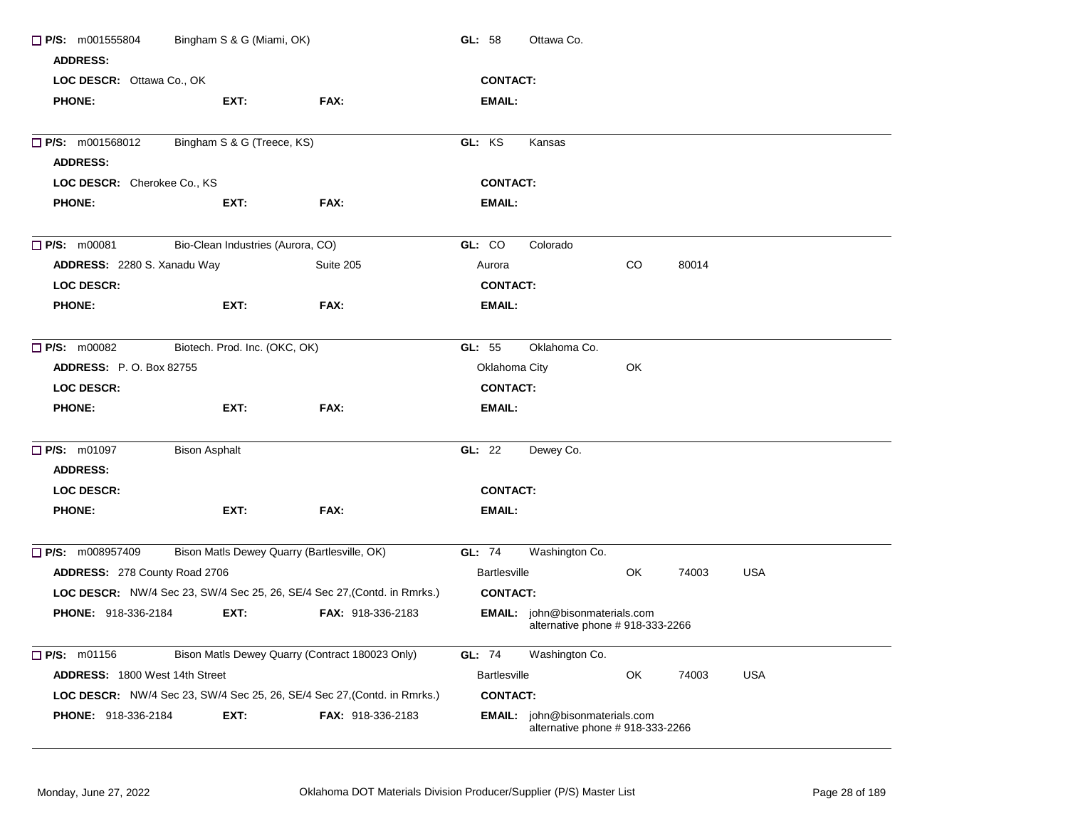| $\Box$ P/S: m001555804<br><b>ADDRESS:</b> | Bingham S & G (Miami, OK)         |                                                                          | GL: $58$            | Ottawa Co.                                                           |     |       |            |
|-------------------------------------------|-----------------------------------|--------------------------------------------------------------------------|---------------------|----------------------------------------------------------------------|-----|-------|------------|
| LOC DESCR: Ottawa Co., OK                 |                                   |                                                                          | <b>CONTACT:</b>     |                                                                      |     |       |            |
| <b>PHONE:</b>                             | EXT:                              | FAX:                                                                     | <b>EMAIL:</b>       |                                                                      |     |       |            |
| $\Box$ P/S: m001568012                    | Bingham S & G (Treece, KS)        |                                                                          | GL: KS              | Kansas                                                               |     |       |            |
| <b>ADDRESS:</b>                           |                                   |                                                                          |                     |                                                                      |     |       |            |
| LOC DESCR: Cherokee Co., KS               |                                   |                                                                          | <b>CONTACT:</b>     |                                                                      |     |       |            |
| <b>PHONE:</b>                             | EXT:                              | FAX:                                                                     | <b>EMAIL:</b>       |                                                                      |     |       |            |
| $\Box$ P/S: m00081                        | Bio-Clean Industries (Aurora, CO) |                                                                          | GL: CO              | Colorado                                                             |     |       |            |
| ADDRESS: 2280 S. Xanadu Way               |                                   | Suite 205                                                                | Aurora              |                                                                      | CO. | 80014 |            |
| <b>LOC DESCR:</b>                         |                                   |                                                                          | <b>CONTACT:</b>     |                                                                      |     |       |            |
| <b>PHONE:</b>                             | EXT:                              | FAX:                                                                     | <b>EMAIL:</b>       |                                                                      |     |       |            |
| $\Box$ P/S: m00082                        | Biotech. Prod. Inc. (OKC, OK)     |                                                                          | GL: 55              | Oklahoma Co.                                                         |     |       |            |
| <b>ADDRESS:</b> P. O. Box 82755           |                                   |                                                                          | Oklahoma City       |                                                                      | OK  |       |            |
| <b>LOC DESCR:</b>                         |                                   |                                                                          | <b>CONTACT:</b>     |                                                                      |     |       |            |
| <b>PHONE:</b>                             | EXT:                              | FAX:                                                                     | EMAIL:              |                                                                      |     |       |            |
| <b>P/S: m01097</b>                        | <b>Bison Asphalt</b>              |                                                                          | GL: 22              | Dewey Co.                                                            |     |       |            |
| <b>ADDRESS:</b>                           |                                   |                                                                          |                     |                                                                      |     |       |            |
| <b>LOC DESCR:</b>                         |                                   |                                                                          | <b>CONTACT:</b>     |                                                                      |     |       |            |
| <b>PHONE:</b>                             | EXT:                              | FAX:                                                                     | <b>EMAIL:</b>       |                                                                      |     |       |            |
| $\Box$ P/S: m008957409                    |                                   | Bison Matls Dewey Quarry (Bartlesville, OK)                              | <b>GL: 74</b>       | Washington Co.                                                       |     |       |            |
| ADDRESS: 278 County Road 2706             |                                   |                                                                          | <b>Bartlesville</b> |                                                                      | OK  | 74003 | USA        |
|                                           |                                   | LOC DESCR: NW/4 Sec 23, SW/4 Sec 25, 26, SE/4 Sec 27, (Contd. in Rmrks.) | <b>CONTACT:</b>     |                                                                      |     |       |            |
| PHONE: 918-336-2184                       | EXT:                              | FAX: 918-336-2183                                                        |                     | EMAIL: john@bisonmaterials.com<br>alternative phone $# 918-333-2266$ |     |       |            |
| $\Box$ P/S: m01156                        |                                   | Bison Matls Dewey Quarry (Contract 180023 Only)                          | GL: 74              | Washington Co.                                                       |     |       |            |
| ADDRESS: 1800 West 14th Street            |                                   |                                                                          | <b>Bartlesville</b> |                                                                      | OK  | 74003 | <b>USA</b> |
|                                           |                                   | LOC DESCR: NW/4 Sec 23, SW/4 Sec 25, 26, SE/4 Sec 27, (Contd. in Rmrks.) | <b>CONTACT:</b>     |                                                                      |     |       |            |
| <b>PHONE: 918-336-2184</b>                | EXT:                              | <b>FAX: 918-336-2183</b>                                                 |                     | EMAIL: john@bisonmaterials.com<br>alternative phone # 918-333-2266   |     |       |            |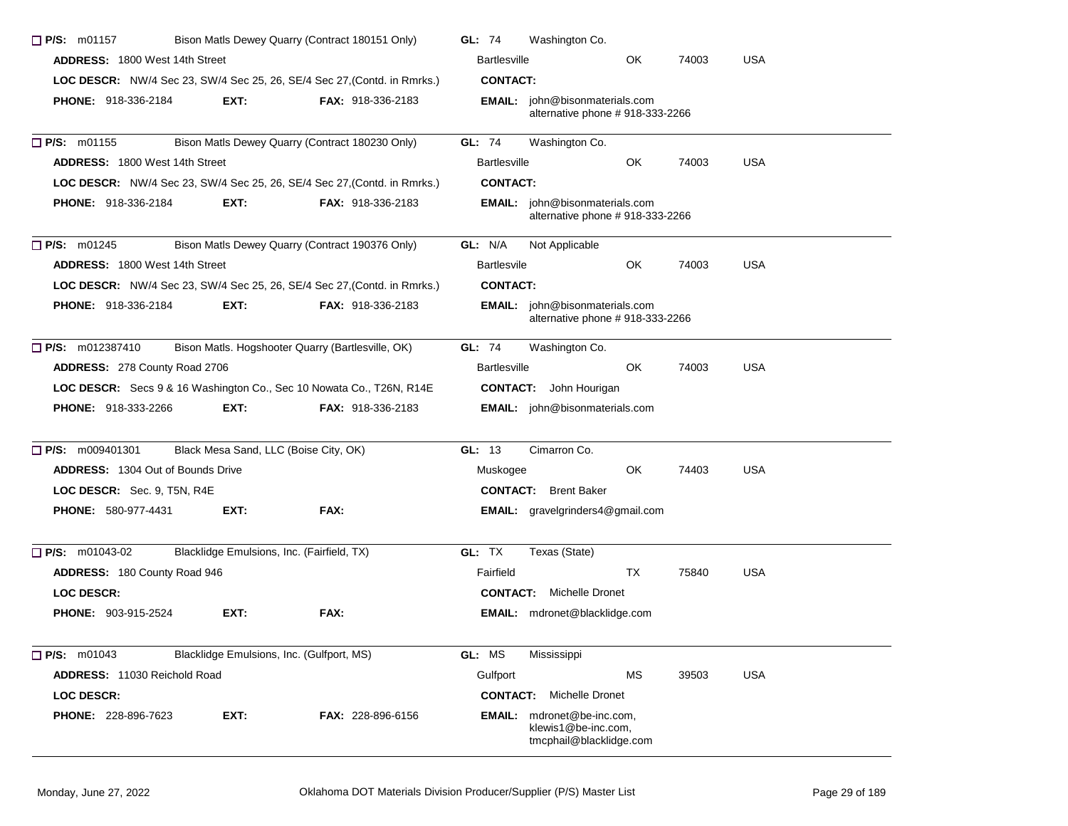| $\Box$ P/S: m01157                                                              |                                                                          | Bison Matls Dewey Quarry (Contract 180151 Only)                          | GL: 74              | Washington Co.                                                                      |     |       |            |
|---------------------------------------------------------------------------------|--------------------------------------------------------------------------|--------------------------------------------------------------------------|---------------------|-------------------------------------------------------------------------------------|-----|-------|------------|
| <b>ADDRESS: 1800 West 14th Street</b>                                           |                                                                          |                                                                          | <b>Bartlesville</b> |                                                                                     | OK  | 74003 | <b>USA</b> |
|                                                                                 |                                                                          | LOC DESCR: NW/4 Sec 23, SW/4 Sec 25, 26, SE/4 Sec 27, (Contd. in Rmrks.) | <b>CONTACT:</b>     |                                                                                     |     |       |            |
| <b>PHONE: 918-336-2184</b>                                                      | EXT:                                                                     | <b>FAX: 918-336-2183</b>                                                 |                     | <b>EMAIL:</b> john@bisonmaterials.com<br>alternative phone # 918-333-2266           |     |       |            |
| $\Box$ P/S: m01155                                                              |                                                                          | Bison Matls Dewey Quarry (Contract 180230 Only)                          | GL: 74              | Washington Co.                                                                      |     |       |            |
| <b>ADDRESS: 1800 West 14th Street</b>                                           |                                                                          |                                                                          | <b>Bartlesville</b> |                                                                                     | OK  | 74003 | <b>USA</b> |
| <b>LOC DESCR:</b> NW/4 Sec 23, SW/4 Sec 25, 26, SE/4 Sec 27, (Contd. in Rmrks.) |                                                                          |                                                                          | <b>CONTACT:</b>     |                                                                                     |     |       |            |
| <b>PHONE: 918-336-2184</b>                                                      | EXT.                                                                     | <b>FAX: 918-336-2183</b>                                                 |                     | <b>EMAIL:</b> john@bisonmaterials.com<br>alternative phone # 918-333-2266           |     |       |            |
| $\Box$ P/S: m01245                                                              |                                                                          | Bison Matls Dewey Quarry (Contract 190376 Only)                          | GL: N/A             | Not Applicable                                                                      |     |       |            |
| <b>ADDRESS: 1800 West 14th Street</b>                                           |                                                                          |                                                                          | <b>Bartlesvile</b>  |                                                                                     | OK  | 74003 | <b>USA</b> |
|                                                                                 | LOC DESCR: NW/4 Sec 23, SW/4 Sec 25, 26, SE/4 Sec 27, (Contd. in Rmrks.) | <b>CONTACT:</b>                                                          |                     |                                                                                     |     |       |            |
| <b>PHONE: 918-336-2184</b>                                                      | EXT:                                                                     | <b>FAX: 918-336-2183</b>                                                 |                     | <b>EMAIL:</b> john@bisonmaterials.com<br>alternative phone #918-333-2266            |     |       |            |
| P/S: m012387410                                                                 |                                                                          | Bison Matls. Hogshooter Quarry (Bartlesville, OK)                        | <b>GL: 74</b>       | Washington Co.                                                                      |     |       |            |
| ADDRESS: 278 County Road 2706                                                   |                                                                          |                                                                          | <b>Bartlesville</b> |                                                                                     | OK. | 74003 | <b>USA</b> |
|                                                                                 |                                                                          | LOC DESCR: Secs 9 & 16 Washington Co., Sec 10 Nowata Co., T26N, R14E     |                     | <b>CONTACT:</b> John Hourigan                                                       |     |       |            |
| <b>PHONE: 918-333-2266</b>                                                      | EXT:                                                                     | <b>FAX: 918-336-2183</b>                                                 |                     | <b>EMAIL:</b> john@bisonmaterials.com                                               |     |       |            |
| $\Box$ P/S: m009401301                                                          | Black Mesa Sand, LLC (Boise City, OK)                                    |                                                                          | GL: 13              | Cimarron Co.                                                                        |     |       |            |
| <b>ADDRESS:</b> 1304 Out of Bounds Drive                                        |                                                                          |                                                                          | Muskogee            |                                                                                     | OK  | 74403 | <b>USA</b> |
| LOC DESCR: Sec. 9, T5N, R4E                                                     |                                                                          |                                                                          |                     | <b>CONTACT:</b> Brent Baker                                                         |     |       |            |
| <b>PHONE: 580-977-4431</b>                                                      | EXT:                                                                     | FAX:                                                                     |                     | <b>EMAIL:</b> gravelgrinders4@gmail.com                                             |     |       |            |
| $\Box$ P/S: m01043-02                                                           | Blacklidge Emulsions, Inc. (Fairfield, TX)                               |                                                                          | GL: TX              | Texas (State)                                                                       |     |       |            |
| ADDRESS: 180 County Road 946                                                    |                                                                          |                                                                          | Fairfield           |                                                                                     | TX  | 75840 | <b>USA</b> |
| <b>LOC DESCR:</b>                                                               |                                                                          |                                                                          |                     | <b>CONTACT:</b> Michelle Dronet                                                     |     |       |            |
| <b>PHONE: 903-915-2524</b>                                                      | EXT:                                                                     | FAX:                                                                     |                     | EMAIL: mdronet@blacklidge.com                                                       |     |       |            |
| $P/S:$ m01043                                                                   | Blacklidge Emulsions, Inc. (Gulfport, MS)                                |                                                                          | GL: MS              | Mississippi                                                                         |     |       |            |
| ADDRESS: 11030 Reichold Road                                                    |                                                                          |                                                                          | Gulfport            |                                                                                     | МS  | 39503 | <b>USA</b> |
| LOC DESCR:                                                                      |                                                                          |                                                                          |                     | <b>CONTACT:</b> Michelle Dronet                                                     |     |       |            |
| PHONE: 228-896-7623                                                             | EXT:                                                                     | FAX: 228-896-6156                                                        |                     | <b>EMAIL:</b> mdronet@be-inc.com,<br>klewis1@be-inc.com,<br>tmcphail@blacklidge.com |     |       |            |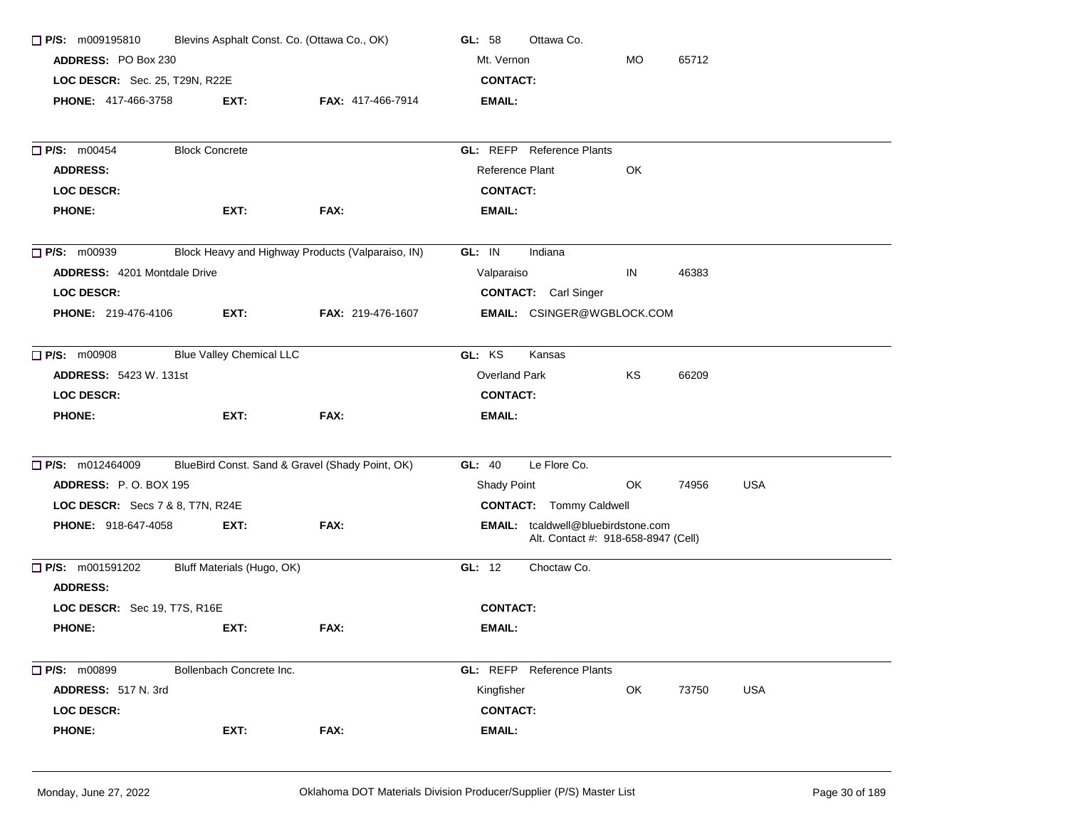| $\Box$ P/S: m009195810              |                                 | Blevins Asphalt Const. Co. (Ottawa Co., OK)       | Ottawa Co.<br>GL: 58                                                             |  |
|-------------------------------------|---------------------------------|---------------------------------------------------|----------------------------------------------------------------------------------|--|
| ADDRESS: PO Box 230                 |                                 |                                                   | Mt. Vernon<br>MO.<br>65712                                                       |  |
| LOC DESCR: Sec. 25, T29N, R22E      |                                 |                                                   | <b>CONTACT:</b>                                                                  |  |
| <b>PHONE: 417-466-3758</b>          | EXT:                            | <b>FAX: 417-466-7914</b>                          | EMAIL:                                                                           |  |
| $\Box$ P/S: m00454                  | <b>Block Concrete</b>           |                                                   | <b>GL: REFP</b> Reference Plants                                                 |  |
| <b>ADDRESS:</b>                     |                                 |                                                   | Reference Plant<br>OK                                                            |  |
| <b>LOC DESCR:</b>                   |                                 |                                                   | <b>CONTACT:</b>                                                                  |  |
| <b>PHONE:</b>                       | EXT:                            | FAX:                                              | EMAIL:                                                                           |  |
| $\Box$ P/S: m00939                  |                                 | Block Heavy and Highway Products (Valparaiso, IN) | GL: IN<br>Indiana                                                                |  |
| <b>ADDRESS: 4201 Montdale Drive</b> |                                 |                                                   | IN<br>46383<br>Valparaiso                                                        |  |
| <b>LOC DESCR:</b>                   |                                 |                                                   | <b>CONTACT:</b> Carl Singer                                                      |  |
| <b>PHONE: 219-476-4106</b>          | EXT:                            | FAX: 219-476-1607                                 | EMAIL: CSINGER@WGBLOCK.COM                                                       |  |
| $\Box$ P/S: m00908                  | <b>Blue Valley Chemical LLC</b> |                                                   | GL: KS<br>Kansas                                                                 |  |
| <b>ADDRESS: 5423 W. 131st</b>       |                                 |                                                   | Overland Park<br>ΚS<br>66209                                                     |  |
| <b>LOC DESCR:</b>                   |                                 |                                                   | <b>CONTACT:</b>                                                                  |  |
| <b>PHONE:</b>                       | EXT:                            | FAX:                                              | EMAIL:                                                                           |  |
| $\Box$ P/S: m012464009              |                                 | BlueBird Const. Sand & Gravel (Shady Point, OK)   | Le Flore Co.<br>GL: 40                                                           |  |
| <b>ADDRESS: P.O. BOX 195</b>        |                                 |                                                   | <b>USA</b><br>Shady Point<br>OK<br>74956                                         |  |
| LOC DESCR: Secs 7 & 8, T7N, R24E    |                                 |                                                   | <b>CONTACT:</b> Tommy Caldwell                                                   |  |
| PHONE: 918-647-4058                 | EXT:                            | FAX:                                              | <b>EMAIL:</b> tcaldwell@bluebirdstone.com<br>Alt. Contact #: 918-658-8947 (Cell) |  |
| $\Box$ P/S: m001591202              | Bluff Materials (Hugo, OK)      |                                                   | Choctaw Co.<br>GL: 12                                                            |  |
| <b>ADDRESS:</b>                     |                                 |                                                   |                                                                                  |  |
| LOC DESCR: Sec 19, T7S, R16E        |                                 |                                                   | <b>CONTACT:</b>                                                                  |  |
| <b>PHONE:</b>                       | EXT:                            | FAX:                                              | <b>EMAIL:</b>                                                                    |  |
| $\Box$ P/S: m00899                  | Bollenbach Concrete Inc.        |                                                   | <b>GL:</b> REFP Reference Plants                                                 |  |
| ADDRESS: 517 N. 3rd                 |                                 |                                                   | Kingfisher<br>OK<br><b>USA</b><br>73750                                          |  |
| <b>LOC DESCR:</b>                   |                                 |                                                   | <b>CONTACT:</b>                                                                  |  |
| <b>PHONE:</b>                       | EXT:                            | FAX:                                              | EMAIL:                                                                           |  |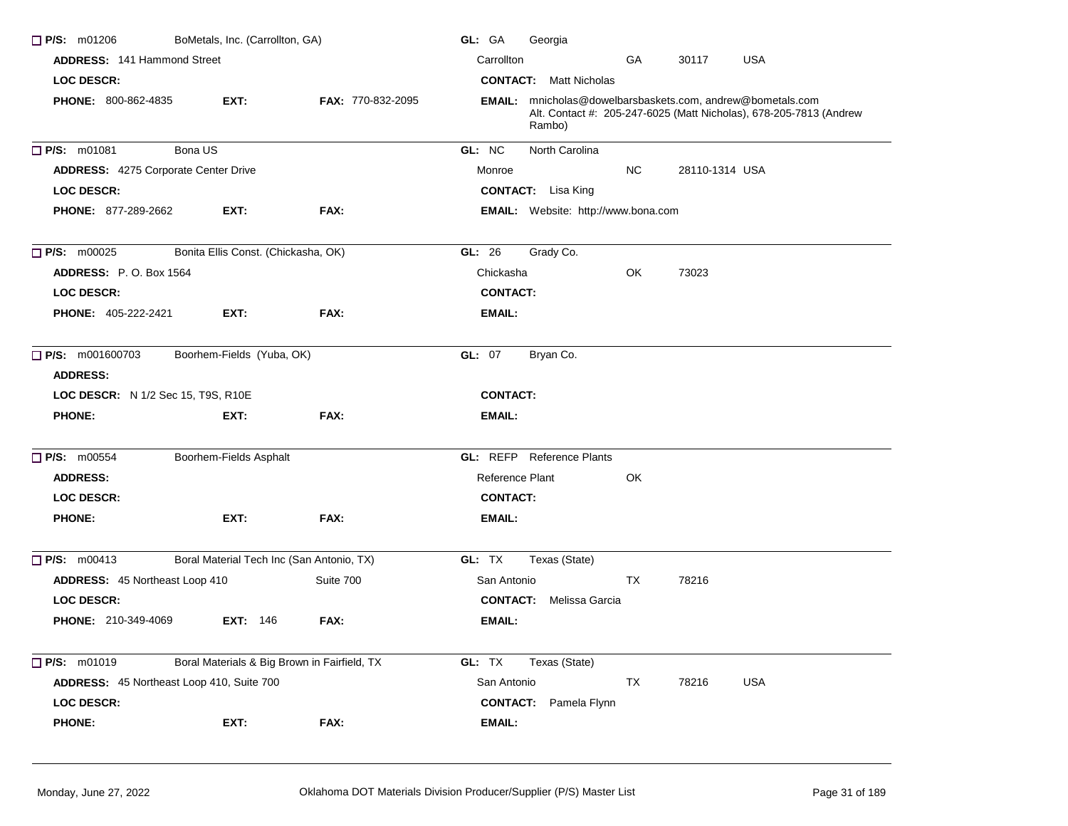| $\Box$ P/S: m01206                          | BoMetals, Inc. (Carrollton, GA)              |                          | GL: GA<br>Georgia                                                                                                                                 |
|---------------------------------------------|----------------------------------------------|--------------------------|---------------------------------------------------------------------------------------------------------------------------------------------------|
| <b>ADDRESS: 141 Hammond Street</b>          |                                              |                          | Carrollton<br><b>USA</b><br>GA<br>30117                                                                                                           |
| LOC DESCR:                                  |                                              |                          | <b>CONTACT:</b> Matt Nicholas                                                                                                                     |
| <b>PHONE: 800-862-4835</b>                  | EXT:                                         | <b>FAX: 770-832-2095</b> | <b>EMAIL:</b> mnicholas@dowelbarsbaskets.com, andrew@bometals.com<br>Alt. Contact #: 205-247-6025 (Matt Nicholas), 678-205-7813 (Andrew<br>Rambo) |
| P/S: m01081                                 | Bona US                                      |                          | GL: NC<br>North Carolina                                                                                                                          |
| <b>ADDRESS: 4275 Corporate Center Drive</b> |                                              |                          | NC.<br>28110-1314 USA<br>Monroe                                                                                                                   |
| <b>LOC DESCR:</b>                           |                                              |                          | <b>CONTACT:</b> Lisa King                                                                                                                         |
| <b>PHONE: 877-289-2662</b>                  | EXT:                                         | FAX:                     | <b>EMAIL:</b> Website: http://www.bona.com                                                                                                        |
| $\Box$ P/S: m00025                          | Bonita Ellis Const. (Chickasha, OK)          |                          | Grady Co.<br>GL: $26$                                                                                                                             |
| <b>ADDRESS:</b> P.O. Box 1564               |                                              |                          | OK<br>Chickasha<br>73023                                                                                                                          |
| <b>LOC DESCR:</b>                           |                                              |                          | <b>CONTACT:</b>                                                                                                                                   |
| <b>PHONE: 405-222-2421</b>                  | EXT:                                         | FAX:                     | <b>EMAIL:</b>                                                                                                                                     |
| $\Box$ P/S: m001600703                      | Boorhem-Fields (Yuba, OK)                    |                          | GL: 07<br>Bryan Co.                                                                                                                               |
| <b>ADDRESS:</b>                             |                                              |                          |                                                                                                                                                   |
| <b>LOC DESCR:</b> N 1/2 Sec 15, T9S, R10E   |                                              |                          | <b>CONTACT:</b>                                                                                                                                   |
| <b>PHONE:</b>                               | EXT:                                         | FAX:                     | EMAIL:                                                                                                                                            |
| <b>P/S: m00554</b>                          | Boorhem-Fields Asphalt                       |                          | <b>GL: REFP</b> Reference Plants                                                                                                                  |
| <b>ADDRESS:</b>                             |                                              |                          | Reference Plant<br>OK                                                                                                                             |
| <b>LOC DESCR:</b>                           |                                              |                          | <b>CONTACT:</b>                                                                                                                                   |
| <b>PHONE:</b>                               | EXT:                                         | FAX:                     | <b>EMAIL:</b>                                                                                                                                     |
| $\Box$ P/S: m00413                          | Boral Material Tech Inc (San Antonio, TX)    |                          | GL: TX<br>Texas (State)                                                                                                                           |
| ADDRESS: 45 Northeast Loop 410              |                                              | Suite 700                | TX<br>78216<br>San Antonio                                                                                                                        |
| <b>LOC DESCR:</b>                           |                                              |                          | <b>CONTACT:</b><br>Melissa Garcia                                                                                                                 |
| <b>PHONE: 210-349-4069</b>                  | <b>EXT: 146</b>                              | FAX:                     | <b>EMAIL:</b>                                                                                                                                     |
| $\Box$ P/S: m01019                          | Boral Materials & Big Brown in Fairfield, TX |                          | GL: TX<br>Texas (State)                                                                                                                           |
| ADDRESS: 45 Northeast Loop 410, Suite 700   |                                              |                          | TX<br><b>USA</b><br>San Antonio<br>78216                                                                                                          |
| LOC DESCR:                                  |                                              |                          | <b>CONTACT:</b><br>Pamela Flynn                                                                                                                   |
| <b>PHONE:</b>                               | EXT:                                         | FAX:                     | <b>EMAIL:</b>                                                                                                                                     |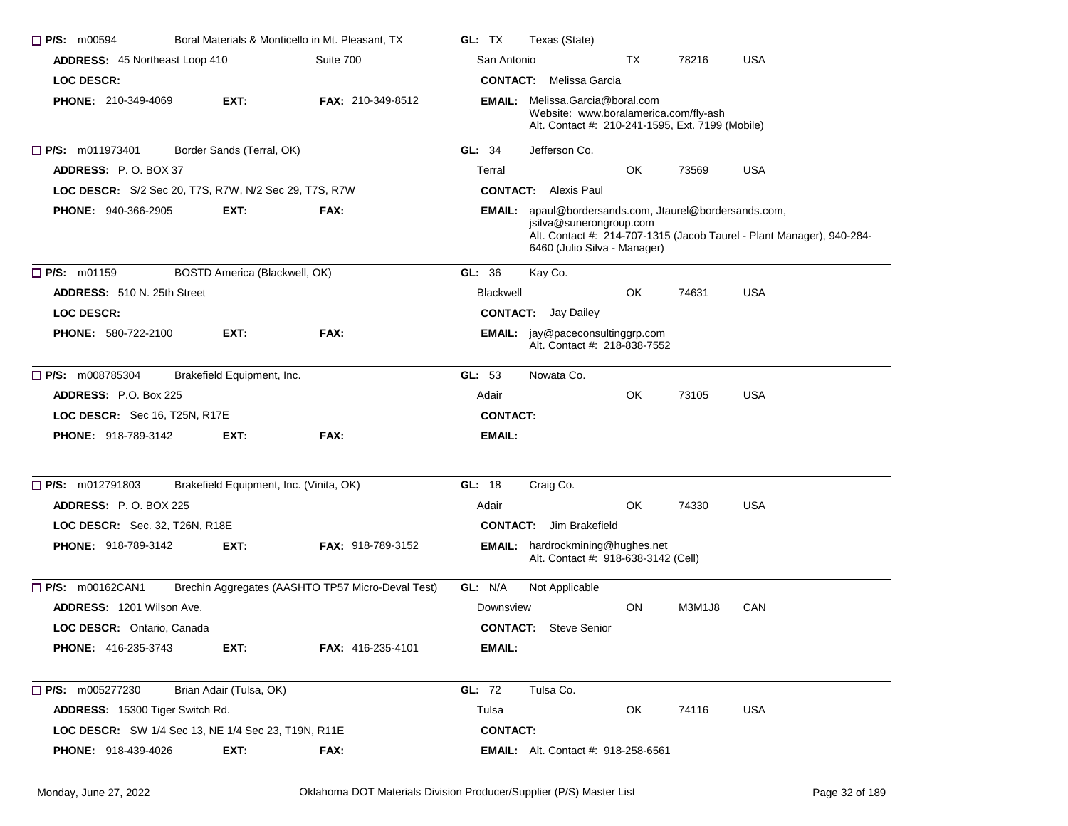| P/S: m00594                                           |                                         | Boral Materials & Monticello in Mt. Pleasant, TX  | GL: TX          | Texas (State)                                                                                                                       |    |        |                                                                       |
|-------------------------------------------------------|-----------------------------------------|---------------------------------------------------|-----------------|-------------------------------------------------------------------------------------------------------------------------------------|----|--------|-----------------------------------------------------------------------|
| <b>ADDRESS: 45 Northeast Loop 410</b>                 |                                         | Suite 700                                         | San Antonio     |                                                                                                                                     | TX | 78216  | <b>USA</b>                                                            |
| <b>LOC DESCR:</b>                                     |                                         |                                                   |                 | <b>CONTACT:</b> Melissa Garcia                                                                                                      |    |        |                                                                       |
| PHONE: 210-349-4069                                   | EXT:                                    | <b>FAX: 210-349-8512</b>                          |                 | <b>EMAIL:</b> Melissa.Garcia@boral.com<br>Website: www.boralamerica.com/fly-ash<br>Alt. Contact #: 210-241-1595, Ext. 7199 (Mobile) |    |        |                                                                       |
| $\Box$ P/S: m011973401                                | Border Sands (Terral, OK)               |                                                   | GL: $34$        | Jefferson Co.                                                                                                                       |    |        |                                                                       |
| <b>ADDRESS:</b> P.O. BOX 37                           |                                         |                                                   | Terral          |                                                                                                                                     | OK | 73569  | <b>USA</b>                                                            |
| LOC DESCR: S/2 Sec 20, T7S, R7W, N/2 Sec 29, T7S, R7W |                                         |                                                   |                 | <b>CONTACT:</b> Alexis Paul                                                                                                         |    |        |                                                                       |
| <b>PHONE: 940-366-2905</b>                            | EXT:                                    | FAX:                                              |                 | <b>EMAIL:</b> apaul@bordersands.com, Jtaurel@bordersands.com,<br>jsilva@sunerongroup.com<br>6460 (Julio Silva - Manager)            |    |        | Alt. Contact #: 214-707-1315 (Jacob Taurel - Plant Manager), 940-284- |
| P/S: m01159                                           | BOSTD America (Blackwell, OK)           |                                                   | GL: 36          | Kay Co.                                                                                                                             |    |        |                                                                       |
| ADDRESS: 510 N. 25th Street                           |                                         |                                                   | Blackwell       |                                                                                                                                     | OK | 74631  | <b>USA</b>                                                            |
| <b>LOC DESCR:</b>                                     |                                         |                                                   |                 | <b>CONTACT:</b> Jay Dailey                                                                                                          |    |        |                                                                       |
| <b>PHONE: 580-722-2100</b>                            | EXT:                                    | FAX:                                              |                 | <b>EMAIL:</b> jay@paceconsultinggrp.com<br>Alt. Contact #: 218-838-7552                                                             |    |        |                                                                       |
| P/S: m008785304                                       | Brakefield Equipment, Inc.              |                                                   | GL: $53$        | Nowata Co.                                                                                                                          |    |        |                                                                       |
| <b>ADDRESS: P.O. Box 225</b>                          |                                         |                                                   | Adair           |                                                                                                                                     | OK | 73105  | <b>USA</b>                                                            |
| <b>LOC DESCR:</b> Sec 16, T25N, R17E                  |                                         |                                                   | <b>CONTACT:</b> |                                                                                                                                     |    |        |                                                                       |
| <b>PHONE: 918-789-3142</b>                            | EXT:                                    | FAX:                                              | EMAIL:          |                                                                                                                                     |    |        |                                                                       |
| $\Box$ P/S: m012791803                                | Brakefield Equipment, Inc. (Vinita, OK) |                                                   | GL: 18          | Craig Co.                                                                                                                           |    |        |                                                                       |
| <b>ADDRESS: P.O. BOX 225</b>                          |                                         |                                                   | Adair           |                                                                                                                                     | OK | 74330  | <b>USA</b>                                                            |
| <b>LOC DESCR:</b> Sec. 32, T26N, R18E                 |                                         |                                                   |                 | <b>CONTACT:</b> Jim Brakefield                                                                                                      |    |        |                                                                       |
| <b>PHONE: 918-789-3142</b>                            | EXT:                                    | <b>FAX: 918-789-3152</b>                          |                 | <b>EMAIL:</b> hardrockmining@hughes.net<br>Alt. Contact #: 918-638-3142 (Cell)                                                      |    |        |                                                                       |
| <b>P/S: m00162CAN1</b>                                |                                         | Brechin Aggregates (AASHTO TP57 Micro-Deval Test) | GL: N/A         | Not Applicable                                                                                                                      |    |        |                                                                       |
| <b>ADDRESS: 1201 Wilson Ave.</b>                      |                                         |                                                   | Downsview       |                                                                                                                                     | ON | M3M1J8 | CAN                                                                   |
| LOC DESCR: Ontario, Canada                            |                                         |                                                   |                 | <b>CONTACT:</b> Steve Senior                                                                                                        |    |        |                                                                       |
| PHONE: 416-235-3743                                   | EXT:                                    | FAX: 416-235-4101                                 | <b>EMAIL:</b>   |                                                                                                                                     |    |        |                                                                       |
| $\Box$ P/S: m005277230                                | Brian Adair (Tulsa, OK)                 |                                                   | GL: 72          | Tulsa Co.                                                                                                                           |    |        |                                                                       |
| ADDRESS: 15300 Tiger Switch Rd.                       |                                         |                                                   | Tulsa           |                                                                                                                                     | OK | 74116  | <b>USA</b>                                                            |
| LOC DESCR: SW 1/4 Sec 13, NE 1/4 Sec 23, T19N, R11E   |                                         |                                                   | <b>CONTACT:</b> |                                                                                                                                     |    |        |                                                                       |
| PHONE: 918-439-4026                                   | EXT:                                    | FAX:                                              |                 | <b>EMAIL:</b> Alt. Contact #: 918-258-6561                                                                                          |    |        |                                                                       |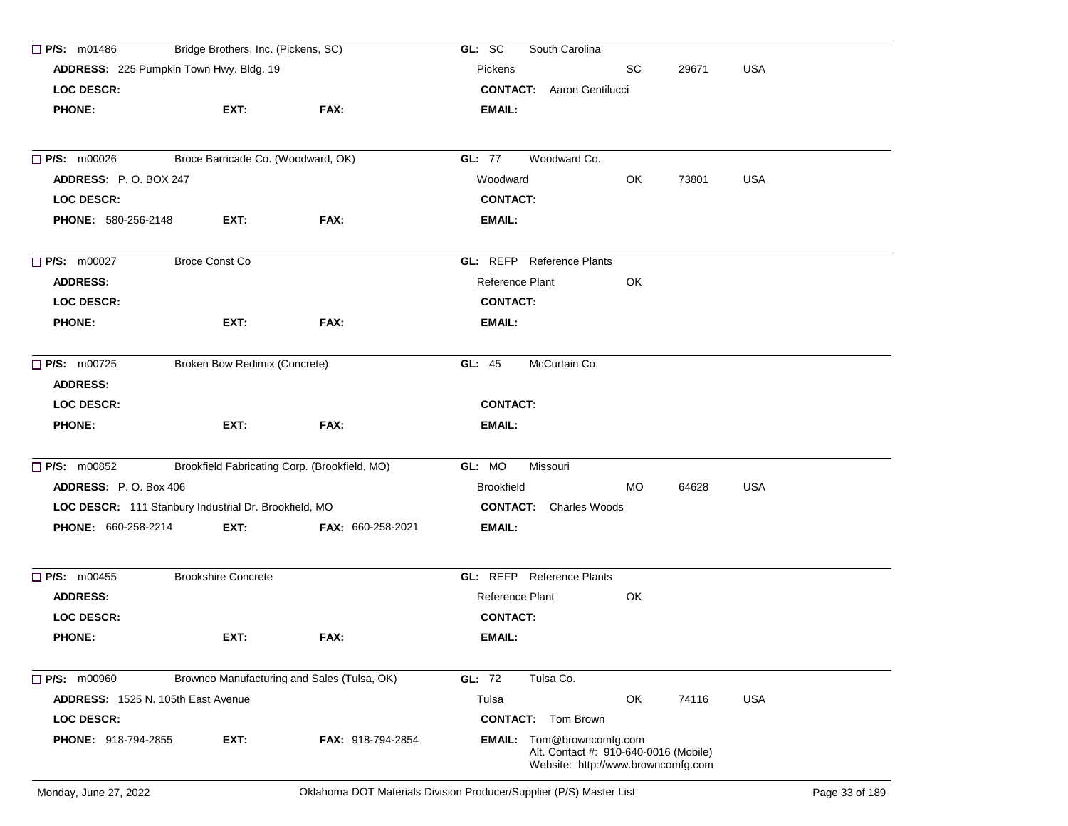| $\Box$ P/S: m01486                                       | Bridge Brothers, Inc. (Pickens, SC)                   |                   | South Carolina<br>GL: SC                                                                                 |     |       |            |  |  |  |
|----------------------------------------------------------|-------------------------------------------------------|-------------------|----------------------------------------------------------------------------------------------------------|-----|-------|------------|--|--|--|
|                                                          | ADDRESS: 225 Pumpkin Town Hwy. Bldg. 19               |                   | Pickens                                                                                                  | SC  | 29671 | <b>USA</b> |  |  |  |
| <b>LOC DESCR:</b>                                        |                                                       |                   | <b>CONTACT:</b> Aaron Gentilucci                                                                         |     |       |            |  |  |  |
| <b>PHONE:</b>                                            | EXT:                                                  | FAX:              | EMAIL:                                                                                                   |     |       |            |  |  |  |
| Broce Barricade Co. (Woodward, OK)<br>$\Box$ P/S: m00026 |                                                       |                   | <b>GL: 77</b><br>Woodward Co.                                                                            |     |       |            |  |  |  |
| ADDRESS: P.O. BOX 247                                    |                                                       |                   | Woodward                                                                                                 | OK  | 73801 | <b>USA</b> |  |  |  |
| <b>LOC DESCR:</b>                                        |                                                       |                   | <b>CONTACT:</b>                                                                                          |     |       |            |  |  |  |
| <b>PHONE: 580-256-2148</b>                               | EXT:                                                  | FAX:              | EMAIL:                                                                                                   |     |       |            |  |  |  |
| $\Box$ P/S: m00027                                       | <b>Broce Const Co</b>                                 |                   | <b>GL:</b> REFP Reference Plants                                                                         |     |       |            |  |  |  |
| <b>ADDRESS:</b>                                          |                                                       |                   | Reference Plant                                                                                          | OK  |       |            |  |  |  |
| <b>LOC DESCR:</b>                                        |                                                       |                   | <b>CONTACT:</b>                                                                                          |     |       |            |  |  |  |
| <b>PHONE:</b>                                            | EXT:                                                  | FAX:              | <b>EMAIL:</b>                                                                                            |     |       |            |  |  |  |
| $\Box$ P/S: m00725<br><b>ADDRESS:</b>                    | <b>Broken Bow Redimix (Concrete)</b>                  |                   | McCurtain Co.<br>GL: $45$                                                                                |     |       |            |  |  |  |
| <b>LOC DESCR:</b>                                        |                                                       |                   | <b>CONTACT:</b>                                                                                          |     |       |            |  |  |  |
| <b>PHONE:</b>                                            | EXT:                                                  | FAX:              | EMAIL:                                                                                                   |     |       |            |  |  |  |
| $\Box$ P/S: m00852                                       | Brookfield Fabricating Corp. (Brookfield, MO)         |                   | GL: MO<br>Missouri                                                                                       |     |       |            |  |  |  |
| <b>ADDRESS: P.O. Box 406</b>                             |                                                       |                   | <b>Brookfield</b>                                                                                        | MO. | 64628 | <b>USA</b> |  |  |  |
|                                                          | LOC DESCR: 111 Stanbury Industrial Dr. Brookfield, MO |                   | <b>CONTACT:</b> Charles Woods                                                                            |     |       |            |  |  |  |
| <b>PHONE: 660-258-2214</b>                               | EXT:                                                  | FAX: 660-258-2021 | EMAIL:                                                                                                   |     |       |            |  |  |  |
| P/S: m00455                                              | <b>Brookshire Concrete</b>                            |                   | <b>GL: REFP</b> Reference Plants                                                                         |     |       |            |  |  |  |
| <b>ADDRESS:</b>                                          |                                                       |                   | Reference Plant                                                                                          | OK  |       |            |  |  |  |
| <b>LOC DESCR:</b>                                        |                                                       |                   | <b>CONTACT:</b>                                                                                          |     |       |            |  |  |  |
| <b>PHONE:</b>                                            | EXT:                                                  | FAX:              | EMAIL:                                                                                                   |     |       |            |  |  |  |
| <b>P/S: m00960</b>                                       | Brownco Manufacturing and Sales (Tulsa, OK)           |                   | <b>GL: 72</b><br>Tulsa Co.                                                                               |     |       |            |  |  |  |
| ADDRESS: 1525 N. 105th East Avenue                       |                                                       |                   | Tulsa                                                                                                    | OK  | 74116 | <b>USA</b> |  |  |  |
| <b>LOC DESCR:</b>                                        |                                                       |                   | <b>CONTACT:</b> Tom Brown                                                                                |     |       |            |  |  |  |
| PHONE: 918-794-2855                                      | EXT:                                                  | FAX: 918-794-2854 | EMAIL: Tom@browncomfg.com<br>Alt. Contact #: 910-640-0016 (Mobile)<br>Website: http://www.browncomfg.com |     |       |            |  |  |  |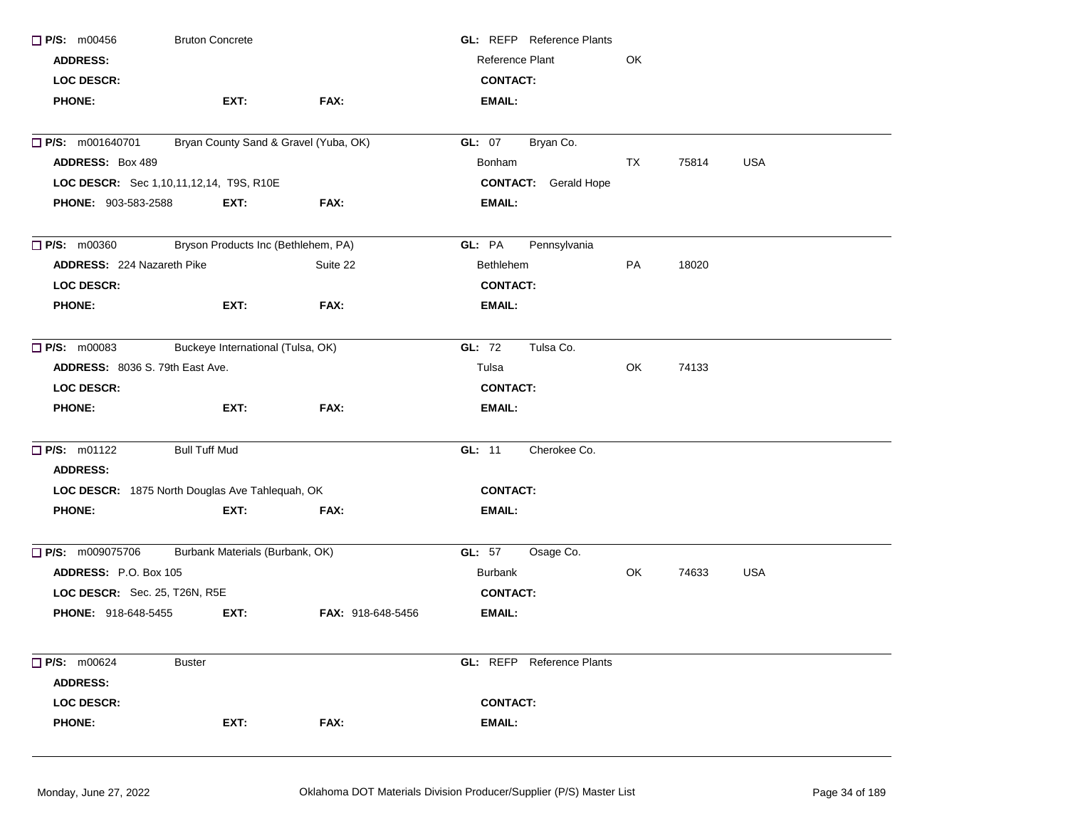| $\Box$ P/S: m00456              | <b>Bruton Concrete</b>                          |                   | <b>GL:</b> REFP Reference Plants |    |       |            |  |
|---------------------------------|-------------------------------------------------|-------------------|----------------------------------|----|-------|------------|--|
| <b>ADDRESS:</b>                 |                                                 |                   | Reference Plant                  | OK |       |            |  |
| <b>LOC DESCR:</b>               |                                                 |                   | <b>CONTACT:</b>                  |    |       |            |  |
| <b>PHONE:</b>                   | EXT:                                            | FAX:              | <b>EMAIL:</b>                    |    |       |            |  |
| $\Box$ P/S: m001640701          | Bryan County Sand & Gravel (Yuba, OK)           |                   | <b>GL: 07</b><br>Bryan Co.       |    |       |            |  |
| <b>ADDRESS: Box 489</b>         |                                                 |                   | Bonham                           | TX | 75814 | <b>USA</b> |  |
|                                 | LOC DESCR: Sec 1,10,11,12,14, T9S, R10E         |                   | <b>CONTACT:</b> Gerald Hope      |    |       |            |  |
| PHONE: 903-583-2588             | EXT:                                            | FAX:              | <b>EMAIL:</b>                    |    |       |            |  |
| $\Box$ P/S: m00360              | Bryson Products Inc (Bethlehem, PA)             |                   | GL: PA<br>Pennsylvania           |    |       |            |  |
| ADDRESS: 224 Nazareth Pike      |                                                 | Suite 22          | <b>Bethlehem</b>                 | PA | 18020 |            |  |
| <b>LOC DESCR:</b>               |                                                 |                   | <b>CONTACT:</b>                  |    |       |            |  |
| <b>PHONE:</b>                   | EXT:                                            | FAX:              | EMAIL:                           |    |       |            |  |
| $\Box$ P/S: m00083              | Buckeye International (Tulsa, OK)               |                   | GL: 72<br>Tulsa Co.              |    |       |            |  |
| ADDRESS: 8036 S. 79th East Ave. |                                                 |                   | Tulsa                            | OK | 74133 |            |  |
| <b>LOC DESCR:</b>               |                                                 |                   | <b>CONTACT:</b>                  |    |       |            |  |
| <b>PHONE:</b>                   | EXT:                                            | FAX:              | <b>EMAIL:</b>                    |    |       |            |  |
| <b>P/S: m01122</b>              | <b>Bull Tuff Mud</b>                            |                   | Cherokee Co.<br>GL: 11           |    |       |            |  |
| <b>ADDRESS:</b>                 |                                                 |                   |                                  |    |       |            |  |
|                                 | LOC DESCR: 1875 North Douglas Ave Tahlequah, OK |                   | <b>CONTACT:</b>                  |    |       |            |  |
| <b>PHONE:</b>                   | EXT:                                            | FAX:              | EMAIL:                           |    |       |            |  |
| $\Box$ P/S: m009075706          | Burbank Materials (Burbank, OK)                 |                   | <b>GL:</b> 57<br>Osage Co.       |    |       |            |  |
| ADDRESS: P.O. Box 105           |                                                 |                   | Burbank                          | OK | 74633 | <b>USA</b> |  |
| LOC DESCR: Sec. 25, T26N, R5E   |                                                 |                   | <b>CONTACT:</b>                  |    |       |            |  |
| <b>PHONE: 918-648-5455</b>      | EXT:                                            | FAX: 918-648-5456 | <b>EMAIL:</b>                    |    |       |            |  |
| $\Box$ P/S: m00624              | <b>Buster</b>                                   |                   | <b>GL: REFP</b> Reference Plants |    |       |            |  |
| <b>ADDRESS:</b>                 |                                                 |                   |                                  |    |       |            |  |
| <b>LOC DESCR:</b>               |                                                 |                   | <b>CONTACT:</b>                  |    |       |            |  |
| <b>PHONE:</b>                   | EXT:                                            | FAX:              | <b>EMAIL:</b>                    |    |       |            |  |
|                                 |                                                 |                   |                                  |    |       |            |  |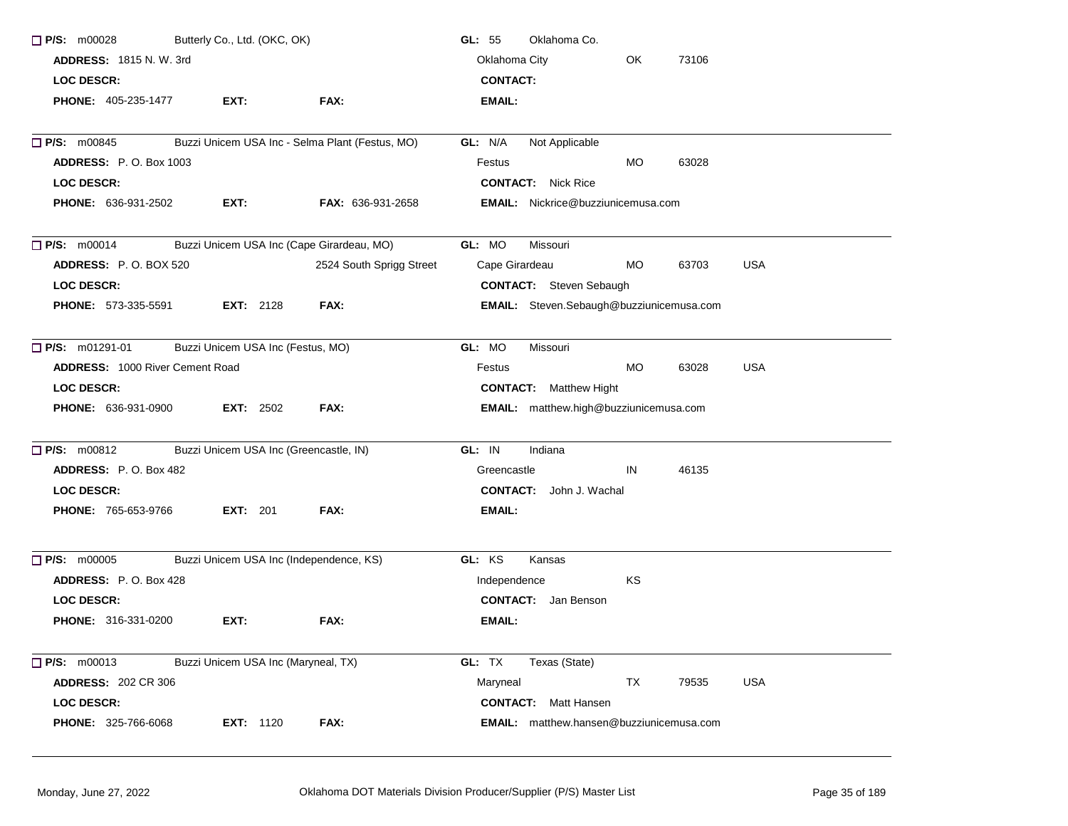| $\Box$ P/S: m00028              | Butterly Co., Ltd. (OKC, OK)        |                                                 | Oklahoma Co.<br>GL: $55$                           |
|---------------------------------|-------------------------------------|-------------------------------------------------|----------------------------------------------------|
| <b>ADDRESS: 1815 N.W. 3rd</b>   |                                     |                                                 | OK<br>Oklahoma City<br>73106                       |
| <b>LOC DESCR:</b>               |                                     |                                                 | <b>CONTACT:</b>                                    |
| <b>PHONE: 405-235-1477</b>      | EXT:                                | FAX:                                            | EMAIL:                                             |
| $\Box$ P/S: m00845              |                                     | Buzzi Unicem USA Inc - Selma Plant (Festus, MO) | GL: N/A<br>Not Applicable                          |
| <b>ADDRESS: P.O. Box 1003</b>   |                                     |                                                 | Festus<br>MO<br>63028                              |
| <b>LOC DESCR:</b>               |                                     |                                                 | <b>CONTACT:</b> Nick Rice                          |
| <b>PHONE: 636-931-2502</b>      | EXT:                                | <b>FAX: 636-931-2658</b>                        | <b>EMAIL:</b> Nickrice@buzziunicemusa.com          |
| $\Box$ P/S: m00014              |                                     | Buzzi Unicem USA Inc (Cape Girardeau, MO)       | GL: MO<br>Missouri                                 |
| <b>ADDRESS: P.O. BOX 520</b>    |                                     | 2524 South Sprigg Street                        | Cape Girardeau<br><b>MO</b><br><b>USA</b><br>63703 |
| <b>LOC DESCR:</b>               |                                     |                                                 | <b>CONTACT:</b> Steven Sebaugh                     |
| <b>PHONE: 573-335-5591</b>      | <b>EXT: 2128</b>                    | FAX:                                            | EMAIL: Steven.Sebaugh@buzziunicemusa.com           |
| $\Box$ P/S: m01291-01           | Buzzi Unicem USA Inc (Festus, MO)   |                                                 | GL: MO<br>Missouri                                 |
| ADDRESS: 1000 River Cement Road |                                     |                                                 | <b>MO</b><br><b>USA</b><br>Festus<br>63028         |
| <b>LOC DESCR:</b>               |                                     |                                                 | <b>CONTACT:</b> Matthew Hight                      |
| PHONE: 636-931-0900             | <b>EXT:</b> $2502$                  | FAX:                                            | EMAIL: matthew.high@buzziunicemusa.com             |
| $\Box$ P/S: m00812              |                                     | Buzzi Unicem USA Inc (Greencastle, IN)          | GL: IN<br>Indiana                                  |
| ADDRESS: P.O. Box 482           |                                     |                                                 | 46135<br>Greencastle<br>IN                         |
| <b>LOC DESCR:</b>               |                                     |                                                 | <b>CONTACT:</b> John J. Wachal                     |
| PHONE: 765-653-9766             | <b>EXT:</b> 201                     | FAX:                                            | <b>EMAIL:</b>                                      |
| $\Box$ P/S: m00005              |                                     | Buzzi Unicem USA Inc (Independence, KS)         | GL: KS<br>Kansas                                   |
| ADDRESS: P.O. Box 428           |                                     |                                                 | KS<br>Independence                                 |
| <b>LOC DESCR:</b>               |                                     |                                                 | <b>CONTACT:</b> Jan Benson                         |
| <b>PHONE: 316-331-0200</b>      | EXT:                                | FAX:                                            | EMAIL:                                             |
| $\Box$ P/S: m00013              | Buzzi Unicem USA Inc (Maryneal, TX) |                                                 | GL: TX<br>Texas (State)                            |
| <b>ADDRESS: 202 CR 306</b>      |                                     |                                                 | Maryneal<br>TX<br><b>USA</b><br>79535              |
| <b>LOC DESCR:</b>               |                                     |                                                 | <b>CONTACT:</b> Matt Hansen                        |
| PHONE: 325-766-6068             | <b>EXT: 1120</b>                    | FAX:                                            | <b>EMAIL:</b> matthew.hansen@buzziunicemusa.com    |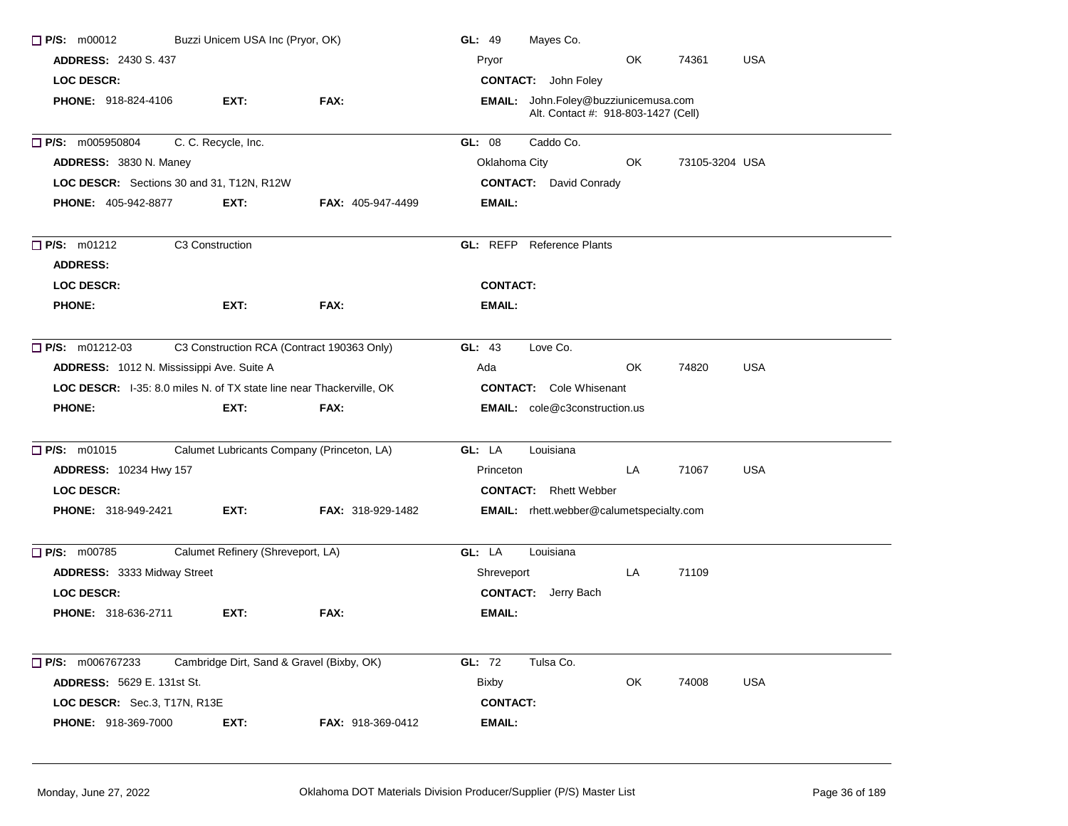| $P/S:$ m00012                                                        | Buzzi Unicem USA Inc (Pryor, OK)  |                                            | GL: 49          | Mayes Co.                                                                   |     |                |            |
|----------------------------------------------------------------------|-----------------------------------|--------------------------------------------|-----------------|-----------------------------------------------------------------------------|-----|----------------|------------|
| <b>ADDRESS: 2430 S. 437</b>                                          |                                   |                                            | Pryor           |                                                                             | OK  | 74361          | <b>USA</b> |
| <b>LOC DESCR:</b>                                                    |                                   |                                            |                 | <b>CONTACT:</b> John Foley                                                  |     |                |            |
| <b>PHONE: 918-824-4106</b>                                           | EXT:                              | FAX:                                       |                 | EMAIL: John.Foley@buzziunicemusa.com<br>Alt. Contact #: 918-803-1427 (Cell) |     |                |            |
| $\Box$ P/S: m005950804                                               | C. C. Recycle, Inc.               |                                            | GL: 08          | Caddo Co.                                                                   |     |                |            |
| ADDRESS: 3830 N. Maney                                               |                                   |                                            | Oklahoma City   |                                                                             | OK. | 73105-3204 USA |            |
| LOC DESCR: Sections 30 and 31, T12N, R12W                            |                                   |                                            |                 | <b>CONTACT:</b> David Conrady                                               |     |                |            |
| <b>PHONE: 405-942-8877</b>                                           | EXT:                              | <b>FAX: 405-947-4499</b>                   | EMAIL:          |                                                                             |     |                |            |
| $\Box$ P/S: m01212                                                   | C3 Construction                   |                                            |                 | <b>GL:</b> REFP Reference Plants                                            |     |                |            |
| <b>ADDRESS:</b>                                                      |                                   |                                            |                 |                                                                             |     |                |            |
| <b>LOC DESCR:</b>                                                    |                                   |                                            | <b>CONTACT:</b> |                                                                             |     |                |            |
| <b>PHONE:</b>                                                        | EXT:                              | FAX:                                       | EMAIL:          |                                                                             |     |                |            |
| $\Box$ P/S: m01212-03                                                |                                   | C3 Construction RCA (Contract 190363 Only) | GL: 43          | Love Co.                                                                    |     |                |            |
| ADDRESS: 1012 N. Mississippi Ave. Suite A                            |                                   |                                            | Ada             |                                                                             | OK  | 74820          | <b>USA</b> |
| LOC DESCR: I-35: 8.0 miles N. of TX state line near Thackerville, OK |                                   |                                            |                 | <b>CONTACT:</b> Cole Whisenant                                              |     |                |            |
| <b>PHONE:</b>                                                        | EXT:                              | FAX:                                       |                 | <b>EMAIL:</b> cole@c3construction.us                                        |     |                |            |
| $\Box$ P/S: m01015                                                   |                                   | Calumet Lubricants Company (Princeton, LA) | GL: LA          | Louisiana                                                                   |     |                |            |
| <b>ADDRESS: 10234 Hwy 157</b>                                        |                                   |                                            | Princeton       |                                                                             | LA  | 71067          | <b>USA</b> |
| <b>LOC DESCR:</b>                                                    |                                   |                                            |                 | <b>CONTACT:</b> Rhett Webber                                                |     |                |            |
| <b>PHONE: 318-949-2421</b>                                           | EXT:                              | <b>FAX: 318-929-1482</b>                   |                 | <b>EMAIL:</b> rhett.webber@calumetspecialty.com                             |     |                |            |
| P/S: m00785                                                          | Calumet Refinery (Shreveport, LA) |                                            | GL: LA          | Louisiana                                                                   |     |                |            |
| ADDRESS: 3333 Midway Street                                          |                                   |                                            | Shreveport      |                                                                             | LA  | 71109          |            |
| <b>LOC DESCR:</b>                                                    |                                   |                                            |                 | <b>CONTACT:</b> Jerry Bach                                                  |     |                |            |
| <b>PHONE: 318-636-2711</b>                                           | EXT:                              | FAX:                                       | EMAIL:          |                                                                             |     |                |            |
| $\Box$ P/S: m006767233                                               |                                   | Cambridge Dirt, Sand & Gravel (Bixby, OK)  | GL: 72          | Tulsa Co.                                                                   |     |                |            |
| <b>ADDRESS: 5629 E. 131st St.</b>                                    |                                   |                                            | <b>Bixby</b>    |                                                                             | OK  | 74008          | <b>USA</b> |
| LOC DESCR: Sec.3, T17N, R13E                                         |                                   |                                            | <b>CONTACT:</b> |                                                                             |     |                |            |
| <b>PHONE: 918-369-7000</b>                                           | EXT:                              | FAX: 918-369-0412                          | <b>EMAIL:</b>   |                                                                             |     |                |            |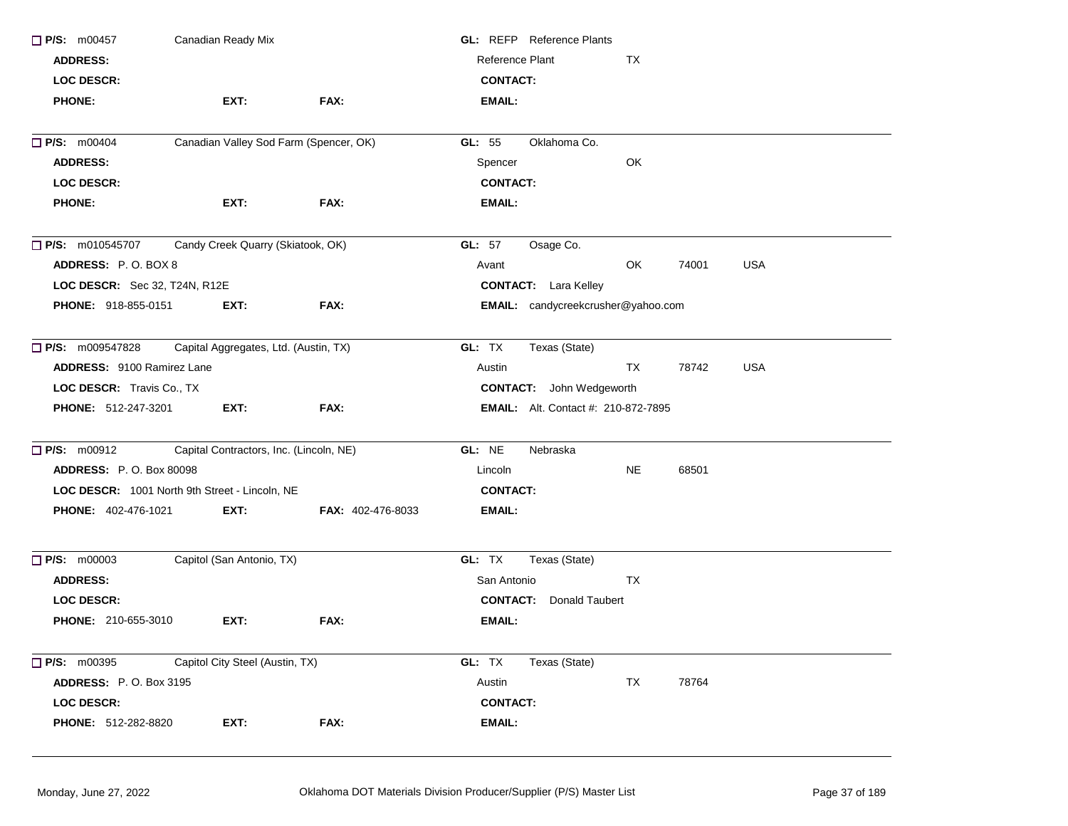| $\Box$ P/S: m00457                | Canadian Ready Mix                             |                          | <b>GL:</b> REFP Reference Plants           |           |       |            |  |
|-----------------------------------|------------------------------------------------|--------------------------|--------------------------------------------|-----------|-------|------------|--|
| <b>ADDRESS:</b>                   |                                                |                          | Reference Plant                            | TX        |       |            |  |
| LOC DESCR:                        |                                                |                          | <b>CONTACT:</b>                            |           |       |            |  |
| <b>PHONE:</b>                     | EXT:                                           | FAX:                     | <b>EMAIL:</b>                              |           |       |            |  |
| <b>P/S: m00404</b>                | Canadian Valley Sod Farm (Spencer, OK)         |                          | Oklahoma Co.<br>GL: 55                     |           |       |            |  |
| <b>ADDRESS:</b>                   |                                                |                          | Spencer                                    | OK        |       |            |  |
| <b>LOC DESCR:</b>                 |                                                |                          | <b>CONTACT:</b>                            |           |       |            |  |
| <b>PHONE:</b>                     | EXT:                                           | FAX:                     | EMAIL:                                     |           |       |            |  |
| $\Box$ P/S: m010545707            | Candy Creek Quarry (Skiatook, OK)              |                          | GL: 57<br>Osage Co.                        |           |       |            |  |
| ADDRESS: P.O. BOX 8               |                                                |                          | Avant                                      | OK        | 74001 | <b>USA</b> |  |
| LOC DESCR: Sec 32, T24N, R12E     |                                                |                          | <b>CONTACT:</b> Lara Kelley                |           |       |            |  |
| PHONE: 918-855-0151               | EXT:                                           | FAX:                     | EMAIL: candycreekcrusher@yahoo.com         |           |       |            |  |
| <b>P/S:</b> m009547828            | Capital Aggregates, Ltd. (Austin, TX)          |                          | GL: TX<br>Texas (State)                    |           |       |            |  |
| <b>ADDRESS: 9100 Ramirez Lane</b> |                                                |                          | Austin                                     | <b>TX</b> | 78742 | <b>USA</b> |  |
| LOC DESCR: Travis Co., TX         |                                                |                          | <b>CONTACT:</b> John Wedgeworth            |           |       |            |  |
| PHONE: 512-247-3201               | EXT:                                           | FAX:                     | <b>EMAIL:</b> Alt. Contact #: 210-872-7895 |           |       |            |  |
| <b>P/S: m00912</b>                | Capital Contractors, Inc. (Lincoln, NE)        |                          | GL: NE<br>Nebraska                         |           |       |            |  |
| <b>ADDRESS: P.O. Box 80098</b>    |                                                |                          | Lincoln                                    | NE.       | 68501 |            |  |
|                                   | LOC DESCR: 1001 North 9th Street - Lincoln, NE |                          | <b>CONTACT:</b>                            |           |       |            |  |
| <b>PHONE: 402-476-1021</b>        | EXT:                                           | <b>FAX: 402-476-8033</b> | EMAIL:                                     |           |       |            |  |
| $\Box$ P/S: m00003                | Capitol (San Antonio, TX)                      |                          | GL: TX<br>Texas (State)                    |           |       |            |  |
| <b>ADDRESS:</b>                   |                                                |                          | San Antonio                                | <b>TX</b> |       |            |  |
| <b>LOC DESCR:</b>                 |                                                |                          | <b>Donald Taubert</b><br><b>CONTACT:</b>   |           |       |            |  |
| PHONE: 210-655-3010               | EXT:                                           | FAX:                     | <b>EMAIL:</b>                              |           |       |            |  |
| $\Box$ P/S: m00395                | Capitol City Steel (Austin, TX)                |                          | GL: TX<br>Texas (State)                    |           |       |            |  |
| <b>ADDRESS:</b> P.O. Box 3195     |                                                |                          | Austin                                     | TX        | 78764 |            |  |
| LOC DESCR:                        |                                                |                          | <b>CONTACT:</b>                            |           |       |            |  |
| PHONE: 512-282-8820               | EXT:                                           | FAX:                     | EMAIL:                                     |           |       |            |  |
|                                   |                                                |                          |                                            |           |       |            |  |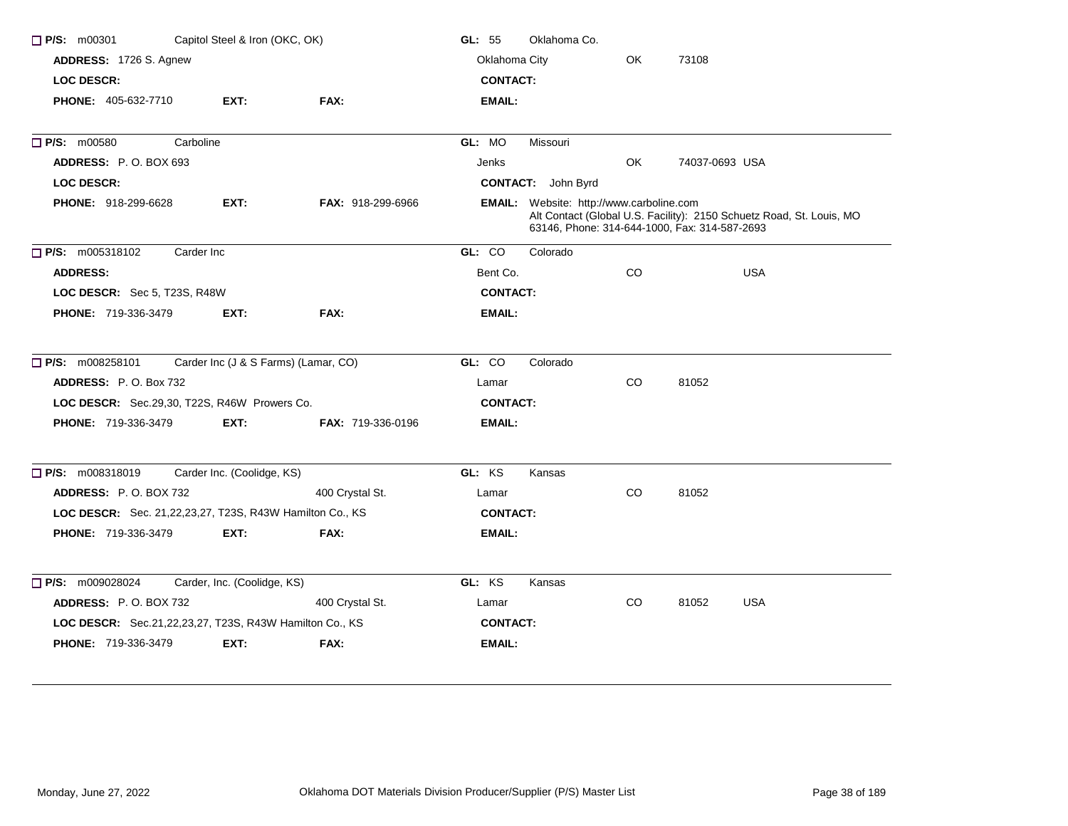| Capitol Steel & Iron (OKC, OK)<br>$\Box$ P/S: m00301     | GL: 55                      | Oklahoma Co.                         |                               |                                                                                                  |           |                |                                                                      |
|----------------------------------------------------------|-----------------------------|--------------------------------------|-------------------------------|--------------------------------------------------------------------------------------------------|-----------|----------------|----------------------------------------------------------------------|
| ADDRESS: 1726 S. Agnew                                   |                             |                                      | Oklahoma City<br>OK.<br>73108 |                                                                                                  |           |                |                                                                      |
| <b>LOC DESCR:</b>                                        |                             |                                      | <b>CONTACT:</b>               |                                                                                                  |           |                |                                                                      |
| <b>PHONE: 405-632-7710</b>                               | EXT:                        | FAX:                                 | <b>EMAIL:</b>                 |                                                                                                  |           |                |                                                                      |
| P/S: m00580<br>Carboline                                 |                             |                                      | GL: MO                        | Missouri                                                                                         |           |                |                                                                      |
| ADDRESS: P.O. BOX 693                                    |                             |                                      | Jenks                         |                                                                                                  | OK        | 74037-0693 USA |                                                                      |
| <b>LOC DESCR:</b>                                        |                             |                                      |                               | <b>CONTACT:</b> John Byrd                                                                        |           |                |                                                                      |
| <b>PHONE: 918-299-6628</b>                               | EXT:                        | <b>FAX: 918-299-6966</b>             |                               | <b>EMAIL:</b> Website: http://www.carboline.com<br>63146, Phone: 314-644-1000, Fax: 314-587-2693 |           |                | Alt Contact (Global U.S. Facility): 2150 Schuetz Road, St. Louis, MO |
| P/S: m005318102<br>Carder Inc                            |                             |                                      | GL: CO                        | Colorado                                                                                         |           |                |                                                                      |
| <b>ADDRESS:</b>                                          |                             |                                      | Bent Co.                      |                                                                                                  | <b>CO</b> |                | <b>USA</b>                                                           |
| LOC DESCR: Sec 5, T23S, R48W                             |                             |                                      | <b>CONTACT:</b>               |                                                                                                  |           |                |                                                                      |
| <b>PHONE: 719-336-3479</b>                               | EXT:                        | FAX:                                 | <b>EMAIL:</b>                 |                                                                                                  |           |                |                                                                      |
| $\Box$ P/S: m008258101                                   |                             | Carder Inc (J & S Farms) (Lamar, CO) | GL: CO                        | Colorado                                                                                         |           |                |                                                                      |
| <b>ADDRESS: P.O. Box 732</b>                             |                             |                                      | Lamar                         |                                                                                                  | CO        | 81052          |                                                                      |
| LOC DESCR: Sec.29,30, T22S, R46W Prowers Co.             |                             |                                      | <b>CONTACT:</b>               |                                                                                                  |           |                |                                                                      |
| <b>PHONE: 719-336-3479</b>                               | EXT:                        | <b>FAX: 719-336-0196</b>             | EMAIL:                        |                                                                                                  |           |                |                                                                      |
| P/S: m008318019                                          | Carder Inc. (Coolidge, KS)  |                                      | GL: KS                        | Kansas                                                                                           |           |                |                                                                      |
| ADDRESS: P.O. BOX 732                                    |                             | 400 Crystal St.                      | Lamar                         |                                                                                                  | CO        | 81052          |                                                                      |
| LOC DESCR: Sec. 21,22,23,27, T23S, R43W Hamilton Co., KS |                             |                                      | <b>CONTACT:</b>               |                                                                                                  |           |                |                                                                      |
| <b>PHONE: 719-336-3479</b>                               | EXT:                        | FAX:                                 | <b>EMAIL:</b>                 |                                                                                                  |           |                |                                                                      |
| $\Box$ P/S: m009028024                                   | Carder, Inc. (Coolidge, KS) |                                      | GL: KS                        | Kansas                                                                                           |           |                |                                                                      |
| <b>ADDRESS: P.O. BOX 732</b>                             |                             | 400 Crystal St.                      | Lamar                         |                                                                                                  | CO        | 81052          | <b>USA</b>                                                           |
| LOC DESCR: Sec.21,22,23,27, T23S, R43W Hamilton Co., KS  |                             |                                      | <b>CONTACT:</b>               |                                                                                                  |           |                |                                                                      |
| <b>PHONE: 719-336-3479</b>                               | EXT.                        | FAX:                                 | EMAIL:                        |                                                                                                  |           |                |                                                                      |
|                                                          |                             |                                      |                               |                                                                                                  |           |                |                                                                      |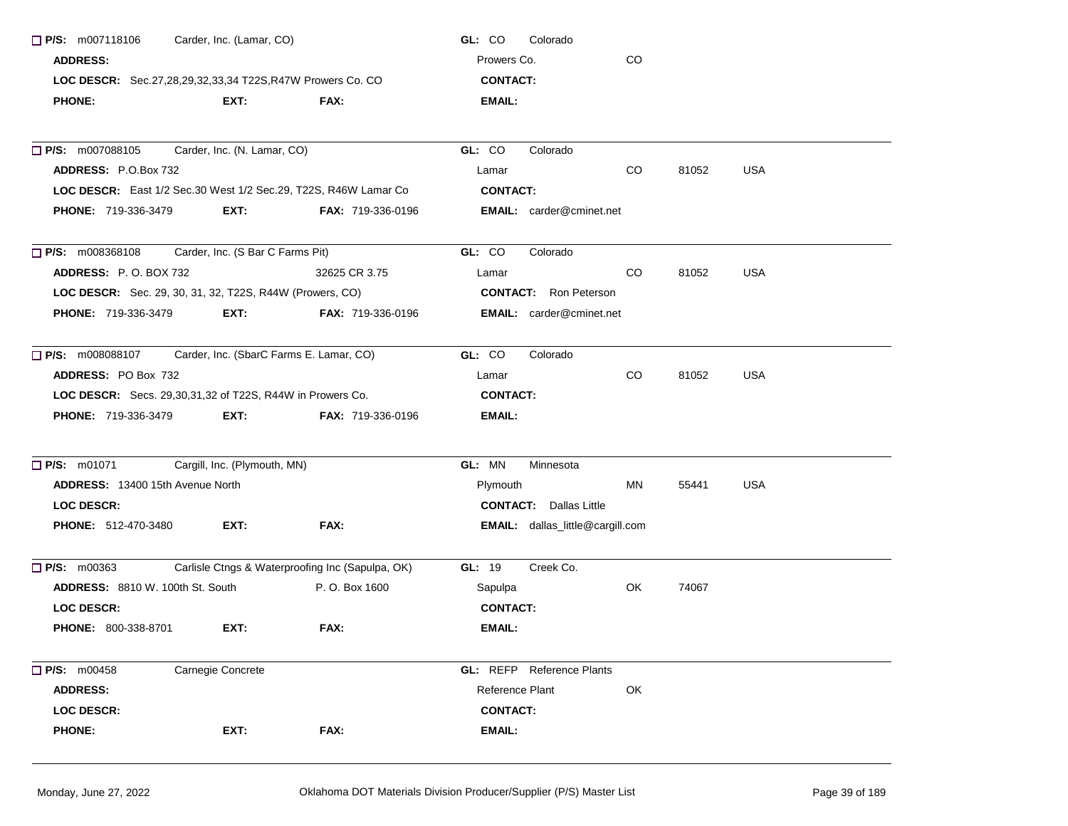| $\Box$ P/S: m007118106<br>Carder, Inc. (Lamar, CO)              |                                                  | GL: CO<br>Colorado                      |     |       |            |
|-----------------------------------------------------------------|--------------------------------------------------|-----------------------------------------|-----|-------|------------|
| <b>ADDRESS:</b>                                                 | Prowers Co.                                      | CO                                      |     |       |            |
| LOC DESCR: Sec.27,28,29,32,33,34 T22S,R47W Prowers Co. CO       | <b>CONTACT:</b>                                  |                                         |     |       |            |
| <b>PHONE:</b><br>EXT:                                           | FAX:                                             | EMAIL:                                  |     |       |            |
| $\Box$ P/S: m007088105<br>Carder, Inc. (N. Lamar, CO)           |                                                  | GL: CO<br>Colorado                      |     |       |            |
| ADDRESS: P.O.Box 732                                            |                                                  | Lamar                                   | CO  | 81052 | <b>USA</b> |
| LOC DESCR: East 1/2 Sec.30 West 1/2 Sec.29, T22S, R46W Lamar Co |                                                  | <b>CONTACT:</b>                         |     |       |            |
| <b>PHONE: 719-336-3479</b><br>EXT:                              | <b>FAX: 719-336-0196</b>                         | <b>EMAIL:</b> carder@cminet.net         |     |       |            |
| $\Box$ P/S: m008368108                                          | Carder, Inc. (S Bar C Farms Pit)                 | GL: CO<br>Colorado                      |     |       |            |
| <b>ADDRESS:</b> P.O. BOX 732                                    | 32625 CR 3.75                                    | Lamar                                   | CO. | 81052 | <b>USA</b> |
| LOC DESCR: Sec. 29, 30, 31, 32, T22S, R44W (Prowers, CO)        |                                                  | <b>CONTACT:</b> Ron Peterson            |     |       |            |
| <b>PHONE: 719-336-3479</b><br>EXT:                              | <b>FAX: 719-336-0196</b>                         | <b>EMAIL:</b> carder@cminet.net         |     |       |            |
| <b>P/S:</b> m008088107 Carder, Inc. (SbarC Farms E. Lamar, CO)  | GL: CO<br>Colorado                               |                                         |     |       |            |
| ADDRESS: PO Box 732                                             |                                                  | Lamar                                   | CO  | 81052 | <b>USA</b> |
| LOC DESCR: Secs. 29,30,31,32 of T22S, R44W in Prowers Co.       |                                                  | <b>CONTACT:</b>                         |     |       |            |
| EXT:<br><b>PHONE: 719-336-3479</b>                              | <b>FAX: 719-336-0196</b>                         | EMAIL:                                  |     |       |            |
| Cargill, Inc. (Plymouth, MN)<br><b>P/S:</b> m01071              |                                                  | GL: MN<br>Minnesota                     |     |       |            |
| ADDRESS: 13400 15th Avenue North                                |                                                  | Plymouth                                | ΜN  | 55441 | USA        |
| <b>LOC DESCR:</b>                                               |                                                  | <b>CONTACT:</b> Dallas Little           |     |       |            |
| <b>PHONE: 512-470-3480</b><br>EXT:                              | FAX:                                             | <b>EMAIL:</b> dallas_little@cargill.com |     |       |            |
| $\Box$ P/S: m00363                                              | Carlisle Ctngs & Waterproofing Inc (Sapulpa, OK) | Creek Co.<br><b>GL: 19</b>              |     |       |            |
| <b>ADDRESS: 8810 W. 100th St. South</b>                         | P. O. Box 1600                                   | Sapulpa                                 | OK  | 74067 |            |
| <b>LOC DESCR:</b>                                               |                                                  | <b>CONTACT:</b>                         |     |       |            |
| EXT:<br><b>PHONE: 800-338-8701</b>                              | FAX:                                             | EMAIL:                                  |     |       |            |
| $\Box$ P/S: m00458<br>Carnegie Concrete                         |                                                  | <b>GL:</b> REFP Reference Plants        |     |       |            |
| <b>ADDRESS:</b>                                                 |                                                  | Reference Plant                         | OK  |       |            |
| LOC DESCR:                                                      |                                                  | <b>CONTACT:</b>                         |     |       |            |
| <b>PHONE:</b><br>EXT:                                           | FAX:                                             | <b>EMAIL:</b>                           |     |       |            |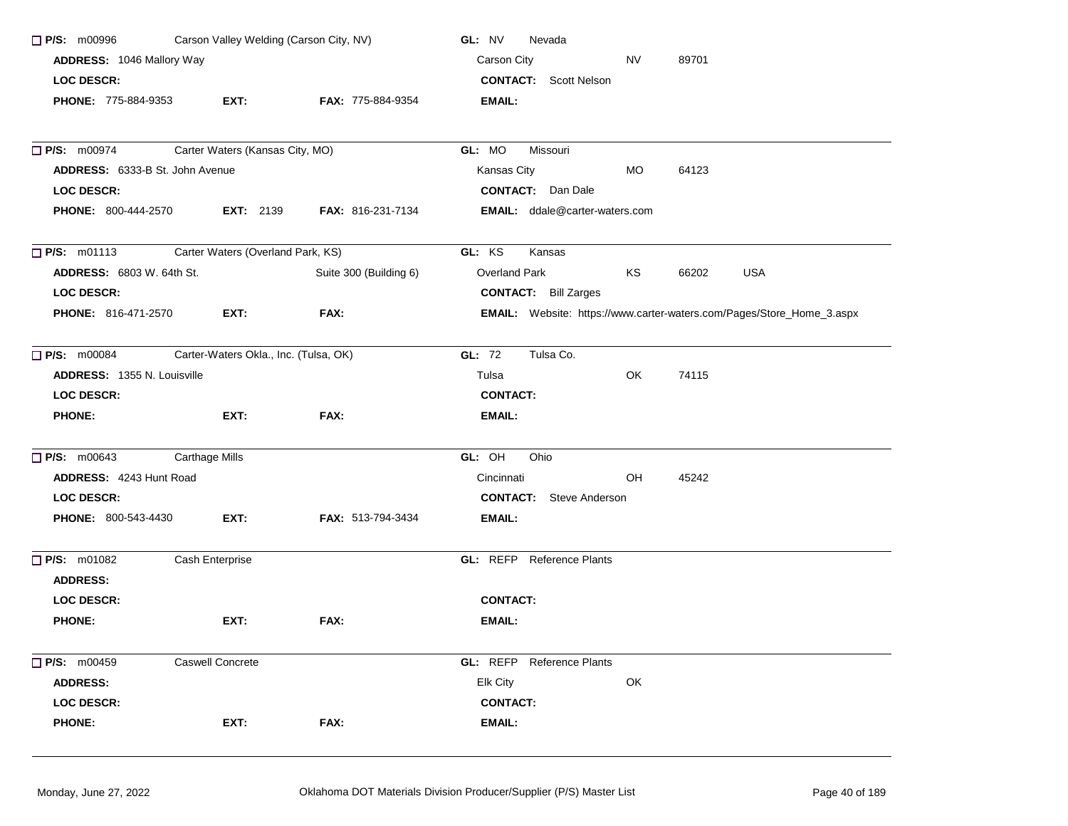| Carson Valley Welding (Carson City, NV)<br>$\Box$ P/S: m00996 |                                       |                          | GL: NV<br>Nevada                                                      |           |       |            |  |
|---------------------------------------------------------------|---------------------------------------|--------------------------|-----------------------------------------------------------------------|-----------|-------|------------|--|
| ADDRESS: 1046 Mallory Way                                     |                                       |                          | Carson City                                                           | <b>NV</b> | 89701 |            |  |
| <b>LOC DESCR:</b>                                             |                                       |                          | <b>CONTACT:</b> Scott Nelson                                          |           |       |            |  |
| PHONE: 775-884-9353                                           | EXT:                                  | <b>FAX: 775-884-9354</b> | <b>EMAIL:</b>                                                         |           |       |            |  |
| <b>P/S: m00974</b>                                            | Carter Waters (Kansas City, MO)       |                          | GL: MO<br>Missouri                                                    |           |       |            |  |
| <b>ADDRESS: 6333-B St. John Avenue</b>                        |                                       |                          | Kansas City                                                           | MO.       | 64123 |            |  |
| <b>LOC DESCR:</b>                                             |                                       |                          | <b>CONTACT:</b> Dan Dale                                              |           |       |            |  |
| <b>PHONE: 800-444-2570</b>                                    | <b>EXT: 2139</b>                      | <b>FAX: 816-231-7134</b> | <b>EMAIL:</b> ddale@carter-waters.com                                 |           |       |            |  |
| $\Box$ P/S: m01113                                            | Carter Waters (Overland Park, KS)     |                          | GL: KS<br>Kansas                                                      |           |       |            |  |
| ADDRESS: 6803 W. 64th St.                                     |                                       | Suite 300 (Building 6)   | Overland Park                                                         | KS        | 66202 | <b>USA</b> |  |
| LOC DESCR:                                                    |                                       |                          | <b>CONTACT:</b> Bill Zarges                                           |           |       |            |  |
| <b>PHONE: 816-471-2570</b>                                    | EXT:                                  | FAX:                     | EMAIL: Website: https://www.carter-waters.com/Pages/Store_Home_3.aspx |           |       |            |  |
| $\Box$ P/S: m00084                                            | Carter-Waters Okla., Inc. (Tulsa, OK) |                          | <b>GL: 72</b><br>Tulsa Co.                                            |           |       |            |  |
| <b>ADDRESS: 1355 N. Louisville</b>                            |                                       |                          | Tulsa                                                                 | OK        | 74115 |            |  |
| <b>LOC DESCR:</b>                                             |                                       |                          | <b>CONTACT:</b>                                                       |           |       |            |  |
| <b>PHONE:</b>                                                 | EXT:                                  | FAX:                     | <b>EMAIL:</b>                                                         |           |       |            |  |
| $\Box$ P/S: m00643                                            | <b>Carthage Mills</b>                 |                          | GL: OH<br>Ohio                                                        |           |       |            |  |
| <b>ADDRESS: 4243 Hunt Road</b>                                |                                       |                          | Cincinnati                                                            | OH        | 45242 |            |  |
| <b>LOC DESCR:</b>                                             |                                       |                          | <b>CONTACT:</b> Steve Anderson                                        |           |       |            |  |
| <b>PHONE: 800-543-4430</b>                                    | EXT:                                  | <b>FAX: 513-794-3434</b> | <b>EMAIL:</b>                                                         |           |       |            |  |
| $\Box$ P/S: m01082<br><b>ADDRESS:</b>                         | Cash Enterprise                       |                          | GL: REFP Reference Plants                                             |           |       |            |  |
| <b>LOC DESCR:</b>                                             |                                       |                          | <b>CONTACT:</b>                                                       |           |       |            |  |
| <b>PHONE:</b>                                                 | EXT:                                  | FAX:                     | EMAIL:                                                                |           |       |            |  |
| P/S: m00459                                                   | Caswell Concrete                      |                          | GL: REFP Reference Plants                                             |           |       |            |  |
| <b>ADDRESS:</b>                                               |                                       |                          | Elk City                                                              | OK        |       |            |  |
| <b>LOC DESCR:</b>                                             |                                       |                          | <b>CONTACT:</b>                                                       |           |       |            |  |
| <b>PHONE:</b>                                                 | EXT:                                  | FAX:                     | <b>EMAIL:</b>                                                         |           |       |            |  |
|                                                               |                                       |                          |                                                                       |           |       |            |  |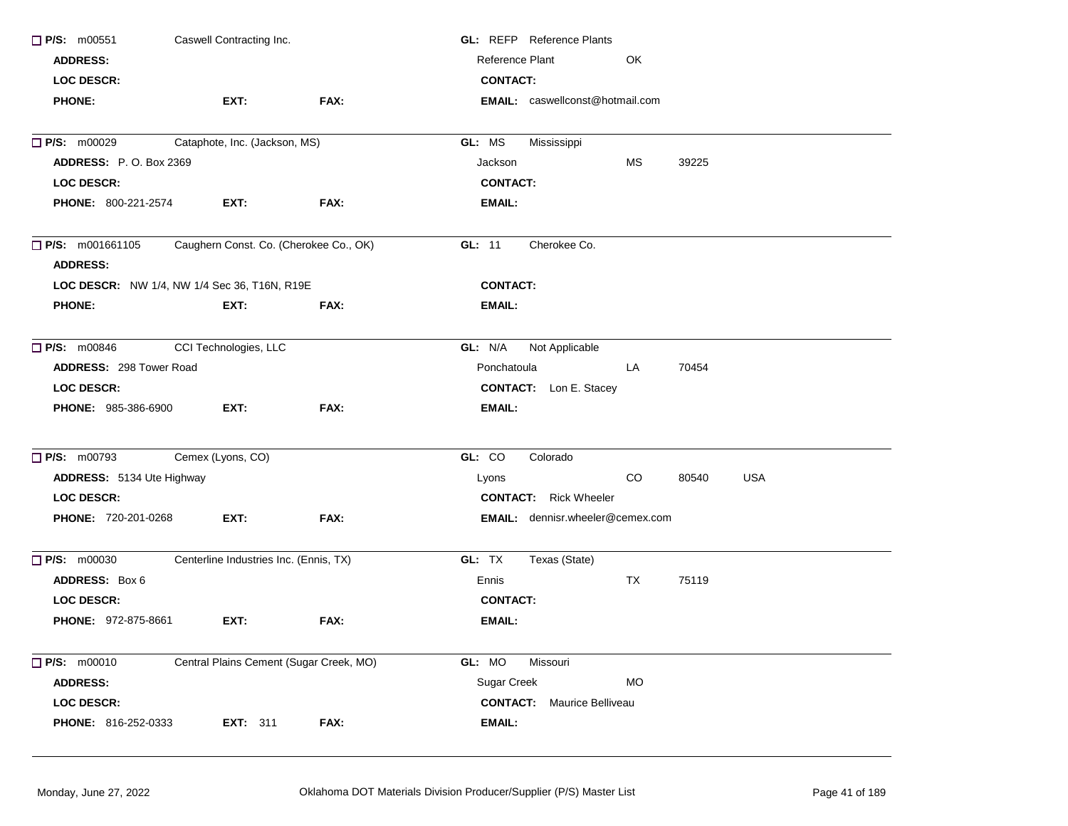| Caswell Contracting Inc.<br>$\Box$ P/S: m00551 |                                              |      | <b>GL:</b> REFP Reference Plants        |  |  |  |  |
|------------------------------------------------|----------------------------------------------|------|-----------------------------------------|--|--|--|--|
| <b>ADDRESS:</b>                                |                                              |      | Reference Plant<br>OK                   |  |  |  |  |
| <b>LOC DESCR:</b>                              |                                              |      | <b>CONTACT:</b>                         |  |  |  |  |
| <b>PHONE:</b>                                  | EXT:                                         | FAX: | EMAIL: caswellconst@hotmail.com         |  |  |  |  |
| <b>P/S: m00029</b>                             | Cataphote, Inc. (Jackson, MS)                |      | Mississippi<br>GL: MS                   |  |  |  |  |
| <b>ADDRESS: P.O. Box 2369</b>                  |                                              |      | Jackson<br>МS<br>39225                  |  |  |  |  |
| <b>LOC DESCR:</b>                              |                                              |      | <b>CONTACT:</b>                         |  |  |  |  |
| <b>PHONE: 800-221-2574</b>                     | EXT:                                         | FAX: | EMAIL:                                  |  |  |  |  |
| $\Box$ P/S: m001661105<br><b>ADDRESS:</b>      | Caughern Const. Co. (Cherokee Co., OK)       |      | Cherokee Co.<br>GL: $11$                |  |  |  |  |
|                                                | LOC DESCR: NW 1/4, NW 1/4 Sec 36, T16N, R19E |      | <b>CONTACT:</b>                         |  |  |  |  |
| <b>PHONE:</b>                                  | EXT:                                         | FAX: | EMAIL:                                  |  |  |  |  |
| $\Box$ P/S: m00846                             | CCI Technologies, LLC                        |      | GL: N/A<br>Not Applicable               |  |  |  |  |
| <b>ADDRESS: 298 Tower Road</b>                 |                                              |      | Ponchatoula<br>LA<br>70454              |  |  |  |  |
| <b>LOC DESCR:</b>                              |                                              |      | <b>CONTACT:</b> Lon E. Stacey           |  |  |  |  |
| PHONE: 985-386-6900                            | EXT:                                         | FAX: | <b>EMAIL:</b>                           |  |  |  |  |
| $\Box$ P/S: m00793                             | Cemex (Lyons, CO)                            |      | GL: CO<br>Colorado                      |  |  |  |  |
| ADDRESS: 5134 Ute Highway                      |                                              |      | CO<br><b>USA</b><br>Lyons<br>80540      |  |  |  |  |
| <b>LOC DESCR:</b>                              |                                              |      | <b>CONTACT:</b> Rick Wheeler            |  |  |  |  |
| <b>PHONE: 720-201-0268</b>                     | EXT:                                         | FAX: | <b>EMAIL:</b> dennisr.wheeler@cemex.com |  |  |  |  |
| $\Box$ P/S: m00030                             | Centerline Industries Inc. (Ennis, TX)       |      | GL: TX<br>Texas (State)                 |  |  |  |  |
| ADDRESS: Box 6                                 |                                              |      | TX<br>Ennis<br>75119                    |  |  |  |  |
| <b>LOC DESCR:</b>                              |                                              |      | <b>CONTACT:</b>                         |  |  |  |  |
| <b>PHONE: 972-875-8661</b>                     | EXT:                                         | FAX: | EMAIL:                                  |  |  |  |  |
| $\Box$ P/S: m00010                             | Central Plains Cement (Sugar Creek, MO)      |      | GL: MO<br><b>Missouri</b>               |  |  |  |  |
| <b>ADDRESS:</b>                                |                                              |      | Sugar Creek<br><b>MO</b>                |  |  |  |  |
| LOC DESCR:                                     |                                              |      | <b>CONTACT:</b> Maurice Belliveau       |  |  |  |  |
| PHONE: 816-252-0333                            | <b>EXT: 311</b>                              | FAX: | EMAIL:                                  |  |  |  |  |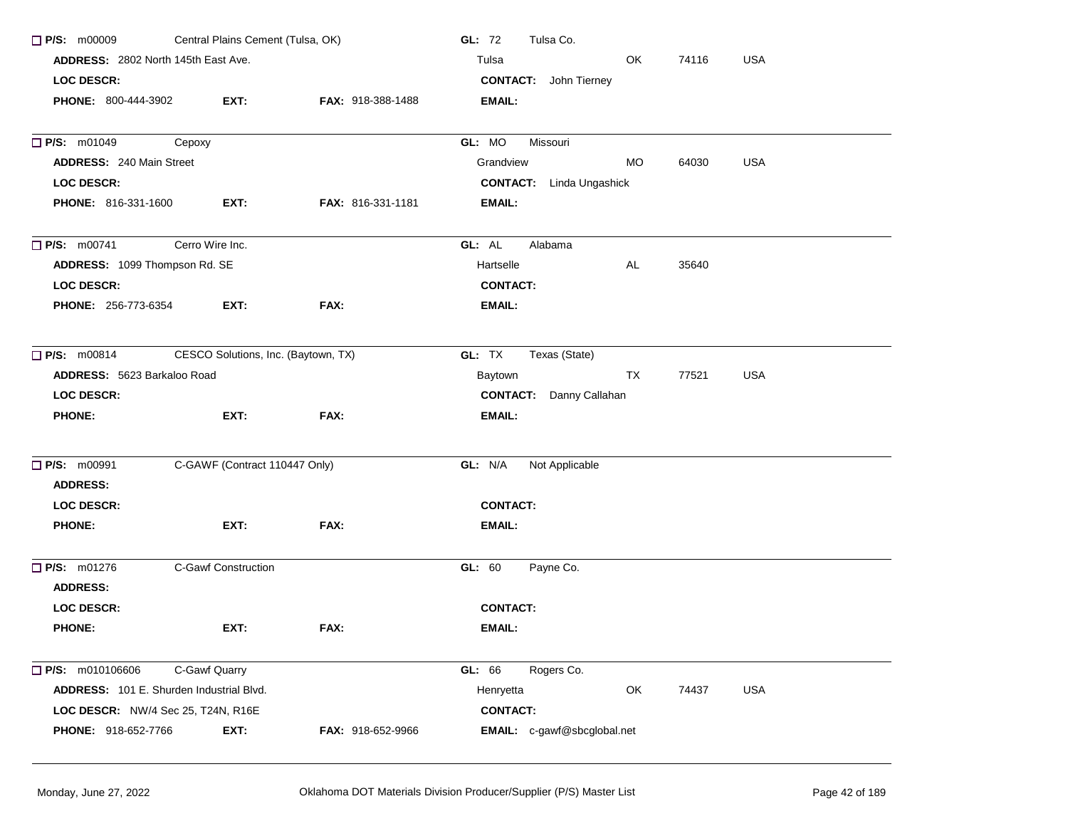| $\Box$ P/S: m00009                              | Central Plains Cement (Tulsa, OK)   |                          | GL: 72<br>Tulsa Co.                     |
|-------------------------------------------------|-------------------------------------|--------------------------|-----------------------------------------|
| <b>ADDRESS: 2802 North 145th East Ave.</b>      |                                     |                          | OK<br><b>USA</b><br>Tulsa<br>74116      |
| <b>LOC DESCR:</b>                               |                                     |                          | <b>CONTACT:</b> John Tierney            |
| <b>PHONE: 800-444-3902</b>                      | EXT:                                | FAX: 918-388-1488        | EMAIL:                                  |
| <b>P/S: m01049</b><br>Cepoxy                    |                                     |                          | GL: MO<br>Missouri                      |
| <b>ADDRESS: 240 Main Street</b>                 |                                     |                          | Grandview<br>MO.<br>64030<br><b>USA</b> |
| <b>LOC DESCR:</b>                               |                                     |                          | <b>CONTACT:</b> Linda Ungashick         |
| <b>PHONE: 816-331-1600</b>                      | EXT:                                | <b>FAX: 816-331-1181</b> | <b>EMAIL:</b>                           |
| $\Box$ P/S: m00741                              | Cerro Wire Inc.                     |                          | GL: AL<br>Alabama                       |
| ADDRESS: 1099 Thompson Rd. SE                   |                                     |                          | Hartselle<br>AL<br>35640                |
| <b>LOC DESCR:</b>                               |                                     |                          | <b>CONTACT:</b>                         |
| <b>PHONE: 256-773-6354</b>                      | EXT:                                | FAX:                     | <b>EMAIL:</b>                           |
| P/S: m00814                                     | CESCO Solutions, Inc. (Baytown, TX) |                          | GL: TX<br>Texas (State)                 |
| ADDRESS: 5623 Barkaloo Road                     |                                     |                          | Baytown<br>TX<br>77521<br><b>USA</b>    |
| <b>LOC DESCR:</b>                               |                                     |                          | <b>CONTACT:</b> Danny Callahan          |
| <b>PHONE:</b>                                   | EXT:                                | FAX:                     | <b>EMAIL:</b>                           |
| <b>P/S: m00991</b>                              | C-GAWF (Contract 110447 Only)       |                          | GL: N/A<br>Not Applicable               |
| <b>ADDRESS:</b>                                 |                                     |                          |                                         |
| <b>LOC DESCR:</b>                               |                                     |                          | <b>CONTACT:</b>                         |
| <b>PHONE:</b>                                   | EXT:                                | FAX:                     | <b>EMAIL:</b>                           |
| $\Box$ P/S: m01276                              | <b>C-Gawf Construction</b>          |                          | GL: 60<br>Payne Co.                     |
| <b>ADDRESS:</b>                                 |                                     |                          |                                         |
| LOC DESCR:                                      |                                     |                          | <b>CONTACT:</b>                         |
| <b>PHONE:</b>                                   | EXT:                                | FAX:                     | <b>EMAIL:</b>                           |
| $\Box$ P/S: m010106606                          | C-Gawf Quarry                       |                          | GL: 66<br>Rogers Co.                    |
| <b>ADDRESS:</b> 101 E. Shurden Industrial Blvd. |                                     |                          | OK<br><b>USA</b><br>Henryetta<br>74437  |
| LOC DESCR: NW/4 Sec 25, T24N, R16E              |                                     |                          | <b>CONTACT:</b>                         |
| <b>PHONE: 918-652-7766</b>                      | EXT:                                | FAX: 918-652-9966        | EMAIL: c-gawf@sbcglobal.net             |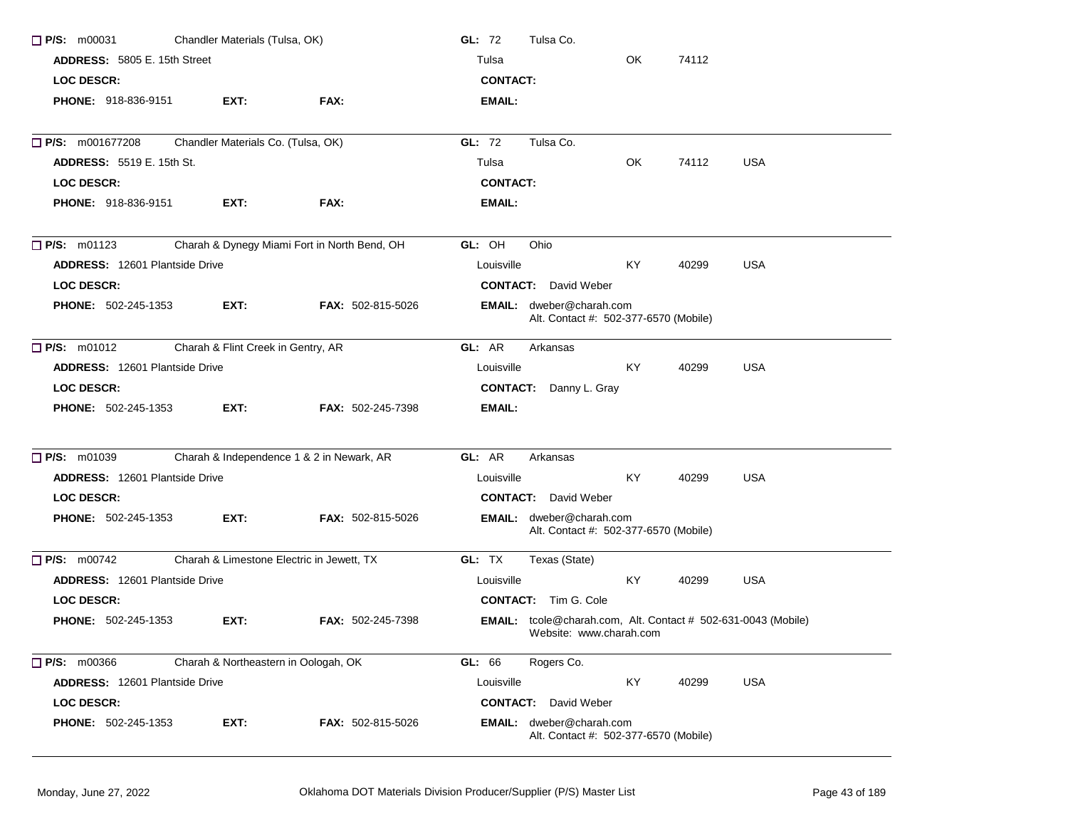| $\Box$ P/S: m00031                    | Chandler Materials (Tulsa, OK)            |                                              | GL: $72$<br>Tulsa Co.                                                                           |  |
|---------------------------------------|-------------------------------------------|----------------------------------------------|-------------------------------------------------------------------------------------------------|--|
| <b>ADDRESS: 5805 E. 15th Street</b>   |                                           |                                              | OK.<br>74112<br>Tulsa                                                                           |  |
| <b>LOC DESCR:</b>                     |                                           |                                              | <b>CONTACT:</b>                                                                                 |  |
| <b>PHONE: 918-836-9151</b>            | EXT:                                      | FAX:                                         | <b>EMAIL:</b>                                                                                   |  |
| $\Box$ P/S: m001677208                | Chandler Materials Co. (Tulsa, OK)        |                                              | GL: 72<br>Tulsa Co.                                                                             |  |
| <b>ADDRESS: 5519 E. 15th St.</b>      |                                           |                                              | <b>USA</b><br>OK<br>Tulsa<br>74112                                                              |  |
| <b>LOC DESCR:</b>                     |                                           |                                              | <b>CONTACT:</b>                                                                                 |  |
| <b>PHONE: 918-836-9151</b>            | EXT:                                      | FAX:                                         | EMAIL:                                                                                          |  |
| $\Box$ P/S: m01123                    |                                           | Charah & Dynegy Miami Fort in North Bend, OH | GL: OH<br>Ohio                                                                                  |  |
| <b>ADDRESS: 12601 Plantside Drive</b> |                                           |                                              | <b>KY</b><br><b>USA</b><br>40299<br>Louisville                                                  |  |
| <b>LOC DESCR:</b>                     |                                           |                                              | <b>CONTACT:</b> David Weber                                                                     |  |
| <b>PHONE: 502-245-1353</b>            | EXT:                                      | <b>FAX: 502-815-5026</b>                     | EMAIL: dweber@charah.com<br>Alt. Contact #: 502-377-6570 (Mobile)                               |  |
| $\Box$ P/S: m01012                    | Charah & Flint Creek in Gentry, AR        |                                              | GL: AR<br>Arkansas                                                                              |  |
| <b>ADDRESS: 12601 Plantside Drive</b> |                                           |                                              | KY.<br>40299<br><b>USA</b><br>Louisville                                                        |  |
| <b>LOC DESCR:</b>                     |                                           |                                              | <b>CONTACT:</b> Danny L. Gray                                                                   |  |
| <b>PHONE: 502-245-1353</b>            | EXT:                                      | <b>FAX: 502-245-7398</b>                     | EMAIL:                                                                                          |  |
| <b>P/S: m01039</b>                    |                                           | Charah & Independence 1 & 2 in Newark, AR    | GL: AR<br>Arkansas                                                                              |  |
| <b>ADDRESS: 12601 Plantside Drive</b> |                                           |                                              | KY.<br>40299<br><b>USA</b><br>Louisville                                                        |  |
| <b>LOC DESCR:</b>                     |                                           |                                              | <b>CONTACT:</b> David Weber                                                                     |  |
| <b>PHONE: 502-245-1353</b>            | EXT:                                      | FAX: 502-815-5026                            | EMAIL: dweber@charah.com<br>Alt. Contact #: 502-377-6570 (Mobile)                               |  |
| $\Box$ P/S: m00742                    | Charah & Limestone Electric in Jewett, TX |                                              | GL: TX<br>Texas (State)                                                                         |  |
| <b>ADDRESS: 12601 Plantside Drive</b> |                                           |                                              | KY<br>40299<br><b>USA</b><br>Louisville                                                         |  |
| <b>LOC DESCR:</b>                     |                                           |                                              | <b>CONTACT:</b> Tim G. Cole                                                                     |  |
| <b>PHONE: 502-245-1353</b>            | EXT:                                      | FAX: 502-245-7398                            | <b>EMAIL:</b> tcole@charah.com, Alt. Contact # 502-631-0043 (Mobile)<br>Website: www.charah.com |  |
| $\Box$ P/S: m00366                    | Charah & Northeastern in Oologah, OK      |                                              | GL: 66<br>Rogers Co.                                                                            |  |
| ADDRESS: 12601 Plantside Drive        |                                           |                                              | <b>USA</b><br>Louisville<br>KY<br>40299                                                         |  |
| LOC DESCR:                            |                                           |                                              | <b>CONTACT:</b> David Weber                                                                     |  |
| <b>PHONE: 502-245-1353</b>            | EXT:                                      | FAX: 502-815-5026                            | <b>EMAIL:</b> dweber@charah.com<br>Alt. Contact #: 502-377-6570 (Mobile)                        |  |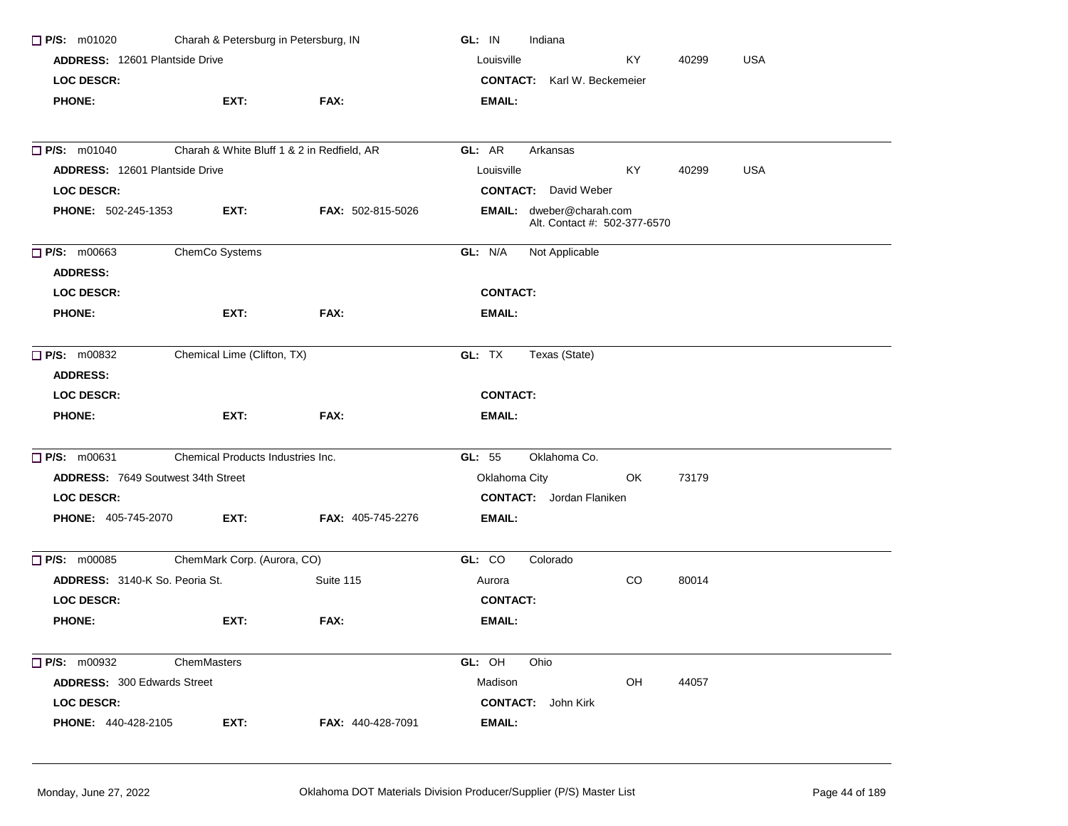| Charah & Petersburg in Petersburg, IN<br>$\Box$ P/S: m01020 |                                            |                          | GL: IN<br>Indiana                                        |  |  |  |  |
|-------------------------------------------------------------|--------------------------------------------|--------------------------|----------------------------------------------------------|--|--|--|--|
| <b>ADDRESS: 12601 Plantside Drive</b>                       |                                            |                          | <b>USA</b><br>Louisville<br>KY.<br>40299                 |  |  |  |  |
| <b>LOC DESCR:</b>                                           |                                            |                          | <b>CONTACT:</b> Karl W. Beckemeier                       |  |  |  |  |
| <b>PHONE:</b>                                               | EXT:                                       | FAX:                     | <b>EMAIL:</b>                                            |  |  |  |  |
|                                                             |                                            |                          |                                                          |  |  |  |  |
| $\Box$ P/S: m01040                                          | Charah & White Bluff 1 & 2 in Redfield, AR |                          | GL: AR<br>Arkansas                                       |  |  |  |  |
| ADDRESS: 12601 Plantside Drive                              |                                            |                          | Louisville<br>KY.<br>40299<br><b>USA</b>                 |  |  |  |  |
| <b>LOC DESCR:</b>                                           |                                            |                          | <b>CONTACT:</b> David Weber                              |  |  |  |  |
| <b>PHONE: 502-245-1353</b>                                  | EXT:                                       | <b>FAX: 502-815-5026</b> | EMAIL: dweber@charah.com<br>Alt. Contact #: 502-377-6570 |  |  |  |  |
| $\Box$ P/S: m00663                                          | ChemCo Systems                             |                          | GL: N/A<br>Not Applicable                                |  |  |  |  |
| <b>ADDRESS:</b>                                             |                                            |                          |                                                          |  |  |  |  |
| <b>LOC DESCR:</b>                                           |                                            |                          | <b>CONTACT:</b>                                          |  |  |  |  |
| <b>PHONE:</b>                                               | EXT:                                       | FAX:                     | EMAIL:                                                   |  |  |  |  |
| $\Box$ P/S: m00832                                          | Chemical Lime (Clifton, TX)                |                          | GL: TX<br>Texas (State)                                  |  |  |  |  |
| <b>ADDRESS:</b>                                             |                                            |                          |                                                          |  |  |  |  |
| LOC DESCR:                                                  |                                            |                          | <b>CONTACT:</b>                                          |  |  |  |  |
| <b>PHONE:</b>                                               | EXT:                                       | FAX:                     | <b>EMAIL:</b>                                            |  |  |  |  |
| $\Box$ P/S: m00631                                          | Chemical Products Industries Inc.          |                          | Oklahoma Co.<br>GL: 55                                   |  |  |  |  |
| <b>ADDRESS: 7649 Soutwest 34th Street</b>                   |                                            |                          | Oklahoma City<br>OK.<br>73179                            |  |  |  |  |
| <b>LOC DESCR:</b>                                           |                                            |                          | <b>CONTACT:</b> Jordan Flaniken                          |  |  |  |  |
| <b>PHONE: 405-745-2070</b>                                  | EXT:                                       | <b>FAX: 405-745-2276</b> | <b>EMAIL:</b>                                            |  |  |  |  |
| $\Box$ P/S: m00085                                          | ChemMark Corp. (Aurora, CO)                |                          | GL: CO<br>Colorado                                       |  |  |  |  |
| <b>ADDRESS:</b> 3140-K So. Peoria St.                       |                                            | Suite 115                | CO<br>80014<br>Aurora                                    |  |  |  |  |
| <b>LOC DESCR:</b>                                           |                                            |                          | <b>CONTACT:</b>                                          |  |  |  |  |
| <b>PHONE:</b>                                               | EXT:                                       | FAX:                     | <b>EMAIL:</b>                                            |  |  |  |  |
| $\Box$ P/S: m00932                                          | ChemMasters                                |                          | Ohio<br>GL: OH                                           |  |  |  |  |
| <b>ADDRESS: 300 Edwards Street</b>                          |                                            |                          | Madison<br>OH<br>44057                                   |  |  |  |  |
| <b>LOC DESCR:</b>                                           |                                            |                          | <b>CONTACT:</b> John Kirk                                |  |  |  |  |
| <b>PHONE: 440-428-2105</b>                                  | EXT:                                       | <b>FAX: 440-428-7091</b> | <b>EMAIL:</b>                                            |  |  |  |  |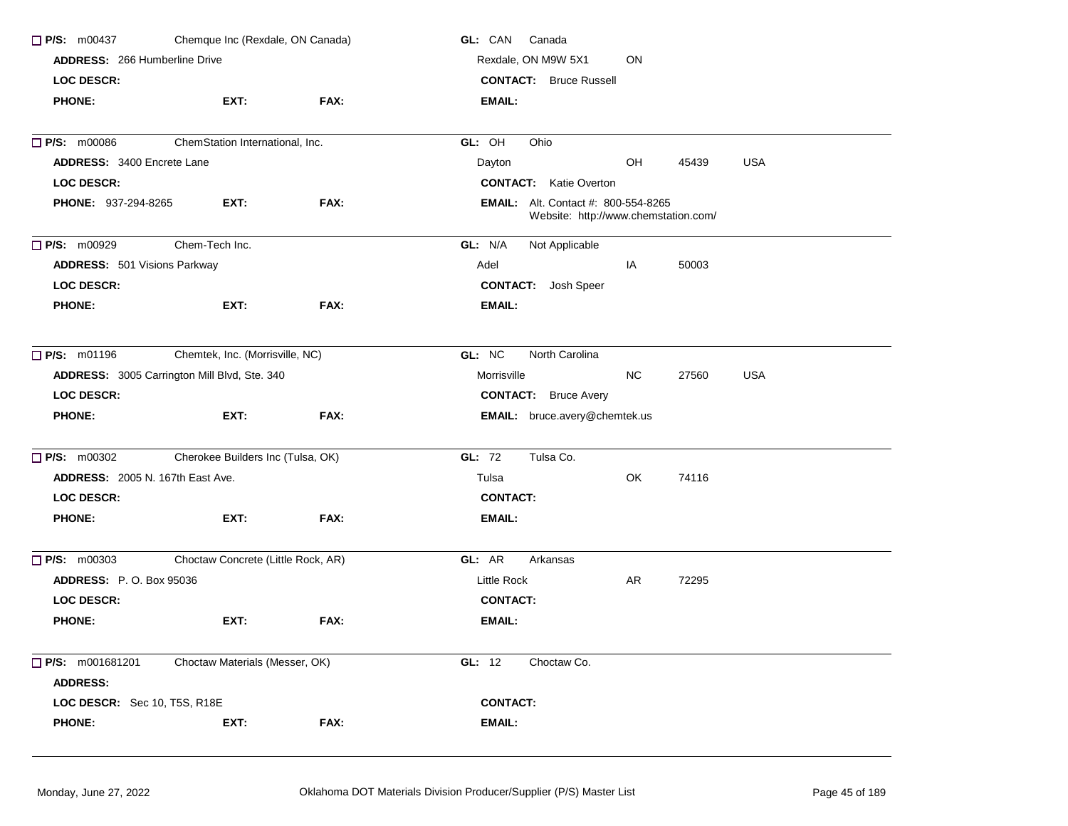| $\Box$ P/S: m00437<br>Chemque Inc (Rexdale, ON Canada)<br><b>ADDRESS: 266 Humberline Drive</b> |                                              |      | GL: CAN<br>Canada                                                                  |  |  |  |  |
|------------------------------------------------------------------------------------------------|----------------------------------------------|------|------------------------------------------------------------------------------------|--|--|--|--|
|                                                                                                |                                              |      | ON<br>Rexdale, ON M9W 5X1                                                          |  |  |  |  |
| <b>LOC DESCR:</b>                                                                              |                                              |      | <b>CONTACT:</b> Bruce Russell                                                      |  |  |  |  |
| <b>PHONE:</b>                                                                                  | EXT:                                         | FAX: | <b>EMAIL:</b>                                                                      |  |  |  |  |
| P/S: m00086                                                                                    | ChemStation International, Inc.              |      | GL: OH<br>Ohio                                                                     |  |  |  |  |
| <b>ADDRESS: 3400 Encrete Lane</b>                                                              |                                              |      | Dayton<br>OH<br>45439<br>USA                                                       |  |  |  |  |
| <b>LOC DESCR:</b>                                                                              |                                              |      | <b>CONTACT:</b> Katie Overton                                                      |  |  |  |  |
| <b>PHONE: 937-294-8265</b>                                                                     | EXT:                                         | FAX: | <b>EMAIL:</b> Alt. Contact #: 800-554-8265<br>Website: http://www.chemstation.com/ |  |  |  |  |
| P/S: m00929                                                                                    | Chem-Tech Inc.                               |      | GL: N/A<br>Not Applicable                                                          |  |  |  |  |
| <b>ADDRESS:</b> 501 Visions Parkway                                                            |                                              |      | Adel<br>IA<br>50003                                                                |  |  |  |  |
| <b>LOC DESCR:</b>                                                                              |                                              |      | <b>CONTACT:</b> Josh Speer                                                         |  |  |  |  |
| <b>PHONE:</b>                                                                                  | EXT:                                         | FAX: | EMAIL:                                                                             |  |  |  |  |
| $\Box$ P/S: m01196                                                                             | Chemtek, Inc. (Morrisville, NC)              |      | GL: NC<br>North Carolina                                                           |  |  |  |  |
|                                                                                                | ADDRESS: 3005 Carrington Mill Blvd, Ste. 340 |      | <b>NC</b><br><b>USA</b><br>Morrisville<br>27560                                    |  |  |  |  |
| <b>LOC DESCR:</b>                                                                              |                                              |      | <b>CONTACT:</b> Bruce Avery                                                        |  |  |  |  |
| <b>PHONE:</b>                                                                                  | EXT:                                         | FAX: | EMAIL: bruce.avery@chemtek.us                                                      |  |  |  |  |
| P/S: m00302                                                                                    | Cherokee Builders Inc (Tulsa, OK)            |      | GL: 72<br>Tulsa Co.                                                                |  |  |  |  |
| <b>ADDRESS: 2005 N. 167th East Ave.</b>                                                        |                                              |      | OK<br>Tulsa<br>74116                                                               |  |  |  |  |
| <b>LOC DESCR:</b>                                                                              |                                              |      | <b>CONTACT:</b>                                                                    |  |  |  |  |
| <b>PHONE:</b>                                                                                  | EXT:                                         | FAX: | EMAIL:                                                                             |  |  |  |  |
| $\Box$ P/S: m00303                                                                             | Choctaw Concrete (Little Rock, AR)           |      | GL: AR<br>Arkansas                                                                 |  |  |  |  |
| <b>ADDRESS: P.O. Box 95036</b>                                                                 |                                              |      | Little Rock<br>AR<br>72295                                                         |  |  |  |  |
| <b>LOC DESCR:</b>                                                                              |                                              |      | <b>CONTACT:</b>                                                                    |  |  |  |  |
| <b>PHONE:</b>                                                                                  | EXT:                                         | FAX: | EMAIL:                                                                             |  |  |  |  |
| P/S: m001681201<br><b>ADDRESS:</b>                                                             | Choctaw Materials (Messer, OK)               |      | GL: 12<br>Choctaw Co.                                                              |  |  |  |  |
| <b>LOC DESCR:</b> Sec 10, T5S, R18E                                                            |                                              |      | <b>CONTACT:</b>                                                                    |  |  |  |  |
| <b>PHONE:</b>                                                                                  | EXT:                                         | FAX: | EMAIL:                                                                             |  |  |  |  |
|                                                                                                |                                              |      |                                                                                    |  |  |  |  |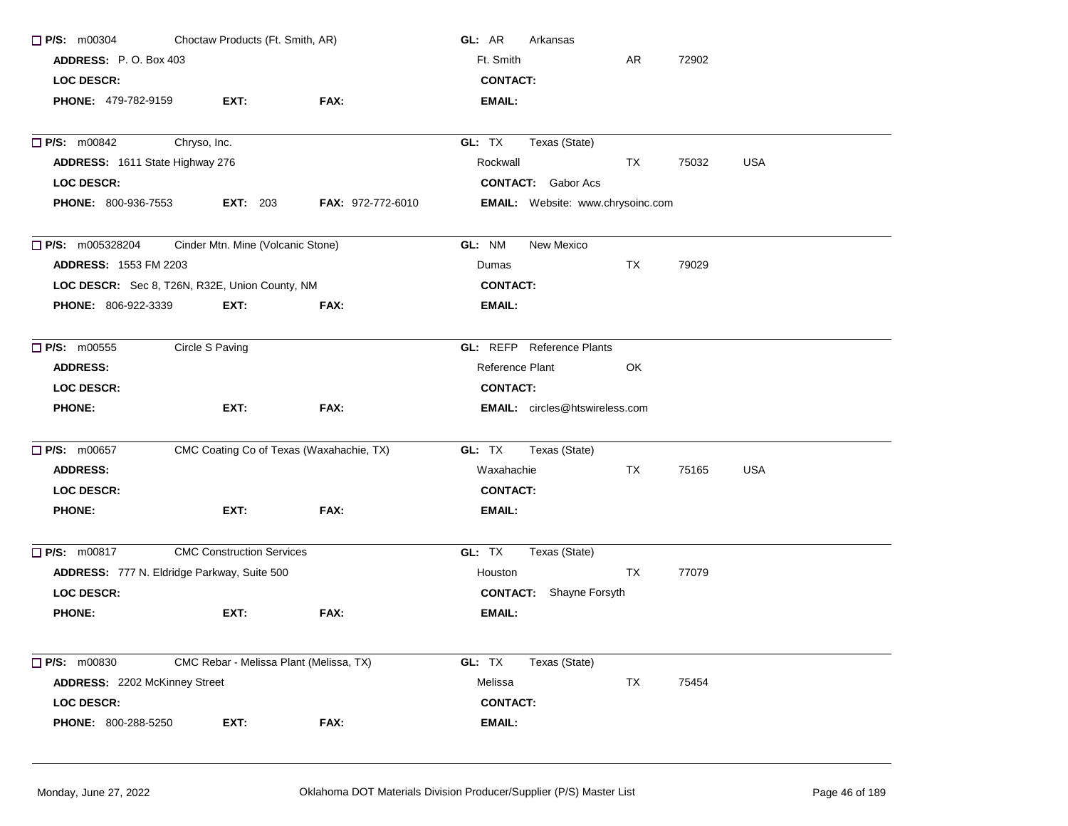| $\Box$ P/S: m00304                                          | Choctaw Products (Ft. Smith, AR)         |                          | GL: AR<br>Arkansas                    |           |       |            |
|-------------------------------------------------------------|------------------------------------------|--------------------------|---------------------------------------|-----------|-------|------------|
| ADDRESS: P.O. Box 403                                       |                                          |                          | Ft. Smith                             | AR        | 72902 |            |
| <b>LOC DESCR:</b>                                           |                                          |                          | <b>CONTACT:</b>                       |           |       |            |
| <b>PHONE: 479-782-9159</b>                                  | EXT:                                     | FAX:                     | EMAIL:                                |           |       |            |
| <b>P/S: m00842</b>                                          | Chryso, Inc.                             |                          | GL: TX<br>Texas (State)               |           |       |            |
| ADDRESS: 1611 State Highway 276                             |                                          |                          | Rockwall                              | TX        | 75032 | <b>USA</b> |
| <b>LOC DESCR:</b>                                           |                                          |                          | <b>CONTACT:</b> Gabor Acs             |           |       |            |
| <b>PHONE: 800-936-7553</b>                                  | <b>EXT:</b> 203                          | <b>FAX: 972-772-6010</b> | EMAIL: Website: www.chrysoinc.com     |           |       |            |
| Cinder Mtn. Mine (Volcanic Stone)<br>$\Box$ P/S: m005328204 | GL: NM<br>New Mexico                     |                          |                                       |           |       |            |
| <b>ADDRESS: 1553 FM 2203</b>                                |                                          |                          | Dumas                                 | <b>TX</b> | 79029 |            |
| LOC DESCR: Sec 8, T26N, R32E, Union County, NM              |                                          |                          | <b>CONTACT:</b>                       |           |       |            |
| PHONE: 806-922-3339                                         | EXT:                                     | FAX:                     | <b>EMAIL:</b>                         |           |       |            |
| $\Box$ P/S: m00555                                          | Circle S Paving                          |                          | <b>GL:</b> REFP Reference Plants      |           |       |            |
| <b>ADDRESS:</b>                                             |                                          |                          | Reference Plant                       | OK        |       |            |
| <b>LOC DESCR:</b>                                           |                                          |                          | <b>CONTACT:</b>                       |           |       |            |
| <b>PHONE:</b>                                               | EXT:                                     | FAX:                     | <b>EMAIL:</b> circles@htswireless.com |           |       |            |
| $\Box$ P/S: m00657                                          | CMC Coating Co of Texas (Waxahachie, TX) |                          | GL: TX<br>Texas (State)               |           |       |            |
| <b>ADDRESS:</b>                                             |                                          |                          | Waxahachie                            | TX        | 75165 | <b>USA</b> |
| <b>LOC DESCR:</b>                                           |                                          |                          | <b>CONTACT:</b>                       |           |       |            |
| <b>PHONE:</b>                                               | EXT:                                     | FAX:                     | <b>EMAIL:</b>                         |           |       |            |
| $\Box$ P/S: m00817                                          | <b>CMC Construction Services</b>         |                          | GL: TX<br>Texas (State)               |           |       |            |
| ADDRESS: 777 N. Eldridge Parkway, Suite 500                 |                                          |                          | Houston                               | <b>TX</b> | 77079 |            |
| <b>LOC DESCR:</b>                                           |                                          |                          | <b>CONTACT:</b> Shayne Forsyth        |           |       |            |
| <b>PHONE:</b>                                               | EXT:                                     | FAX:                     | EMAIL:                                |           |       |            |
| P/S: m00830                                                 | CMC Rebar - Melissa Plant (Melissa, TX)  |                          | GL: TX<br>Texas (State)               |           |       |            |
| ADDRESS: 2202 McKinney Street                               |                                          |                          | Melissa                               | TX        | 75454 |            |
| LOC DESCR:                                                  |                                          |                          | <b>CONTACT:</b>                       |           |       |            |
| PHONE: 800-288-5250                                         | EXT:                                     | FAX:                     | <b>EMAIL:</b>                         |           |       |            |
|                                                             |                                          |                          |                                       |           |       |            |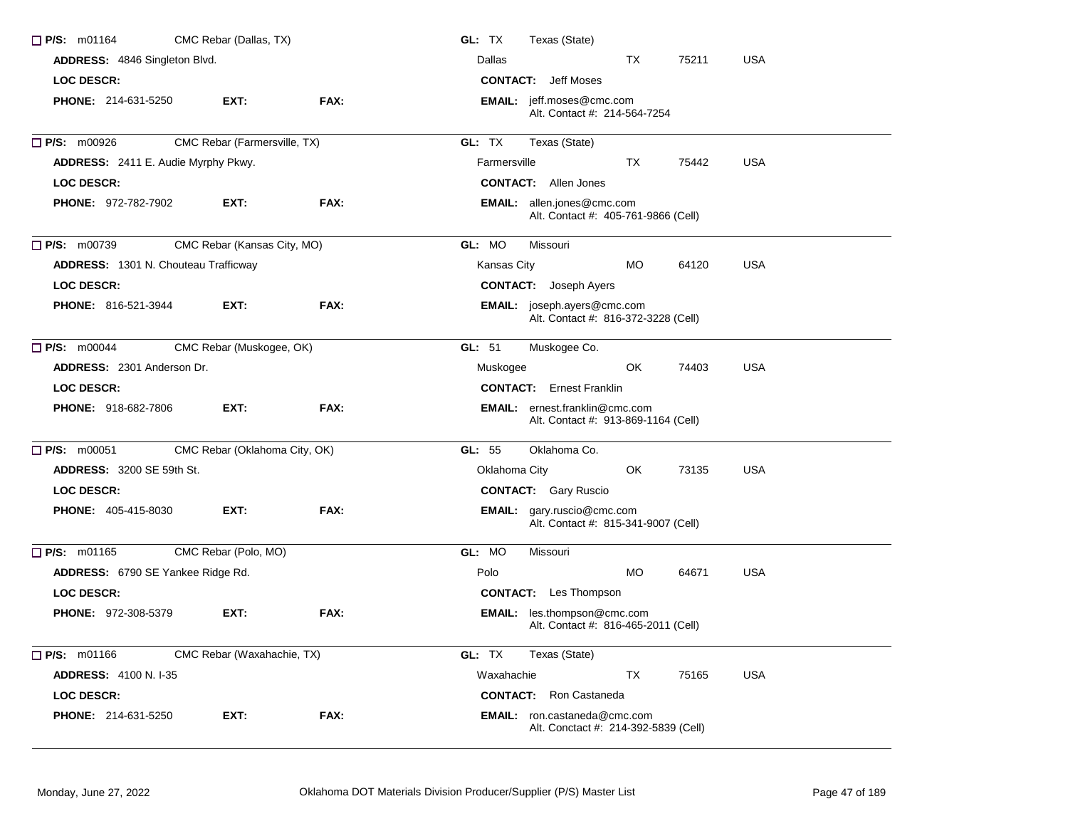| $\Box$ P/S: m01164                   | CMC Rebar (Dallas, TX)        |      | GL: TX<br>Texas (State)                                                      |
|--------------------------------------|-------------------------------|------|------------------------------------------------------------------------------|
| ADDRESS: 4846 Singleton Blvd.        |                               |      | Dallas<br>TX.<br>75211<br><b>USA</b>                                         |
| <b>LOC DESCR:</b>                    |                               |      | <b>CONTACT:</b> Jeff Moses                                                   |
| <b>PHONE: 214-631-5250</b>           | EXT:                          | FAX: | <b>EMAIL:</b> jeff.moses@cmc.com<br>Alt. Contact #: 214-564-7254             |
| $\Box$ P/S: m00926                   | CMC Rebar (Farmersville, TX)  |      | GL: TX<br>Texas (State)                                                      |
| ADDRESS: 2411 E. Audie Myrphy Pkwy.  |                               |      | <b>USA</b><br>Farmersville<br>TX<br>75442                                    |
| <b>LOC DESCR:</b>                    |                               |      | <b>CONTACT:</b> Allen Jones                                                  |
| <b>PHONE: 972-782-7902</b>           | EXT:                          | FAX: | <b>EMAIL:</b> allen.jones@cmc.com<br>Alt. Contact #: 405-761-9866 (Cell)     |
| $\Box$ P/S: m00739                   | CMC Rebar (Kansas City, MO)   |      | GL: MO<br>Missouri                                                           |
| ADDRESS: 1301 N. Chouteau Trafficway |                               |      | Kansas City<br><b>MO</b><br>64120<br><b>USA</b>                              |
| <b>LOC DESCR:</b>                    |                               |      | <b>CONTACT:</b> Joseph Ayers                                                 |
| <b>PHONE: 816-521-3944</b>           | EXT:                          | FAX: | <b>EMAIL:</b> joseph.ayers@cmc.com<br>Alt. Contact #: 816-372-3228 (Cell)    |
| $\Box$ P/S: m00044                   | CMC Rebar (Muskogee, OK)      |      | GL: $51$<br>Muskogee Co.                                                     |
| ADDRESS: 2301 Anderson Dr.           |                               |      | OK<br>74403<br><b>USA</b><br>Muskogee                                        |
| <b>LOC DESCR:</b>                    |                               |      | <b>CONTACT:</b> Ernest Franklin                                              |
| <b>PHONE: 918-682-7806</b>           | EXT:                          | FAX: | <b>EMAIL:</b> ernest.franklin@cmc.com<br>Alt. Contact #: 913-869-1164 (Cell) |
| $\Box$ P/S: m00051                   | CMC Rebar (Oklahoma City, OK) |      | Oklahoma Co.<br>GL: 55                                                       |
| <b>ADDRESS: 3200 SE 59th St.</b>     |                               |      | 73135<br><b>USA</b><br>Oklahoma City<br>OK                                   |
| LOC DESCR:                           |                               |      | <b>CONTACT:</b> Gary Ruscio                                                  |
| <b>PHONE: 405-415-8030</b>           | EXT:                          | FAX: | <b>EMAIL:</b> gary.ruscio@cmc.com<br>Alt. Contact #: 815-341-9007 (Cell)     |
| $\Box$ P/S: m01165                   | CMC Rebar (Polo, MO)          |      | GL: MO<br>Missouri                                                           |
| ADDRESS: 6790 SE Yankee Ridge Rd.    |                               |      | <b>MO</b><br>64671<br><b>USA</b><br>Polo                                     |
| <b>LOC DESCR:</b>                    |                               |      | <b>CONTACT:</b> Les Thompson                                                 |
| <b>PHONE: 972-308-5379</b>           | EXT:                          | FAX: | EMAIL: les.thompson@cmc.com<br>Alt. Contact #: 816-465-2011 (Cell)           |
| $\Box$ P/S: m01166                   | CMC Rebar (Waxahachie, TX)    |      | GL: TX<br>Texas (State)                                                      |
| <b>ADDRESS: 4100 N.I-35</b>          |                               |      | TX<br>75165<br><b>USA</b><br>Waxahachie                                      |
| <b>LOC DESCR:</b>                    |                               |      | <b>CONTACT:</b> Ron Castaneda                                                |
| PHONE: 214-631-5250                  | EXT:                          | FAX: | <b>EMAIL:</b> ron.castaneda@cmc.com<br>Alt. Conctact #: 214-392-5839 (Cell)  |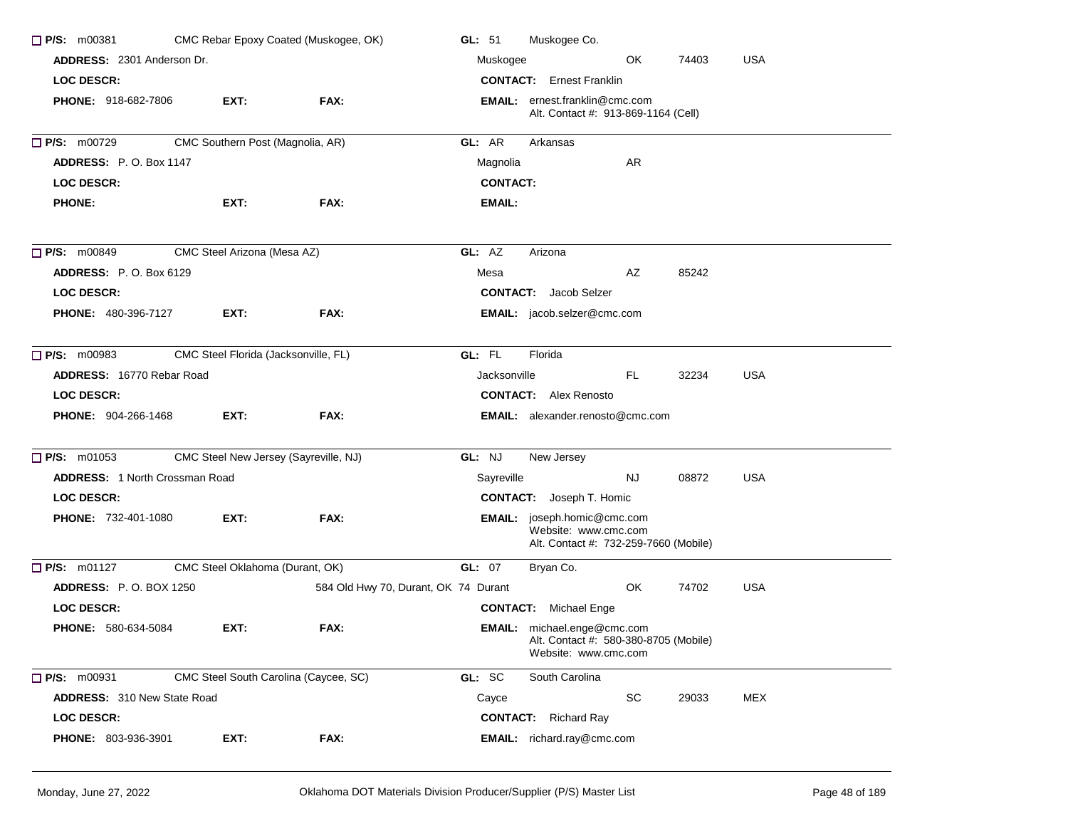| CMC Rebar Epoxy Coated (Muskogee, OK)<br>$\Box$ P/S: m00381 |                                       |                                      | Muskogee Co.<br>GL: $51$                                                                     |  |  |  |
|-------------------------------------------------------------|---------------------------------------|--------------------------------------|----------------------------------------------------------------------------------------------|--|--|--|
| ADDRESS: 2301 Anderson Dr.                                  |                                       |                                      | OK<br>74403<br><b>USA</b><br>Muskogee                                                        |  |  |  |
| <b>LOC DESCR:</b>                                           |                                       |                                      | <b>CONTACT:</b> Ernest Franklin                                                              |  |  |  |
| <b>PHONE: 918-682-7806</b>                                  | EXT:                                  | FAX:                                 | <b>EMAIL:</b> ernest.franklin@cmc.com<br>Alt. Contact #: 913-869-1164 (Cell)                 |  |  |  |
| <b>P/S: m00729</b>                                          | CMC Southern Post (Magnolia, AR)      |                                      | GL: AR<br>Arkansas                                                                           |  |  |  |
| <b>ADDRESS: P.O. Box 1147</b>                               |                                       |                                      | AR<br>Magnolia                                                                               |  |  |  |
| <b>LOC DESCR:</b>                                           |                                       |                                      | <b>CONTACT:</b>                                                                              |  |  |  |
| <b>PHONE:</b>                                               | EXT:                                  | FAX:                                 | EMAIL:                                                                                       |  |  |  |
| $\Box$ P/S: m00849                                          | CMC Steel Arizona (Mesa AZ)           |                                      | GL: AZ<br>Arizona                                                                            |  |  |  |
| <b>ADDRESS:</b> P.O. Box 6129                               |                                       |                                      | AZ<br>85242<br>Mesa                                                                          |  |  |  |
| <b>LOC DESCR:</b>                                           |                                       |                                      | <b>CONTACT:</b> Jacob Selzer                                                                 |  |  |  |
| <b>PHONE: 480-396-7127</b>                                  | EXT:                                  | FAX:                                 | EMAIL: jacob.selzer@cmc.com                                                                  |  |  |  |
| $\Box$ P/S: m00983                                          | CMC Steel Florida (Jacksonville, FL)  |                                      | GL: FL<br>Florida                                                                            |  |  |  |
| ADDRESS: 16770 Rebar Road                                   |                                       |                                      | <b>USA</b><br>Jacksonville<br>FL.<br>32234                                                   |  |  |  |
| <b>LOC DESCR:</b>                                           |                                       |                                      | <b>CONTACT:</b> Alex Renosto                                                                 |  |  |  |
| <b>PHONE: 904-266-1468</b>                                  | EXT:                                  | FAX:                                 | <b>EMAIL:</b> alexander.renosto@cmc.com                                                      |  |  |  |
| $\Box$ P/S: m01053                                          | CMC Steel New Jersey (Sayreville, NJ) |                                      | GL: NJ<br>New Jersey                                                                         |  |  |  |
| ADDRESS: 1 North Crossman Road                              |                                       |                                      | Sayreville<br>NJ.<br>08872<br><b>USA</b>                                                     |  |  |  |
| <b>LOC DESCR:</b>                                           |                                       |                                      | <b>CONTACT:</b> Joseph T. Homic                                                              |  |  |  |
| <b>PHONE: 732-401-1080</b>                                  | EXT:                                  | FAX:                                 | EMAIL: joseph.homic@cmc.com<br>Website: www.cmc.com<br>Alt. Contact #: 732-259-7660 (Mobile) |  |  |  |
| $\Box$ P/S: m01127                                          | CMC Steel Oklahoma (Durant, OK)       |                                      | GL: 07<br>Bryan Co.                                                                          |  |  |  |
| <b>ADDRESS: P.O. BOX 1250</b>                               |                                       | 584 Old Hwy 70, Durant, OK 74 Durant | OK.<br>74702<br><b>USA</b>                                                                   |  |  |  |
| <b>LOC DESCR:</b>                                           |                                       |                                      | <b>CONTACT:</b> Michael Enge                                                                 |  |  |  |
| <b>PHONE: 580-634-5084</b>                                  | EXT:                                  | FAX:                                 | EMAIL: michael.enge@cmc.com<br>Alt. Contact #: 580-380-8705 (Mobile)<br>Website: www.cmc.com |  |  |  |
| $\Box$ P/S: m00931                                          | CMC Steel South Carolina (Caycee, SC) |                                      | GL: SC<br>South Carolina                                                                     |  |  |  |
| ADDRESS: 310 New State Road                                 |                                       |                                      | SC<br>Cayce<br>29033<br>MEX                                                                  |  |  |  |
| <b>LOC DESCR:</b>                                           |                                       |                                      | <b>CONTACT:</b> Richard Ray                                                                  |  |  |  |
| PHONE: 803-936-3901                                         | EXT:                                  | FAX:                                 | <b>EMAIL:</b> richard.ray@cmc.com                                                            |  |  |  |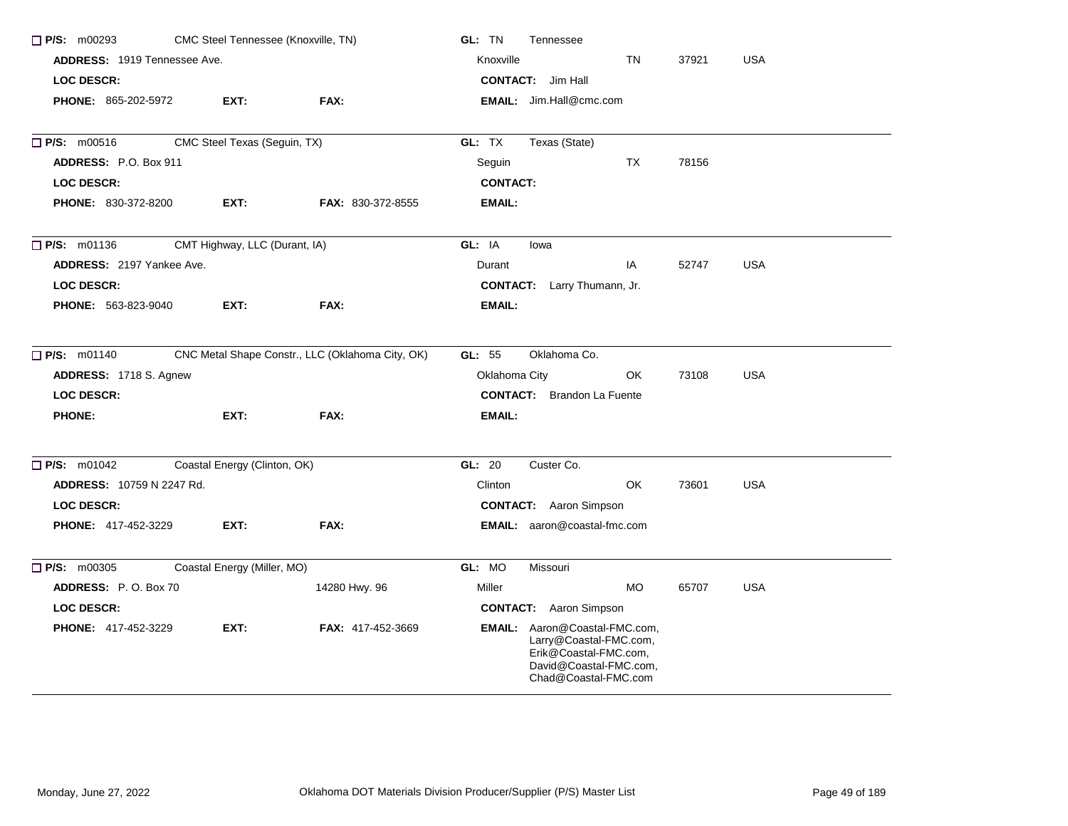| $\Box$ P/S: m00293<br>CMC Steel Tennessee (Knoxville, TN)       |                               |                          | GL: TN<br>Tennessee                                                                                                                |  |
|-----------------------------------------------------------------|-------------------------------|--------------------------|------------------------------------------------------------------------------------------------------------------------------------|--|
| <b>ADDRESS: 1919 Tennessee Ave.</b>                             |                               |                          | Knoxville<br><b>TN</b><br><b>USA</b><br>37921                                                                                      |  |
| <b>LOC DESCR:</b>                                               |                               |                          | <b>CONTACT:</b> Jim Hall                                                                                                           |  |
| <b>PHONE: 865-202-5972</b>                                      | EXT:                          | FAX:                     | <b>EMAIL:</b> Jim.Hall@cmc.com                                                                                                     |  |
| $\Box$ P/S: m00516                                              | CMC Steel Texas (Seguin, TX)  |                          | GL: TX<br>Texas (State)                                                                                                            |  |
| ADDRESS: P.O. Box 911                                           |                               |                          | <b>TX</b><br>Seguin<br>78156                                                                                                       |  |
| <b>LOC DESCR:</b>                                               |                               |                          | <b>CONTACT:</b>                                                                                                                    |  |
| <b>PHONE: 830-372-8200</b>                                      | EXT:                          | <b>FAX: 830-372-8555</b> | <b>EMAIL:</b>                                                                                                                      |  |
| $\Box$ P/S: m01136                                              | CMT Highway, LLC (Durant, IA) |                          | GL: IA<br>lowa                                                                                                                     |  |
| ADDRESS: 2197 Yankee Ave.                                       |                               |                          | <b>USA</b><br>Durant<br>IA<br>52747                                                                                                |  |
| <b>LOC DESCR:</b>                                               |                               |                          | <b>CONTACT:</b> Larry Thumann, Jr.                                                                                                 |  |
| PHONE: 563-823-9040                                             | EXT:                          | FAX:                     | <b>EMAIL:</b>                                                                                                                      |  |
| P/S: m01140<br>CNC Metal Shape Constr., LLC (Oklahoma City, OK) |                               |                          | GL: 55<br>Oklahoma Co.                                                                                                             |  |
| ADDRESS: 1718 S. Agnew                                          |                               |                          | <b>USA</b><br>Oklahoma City<br>OK.<br>73108                                                                                        |  |
| <b>LOC DESCR:</b>                                               |                               |                          | <b>CONTACT:</b> Brandon La Fuente                                                                                                  |  |
| <b>PHONE:</b>                                                   | EXT:                          | FAX:                     | EMAIL:                                                                                                                             |  |
| $\Box$ P/S: m01042                                              | Coastal Energy (Clinton, OK)  |                          | GL: 20<br>Custer Co.                                                                                                               |  |
| <b>ADDRESS: 10759 N 2247 Rd.</b>                                |                               |                          | OK<br><b>USA</b><br>Clinton<br>73601                                                                                               |  |
| <b>LOC DESCR:</b>                                               |                               |                          | <b>CONTACT:</b> Aaron Simpson                                                                                                      |  |
| <b>PHONE: 417-452-3229</b>                                      | EXT:                          | FAX:                     | <b>EMAIL:</b> aaron@coastal-fmc.com                                                                                                |  |
| $\Box$ P/S: m00305                                              | Coastal Energy (Miller, MO)   |                          | GL: MO<br>Missouri                                                                                                                 |  |
| ADDRESS: P.O. Box 70                                            |                               | 14280 Hwy. 96            | <b>MO</b><br>Miller<br>65707<br>USA                                                                                                |  |
| <b>LOC DESCR:</b>                                               |                               |                          | <b>CONTACT:</b> Aaron Simpson                                                                                                      |  |
| PHONE: 417-452-3229                                             | EXT:                          | FAX: 417-452-3669        | EMAIL: Aaron@Coastal-FMC.com,<br>Larry@Coastal-FMC.com,<br>Erik@Coastal-FMC.com,<br>David@Coastal-FMC.com,<br>Chad@Coastal-FMC.com |  |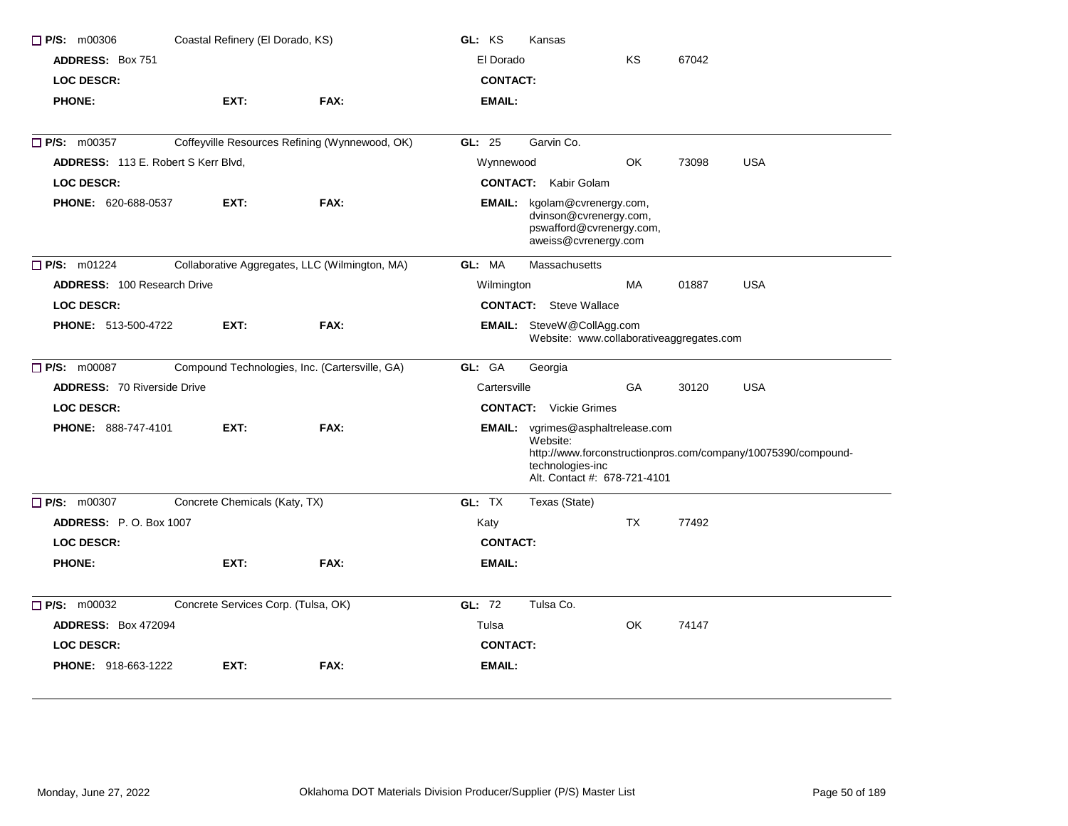| Coastal Refinery (El Dorado, KS)<br>$\Box$ P/S: m00306        |                                     |                                                | GL: KS          | Kansas                                                                                                   |           |       |                                                               |
|---------------------------------------------------------------|-------------------------------------|------------------------------------------------|-----------------|----------------------------------------------------------------------------------------------------------|-----------|-------|---------------------------------------------------------------|
| <b>ADDRESS: Box 751</b>                                       |                                     |                                                | El Dorado       |                                                                                                          | KS        | 67042 |                                                               |
| <b>LOC DESCR:</b>                                             |                                     |                                                | <b>CONTACT:</b> |                                                                                                          |           |       |                                                               |
| <b>PHONE:</b>                                                 | EXT:                                | FAX:                                           | <b>EMAIL:</b>   |                                                                                                          |           |       |                                                               |
| <b>P/S: m00357</b>                                            |                                     | Coffeyville Resources Refining (Wynnewood, OK) | GL: 25          | Garvin Co.                                                                                               |           |       |                                                               |
| ADDRESS: 113 E. Robert S Kerr Blvd,                           |                                     |                                                | Wynnewood       |                                                                                                          | <b>OK</b> | 73098 | <b>USA</b>                                                    |
| <b>LOC DESCR:</b>                                             |                                     |                                                | <b>CONTACT:</b> | Kabir Golam                                                                                              |           |       |                                                               |
| <b>PHONE: 620-688-0537</b>                                    | EXT:                                | FAX:                                           | EMAIL:          | kgolam@cvrenergy.com,<br>dvinson@cvrenergy.com,<br>pswafford@cvrenergy.com,<br>aweiss@cvrenergy.com      |           |       |                                                               |
| $\Box$ P/S: m01224                                            |                                     | Collaborative Aggregates, LLC (Wilmington, MA) | GL: MA          | Massachusetts                                                                                            |           |       |                                                               |
| <b>ADDRESS: 100 Research Drive</b>                            |                                     |                                                | Wilmington      |                                                                                                          | <b>MA</b> | 01887 | <b>USA</b>                                                    |
| <b>LOC DESCR:</b>                                             |                                     |                                                |                 | <b>CONTACT:</b> Steve Wallace                                                                            |           |       |                                                               |
| <b>PHONE: 513-500-4722</b>                                    | EXT:                                | FAX:                                           |                 | EMAIL: SteveW@CollAgg.com<br>Website: www.collaborativeaggregates.com                                    |           |       |                                                               |
| P/S: m00087<br>Compound Technologies, Inc. (Cartersville, GA) | GL: GA                              | Georgia                                        |                 |                                                                                                          |           |       |                                                               |
| <b>ADDRESS: 70 Riverside Drive</b>                            |                                     |                                                | Cartersville    |                                                                                                          | GA        | 30120 | <b>USA</b>                                                    |
| <b>LOC DESCR:</b>                                             |                                     |                                                |                 | <b>CONTACT:</b> Vickie Grimes                                                                            |           |       |                                                               |
| <b>PHONE: 888-747-4101</b>                                    | EXT:                                | FAX:                                           |                 | <b>EMAIL:</b> vgrimes@asphaltrelease.com<br>Website:<br>technologies-inc<br>Alt. Contact #: 678-721-4101 |           |       | http://www.forconstructionpros.com/company/10075390/compound- |
| <b>P/S: m00307</b>                                            | Concrete Chemicals (Katy, TX)       |                                                | GL: TX          | Texas (State)                                                                                            |           |       |                                                               |
| <b>ADDRESS: P.O. Box 1007</b>                                 |                                     |                                                | Katy            |                                                                                                          | TX        | 77492 |                                                               |
| <b>LOC DESCR:</b>                                             |                                     |                                                | <b>CONTACT:</b> |                                                                                                          |           |       |                                                               |
| <b>PHONE:</b>                                                 | EXT:                                | FAX:                                           | <b>EMAIL:</b>   |                                                                                                          |           |       |                                                               |
| $P/S:$ m00032                                                 | Concrete Services Corp. (Tulsa, OK) |                                                | GL: 72          | Tulsa Co.                                                                                                |           |       |                                                               |
| <b>ADDRESS: Box 472094</b>                                    |                                     |                                                | Tulsa           |                                                                                                          | OK        | 74147 |                                                               |
| <b>LOC DESCR:</b>                                             |                                     |                                                | <b>CONTACT:</b> |                                                                                                          |           |       |                                                               |
| <b>PHONE: 918-663-1222</b>                                    | EXT:                                | FAX:                                           | <b>EMAIL:</b>   |                                                                                                          |           |       |                                                               |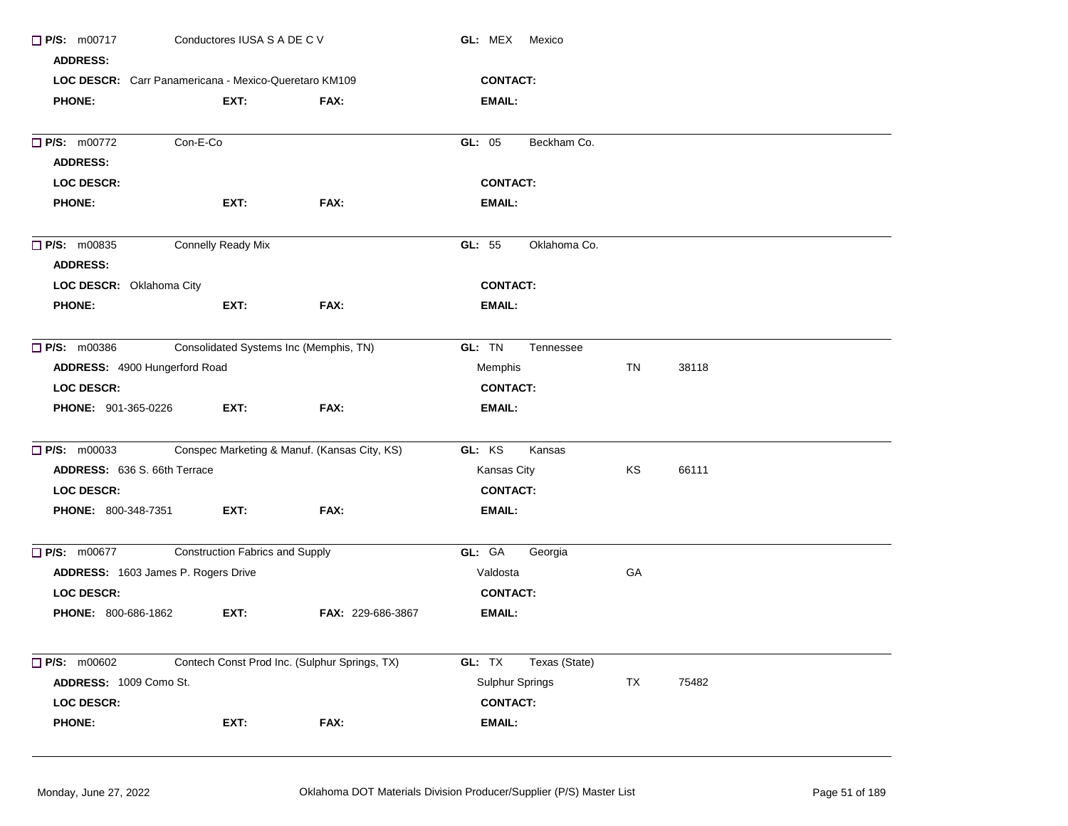| Conductores IUSA S A DE C V<br>$\Box$ P/S: m00717                  |                                                       |                                        | <b>GL: MEX Mexico</b>                         |                         |    |       |  |  |  |
|--------------------------------------------------------------------|-------------------------------------------------------|----------------------------------------|-----------------------------------------------|-------------------------|----|-------|--|--|--|
| <b>ADDRESS:</b>                                                    |                                                       |                                        |                                               |                         |    |       |  |  |  |
|                                                                    | LOC DESCR: Carr Panamericana - Mexico-Queretaro KM109 |                                        |                                               | <b>CONTACT:</b>         |    |       |  |  |  |
| <b>PHONE:</b>                                                      |                                                       | EXT:                                   | FAX:                                          | EMAIL:                  |    |       |  |  |  |
| $\Box$ P/S: m00772                                                 | Con-E-Co                                              |                                        |                                               | Beckham Co.<br>GL: 05   |    |       |  |  |  |
| <b>ADDRESS:</b>                                                    |                                                       |                                        |                                               |                         |    |       |  |  |  |
|                                                                    | <b>LOC DESCR:</b>                                     |                                        |                                               | <b>CONTACT:</b>         |    |       |  |  |  |
| <b>PHONE:</b>                                                      |                                                       | EXT:                                   | FAX:                                          | <b>EMAIL:</b>           |    |       |  |  |  |
| <b>Connelly Ready Mix</b><br>$\Box$ P/S: m00835<br><b>ADDRESS:</b> |                                                       |                                        |                                               | GL: 55<br>Oklahoma Co.  |    |       |  |  |  |
|                                                                    | LOC DESCR: Oklahoma City                              |                                        |                                               | <b>CONTACT:</b>         |    |       |  |  |  |
| <b>PHONE:</b>                                                      |                                                       | EXT:                                   | FAX:                                          | <b>EMAIL:</b>           |    |       |  |  |  |
| $\Box$ P/S: m00386<br>Consolidated Systems Inc (Memphis, TN)       |                                                       |                                        |                                               | GL: TN<br>Tennessee     |    |       |  |  |  |
|                                                                    | ADDRESS: 4900 Hungerford Road                         |                                        |                                               | Memphis                 | TN | 38118 |  |  |  |
| <b>LOC DESCR:</b>                                                  |                                                       |                                        |                                               | <b>CONTACT:</b>         |    |       |  |  |  |
|                                                                    | <b>PHONE: 901-365-0226</b>                            | EXT:                                   | FAX:                                          | EMAIL:                  |    |       |  |  |  |
| $\Box$ P/S: m00033                                                 |                                                       |                                        | Conspec Marketing & Manuf. (Kansas City, KS)  | GL: KS<br>Kansas        |    |       |  |  |  |
|                                                                    | ADDRESS: 636 S. 66th Terrace                          |                                        |                                               | Kansas City             | KS | 66111 |  |  |  |
| LOC DESCR:                                                         |                                                       |                                        |                                               | <b>CONTACT:</b>         |    |       |  |  |  |
|                                                                    | <b>PHONE: 800-348-7351</b>                            | EXT:                                   | FAX:                                          | <b>EMAIL:</b>           |    |       |  |  |  |
| <b>P/S: m00677</b>                                                 |                                                       | <b>Construction Fabrics and Supply</b> |                                               | GL: GA<br>Georgia       |    |       |  |  |  |
|                                                                    | ADDRESS: 1603 James P. Rogers Drive                   |                                        |                                               | Valdosta                | GA |       |  |  |  |
| LOC DESCR:                                                         |                                                       |                                        |                                               | <b>CONTACT:</b>         |    |       |  |  |  |
|                                                                    | <b>PHONE: 800-686-1862</b>                            | EXT:                                   | FAX: 229-686-3867                             | EMAIL:                  |    |       |  |  |  |
| $\Box$ P/S: m00602                                                 |                                                       |                                        | Contech Const Prod Inc. (Sulphur Springs, TX) | GL: TX<br>Texas (State) |    |       |  |  |  |
|                                                                    | ADDRESS: 1009 Como St.                                |                                        |                                               | Sulphur Springs         | TX | 75482 |  |  |  |
| <b>LOC DESCR:</b>                                                  |                                                       |                                        |                                               | <b>CONTACT:</b>         |    |       |  |  |  |
| <b>PHONE:</b>                                                      |                                                       | EXT:                                   | FAX:                                          | EMAIL:                  |    |       |  |  |  |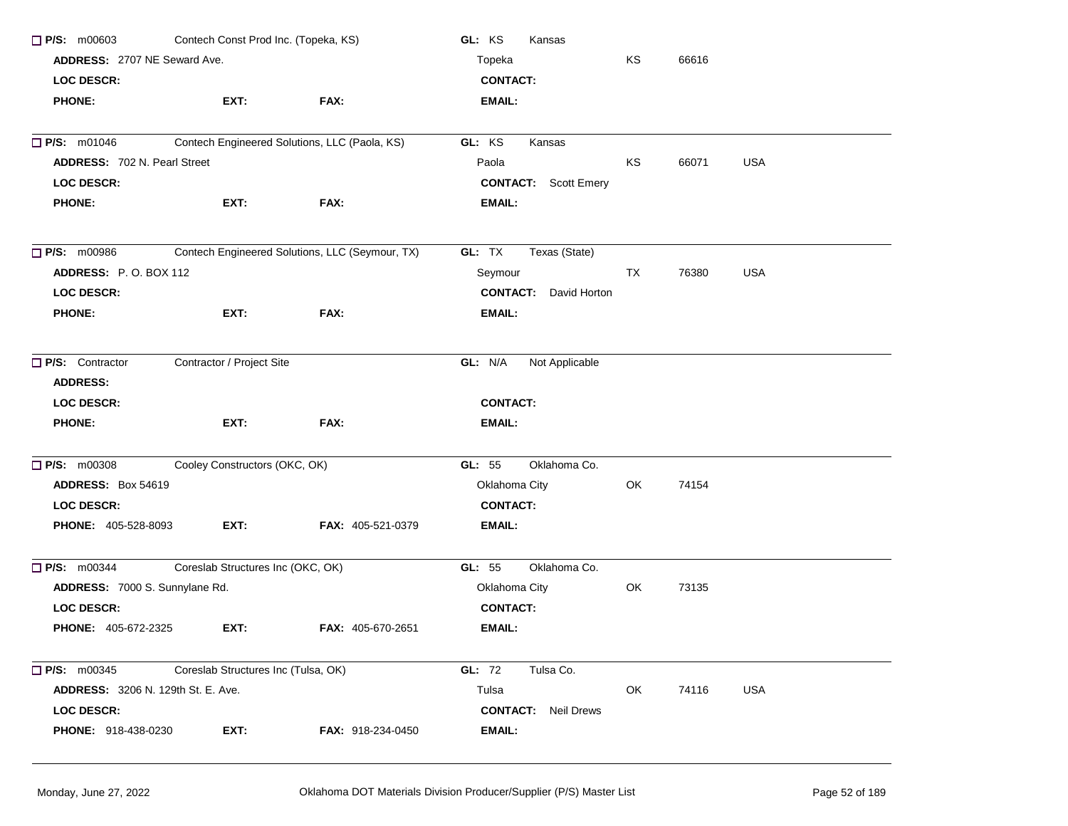| Contech Const Prod Inc. (Topeka, KS)<br>P/S: m00603<br><b>ADDRESS: 2707 NE Seward Ave.</b> |                                               |                                                 | GL: KS<br>Kansas             |    |       |            |  |
|--------------------------------------------------------------------------------------------|-----------------------------------------------|-------------------------------------------------|------------------------------|----|-------|------------|--|
|                                                                                            |                                               |                                                 | Topeka                       |    |       |            |  |
| <b>LOC DESCR:</b>                                                                          |                                               |                                                 | <b>CONTACT:</b>              |    |       |            |  |
| <b>PHONE:</b>                                                                              | EXT:                                          | FAX:                                            | <b>EMAIL:</b>                |    |       |            |  |
| <b>P/S: m01046</b>                                                                         | Contech Engineered Solutions, LLC (Paola, KS) |                                                 | GL: KS<br>Kansas             |    |       |            |  |
| <b>ADDRESS: 702 N. Pearl Street</b>                                                        |                                               |                                                 | Paola                        | KS | 66071 | <b>USA</b> |  |
| <b>LOC DESCR:</b>                                                                          |                                               |                                                 | <b>CONTACT:</b> Scott Emery  |    |       |            |  |
| <b>PHONE:</b>                                                                              | EXT:                                          | FAX:                                            | <b>EMAIL:</b>                |    |       |            |  |
|                                                                                            |                                               |                                                 |                              |    |       |            |  |
| $\Box$ P/S: m00986                                                                         |                                               | Contech Engineered Solutions, LLC (Seymour, TX) | GL: TX<br>Texas (State)      |    |       |            |  |
| ADDRESS: P.O. BOX 112                                                                      |                                               |                                                 | Seymour                      | TX | 76380 | <b>USA</b> |  |
| <b>LOC DESCR:</b>                                                                          |                                               |                                                 | <b>CONTACT:</b> David Horton |    |       |            |  |
| <b>PHONE:</b>                                                                              | EXT:                                          | FAX:                                            | EMAIL:                       |    |       |            |  |
| P/S: Contractor                                                                            | Contractor / Project Site                     | GL: N/A<br>Not Applicable                       |                              |    |       |            |  |
| <b>ADDRESS:</b>                                                                            |                                               |                                                 |                              |    |       |            |  |
| <b>LOC DESCR:</b>                                                                          |                                               |                                                 | <b>CONTACT:</b>              |    |       |            |  |
| <b>PHONE:</b>                                                                              | EXT:                                          | FAX:                                            | EMAIL:                       |    |       |            |  |
| <b>P/S: m00308</b>                                                                         | Cooley Constructors (OKC, OK)                 |                                                 | Oklahoma Co.<br>GL: 55       |    |       |            |  |
| ADDRESS: Box 54619                                                                         |                                               |                                                 | Oklahoma City                | OK | 74154 |            |  |
| <b>LOC DESCR:</b>                                                                          |                                               |                                                 | <b>CONTACT:</b>              |    |       |            |  |
| PHONE: 405-528-8093                                                                        | EXT:                                          | FAX: 405-521-0379                               | EMAIL:                       |    |       |            |  |
| $\Box$ P/S: m00344                                                                         | Coreslab Structures Inc (OKC, OK)             |                                                 | Oklahoma Co.<br>GL: 55       |    |       |            |  |
| ADDRESS: 7000 S. Sunnylane Rd.                                                             |                                               |                                                 | Oklahoma City                | OK | 73135 |            |  |
| <b>LOC DESCR:</b>                                                                          |                                               |                                                 | <b>CONTACT:</b>              |    |       |            |  |
| <b>PHONE: 405-672-2325</b>                                                                 | EXT:                                          | <b>FAX: 405-670-2651</b>                        | <b>EMAIL:</b>                |    |       |            |  |
| $\Box$ P/S: m00345                                                                         | Coreslab Structures Inc (Tulsa, OK)           |                                                 | <b>GL: 72</b><br>Tulsa Co.   |    |       |            |  |
| <b>ADDRESS: 3206 N. 129th St. E. Ave.</b>                                                  |                                               |                                                 | Tulsa                        | OK | 74116 | <b>USA</b> |  |
| <b>LOC DESCR:</b>                                                                          |                                               |                                                 | <b>CONTACT:</b> Neil Drews   |    |       |            |  |
| PHONE: 918-438-0230                                                                        | EXT:                                          | FAX: 918-234-0450                               | <b>EMAIL:</b>                |    |       |            |  |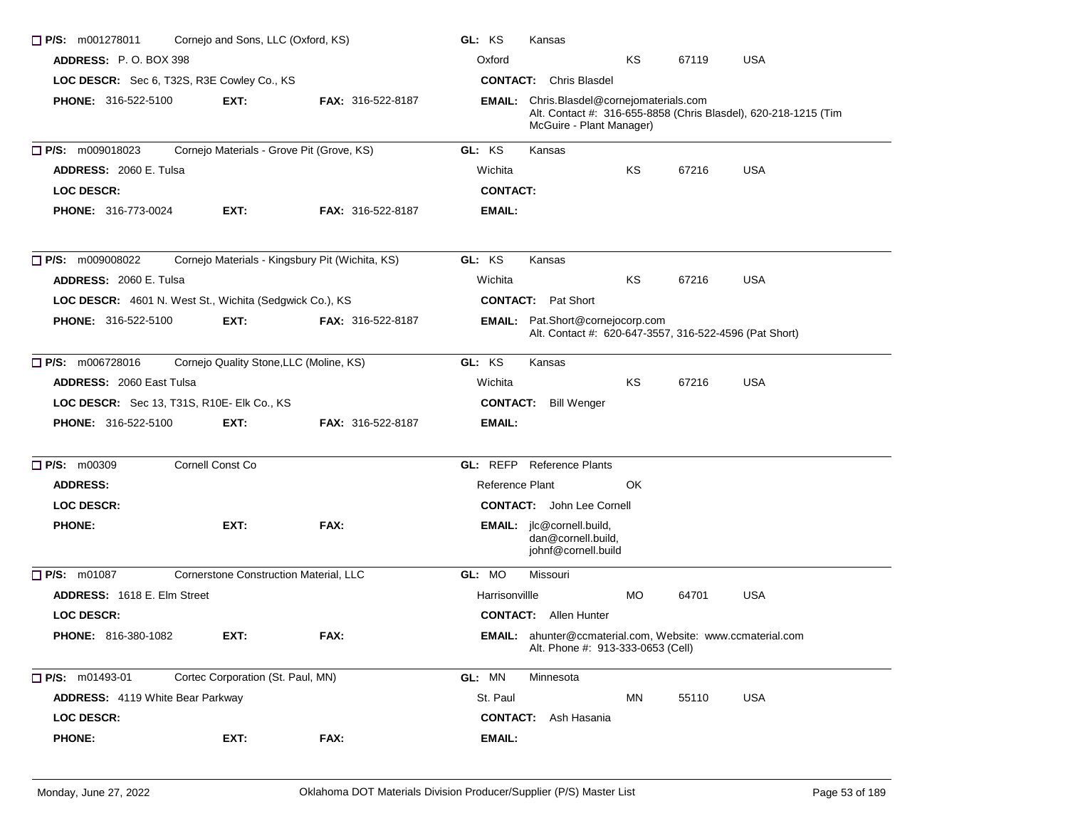| $\Box$ P/S: m001278011                                            | Cornejo and Sons, LLC (Oxford, KS) |                                                 | GL: KS          | Kansas                                                                                                 |            |       |                                                                 |
|-------------------------------------------------------------------|------------------------------------|-------------------------------------------------|-----------------|--------------------------------------------------------------------------------------------------------|------------|-------|-----------------------------------------------------------------|
| <b>ADDRESS: P.O. BOX 398</b>                                      | Oxford                             |                                                 | KS              | 67119                                                                                                  | <b>USA</b> |       |                                                                 |
| LOC DESCR: Sec 6, T32S, R3E Cowley Co., KS                        | <b>CONTACT:</b> Chris Blasdel      |                                                 |                 |                                                                                                        |            |       |                                                                 |
| <b>PHONE: 316-522-5100</b>                                        | EXT:                               | <b>FAX: 316-522-8187</b>                        |                 | <b>EMAIL:</b> Chris.Blasdel@cornejomaterials.com<br>McGuire - Plant Manager)                           |            |       | Alt. Contact #: 316-655-8858 (Chris Blasdel), 620-218-1215 (Tim |
| $\Box$ P/S: m009018023                                            |                                    | Cornejo Materials - Grove Pit (Grove, KS)       | GL: KS          | Kansas                                                                                                 |            |       |                                                                 |
| <b>ADDRESS: 2060 E. Tulsa</b>                                     |                                    |                                                 | Wichita         |                                                                                                        | ΚS         | 67216 | <b>USA</b>                                                      |
| <b>LOC DESCR:</b>                                                 |                                    |                                                 | <b>CONTACT:</b> |                                                                                                        |            |       |                                                                 |
| <b>PHONE: 316-773-0024</b>                                        | EXT:                               | <b>FAX: 316-522-8187</b>                        | <b>EMAIL:</b>   |                                                                                                        |            |       |                                                                 |
| $\Box$ P/S: m009008022                                            |                                    | Cornejo Materials - Kingsbury Pit (Wichita, KS) | GL: KS          | Kansas                                                                                                 |            |       |                                                                 |
| ADDRESS: 2060 E. Tulsa                                            |                                    |                                                 | Wichita         |                                                                                                        | KS         | 67216 | <b>USA</b>                                                      |
| LOC DESCR: 4601 N. West St., Wichita (Sedgwick Co.), KS           |                                    |                                                 |                 | <b>CONTACT:</b> Pat Short                                                                              |            |       |                                                                 |
| <b>PHONE: 316-522-5100</b>                                        | EXT:                               | <b>FAX: 316-522-8187</b>                        |                 | EMAIL: Pat.Short@cornejocorp.com<br>Alt. Contact #: 620-647-3557, 316-522-4596 (Pat Short)             |            |       |                                                                 |
| $\Box$ P/S: m006728016<br>Cornejo Quality Stone, LLC (Moline, KS) | GL: KS                             | Kansas                                          |                 |                                                                                                        |            |       |                                                                 |
| <b>ADDRESS: 2060 East Tulsa</b>                                   | Wichita                            |                                                 | ΚS              | 67216                                                                                                  | <b>USA</b> |       |                                                                 |
| LOC DESCR: Sec 13, T31S, R10E- Elk Co., KS                        |                                    |                                                 |                 | <b>CONTACT:</b> Bill Wenger                                                                            |            |       |                                                                 |
| <b>PHONE: 316-522-5100</b>                                        | EXT:                               | <b>FAX: 316-522-8187</b>                        | <b>EMAIL:</b>   |                                                                                                        |            |       |                                                                 |
| <b>P/S: m00309</b>                                                | Cornell Const Co                   |                                                 |                 | <b>GL:</b> REFP Reference Plants                                                                       |            |       |                                                                 |
| <b>ADDRESS:</b>                                                   |                                    |                                                 | Reference Plant |                                                                                                        | OK         |       |                                                                 |
| <b>LOC DESCR:</b>                                                 |                                    |                                                 |                 | <b>CONTACT:</b> John Lee Cornell                                                                       |            |       |                                                                 |
| <b>PHONE:</b>                                                     | EXT:                               | FAX:                                            |                 | EMAIL: jlc@cornell.build,<br>dan@cornell.build,<br>johnf@cornell.build                                 |            |       |                                                                 |
| $\Box$ P/S: m01087                                                |                                    | Cornerstone Construction Material, LLC          | GL: MO          | Missouri                                                                                               |            |       |                                                                 |
| <b>ADDRESS: 1618 E. Elm Street</b>                                |                                    |                                                 | Harrisonville   |                                                                                                        | MO.        | 64701 | <b>USA</b>                                                      |
| <b>LOC DESCR:</b>                                                 |                                    |                                                 |                 | <b>CONTACT:</b> Allen Hunter                                                                           |            |       |                                                                 |
| <b>PHONE: 816-380-1082</b>                                        | EXT:                               | FAX:                                            |                 | <b>EMAIL:</b> ahunter@ccmaterial.com, Website: www.ccmaterial.com<br>Alt. Phone #: 913-333-0653 (Cell) |            |       |                                                                 |
| $\Box$ P/S: m01493-01                                             | Cortec Corporation (St. Paul, MN)  |                                                 | GL: MN          | Minnesota                                                                                              |            |       |                                                                 |
| <b>ADDRESS:</b> 4119 White Bear Parkway                           |                                    |                                                 | St. Paul        |                                                                                                        | MN         | 55110 | <b>USA</b>                                                      |
| <b>LOC DESCR:</b>                                                 |                                    |                                                 | <b>CONTACT:</b> | Ash Hasania                                                                                            |            |       |                                                                 |
| <b>PHONE:</b>                                                     | EXT:                               | FAX:                                            | EMAIL:          |                                                                                                        |            |       |                                                                 |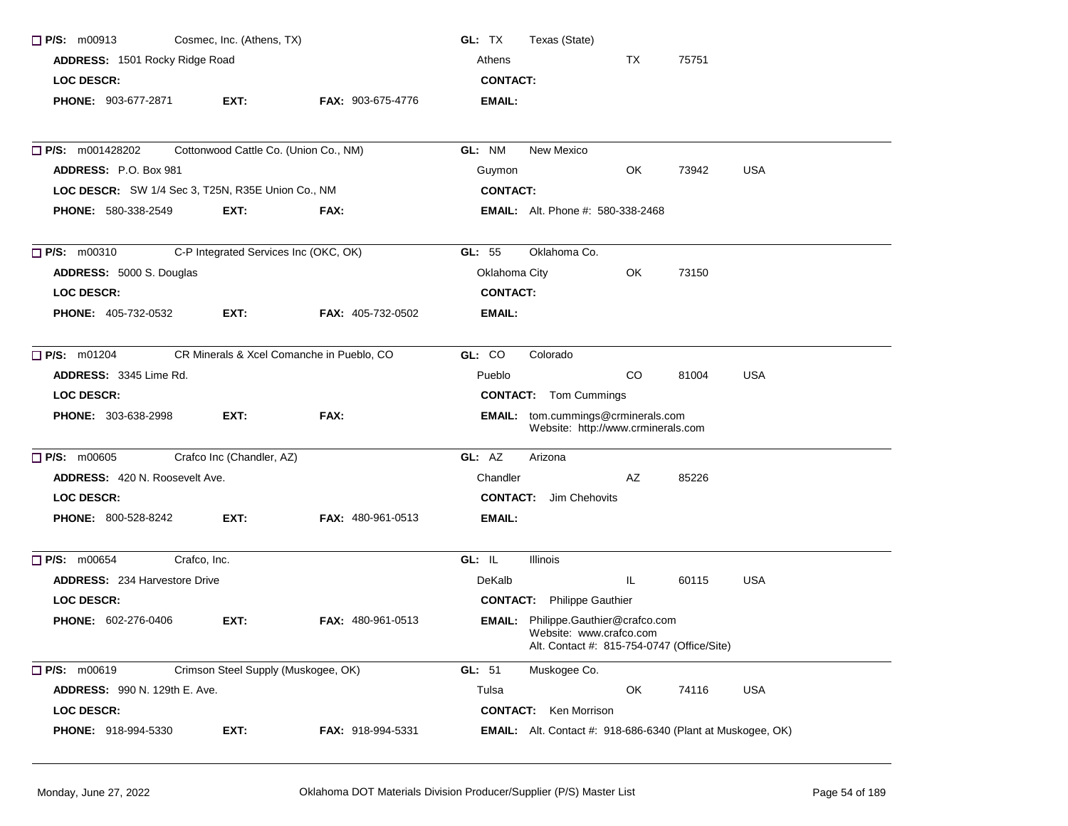| $\Box$ P/S: m00913                                              | Cosmec, Inc. (Athens, TX)             |                          | GL: TX<br>Texas (State)                                                                                      |
|-----------------------------------------------------------------|---------------------------------------|--------------------------|--------------------------------------------------------------------------------------------------------------|
| ADDRESS: 1501 Rocky Ridge Road                                  |                                       |                          | Athens<br>TX<br>75751                                                                                        |
| <b>LOC DESCR:</b>                                               |                                       |                          | <b>CONTACT:</b>                                                                                              |
| PHONE: 903-677-2871                                             | EXT:                                  | <b>FAX: 903-675-4776</b> | EMAIL:                                                                                                       |
| <b>P/S:</b> m001428202                                          | Cottonwood Cattle Co. (Union Co., NM) |                          | GL: NM<br>New Mexico                                                                                         |
| <b>ADDRESS: P.O. Box 981</b>                                    |                                       |                          | OK.<br><b>USA</b><br>73942<br>Guymon                                                                         |
| LOC DESCR: SW 1/4 Sec 3, T25N, R35E Union Co., NM               |                                       |                          | <b>CONTACT:</b>                                                                                              |
| <b>PHONE: 580-338-2549</b>                                      | EXT:                                  | FAX:                     | <b>EMAIL:</b> Alt. Phone #: 580-338-2468                                                                     |
| $\Box$ P/S: m00310                                              | C-P Integrated Services Inc (OKC, OK) |                          | Oklahoma Co.<br>GL: $55$                                                                                     |
| ADDRESS: 5000 S. Douglas                                        |                                       |                          | Oklahoma City<br>OK<br>73150                                                                                 |
| <b>LOC DESCR:</b>                                               |                                       |                          | <b>CONTACT:</b>                                                                                              |
| <b>PHONE: 405-732-0532</b>                                      | EXT:                                  | <b>FAX: 405-732-0502</b> | EMAIL:                                                                                                       |
| CR Minerals & Xcel Comanche in Pueblo, CO<br>$\Box$ P/S: m01204 |                                       |                          | GL: CO<br>Colorado                                                                                           |
| ADDRESS: 3345 Lime Rd.                                          |                                       |                          | CO<br>81004<br><b>USA</b><br>Pueblo                                                                          |
| <b>LOC DESCR:</b>                                               |                                       |                          | <b>CONTACT:</b> Tom Cummings                                                                                 |
| PHONE: 303-638-2998                                             | EXT:                                  | FAX:                     | EMAIL: tom.cummings@crminerals.com<br>Website: http://www.crminerals.com                                     |
| $\Box$ P/S: m00605                                              | Crafco Inc (Chandler, AZ)             |                          | GL: AZ<br>Arizona                                                                                            |
| <b>ADDRESS: 420 N. Roosevelt Ave.</b>                           |                                       |                          | AZ<br>Chandler<br>85226                                                                                      |
| <b>LOC DESCR:</b>                                               |                                       |                          | <b>CONTACT:</b> Jim Chehovits                                                                                |
| <b>PHONE: 800-528-8242</b>                                      | EXT:                                  | <b>FAX: 480-961-0513</b> | EMAIL:                                                                                                       |
| P/S: m00654                                                     | Crafco, Inc.                          |                          | GL: IL<br>Illinois                                                                                           |
| <b>ADDRESS: 234 Harvestore Drive</b>                            |                                       |                          | IL<br>60115<br><b>USA</b><br>DeKalb                                                                          |
| <b>LOC DESCR:</b>                                               |                                       |                          | <b>CONTACT:</b> Philippe Gauthier                                                                            |
| <b>PHONE: 602-276-0406</b>                                      | EXT:                                  | FAX: 480-961-0513        | EMAIL: Philippe.Gauthier@crafco.com<br>Website: www.crafco.com<br>Alt. Contact #: 815-754-0747 (Office/Site) |
| $\Box$ P/S: m00619                                              | Crimson Steel Supply (Muskogee, OK)   |                          | GL: 51<br>Muskogee Co.                                                                                       |
| <b>ADDRESS: 990 N. 129th E. Ave.</b>                            |                                       |                          | Tulsa<br>OK<br>74116<br>USA                                                                                  |
| LOC DESCR:                                                      |                                       |                          | <b>CONTACT:</b> Ken Morrison                                                                                 |
| PHONE: 918-994-5330                                             | EXT:                                  | FAX: 918-994-5331        | <b>EMAIL:</b> Alt. Contact #: 918-686-6340 (Plant at Muskogee, OK)                                           |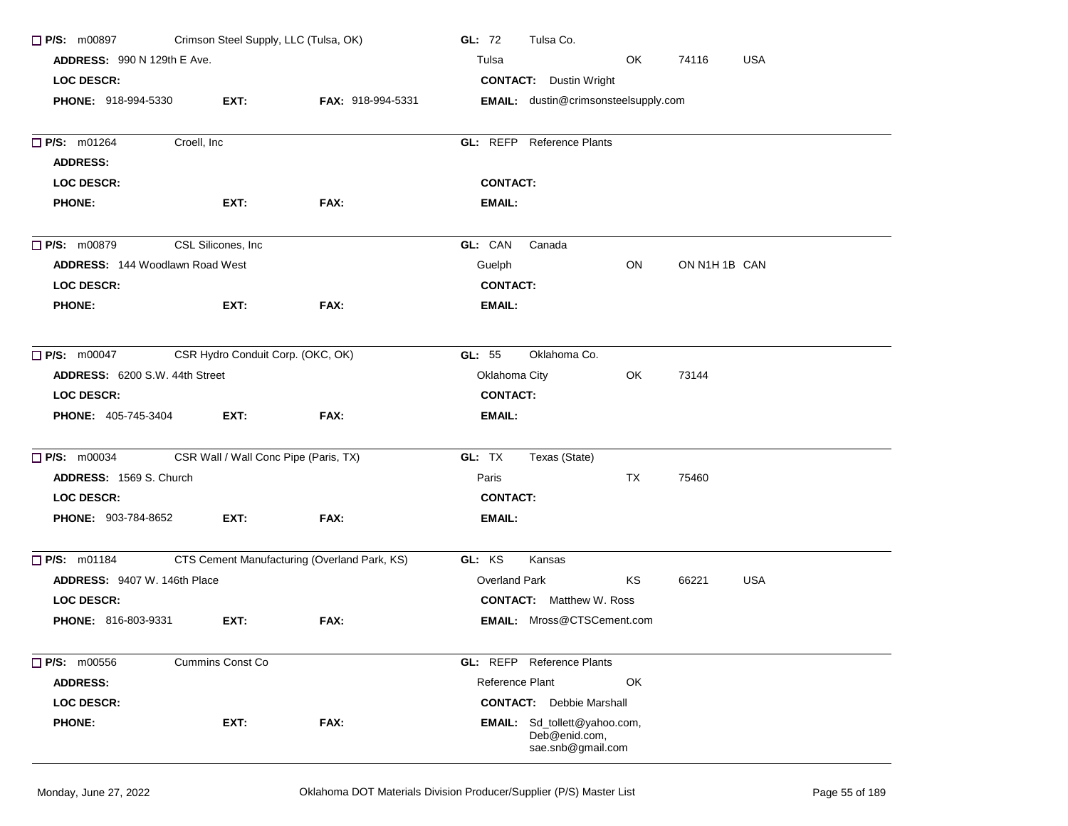| <b>P/S: m00897</b>                     |                    |                                   | Crimson Steel Supply, LLC (Tulsa, OK)        | GL: $72$             | Tulsa Co.                                                          |     |               |            |
|----------------------------------------|--------------------|-----------------------------------|----------------------------------------------|----------------------|--------------------------------------------------------------------|-----|---------------|------------|
| ADDRESS: 990 N 129th E Ave.            |                    |                                   |                                              | Tulsa                |                                                                    | OK. | 74116         | <b>USA</b> |
| <b>LOC DESCR:</b>                      |                    |                                   |                                              |                      | <b>CONTACT:</b> Dustin Wright                                      |     |               |            |
| <b>PHONE: 918-994-5330</b>             |                    | EXT:                              | FAX: 918-994-5331                            |                      | EMAIL: dustin@crimsonsteelsupply.com                               |     |               |            |
| <b>P/S: m01264</b>                     | Croell, Inc        |                                   |                                              |                      | <b>GL: REFP</b> Reference Plants                                   |     |               |            |
| <b>ADDRESS:</b>                        |                    |                                   |                                              |                      |                                                                    |     |               |            |
| <b>LOC DESCR:</b>                      |                    |                                   |                                              | <b>CONTACT:</b>      |                                                                    |     |               |            |
| <b>PHONE:</b>                          |                    | EXT:                              | FAX:                                         | EMAIL:               |                                                                    |     |               |            |
| $\Box$ P/S: m00879                     | CSL Silicones, Inc |                                   |                                              | GL: CAN              | Canada                                                             |     |               |            |
| <b>ADDRESS: 144 Woodlawn Road West</b> |                    |                                   |                                              | Guelph               |                                                                    | ON  | ON N1H 1B CAN |            |
| LOC DESCR:                             |                    |                                   |                                              | <b>CONTACT:</b>      |                                                                    |     |               |            |
| <b>PHONE:</b>                          |                    | EXT:                              | FAX:                                         | EMAIL:               |                                                                    |     |               |            |
| $\Box$ P/S: m00047                     |                    | CSR Hydro Conduit Corp. (OKC, OK) |                                              | GL: 55               | Oklahoma Co.                                                       |     |               |            |
| ADDRESS: 6200 S.W. 44th Street         |                    |                                   |                                              | Oklahoma City        |                                                                    | OK. | 73144         |            |
| <b>LOC DESCR:</b>                      |                    |                                   |                                              | <b>CONTACT:</b>      |                                                                    |     |               |            |
| <b>PHONE: 405-745-3404</b>             |                    | EXT:                              | FAX:                                         | EMAIL:               |                                                                    |     |               |            |
| $\Box$ P/S: m00034                     |                    |                                   | CSR Wall / Wall Conc Pipe (Paris, TX)        | GL: TX               | Texas (State)                                                      |     |               |            |
| ADDRESS: 1569 S. Church                |                    |                                   |                                              | Paris                |                                                                    | TX  | 75460         |            |
| LOC DESCR:                             |                    |                                   |                                              | <b>CONTACT:</b>      |                                                                    |     |               |            |
| <b>PHONE: 903-784-8652</b>             |                    | EXT:                              | FAX:                                         | EMAIL:               |                                                                    |     |               |            |
| $\Box$ P/S: m01184                     |                    |                                   | CTS Cement Manufacturing (Overland Park, KS) | GL: KS               | Kansas                                                             |     |               |            |
| ADDRESS: 9407 W. 146th Place           |                    |                                   |                                              | <b>Overland Park</b> |                                                                    | KS  | 66221         | <b>USA</b> |
| LOC DESCR:                             |                    |                                   |                                              |                      | <b>CONTACT:</b> Matthew W. Ross                                    |     |               |            |
| PHONE: 816-803-9331                    |                    | EXT:                              | FAX:                                         |                      | <b>EMAIL:</b> Mross@CTSCement.com                                  |     |               |            |
| $\Box$ P/S: m00556                     |                    | <b>Cummins Const Co</b>           |                                              |                      | <b>GL:</b> REFP Reference Plants                                   |     |               |            |
| <b>ADDRESS:</b>                        |                    |                                   |                                              | Reference Plant      |                                                                    | OK  |               |            |
| <b>LOC DESCR:</b>                      |                    |                                   |                                              |                      | <b>CONTACT:</b> Debbie Marshall                                    |     |               |            |
| <b>PHONE:</b>                          |                    | EXT:                              | FAX:                                         |                      | EMAIL: Sd_tollett@yahoo.com,<br>Deb@enid.com,<br>sae.snb@gmail.com |     |               |            |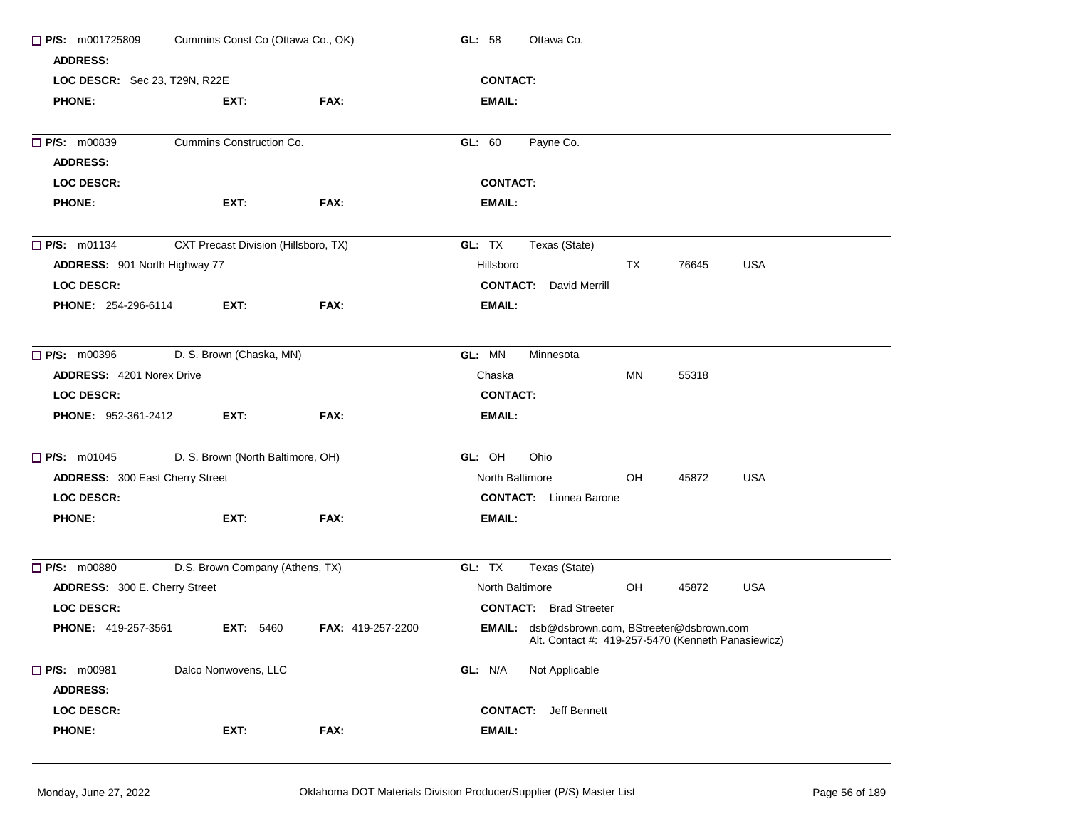| $\Box$ P/S: m001725809<br>Cummins Const Co (Ottawa Co., OK) |                                      |                          | GL: 58<br>Ottawa Co.                                                                                       |  |  |  |  |
|-------------------------------------------------------------|--------------------------------------|--------------------------|------------------------------------------------------------------------------------------------------------|--|--|--|--|
| <b>ADDRESS:</b>                                             |                                      |                          |                                                                                                            |  |  |  |  |
| LOC DESCR: Sec 23, T29N, R22E                               |                                      |                          | <b>CONTACT:</b>                                                                                            |  |  |  |  |
| <b>PHONE:</b>                                               | EXT:                                 | FAX:                     | EMAIL:                                                                                                     |  |  |  |  |
| <b>P/S: m00839</b>                                          | Cummins Construction Co.             |                          | Payne Co.<br>GL: 60                                                                                        |  |  |  |  |
| <b>ADDRESS:</b>                                             |                                      |                          |                                                                                                            |  |  |  |  |
| <b>LOC DESCR:</b>                                           |                                      |                          | <b>CONTACT:</b>                                                                                            |  |  |  |  |
| <b>PHONE:</b>                                               | EXT:                                 | FAX:                     | EMAIL:                                                                                                     |  |  |  |  |
| $\Box$ P/S: m01134                                          | CXT Precast Division (Hillsboro, TX) |                          | GL: TX<br>Texas (State)                                                                                    |  |  |  |  |
| ADDRESS: 901 North Highway 77                               |                                      |                          | Hillsboro<br>TX<br><b>USA</b><br>76645                                                                     |  |  |  |  |
| <b>LOC DESCR:</b>                                           |                                      |                          | <b>CONTACT:</b> David Merrill                                                                              |  |  |  |  |
| <b>PHONE: 254-296-6114</b>                                  | EXT:                                 | FAX:                     | EMAIL:                                                                                                     |  |  |  |  |
| $\Box$ P/S: m00396                                          | D. S. Brown (Chaska, MN)             |                          | GL: MN<br>Minnesota                                                                                        |  |  |  |  |
| <b>ADDRESS: 4201 Norex Drive</b>                            |                                      |                          | Chaska<br>MN<br>55318                                                                                      |  |  |  |  |
| <b>LOC DESCR:</b>                                           |                                      |                          | <b>CONTACT:</b>                                                                                            |  |  |  |  |
| <b>PHONE: 952-361-2412</b>                                  | EXT:                                 | FAX:                     | EMAIL:                                                                                                     |  |  |  |  |
| $\Box$ P/S: m01045                                          | D. S. Brown (North Baltimore, OH)    |                          | GL: OH<br>Ohio                                                                                             |  |  |  |  |
| ADDRESS: 300 East Cherry Street                             |                                      |                          | OH<br>North Baltimore<br>45872<br><b>USA</b>                                                               |  |  |  |  |
| <b>LOC DESCR:</b>                                           |                                      |                          | <b>CONTACT:</b> Linnea Barone                                                                              |  |  |  |  |
| <b>PHONE:</b>                                               | EXT:                                 | FAX:                     | EMAIL:                                                                                                     |  |  |  |  |
| <b>P/S:</b> m00880                                          | D.S. Brown Company (Athens, TX)      |                          | GL: TX<br>Texas (State)                                                                                    |  |  |  |  |
| ADDRESS: 300 E. Cherry Street                               |                                      |                          | North Baltimore<br>OH<br>45872<br><b>USA</b>                                                               |  |  |  |  |
| <b>LOC DESCR:</b>                                           |                                      |                          | <b>CONTACT:</b> Brad Streeter                                                                              |  |  |  |  |
| <b>PHONE: 419-257-3561</b>                                  | <b>EXT: 5460</b>                     | <b>FAX: 419-257-2200</b> | <b>EMAIL:</b> dsb@dsbrown.com, BStreeter@dsbrown.com<br>Alt. Contact #: 419-257-5470 (Kenneth Panasiewicz) |  |  |  |  |
| P/S: m00981                                                 | Dalco Nonwovens, LLC                 |                          | GL: N/A<br>Not Applicable                                                                                  |  |  |  |  |
| <b>ADDRESS:</b>                                             |                                      |                          |                                                                                                            |  |  |  |  |
| LOC DESCR:                                                  |                                      |                          | <b>CONTACT:</b><br>Jeff Bennett                                                                            |  |  |  |  |
| <b>PHONE:</b>                                               | EXT:                                 | FAX:                     | EMAIL:                                                                                                     |  |  |  |  |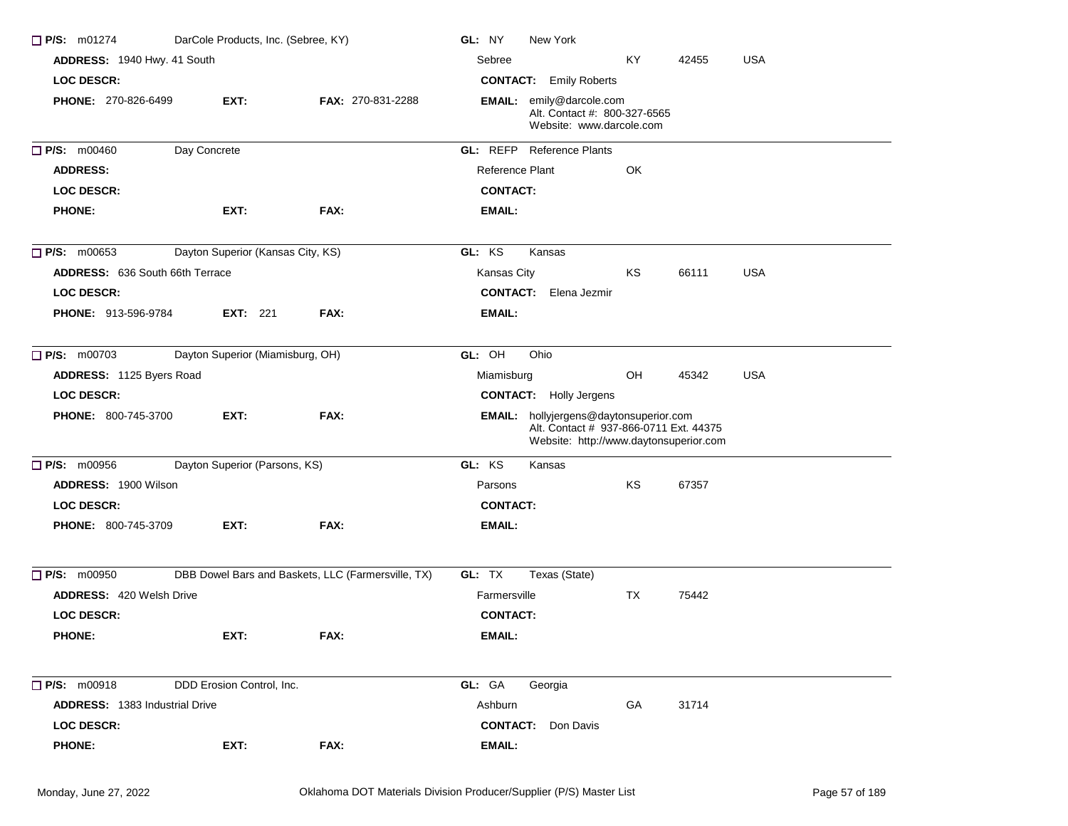| $\Box$ P/S: m01274                     | DarCole Products, Inc. (Sebree, KY) |                                                    | GL: NY<br>New York                                                                                                                |
|----------------------------------------|-------------------------------------|----------------------------------------------------|-----------------------------------------------------------------------------------------------------------------------------------|
| ADDRESS: 1940 Hwy. 41 South            |                                     |                                                    | Sebree<br>KY.<br><b>USA</b><br>42455                                                                                              |
| <b>LOC DESCR:</b>                      |                                     |                                                    | <b>CONTACT:</b> Emily Roberts                                                                                                     |
| PHONE: 270-826-6499                    | EXT:                                | <b>FAX: 270-831-2288</b>                           | EMAIL: emily@darcole.com<br>Alt. Contact #: 800-327-6565<br>Website: www.darcole.com                                              |
| <b>P/S: m00460</b>                     | Day Concrete                        |                                                    | <b>GL: REFP</b> Reference Plants                                                                                                  |
| <b>ADDRESS:</b>                        |                                     |                                                    | Reference Plant<br>OK                                                                                                             |
| <b>LOC DESCR:</b>                      |                                     |                                                    | <b>CONTACT:</b>                                                                                                                   |
| <b>PHONE:</b>                          | EXT:                                | FAX:                                               | EMAIL:                                                                                                                            |
| $\Box$ P/S: m00653                     | Dayton Superior (Kansas City, KS)   |                                                    | GL: KS<br>Kansas                                                                                                                  |
| <b>ADDRESS: 636 South 66th Terrace</b> |                                     |                                                    | Kansas City<br>KS<br>USA<br>66111                                                                                                 |
| <b>LOC DESCR:</b>                      |                                     |                                                    | <b>CONTACT:</b> Elena Jezmir                                                                                                      |
| <b>PHONE: 913-596-9784</b>             | <b>EXT:</b> 221                     | FAX:                                               | EMAIL:                                                                                                                            |
| $\Box$ P/S: m00703                     | Dayton Superior (Miamisburg, OH)    |                                                    | GL: OH<br>Ohio                                                                                                                    |
| ADDRESS: 1125 Byers Road               |                                     |                                                    | OH<br>USA<br>Miamisburg<br>45342                                                                                                  |
| <b>LOC DESCR:</b>                      |                                     |                                                    | <b>CONTACT:</b> Holly Jergens                                                                                                     |
| <b>PHONE: 800-745-3700</b>             | EXT:                                | FAX:                                               | <b>EMAIL:</b> hollyjergens@daytonsuperior.com<br>Alt. Contact # 937-866-0711 Ext. 44375<br>Website: http://www.daytonsuperior.com |
| <b>P/S: m00956</b>                     | Dayton Superior (Parsons, KS)       |                                                    | GL: KS<br>Kansas                                                                                                                  |
| ADDRESS: 1900 Wilson                   |                                     |                                                    | ΚS<br>67357<br>Parsons                                                                                                            |
| <b>LOC DESCR:</b>                      |                                     |                                                    | <b>CONTACT:</b>                                                                                                                   |
| <b>PHONE: 800-745-3709</b>             | EXT:                                | FAX:                                               | EMAIL:                                                                                                                            |
| $\Box$ P/S: m00950                     |                                     | DBB Dowel Bars and Baskets, LLC (Farmersville, TX) | GL: TX<br>Texas (State)                                                                                                           |
| <b>ADDRESS: 420 Welsh Drive</b>        |                                     |                                                    | TX<br>75442<br>Farmersville                                                                                                       |
| <b>LOC DESCR:</b>                      |                                     |                                                    | <b>CONTACT:</b>                                                                                                                   |
| <b>PHONE:</b>                          | EXT:                                | FAX:                                               | <b>EMAIL:</b>                                                                                                                     |
| $\Box$ P/S: m00918                     | DDD Erosion Control, Inc.           |                                                    | GL: GA<br>Georgia                                                                                                                 |
| <b>ADDRESS: 1383 Industrial Drive</b>  |                                     |                                                    | Ashburn<br>GA<br>31714                                                                                                            |
| <b>LOC DESCR:</b>                      |                                     |                                                    | <b>CONTACT:</b> Don Davis                                                                                                         |
| <b>PHONE:</b>                          | EXT:                                | FAX:                                               | <b>EMAIL:</b>                                                                                                                     |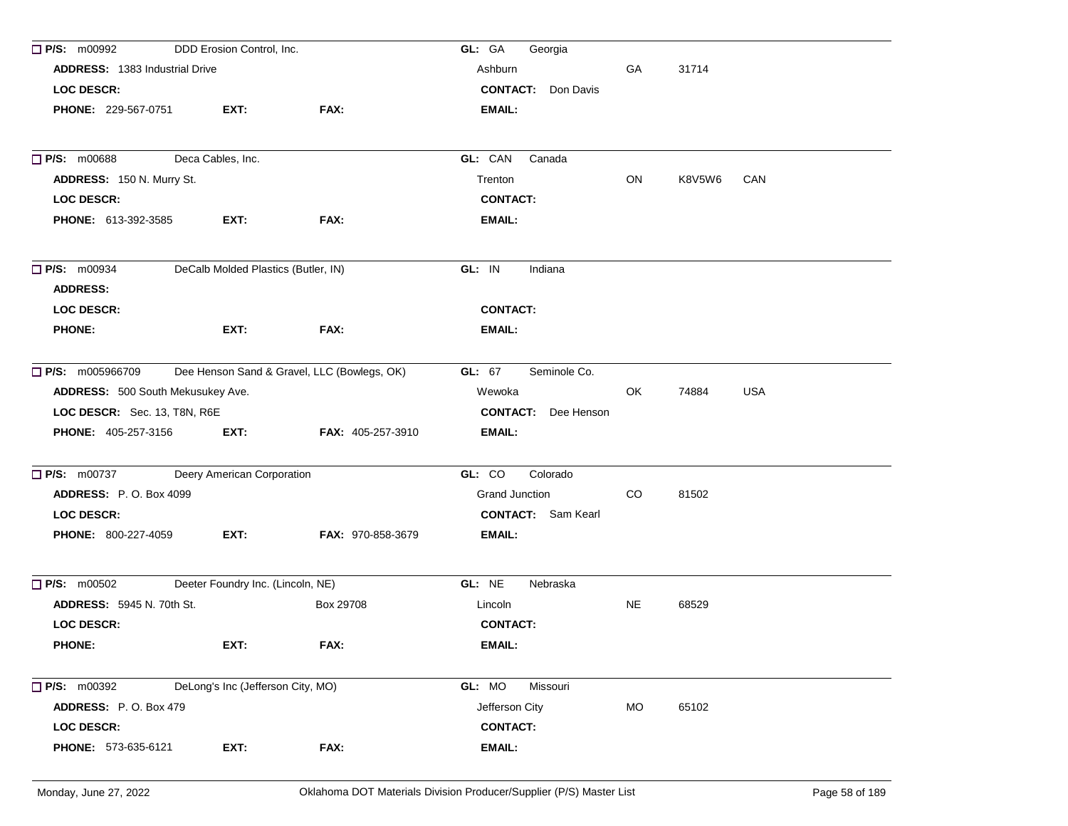| $\Box$ P/S: m00992                    | DDD Erosion Control, Inc.           |                                             | GL: GA<br>Georgia          |           |        |            |
|---------------------------------------|-------------------------------------|---------------------------------------------|----------------------------|-----------|--------|------------|
| <b>ADDRESS: 1383 Industrial Drive</b> |                                     |                                             | Ashburn                    | GA        | 31714  |            |
| <b>LOC DESCR:</b>                     |                                     |                                             | <b>CONTACT:</b> Don Davis  |           |        |            |
| <b>PHONE: 229-567-0751</b>            | EXT:                                | FAX:                                        | <b>EMAIL:</b>              |           |        |            |
| <b>P/S: m00688</b>                    | Deca Cables, Inc.                   |                                             | GL: CAN<br>Canada          |           |        |            |
| ADDRESS: 150 N. Murry St.             |                                     |                                             | Trenton                    | ON        | K8V5W6 | CAN        |
| <b>LOC DESCR:</b>                     |                                     |                                             | <b>CONTACT:</b>            |           |        |            |
| <b>PHONE: 613-392-3585</b>            | EXT:                                | FAX:                                        | <b>EMAIL:</b>              |           |        |            |
| <b>P/S: m00934</b><br><b>ADDRESS:</b> | DeCalb Molded Plastics (Butler, IN) |                                             | GL: IN<br>Indiana          |           |        |            |
| <b>LOC DESCR:</b>                     |                                     |                                             | <b>CONTACT:</b>            |           |        |            |
| <b>PHONE:</b>                         | EXT:                                | FAX:                                        | <b>EMAIL:</b>              |           |        |            |
| $\Box$ P/S: m005966709                |                                     | Dee Henson Sand & Gravel, LLC (Bowlegs, OK) | GL: 67<br>Seminole Co.     |           |        |            |
| ADDRESS: 500 South Mekusukey Ave.     |                                     |                                             | Wewoka                     | OK        | 74884  | <b>USA</b> |
| LOC DESCR: Sec. 13, T8N, R6E          |                                     |                                             | <b>CONTACT:</b> Dee Henson |           |        |            |
| <b>PHONE: 405-257-3156</b>            | EXT:                                | FAX: 405-257-3910                           | <b>EMAIL:</b>              |           |        |            |
| $\Box$ P/S: m00737                    | Deery American Corporation          |                                             | GL: CO<br>Colorado         |           |        |            |
| <b>ADDRESS: P.O. Box 4099</b>         |                                     |                                             | Grand Junction             | CO.       | 81502  |            |
| <b>LOC DESCR:</b>                     |                                     |                                             | <b>CONTACT:</b> Sam Kearl  |           |        |            |
| <b>PHONE: 800-227-4059</b>            | EXT:                                | <b>FAX: 970-858-3679</b>                    | <b>EMAIL:</b>              |           |        |            |
| $\Box$ P/S: m00502                    | Deeter Foundry Inc. (Lincoln, NE)   |                                             | GL: NE<br>Nebraska         |           |        |            |
| <b>ADDRESS: 5945 N. 70th St.</b>      |                                     | Box 29708                                   | Lincoln                    | <b>NE</b> | 68529  |            |
| <b>LOC DESCR:</b>                     |                                     |                                             | <b>CONTACT:</b>            |           |        |            |
| <b>PHONE:</b>                         | EXT:                                | FAX:                                        | <b>EMAIL:</b>              |           |        |            |
| <b>P/S:</b> m00392                    | DeLong's Inc (Jefferson City, MO)   |                                             | GL: MO<br>Missouri         |           |        |            |
| ADDRESS: P.O. Box 479                 |                                     |                                             | Jefferson City             | MO        | 65102  |            |
| <b>LOC DESCR:</b>                     |                                     |                                             | <b>CONTACT:</b>            |           |        |            |
| PHONE: 573-635-6121                   | EXT:                                | FAX:                                        | <b>EMAIL:</b>              |           |        |            |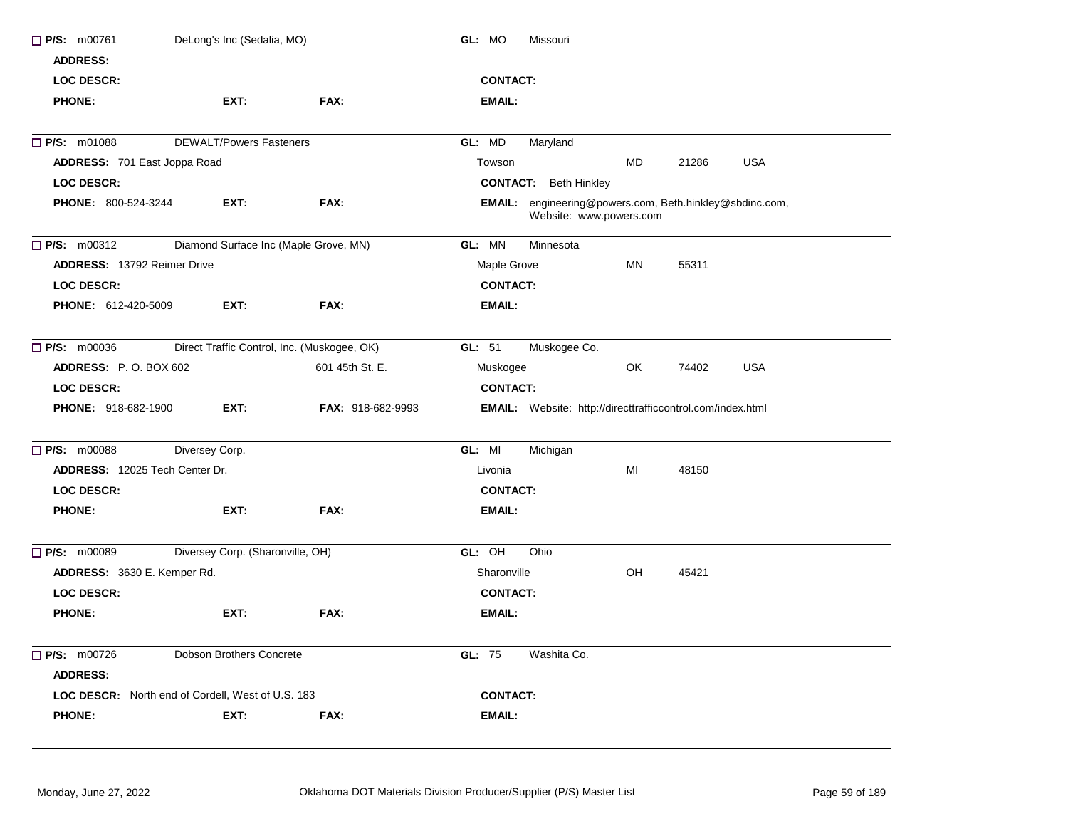| <b>LOC DESCR:</b><br>FAX:<br><b>PHONE:</b><br>EXT:<br>EMAIL:<br><b>DEWALT/Powers Fasteners</b><br>GL: MD<br>Maryland<br><b>MD</b><br><b>USA</b><br>ADDRESS: 701 East Joppa Road<br>21286<br>Towson<br><b>LOC DESCR:</b><br><b>CONTACT:</b> Beth Hinkley<br>EMAIL: engineering@powers.com, Beth.hinkley@sbdinc.com,<br>FAX:<br><b>PHONE: 800-524-3244</b><br>EXT:<br>Website: www.powers.com<br>Diamond Surface Inc (Maple Grove, MN)<br>GL: MN<br>Minnesota<br><b>ADDRESS: 13792 Reimer Drive</b><br>Maple Grove<br>MN<br>55311<br><b>CONTACT:</b><br>LOC DESCR:<br>PHONE: 612-420-5009<br>EXT:<br>FAX:<br>EMAIL:<br>Direct Traffic Control, Inc. (Muskogee, OK)<br>GL: 51<br>Muskogee Co.<br>ADDRESS: P.O. BOX 602<br>601 45th St. E.<br>OK<br>74402<br><b>USA</b><br>Muskogee<br><b>CONTACT:</b><br><b>LOC DESCR:</b><br><b>PHONE: 918-682-1900</b><br>EXT:<br><b>FAX: 918-682-9993</b><br><b>EMAIL:</b> Website: http://directtrafficcontrol.com/index.html<br>Diversey Corp.<br>GL: MI<br>Michigan<br>MI<br>ADDRESS: 12025 Tech Center Dr.<br>48150<br>Livonia<br><b>CONTACT:</b><br><b>LOC DESCR:</b><br>EXT:<br>FAX:<br><b>PHONE:</b><br>EMAIL:<br>Diversey Corp. (Sharonville, OH)<br>GL: OH<br>Ohio<br>ADDRESS: 3630 E. Kemper Rd.<br>Sharonville<br>OH<br>45421<br><b>LOC DESCR:</b><br><b>CONTACT:</b><br><b>PHONE:</b><br>EXT:<br>FAX:<br><b>EMAIL:</b><br>GL: 75<br>$\Box$ P/S: m00726<br><b>Dobson Brothers Concrete</b><br>Washita Co.<br><b>ADDRESS:</b><br><b>CONTACT:</b><br>LOC DESCR: North end of Cordell, West of U.S. 183<br><b>PHONE:</b><br>EXT:<br>FAX:<br>EMAIL: | $\Box$ P/S: m00761<br><b>ADDRESS:</b> | DeLong's Inc (Sedalia, MO) | GL: MO<br>Missouri |
|--------------------------------------------------------------------------------------------------------------------------------------------------------------------------------------------------------------------------------------------------------------------------------------------------------------------------------------------------------------------------------------------------------------------------------------------------------------------------------------------------------------------------------------------------------------------------------------------------------------------------------------------------------------------------------------------------------------------------------------------------------------------------------------------------------------------------------------------------------------------------------------------------------------------------------------------------------------------------------------------------------------------------------------------------------------------------------------------------------------------------------------------------------------------------------------------------------------------------------------------------------------------------------------------------------------------------------------------------------------------------------------------------------------------------------------------------------------------------------------------------------------------------------------------------------------------------------------------|---------------------------------------|----------------------------|--------------------|
|                                                                                                                                                                                                                                                                                                                                                                                                                                                                                                                                                                                                                                                                                                                                                                                                                                                                                                                                                                                                                                                                                                                                                                                                                                                                                                                                                                                                                                                                                                                                                                                            |                                       |                            | <b>CONTACT:</b>    |
|                                                                                                                                                                                                                                                                                                                                                                                                                                                                                                                                                                                                                                                                                                                                                                                                                                                                                                                                                                                                                                                                                                                                                                                                                                                                                                                                                                                                                                                                                                                                                                                            |                                       |                            |                    |
|                                                                                                                                                                                                                                                                                                                                                                                                                                                                                                                                                                                                                                                                                                                                                                                                                                                                                                                                                                                                                                                                                                                                                                                                                                                                                                                                                                                                                                                                                                                                                                                            | <b>P/S: m01088</b>                    |                            |                    |
|                                                                                                                                                                                                                                                                                                                                                                                                                                                                                                                                                                                                                                                                                                                                                                                                                                                                                                                                                                                                                                                                                                                                                                                                                                                                                                                                                                                                                                                                                                                                                                                            |                                       |                            |                    |
|                                                                                                                                                                                                                                                                                                                                                                                                                                                                                                                                                                                                                                                                                                                                                                                                                                                                                                                                                                                                                                                                                                                                                                                                                                                                                                                                                                                                                                                                                                                                                                                            |                                       |                            |                    |
|                                                                                                                                                                                                                                                                                                                                                                                                                                                                                                                                                                                                                                                                                                                                                                                                                                                                                                                                                                                                                                                                                                                                                                                                                                                                                                                                                                                                                                                                                                                                                                                            |                                       |                            |                    |
|                                                                                                                                                                                                                                                                                                                                                                                                                                                                                                                                                                                                                                                                                                                                                                                                                                                                                                                                                                                                                                                                                                                                                                                                                                                                                                                                                                                                                                                                                                                                                                                            | <b>P/S:</b> m00312                    |                            |                    |
|                                                                                                                                                                                                                                                                                                                                                                                                                                                                                                                                                                                                                                                                                                                                                                                                                                                                                                                                                                                                                                                                                                                                                                                                                                                                                                                                                                                                                                                                                                                                                                                            |                                       |                            |                    |
|                                                                                                                                                                                                                                                                                                                                                                                                                                                                                                                                                                                                                                                                                                                                                                                                                                                                                                                                                                                                                                                                                                                                                                                                                                                                                                                                                                                                                                                                                                                                                                                            |                                       |                            |                    |
|                                                                                                                                                                                                                                                                                                                                                                                                                                                                                                                                                                                                                                                                                                                                                                                                                                                                                                                                                                                                                                                                                                                                                                                                                                                                                                                                                                                                                                                                                                                                                                                            |                                       |                            |                    |
|                                                                                                                                                                                                                                                                                                                                                                                                                                                                                                                                                                                                                                                                                                                                                                                                                                                                                                                                                                                                                                                                                                                                                                                                                                                                                                                                                                                                                                                                                                                                                                                            | <b>P/S: m00036</b>                    |                            |                    |
|                                                                                                                                                                                                                                                                                                                                                                                                                                                                                                                                                                                                                                                                                                                                                                                                                                                                                                                                                                                                                                                                                                                                                                                                                                                                                                                                                                                                                                                                                                                                                                                            |                                       |                            |                    |
|                                                                                                                                                                                                                                                                                                                                                                                                                                                                                                                                                                                                                                                                                                                                                                                                                                                                                                                                                                                                                                                                                                                                                                                                                                                                                                                                                                                                                                                                                                                                                                                            |                                       |                            |                    |
|                                                                                                                                                                                                                                                                                                                                                                                                                                                                                                                                                                                                                                                                                                                                                                                                                                                                                                                                                                                                                                                                                                                                                                                                                                                                                                                                                                                                                                                                                                                                                                                            |                                       |                            |                    |
|                                                                                                                                                                                                                                                                                                                                                                                                                                                                                                                                                                                                                                                                                                                                                                                                                                                                                                                                                                                                                                                                                                                                                                                                                                                                                                                                                                                                                                                                                                                                                                                            | $\Box$ P/S: m00088                    |                            |                    |
|                                                                                                                                                                                                                                                                                                                                                                                                                                                                                                                                                                                                                                                                                                                                                                                                                                                                                                                                                                                                                                                                                                                                                                                                                                                                                                                                                                                                                                                                                                                                                                                            |                                       |                            |                    |
|                                                                                                                                                                                                                                                                                                                                                                                                                                                                                                                                                                                                                                                                                                                                                                                                                                                                                                                                                                                                                                                                                                                                                                                                                                                                                                                                                                                                                                                                                                                                                                                            |                                       |                            |                    |
|                                                                                                                                                                                                                                                                                                                                                                                                                                                                                                                                                                                                                                                                                                                                                                                                                                                                                                                                                                                                                                                                                                                                                                                                                                                                                                                                                                                                                                                                                                                                                                                            |                                       |                            |                    |
|                                                                                                                                                                                                                                                                                                                                                                                                                                                                                                                                                                                                                                                                                                                                                                                                                                                                                                                                                                                                                                                                                                                                                                                                                                                                                                                                                                                                                                                                                                                                                                                            | $\Box$ P/S: m00089                    |                            |                    |
|                                                                                                                                                                                                                                                                                                                                                                                                                                                                                                                                                                                                                                                                                                                                                                                                                                                                                                                                                                                                                                                                                                                                                                                                                                                                                                                                                                                                                                                                                                                                                                                            |                                       |                            |                    |
|                                                                                                                                                                                                                                                                                                                                                                                                                                                                                                                                                                                                                                                                                                                                                                                                                                                                                                                                                                                                                                                                                                                                                                                                                                                                                                                                                                                                                                                                                                                                                                                            |                                       |                            |                    |
|                                                                                                                                                                                                                                                                                                                                                                                                                                                                                                                                                                                                                                                                                                                                                                                                                                                                                                                                                                                                                                                                                                                                                                                                                                                                                                                                                                                                                                                                                                                                                                                            |                                       |                            |                    |
|                                                                                                                                                                                                                                                                                                                                                                                                                                                                                                                                                                                                                                                                                                                                                                                                                                                                                                                                                                                                                                                                                                                                                                                                                                                                                                                                                                                                                                                                                                                                                                                            |                                       |                            |                    |
|                                                                                                                                                                                                                                                                                                                                                                                                                                                                                                                                                                                                                                                                                                                                                                                                                                                                                                                                                                                                                                                                                                                                                                                                                                                                                                                                                                                                                                                                                                                                                                                            |                                       |                            |                    |
|                                                                                                                                                                                                                                                                                                                                                                                                                                                                                                                                                                                                                                                                                                                                                                                                                                                                                                                                                                                                                                                                                                                                                                                                                                                                                                                                                                                                                                                                                                                                                                                            |                                       |                            |                    |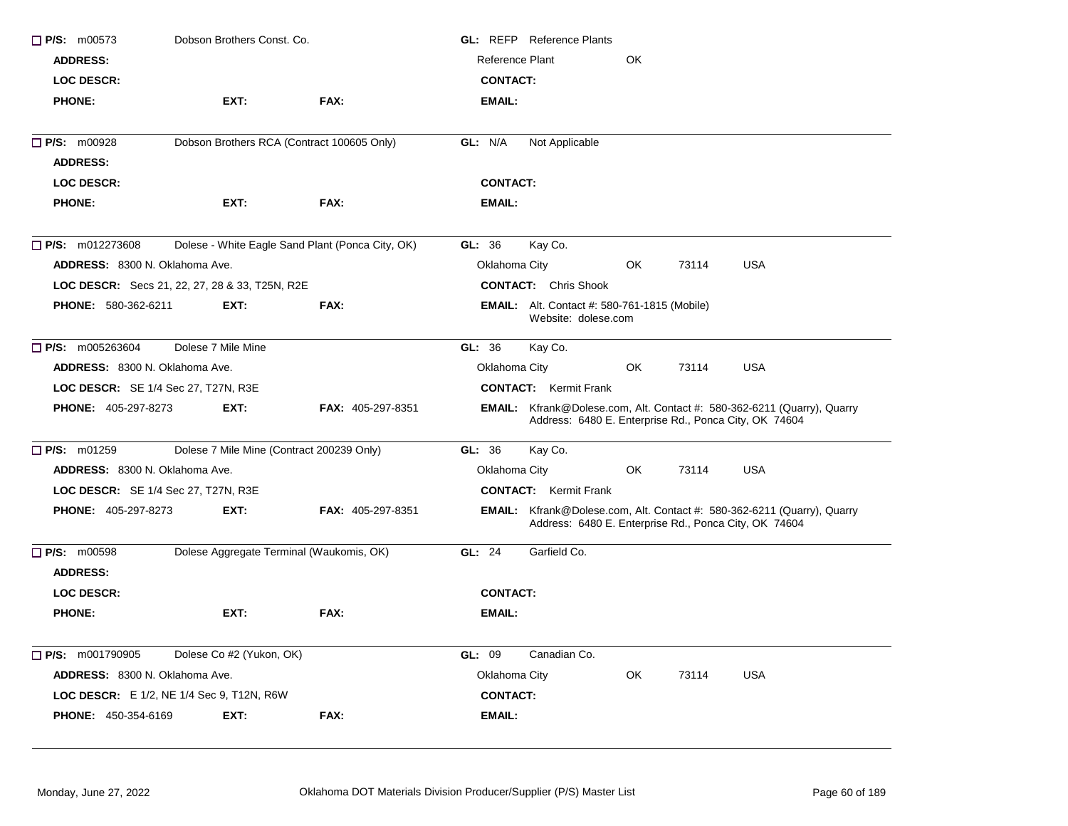| $\Box$ P/S: m00573                         | Dobson Brothers Const, Co.                            |                                                  | <b>GL: REFP</b> Reference Plants                                                                                                        |
|--------------------------------------------|-------------------------------------------------------|--------------------------------------------------|-----------------------------------------------------------------------------------------------------------------------------------------|
| <b>ADDRESS:</b>                            |                                                       |                                                  | Reference Plant<br>OK                                                                                                                   |
| <b>LOC DESCR:</b>                          |                                                       |                                                  | <b>CONTACT:</b>                                                                                                                         |
| <b>PHONE:</b>                              | EXT:                                                  | FAX:                                             | <b>EMAIL:</b>                                                                                                                           |
| P/S: m00928                                | Dobson Brothers RCA (Contract 100605 Only)            |                                                  | GL: N/A<br>Not Applicable                                                                                                               |
| <b>ADDRESS:</b>                            |                                                       |                                                  |                                                                                                                                         |
| <b>LOC DESCR:</b>                          |                                                       |                                                  | <b>CONTACT:</b>                                                                                                                         |
| <b>PHONE:</b>                              | EXT:                                                  | FAX:                                             | EMAIL:                                                                                                                                  |
| $\Box$ P/S: m012273608                     |                                                       | Dolese - White Eagle Sand Plant (Ponca City, OK) | GL: 36<br>Kay Co.                                                                                                                       |
| <b>ADDRESS: 8300 N. Oklahoma Ave.</b>      |                                                       |                                                  | Oklahoma City<br><b>USA</b><br>OK.<br>73114                                                                                             |
|                                            | <b>LOC DESCR:</b> Secs 21, 22, 27, 28 & 33, T25N, R2E |                                                  | <b>CONTACT:</b> Chris Shook                                                                                                             |
| <b>PHONE: 580-362-6211</b>                 | EXT:                                                  | FAX:                                             | <b>EMAIL:</b> Alt. Contact #: 580-761-1815 (Mobile)<br>Website: dolese.com                                                              |
| $\Box$ P/S: m005263604                     | Dolese 7 Mile Mine                                    |                                                  | GL: 36<br>Kay Co.                                                                                                                       |
| <b>ADDRESS: 8300 N. Oklahoma Ave.</b>      |                                                       |                                                  | <b>USA</b><br>Oklahoma City<br>OK<br>73114                                                                                              |
| LOC DESCR: SE 1/4 Sec 27, T27N, R3E        |                                                       |                                                  | <b>CONTACT:</b> Kermit Frank                                                                                                            |
| <b>PHONE: 405-297-8273</b>                 | EXT:                                                  | <b>FAX: 405-297-8351</b>                         | EMAIL: Kfrank@Dolese.com, Alt. Contact #: 580-362-6211 (Quarry), Quarry<br>Address: 6480 E. Enterprise Rd., Ponca City, OK 74604        |
| $\Box$ P/S: m01259                         | Dolese 7 Mile Mine (Contract 200239 Only)             |                                                  | Kay Co.<br>GL: 36                                                                                                                       |
| ADDRESS: 8300 N. Oklahoma Ave.             |                                                       |                                                  | OK.<br><b>USA</b><br>Oklahoma City<br>73114                                                                                             |
| <b>LOC DESCR:</b> SE 1/4 Sec 27, T27N, R3E |                                                       |                                                  | <b>CONTACT:</b> Kermit Frank                                                                                                            |
| <b>PHONE: 405-297-8273</b>                 | EXT:                                                  | <b>FAX: 405-297-8351</b>                         | <b>EMAIL:</b> Kfrank@Dolese.com, Alt. Contact #: 580-362-6211 (Quarry), Quarry<br>Address: 6480 E. Enterprise Rd., Ponca City, OK 74604 |
| $\Box$ P/S: m00598                         | Dolese Aggregate Terminal (Waukomis, OK)              |                                                  | <b>GL: 24</b><br>Garfield Co.                                                                                                           |
| <b>ADDRESS:</b>                            |                                                       |                                                  |                                                                                                                                         |
| <b>LOC DESCR:</b>                          |                                                       |                                                  | <b>CONTACT:</b>                                                                                                                         |
| <b>PHONE:</b>                              | EXT:                                                  | FAX:                                             | EMAIL:                                                                                                                                  |
| $\Box$ P/S: m001790905                     | Dolese Co #2 (Yukon, OK)                              |                                                  | GL: 09<br>Canadian Co.                                                                                                                  |
| ADDRESS: 8300 N. Oklahoma Ave.             |                                                       |                                                  | Oklahoma City<br>OK.<br>73114<br><b>USA</b>                                                                                             |
|                                            | <b>LOC DESCR:</b> E 1/2, NE 1/4 Sec 9, T12N, R6W      |                                                  | <b>CONTACT:</b>                                                                                                                         |
| <b>PHONE: 450-354-6169</b>                 | EXT:                                                  | <b>FAX:</b>                                      | EMAIL:                                                                                                                                  |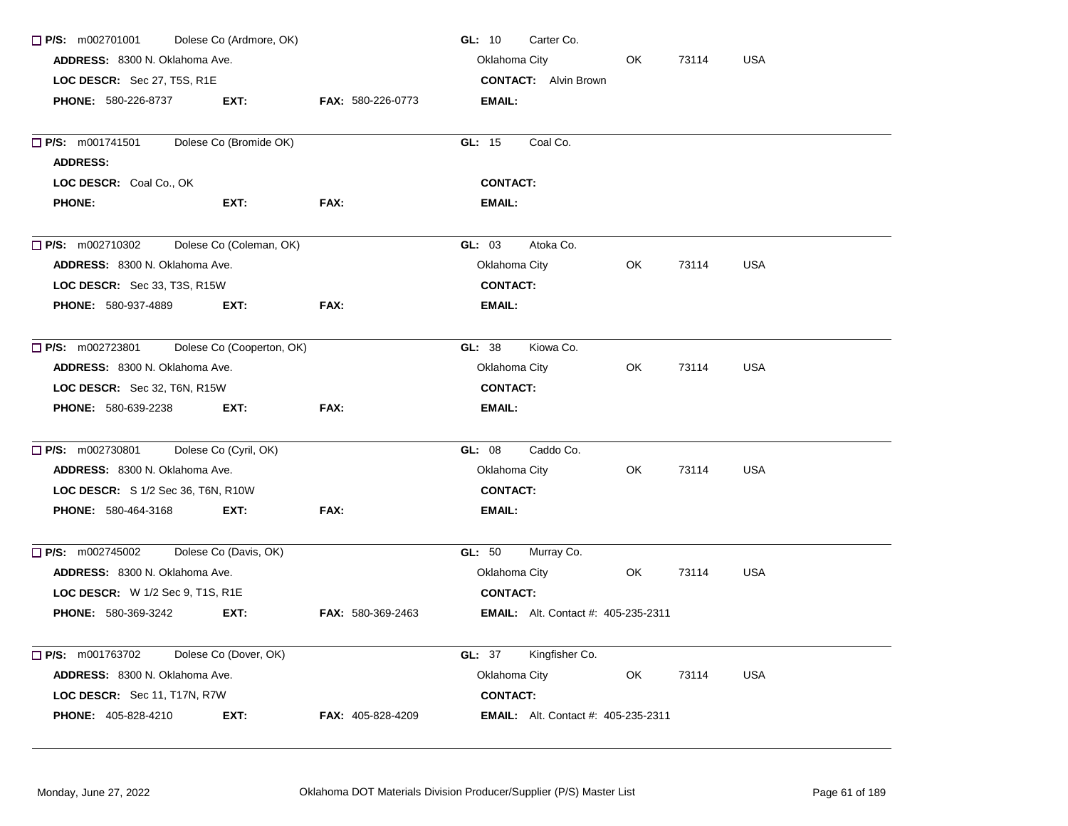| $\Box$ P/S: m002701001                                        | Dolese Co (Ardmore, OK)   |                          | Carter Co.<br>GL: 10                        |     |       |            |  |  |
|---------------------------------------------------------------|---------------------------|--------------------------|---------------------------------------------|-----|-------|------------|--|--|
| ADDRESS: 8300 N. Oklahoma Ave.<br>LOC DESCR: Sec 27, T5S, R1E |                           |                          | Oklahoma City<br>OK.<br><b>USA</b><br>73114 |     |       |            |  |  |
|                                                               |                           |                          | <b>CONTACT:</b> Alvin Brown                 |     |       |            |  |  |
| <b>PHONE: 580-226-8737</b>                                    | EXT:                      | <b>FAX: 580-226-0773</b> | EMAIL:                                      |     |       |            |  |  |
|                                                               |                           |                          |                                             |     |       |            |  |  |
| $\Box$ P/S: m001741501                                        | Dolese Co (Bromide OK)    |                          | Coal Co.<br>GL: 15                          |     |       |            |  |  |
| <b>ADDRESS:</b>                                               |                           |                          |                                             |     |       |            |  |  |
| LOC DESCR: Coal Co., OK                                       |                           |                          | <b>CONTACT:</b>                             |     |       |            |  |  |
| <b>PHONE:</b>                                                 | EXT:                      | FAX:                     | <b>EMAIL:</b>                               |     |       |            |  |  |
| $\Box$ P/S: m002710302                                        | Dolese Co (Coleman, OK)   |                          | GL: 03<br>Atoka Co.                         |     |       |            |  |  |
| ADDRESS: 8300 N. Oklahoma Ave.                                |                           |                          | Oklahoma City                               | OK  | 73114 | <b>USA</b> |  |  |
| LOC DESCR: Sec 33, T3S, R15W                                  |                           |                          | <b>CONTACT:</b>                             |     |       |            |  |  |
| PHONE: 580-937-4889                                           | EXT:                      | FAX:                     | <b>EMAIL:</b>                               |     |       |            |  |  |
| $\Box$ P/S: m002723801                                        | Dolese Co (Cooperton, OK) |                          | GL: 38<br>Kiowa Co.                         |     |       |            |  |  |
| ADDRESS: 8300 N. Oklahoma Ave.                                |                           |                          | Oklahoma City                               | OK. | 73114 | <b>USA</b> |  |  |
| LOC DESCR: Sec 32, T6N, R15W                                  |                           |                          | <b>CONTACT:</b>                             |     |       |            |  |  |
| <b>PHONE: 580-639-2238</b>                                    | EXT:                      | FAX:                     | <b>EMAIL:</b>                               |     |       |            |  |  |
| $\Box$ P/S: m002730801                                        | Dolese Co (Cyril, OK)     |                          | Caddo Co.<br>GL: 08                         |     |       |            |  |  |
| ADDRESS: 8300 N. Oklahoma Ave.                                |                           |                          | Oklahoma City                               | OK  | 73114 | <b>USA</b> |  |  |
| LOC DESCR: S 1/2 Sec 36, T6N, R10W                            |                           |                          | <b>CONTACT:</b>                             |     |       |            |  |  |
| <b>PHONE: 580-464-3168</b>                                    | EXT.                      | FAX:                     | <b>EMAIL:</b>                               |     |       |            |  |  |
| $\Box$ P/S: m002745002                                        | Dolese Co (Davis, OK)     |                          | GL: 50<br>Murray Co.                        |     |       |            |  |  |
| ADDRESS: 8300 N. Oklahoma Ave.                                |                           |                          | Oklahoma City                               | OK  | 73114 | <b>USA</b> |  |  |
| <b>LOC DESCR:</b> W 1/2 Sec 9, T1S, R1E                       |                           |                          | <b>CONTACT:</b>                             |     |       |            |  |  |
| <b>PHONE: 580-369-3242</b>                                    | EXT:                      | <b>FAX: 580-369-2463</b> | <b>EMAIL:</b> Alt. Contact #: 405-235-2311  |     |       |            |  |  |
| $\Box$ P/S: m001763702                                        | Dolese Co (Dover, OK)     |                          | <b>GL: 37</b><br>Kingfisher Co.             |     |       |            |  |  |
| ADDRESS: 8300 N. Oklahoma Ave.                                |                           |                          | Oklahoma City                               | OK  | 73114 | <b>USA</b> |  |  |
| LOC DESCR: Sec 11, T17N, R7W                                  |                           |                          | <b>CONTACT:</b>                             |     |       |            |  |  |
| PHONE: 405-828-4210                                           | EXT:                      | FAX: 405-828-4209        | <b>EMAIL:</b> Alt. Contact #: 405-235-2311  |     |       |            |  |  |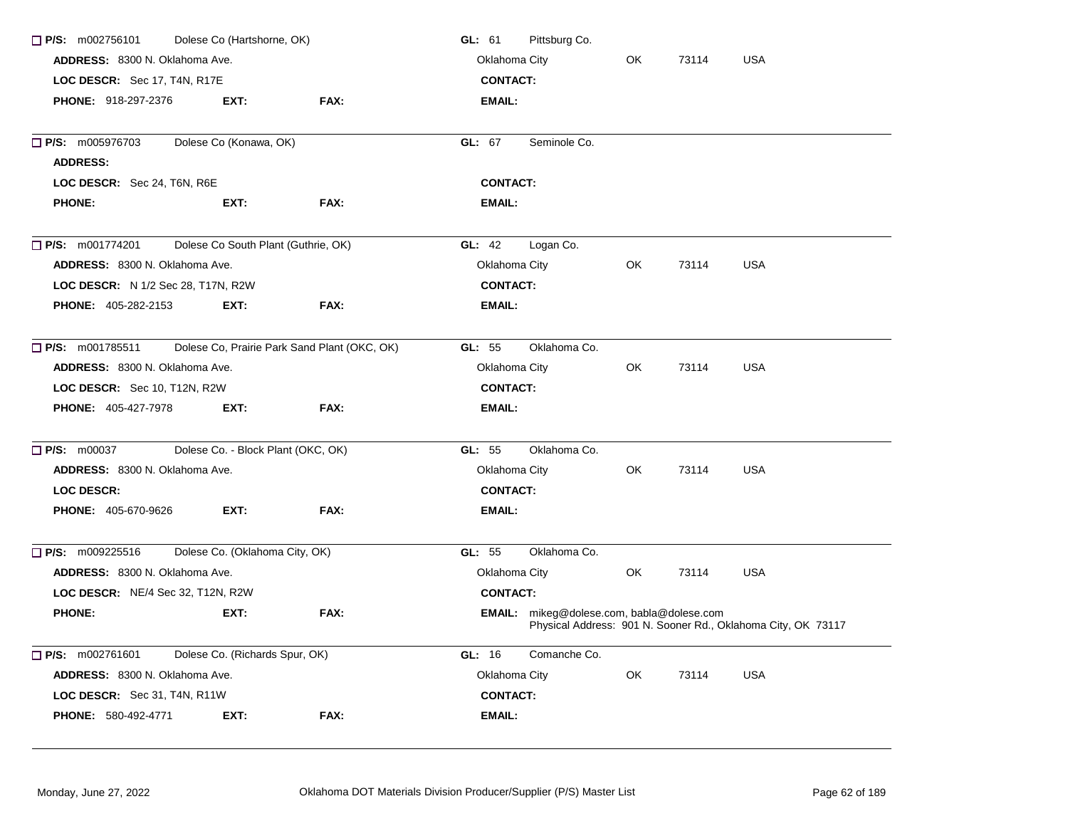| $\Box$ P/S: m002756101<br>Dolese Co (Hartshorne, OK) | Pittsburg Co.<br>GL: 61                                        |                                              |                                                  |     |       |                                                              |  |
|------------------------------------------------------|----------------------------------------------------------------|----------------------------------------------|--------------------------------------------------|-----|-------|--------------------------------------------------------------|--|
| ADDRESS: 8300 N. Oklahoma Ave.                       | Oklahoma City<br><b>USA</b><br>OK.<br>73114<br><b>CONTACT:</b> |                                              |                                                  |     |       |                                                              |  |
| LOC DESCR: Sec 17, T4N, R17E                         |                                                                |                                              |                                                  |     |       |                                                              |  |
| <b>PHONE: 918-297-2376</b>                           | EXT:                                                           | FAX:                                         | <b>EMAIL:</b>                                    |     |       |                                                              |  |
| $\Box$ P/S: m005976703                               | Dolese Co (Konawa, OK)                                         |                                              | GL: 67<br>Seminole Co.                           |     |       |                                                              |  |
| <b>ADDRESS:</b>                                      |                                                                |                                              |                                                  |     |       |                                                              |  |
| LOC DESCR: Sec 24, T6N, R6E                          |                                                                |                                              | <b>CONTACT:</b>                                  |     |       |                                                              |  |
| <b>PHONE:</b>                                        | EXT:                                                           | FAX:                                         | <b>EMAIL:</b>                                    |     |       |                                                              |  |
| $\Box$ P/S: m001774201                               | Dolese Co South Plant (Guthrie, OK)                            |                                              | GL: 42<br>Logan Co.                              |     |       |                                                              |  |
| ADDRESS: 8300 N. Oklahoma Ave.                       |                                                                |                                              | Oklahoma City                                    | OK. | 73114 | <b>USA</b>                                                   |  |
| <b>LOC DESCR:</b> N 1/2 Sec 28, T17N, R2W            |                                                                |                                              | <b>CONTACT:</b>                                  |     |       |                                                              |  |
| <b>PHONE: 405-282-2153</b>                           | EXT.                                                           | FAX:                                         | EMAIL:                                           |     |       |                                                              |  |
| $\Box$ P/S: m001785511                               |                                                                | Dolese Co, Prairie Park Sand Plant (OKC, OK) | GL: 55<br>Oklahoma Co.                           |     |       |                                                              |  |
| ADDRESS: 8300 N. Oklahoma Ave.                       |                                                                |                                              | Oklahoma City                                    | OK  | 73114 | <b>USA</b>                                                   |  |
| LOC DESCR: Sec 10, T12N, R2W                         |                                                                |                                              | <b>CONTACT:</b>                                  |     |       |                                                              |  |
| <b>PHONE: 405-427-7978</b>                           | EXT:                                                           | FAX:                                         | EMAIL:                                           |     |       |                                                              |  |
| $\Box$ P/S: m00037                                   | Dolese Co. - Block Plant (OKC, OK)                             |                                              | GL: 55<br>Oklahoma Co.                           |     |       |                                                              |  |
| ADDRESS: 8300 N. Oklahoma Ave.                       |                                                                |                                              | Oklahoma City                                    | OK  | 73114 | <b>USA</b>                                                   |  |
| <b>LOC DESCR:</b>                                    |                                                                |                                              | <b>CONTACT:</b>                                  |     |       |                                                              |  |
| <b>PHONE: 405-670-9626</b>                           | EXT:                                                           | FAX:                                         | <b>EMAIL:</b>                                    |     |       |                                                              |  |
| $\Box$ P/S: m009225516                               | Dolese Co. (Oklahoma City, OK)                                 |                                              | GL: 55<br>Oklahoma Co.                           |     |       |                                                              |  |
| ADDRESS: 8300 N. Oklahoma Ave.                       |                                                                |                                              | Oklahoma City                                    | OK  | 73114 | <b>USA</b>                                                   |  |
| LOC DESCR: NE/4 Sec 32, T12N, R2W                    |                                                                |                                              | <b>CONTACT:</b>                                  |     |       |                                                              |  |
| <b>PHONE:</b>                                        | EXT:                                                           | FAX:                                         | <b>EMAIL:</b> mikeg@dolese.com, babla@dolese.com |     |       | Physical Address: 901 N. Sooner Rd., Oklahoma City, OK 73117 |  |
| $\Box$ P/S: m002761601                               | Dolese Co. (Richards Spur, OK)                                 |                                              | GL: 16<br>Comanche Co.                           |     |       |                                                              |  |
| ADDRESS: 8300 N. Oklahoma Ave.                       |                                                                |                                              | Oklahoma City                                    | OK  | 73114 | <b>USA</b>                                                   |  |
| LOC DESCR: Sec 31, T4N, R11W                         |                                                                |                                              | <b>CONTACT:</b>                                  |     |       |                                                              |  |
| <b>PHONE: 580-492-4771</b>                           | EXT:                                                           | FAX:                                         | <b>EMAIL:</b>                                    |     |       |                                                              |  |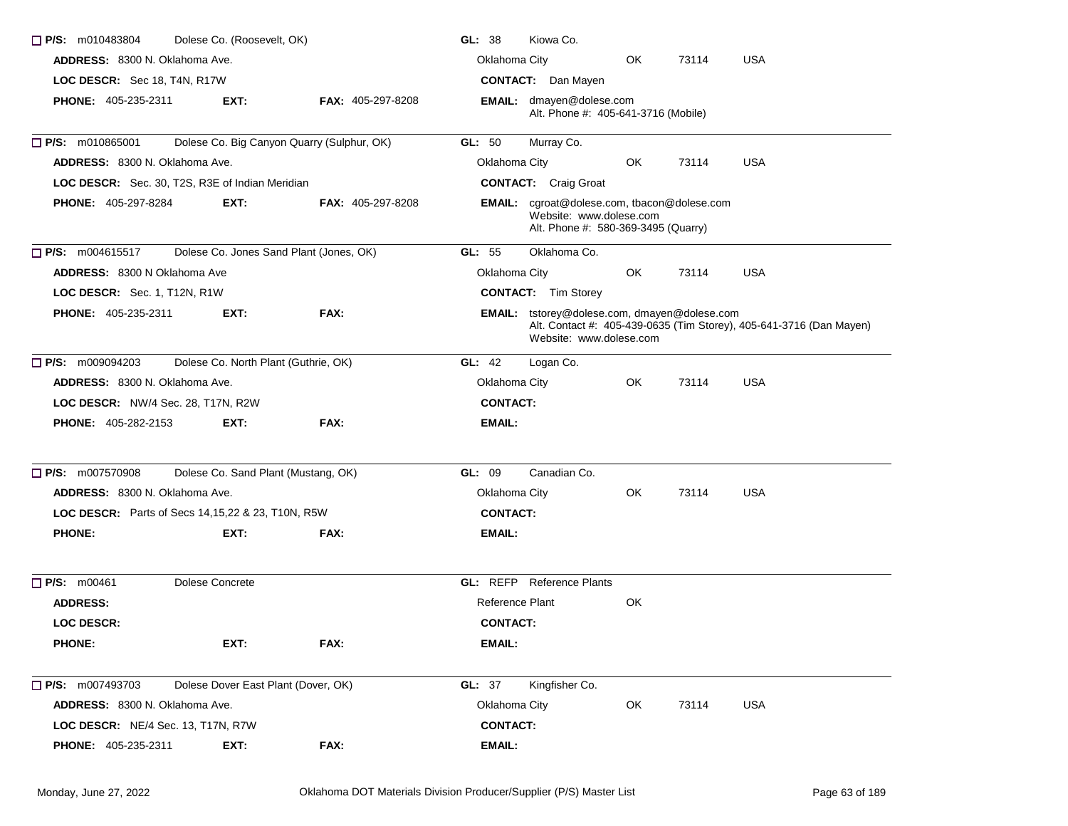| Dolese Co. (Roosevelt, OK)<br>$\Box$ P/S: m010483804 | GL: 38<br>Kiowa Co.                  |                                            |                 |                                                                                                                      |            |       |                                                                     |
|------------------------------------------------------|--------------------------------------|--------------------------------------------|-----------------|----------------------------------------------------------------------------------------------------------------------|------------|-------|---------------------------------------------------------------------|
| ADDRESS: 8300 N. Oklahoma Ave.                       | Oklahoma City                        |                                            | OK.             | 73114                                                                                                                | <b>USA</b> |       |                                                                     |
| LOC DESCR: Sec 18, T4N, R17W                         | <b>CONTACT:</b> Dan Mayen            |                                            |                 |                                                                                                                      |            |       |                                                                     |
| <b>PHONE: 405-235-2311</b>                           | EXT:                                 | <b>FAX: 405-297-8208</b>                   |                 | <b>EMAIL:</b> dmayen@dolese.com<br>Alt. Phone #: 405-641-3716 (Mobile)                                               |            |       |                                                                     |
| $\Box$ P/S: m010865001                               |                                      | Dolese Co. Big Canyon Quarry (Sulphur, OK) | GL: 50          | Murray Co.                                                                                                           |            |       |                                                                     |
| <b>ADDRESS: 8300 N. Oklahoma Ave.</b>                |                                      |                                            | Oklahoma City   |                                                                                                                      | OK.        | 73114 | <b>USA</b>                                                          |
| LOC DESCR: Sec. 30, T2S, R3E of Indian Meridian      |                                      |                                            |                 | <b>CONTACT:</b> Craig Groat                                                                                          |            |       |                                                                     |
| <b>PHONE: 405-297-8284</b>                           | EXT.                                 | <b>FAX: 405-297-8208</b>                   |                 | <b>EMAIL:</b> cgroat@dolese.com, tbacon@dolese.com<br>Website: www.dolese.com<br>Alt. Phone #: 580-369-3495 (Quarry) |            |       |                                                                     |
| $\Box$ P/S: m004615517                               |                                      | Dolese Co. Jones Sand Plant (Jones, OK)    | GL: 55          | Oklahoma Co.                                                                                                         |            |       |                                                                     |
| <b>ADDRESS: 8300 N Oklahoma Ave</b>                  |                                      |                                            | Oklahoma City   |                                                                                                                      | OK.        | 73114 | <b>USA</b>                                                          |
| LOC DESCR: Sec. 1, T12N, R1W                         |                                      |                                            |                 | <b>CONTACT:</b> Tim Storey                                                                                           |            |       |                                                                     |
| PHONE: 405-235-2311                                  | EXT:                                 | FAX:                                       |                 | EMAIL: tstorey@dolese.com, dmayen@dolese.com<br>Website: www.dolese.com                                              |            |       | Alt. Contact #: 405-439-0635 (Tim Storey), 405-641-3716 (Dan Mayen) |
| $\Box$ P/S: m009094203                               | Dolese Co. North Plant (Guthrie, OK) |                                            | GL: 42          | Logan Co.                                                                                                            |            |       |                                                                     |
| <b>ADDRESS: 8300 N. Oklahoma Ave.</b>                |                                      |                                            | Oklahoma City   |                                                                                                                      | OK.        | 73114 | USA                                                                 |
| LOC DESCR: NW/4 Sec. 28, T17N, R2W                   |                                      |                                            | <b>CONTACT:</b> |                                                                                                                      |            |       |                                                                     |
| <b>PHONE: 405-282-2153</b>                           | EXT:                                 | FAX:                                       | EMAIL:          |                                                                                                                      |            |       |                                                                     |
| $\Box$ P/S: m007570908                               | Dolese Co. Sand Plant (Mustang, OK)  |                                            | GL: 09          | Canadian Co.                                                                                                         |            |       |                                                                     |
| <b>ADDRESS: 8300 N. Oklahoma Ave.</b>                |                                      |                                            | Oklahoma City   |                                                                                                                      | OK.        | 73114 | <b>USA</b>                                                          |
| LOC DESCR: Parts of Secs 14, 15, 22 & 23, T10N, R5W  |                                      |                                            | <b>CONTACT:</b> |                                                                                                                      |            |       |                                                                     |
| <b>PHONE:</b>                                        | EXT:                                 | FAX:                                       | EMAIL:          |                                                                                                                      |            |       |                                                                     |
| $\Box$ P/S: m00461                                   | Dolese Concrete                      |                                            |                 | <b>GL:</b> REFP Reference Plants                                                                                     |            |       |                                                                     |
| <b>ADDRESS:</b>                                      |                                      |                                            | Reference Plant |                                                                                                                      | OK         |       |                                                                     |
| <b>LOC DESCR:</b>                                    |                                      |                                            | <b>CONTACT:</b> |                                                                                                                      |            |       |                                                                     |
| <b>PHONE:</b>                                        | EXT:                                 | FAX:                                       | <b>EMAIL:</b>   |                                                                                                                      |            |       |                                                                     |
| $\Box$ P/S: m007493703                               | Dolese Dover East Plant (Dover, OK)  |                                            | GL: 37          | Kingfisher Co.                                                                                                       |            |       |                                                                     |
| ADDRESS: 8300 N. Oklahoma Ave.                       |                                      |                                            | Oklahoma City   |                                                                                                                      | OK         | 73114 | <b>USA</b>                                                          |
| <b>LOC DESCR:</b> NE/4 Sec. 13, T17N, R7W            |                                      |                                            | <b>CONTACT:</b> |                                                                                                                      |            |       |                                                                     |
| PHONE: 405-235-2311                                  | EXT:                                 | FAX:                                       | <b>EMAIL:</b>   |                                                                                                                      |            |       |                                                                     |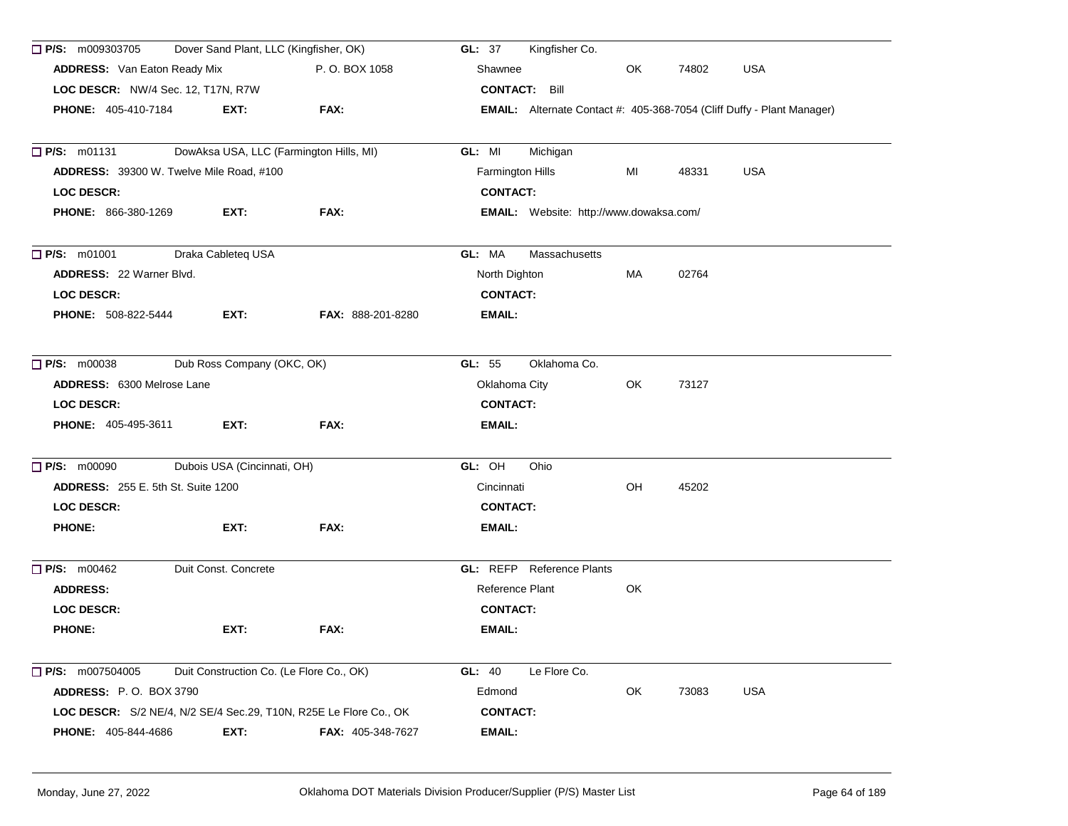| Dover Sand Plant, LLC (Kingfisher, OK)<br>$\Box$ P/S: m009303705  |                                          |                                         | Kingfisher Co.<br><b>GL: 37</b>                                               |     |       |            |  |
|-------------------------------------------------------------------|------------------------------------------|-----------------------------------------|-------------------------------------------------------------------------------|-----|-------|------------|--|
| <b>ADDRESS:</b> Van Eaton Ready Mix                               |                                          | P.O. BOX 1058                           | Shawnee                                                                       | OK  | 74802 | <b>USA</b> |  |
| LOC DESCR: NW/4 Sec. 12, T17N, R7W                                |                                          |                                         | <b>CONTACT: Bill</b>                                                          |     |       |            |  |
| <b>PHONE: 405-410-7184</b>                                        | EXT:                                     | FAX:                                    | <b>EMAIL:</b> Alternate Contact #: 405-368-7054 (Cliff Duffy - Plant Manager) |     |       |            |  |
| $\Box$ P/S: m01131                                                |                                          | DowAksa USA, LLC (Farmington Hills, MI) | GL: MI<br>Michigan                                                            |     |       |            |  |
| ADDRESS: 39300 W. Twelve Mile Road, #100                          |                                          |                                         | Farmington Hills                                                              | MI  | 48331 | <b>USA</b> |  |
| <b>LOC DESCR:</b>                                                 |                                          |                                         | <b>CONTACT:</b>                                                               |     |       |            |  |
| <b>PHONE: 866-380-1269</b>                                        | EXT:                                     | FAX:                                    | EMAIL: Website: http://www.dowaksa.com/                                       |     |       |            |  |
| $\Box$ P/S: m01001                                                | Draka Cableteq USA                       |                                         | GL: MA<br>Massachusetts                                                       |     |       |            |  |
| <b>ADDRESS: 22 Warner Blvd.</b>                                   |                                          |                                         | North Dighton                                                                 | МA  | 02764 |            |  |
| <b>LOC DESCR:</b>                                                 |                                          |                                         | <b>CONTACT:</b>                                                               |     |       |            |  |
| PHONE: 508-822-5444                                               | EXT:                                     | <b>FAX: 888-201-8280</b>                | EMAIL:                                                                        |     |       |            |  |
| <b>P/S: m00038</b><br>Dub Ross Company (OKC, OK)                  |                                          |                                         | GL: 55<br>Oklahoma Co.                                                        |     |       |            |  |
| <b>ADDRESS: 6300 Melrose Lane</b>                                 |                                          |                                         | Oklahoma City                                                                 | OK. | 73127 |            |  |
| <b>LOC DESCR:</b>                                                 |                                          |                                         | <b>CONTACT:</b>                                                               |     |       |            |  |
| <b>PHONE: 405-495-3611</b>                                        | EXT:                                     | FAX:                                    | EMAIL:                                                                        |     |       |            |  |
| $\Box$ P/S: m00090                                                | Dubois USA (Cincinnati, OH)              |                                         | GL: OH<br>Ohio                                                                |     |       |            |  |
| <b>ADDRESS:</b> 255 E. 5th St. Suite 1200                         |                                          |                                         | Cincinnati                                                                    | OH  | 45202 |            |  |
| <b>LOC DESCR:</b>                                                 |                                          |                                         | <b>CONTACT:</b>                                                               |     |       |            |  |
| <b>PHONE:</b>                                                     | EXT:                                     | FAX:                                    | EMAIL:                                                                        |     |       |            |  |
| P/S: m00462                                                       | Duit Const. Concrete                     |                                         | <b>GL: REFP</b> Reference Plants                                              |     |       |            |  |
| <b>ADDRESS:</b>                                                   |                                          |                                         | Reference Plant                                                               | OK  |       |            |  |
| <b>LOC DESCR:</b>                                                 |                                          |                                         | <b>CONTACT:</b>                                                               |     |       |            |  |
| <b>PHONE:</b>                                                     | EXT:                                     | FAX:                                    | EMAIL:                                                                        |     |       |            |  |
| $\Box$ P/S: m007504005                                            | Duit Construction Co. (Le Flore Co., OK) |                                         | GL: 40<br>Le Flore Co.                                                        |     |       |            |  |
| ADDRESS: P.O. BOX 3790                                            |                                          |                                         | Edmond                                                                        | OK  | 73083 | <b>USA</b> |  |
| LOC DESCR: S/2 NE/4, N/2 SE/4 Sec.29, T10N, R25E Le Flore Co., OK |                                          |                                         | <b>CONTACT:</b>                                                               |     |       |            |  |
| PHONE: 405-844-4686                                               | EXT:                                     | FAX: 405-348-7627                       | EMAIL:                                                                        |     |       |            |  |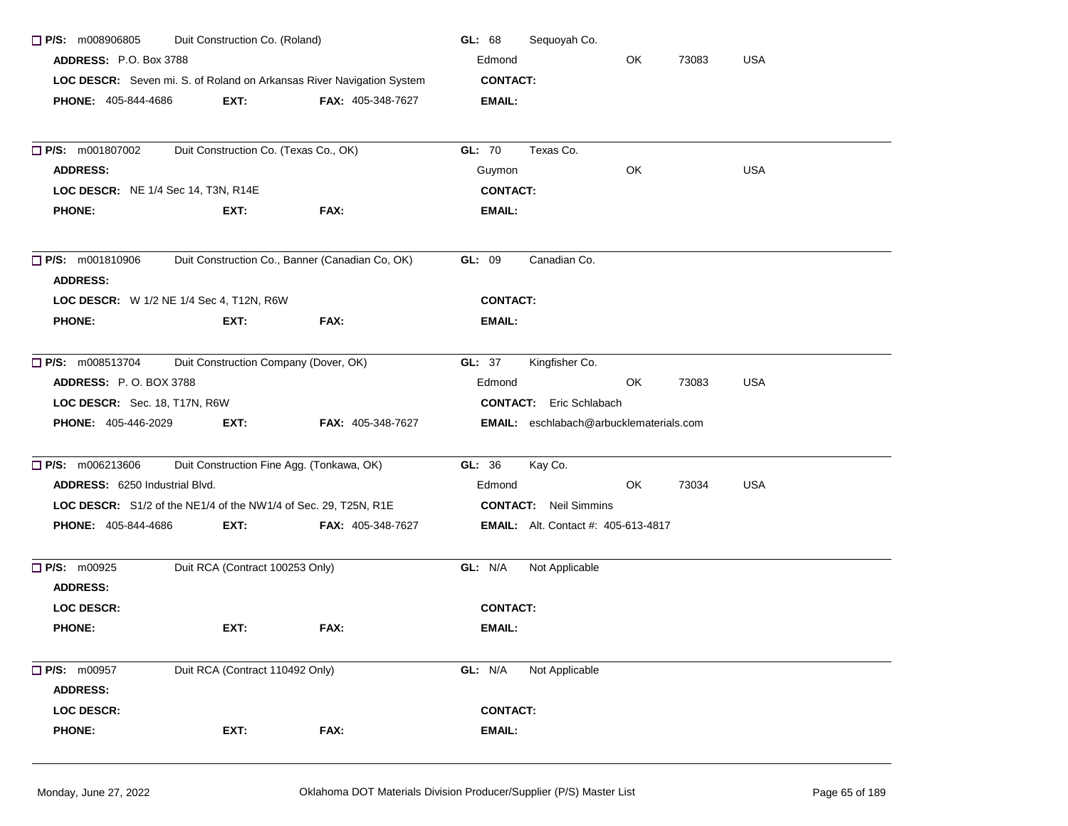| Duit Construction Co. (Roland)<br>$\Box$ P/S: m008906805                                               |                                                                 |                          | Sequoyah Co.<br>GL: 68                     |
|--------------------------------------------------------------------------------------------------------|-----------------------------------------------------------------|--------------------------|--------------------------------------------|
| <b>ADDRESS: P.O. Box 3788</b><br>LOC DESCR: Seven mi. S. of Roland on Arkansas River Navigation System |                                                                 |                          | <b>USA</b><br>Edmond<br>OK<br>73083        |
|                                                                                                        |                                                                 |                          | <b>CONTACT:</b>                            |
| <b>PHONE: 405-844-4686</b>                                                                             | EXT:                                                            | <b>FAX: 405-348-7627</b> | EMAIL:                                     |
|                                                                                                        |                                                                 |                          |                                            |
| <b>D</b> P/S: m001807002                                                                               | Duit Construction Co. (Texas Co., OK)                           |                          | GL: 70<br>Texas Co.                        |
| <b>ADDRESS:</b>                                                                                        |                                                                 |                          | <b>USA</b><br>Guymon<br>OK                 |
| LOC DESCR: NE 1/4 Sec 14, T3N, R14E                                                                    |                                                                 |                          | <b>CONTACT:</b>                            |
| <b>PHONE:</b>                                                                                          | EXT:                                                            | FAX:                     | <b>EMAIL:</b>                              |
| Duit Construction Co., Banner (Canadian Co, OK)<br>$\Box$ P/S: m001810906<br><b>ADDRESS:</b>           |                                                                 |                          | GL: 09<br>Canadian Co.                     |
|                                                                                                        | LOC DESCR: W 1/2 NE 1/4 Sec 4, T12N, R6W                        |                          | <b>CONTACT:</b>                            |
| <b>PHONE:</b>                                                                                          | EXT:                                                            | FAX:                     | EMAIL:                                     |
| $\Box$ P/S: m008513704                                                                                 | Duit Construction Company (Dover, OK)                           |                          | Kingfisher Co.<br>GL: 37                   |
| <b>ADDRESS: P.O. BOX 3788</b>                                                                          |                                                                 |                          | Edmond<br>OK.<br><b>USA</b><br>73083       |
| LOC DESCR: Sec. 18, T17N, R6W                                                                          |                                                                 |                          | <b>CONTACT:</b> Eric Schlabach             |
| <b>PHONE: 405-446-2029</b>                                                                             | EXT:                                                            | FAX: 405-348-7627        | EMAIL: eschlabach@arbucklematerials.com    |
| $\Box$ P/S: m006213606                                                                                 | Duit Construction Fine Agg. (Tonkawa, OK)                       |                          | GL: 36<br>Kay Co.                          |
| ADDRESS: 6250 Industrial Blvd.                                                                         |                                                                 |                          | <b>USA</b><br>OK<br>73034<br>Edmond        |
|                                                                                                        | LOC DESCR: S1/2 of the NE1/4 of the NW1/4 of Sec. 29, T25N, R1E |                          | <b>CONTACT:</b> Neil Simmins               |
| PHONE: 405-844-4686                                                                                    | EXT:                                                            | FAX: 405-348-7627        | <b>EMAIL:</b> Alt. Contact #: 405-613-4817 |
| $\Box$ P/S: m00925                                                                                     | Duit RCA (Contract 100253 Only)                                 |                          | GL: N/A<br>Not Applicable                  |
| <b>ADDRESS:</b>                                                                                        |                                                                 |                          |                                            |
| <b>LOC DESCR:</b>                                                                                      |                                                                 |                          | <b>CONTACT:</b>                            |
| <b>PHONE:</b>                                                                                          | EXT:                                                            | FAX:                     | EMAIL:                                     |
| $\Box$ P/S: m00957                                                                                     | Duit RCA (Contract 110492 Only)                                 |                          | GL: N/A<br>Not Applicable                  |
| <b>ADDRESS:</b>                                                                                        |                                                                 |                          |                                            |
| LOC DESCR:                                                                                             |                                                                 |                          | <b>CONTACT:</b>                            |
| <b>PHONE:</b>                                                                                          | EXT:                                                            | FAX:                     | <b>EMAIL:</b>                              |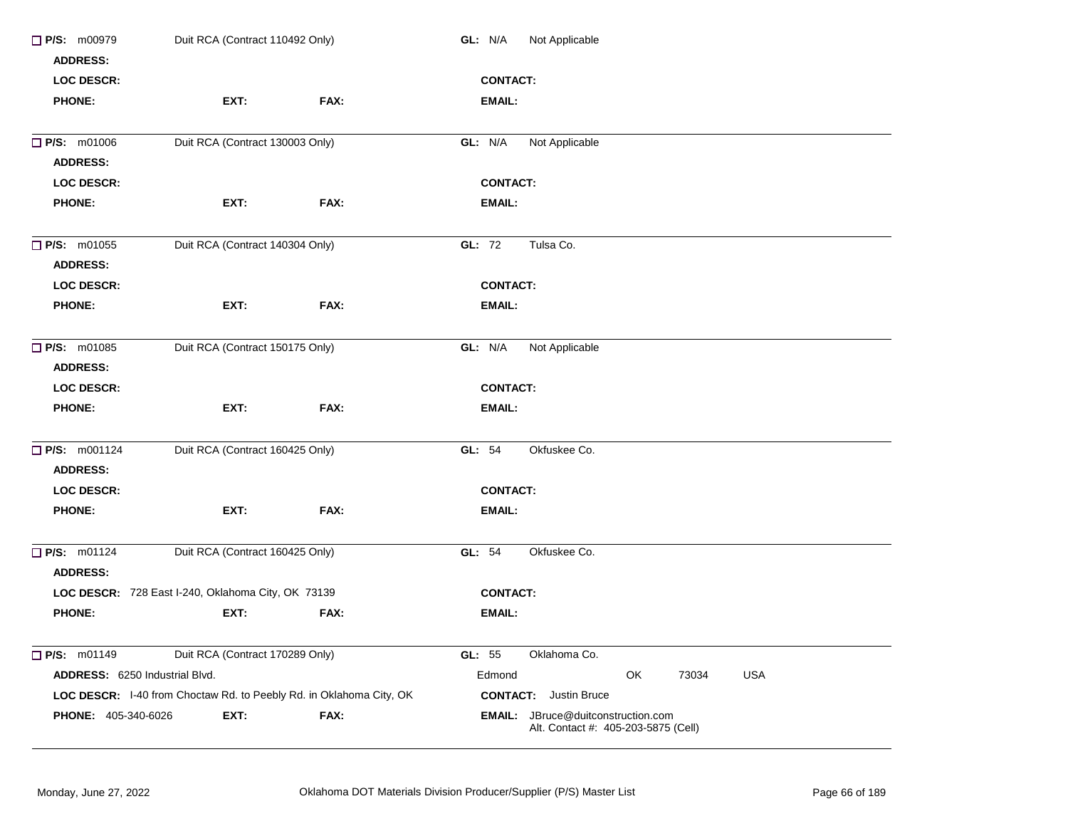| $\Box$ P/S: m00979<br><b>ADDRESS:</b> | Duit RCA (Contract 110492 Only)                                     |      | GL: N/A<br>Not Applicable |                                                                                  |    |       |            |  |
|---------------------------------------|---------------------------------------------------------------------|------|---------------------------|----------------------------------------------------------------------------------|----|-------|------------|--|
| <b>LOC DESCR:</b>                     |                                                                     |      | <b>CONTACT:</b>           |                                                                                  |    |       |            |  |
| <b>PHONE:</b>                         | EXT:                                                                | FAX: | EMAIL:                    |                                                                                  |    |       |            |  |
| P/S: m01006                           | Duit RCA (Contract 130003 Only)                                     |      | GL: N/A                   | Not Applicable                                                                   |    |       |            |  |
| <b>ADDRESS:</b>                       |                                                                     |      |                           |                                                                                  |    |       |            |  |
| <b>LOC DESCR:</b>                     |                                                                     |      | <b>CONTACT:</b>           |                                                                                  |    |       |            |  |
| <b>PHONE:</b>                         | EXT:                                                                | FAX: | <b>EMAIL:</b>             |                                                                                  |    |       |            |  |
| <b>P/S: m01055</b>                    | Duit RCA (Contract 140304 Only)                                     |      | GL: 72                    | Tulsa Co.                                                                        |    |       |            |  |
| <b>ADDRESS:</b>                       |                                                                     |      |                           |                                                                                  |    |       |            |  |
| <b>LOC DESCR:</b>                     |                                                                     |      | <b>CONTACT:</b>           |                                                                                  |    |       |            |  |
| <b>PHONE:</b>                         | EXT:                                                                | FAX: | <b>EMAIL:</b>             |                                                                                  |    |       |            |  |
| <b>P/S: m01085</b><br><b>ADDRESS:</b> | Duit RCA (Contract 150175 Only)                                     |      | GL: N/A                   | Not Applicable                                                                   |    |       |            |  |
| <b>LOC DESCR:</b>                     |                                                                     |      | <b>CONTACT:</b>           |                                                                                  |    |       |            |  |
| <b>PHONE:</b>                         | EXT:                                                                | FAX: | EMAIL:                    |                                                                                  |    |       |            |  |
| P/S: m001124<br><b>ADDRESS:</b>       | Duit RCA (Contract 160425 Only)                                     |      | GL: 54                    | Okfuskee Co.                                                                     |    |       |            |  |
|                                       |                                                                     |      |                           |                                                                                  |    |       |            |  |
| <b>LOC DESCR:</b>                     |                                                                     |      | <b>CONTACT:</b>           |                                                                                  |    |       |            |  |
| <b>PHONE:</b>                         | EXT:                                                                | FAX: | <b>EMAIL:</b>             |                                                                                  |    |       |            |  |
| <b>P/S: m01124</b>                    | Duit RCA (Contract 160425 Only)                                     |      | GL: 54                    | Okfuskee Co.                                                                     |    |       |            |  |
| <b>ADDRESS:</b>                       |                                                                     |      |                           |                                                                                  |    |       |            |  |
|                                       | LOC DESCR: 728 East I-240, Oklahoma City, OK 73139                  |      | <b>CONTACT:</b>           |                                                                                  |    |       |            |  |
| <b>PHONE:</b>                         | EXT:                                                                | FAX: | <b>EMAIL:</b>             |                                                                                  |    |       |            |  |
| $\Box$ P/S: m01149                    | Duit RCA (Contract 170289 Only)                                     |      | GL: 55                    | Oklahoma Co.                                                                     |    |       |            |  |
| ADDRESS: 6250 Industrial Blvd.        |                                                                     |      | Edmond                    |                                                                                  | OK | 73034 | <b>USA</b> |  |
|                                       | LOC DESCR: I-40 from Choctaw Rd. to Peebly Rd. in Oklahoma City, OK |      |                           | <b>CONTACT:</b> Justin Bruce                                                     |    |       |            |  |
| <b>PHONE: 405-340-6026</b>            | EXT:                                                                | FAX: |                           | <b>EMAIL:</b> JBruce@duitconstruction.com<br>Alt. Contact #: 405-203-5875 (Cell) |    |       |            |  |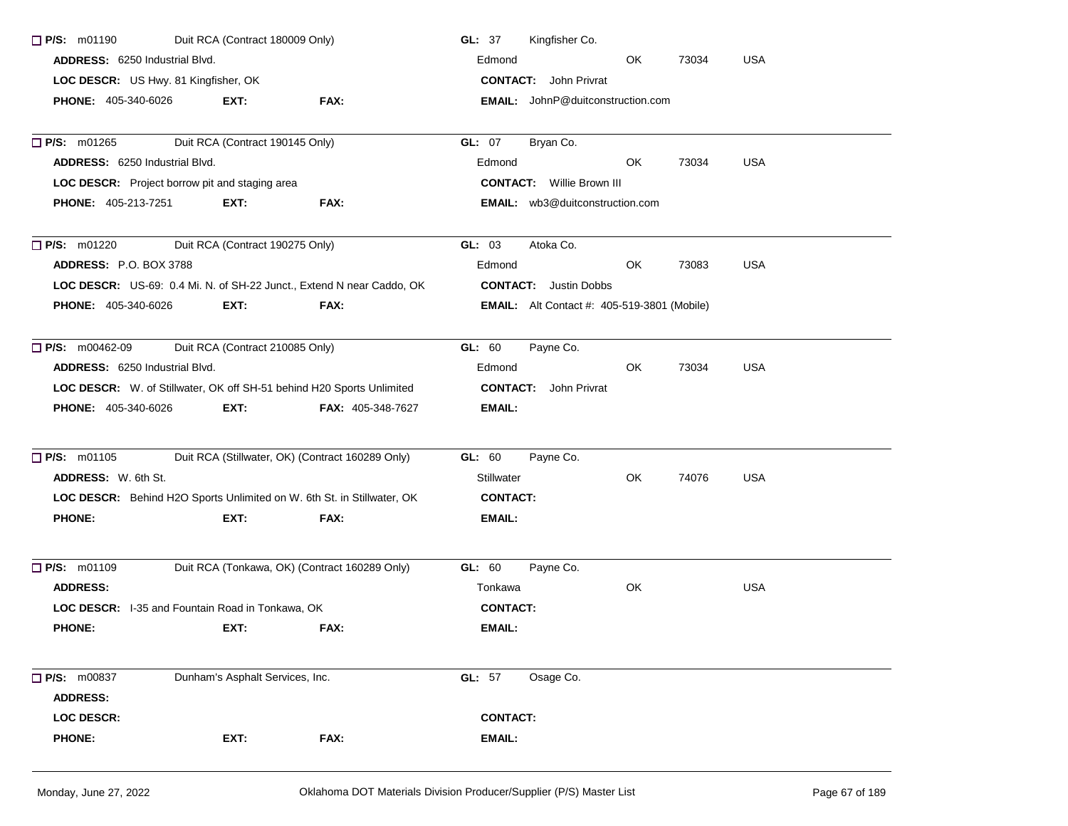| $\Box$ P/S: m01190                                                            | Duit RCA (Contract 180009 Only)                       |                                                                        | Kingfisher Co.<br>GL: $37$                         |  |  |  |  |
|-------------------------------------------------------------------------------|-------------------------------------------------------|------------------------------------------------------------------------|----------------------------------------------------|--|--|--|--|
| <b>ADDRESS:</b> 6250 Industrial Blvd.<br>LOC DESCR: US Hwy. 81 Kingfisher, OK |                                                       |                                                                        | Edmond<br>OK.<br>73034<br><b>USA</b>               |  |  |  |  |
|                                                                               |                                                       |                                                                        | <b>CONTACT:</b> John Privrat                       |  |  |  |  |
| <b>PHONE: 405-340-6026</b>                                                    | EXT:                                                  | FAX:                                                                   | <b>EMAIL:</b> JohnP@duitconstruction.com           |  |  |  |  |
|                                                                               |                                                       |                                                                        |                                                    |  |  |  |  |
| $\Box$ P/S: m01265                                                            | Duit RCA (Contract 190145 Only)                       |                                                                        | GL: 07<br>Bryan Co.                                |  |  |  |  |
| <b>ADDRESS: 6250 Industrial Blvd.</b>                                         |                                                       |                                                                        | 73034<br><b>USA</b><br>Edmond<br>OK.               |  |  |  |  |
|                                                                               | <b>LOC DESCR:</b> Project borrow pit and staging area |                                                                        | <b>CONTACT:</b> Willie Brown III                   |  |  |  |  |
| <b>PHONE: 405-213-7251</b>                                                    | EXT:                                                  | FAX:                                                                   | <b>EMAIL:</b> wb3@duitconstruction.com             |  |  |  |  |
| $\Box$ P/S: m01220                                                            | Duit RCA (Contract 190275 Only)                       |                                                                        | GL: 03<br>Atoka Co.                                |  |  |  |  |
| ADDRESS: P.O. BOX 3788                                                        |                                                       |                                                                        | <b>USA</b><br>Edmond<br>OK.<br>73083               |  |  |  |  |
|                                                                               |                                                       | LOC DESCR: US-69: 0.4 Mi. N. of SH-22 Junct., Extend N near Caddo, OK  | <b>CONTACT:</b> Justin Dobbs                       |  |  |  |  |
| <b>PHONE: 405-340-6026</b>                                                    | EXT:                                                  | FAX:                                                                   | <b>EMAIL:</b> Alt Contact #: 405-519-3801 (Mobile) |  |  |  |  |
| <b>P/S:</b> m00462-09                                                         | Duit RCA (Contract 210085 Only)                       |                                                                        | GL: 60<br>Payne Co.                                |  |  |  |  |
| <b>ADDRESS: 6250 Industrial Blvd.</b>                                         |                                                       |                                                                        | Edmond<br>OK.<br>73034<br><b>USA</b>               |  |  |  |  |
|                                                                               |                                                       | LOC DESCR: W. of Stillwater, OK off SH-51 behind H20 Sports Unlimited  | <b>CONTACT:</b> John Privrat                       |  |  |  |  |
| <b>PHONE: 405-340-6026</b>                                                    | EXT:                                                  | <b>FAX: 405-348-7627</b>                                               | <b>EMAIL:</b>                                      |  |  |  |  |
| P/S: m01105                                                                   |                                                       | Duit RCA (Stillwater, OK) (Contract 160289 Only)                       | GL: 60<br>Payne Co.                                |  |  |  |  |
| <b>ADDRESS:</b> W. 6th St.                                                    |                                                       |                                                                        | <b>Stillwater</b><br>OK<br>74076<br><b>USA</b>     |  |  |  |  |
|                                                                               |                                                       | LOC DESCR: Behind H2O Sports Unlimited on W. 6th St. in Stillwater, OK | <b>CONTACT:</b>                                    |  |  |  |  |
| <b>PHONE:</b>                                                                 | EXT:                                                  | FAX:                                                                   | <b>EMAIL:</b>                                      |  |  |  |  |
|                                                                               |                                                       |                                                                        |                                                    |  |  |  |  |
| $\Box$ P/S: m01109                                                            |                                                       | Duit RCA (Tonkawa, OK) (Contract 160289 Only)                          | GL: 60<br>Payne Co.                                |  |  |  |  |
| <b>ADDRESS:</b>                                                               |                                                       |                                                                        | OK<br><b>USA</b><br>Tonkawa                        |  |  |  |  |
|                                                                               | LOC DESCR: I-35 and Fountain Road in Tonkawa, OK      |                                                                        | <b>CONTACT:</b>                                    |  |  |  |  |
| <b>PHONE:</b>                                                                 | EXT:                                                  | FAX:                                                                   | <b>EMAIL:</b>                                      |  |  |  |  |
| <b>P/S: m00837</b>                                                            | Dunham's Asphalt Services, Inc.                       |                                                                        | GL: 57<br>Osage Co.                                |  |  |  |  |
| <b>ADDRESS:</b>                                                               |                                                       |                                                                        |                                                    |  |  |  |  |
| LOC DESCR:                                                                    |                                                       |                                                                        | <b>CONTACT:</b>                                    |  |  |  |  |
| <b>PHONE:</b>                                                                 | EXT:                                                  | FAX:                                                                   | <b>EMAIL:</b>                                      |  |  |  |  |
|                                                                               |                                                       |                                                                        |                                                    |  |  |  |  |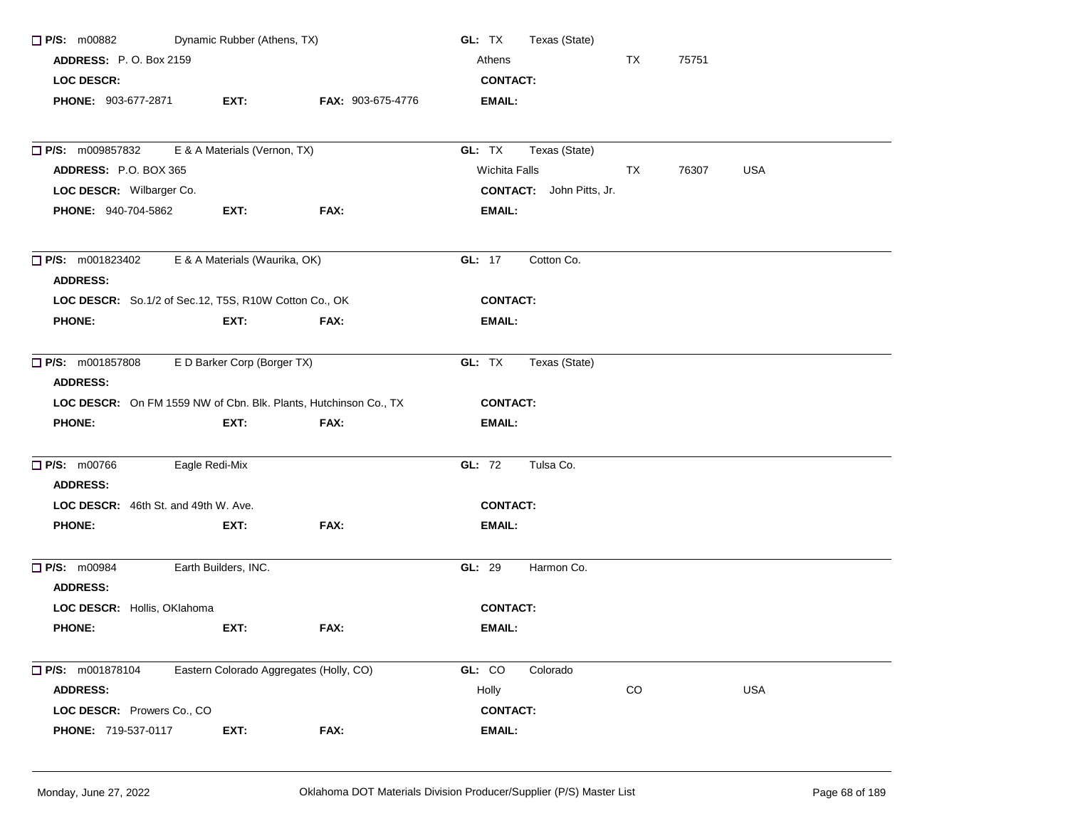| $\Box$ P/S: m00882<br>Dynamic Rubber (Athens, TX)     |                                         |                                                                  | GL: TX<br>Texas (State)                           |  |  |  |  |
|-------------------------------------------------------|-----------------------------------------|------------------------------------------------------------------|---------------------------------------------------|--|--|--|--|
| <b>ADDRESS: P.O. Box 2159</b>                         |                                         |                                                                  | Athens<br>TX<br>75751                             |  |  |  |  |
| LOC DESCR:                                            |                                         |                                                                  | <b>CONTACT:</b>                                   |  |  |  |  |
| <b>PHONE: 903-677-2871</b>                            | EXT:                                    | FAX: 903-675-4776                                                | <b>EMAIL:</b>                                     |  |  |  |  |
| P/S: m009857832                                       | E & A Materials (Vernon, TX)            |                                                                  | GL: TX<br>Texas (State)                           |  |  |  |  |
| ADDRESS: P.O. BOX 365                                 |                                         |                                                                  | <b>Wichita Falls</b><br>TX<br>76307<br><b>USA</b> |  |  |  |  |
| LOC DESCR: Wilbarger Co.                              |                                         |                                                                  | <b>CONTACT:</b> John Pitts, Jr.                   |  |  |  |  |
| <b>PHONE: 940-704-5862</b>                            | EXT:                                    | FAX:                                                             | <b>EMAIL:</b>                                     |  |  |  |  |
| $\Box$ P/S: m001823402<br><b>ADDRESS:</b>             | E & A Materials (Waurika, OK)           |                                                                  | GL: 17<br>Cotton Co.                              |  |  |  |  |
| LOC DESCR: So.1/2 of Sec.12, T5S, R10W Cotton Co., OK |                                         |                                                                  | <b>CONTACT:</b>                                   |  |  |  |  |
| <b>PHONE:</b>                                         | EXT:                                    | FAX:                                                             | <b>EMAIL:</b>                                     |  |  |  |  |
| $\Box$ P/S: m001857808<br><b>ADDRESS:</b>             | E D Barker Corp (Borger TX)             |                                                                  | GL: TX<br>Texas (State)                           |  |  |  |  |
|                                                       |                                         | LOC DESCR: On FM 1559 NW of Cbn. Blk. Plants, Hutchinson Co., TX | <b>CONTACT:</b>                                   |  |  |  |  |
| <b>PHONE:</b>                                         | EXT:                                    | FAX:                                                             | <b>EMAIL:</b>                                     |  |  |  |  |
| <b>P/S: m00766</b><br><b>ADDRESS:</b>                 | Eagle Redi-Mix                          |                                                                  | GL: 72<br>Tulsa Co.                               |  |  |  |  |
| LOC DESCR: 46th St. and 49th W. Ave.                  |                                         |                                                                  | <b>CONTACT:</b>                                   |  |  |  |  |
| <b>PHONE:</b>                                         | EXT:                                    | FAX:                                                             | <b>EMAIL:</b>                                     |  |  |  |  |
| $\Box$ P/S: m00984<br><b>ADDRESS:</b>                 | Earth Builders, INC.                    |                                                                  | GL: 29<br>Harmon Co.                              |  |  |  |  |
| LOC DESCR: Hollis, OKlahoma                           |                                         |                                                                  | <b>CONTACT:</b>                                   |  |  |  |  |
| <b>PHONE:</b>                                         | EXT:                                    | FAX:                                                             | EMAIL:                                            |  |  |  |  |
| $\Box$ P/S: m001878104                                | Eastern Colorado Aggregates (Holly, CO) |                                                                  | GL: CO<br>Colorado                                |  |  |  |  |
| <b>ADDRESS:</b>                                       |                                         |                                                                  | CO<br>USA<br>Holly                                |  |  |  |  |
| LOC DESCR: Prowers Co., CO                            |                                         |                                                                  | <b>CONTACT:</b>                                   |  |  |  |  |
| PHONE: 719-537-0117                                   | EXT:                                    | FAX:                                                             | <b>EMAIL:</b>                                     |  |  |  |  |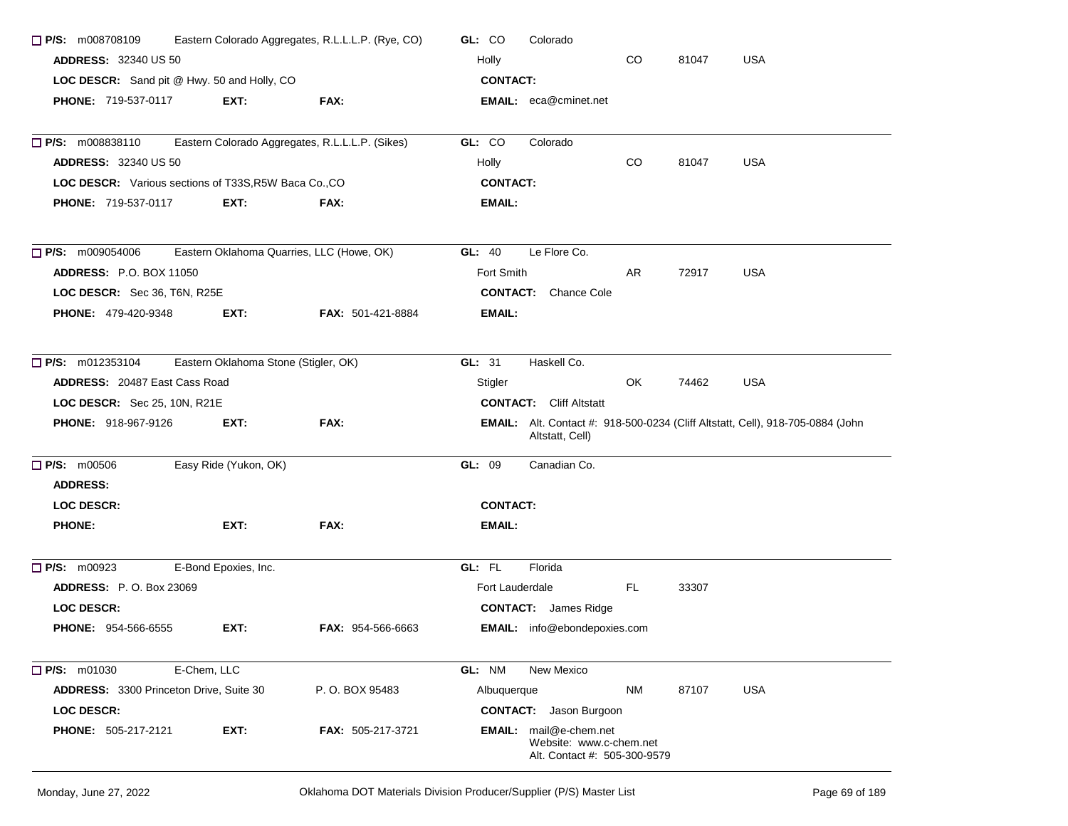| Eastern Colorado Aggregates, R.L.L.L.P. (Rye, CO)<br>$\Box$ P/S: m008708109 |                                      |                                                 | GL: CO<br>Colorado                                                                                       |  |  |  |  |
|-----------------------------------------------------------------------------|--------------------------------------|-------------------------------------------------|----------------------------------------------------------------------------------------------------------|--|--|--|--|
| <b>ADDRESS: 32340 US 50</b><br>LOC DESCR: Sand pit @ Hwy. 50 and Holly, CO  |                                      |                                                 | Holly<br>CO<br>81047<br><b>USA</b>                                                                       |  |  |  |  |
|                                                                             |                                      |                                                 | <b>CONTACT:</b>                                                                                          |  |  |  |  |
| <b>PHONE: 719-537-0117</b>                                                  | EXT:                                 | FAX:                                            | <b>EMAIL:</b> eca@cminet.net                                                                             |  |  |  |  |
| P/S: m008838110                                                             |                                      | Eastern Colorado Aggregates, R.L.L.L.P. (Sikes) | GL: CO<br>Colorado                                                                                       |  |  |  |  |
| <b>ADDRESS: 32340 US 50</b>                                                 |                                      |                                                 | $_{\rm CO}$<br>81047<br>USA<br>Holly                                                                     |  |  |  |  |
| LOC DESCR: Various sections of T33S, R5W Baca Co., CO                       |                                      |                                                 | <b>CONTACT:</b>                                                                                          |  |  |  |  |
| <b>PHONE: 719-537-0117</b>                                                  | EXT.                                 | FAX:                                            | EMAIL:                                                                                                   |  |  |  |  |
| $\Box$ P/S: m009054006                                                      |                                      | Eastern Oklahoma Quarries, LLC (Howe, OK)       | GL: $40$<br>Le Flore Co.                                                                                 |  |  |  |  |
| <b>ADDRESS: P.O. BOX 11050</b>                                              |                                      |                                                 | Fort Smith<br>AR.<br>72917<br><b>USA</b>                                                                 |  |  |  |  |
| LOC DESCR: Sec 36, T6N, R25E                                                |                                      |                                                 | <b>CONTACT:</b> Chance Cole                                                                              |  |  |  |  |
| <b>PHONE: 479-420-9348</b>                                                  | EXT:                                 | <b>FAX: 501-421-8884</b>                        | EMAIL:                                                                                                   |  |  |  |  |
| $\Box$ P/S: m012353104                                                      | Eastern Oklahoma Stone (Stigler, OK) |                                                 | Haskell Co.<br>GL: 31                                                                                    |  |  |  |  |
| <b>ADDRESS: 20487 East Cass Road</b>                                        |                                      |                                                 | OK.<br>74462<br><b>USA</b><br>Stigler                                                                    |  |  |  |  |
| LOC DESCR: Sec 25, 10N, R21E                                                |                                      |                                                 | <b>CONTACT:</b> Cliff Altstatt                                                                           |  |  |  |  |
| <b>PHONE: 918-967-9126</b>                                                  | EXT:                                 | FAX:                                            | <b>EMAIL:</b> Alt. Contact #: 918-500-0234 (Cliff Altstatt, Cell), 918-705-0884 (John<br>Altstatt, Cell) |  |  |  |  |
| $\Box$ P/S: m00506                                                          | Easy Ride (Yukon, OK)                |                                                 | GL: 09<br>Canadian Co.                                                                                   |  |  |  |  |
| <b>ADDRESS:</b>                                                             |                                      |                                                 |                                                                                                          |  |  |  |  |
| <b>LOC DESCR:</b>                                                           |                                      |                                                 | <b>CONTACT:</b>                                                                                          |  |  |  |  |
| <b>PHONE:</b>                                                               | EXT:                                 | FAX:                                            | EMAIL:                                                                                                   |  |  |  |  |
| $\Box$ P/S: m00923                                                          | E-Bond Epoxies, Inc.                 |                                                 | GL: FL<br>Florida                                                                                        |  |  |  |  |
| <b>ADDRESS:</b> P.O. Box 23069                                              |                                      |                                                 | FL.<br>Fort Lauderdale<br>33307                                                                          |  |  |  |  |
| <b>LOC DESCR:</b>                                                           |                                      |                                                 | <b>CONTACT:</b> James Ridge                                                                              |  |  |  |  |
| <b>PHONE: 954-566-6555</b>                                                  | EXT:                                 | <b>FAX: 954-566-6663</b>                        | EMAIL: info@ebondepoxies.com                                                                             |  |  |  |  |
| $P/S:$ m01030                                                               | E-Chem, LLC                          |                                                 | GL: NM<br>New Mexico                                                                                     |  |  |  |  |
| ADDRESS: 3300 Princeton Drive, Suite 30                                     |                                      | P.O. BOX 95483                                  | <b>NM</b><br>87107<br><b>USA</b><br>Albuquerque                                                          |  |  |  |  |
| LOC DESCR:                                                                  |                                      |                                                 | <b>CONTACT:</b> Jason Burgoon                                                                            |  |  |  |  |
| PHONE: 505-217-2121                                                         | EXT:                                 | FAX: 505-217-3721                               | EMAIL: mail@e-chem.net<br>Website: www.c-chem.net<br>Alt. Contact #: 505-300-9579                        |  |  |  |  |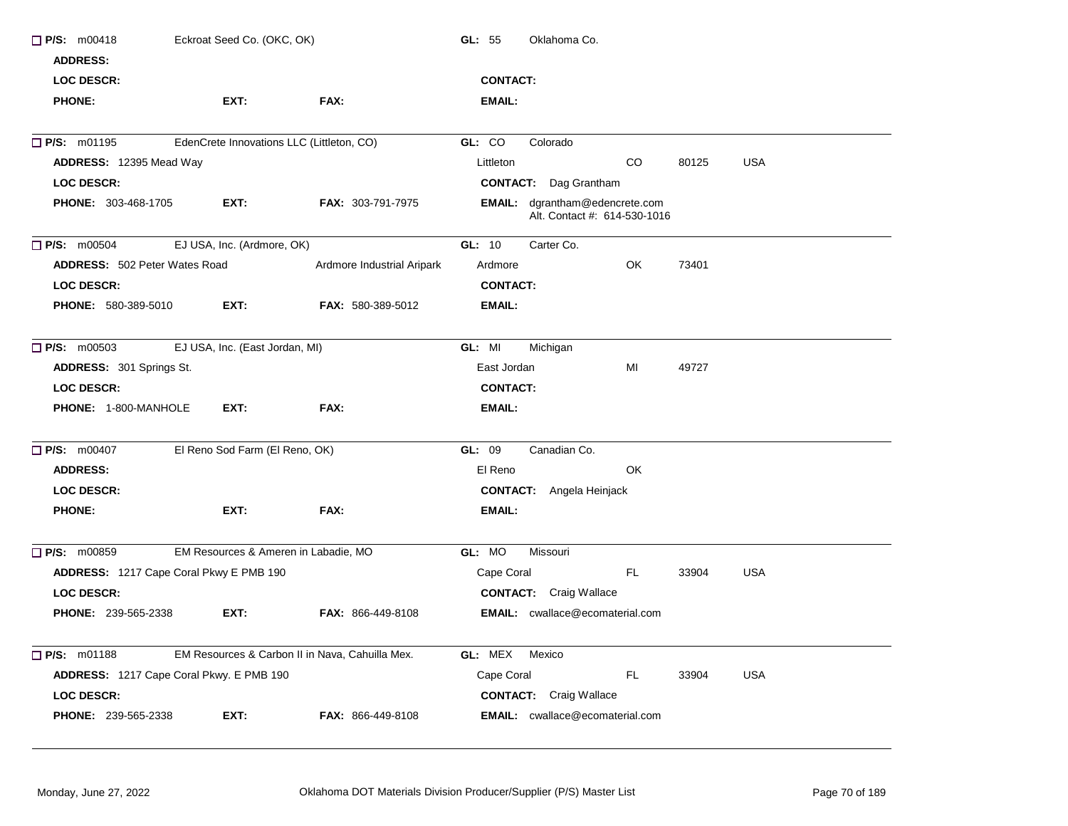| $\Box$ P/S: m00418<br><b>ADDRESS:</b>    | Eckroat Seed Co. (OKC, OK)     |                                                 | GL: $55$<br>Oklahoma Co.                                              |
|------------------------------------------|--------------------------------|-------------------------------------------------|-----------------------------------------------------------------------|
| <b>LOC DESCR:</b>                        |                                |                                                 | <b>CONTACT:</b>                                                       |
| <b>PHONE:</b>                            | EXT:                           | FAX:                                            | EMAIL:                                                                |
| $\Box$ P/S: m01195                       |                                | EdenCrete Innovations LLC (Littleton, CO)       | GL: CO<br>Colorado                                                    |
| ADDRESS: 12395 Mead Way                  |                                |                                                 | <b>USA</b><br>Littleton<br>CO.<br>80125                               |
| <b>LOC DESCR:</b>                        |                                |                                                 | <b>CONTACT:</b> Dag Grantham                                          |
| <b>PHONE: 303-468-1705</b>               | EXT:                           | <b>FAX: 303-791-7975</b>                        | <b>EMAIL:</b> dgrantham@edencrete.com<br>Alt. Contact #: 614-530-1016 |
| $\Box$ P/S: m00504                       | EJ USA, Inc. (Ardmore, OK)     |                                                 | GL: 10<br>Carter Co.                                                  |
| <b>ADDRESS: 502 Peter Wates Road</b>     |                                | Ardmore Industrial Aripark                      | OK<br>73401<br>Ardmore                                                |
| <b>LOC DESCR:</b>                        |                                |                                                 | <b>CONTACT:</b>                                                       |
| PHONE: 580-389-5010                      | EXT:                           | FAX: 580-389-5012                               | <b>EMAIL:</b>                                                         |
| $\Box$ P/S: m00503                       | EJ USA, Inc. (East Jordan, MI) |                                                 | GL: MI<br>Michigan                                                    |
| ADDRESS: 301 Springs St.                 |                                |                                                 | East Jordan<br>MI<br>49727                                            |
| <b>LOC DESCR:</b>                        |                                |                                                 | <b>CONTACT:</b>                                                       |
| <b>PHONE: 1-800-MANHOLE</b>              | EXT:                           | FAX:                                            | <b>EMAIL:</b>                                                         |
| <b>D</b> P/S: m00407                     | El Reno Sod Farm (El Reno, OK) |                                                 | Canadian Co.<br>GL: 09                                                |
| <b>ADDRESS:</b>                          |                                |                                                 | OK<br>El Reno                                                         |
| <b>LOC DESCR:</b>                        |                                |                                                 | <b>CONTACT:</b> Angela Heinjack                                       |
| <b>PHONE:</b>                            | EXT:                           | FAX:                                            | <b>EMAIL:</b>                                                         |
| P/S: m00859                              |                                | EM Resources & Ameren in Labadie, MO            | GL: MO<br>Missouri                                                    |
| ADDRESS: 1217 Cape Coral Pkwy E PMB 190  |                                |                                                 | FL.<br><b>USA</b><br>Cape Coral<br>33904                              |
| <b>LOC DESCR:</b>                        |                                |                                                 | <b>CONTACT:</b> Craig Wallace                                         |
| <b>PHONE: 239-565-2338</b>               | EXT:                           | <b>FAX: 866-449-8108</b>                        | <b>EMAIL:</b> cwallace@ecomaterial.com                                |
| $\Box$ P/S: m01188                       |                                | EM Resources & Carbon II in Nava, Cahuilla Mex. | GL: MEX<br>Mexico                                                     |
| ADDRESS: 1217 Cape Coral Pkwy. E PMB 190 |                                |                                                 | Cape Coral<br>FL<br>33904<br><b>USA</b>                               |
| <b>LOC DESCR:</b>                        |                                |                                                 | <b>CONTACT:</b> Craig Wallace                                         |
| <b>PHONE: 239-565-2338</b>               | EXT:                           | FAX: 866-449-8108                               | <b>EMAIL:</b> cwallace@ecomaterial.com                                |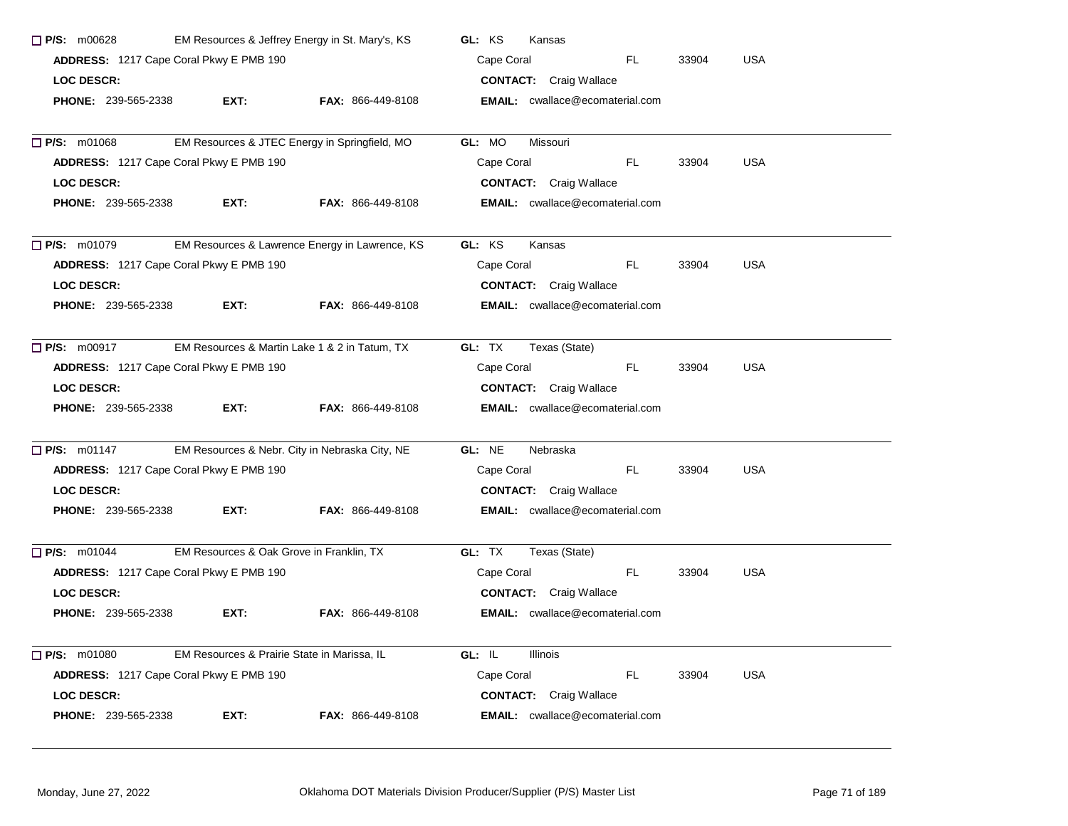| EM Resources & Jeffrey Energy in St. Mary's, KS<br>$\Box$ P/S: m00628 |                                             |                                                | GL: KS<br>Kansas                         |  |  |  |  |
|-----------------------------------------------------------------------|---------------------------------------------|------------------------------------------------|------------------------------------------|--|--|--|--|
| ADDRESS: 1217 Cape Coral Pkwy E PMB 190                               |                                             |                                                | <b>USA</b><br>Cape Coral<br>FL.<br>33904 |  |  |  |  |
| <b>LOC DESCR:</b>                                                     |                                             |                                                | <b>CONTACT:</b> Craig Wallace            |  |  |  |  |
| <b>PHONE: 239-565-2338</b>                                            | EXT:                                        | <b>FAX: 866-449-8108</b>                       | <b>EMAIL:</b> cwallace@ecomaterial.com   |  |  |  |  |
| $\Box$ P/S: m01068                                                    |                                             | EM Resources & JTEC Energy in Springfield, MO  | GL: MO<br>Missouri                       |  |  |  |  |
|                                                                       | ADDRESS: 1217 Cape Coral Pkwy E PMB 190     |                                                | Cape Coral<br>FL.<br><b>USA</b><br>33904 |  |  |  |  |
| <b>LOC DESCR:</b>                                                     |                                             |                                                | <b>CONTACT:</b> Craig Wallace            |  |  |  |  |
| <b>PHONE: 239-565-2338</b>                                            | EXT:                                        | <b>FAX: 866-449-8108</b>                       | <b>EMAIL:</b> cwallace@ecomaterial.com   |  |  |  |  |
| $\Box$ P/S: m01079                                                    |                                             | EM Resources & Lawrence Energy in Lawrence, KS | GL: KS<br>Kansas                         |  |  |  |  |
|                                                                       | ADDRESS: 1217 Cape Coral Pkwy E PMB 190     |                                                | FL.<br><b>USA</b><br>Cape Coral<br>33904 |  |  |  |  |
| <b>LOC DESCR:</b>                                                     |                                             |                                                | <b>CONTACT:</b> Craig Wallace            |  |  |  |  |
| PHONE: 239-565-2338                                                   | EXT:                                        | <b>FAX: 866-449-8108</b>                       | <b>EMAIL:</b> cwallace@ecomaterial.com   |  |  |  |  |
| $\Box$ P/S: m00917                                                    |                                             | EM Resources & Martin Lake 1 & 2 in Tatum, TX  | GL: TX<br>Texas (State)                  |  |  |  |  |
|                                                                       | ADDRESS: 1217 Cape Coral Pkwy E PMB 190     |                                                | FL.<br>33904<br><b>USA</b><br>Cape Coral |  |  |  |  |
| <b>LOC DESCR:</b>                                                     |                                             |                                                | <b>CONTACT:</b> Craig Wallace            |  |  |  |  |
| <b>PHONE: 239-565-2338</b>                                            | EXT:                                        | <b>FAX: 866-449-8108</b>                       | <b>EMAIL:</b> cwallace@ecomaterial.com   |  |  |  |  |
| $\Box$ P/S: m01147                                                    |                                             | EM Resources & Nebr. City in Nebraska City, NE | GL: NE<br>Nebraska                       |  |  |  |  |
|                                                                       | ADDRESS: 1217 Cape Coral Pkwy E PMB 190     |                                                | FL.<br><b>USA</b><br>Cape Coral<br>33904 |  |  |  |  |
| <b>LOC DESCR:</b>                                                     |                                             |                                                | <b>CONTACT:</b> Craig Wallace            |  |  |  |  |
| <b>PHONE: 239-565-2338</b>                                            | EXT.                                        | <b>FAX: 866-449-8108</b>                       | <b>EMAIL:</b> cwallace@ecomaterial.com   |  |  |  |  |
| $P/S:$ m01044                                                         | EM Resources & Oak Grove in Franklin, TX    |                                                | GL: TX<br>Texas (State)                  |  |  |  |  |
|                                                                       | ADDRESS: 1217 Cape Coral Pkwy E PMB 190     |                                                | FL.<br>33904<br><b>USA</b><br>Cape Coral |  |  |  |  |
| <b>LOC DESCR:</b>                                                     |                                             |                                                | <b>CONTACT:</b> Craig Wallace            |  |  |  |  |
| PHONE: 239-565-2338                                                   | EXT:                                        | FAX: 866-449-8108                              | <b>EMAIL:</b> cwallace@ecomaterial.com   |  |  |  |  |
| $\Box$ P/S: m01080                                                    | EM Resources & Prairie State in Marissa, IL |                                                | GL: IL<br><b>Illinois</b>                |  |  |  |  |
|                                                                       | ADDRESS: 1217 Cape Coral Pkwy E PMB 190     |                                                | FL.<br>Cape Coral<br>33904<br><b>USA</b> |  |  |  |  |
| <b>LOC DESCR:</b>                                                     |                                             |                                                | <b>CONTACT:</b> Craig Wallace            |  |  |  |  |
| <b>PHONE: 239-565-2338</b>                                            | EXT:                                        | FAX: 866-449-8108                              | <b>EMAIL:</b> cwallace@ecomaterial.com   |  |  |  |  |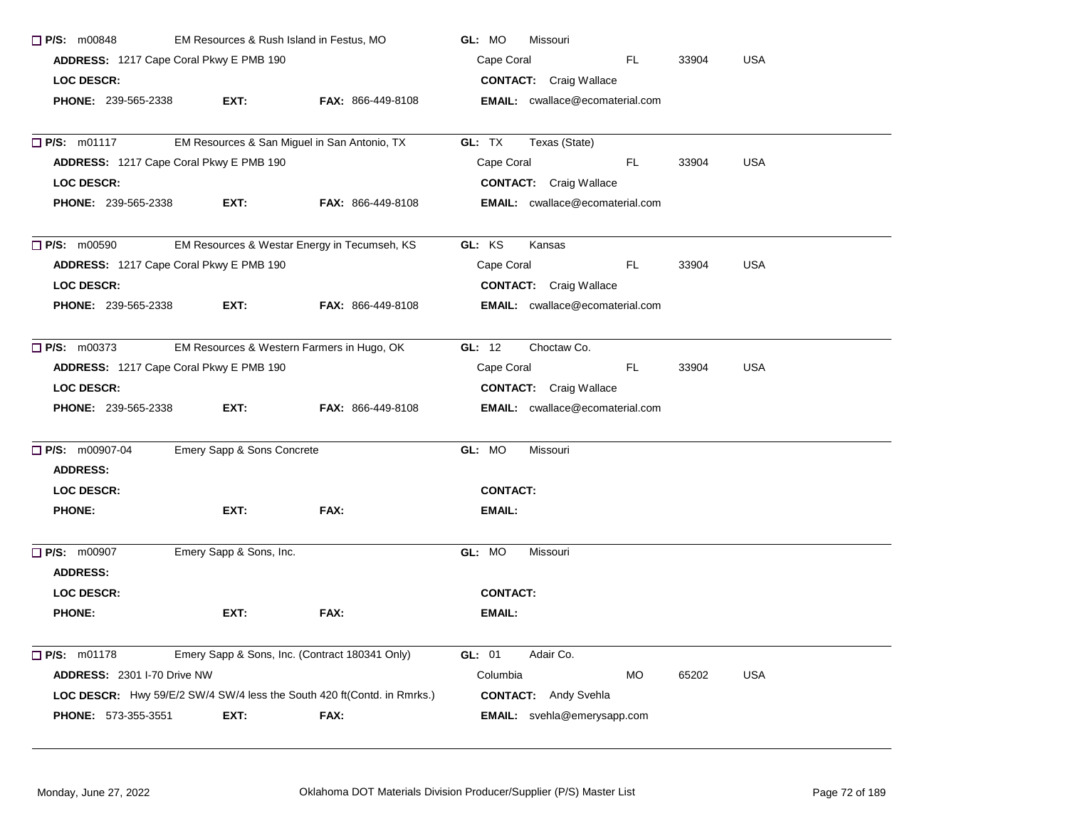| <b>P/S: m00848</b><br>EM Resources & Rush Island in Festus, MO |                                                |                                                                                | GL: MO<br>Missouri                           |  |  |  |  |
|----------------------------------------------------------------|------------------------------------------------|--------------------------------------------------------------------------------|----------------------------------------------|--|--|--|--|
|                                                                | ADDRESS: 1217 Cape Coral Pkwy E PMB 190        |                                                                                | Cape Coral<br>FL.<br><b>USA</b><br>33904     |  |  |  |  |
| <b>LOC DESCR:</b>                                              |                                                |                                                                                | <b>CONTACT:</b> Craig Wallace                |  |  |  |  |
| <b>PHONE: 239-565-2338</b>                                     | EXT:                                           | <b>FAX: 866-449-8108</b>                                                       | <b>EMAIL:</b> cwallace@ecomaterial.com       |  |  |  |  |
| $\Box$ P/S: m01117                                             | EM Resources & San Miguel in San Antonio, TX   |                                                                                | GL: TX<br>Texas (State)                      |  |  |  |  |
|                                                                | ADDRESS: 1217 Cape Coral Pkwy E PMB 190        |                                                                                | <b>USA</b><br>Cape Coral<br>FL.<br>33904     |  |  |  |  |
| <b>LOC DESCR:</b>                                              |                                                |                                                                                | <b>CONTACT:</b> Craig Wallace                |  |  |  |  |
| <b>PHONE: 239-565-2338</b>                                     | EXT:                                           | FAX: 866-449-8108                                                              | <b>EMAIL:</b> cwallace@ecomaterial.com       |  |  |  |  |
| $\Box$ P/S: m00590                                             |                                                | EM Resources & Westar Energy in Tecumseh, KS                                   | GL: KS<br>Kansas                             |  |  |  |  |
|                                                                | ADDRESS: 1217 Cape Coral Pkwy E PMB 190        |                                                                                | Cape Coral<br>FL.<br><b>USA</b><br>33904     |  |  |  |  |
| <b>LOC DESCR:</b>                                              |                                                |                                                                                | <b>CONTACT:</b> Craig Wallace                |  |  |  |  |
| <b>PHONE: 239-565-2338</b>                                     | EXT:                                           | <b>FAX: 866-449-8108</b>                                                       | <b>EMAIL:</b> cwallace@ecomaterial.com       |  |  |  |  |
| $\Box$ P/S: m00373                                             | EM Resources & Western Farmers in Hugo, OK     |                                                                                | GL: 12<br>Choctaw Co.                        |  |  |  |  |
|                                                                | ADDRESS: 1217 Cape Coral Pkwy E PMB 190        |                                                                                | Cape Coral<br>FL.<br>33904<br><b>USA</b>     |  |  |  |  |
| <b>LOC DESCR:</b>                                              |                                                |                                                                                | <b>CONTACT:</b> Craig Wallace                |  |  |  |  |
| <b>PHONE: 239-565-2338</b>                                     | EXT:                                           | FAX: 866-449-8108                                                              | <b>EMAIL:</b> cwallace@ecomaterial.com       |  |  |  |  |
| P/S: m00907-04                                                 | Emery Sapp & Sons Concrete                     |                                                                                | GL: MO<br>Missouri                           |  |  |  |  |
| <b>ADDRESS:</b>                                                |                                                |                                                                                |                                              |  |  |  |  |
| <b>LOC DESCR:</b>                                              |                                                |                                                                                | <b>CONTACT:</b>                              |  |  |  |  |
| <b>PHONE:</b>                                                  | EXT:                                           | FAX:                                                                           | <b>EMAIL:</b>                                |  |  |  |  |
| $\Box$ P/S: m00907                                             | Emery Sapp & Sons, Inc.                        |                                                                                | GL: MO<br>Missouri                           |  |  |  |  |
| <b>ADDRESS:</b>                                                |                                                |                                                                                |                                              |  |  |  |  |
| LOC DESCR:                                                     |                                                |                                                                                | <b>CONTACT:</b>                              |  |  |  |  |
| <b>PHONE:</b>                                                  | EXT:                                           | FAX:                                                                           | EMAIL:                                       |  |  |  |  |
| $\Box$ P/S: m01178                                             | Emery Sapp & Sons, Inc. (Contract 180341 Only) |                                                                                | GL: 01<br>Adair Co.                          |  |  |  |  |
| ADDRESS: 2301 I-70 Drive NW                                    |                                                |                                                                                | Columbia<br><b>MO</b><br>65202<br><b>USA</b> |  |  |  |  |
|                                                                |                                                | <b>LOC DESCR:</b> Hwy 59/E/2 SW/4 SW/4 less the South 420 ft(Contd. in Rmrks.) | <b>CONTACT:</b> Andy Svehla                  |  |  |  |  |
| <b>PHONE: 573-355-3551</b>                                     | EXT:                                           | <b>FAX:</b>                                                                    | <b>EMAIL:</b> svehla@emerysapp.com           |  |  |  |  |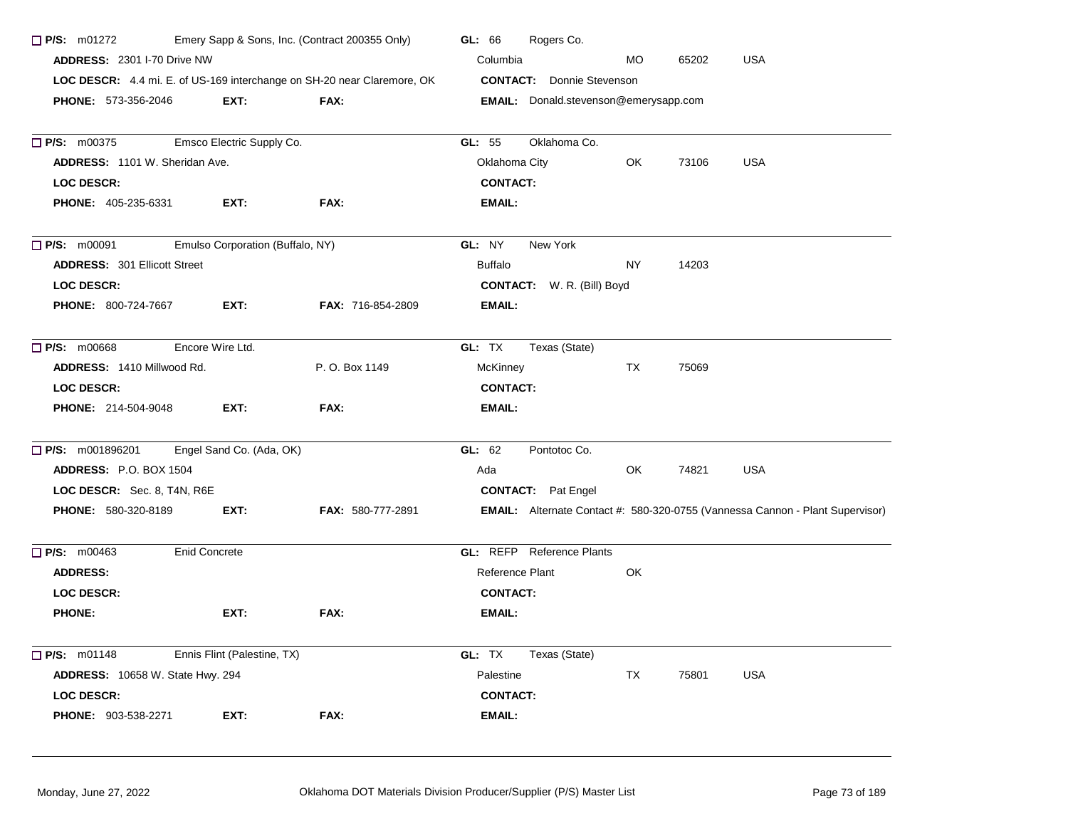| Emery Sapp & Sons, Inc. (Contract 200355 Only)<br>$\Box$ P/S: m01272<br>ADDRESS: 2301 I-70 Drive NW |                                  |                                                                         | Rogers Co.<br>GL: 66                                                                 |  |  |  |  |  |
|-----------------------------------------------------------------------------------------------------|----------------------------------|-------------------------------------------------------------------------|--------------------------------------------------------------------------------------|--|--|--|--|--|
|                                                                                                     |                                  |                                                                         | <b>USA</b><br>Columbia<br><b>MO</b><br>65202                                         |  |  |  |  |  |
|                                                                                                     |                                  | LOC DESCR: 4.4 mi. E. of US-169 interchange on SH-20 near Claremore, OK | <b>CONTACT:</b> Donnie Stevenson                                                     |  |  |  |  |  |
| <b>PHONE: 573-356-2046</b>                                                                          | EXT:                             | FAX:                                                                    | <b>EMAIL:</b> Donald.stevenson@emerysapp.com                                         |  |  |  |  |  |
| P/S: m00375                                                                                         | Emsco Electric Supply Co.        |                                                                         | Oklahoma Co.<br>GL: 55                                                               |  |  |  |  |  |
| ADDRESS: 1101 W. Sheridan Ave.                                                                      |                                  |                                                                         | Oklahoma City<br>OK<br>73106<br><b>USA</b>                                           |  |  |  |  |  |
| <b>LOC DESCR:</b>                                                                                   |                                  |                                                                         | <b>CONTACT:</b>                                                                      |  |  |  |  |  |
| <b>PHONE: 405-235-6331</b>                                                                          | EXT:                             | FAX:                                                                    | <b>EMAIL:</b>                                                                        |  |  |  |  |  |
| P/S: m00091                                                                                         | Emulso Corporation (Buffalo, NY) |                                                                         | GL: NY<br>New York                                                                   |  |  |  |  |  |
| <b>ADDRESS: 301 Ellicott Street</b>                                                                 |                                  |                                                                         | <b>Buffalo</b><br>NY.<br>14203                                                       |  |  |  |  |  |
| <b>LOC DESCR:</b>                                                                                   |                                  |                                                                         | <b>CONTACT:</b> W. R. (Bill) Boyd                                                    |  |  |  |  |  |
| <b>PHONE: 800-724-7667</b>                                                                          | EXT:                             | FAX: 716-854-2809                                                       | <b>EMAIL:</b>                                                                        |  |  |  |  |  |
| P/S: m00668                                                                                         | Encore Wire Ltd.                 |                                                                         | GL: TX<br>Texas (State)                                                              |  |  |  |  |  |
| ADDRESS: 1410 Millwood Rd.                                                                          |                                  | P. O. Box 1149                                                          | McKinney<br>75069<br>TX                                                              |  |  |  |  |  |
| <b>LOC DESCR:</b>                                                                                   |                                  |                                                                         | <b>CONTACT:</b>                                                                      |  |  |  |  |  |
| <b>PHONE: 214-504-9048</b>                                                                          | EXT:                             | FAX:                                                                    | <b>EMAIL:</b>                                                                        |  |  |  |  |  |
| $\Box$ P/S: m001896201                                                                              | Engel Sand Co. (Ada, OK)         |                                                                         | Pontotoc Co.<br>GL: 62                                                               |  |  |  |  |  |
| ADDRESS: P.O. BOX 1504                                                                              |                                  |                                                                         | Ada<br>OK<br>74821<br><b>USA</b>                                                     |  |  |  |  |  |
| LOC DESCR: Sec. 8, T4N, R6E                                                                         |                                  |                                                                         | <b>CONTACT:</b> Pat Engel                                                            |  |  |  |  |  |
| <b>PHONE: 580-320-8189</b>                                                                          | EXT:                             | <b>FAX: 580-777-2891</b>                                                | <b>EMAIL:</b> Alternate Contact #: 580-320-0755 (Vannessa Cannon - Plant Supervisor) |  |  |  |  |  |
| $\Box$ P/S: m00463                                                                                  | <b>Enid Concrete</b>             |                                                                         | <b>GL: REFP</b> Reference Plants                                                     |  |  |  |  |  |
| <b>ADDRESS:</b>                                                                                     |                                  |                                                                         | Reference Plant<br>OK                                                                |  |  |  |  |  |
| LOC DESCR:                                                                                          |                                  |                                                                         | <b>CONTACT:</b>                                                                      |  |  |  |  |  |
| <b>PHONE:</b>                                                                                       | EXT:                             | FAX:                                                                    | EMAIL:                                                                               |  |  |  |  |  |
| $\Box$ P/S: m01148                                                                                  | Ennis Flint (Palestine, TX)      |                                                                         | GL: TX<br>Texas (State)                                                              |  |  |  |  |  |
| <b>ADDRESS: 10658 W. State Hwy. 294</b>                                                             |                                  |                                                                         | <b>TX</b><br><b>USA</b><br>Palestine<br>75801                                        |  |  |  |  |  |
| <b>LOC DESCR:</b>                                                                                   |                                  |                                                                         | <b>CONTACT:</b>                                                                      |  |  |  |  |  |
| PHONE: 903-538-2271                                                                                 | EXT:                             | FAX:                                                                    | <b>EMAIL:</b>                                                                        |  |  |  |  |  |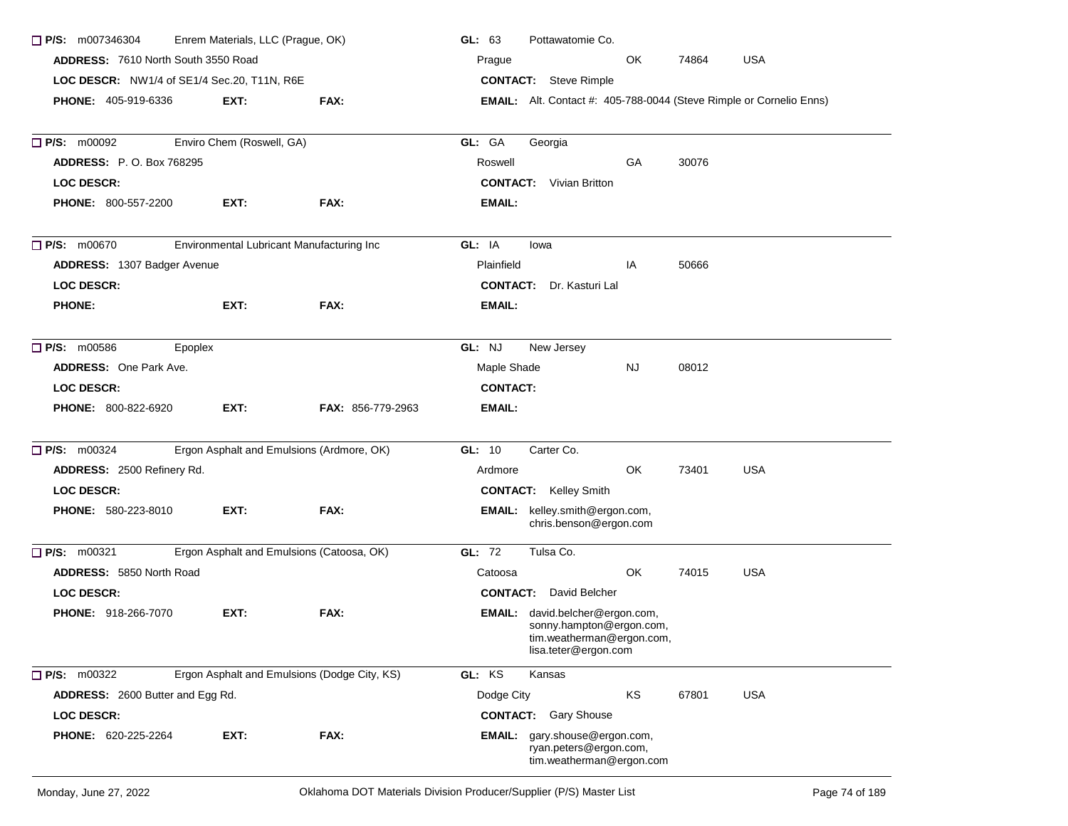| $\Box$ P/S: m007346304                      | Enrem Materials, LLC (Prague, OK) |                                              | GL: 63<br>Pottawatomie Co.                                                                                       |  |  |  |  |  |
|---------------------------------------------|-----------------------------------|----------------------------------------------|------------------------------------------------------------------------------------------------------------------|--|--|--|--|--|
| ADDRESS: 7610 North South 3550 Road         |                                   |                                              | <b>USA</b><br>OK.<br>74864<br>Prague<br><b>CONTACT:</b> Steve Rimple                                             |  |  |  |  |  |
| LOC DESCR: NW1/4 of SE1/4 Sec.20, T11N, R6E |                                   |                                              |                                                                                                                  |  |  |  |  |  |
| <b>PHONE: 405-919-6336</b>                  | EXT:                              | FAX:                                         | <b>EMAIL:</b> Alt. Contact #: 405-788-0044 (Steve Rimple or Cornelio Enns)                                       |  |  |  |  |  |
| $\Box$ P/S: m00092                          | Enviro Chem (Roswell, GA)         |                                              | GL: GA<br>Georgia                                                                                                |  |  |  |  |  |
| <b>ADDRESS: P.O. Box 768295</b>             |                                   |                                              | <b>GA</b><br>30076<br>Roswell                                                                                    |  |  |  |  |  |
| <b>LOC DESCR:</b>                           |                                   |                                              | <b>CONTACT:</b> Vivian Britton                                                                                   |  |  |  |  |  |
| <b>PHONE: 800-557-2200</b>                  | EXT:                              | FAX:                                         | EMAIL:                                                                                                           |  |  |  |  |  |
| $\Box$ P/S: m00670                          |                                   | Environmental Lubricant Manufacturing Inc    | GL: IA<br>lowa                                                                                                   |  |  |  |  |  |
| <b>ADDRESS: 1307 Badger Avenue</b>          |                                   |                                              | Plainfield<br>IA<br>50666                                                                                        |  |  |  |  |  |
| <b>LOC DESCR:</b>                           |                                   |                                              | <b>CONTACT:</b> Dr. Kasturi Lal                                                                                  |  |  |  |  |  |
| <b>PHONE:</b>                               | EXT:                              | FAX:                                         | EMAIL:                                                                                                           |  |  |  |  |  |
| $\Box$ P/S: m00586<br>Epoplex               |                                   |                                              | GL: NJ<br>New Jersey                                                                                             |  |  |  |  |  |
| <b>ADDRESS:</b> One Park Ave.               |                                   |                                              | Maple Shade<br><b>NJ</b><br>08012                                                                                |  |  |  |  |  |
| <b>LOC DESCR:</b>                           |                                   |                                              | <b>CONTACT:</b>                                                                                                  |  |  |  |  |  |
| <b>PHONE: 800-822-6920</b>                  | EXT:                              | <b>FAX: 856-779-2963</b>                     | EMAIL:                                                                                                           |  |  |  |  |  |
| $\Box$ P/S: m00324                          |                                   | Ergon Asphalt and Emulsions (Ardmore, OK)    | GL: 10<br>Carter Co.                                                                                             |  |  |  |  |  |
| ADDRESS: 2500 Refinery Rd.                  |                                   |                                              | <b>USA</b><br>OK<br>73401<br>Ardmore                                                                             |  |  |  |  |  |
| <b>LOC DESCR:</b>                           |                                   |                                              | <b>CONTACT:</b> Kelley Smith                                                                                     |  |  |  |  |  |
| PHONE: 580-223-8010                         | EXT:                              | FAX:                                         | EMAIL: kelley.smith@ergon.com,<br>chris.benson@ergon.com                                                         |  |  |  |  |  |
| P/S: m00321                                 |                                   | Ergon Asphalt and Emulsions (Catoosa, OK)    | GL: 72<br>Tulsa Co.                                                                                              |  |  |  |  |  |
| <b>ADDRESS: 5850 North Road</b>             |                                   |                                              | OK.<br>74015<br><b>USA</b><br>Catoosa                                                                            |  |  |  |  |  |
| LOC DESCR:                                  |                                   |                                              | <b>CONTACT:</b> David Belcher                                                                                    |  |  |  |  |  |
| <b>PHONE: 918-266-7070</b>                  | EXT:                              | FAX:                                         | EMAIL: david.belcher@ergon.com,<br>sonny.hampton@ergon.com,<br>tim.weatherman@ergon.com,<br>lisa.teter@ergon.com |  |  |  |  |  |
| $P/S:$ m00322                               |                                   | Ergon Asphalt and Emulsions (Dodge City, KS) | GL: KS<br>Kansas                                                                                                 |  |  |  |  |  |
| ADDRESS: 2600 Butter and Egg Rd.            |                                   |                                              | KS<br>67801<br><b>USA</b><br>Dodge City                                                                          |  |  |  |  |  |
| <b>LOC DESCR:</b>                           |                                   |                                              | <b>CONTACT:</b> Gary Shouse                                                                                      |  |  |  |  |  |
| PHONE: 620-225-2264                         | EXT:                              | FAX:                                         | EMAIL: gary.shouse@ergon.com,<br>ryan.peters@ergon.com,<br>tim.weatherman@ergon.com                              |  |  |  |  |  |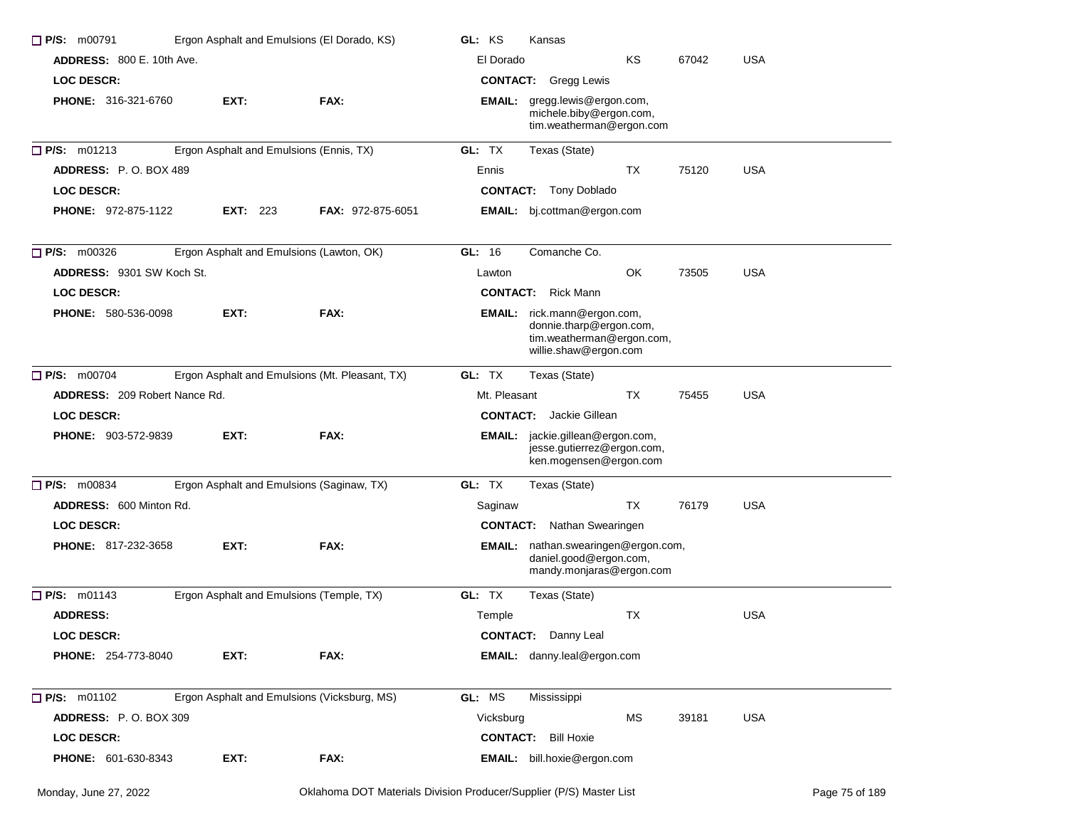| P/S: m00791<br>Ergon Asphalt and Emulsions (El Dorado, KS) |                                                |                          | GL: KS<br>Kansas |                                                                                                                     |           |       |            |
|------------------------------------------------------------|------------------------------------------------|--------------------------|------------------|---------------------------------------------------------------------------------------------------------------------|-----------|-------|------------|
| <b>ADDRESS: 800 E. 10th Ave.</b>                           |                                                |                          | El Dorado        |                                                                                                                     | KS        | 67042 | <b>USA</b> |
| <b>LOC DESCR:</b>                                          |                                                |                          |                  | <b>CONTACT:</b> Gregg Lewis                                                                                         |           |       |            |
| <b>PHONE: 316-321-6760</b>                                 | EXT:                                           | FAX:                     |                  | EMAIL: gregg.lewis@ergon.com,<br>michele.biby@ergon.com,<br>tim.weatherman@ergon.com                                |           |       |            |
| P/S: m01213                                                | Ergon Asphalt and Emulsions (Ennis, TX)        |                          | GL: TX           | Texas (State)                                                                                                       |           |       |            |
| <b>ADDRESS:</b> P.O. BOX 489                               |                                                |                          | Ennis            |                                                                                                                     | TX        | 75120 | <b>USA</b> |
| <b>LOC DESCR:</b>                                          |                                                |                          |                  | <b>CONTACT:</b> Tony Doblado                                                                                        |           |       |            |
| <b>PHONE: 972-875-1122</b>                                 | <b>EXT: 223</b>                                | <b>FAX: 972-875-6051</b> |                  | <b>EMAIL:</b> bj.cottman@ergon.com                                                                                  |           |       |            |
| $\Box$ P/S: m00326                                         | Ergon Asphalt and Emulsions (Lawton, OK)       |                          | GL: 16           | Comanche Co.                                                                                                        |           |       |            |
| <b>ADDRESS: 9301 SW Koch St.</b>                           |                                                |                          | Lawton           |                                                                                                                     | OK        | 73505 | <b>USA</b> |
| <b>LOC DESCR:</b>                                          |                                                |                          |                  | <b>CONTACT:</b> Rick Mann                                                                                           |           |       |            |
| <b>PHONE: 580-536-0098</b>                                 | EXT:                                           | FAX:                     |                  | <b>EMAIL:</b> rick.mann@ergon.com,<br>donnie.tharp@ergon.com,<br>tim.weatherman@ergon.com,<br>willie.shaw@ergon.com |           |       |            |
| P/S: m00704                                                | Ergon Asphalt and Emulsions (Mt. Pleasant, TX) |                          | GL: TX           | Texas (State)                                                                                                       |           |       |            |
| <b>ADDRESS: 209 Robert Nance Rd.</b>                       |                                                |                          | Mt. Pleasant     |                                                                                                                     | <b>TX</b> | 75455 | <b>USA</b> |
| <b>LOC DESCR:</b>                                          |                                                |                          |                  | <b>CONTACT:</b> Jackie Gillean                                                                                      |           |       |            |
| PHONE: 903-572-9839                                        | EXT:                                           | FAX:                     |                  | EMAIL: jackie.gillean@ergon.com,<br>jesse.gutierrez@ergon.com,<br>ken.mogensen@ergon.com                            |           |       |            |
| $\Box$ P/S: m00834                                         | Ergon Asphalt and Emulsions (Saginaw, TX)      |                          | GL: TX           | Texas (State)                                                                                                       |           |       |            |
| ADDRESS: 600 Minton Rd.                                    |                                                |                          | Saginaw          |                                                                                                                     | TX        | 76179 | USA        |
| <b>LOC DESCR:</b>                                          |                                                |                          |                  | <b>CONTACT:</b> Nathan Swearingen                                                                                   |           |       |            |
| <b>PHONE: 817-232-3658</b>                                 | EXT:                                           | FAX:                     |                  | EMAIL: nathan.swearingen@ergon.com,<br>daniel.good@ergon.com,<br>mandy.monjaras@ergon.com                           |           |       |            |
| $\Box$ P/S: m01143                                         | Ergon Asphalt and Emulsions (Temple, TX)       |                          | GL: TX           | Texas (State)                                                                                                       |           |       |            |
| <b>ADDRESS:</b>                                            |                                                |                          | Temple           |                                                                                                                     | ТX        |       | <b>USA</b> |
| <b>LOC DESCR:</b>                                          |                                                |                          |                  | <b>CONTACT:</b> Danny Leal                                                                                          |           |       |            |
| <b>PHONE: 254-773-8040</b>                                 | EXT:                                           | FAX:                     |                  | EMAIL: danny.leal@ergon.com                                                                                         |           |       |            |
| P/S: m01102                                                | Ergon Asphalt and Emulsions (Vicksburg, MS)    |                          | GL: MS           | Mississippi                                                                                                         |           |       |            |
| ADDRESS: P.O. BOX 309                                      |                                                |                          | Vicksburg        |                                                                                                                     | <b>MS</b> | 39181 | <b>USA</b> |
| <b>LOC DESCR:</b>                                          |                                                |                          |                  | <b>CONTACT:</b> Bill Hoxie                                                                                          |           |       |            |
| PHONE: 601-630-8343                                        | EXT:                                           | FAX:                     |                  | EMAIL: bill.hoxie@ergon.com                                                                                         |           |       |            |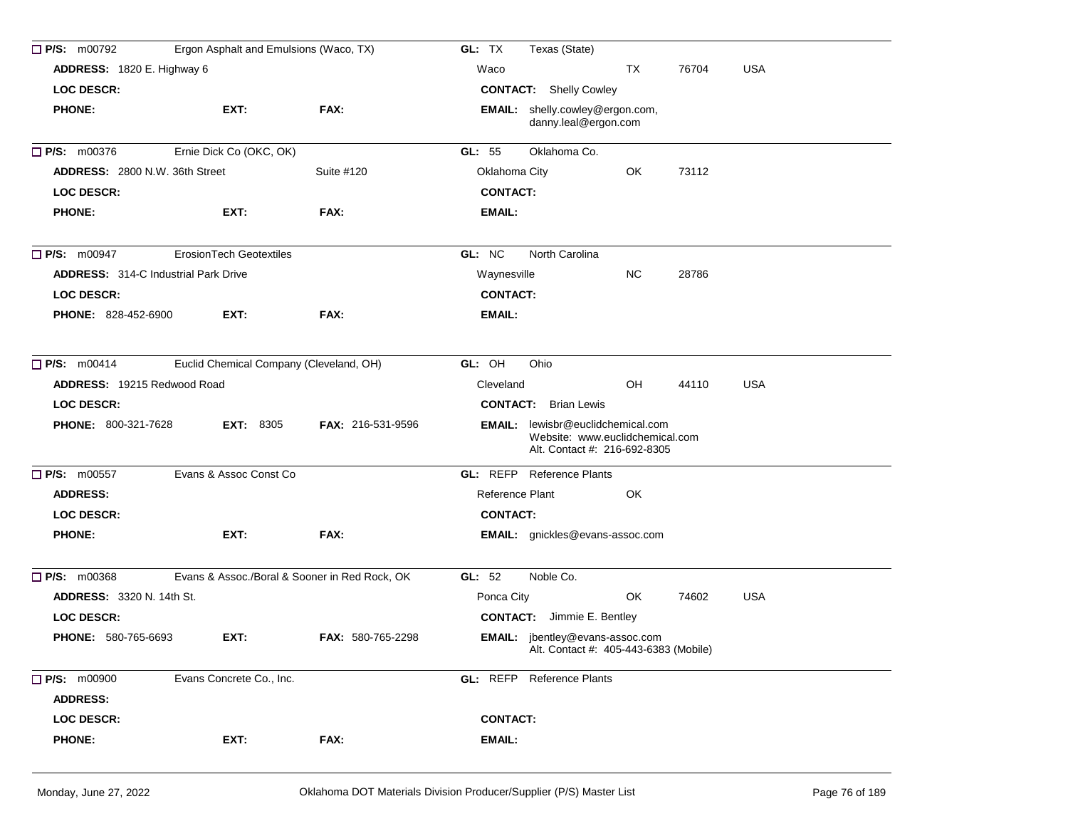| $\Box$ P/S: m00792                    | Ergon Asphalt and Emulsions (Waco, TX)  |                                               | GL: TX<br>Texas (State)                                                                                     |
|---------------------------------------|-----------------------------------------|-----------------------------------------------|-------------------------------------------------------------------------------------------------------------|
| ADDRESS: 1820 E. Highway 6            |                                         |                                               | TX<br>76704<br><b>USA</b><br>Waco                                                                           |
| <b>LOC DESCR:</b>                     |                                         |                                               | <b>CONTACT:</b> Shelly Cowley                                                                               |
| <b>PHONE:</b>                         | EXT:                                    | FAX:                                          | <b>EMAIL:</b> shelly.cowley@ergon.com,<br>danny.leal@ergon.com                                              |
| $\Box$ P/S: m00376                    | Ernie Dick Co (OKC, OK)                 |                                               | GL: $55$<br>Oklahoma Co.                                                                                    |
| <b>ADDRESS: 2800 N.W. 36th Street</b> |                                         | Suite #120                                    | Oklahoma City<br>OK<br>73112                                                                                |
| <b>LOC DESCR:</b>                     |                                         |                                               | <b>CONTACT:</b>                                                                                             |
| <b>PHONE:</b>                         | EXT:                                    | FAX:                                          | <b>EMAIL:</b>                                                                                               |
| $\Box$ P/S: m00947                    | <b>ErosionTech Geotextiles</b>          |                                               | GL: NC<br>North Carolina                                                                                    |
| ADDRESS: 314-C Industrial Park Drive  |                                         |                                               | <b>NC</b><br>28786<br>Waynesville                                                                           |
| LOC DESCR:                            |                                         |                                               | <b>CONTACT:</b>                                                                                             |
| <b>PHONE: 828-452-6900</b>            | EXT:                                    | FAX:                                          | <b>EMAIL:</b>                                                                                               |
| $\Box$ P/S: m00414                    | Euclid Chemical Company (Cleveland, OH) |                                               | GL: OH<br>Ohio                                                                                              |
| <b>ADDRESS: 19215 Redwood Road</b>    |                                         |                                               | OH<br>44110<br><b>USA</b><br>Cleveland                                                                      |
| <b>LOC DESCR:</b>                     |                                         |                                               | <b>CONTACT:</b> Brian Lewis                                                                                 |
| <b>PHONE: 800-321-7628</b>            | <b>EXT: 8305</b>                        | <b>FAX: 216-531-9596</b>                      | <b>EMAIL:</b> lewisbr@euclidchemical.com<br>Website: www.euclidchemical.com<br>Alt. Contact #: 216-692-8305 |
| P/S: m00557                           | Evans & Assoc Const Co                  |                                               | <b>GL: REFP</b> Reference Plants                                                                            |
| <b>ADDRESS:</b>                       |                                         |                                               | Reference Plant<br>OK                                                                                       |
| <b>LOC DESCR:</b>                     |                                         |                                               | <b>CONTACT:</b>                                                                                             |
| <b>PHONE:</b>                         | EXT:                                    | FAX:                                          | <b>EMAIL:</b> gnickles@evans-assoc.com                                                                      |
| $\Box$ P/S: m00368                    |                                         | Evans & Assoc./Boral & Sooner in Red Rock, OK | GL: 52<br>Noble Co.                                                                                         |
| <b>ADDRESS: 3320 N. 14th St.</b>      |                                         |                                               | Ponca City<br>OK<br><b>USA</b><br>74602                                                                     |
| <b>LOC DESCR:</b>                     |                                         |                                               | <b>CONTACT:</b> Jimmie E. Bentley                                                                           |
| PHONE: 580-765-6693                   | EXT:                                    | <b>FAX: 580-765-2298</b>                      | EMAIL: jbentley@evans-assoc.com<br>Alt. Contact #: 405-443-6383 (Mobile)                                    |
| <b>P/S:</b> m00900                    | Evans Concrete Co., Inc.                |                                               | GL: REFP<br>Reference Plants                                                                                |
| <b>ADDRESS:</b>                       |                                         |                                               |                                                                                                             |
| LOC DESCR:                            |                                         |                                               | <b>CONTACT:</b>                                                                                             |
| <b>PHONE:</b>                         | EXT:                                    | FAX:                                          | <b>EMAIL:</b>                                                                                               |
|                                       |                                         |                                               |                                                                                                             |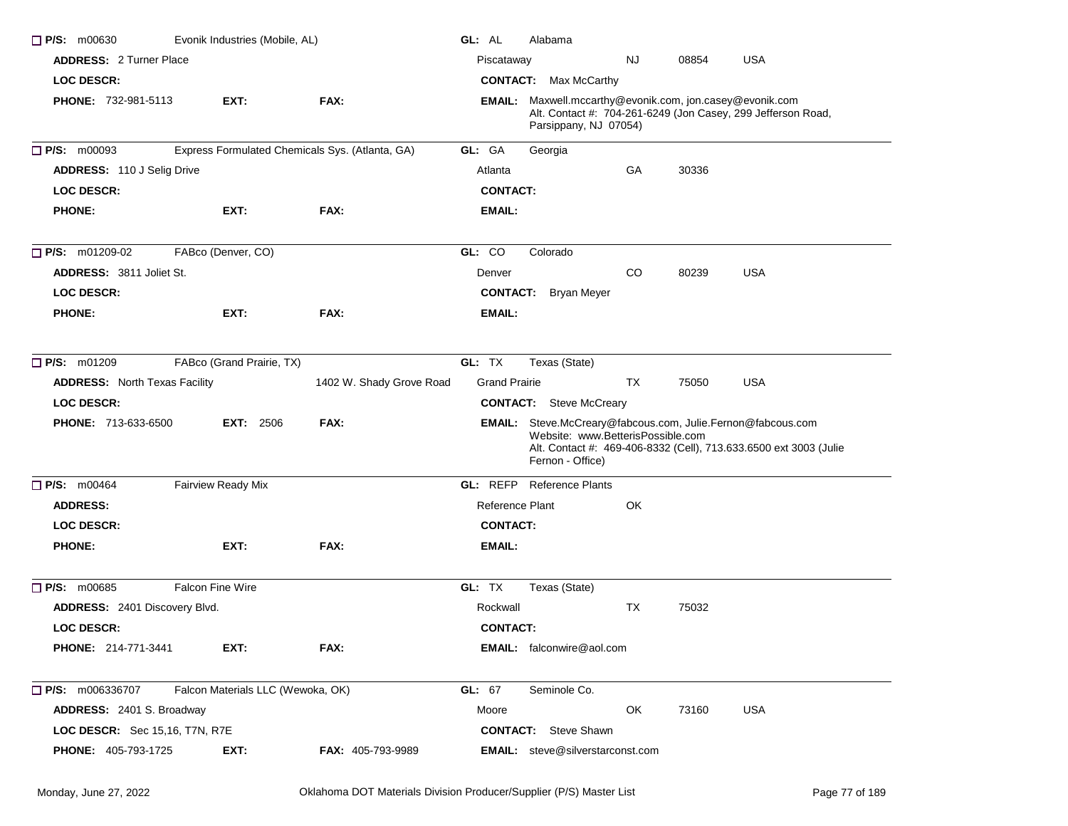| $\Box$ P/S: m00630                   |                         | Evonik Industries (Mobile, AL)    |                                                 | GL: AL               | Alabama                                                                                                              |     |       |                                                                   |
|--------------------------------------|-------------------------|-----------------------------------|-------------------------------------------------|----------------------|----------------------------------------------------------------------------------------------------------------------|-----|-------|-------------------------------------------------------------------|
| <b>ADDRESS: 2 Turner Place</b>       |                         |                                   |                                                 | Piscataway           |                                                                                                                      | NJ. | 08854 | <b>USA</b>                                                        |
| LOC DESCR:                           |                         |                                   |                                                 |                      | <b>CONTACT:</b> Max McCarthy                                                                                         |     |       |                                                                   |
| <b>PHONE: 732-981-5113</b>           |                         | EXT:                              | FAX:                                            |                      | <b>EMAIL:</b> Maxwell.mccarthy@evonik.com, jon.casey@evonik.com<br>Parsippany, NJ 07054)                             |     |       | Alt. Contact #: 704-261-6249 (Jon Casey, 299 Jefferson Road,      |
| P/S: m00093                          |                         |                                   | Express Formulated Chemicals Sys. (Atlanta, GA) | GL: GA               | Georgia                                                                                                              |     |       |                                                                   |
| <b>ADDRESS: 110 J Selig Drive</b>    |                         |                                   |                                                 | Atlanta              |                                                                                                                      | GA  | 30336 |                                                                   |
| <b>LOC DESCR:</b>                    |                         |                                   |                                                 | <b>CONTACT:</b>      |                                                                                                                      |     |       |                                                                   |
| <b>PHONE:</b>                        |                         | EXT:                              | FAX:                                            | EMAIL:               |                                                                                                                      |     |       |                                                                   |
| $\Box$ P/S: m01209-02                |                         | FABco (Denver, CO)                |                                                 | GL: CO               | Colorado                                                                                                             |     |       |                                                                   |
| <b>ADDRESS: 3811 Joliet St.</b>      |                         |                                   |                                                 | Denver               |                                                                                                                      | CO  | 80239 | <b>USA</b>                                                        |
| <b>LOC DESCR:</b>                    |                         |                                   |                                                 | <b>CONTACT:</b>      | Bryan Meyer                                                                                                          |     |       |                                                                   |
| <b>PHONE:</b>                        |                         | EXT:                              | FAX:                                            | EMAIL:               |                                                                                                                      |     |       |                                                                   |
| P/S: m01209                          |                         | FABco (Grand Prairie, TX)         |                                                 | GL: TX               | Texas (State)                                                                                                        |     |       |                                                                   |
| <b>ADDRESS:</b> North Texas Facility |                         |                                   | 1402 W. Shady Grove Road                        | <b>Grand Prairie</b> |                                                                                                                      | ТX  | 75050 | <b>USA</b>                                                        |
| <b>LOC DESCR:</b>                    |                         |                                   |                                                 |                      | <b>CONTACT:</b> Steve McCreary                                                                                       |     |       |                                                                   |
| PHONE: 713-633-6500                  |                         | <b>EXT: 2506</b>                  | FAX:                                            |                      | EMAIL: Steve.McCreary@fabcous.com, Julie.Fernon@fabcous.com<br>Website: www.BetterisPossible.com<br>Fernon - Office) |     |       | Alt. Contact #: 469-406-8332 (Cell), 713.633.6500 ext 3003 (Julie |
| $P/S:$ m00464                        |                         | <b>Fairview Ready Mix</b>         |                                                 |                      | <b>GL: REFP</b> Reference Plants                                                                                     |     |       |                                                                   |
| <b>ADDRESS:</b>                      |                         |                                   |                                                 | Reference Plant      |                                                                                                                      | OK  |       |                                                                   |
| LOC DESCR:                           |                         |                                   |                                                 | <b>CONTACT:</b>      |                                                                                                                      |     |       |                                                                   |
| <b>PHONE:</b>                        |                         | EXT:                              | FAX:                                            | EMAIL:               |                                                                                                                      |     |       |                                                                   |
| $\Box$ P/S: m00685                   | <b>Falcon Fine Wire</b> |                                   |                                                 | GL: TX               | Texas (State)                                                                                                        |     |       |                                                                   |
| ADDRESS: 2401 Discovery Blvd.        |                         |                                   |                                                 | Rockwall             |                                                                                                                      | TX  | 75032 |                                                                   |
| <b>LOC DESCR:</b>                    |                         |                                   |                                                 | <b>CONTACT:</b>      |                                                                                                                      |     |       |                                                                   |
| PHONE: 214-771-3441                  |                         | EXT:                              | FAX:                                            |                      | EMAIL: falconwire@aol.com                                                                                            |     |       |                                                                   |
| $\Box$ P/S: m006336707               |                         | Falcon Materials LLC (Wewoka, OK) |                                                 | GL: 67               | Seminole Co.                                                                                                         |     |       |                                                                   |
| ADDRESS: 2401 S. Broadway            |                         |                                   |                                                 | Moore                |                                                                                                                      | OK  | 73160 | <b>USA</b>                                                        |
| LOC DESCR: Sec 15,16, T7N, R7E       |                         |                                   |                                                 |                      | <b>CONTACT:</b> Steve Shawn                                                                                          |     |       |                                                                   |
| PHONE: 405-793-1725                  |                         | EXT:                              | <b>FAX: 405-793-9989</b>                        |                      | EMAIL: steve@silverstarconst.com                                                                                     |     |       |                                                                   |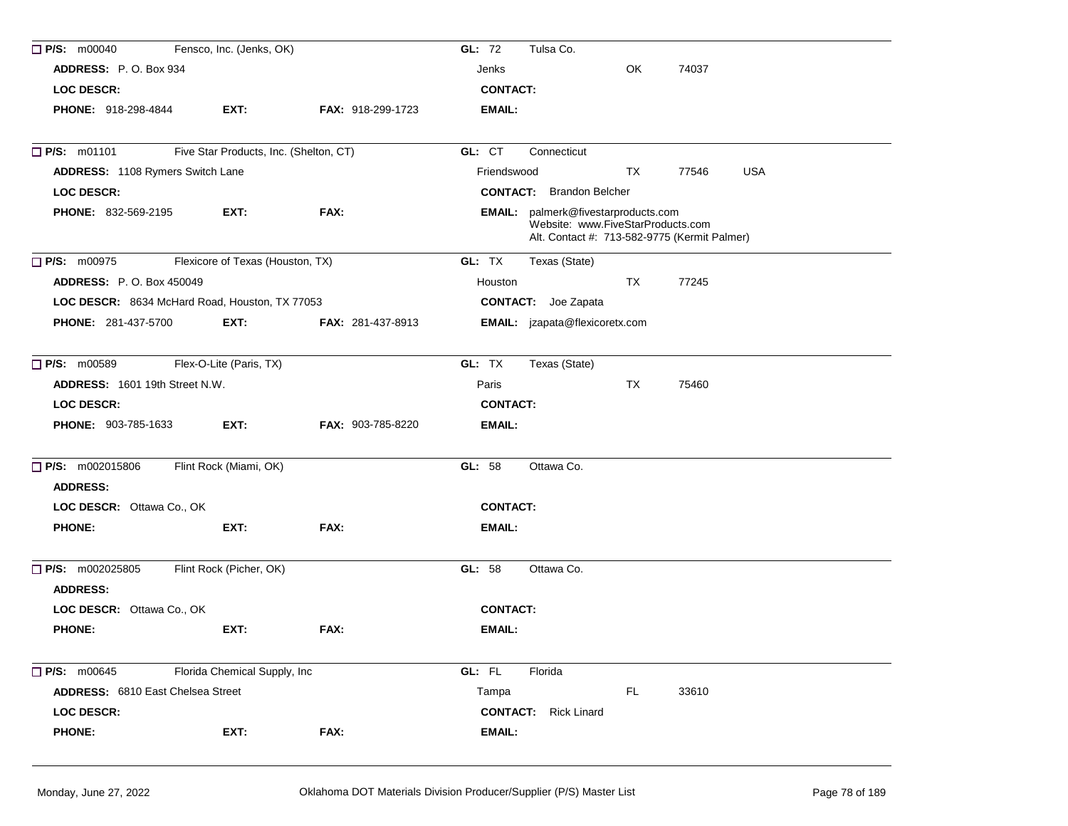| $\Box$ P/S: m00040                             | Fensco, Inc. (Jenks, OK)               |                          | GL: 72<br>Tulsa Co.                                                                                                      |
|------------------------------------------------|----------------------------------------|--------------------------|--------------------------------------------------------------------------------------------------------------------------|
| ADDRESS: P.O. Box 934                          |                                        |                          | OK<br>74037<br>Jenks                                                                                                     |
| <b>LOC DESCR:</b>                              |                                        |                          | <b>CONTACT:</b>                                                                                                          |
| <b>PHONE: 918-298-4844</b>                     | EXT:                                   | FAX: 918-299-1723        | EMAIL:                                                                                                                   |
| $\Box$ P/S: m01101                             | Five Star Products, Inc. (Shelton, CT) |                          | GL: CT<br>Connecticut                                                                                                    |
| ADDRESS: 1108 Rymers Switch Lane               |                                        |                          | <b>USA</b><br>Friendswood<br>TX<br>77546                                                                                 |
| <b>LOC DESCR:</b>                              |                                        |                          | <b>CONTACT:</b> Brandon Belcher                                                                                          |
| <b>PHONE: 832-569-2195</b>                     | EXT:                                   | FAX:                     | EMAIL: palmerk@fivestarproducts.com<br>Website: www.FiveStarProducts.com<br>Alt. Contact #: 713-582-9775 (Kermit Palmer) |
| $\Box$ P/S: m00975                             | Flexicore of Texas (Houston, TX)       |                          | GL: TX<br>Texas (State)                                                                                                  |
| <b>ADDRESS: P.O. Box 450049</b>                |                                        |                          | 77245<br>Houston<br>TX                                                                                                   |
| LOC DESCR: 8634 McHard Road, Houston, TX 77053 |                                        |                          | <b>CONTACT:</b> Joe Zapata                                                                                               |
| <b>PHONE: 281-437-5700</b>                     | EXT:                                   | <b>FAX: 281-437-8913</b> | <b>EMAIL:</b> jzapata@flexicoretx.com                                                                                    |
| $\Box$ P/S: m00589                             | Flex-O-Lite (Paris, TX)                |                          | GL: TX<br>Texas (State)                                                                                                  |
| <b>ADDRESS:</b> 1601 19th Street N.W.          |                                        |                          | <b>TX</b><br>Paris<br>75460                                                                                              |
| <b>LOC DESCR:</b>                              |                                        |                          | <b>CONTACT:</b>                                                                                                          |
| PHONE: 903-785-1633                            | EXT:                                   | FAX: 903-785-8220        | <b>EMAIL:</b>                                                                                                            |
| $\Box$ P/S: m002015806<br><b>ADDRESS:</b>      | Flint Rock (Miami, OK)                 |                          | GL: 58<br>Ottawa Co.                                                                                                     |
| LOC DESCR: Ottawa Co., OK                      |                                        |                          | <b>CONTACT:</b>                                                                                                          |
| <b>PHONE:</b>                                  | EXT:                                   | FAX:                     | <b>EMAIL:</b>                                                                                                            |
| $\Box$ P/S: m002025805<br><b>ADDRESS:</b>      | Flint Rock (Picher, OK)                |                          | GL: 58<br>Ottawa Co.                                                                                                     |
| LOC DESCR: Ottawa Co., OK                      |                                        |                          | <b>CONTACT:</b>                                                                                                          |
| <b>PHONE:</b>                                  | EXT:                                   | FAX:                     | <b>EMAIL:</b>                                                                                                            |
| $\Box$ P/S: m00645                             | Florida Chemical Supply, Inc           |                          | GL: FL<br>Florida                                                                                                        |
| <b>ADDRESS: 6810 East Chelsea Street</b>       |                                        |                          | <b>FL</b><br>33610<br>Tampa                                                                                              |
| <b>LOC DESCR:</b>                              |                                        |                          | <b>CONTACT:</b> Rick Linard                                                                                              |
| <b>PHONE:</b>                                  | EXT:                                   | FAX:                     | EMAIL:                                                                                                                   |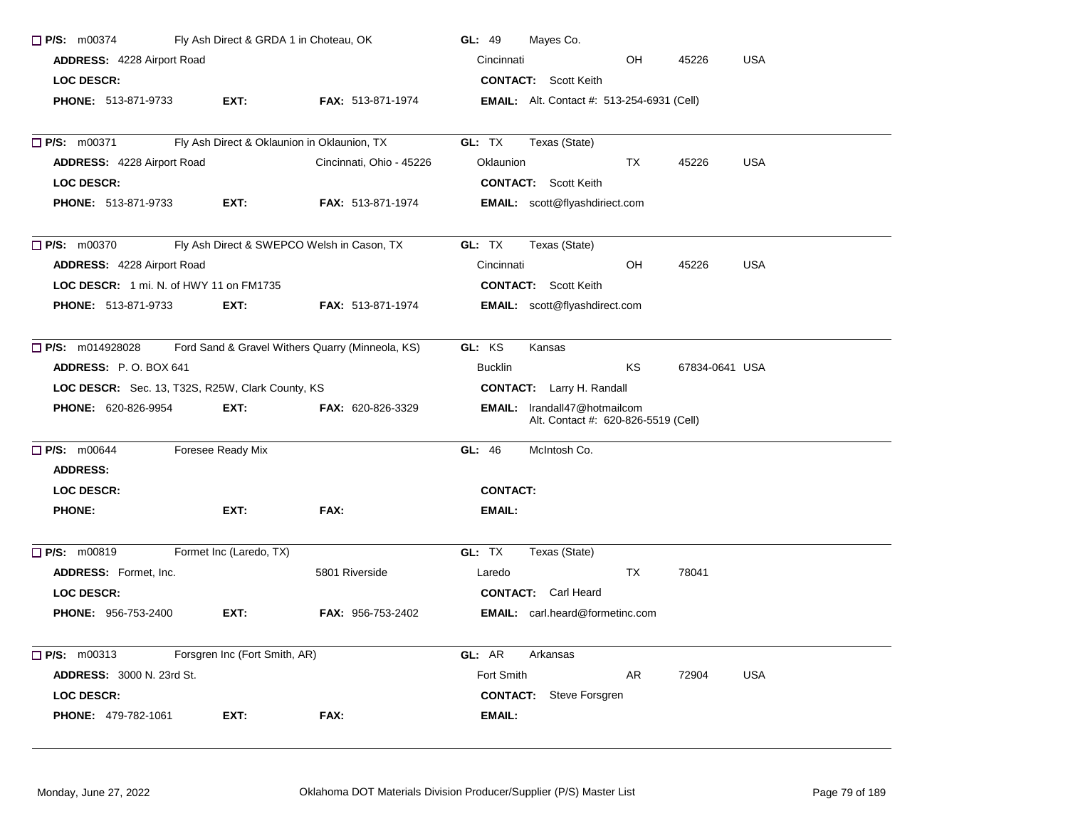| $\Box$ P/S: m00374<br>Fly Ash Direct & GRDA 1 in Choteau, OK |                                                  |                          | GL: 49<br>Mayes Co.                                                        |  |  |  |  |  |
|--------------------------------------------------------------|--------------------------------------------------|--------------------------|----------------------------------------------------------------------------|--|--|--|--|--|
| <b>ADDRESS: 4228 Airport Road</b>                            |                                                  |                          | Cincinnati<br>OH<br>45226<br><b>USA</b>                                    |  |  |  |  |  |
| LOC DESCR:                                                   |                                                  |                          | <b>CONTACT:</b> Scott Keith                                                |  |  |  |  |  |
| <b>PHONE: 513-871-9733</b>                                   | EXT:                                             | <b>FAX: 513-871-1974</b> | <b>EMAIL:</b> Alt. Contact #: 513-254-6931 (Cell)                          |  |  |  |  |  |
|                                                              |                                                  |                          |                                                                            |  |  |  |  |  |
| $\Box$ P/S: m00371                                           | Fly Ash Direct & Oklaunion in Oklaunion, TX      |                          | GL: TX<br>Texas (State)                                                    |  |  |  |  |  |
| ADDRESS: 4228 Airport Road                                   |                                                  | Cincinnati, Ohio - 45226 | <b>USA</b><br>Oklaunion<br>TX.<br>45226                                    |  |  |  |  |  |
| <b>LOC DESCR:</b>                                            |                                                  |                          | <b>CONTACT:</b> Scott Keith                                                |  |  |  |  |  |
| PHONE: 513-871-9733                                          | EXT:                                             | FAX: 513-871-1974        | <b>EMAIL:</b> scott@flyashdiriect.com                                      |  |  |  |  |  |
| P/S: m00370                                                  | Fly Ash Direct & SWEPCO Welsh in Cason, TX       |                          | GL: TX<br>Texas (State)                                                    |  |  |  |  |  |
| <b>ADDRESS: 4228 Airport Road</b>                            |                                                  |                          | Cincinnati<br>OH<br>45226<br><b>USA</b>                                    |  |  |  |  |  |
| LOC DESCR: 1 mi. N. of HWY 11 on FM1735                      |                                                  |                          | <b>CONTACT:</b> Scott Keith                                                |  |  |  |  |  |
| <b>PHONE: 513-871-9733</b>                                   | EXT:                                             | <b>FAX: 513-871-1974</b> | <b>EMAIL:</b> scott@flyashdirect.com                                       |  |  |  |  |  |
| $\Box$ P/S: m014928028                                       | Ford Sand & Gravel Withers Quarry (Minneola, KS) |                          | GL: KS<br>Kansas                                                           |  |  |  |  |  |
| ADDRESS: P.O. BOX 641                                        |                                                  |                          | KS<br><b>Bucklin</b><br>67834-0641 USA                                     |  |  |  |  |  |
| LOC DESCR: Sec. 13, T32S, R25W, Clark County, KS             |                                                  |                          | <b>CONTACT:</b> Larry H. Randall                                           |  |  |  |  |  |
| PHONE: 620-826-9954                                          | EXT:                                             | FAX: 620-826-3329        | <b>EMAIL:</b> Irandall47@hotmailcom<br>Alt. Contact #: 620-826-5519 (Cell) |  |  |  |  |  |
| $\Box$ P/S: m00644                                           | Foresee Ready Mix                                |                          | McIntosh Co.<br>GL: 46                                                     |  |  |  |  |  |
| <b>ADDRESS:</b>                                              |                                                  |                          |                                                                            |  |  |  |  |  |
| <b>LOC DESCR:</b>                                            |                                                  |                          | <b>CONTACT:</b>                                                            |  |  |  |  |  |
| <b>PHONE:</b>                                                | EXT:                                             | FAX:                     | <b>EMAIL:</b>                                                              |  |  |  |  |  |
| $\Box$ P/S: m00819                                           | Formet Inc (Laredo, TX)                          |                          | GL: TX<br>Texas (State)                                                    |  |  |  |  |  |
| <b>ADDRESS:</b> Formet, Inc.                                 |                                                  | 5801 Riverside           | TX<br>78041<br>Laredo                                                      |  |  |  |  |  |
| <b>LOC DESCR:</b>                                            |                                                  |                          | <b>CONTACT:</b> Carl Heard                                                 |  |  |  |  |  |
| <b>PHONE: 956-753-2400</b>                                   | EXT:                                             | <b>FAX: 956-753-2402</b> | <b>EMAIL:</b> carl.heard@formetinc.com                                     |  |  |  |  |  |
| $\Box$ P/S: m00313                                           | Forsgren Inc (Fort Smith, AR)                    |                          | GL: AR<br>Arkansas                                                         |  |  |  |  |  |
| <b>ADDRESS: 3000 N. 23rd St.</b>                             |                                                  |                          | Fort Smith<br>AR<br>72904<br><b>USA</b>                                    |  |  |  |  |  |
| <b>LOC DESCR:</b>                                            |                                                  |                          | <b>CONTACT:</b> Steve Forsgren                                             |  |  |  |  |  |
| PHONE: 479-782-1061                                          | EXT:                                             | FAX:                     | <b>EMAIL:</b>                                                              |  |  |  |  |  |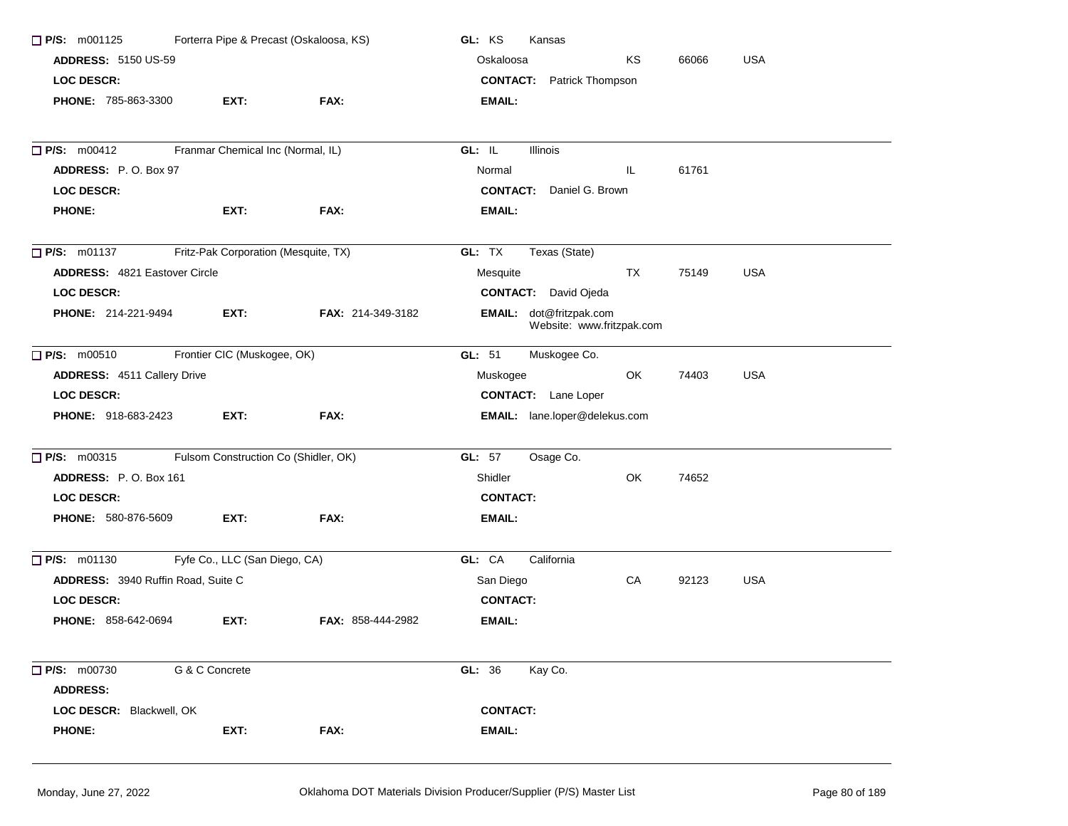| $\Box$ P/S: m001125<br>Forterra Pipe & Precast (Oskaloosa, KS) |                                      |                          | GL: KS<br>Kansas                                     |  |  |  |  |
|----------------------------------------------------------------|--------------------------------------|--------------------------|------------------------------------------------------|--|--|--|--|
| <b>ADDRESS: 5150 US-59</b>                                     |                                      |                          | Oskaloosa<br>ΚS<br><b>USA</b><br>66066               |  |  |  |  |
| <b>LOC DESCR:</b>                                              |                                      |                          | <b>CONTACT:</b> Patrick Thompson                     |  |  |  |  |
| PHONE: 785-863-3300                                            | EXT:                                 | FAX:                     | EMAIL:                                               |  |  |  |  |
| P/S: m00412                                                    | Franmar Chemical Inc (Normal, IL)    |                          | GL: IL<br>Illinois                                   |  |  |  |  |
| ADDRESS: P.O. Box 97                                           |                                      |                          | Normal<br>IL.<br>61761                               |  |  |  |  |
| <b>LOC DESCR:</b>                                              |                                      |                          | <b>CONTACT:</b> Daniel G. Brown                      |  |  |  |  |
| <b>PHONE:</b>                                                  | EXT:                                 | FAX:                     | <b>EMAIL:</b>                                        |  |  |  |  |
| $\Box$ P/S: m01137                                             | Fritz-Pak Corporation (Mesquite, TX) |                          | GL: TX<br>Texas (State)                              |  |  |  |  |
| <b>ADDRESS: 4821 Eastover Circle</b>                           |                                      |                          | <b>USA</b><br>TX<br>75149<br>Mesquite                |  |  |  |  |
| LOC DESCR:                                                     |                                      |                          | <b>CONTACT:</b> David Ojeda                          |  |  |  |  |
| <b>PHONE: 214-221-9494</b>                                     | EXT:                                 | <b>FAX: 214-349-3182</b> | EMAIL: dot@fritzpak.com<br>Website: www.fritzpak.com |  |  |  |  |
| $\Box$ P/S: m00510                                             | Frontier CIC (Muskogee, OK)          |                          | GL: 51<br>Muskogee Co.                               |  |  |  |  |
| ADDRESS: 4511 Callery Drive                                    |                                      |                          | <b>USA</b><br>OK<br>74403<br>Muskogee                |  |  |  |  |
| LOC DESCR:                                                     |                                      |                          | <b>CONTACT:</b> Lane Loper                           |  |  |  |  |
| PHONE: 918-683-2423                                            | EXT:                                 | FAX:                     | EMAIL: lane.loper@delekus.com                        |  |  |  |  |
| $P/S:$ m00315                                                  | Fulsom Construction Co (Shidler, OK) |                          | GL: 57<br>Osage Co.                                  |  |  |  |  |
| ADDRESS: P.O. Box 161                                          |                                      |                          | Shidler<br>OK.<br>74652                              |  |  |  |  |
| <b>LOC DESCR:</b>                                              |                                      |                          | <b>CONTACT:</b>                                      |  |  |  |  |
| PHONE: 580-876-5609                                            | EXT:                                 | FAX:                     | <b>EMAIL:</b>                                        |  |  |  |  |
| $\Box$ P/S: m01130                                             | Fyfe Co., LLC (San Diego, CA)        |                          | GL: CA<br>California                                 |  |  |  |  |
| ADDRESS: 3940 Ruffin Road, Suite C                             |                                      |                          | CA<br>San Diego<br>92123<br><b>USA</b>               |  |  |  |  |
| <b>LOC DESCR:</b>                                              |                                      |                          | <b>CONTACT:</b>                                      |  |  |  |  |
| <b>PHONE: 858-642-0694</b>                                     | EXT:                                 | <b>FAX: 858-444-2982</b> | <b>EMAIL:</b>                                        |  |  |  |  |
| $\Box$ P/S: m00730                                             | G & C Concrete                       |                          | GL: 36<br>Kay Co.                                    |  |  |  |  |
| <b>ADDRESS:</b>                                                |                                      |                          |                                                      |  |  |  |  |
| LOC DESCR: Blackwell, OK                                       |                                      |                          | <b>CONTACT:</b>                                      |  |  |  |  |
| <b>PHONE:</b>                                                  | EXT:                                 | FAX:                     | EMAIL:                                               |  |  |  |  |
|                                                                |                                      |                          |                                                      |  |  |  |  |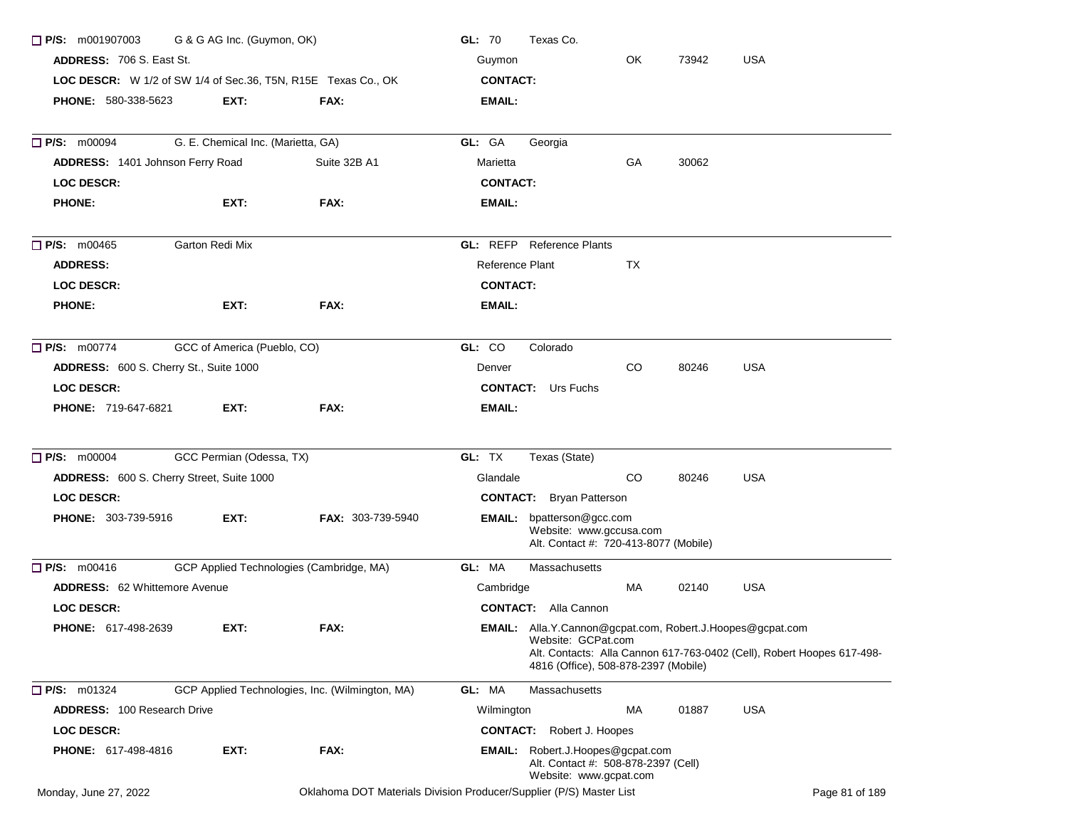| G & G AG Inc. (Guymon, OK)<br>$\Box$ P/S: m001907003<br><b>ADDRESS: 706 S. East St.</b> |                                    |                                                                     | GL: 70<br>Texas Co. |                                                                                                                         |     |       |            |                                                                        |
|-----------------------------------------------------------------------------------------|------------------------------------|---------------------------------------------------------------------|---------------------|-------------------------------------------------------------------------------------------------------------------------|-----|-------|------------|------------------------------------------------------------------------|
|                                                                                         |                                    |                                                                     | Guymon              |                                                                                                                         |     |       |            |                                                                        |
| LOC DESCR: W 1/2 of SW 1/4 of Sec.36, T5N, R15E Texas Co., OK                           | <b>CONTACT:</b>                    |                                                                     |                     |                                                                                                                         |     |       |            |                                                                        |
| <b>PHONE: 580-338-5623</b>                                                              | EXT:                               | FAX:                                                                | EMAIL:              |                                                                                                                         |     |       |            |                                                                        |
|                                                                                         |                                    |                                                                     |                     |                                                                                                                         |     |       |            |                                                                        |
| <b>P/S: m00094</b>                                                                      | G. E. Chemical Inc. (Marietta, GA) |                                                                     | GL: GA              | Georgia                                                                                                                 |     |       |            |                                                                        |
| ADDRESS: 1401 Johnson Ferry Road                                                        |                                    | Suite 32B A1                                                        | Marietta            |                                                                                                                         | GA  | 30062 |            |                                                                        |
| <b>LOC DESCR:</b>                                                                       |                                    |                                                                     | <b>CONTACT:</b>     |                                                                                                                         |     |       |            |                                                                        |
| <b>PHONE:</b>                                                                           | EXT:                               | FAX:                                                                | EMAIL:              |                                                                                                                         |     |       |            |                                                                        |
| $\Box$ P/S: m00465                                                                      | Garton Redi Mix                    |                                                                     |                     | <b>GL: REFP</b> Reference Plants                                                                                        |     |       |            |                                                                        |
| <b>ADDRESS:</b>                                                                         |                                    |                                                                     | Reference Plant     |                                                                                                                         | ТX  |       |            |                                                                        |
| <b>LOC DESCR:</b>                                                                       |                                    |                                                                     | <b>CONTACT:</b>     |                                                                                                                         |     |       |            |                                                                        |
| <b>PHONE:</b>                                                                           | EXT:                               | FAX:                                                                | EMAIL:              |                                                                                                                         |     |       |            |                                                                        |
| $\Box$ P/S: m00774                                                                      | GCC of America (Pueblo, CO)        |                                                                     | GL: CO              | Colorado                                                                                                                |     |       |            |                                                                        |
| ADDRESS: 600 S. Cherry St., Suite 1000                                                  |                                    |                                                                     | Denver              |                                                                                                                         | CO. | 80246 | <b>USA</b> |                                                                        |
| <b>LOC DESCR:</b>                                                                       |                                    |                                                                     |                     | <b>CONTACT:</b> Urs Fuchs                                                                                               |     |       |            |                                                                        |
| <b>PHONE: 719-647-6821</b>                                                              | EXT:                               | FAX:                                                                | EMAIL:              |                                                                                                                         |     |       |            |                                                                        |
| <b>P/S: m00004</b>                                                                      | GCC Permian (Odessa, TX)           |                                                                     | GL: TX              | Texas (State)                                                                                                           |     |       |            |                                                                        |
| ADDRESS: 600 S. Cherry Street, Suite 1000                                               |                                    |                                                                     | Glandale            |                                                                                                                         | CO. | 80246 | <b>USA</b> |                                                                        |
| <b>LOC DESCR:</b>                                                                       |                                    |                                                                     |                     | <b>CONTACT:</b> Bryan Patterson                                                                                         |     |       |            |                                                                        |
| <b>PHONE: 303-739-5916</b>                                                              | EXT:                               | <b>FAX: 303-739-5940</b>                                            |                     | <b>EMAIL:</b> bpatterson@gcc.com<br>Website: www.gccusa.com<br>Alt. Contact #: 720-413-8077 (Mobile)                    |     |       |            |                                                                        |
| P/S: m00416                                                                             |                                    | GCP Applied Technologies (Cambridge, MA)                            | GL: MA              | Massachusetts                                                                                                           |     |       |            |                                                                        |
| <b>ADDRESS:</b> 62 Whittemore Avenue                                                    |                                    |                                                                     | Cambridge           |                                                                                                                         | MA  | 02140 | <b>USA</b> |                                                                        |
| LOC DESCR:                                                                              |                                    |                                                                     |                     | <b>CONTACT:</b> Alla Cannon                                                                                             |     |       |            |                                                                        |
| <b>PHONE: 617-498-2639</b>                                                              | EXT:                               | FAX:                                                                |                     | EMAIL: Alla.Y.Cannon@gcpat.com, Robert.J.Hoopes@gcpat.com<br>Website: GCPat.com<br>4816 (Office), 508-878-2397 (Mobile) |     |       |            | Alt. Contacts: Alla Cannon 617-763-0402 (Cell), Robert Hoopes 617-498- |
| $\Box$ P/S: m01324                                                                      |                                    | GCP Applied Technologies, Inc. (Wilmington, MA)                     | GL: MA              | Massachusetts                                                                                                           |     |       |            |                                                                        |
| <b>ADDRESS: 100 Research Drive</b>                                                      |                                    |                                                                     | Wilmington          |                                                                                                                         | МA  | 01887 | <b>USA</b> |                                                                        |
| <b>LOC DESCR:</b>                                                                       |                                    |                                                                     | <b>CONTACT:</b>     | Robert J. Hoopes                                                                                                        |     |       |            |                                                                        |
| <b>PHONE: 617-498-4816</b>                                                              | EXT:                               | FAX:                                                                |                     | <b>EMAIL:</b> Robert.J.Hoopes@gcpat.com<br>Alt. Contact #: 508-878-2397 (Cell)<br>Website: www.gcpat.com                |     |       |            |                                                                        |
| Monday, June 27, 2022                                                                   |                                    | Oklahoma DOT Materials Division Producer/Supplier (P/S) Master List |                     |                                                                                                                         |     |       |            | Page 81 of 189                                                         |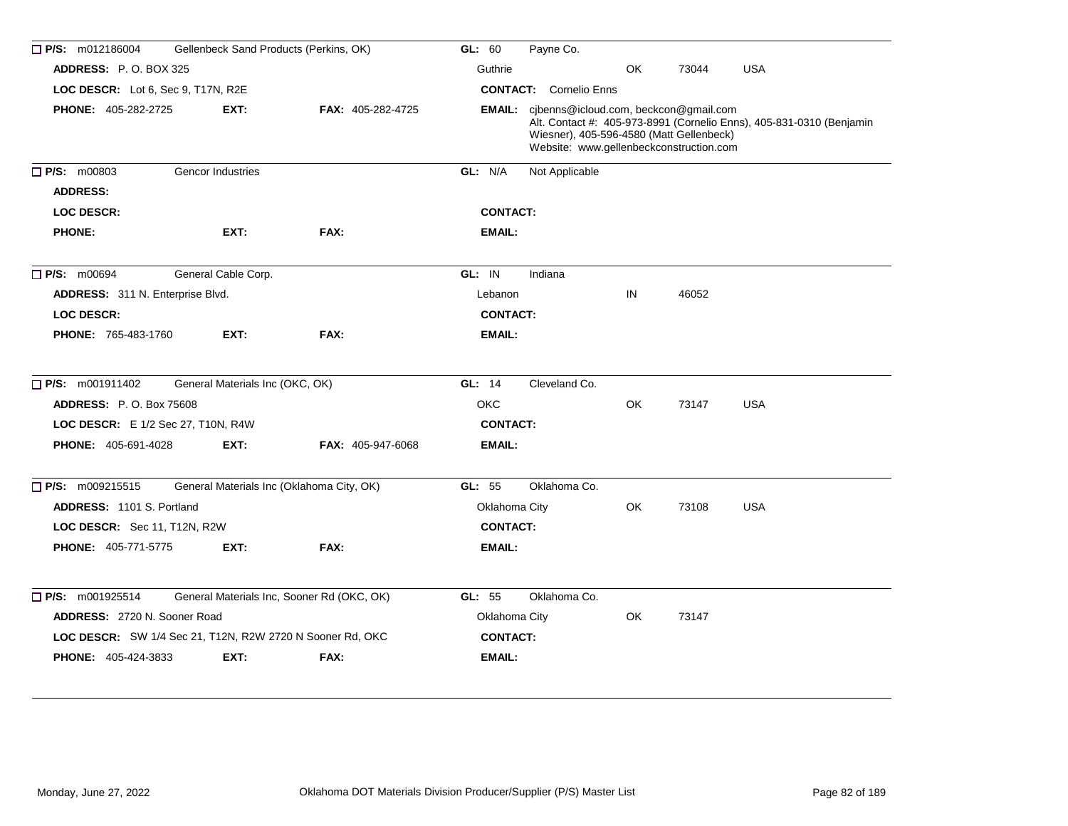| $\Box$ P/S: m012186004<br>Gellenbeck Sand Products (Perkins, OK) |                                 |                                            | GL: 60          | Payne Co.                                                                                                                                  |           |       |                                                                      |
|------------------------------------------------------------------|---------------------------------|--------------------------------------------|-----------------|--------------------------------------------------------------------------------------------------------------------------------------------|-----------|-------|----------------------------------------------------------------------|
| <b>ADDRESS: P.O. BOX 325</b>                                     |                                 |                                            | Guthrie         |                                                                                                                                            | OK        | 73044 | <b>USA</b>                                                           |
| LOC DESCR: Lot 6, Sec 9, T17N, R2E                               |                                 |                                            |                 | <b>CONTACT:</b> Cornelio Enns                                                                                                              |           |       |                                                                      |
| <b>PHONE: 405-282-2725</b>                                       | EXT:                            | FAX: 405-282-4725                          |                 | <b>EMAIL:</b> cjbenns@icloud.com, beckcon@gmail.com<br>Wiesner), 405-596-4580 (Matt Gellenbeck)<br>Website: www.gellenbeckconstruction.com |           |       | Alt. Contact #: 405-973-8991 (Cornelio Enns), 405-831-0310 (Benjamin |
| $\Box$ P/S: m00803                                               | Gencor Industries               |                                            | GL: N/A         | Not Applicable                                                                                                                             |           |       |                                                                      |
| <b>ADDRESS:</b>                                                  |                                 |                                            |                 |                                                                                                                                            |           |       |                                                                      |
| <b>LOC DESCR:</b>                                                |                                 |                                            | <b>CONTACT:</b> |                                                                                                                                            |           |       |                                                                      |
| <b>PHONE:</b>                                                    | EXT:                            | FAX:                                       | EMAIL:          |                                                                                                                                            |           |       |                                                                      |
| $\Box$ P/S: m00694                                               | General Cable Corp.             |                                            | GL: IN          | Indiana                                                                                                                                    |           |       |                                                                      |
| ADDRESS: 311 N. Enterprise Blvd.                                 |                                 |                                            | Lebanon         |                                                                                                                                            | IN        | 46052 |                                                                      |
| <b>LOC DESCR:</b>                                                |                                 |                                            | <b>CONTACT:</b> |                                                                                                                                            |           |       |                                                                      |
| <b>PHONE: 765-483-1760</b>                                       | EXT:                            | FAX:                                       | <b>EMAIL:</b>   |                                                                                                                                            |           |       |                                                                      |
| $\Box$ P/S: m001911402                                           | General Materials Inc (OKC, OK) |                                            | GL: 14          | Cleveland Co.                                                                                                                              |           |       |                                                                      |
| <b>ADDRESS: P.O. Box 75608</b>                                   |                                 |                                            | <b>OKC</b>      |                                                                                                                                            | <b>OK</b> | 73147 | <b>USA</b>                                                           |
| LOC DESCR: E 1/2 Sec 27, T10N, R4W                               |                                 |                                            | <b>CONTACT:</b> |                                                                                                                                            |           |       |                                                                      |
| <b>PHONE: 405-691-4028</b>                                       | EXT:                            | <b>FAX: 405-947-6068</b>                   | <b>EMAIL:</b>   |                                                                                                                                            |           |       |                                                                      |
| $\Box$ P/S: m009215515                                           |                                 | General Materials Inc (Oklahoma City, OK)  | GL: 55          | Oklahoma Co.                                                                                                                               |           |       |                                                                      |
| ADDRESS: 1101 S. Portland                                        |                                 |                                            | Oklahoma City   |                                                                                                                                            | OK        | 73108 | <b>USA</b>                                                           |
| LOC DESCR: Sec 11, T12N, R2W                                     |                                 |                                            | <b>CONTACT:</b> |                                                                                                                                            |           |       |                                                                      |
| <b>PHONE: 405-771-5775</b>                                       | EXT:                            | FAX:                                       | <b>EMAIL:</b>   |                                                                                                                                            |           |       |                                                                      |
| $\Box$ P/S: m001925514                                           |                                 | General Materials Inc, Sooner Rd (OKC, OK) | GL: 55          | Oklahoma Co.                                                                                                                               |           |       |                                                                      |
| <b>ADDRESS: 2720 N. Sooner Road</b>                              |                                 |                                            | Oklahoma City   |                                                                                                                                            | OK        | 73147 |                                                                      |
| LOC DESCR: SW 1/4 Sec 21, T12N, R2W 2720 N Sooner Rd, OKC        |                                 |                                            | <b>CONTACT:</b> |                                                                                                                                            |           |       |                                                                      |
| <b>PHONE: 405-424-3833</b>                                       | EXT:                            | FAX:                                       | <b>EMAIL:</b>   |                                                                                                                                            |           |       |                                                                      |
|                                                                  |                                 |                                            |                 |                                                                                                                                            |           |       |                                                                      |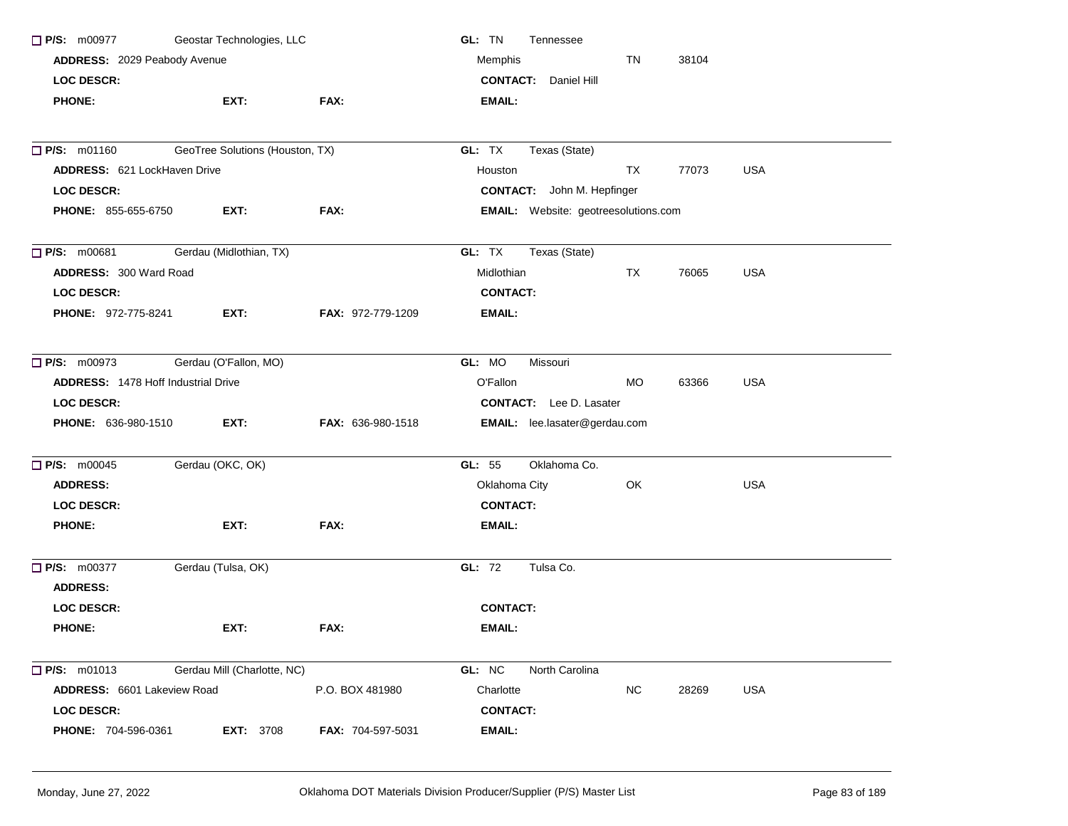| Geostar Technologies, LLC<br>$\Box$ P/S: m00977<br>ADDRESS: 2029 Peabody Avenue |                                 |                          | GL: TN<br>Tennessee                         |           |       |            |  |  |
|---------------------------------------------------------------------------------|---------------------------------|--------------------------|---------------------------------------------|-----------|-------|------------|--|--|
|                                                                                 |                                 |                          | Memphis                                     |           |       |            |  |  |
| <b>LOC DESCR:</b>                                                               |                                 |                          | <b>CONTACT:</b> Daniel Hill                 |           |       |            |  |  |
| <b>PHONE:</b>                                                                   | EXT:                            | FAX:                     | <b>EMAIL:</b>                               |           |       |            |  |  |
| $\Box$ P/S: m01160                                                              | GeoTree Solutions (Houston, TX) |                          | GL: TX<br>Texas (State)                     |           |       |            |  |  |
| ADDRESS: 621 LockHaven Drive                                                    |                                 |                          | Houston                                     | TX        | 77073 | <b>USA</b> |  |  |
| <b>LOC DESCR:</b>                                                               |                                 |                          | <b>CONTACT:</b> John M. Hepfinger           |           |       |            |  |  |
| <b>PHONE: 855-655-6750</b>                                                      | EXT:                            | FAX:                     | <b>EMAIL:</b> Website: geotreesolutions.com |           |       |            |  |  |
|                                                                                 |                                 |                          |                                             |           |       |            |  |  |
| $\Box$ P/S: m00681                                                              | Gerdau (Midlothian, TX)         |                          | GL: TX<br>Texas (State)                     |           |       |            |  |  |
| ADDRESS: 300 Ward Road                                                          |                                 |                          | Midlothian                                  | TX        | 76065 | <b>USA</b> |  |  |
| <b>LOC DESCR:</b>                                                               |                                 |                          | <b>CONTACT:</b>                             |           |       |            |  |  |
| PHONE: 972-775-8241                                                             | EXT:                            | <b>FAX: 972-779-1209</b> | EMAIL:                                      |           |       |            |  |  |
| $\Box$ P/S: m00973                                                              | Gerdau (O'Fallon, MO)           |                          | GL: MO<br>Missouri                          |           |       |            |  |  |
| <b>ADDRESS: 1478 Hoff Industrial Drive</b>                                      |                                 |                          | O'Fallon                                    | <b>MO</b> | 63366 | <b>USA</b> |  |  |
| <b>LOC DESCR:</b>                                                               |                                 |                          | <b>CONTACT:</b> Lee D. Lasater              |           |       |            |  |  |
| <b>PHONE: 636-980-1510</b>                                                      | EXT:                            | FAX: 636-980-1518        | <b>EMAIL:</b> lee.lasater@gerdau.com        |           |       |            |  |  |
| $\Box$ P/S: m00045                                                              | Gerdau (OKC, OK)                |                          | Oklahoma Co.<br>GL: 55                      |           |       |            |  |  |
| <b>ADDRESS:</b>                                                                 |                                 |                          | Oklahoma City                               | OK.       |       | <b>USA</b> |  |  |
| <b>LOC DESCR:</b>                                                               |                                 |                          | <b>CONTACT:</b>                             |           |       |            |  |  |
| <b>PHONE:</b>                                                                   | EXT:                            | FAX:                     | EMAIL:                                      |           |       |            |  |  |
| $\Box$ P/S: m00377                                                              | Gerdau (Tulsa, OK)              |                          | Tulsa Co.<br>GL: 72                         |           |       |            |  |  |
| <b>ADDRESS:</b>                                                                 |                                 |                          |                                             |           |       |            |  |  |
| <b>LOC DESCR:</b>                                                               |                                 |                          | <b>CONTACT:</b>                             |           |       |            |  |  |
| <b>PHONE:</b>                                                                   | EXT:                            | FAX:                     | <b>EMAIL:</b>                               |           |       |            |  |  |
| $\Box$ P/S: m01013                                                              | Gerdau Mill (Charlotte, NC)     |                          | GL: NC<br>North Carolina                    |           |       |            |  |  |
| ADDRESS: 6601 Lakeview Road                                                     |                                 | P.O. BOX 481980          | Charlotte                                   | <b>NC</b> | 28269 | <b>USA</b> |  |  |
| <b>LOC DESCR:</b>                                                               |                                 |                          | <b>CONTACT:</b>                             |           |       |            |  |  |
| PHONE: 704-596-0361                                                             | <b>EXT: 3708</b>                | <b>FAX: 704-597-5031</b> | EMAIL:                                      |           |       |            |  |  |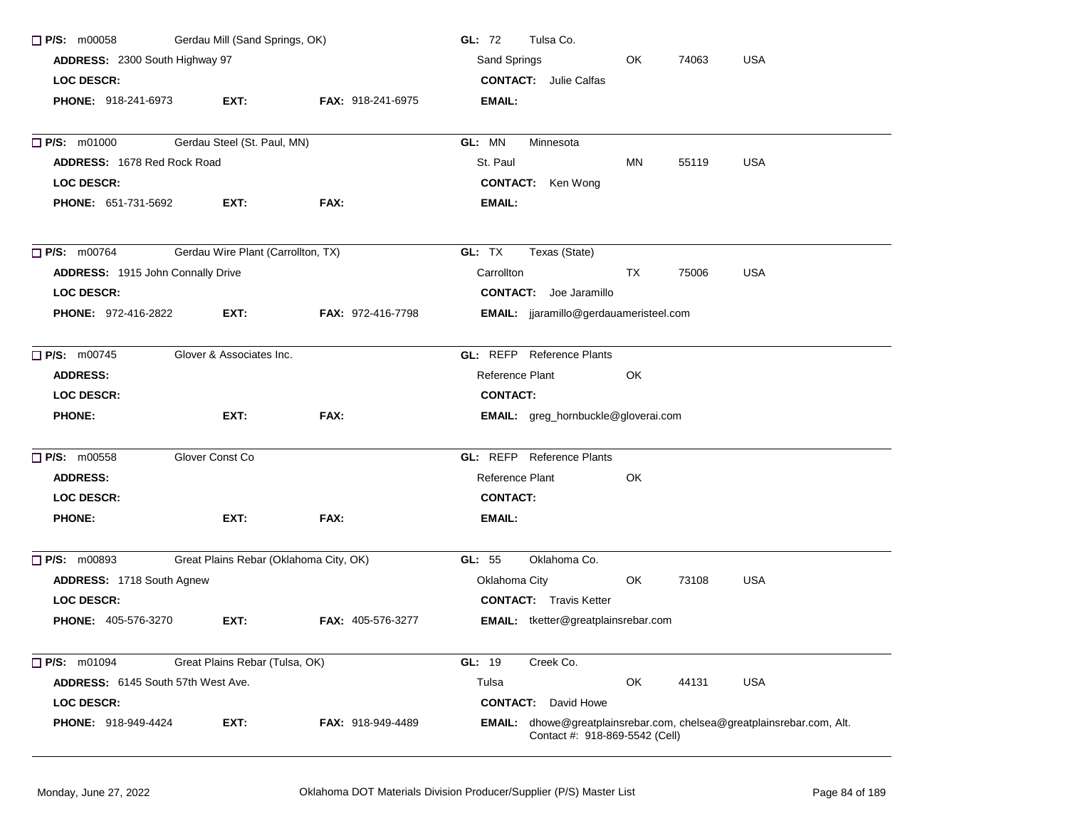| $\Box$ P/S: m00058                 | Gerdau Mill (Sand Springs, OK)         |                          | GL: 72<br>Tulsa Co.                                                                                     |
|------------------------------------|----------------------------------------|--------------------------|---------------------------------------------------------------------------------------------------------|
| ADDRESS: 2300 South Highway 97     |                                        |                          | <b>USA</b><br>Sand Springs<br>OK<br>74063                                                               |
| <b>LOC DESCR:</b>                  |                                        |                          | <b>CONTACT:</b> Julie Calfas                                                                            |
| <b>PHONE: 918-241-6973</b>         | EXT:                                   | <b>FAX: 918-241-6975</b> | <b>EMAIL:</b>                                                                                           |
| $\Box$ P/S: m01000                 | Gerdau Steel (St. Paul, MN)            |                          | GL: MN<br>Minnesota                                                                                     |
| <b>ADDRESS: 1678 Red Rock Road</b> |                                        |                          | St. Paul<br>MN<br>55119<br><b>USA</b>                                                                   |
| <b>LOC DESCR:</b>                  |                                        |                          | <b>CONTACT:</b> Ken Wong                                                                                |
| PHONE: 651-731-5692                | EXT:                                   | FAX:                     | <b>EMAIL:</b>                                                                                           |
| $\Box$ P/S: m00764                 | Gerdau Wire Plant (Carrollton, TX)     |                          | GL: TX<br>Texas (State)                                                                                 |
| ADDRESS: 1915 John Connally Drive  |                                        |                          | Carrollton<br>TX<br>75006<br><b>USA</b>                                                                 |
| <b>LOC DESCR:</b>                  |                                        |                          | <b>CONTACT:</b> Joe Jaramillo                                                                           |
| <b>PHONE: 972-416-2822</b>         | EXT:                                   | <b>FAX: 972-416-7798</b> | <b>EMAIL:</b> jjaramillo@gerdauameristeel.com                                                           |
| $\Box$ P/S: m00745                 | Glover & Associates Inc.               |                          | <b>GL:</b> REFP Reference Plants                                                                        |
| <b>ADDRESS:</b>                    |                                        |                          | Reference Plant<br>OK                                                                                   |
| <b>LOC DESCR:</b>                  |                                        |                          | <b>CONTACT:</b>                                                                                         |
| <b>PHONE:</b>                      | EXT:                                   | FAX:                     | <b>EMAIL:</b> greg_hornbuckle@gloverai.com                                                              |
| $\Box$ P/S: m00558                 | Glover Const Co                        |                          | <b>GL:</b> REFP Reference Plants                                                                        |
| <b>ADDRESS:</b>                    |                                        |                          | Reference Plant<br>OK                                                                                   |
| <b>LOC DESCR:</b>                  |                                        |                          | <b>CONTACT:</b>                                                                                         |
| <b>PHONE:</b>                      | EXT:                                   | FAX:                     | <b>EMAIL:</b>                                                                                           |
| $\Box$ P/S: m00893                 | Great Plains Rebar (Oklahoma City, OK) |                          | GL: 55<br>Oklahoma Co.                                                                                  |
| ADDRESS: 1718 South Agnew          |                                        |                          | Oklahoma City<br>OK<br>73108<br><b>USA</b>                                                              |
| <b>LOC DESCR:</b>                  |                                        |                          | <b>CONTACT:</b> Travis Ketter                                                                           |
| <b>PHONE: 405-576-3270</b>         | EXT:                                   | <b>FAX: 405-576-3277</b> | <b>EMAIL:</b> tketter@greatplainsrebar.com                                                              |
| P/S: m01094                        | Great Plains Rebar (Tulsa, OK)         |                          | GL: 19<br>Creek Co.                                                                                     |
| ADDRESS: 6145 South 57th West Ave. |                                        |                          | Tulsa<br>OK<br><b>USA</b><br>44131                                                                      |
| LOC DESCR:                         |                                        |                          | <b>CONTACT:</b> David Howe                                                                              |
| PHONE: 918-949-4424                | EXT:                                   | <b>FAX: 918-949-4489</b> | EMAIL: dhowe@greatplainsrebar.com, chelsea@greatplainsrebar.com, Alt.<br>Contact #: 918-869-5542 (Cell) |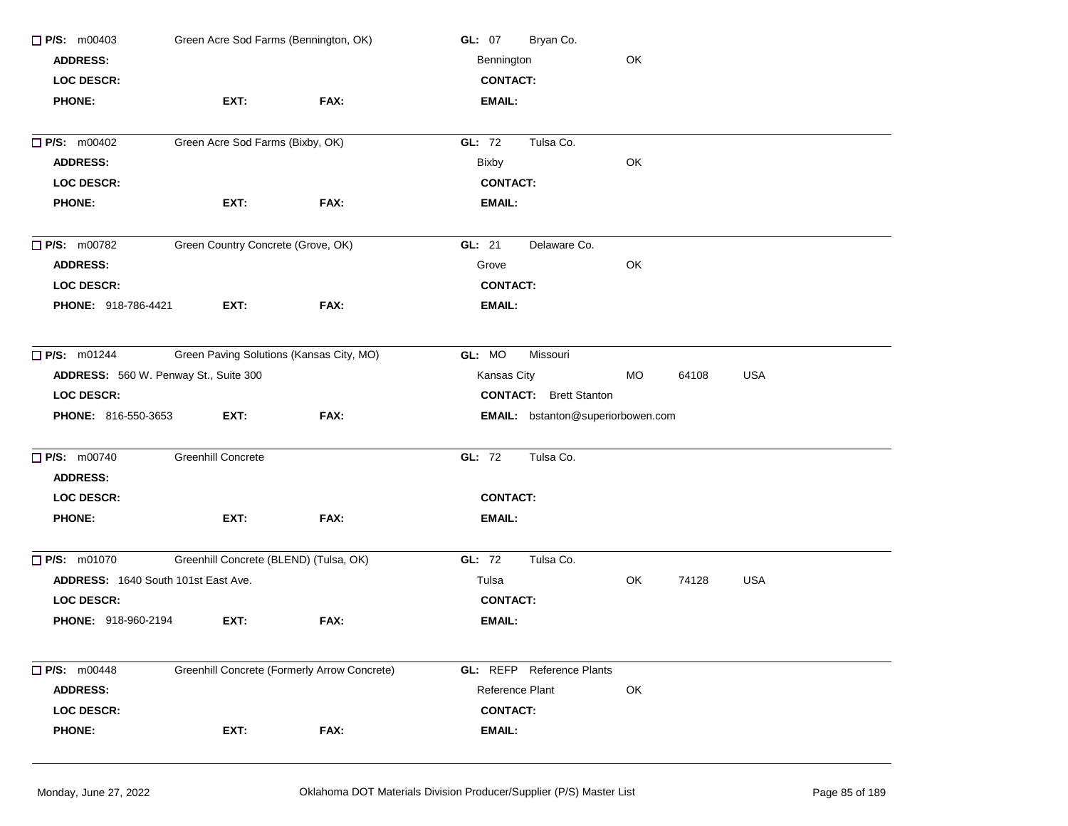| Green Acre Sod Farms (Bennington, OK)<br>$\Box$ P/S: m00403 |                                          |                                              | Bryan Co.<br><b>GL: 07</b>        |       |            |            |  |  |
|-------------------------------------------------------------|------------------------------------------|----------------------------------------------|-----------------------------------|-------|------------|------------|--|--|
| <b>ADDRESS:</b>                                             |                                          |                                              | OK<br>Bennington                  |       |            |            |  |  |
| <b>LOC DESCR:</b>                                           |                                          |                                              | <b>CONTACT:</b>                   |       |            |            |  |  |
| <b>PHONE:</b>                                               | EXT:                                     | FAX:                                         | <b>EMAIL:</b>                     |       |            |            |  |  |
| <b>D</b> P/S: m00402                                        | Green Acre Sod Farms (Bixby, OK)         |                                              | GL: 72<br>Tulsa Co.               |       |            |            |  |  |
| <b>ADDRESS:</b>                                             |                                          |                                              | <b>Bixby</b>                      | OK    |            |            |  |  |
| <b>LOC DESCR:</b>                                           |                                          |                                              | <b>CONTACT:</b>                   |       |            |            |  |  |
| <b>PHONE:</b>                                               | EXT:                                     | FAX:                                         | <b>EMAIL:</b>                     |       |            |            |  |  |
| $\Box$ P/S: m00782                                          | Green Country Concrete (Grove, OK)       |                                              | Delaware Co.<br>GL: $21$          |       |            |            |  |  |
| <b>ADDRESS:</b>                                             |                                          |                                              | Grove                             | OK    |            |            |  |  |
| LOC DESCR:                                                  |                                          |                                              | <b>CONTACT:</b>                   |       |            |            |  |  |
| PHONE: 918-786-4421                                         | EXT:                                     | FAX:                                         | <b>EMAIL:</b>                     |       |            |            |  |  |
| $\Box$ P/S: m01244                                          | Green Paving Solutions (Kansas City, MO) |                                              | GL: MO<br>Missouri                |       |            |            |  |  |
| ADDRESS: 560 W. Penway St., Suite 300                       |                                          | Kansas City                                  | <b>MO</b>                         | 64108 | <b>USA</b> |            |  |  |
| <b>LOC DESCR:</b>                                           |                                          |                                              | <b>CONTACT:</b> Brett Stanton     |       |            |            |  |  |
| PHONE: 816-550-3653                                         | EXT:                                     | FAX:                                         | EMAIL: bstanton@superiorbowen.com |       |            |            |  |  |
| <b>P/S: m00740</b>                                          | Greenhill Concrete                       |                                              | GL: 72<br>Tulsa Co.               |       |            |            |  |  |
| <b>ADDRESS:</b>                                             |                                          |                                              |                                   |       |            |            |  |  |
| <b>LOC DESCR:</b>                                           |                                          |                                              | <b>CONTACT:</b>                   |       |            |            |  |  |
| <b>PHONE:</b>                                               | EXT:                                     | FAX:                                         | <b>EMAIL:</b>                     |       |            |            |  |  |
| <b>P/S: m01070</b>                                          | Greenhill Concrete (BLEND) (Tulsa, OK)   |                                              | GL: 72<br>Tulsa Co.               |       |            |            |  |  |
| <b>ADDRESS: 1640 South 101st East Ave.</b>                  |                                          |                                              | Tulsa                             | OK    | 74128      | <b>USA</b> |  |  |
| <b>LOC DESCR:</b>                                           |                                          |                                              | <b>CONTACT:</b>                   |       |            |            |  |  |
| PHONE: 918-960-2194                                         | EXT:                                     | FAX:                                         | <b>EMAIL:</b>                     |       |            |            |  |  |
| <b>P/S: m00448</b>                                          |                                          | Greenhill Concrete (Formerly Arrow Concrete) | <b>GL:</b> REFP Reference Plants  |       |            |            |  |  |
| <b>ADDRESS:</b>                                             |                                          |                                              | Reference Plant                   | OK    |            |            |  |  |
| <b>LOC DESCR:</b>                                           |                                          |                                              | <b>CONTACT:</b>                   |       |            |            |  |  |
| <b>PHONE:</b>                                               | EXT:                                     | FAX:                                         | EMAIL:                            |       |            |            |  |  |
|                                                             |                                          |                                              |                                   |       |            |            |  |  |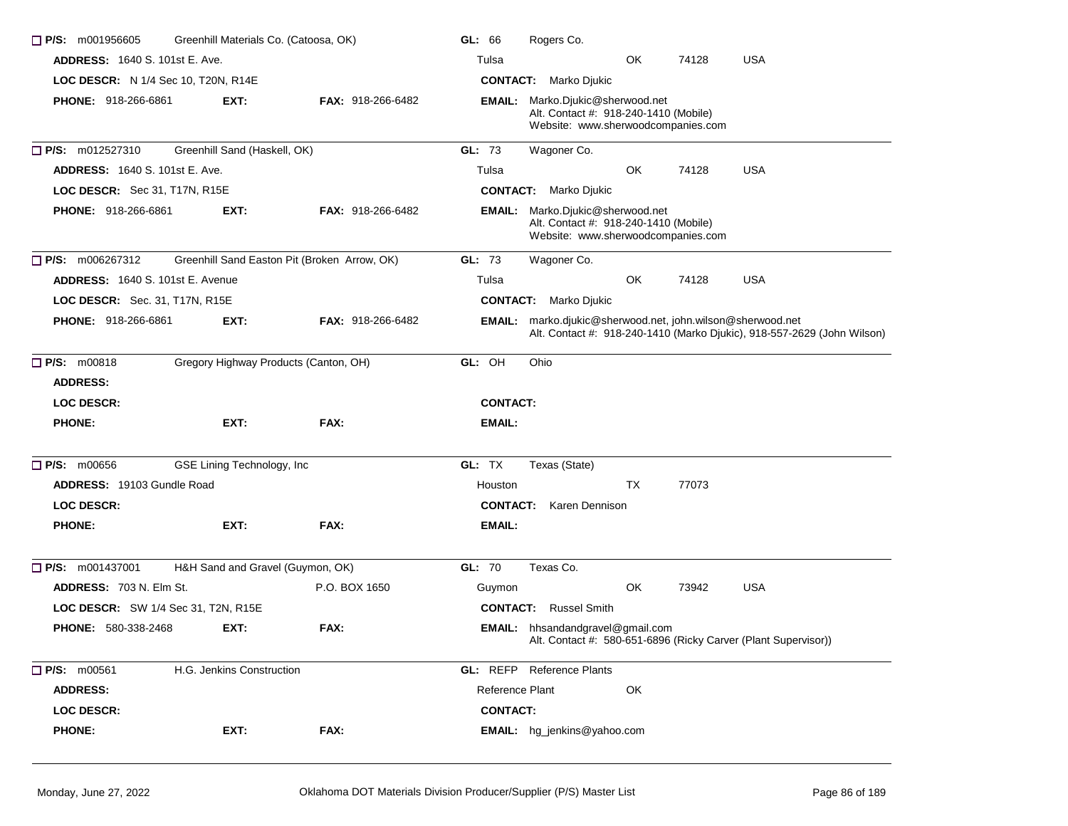| $\Box$ P/S: m001956605                     | Greenhill Materials Co. (Catoosa, OK) |                                              |                 | Rogers Co.                                                                                                             |     |       |                                                                         |
|--------------------------------------------|---------------------------------------|----------------------------------------------|-----------------|------------------------------------------------------------------------------------------------------------------------|-----|-------|-------------------------------------------------------------------------|
| <b>ADDRESS: 1640 S. 101st E. Ave.</b>      |                                       |                                              | Tulsa           |                                                                                                                        | OK  | 74128 | <b>USA</b>                                                              |
| LOC DESCR: N 1/4 Sec 10, T20N, R14E        |                                       |                                              |                 | <b>CONTACT:</b> Marko Djukic                                                                                           |     |       |                                                                         |
| <b>PHONE: 918-266-6861</b>                 | EXT:                                  | <b>FAX: 918-266-6482</b>                     |                 | <b>EMAIL:</b> Marko.Djukic@sherwood.net<br>Alt. Contact #: 918-240-1410 (Mobile)<br>Website: www.sherwoodcompanies.com |     |       |                                                                         |
| $\Box$ P/S: m012527310                     | Greenhill Sand (Haskell, OK)          |                                              | GL: 73          | Wagoner Co.                                                                                                            |     |       |                                                                         |
| <b>ADDRESS: 1640 S. 101st E. Ave.</b>      |                                       |                                              | Tulsa           |                                                                                                                        | OK. | 74128 | <b>USA</b>                                                              |
| LOC DESCR: Sec 31, T17N, R15E              |                                       |                                              |                 | <b>CONTACT:</b> Marko Djukic                                                                                           |     |       |                                                                         |
| <b>PHONE: 918-266-6861</b>                 | EXT:                                  | <b>FAX: 918-266-6482</b>                     |                 | <b>EMAIL:</b> Marko.Djukic@sherwood.net<br>Alt. Contact #: 918-240-1410 (Mobile)<br>Website: www.sherwoodcompanies.com |     |       |                                                                         |
| $\Box$ P/S: m006267312                     |                                       | Greenhill Sand Easton Pit (Broken Arrow, OK) | GL: 73          | Wagoner Co.                                                                                                            |     |       |                                                                         |
| <b>ADDRESS: 1640 S. 101st E. Avenue</b>    |                                       |                                              | Tulsa           |                                                                                                                        | OK  | 74128 | <b>USA</b>                                                              |
| LOC DESCR: Sec. 31, T17N, R15E             |                                       |                                              |                 | <b>CONTACT:</b> Marko Djukic                                                                                           |     |       |                                                                         |
| <b>PHONE: 918-266-6861</b>                 | EXT:                                  | <b>FAX: 918-266-6482</b>                     |                 | <b>EMAIL:</b> marko.djukic@sherwood.net, john.wilson@sherwood.net                                                      |     |       | Alt. Contact #: 918-240-1410 (Marko Djukic), 918-557-2629 (John Wilson) |
| <b>P/S: m00818</b>                         | Gregory Highway Products (Canton, OH) |                                              | GL: OH          | Ohio                                                                                                                   |     |       |                                                                         |
| <b>ADDRESS:</b>                            |                                       |                                              |                 |                                                                                                                        |     |       |                                                                         |
| <b>LOC DESCR:</b>                          |                                       |                                              | <b>CONTACT:</b> |                                                                                                                        |     |       |                                                                         |
| <b>PHONE:</b>                              | EXT:                                  | FAX:                                         | EMAIL:          |                                                                                                                        |     |       |                                                                         |
| $\Box$ P/S: m00656                         | GSE Lining Technology, Inc            |                                              | GL: TX          | Texas (State)                                                                                                          |     |       |                                                                         |
| <b>ADDRESS: 19103 Gundle Road</b>          |                                       |                                              | Houston         |                                                                                                                        | TX  | 77073 |                                                                         |
| <b>LOC DESCR:</b>                          |                                       |                                              | <b>CONTACT:</b> | Karen Dennison                                                                                                         |     |       |                                                                         |
| <b>PHONE:</b>                              | EXT:                                  | FAX:                                         | EMAIL:          |                                                                                                                        |     |       |                                                                         |
| $\Box$ P/S: m001437001                     | H&H Sand and Gravel (Guymon, OK)      |                                              | GL: 70          | Texas Co.                                                                                                              |     |       |                                                                         |
| ADDRESS: 703 N. Elm St.                    |                                       | P.O. BOX 1650                                | Guymon          |                                                                                                                        | OK  | 73942 | <b>USA</b>                                                              |
| <b>LOC DESCR:</b> SW 1/4 Sec 31, T2N, R15E |                                       |                                              | <b>CONTACT:</b> | <b>Russel Smith</b>                                                                                                    |     |       |                                                                         |
| <b>PHONE: 580-338-2468</b>                 | EXT:                                  | FAX:                                         |                 | EMAIL: hhsandandgravel@gmail.com                                                                                       |     |       | Alt. Contact #: 580-651-6896 (Ricky Carver (Plant Supervisor))          |
| P/S: m00561                                | H.G. Jenkins Construction             |                                              |                 | <b>GL:</b> REFP Reference Plants                                                                                       |     |       |                                                                         |
| <b>ADDRESS:</b>                            |                                       |                                              | Reference Plant |                                                                                                                        | OK  |       |                                                                         |
| <b>LOC DESCR:</b>                          |                                       |                                              | <b>CONTACT:</b> |                                                                                                                        |     |       |                                                                         |
| <b>PHONE:</b>                              | EXT:                                  | FAX:                                         |                 | EMAIL: hg_jenkins@yahoo.com                                                                                            |     |       |                                                                         |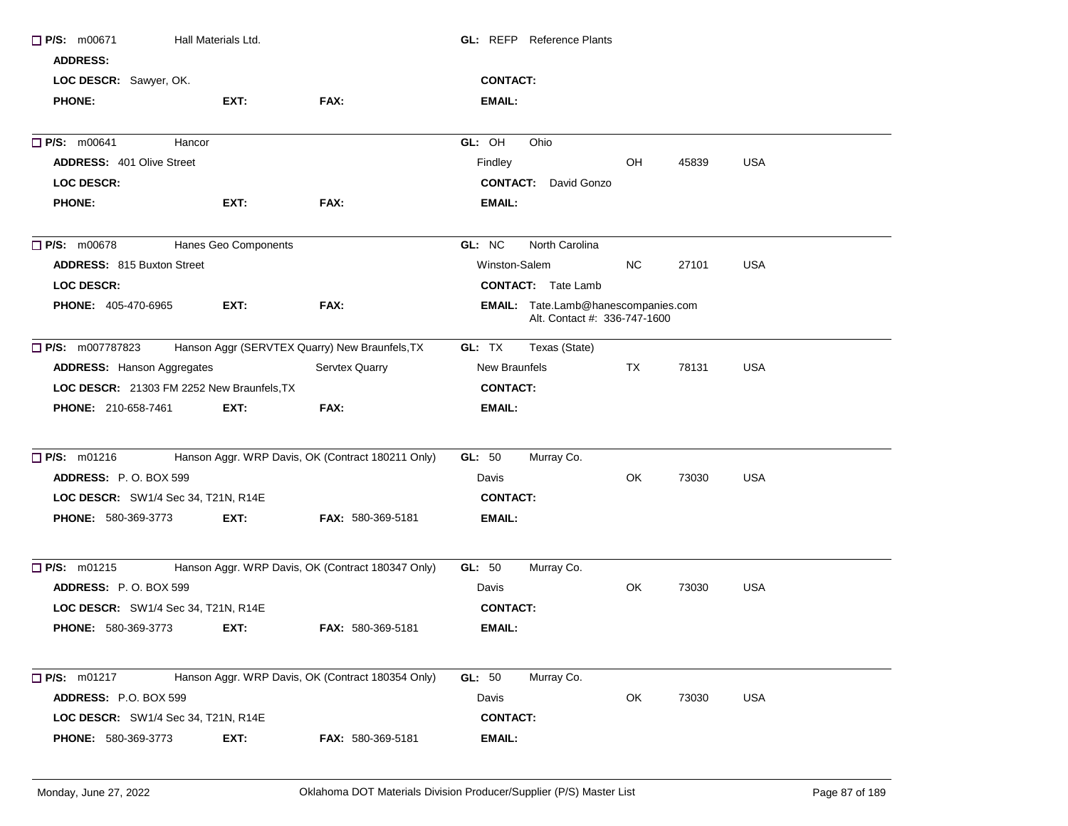| P/S: m00671                         | Hall Materials Ltd.                        |                                                   | <b>GL:</b> REFP Reference Plants    |                              |       |            |
|-------------------------------------|--------------------------------------------|---------------------------------------------------|-------------------------------------|------------------------------|-------|------------|
| <b>ADDRESS:</b>                     |                                            |                                                   |                                     |                              |       |            |
| LOC DESCR: Sawyer, OK.              |                                            |                                                   | <b>CONTACT:</b>                     |                              |       |            |
| <b>PHONE:</b>                       | EXT:                                       | FAX:                                              | <b>EMAIL:</b>                       |                              |       |            |
| $\Box$ P/S: m00641                  | Hancor                                     |                                                   | GL: OH<br>Ohio                      |                              |       |            |
| <b>ADDRESS: 401 Olive Street</b>    |                                            |                                                   | Findley                             | OH                           | 45839 | <b>USA</b> |
| <b>LOC DESCR:</b>                   |                                            |                                                   | <b>CONTACT:</b> David Gonzo         |                              |       |            |
| <b>PHONE:</b>                       | EXT:                                       | FAX:                                              | EMAIL:                              |                              |       |            |
| $\Box$ P/S: m00678                  | Hanes Geo Components                       |                                                   | GL: NC<br>North Carolina            |                              |       |            |
| <b>ADDRESS: 815 Buxton Street</b>   |                                            |                                                   | Winston-Salem                       | NC.                          | 27101 | <b>USA</b> |
| <b>LOC DESCR:</b>                   |                                            |                                                   | <b>CONTACT:</b> Tate Lamb           |                              |       |            |
| <b>PHONE: 405-470-6965</b>          | EXT:                                       | FAX:                                              | EMAIL: Tate.Lamb@hanescompanies.com | Alt. Contact #: 336-747-1600 |       |            |
| <b>P/S:</b> m007787823              |                                            | Hanson Aggr (SERVTEX Quarry) New Braunfels, TX    | GL: TX<br>Texas (State)             |                              |       |            |
| <b>ADDRESS:</b> Hanson Aggregates   |                                            | Servtex Quarry                                    | New Braunfels                       | TX.                          | 78131 | <b>USA</b> |
|                                     | LOC DESCR: 21303 FM 2252 New Braunfels, TX |                                                   | <b>CONTACT:</b>                     |                              |       |            |
| <b>PHONE: 210-658-7461</b>          | EXT:                                       | FAX:                                              | <b>EMAIL:</b>                       |                              |       |            |
| $\Box$ P/S: m01216                  |                                            | Hanson Aggr. WRP Davis, OK (Contract 180211 Only) | <b>GL: 50</b><br>Murray Co.         |                              |       |            |
| ADDRESS: P.O. BOX 599               |                                            |                                                   | Davis                               | OK                           | 73030 | <b>USA</b> |
| LOC DESCR: SW1/4 Sec 34, T21N, R14E |                                            |                                                   | <b>CONTACT:</b>                     |                              |       |            |
| PHONE: 580-369-3773                 | EXT:                                       | <b>FAX: 580-369-5181</b>                          | <b>EMAIL:</b>                       |                              |       |            |
| $\Box$ P/S: m01215                  |                                            | Hanson Aggr. WRP Davis, OK (Contract 180347 Only) | GL: 50<br>Murray Co.                |                              |       |            |
| <b>ADDRESS: P.O. BOX 599</b>        |                                            |                                                   | Davis                               | OK                           | 73030 | <b>USA</b> |
| LOC DESCR: SW1/4 Sec 34, T21N, R14E |                                            |                                                   | <b>CONTACT:</b>                     |                              |       |            |
| <b>PHONE: 580-369-3773</b>          | EXT:                                       | <b>FAX: 580-369-5181</b>                          | EMAIL:                              |                              |       |            |
| <b>P/S:</b> m01217                  |                                            | Hanson Aggr. WRP Davis, OK (Contract 180354 Only) | <b>GL: 50</b><br>Murray Co.         |                              |       |            |
| ADDRESS: P.O. BOX 599               |                                            |                                                   | Davis                               | OK                           | 73030 | <b>USA</b> |
| LOC DESCR: SW1/4 Sec 34, T21N, R14E |                                            |                                                   | <b>CONTACT:</b>                     |                              |       |            |
| PHONE: 580-369-3773                 | EXT:                                       | FAX: 580-369-5181                                 | <b>EMAIL:</b>                       |                              |       |            |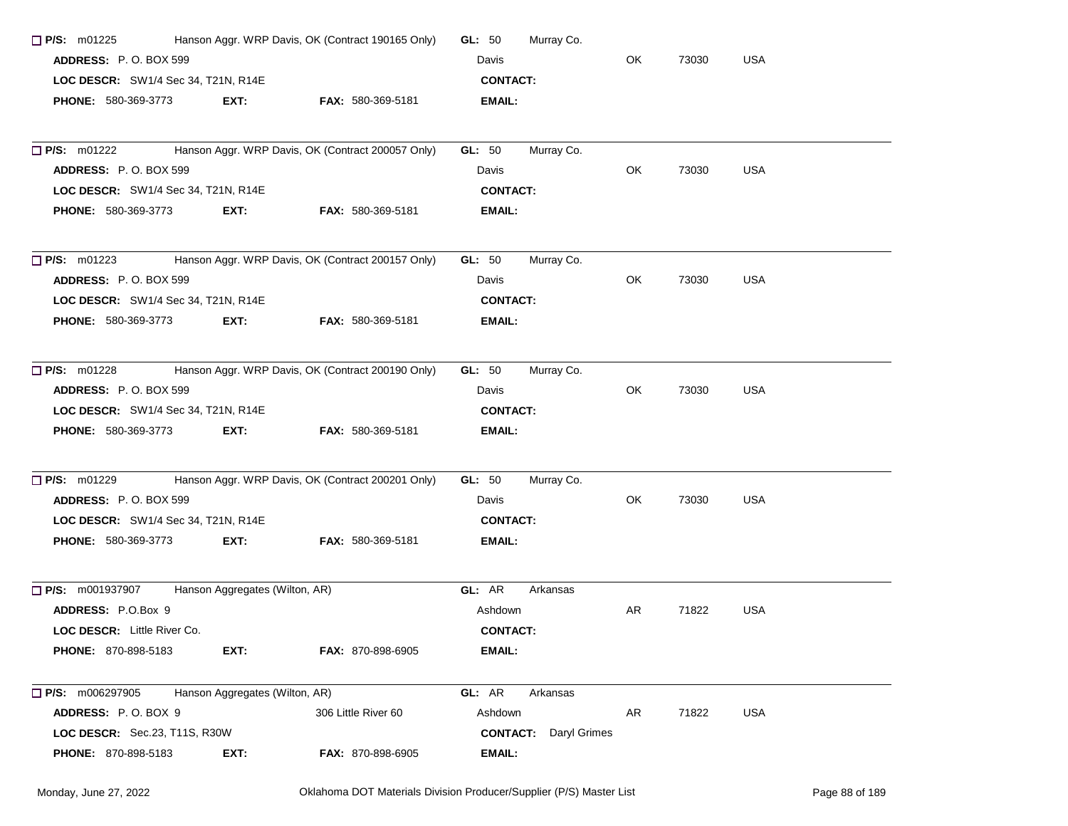| $\Box$ P/S: m01225                  | Hanson Aggr. WRP Davis, OK (Contract 190165 Only) | GL: $50$                                          | Murray Co.      |                              |       |            |            |
|-------------------------------------|---------------------------------------------------|---------------------------------------------------|-----------------|------------------------------|-------|------------|------------|
| ADDRESS: P.O. BOX 599               |                                                   | Davis                                             |                 | OK                           | 73030 | <b>USA</b> |            |
| LOC DESCR: SW1/4 Sec 34, T21N, R14E |                                                   |                                                   | <b>CONTACT:</b> |                              |       |            |            |
| <b>PHONE: 580-369-3773</b>          | EXT:                                              | <b>FAX: 580-369-5181</b>                          | EMAIL:          |                              |       |            |            |
| $\Box$ P/S: m01222                  |                                                   | Hanson Aggr. WRP Davis, OK (Contract 200057 Only) | GL: 50          | Murray Co.                   |       |            |            |
| ADDRESS: P.O. BOX 599               |                                                   |                                                   | Davis           |                              | OK    | 73030      | <b>USA</b> |
| LOC DESCR: SW1/4 Sec 34, T21N, R14E |                                                   |                                                   | <b>CONTACT:</b> |                              |       |            |            |
| <b>PHONE: 580-369-3773</b>          | EXT:                                              | <b>FAX: 580-369-5181</b>                          | EMAIL:          |                              |       |            |            |
| $\Box$ P/S: m01223                  |                                                   | Hanson Aggr. WRP Davis, OK (Contract 200157 Only) | GL: 50          | Murray Co.                   |       |            |            |
| <b>ADDRESS: P.O. BOX 599</b>        |                                                   |                                                   | Davis           |                              | OK    | 73030      | <b>USA</b> |
| LOC DESCR: SW1/4 Sec 34, T21N, R14E |                                                   |                                                   | <b>CONTACT:</b> |                              |       |            |            |
| <b>PHONE: 580-369-3773</b>          | EXT:                                              | <b>FAX: 580-369-5181</b>                          | EMAIL:          |                              |       |            |            |
| $\Box$ P/S: m01228                  |                                                   | Hanson Aggr. WRP Davis, OK (Contract 200190 Only) | GL: 50          | Murray Co.                   |       |            |            |
| ADDRESS: P.O. BOX 599               |                                                   |                                                   | Davis           |                              | OK    | 73030      | <b>USA</b> |
| LOC DESCR: SW1/4 Sec 34, T21N, R14E |                                                   |                                                   | <b>CONTACT:</b> |                              |       |            |            |
| <b>PHONE: 580-369-3773</b>          | EXT:                                              | FAX: 580-369-5181                                 | EMAIL:          |                              |       |            |            |
| $\Box$ P/S: m01229                  |                                                   | Hanson Aggr. WRP Davis, OK (Contract 200201 Only) | <b>GL: 50</b>   | Murray Co.                   |       |            |            |
| ADDRESS: P.O. BOX 599               |                                                   |                                                   | Davis           |                              | OK    | 73030      | USA        |
| LOC DESCR: SW1/4 Sec 34, T21N, R14E |                                                   |                                                   | <b>CONTACT:</b> |                              |       |            |            |
| <b>PHONE: 580-369-3773</b>          | EXT:                                              | <b>FAX: 580-369-5181</b>                          | EMAIL:          |                              |       |            |            |
| <b>P/S:</b> m001937907              | Hanson Aggregates (Wilton, AR)                    |                                                   | GL: AR          | Arkansas                     |       |            |            |
| ADDRESS: P.O.Box 9                  |                                                   |                                                   | Ashdown         |                              | AR    | 71822      | <b>USA</b> |
| LOC DESCR: Little River Co.         |                                                   |                                                   | <b>CONTACT:</b> |                              |       |            |            |
| <b>PHONE: 870-898-5183</b>          | EXT:                                              | <b>FAX: 870-898-6905</b>                          | <b>EMAIL:</b>   |                              |       |            |            |
| $\Box$ P/S: m006297905              | Hanson Aggregates (Wilton, AR)                    |                                                   | GL: AR          | Arkansas                     |       |            |            |
| ADDRESS: P.O. BOX 9                 |                                                   | 306 Little River 60                               | Ashdown         |                              | AR    | 71822      | <b>USA</b> |
| LOC DESCR: Sec.23, T11S, R30W       |                                                   |                                                   |                 | <b>CONTACT:</b> Daryl Grimes |       |            |            |
| <b>PHONE: 870-898-5183</b>          | EXT:                                              | <b>FAX: 870-898-6905</b>                          | <b>EMAIL:</b>   |                              |       |            |            |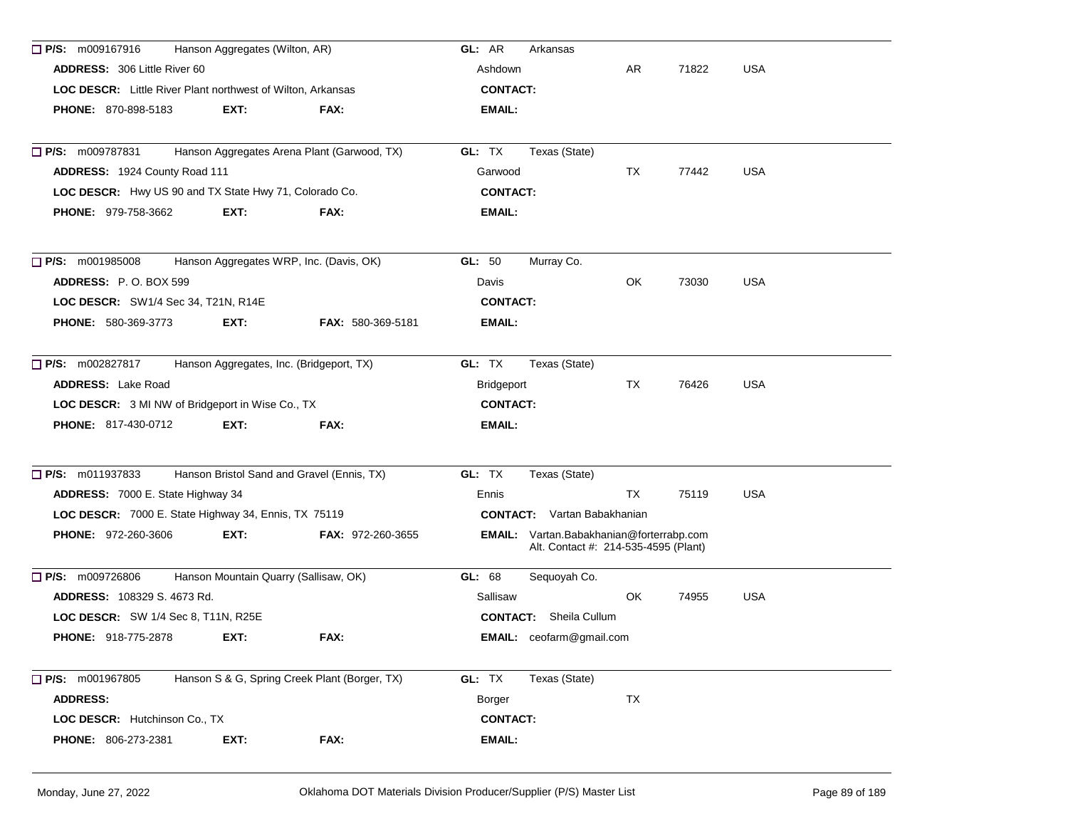| $\Box$ P/S: m009167916<br>Hanson Aggregates (Wilton, AR)    |      |                                               | GL: AR<br>Arkansas                                                                      |       |            |            |
|-------------------------------------------------------------|------|-----------------------------------------------|-----------------------------------------------------------------------------------------|-------|------------|------------|
| <b>ADDRESS: 306 Little River 60</b>                         |      |                                               | Ashdown                                                                                 | AR    | 71822      | <b>USA</b> |
| LOC DESCR: Little River Plant northwest of Wilton, Arkansas |      |                                               | <b>CONTACT:</b>                                                                         |       |            |            |
| <b>PHONE: 870-898-5183</b>                                  | EXT: | FAX:                                          | <b>EMAIL:</b>                                                                           |       |            |            |
|                                                             |      |                                               |                                                                                         |       |            |            |
| $\Box$ P/S: m009787831                                      |      | Hanson Aggregates Arena Plant (Garwood, TX)   | GL: TX<br>Texas (State)                                                                 |       |            |            |
| ADDRESS: 1924 County Road 111                               |      | Garwood                                       | TX                                                                                      | 77442 | <b>USA</b> |            |
| LOC DESCR: Hwy US 90 and TX State Hwy 71, Colorado Co.      |      |                                               | <b>CONTACT:</b>                                                                         |       |            |            |
| <b>PHONE: 979-758-3662</b>                                  | EXT: | FAX:                                          | <b>EMAIL:</b>                                                                           |       |            |            |
| $\Box$ P/S: m001985008                                      |      | Hanson Aggregates WRP, Inc. (Davis, OK)       | GL: 50<br>Murray Co.                                                                    |       |            |            |
| ADDRESS: P.O. BOX 599                                       |      |                                               | Davis                                                                                   | OK    | 73030      | <b>USA</b> |
| LOC DESCR: SW1/4 Sec 34, T21N, R14E                         |      |                                               | <b>CONTACT:</b>                                                                         |       |            |            |
| PHONE: 580-369-3773                                         | EXT: | <b>FAX: 580-369-5181</b>                      | <b>EMAIL:</b>                                                                           |       |            |            |
| P/S: m002827817                                             |      | Hanson Aggregates, Inc. (Bridgeport, TX)      | GL: TX<br>Texas (State)                                                                 |       |            |            |
| <b>ADDRESS:</b> Lake Road                                   |      |                                               | Bridgeport                                                                              | TX    | 76426      | <b>USA</b> |
| LOC DESCR: 3 MI NW of Bridgeport in Wise Co., TX            |      |                                               | <b>CONTACT:</b>                                                                         |       |            |            |
| <b>PHONE: 817-430-0712</b>                                  | EXT: | FAX:                                          | EMAIL:                                                                                  |       |            |            |
| P/S: m011937833                                             |      | Hanson Bristol Sand and Gravel (Ennis, TX)    | GL: TX<br>Texas (State)                                                                 |       |            |            |
| ADDRESS: 7000 E. State Highway 34                           |      |                                               | Ennis                                                                                   | TX    | 75119      | <b>USA</b> |
| LOC DESCR: 7000 E. State Highway 34, Ennis, TX 75119        |      |                                               | <b>CONTACT:</b> Vartan Babakhanian                                                      |       |            |            |
| <b>PHONE: 972-260-3606</b>                                  | EXT: | <b>FAX: 972-260-3655</b>                      | <b>EMAIL:</b> Vartan.Babakhanian@forterrabp.com<br>Alt. Contact #: 214-535-4595 (Plant) |       |            |            |
| $\Box$ P/S: m009726806                                      |      | Hanson Mountain Quarry (Sallisaw, OK)         | GL: 68<br>Sequoyah Co.                                                                  |       |            |            |
| <b>ADDRESS: 108329 S. 4673 Rd.</b>                          |      |                                               | Sallisaw                                                                                | OK.   | 74955      | <b>USA</b> |
| <b>LOC DESCR:</b> SW 1/4 Sec 8, T11N, R25E                  |      |                                               | <b>CONTACT:</b> Sheila Cullum                                                           |       |            |            |
| <b>PHONE: 918-775-2878</b>                                  | EXT: | FAX:                                          | <b>EMAIL:</b> ceofarm@gmail.com                                                         |       |            |            |
| $\Box$ P/S: m001967805                                      |      | Hanson S & G, Spring Creek Plant (Borger, TX) | GL: TX<br>Texas (State)                                                                 |       |            |            |
| <b>ADDRESS:</b>                                             |      |                                               | Borger                                                                                  | TX    |            |            |
| LOC DESCR: Hutchinson Co., TX                               |      |                                               | <b>CONTACT:</b>                                                                         |       |            |            |
| PHONE: 806-273-2381                                         | EXT: | FAX:                                          | <b>EMAIL:</b>                                                                           |       |            |            |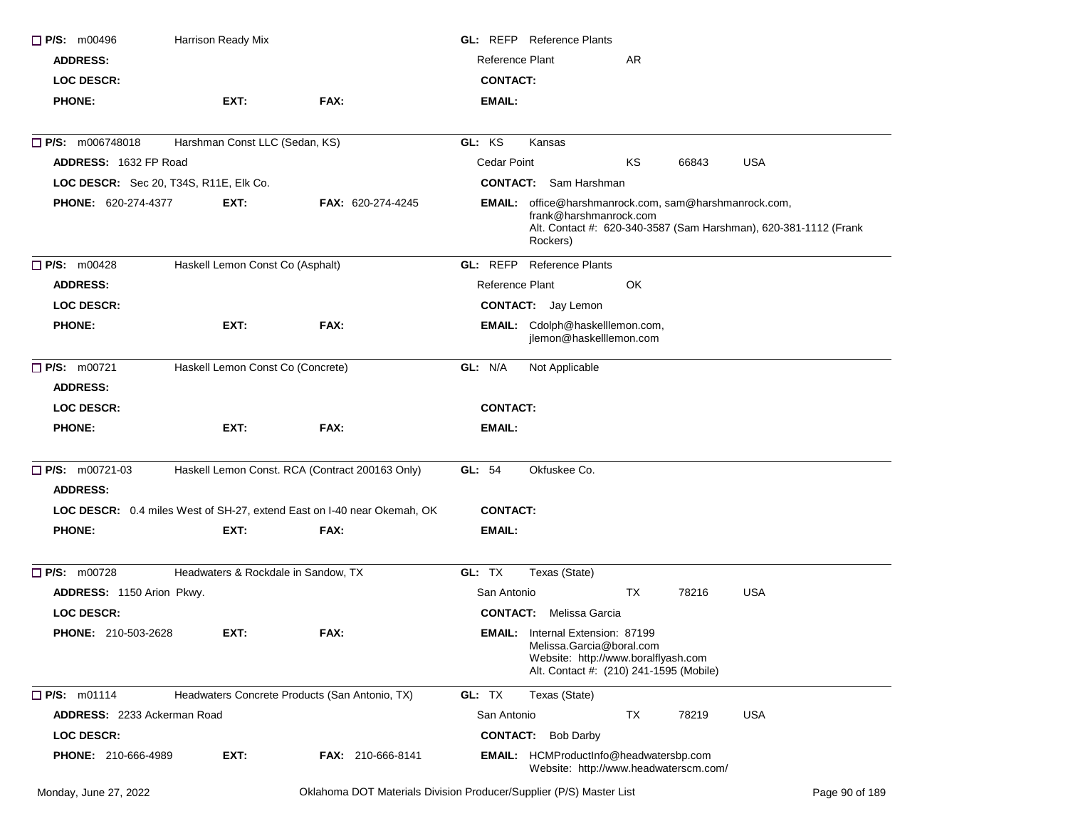| $\Box$ P/S: m00496                       | Harrison Ready Mix                             |                                                                         |                        | <b>GL: REFP</b> Reference Plants                                                                                                                                |
|------------------------------------------|------------------------------------------------|-------------------------------------------------------------------------|------------------------|-----------------------------------------------------------------------------------------------------------------------------------------------------------------|
| <b>ADDRESS:</b>                          |                                                |                                                                         | <b>Reference Plant</b> | AR                                                                                                                                                              |
| <b>LOC DESCR:</b>                        |                                                |                                                                         | <b>CONTACT:</b>        |                                                                                                                                                                 |
| <b>PHONE:</b>                            | EXT:                                           | FAX:                                                                    | <b>EMAIL:</b>          |                                                                                                                                                                 |
| <b>P/S:</b> m006748018                   | Harshman Const LLC (Sedan, KS)                 |                                                                         | GL: KS                 | Kansas                                                                                                                                                          |
| ADDRESS: 1632 FP Road                    |                                                |                                                                         | Cedar Point            | KS<br><b>USA</b><br>66843                                                                                                                                       |
| LOC DESCR: Sec 20, T34S, R11E, Elk Co.   |                                                |                                                                         |                        | <b>CONTACT:</b> Sam Harshman                                                                                                                                    |
| <b>PHONE: 620-274-4377</b>               | EXT:                                           | <b>FAX: 620-274-4245</b>                                                |                        | EMAIL: office@harshmanrock.com, sam@harshmanrock.com,<br>frank@harshmanrock.com<br>Alt. Contact #: 620-340-3587 (Sam Harshman), 620-381-1112 (Frank<br>Rockers) |
| $\Box$ P/S: m00428                       | Haskell Lemon Const Co (Asphalt)               |                                                                         |                        | <b>GL: REFP</b> Reference Plants                                                                                                                                |
| <b>ADDRESS:</b>                          |                                                |                                                                         | <b>Reference Plant</b> | OK                                                                                                                                                              |
| <b>LOC DESCR:</b>                        |                                                |                                                                         |                        | <b>CONTACT:</b> Jay Lemon                                                                                                                                       |
| <b>PHONE:</b>                            | EXT:                                           | FAX:                                                                    |                        | EMAIL: Cdolph@haskelllemon.com,<br>jlemon@haskelllemon.com                                                                                                      |
| <b>D</b> P/S: m00721                     | Haskell Lemon Const Co (Concrete)              |                                                                         | GL: N/A                | Not Applicable                                                                                                                                                  |
| <b>ADDRESS:</b>                          |                                                |                                                                         |                        |                                                                                                                                                                 |
| <b>LOC DESCR:</b>                        |                                                |                                                                         | <b>CONTACT:</b>        |                                                                                                                                                                 |
| <b>PHONE:</b>                            | EXT:                                           | FAX:                                                                    | EMAIL:                 |                                                                                                                                                                 |
| $\Box$ P/S: m00721-03<br><b>ADDRESS:</b> |                                                | Haskell Lemon Const. RCA (Contract 200163 Only)                         | GL: 54                 | Okfuskee Co.                                                                                                                                                    |
|                                          |                                                | LOC DESCR: 0.4 miles West of SH-27, extend East on I-40 near Okemah, OK | <b>CONTACT:</b>        |                                                                                                                                                                 |
| <b>PHONE:</b>                            | EXT:                                           | FAX:                                                                    | EMAIL:                 |                                                                                                                                                                 |
| $\Pi$ P/S: m00728                        | Headwaters & Rockdale in Sandow, TX            |                                                                         | GL: TX                 | Texas (State)                                                                                                                                                   |
| ADDRESS: 1150 Arion Pkwy.                |                                                |                                                                         | San Antonio            | ТX<br>78216<br><b>USA</b>                                                                                                                                       |
| <b>LOC DESCR:</b>                        |                                                |                                                                         |                        | <b>CONTACT:</b> Melissa Garcia                                                                                                                                  |
| <b>PHONE: 210-503-2628</b>               | EXT:                                           | FAX:                                                                    |                        | <b>EMAIL:</b> Internal Extension: 87199<br>Melissa.Garcia@boral.com<br>Website: http://www.boralflyash.com<br>Alt. Contact #: (210) 241-1595 (Mobile)           |
| P/S: m01114                              | Headwaters Concrete Products (San Antonio, TX) |                                                                         | GL: TX                 | Texas (State)                                                                                                                                                   |
| ADDRESS: 2233 Ackerman Road              |                                                |                                                                         | San Antonio            | <b>USA</b><br>TX<br>78219                                                                                                                                       |
| <b>LOC DESCR:</b>                        |                                                |                                                                         | <b>CONTACT:</b>        | <b>Bob Darby</b>                                                                                                                                                |
| <b>PHONE: 210-666-4989</b>               | EXT:                                           | <b>FAX: 210-666-8141</b>                                                |                        | <b>EMAIL:</b> HCMProductInfo@headwatersbp.com<br>Website: http://www.headwaterscm.com/                                                                          |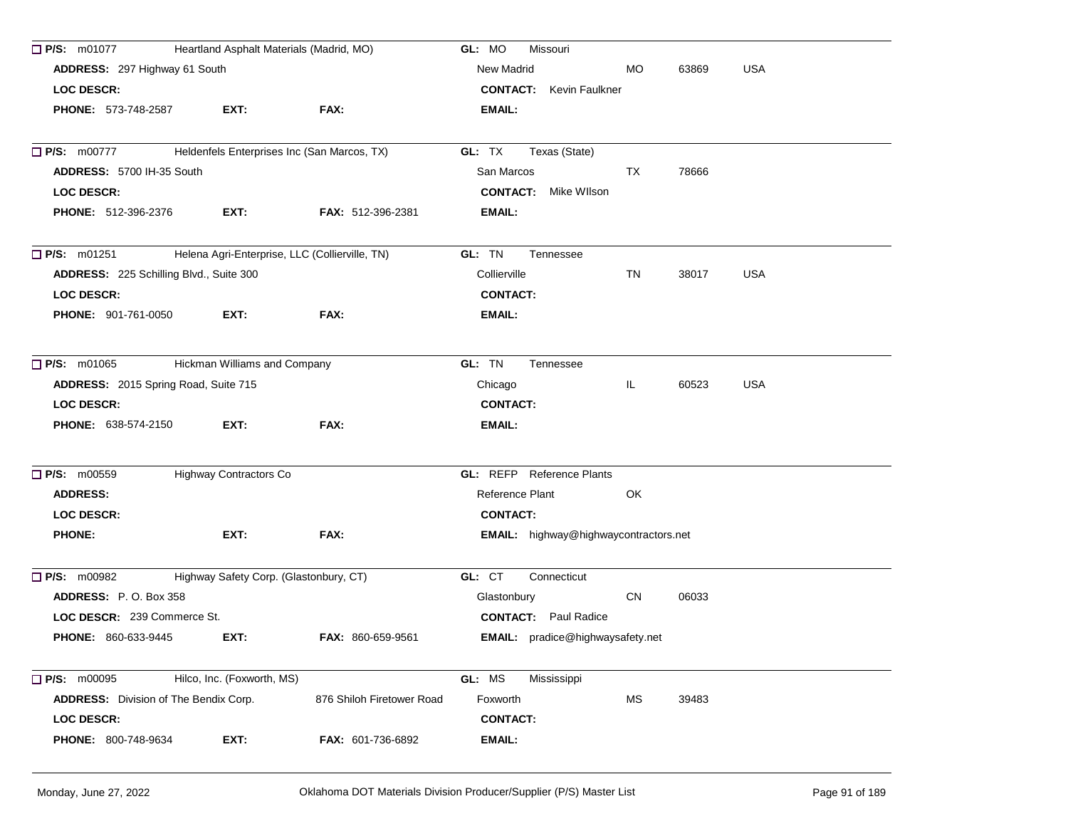| $\Box$ P/S: m01077                           | Heartland Asphalt Materials (Madrid, MO)       | GL: MO<br>Missouri        |                                              |     |       |            |
|----------------------------------------------|------------------------------------------------|---------------------------|----------------------------------------------|-----|-------|------------|
| ADDRESS: 297 Highway 61 South                |                                                |                           | New Madrid                                   | MO. | 63869 | <b>USA</b> |
| <b>LOC DESCR:</b>                            |                                                |                           | <b>CONTACT:</b> Kevin Faulkner               |     |       |            |
| <b>PHONE: 573-748-2587</b>                   | EXT:                                           | FAX:                      | EMAIL:                                       |     |       |            |
| $\Box$ P/S: m00777                           | Heldenfels Enterprises Inc (San Marcos, TX)    |                           | GL: TX<br>Texas (State)                      |     |       |            |
| ADDRESS: 5700 IH-35 South                    |                                                |                           | San Marcos                                   | TX  | 78666 |            |
| <b>LOC DESCR:</b>                            |                                                |                           | <b>CONTACT:</b> Mike Wilson                  |     |       |            |
| <b>PHONE: 512-396-2376</b>                   | EXT:                                           | <b>FAX: 512-396-2381</b>  | EMAIL:                                       |     |       |            |
|                                              |                                                |                           |                                              |     |       |            |
| $\Box$ P/S: m01251                           | Helena Agri-Enterprise, LLC (Collierville, TN) |                           | GL: TN<br>Tennessee                          |     |       |            |
| ADDRESS: 225 Schilling Blvd., Suite 300      |                                                |                           | Collierville                                 | TN  | 38017 | <b>USA</b> |
| <b>LOC DESCR:</b>                            |                                                |                           | <b>CONTACT:</b>                              |     |       |            |
| <b>PHONE: 901-761-0050</b>                   | EXT:                                           | FAX:                      | EMAIL:                                       |     |       |            |
| $\Box$ P/S: m01065                           | Hickman Williams and Company                   |                           | GL: TN<br>Tennessee                          |     |       |            |
| ADDRESS: 2015 Spring Road, Suite 715         |                                                |                           | Chicago                                      | IL. | 60523 | USA        |
| <b>LOC DESCR:</b>                            |                                                |                           | <b>CONTACT:</b>                              |     |       |            |
| <b>PHONE: 638-574-2150</b>                   | EXT:                                           | FAX:                      | EMAIL:                                       |     |       |            |
|                                              |                                                |                           |                                              |     |       |            |
| <b>P/S: m00559</b>                           | Highway Contractors Co                         |                           | <b>GL: REFP</b> Reference Plants             |     |       |            |
| <b>ADDRESS:</b>                              |                                                |                           | Reference Plant                              | OK  |       |            |
| <b>LOC DESCR:</b>                            |                                                |                           | <b>CONTACT:</b>                              |     |       |            |
| <b>PHONE:</b>                                | EXT:                                           | FAX:                      | <b>EMAIL:</b> highway@highwaycontractors.net |     |       |            |
| $\Box$ P/S: m00982                           | Highway Safety Corp. (Glastonbury, CT)         |                           | GL: CT<br>Connecticut                        |     |       |            |
| <b>ADDRESS: P.O. Box 358</b>                 |                                                |                           | Glastonbury                                  | CN  | 06033 |            |
| LOC DESCR: 239 Commerce St.                  |                                                |                           | <b>CONTACT:</b> Paul Radice                  |     |       |            |
| PHONE: 860-633-9445                          | EXT:                                           | FAX: 860-659-9561         | EMAIL: pradice@highwaysafety.net             |     |       |            |
| $\Box$ P/S: m00095                           | Hilco, Inc. (Foxworth, MS)                     |                           | GL: MS<br>Mississippi                        |     |       |            |
| <b>ADDRESS:</b> Division of The Bendix Corp. |                                                | 876 Shiloh Firetower Road | Foxworth                                     | MS  | 39483 |            |
| LOC DESCR:                                   |                                                |                           | <b>CONTACT:</b>                              |     |       |            |
| PHONE: 800-748-9634                          | EXT:                                           | FAX: 601-736-6892         | EMAIL:                                       |     |       |            |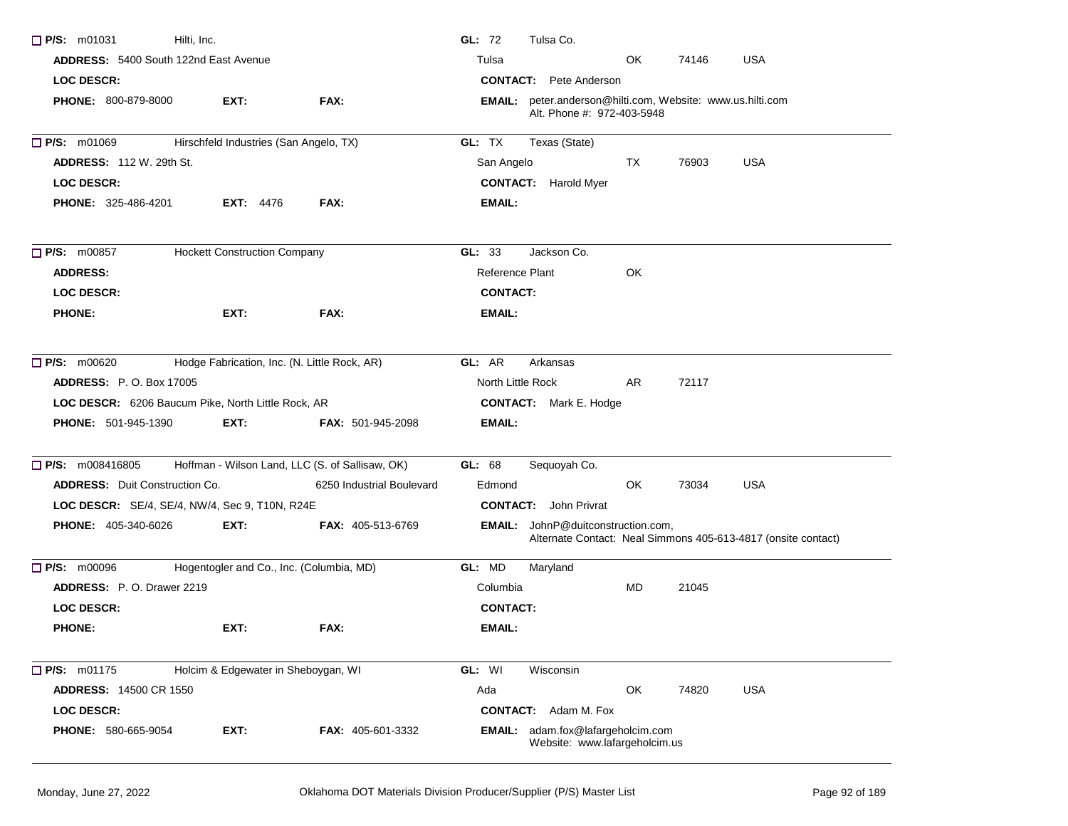| P/S: m01031                                           | Hilti, Inc.                                  |                                                 | GL: 72<br>Tulsa Co.                                        |                                                             |       |                                                               |
|-------------------------------------------------------|----------------------------------------------|-------------------------------------------------|------------------------------------------------------------|-------------------------------------------------------------|-------|---------------------------------------------------------------|
| <b>ADDRESS:</b> 5400 South 122nd East Avenue          |                                              |                                                 | Tulsa                                                      | OK                                                          | 74146 | <b>USA</b>                                                    |
| LOC DESCR:                                            |                                              |                                                 | <b>CONTACT:</b> Pete Anderson                              |                                                             |       |                                                               |
| <b>PHONE: 800-879-8000</b>                            | EXT:                                         | FAX:                                            | EMAIL: peter.anderson@hilti.com, Website: www.us.hilti.com | Alt. Phone #: 972-403-5948                                  |       |                                                               |
| P/S: m01069                                           | Hirschfeld Industries (San Angelo, TX)       |                                                 | GL: TX<br>Texas (State)                                    |                                                             |       |                                                               |
| <b>ADDRESS: 112 W. 29th St.</b>                       |                                              |                                                 | San Angelo                                                 | TX                                                          | 76903 | <b>USA</b>                                                    |
| <b>LOC DESCR:</b>                                     |                                              |                                                 | <b>CONTACT:</b> Harold Myer                                |                                                             |       |                                                               |
| <b>PHONE: 325-486-4201</b>                            | <b>EXT: 4476</b>                             | FAX:                                            | EMAIL:                                                     |                                                             |       |                                                               |
| P/S: m00857                                           | <b>Hockett Construction Company</b>          |                                                 | GL: 33<br>Jackson Co.                                      |                                                             |       |                                                               |
| <b>ADDRESS:</b>                                       |                                              |                                                 | Reference Plant                                            | OK                                                          |       |                                                               |
| <b>LOC DESCR:</b>                                     |                                              |                                                 | <b>CONTACT:</b>                                            |                                                             |       |                                                               |
| <b>PHONE:</b>                                         | EXT:                                         | FAX:                                            | <b>EMAIL:</b>                                              |                                                             |       |                                                               |
| $\Box$ P/S: m00620                                    | Hodge Fabrication, Inc. (N. Little Rock, AR) |                                                 | GL: AR<br>Arkansas                                         |                                                             |       |                                                               |
| <b>ADDRESS:</b> P.O. Box 17005                        |                                              |                                                 | North Little Rock                                          | AR                                                          | 72117 |                                                               |
| LOC DESCR: 6206 Baucum Pike, North Little Rock, AR    |                                              |                                                 | <b>CONTACT:</b> Mark E. Hodge                              |                                                             |       |                                                               |
| <b>PHONE: 501-945-1390</b>                            | EXT:                                         | <b>FAX: 501-945-2098</b>                        | EMAIL:                                                     |                                                             |       |                                                               |
| P/S: m008416805                                       |                                              | Hoffman - Wilson Land, LLC (S. of Sallisaw, OK) | Sequoyah Co.<br>GL: 68                                     |                                                             |       |                                                               |
| <b>ADDRESS:</b> Duit Construction Co.                 |                                              | 6250 Industrial Boulevard                       | Edmond                                                     | OK                                                          | 73034 | <b>USA</b>                                                    |
| <b>LOC DESCR:</b> SE/4, SE/4, NW/4, Sec 9, T10N, R24E |                                              |                                                 | <b>CONTACT:</b> John Privrat                               |                                                             |       |                                                               |
| <b>PHONE: 405-340-6026</b>                            | EXT:                                         | <b>FAX: 405-513-6769</b>                        | <b>EMAIL:</b> JohnP@duitconstruction.com,                  |                                                             |       | Alternate Contact: Neal Simmons 405-613-4817 (onsite contact) |
| <b>P/S:</b> m00096                                    | Hogentogler and Co., Inc. (Columbia, MD)     |                                                 | GL: MD<br>Maryland                                         |                                                             |       |                                                               |
| ADDRESS: P.O. Drawer 2219                             |                                              |                                                 | Columbia                                                   | MD                                                          | 21045 |                                                               |
| <b>LOC DESCR:</b>                                     |                                              |                                                 | <b>CONTACT:</b>                                            |                                                             |       |                                                               |
| <b>PHONE:</b>                                         | EXT:                                         | FAX:                                            | EMAIL:                                                     |                                                             |       |                                                               |
| $\Box$ P/S: m01175                                    | Holcim & Edgewater in Sheboygan, WI          |                                                 | GL: WI<br>Wisconsin                                        |                                                             |       |                                                               |
| <b>ADDRESS: 14500 CR 1550</b>                         |                                              |                                                 | Ada                                                        | OK                                                          | 74820 | <b>USA</b>                                                    |
| <b>LOC DESCR:</b>                                     |                                              |                                                 | <b>CONTACT:</b> Adam M. Fox                                |                                                             |       |                                                               |
| PHONE: 580-665-9054                                   | EXT:                                         | FAX: 405-601-3332                               | EMAIL:                                                     | adam.fox@lafargeholcim.com<br>Website: www.lafargeholcim.us |       |                                                               |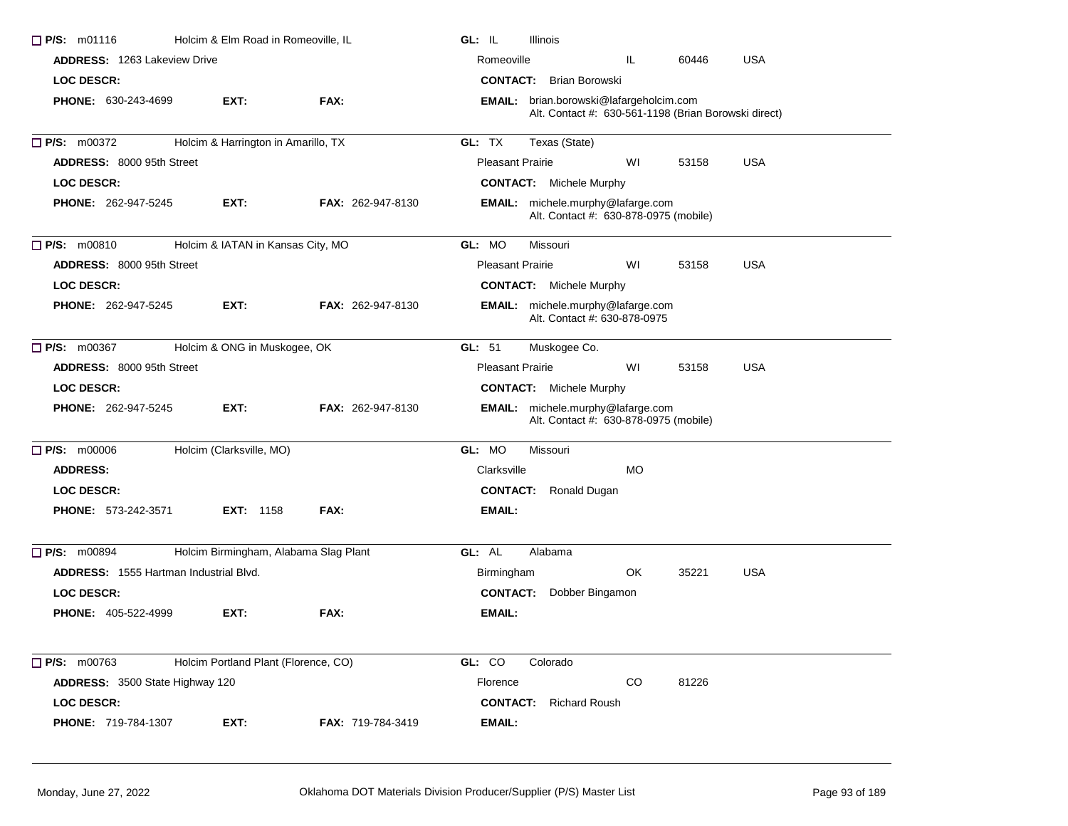| P/S: m01116<br>Holcim & Elm Road in Romeoville, IL |                                       |                          | GL: IL<br>Illinois                                                                              |
|----------------------------------------------------|---------------------------------------|--------------------------|-------------------------------------------------------------------------------------------------|
| <b>ADDRESS: 1263 Lakeview Drive</b>                |                                       |                          | <b>USA</b><br>Romeoville<br>IL.<br>60446                                                        |
| <b>LOC DESCR:</b>                                  |                                       |                          | <b>CONTACT:</b> Brian Borowski                                                                  |
| <b>PHONE: 630-243-4699</b>                         | EXT:                                  | FAX:                     | EMAIL: brian.borowski@lafargeholcim.com<br>Alt. Contact #: 630-561-1198 (Brian Borowski direct) |
| P/S: m00372                                        | Holcim & Harrington in Amarillo, TX   |                          | GL: TX<br>Texas (State)                                                                         |
| <b>ADDRESS: 8000 95th Street</b>                   |                                       |                          | <b>Pleasant Prairie</b><br>WI<br><b>USA</b><br>53158                                            |
| <b>LOC DESCR:</b>                                  |                                       |                          | <b>CONTACT:</b> Michele Murphy                                                                  |
| <b>PHONE: 262-947-5245</b>                         | EXT:                                  | FAX: 262-947-8130        | EMAIL: michele.murphy@lafarge.com<br>Alt. Contact #: 630-878-0975 (mobile)                      |
| $P/S:$ m00810                                      | Holcim & IATAN in Kansas City, MO     |                          | GL: MO<br>Missouri                                                                              |
| <b>ADDRESS: 8000 95th Street</b>                   |                                       |                          | <b>USA</b><br><b>Pleasant Prairie</b><br>WI<br>53158                                            |
| <b>LOC DESCR:</b>                                  |                                       |                          | <b>CONTACT:</b> Michele Murphy                                                                  |
| <b>PHONE: 262-947-5245</b>                         | EXT:                                  | FAX: 262-947-8130        | EMAIL: michele.murphy@lafarge.com<br>Alt. Contact #: 630-878-0975                               |
| P/S: m00367                                        | Holcim & ONG in Muskogee, OK          |                          | GL: 51<br>Muskogee Co.                                                                          |
| <b>ADDRESS: 8000 95th Street</b>                   |                                       |                          | <b>Pleasant Prairie</b><br>WI<br>53158<br><b>USA</b>                                            |
| <b>LOC DESCR:</b>                                  |                                       |                          | <b>CONTACT:</b> Michele Murphy                                                                  |
| <b>PHONE: 262-947-5245</b>                         | EXT:                                  | <b>FAX: 262-947-8130</b> | <b>EMAIL:</b> michele.murphy@lafarge.com<br>Alt. Contact #: 630-878-0975 (mobile)               |
| $\Box$ P/S: m00006                                 | Holcim (Clarksville, MO)              |                          | GL: MO<br>Missouri                                                                              |
| <b>ADDRESS:</b>                                    |                                       |                          | <b>MO</b><br>Clarksville                                                                        |
| <b>LOC DESCR:</b>                                  |                                       |                          | <b>CONTACT:</b> Ronald Dugan                                                                    |
| <b>PHONE: 573-242-3571</b>                         | <b>EXT:</b> 1158                      | FAX:                     | EMAIL:                                                                                          |
| $\Box$ P/S: m00894                                 | Holcim Birmingham, Alabama Slag Plant |                          | GL: AL<br>Alabama                                                                               |
| ADDRESS: 1555 Hartman Industrial Blvd.             |                                       |                          | OK.<br>35221<br><b>USA</b><br>Birmingham                                                        |
| <b>LOC DESCR:</b>                                  |                                       |                          | <b>CONTACT:</b><br>Dobber Bingamon                                                              |
| <b>PHONE: 405-522-4999</b>                         | EXT:                                  | FAX:                     | EMAIL:                                                                                          |
| $\Box$ P/S: m00763                                 | Holcim Portland Plant (Florence, CO)  |                          | GL: CO<br>Colorado                                                                              |
| ADDRESS: 3500 State Highway 120                    |                                       |                          | Florence<br>CO<br>81226                                                                         |
| <b>LOC DESCR:</b>                                  |                                       |                          | <b>CONTACT:</b><br>Richard Roush                                                                |
| PHONE: 719-784-1307                                | EXT:                                  | FAX: 719-784-3419        | <b>EMAIL:</b>                                                                                   |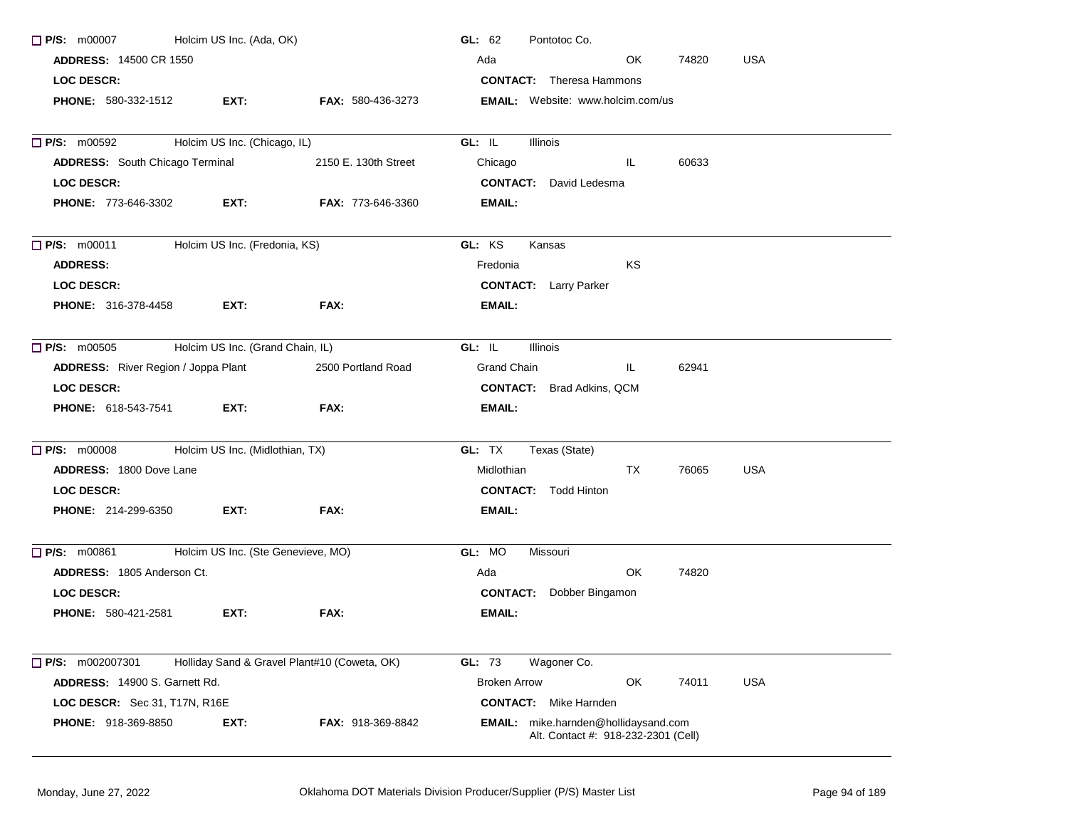| $\Box$ P/S: m00007                                       | Holcim US Inc. (Ada, OK)         |                                              | GL: $62$<br>Pontotoc Co.                                                    |
|----------------------------------------------------------|----------------------------------|----------------------------------------------|-----------------------------------------------------------------------------|
| <b>ADDRESS: 14500 CR 1550</b>                            |                                  |                                              | OK.<br><b>USA</b><br>Ada<br>74820                                           |
| <b>LOC DESCR:</b>                                        |                                  |                                              | <b>CONTACT:</b> Theresa Hammons                                             |
| <b>PHONE: 580-332-1512</b>                               | EXT:                             | <b>FAX: 580-436-3273</b>                     | <b>EMAIL:</b> Website: www.holcim.com/us                                    |
| $\Box$ P/S: m00592                                       | Holcim US Inc. (Chicago, IL)     |                                              | GL: IL<br>Illinois                                                          |
| <b>ADDRESS:</b> South Chicago Terminal                   |                                  | 2150 E. 130th Street                         | 60633<br>Chicago<br>IL.                                                     |
| <b>LOC DESCR:</b>                                        |                                  |                                              | <b>CONTACT:</b> David Ledesma                                               |
| <b>PHONE: 773-646-3302</b>                               | <b>EXT:</b>                      | <b>FAX: 773-646-3360</b>                     | <b>EMAIL:</b>                                                               |
| $\Box$ P/S: m00011                                       | Holcim US Inc. (Fredonia, KS)    |                                              | GL: KS<br>Kansas                                                            |
| <b>ADDRESS:</b>                                          |                                  |                                              | KS<br>Fredonia                                                              |
| <b>LOC DESCR:</b>                                        |                                  |                                              | <b>CONTACT:</b> Larry Parker                                                |
| <b>PHONE: 316-378-4458</b>                               | EXT:                             | FAX:                                         | <b>EMAIL:</b>                                                               |
| $\Box$ P/S: m00505                                       | Holcim US Inc. (Grand Chain, IL) |                                              | GL: IL<br>Illinois                                                          |
| <b>ADDRESS:</b> River Region / Joppa Plant               |                                  | 2500 Portland Road                           | Grand Chain<br>IL.<br>62941                                                 |
| <b>LOC DESCR:</b>                                        |                                  |                                              | <b>CONTACT:</b> Brad Adkins, QCM                                            |
| <b>PHONE:</b> 618-543-7541                               | EXT:                             | FAX:                                         | <b>EMAIL:</b>                                                               |
| □ P/S: m00008 Holcim US Inc. (Midlothian, TX)            |                                  |                                              | GL: TX<br>Texas (State)                                                     |
| <b>ADDRESS: 1800 Dove Lane</b>                           |                                  |                                              | Midlothian<br>TX<br>76065<br><b>USA</b>                                     |
| <b>LOC DESCR:</b>                                        |                                  |                                              | <b>CONTACT:</b> Todd Hinton                                                 |
| <b>PHONE: 214-299-6350</b>                               | EXT:                             | FAX:                                         | <b>EMAIL:</b>                                                               |
| Holcim US Inc. (Ste Genevieve, MO)<br>$\Box$ P/S: m00861 |                                  |                                              | GL: MO<br>Missouri                                                          |
| ADDRESS: 1805 Anderson Ct.                               |                                  |                                              | OK.<br>74820<br>Ada                                                         |
| LOC DESCR:                                               |                                  |                                              | <b>CONTACT:</b> Dobber Bingamon                                             |
| <b>PHONE: 580-421-2581</b>                               | EXT:                             | FAX:                                         | <b>EMAIL:</b>                                                               |
| P/S: m002007301                                          |                                  | Holliday Sand & Gravel Plant#10 (Coweta, OK) | GL: 73<br>Wagoner Co.                                                       |
| ADDRESS: 14900 S. Garnett Rd.                            |                                  |                                              | OK<br><b>USA</b><br><b>Broken Arrow</b><br>74011                            |
| LOC DESCR: Sec 31, T17N, R16E                            |                                  |                                              | <b>CONTACT:</b> Mike Harnden                                                |
| PHONE: 918-369-8850                                      | EXT:                             | FAX: 918-369-8842                            | EMAIL: mike.harnden@hollidaysand.com<br>Alt. Contact #: 918-232-2301 (Cell) |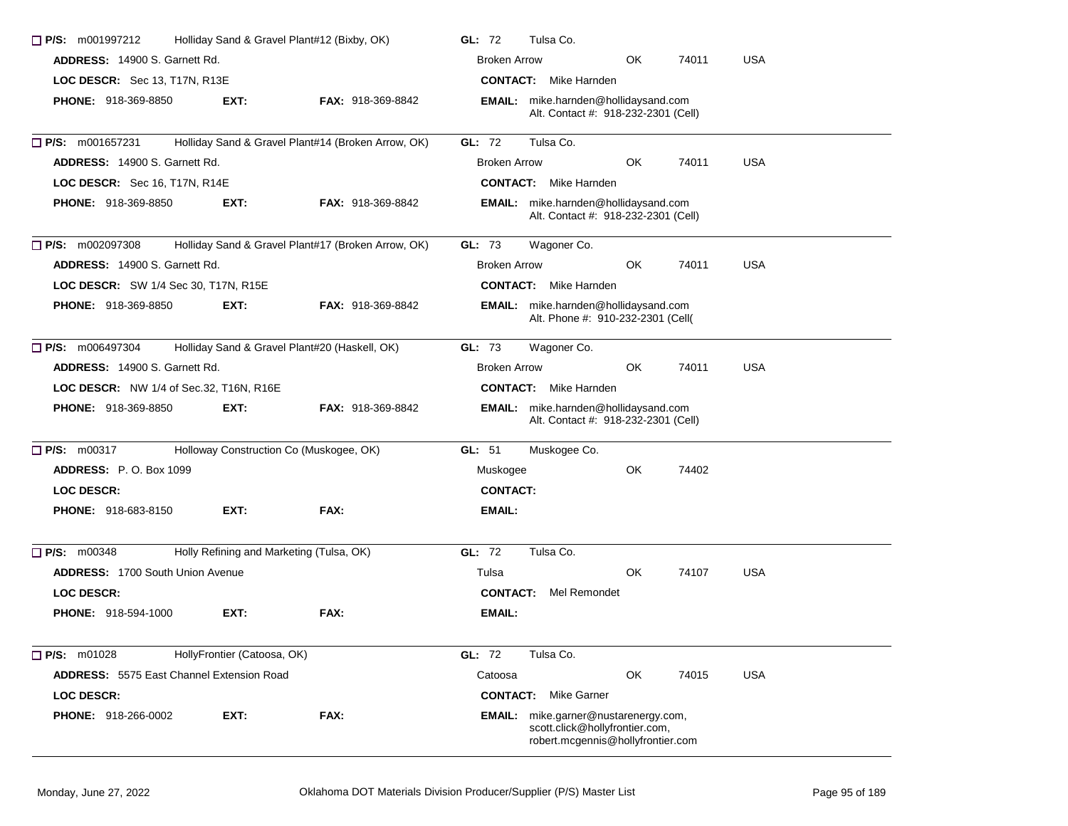| $\Box$ P/S: m001997212                           | Holliday Sand & Gravel Plant#12 (Bixby, OK) |                                                    |                                                   | Tulsa Co.                                                                                                   |           |       |            |  |  |
|--------------------------------------------------|---------------------------------------------|----------------------------------------------------|---------------------------------------------------|-------------------------------------------------------------------------------------------------------------|-----------|-------|------------|--|--|
| <b>ADDRESS: 14900 S. Garnett Rd.</b>             |                                             |                                                    | OK<br>74011<br><b>USA</b><br><b>Broken Arrow</b>  |                                                                                                             |           |       |            |  |  |
| LOC DESCR: Sec 13, T17N, R13E                    |                                             |                                                    |                                                   | <b>CONTACT:</b> Mike Harnden                                                                                |           |       |            |  |  |
| <b>PHONE: 918-369-8850</b>                       | EXT:                                        | <b>FAX: 918-369-8842</b>                           |                                                   | EMAIL: mike.harnden@hollidaysand.com<br>Alt. Contact #: 918-232-2301 (Cell)                                 |           |       |            |  |  |
| □ P/S: m001657231                                |                                             | Holliday Sand & Gravel Plant#14 (Broken Arrow, OK) | GL: 72                                            | Tulsa Co.                                                                                                   |           |       |            |  |  |
| <b>ADDRESS: 14900 S. Garnett Rd.</b>             |                                             |                                                    | <b>USA</b><br><b>Broken Arrow</b><br>OK.<br>74011 |                                                                                                             |           |       |            |  |  |
| LOC DESCR: Sec 16, T17N, R14E                    |                                             |                                                    |                                                   | <b>CONTACT:</b> Mike Harnden                                                                                |           |       |            |  |  |
| <b>PHONE: 918-369-8850</b>                       | EXT:                                        | <b>FAX: 918-369-8842</b>                           |                                                   | <b>EMAIL:</b> mike.harnden@hollidaysand.com<br>Alt. Contact #: 918-232-2301 (Cell)                          |           |       |            |  |  |
| $\Box$ P/S: m002097308                           |                                             | Holliday Sand & Gravel Plant#17 (Broken Arrow, OK) | GL: 73                                            | Wagoner Co.                                                                                                 |           |       |            |  |  |
| <b>ADDRESS: 14900 S. Garnett Rd.</b>             |                                             |                                                    | <b>Broken Arrow</b>                               |                                                                                                             | OK.       | 74011 | <b>USA</b> |  |  |
| <b>LOC DESCR:</b> SW 1/4 Sec 30, T17N, R15E      |                                             |                                                    |                                                   | <b>CONTACT:</b> Mike Harnden                                                                                |           |       |            |  |  |
| <b>PHONE: 918-369-8850</b>                       | EXT:                                        | <b>FAX: 918-369-8842</b>                           |                                                   | EMAIL: mike.harnden@hollidaysand.com<br>Alt. Phone #: 910-232-2301 (Cell(                                   |           |       |            |  |  |
| $\Box$ P/S: m006497304                           |                                             | Holliday Sand & Gravel Plant#20 (Haskell, OK)      | GL: 73                                            | Wagoner Co.                                                                                                 |           |       |            |  |  |
| <b>ADDRESS: 14900 S. Garnett Rd.</b>             |                                             |                                                    | <b>Broken Arrow</b>                               |                                                                                                             | <b>OK</b> | 74011 | <b>USA</b> |  |  |
| LOC DESCR: NW 1/4 of Sec.32, T16N, R16E          |                                             |                                                    |                                                   | <b>CONTACT:</b> Mike Harnden                                                                                |           |       |            |  |  |
| <b>PHONE: 918-369-8850</b>                       | EXT:                                        | <b>FAX: 918-369-8842</b>                           |                                                   | EMAIL: mike.harnden@hollidaysand.com<br>Alt. Contact #: 918-232-2301 (Cell)                                 |           |       |            |  |  |
| $\Box$ P/S: m00317                               |                                             | Holloway Construction Co (Muskogee, OK)            | GL: 51                                            | Muskogee Co.                                                                                                |           |       |            |  |  |
| <b>ADDRESS: P.O. Box 1099</b>                    |                                             |                                                    | Muskogee                                          |                                                                                                             | OK        | 74402 |            |  |  |
| <b>LOC DESCR:</b>                                |                                             |                                                    | <b>CONTACT:</b>                                   |                                                                                                             |           |       |            |  |  |
| <b>PHONE: 918-683-8150</b>                       | EXT:                                        | FAX:                                               | EMAIL:                                            |                                                                                                             |           |       |            |  |  |
| $\Box$ P/S: m00348                               |                                             | Holly Refining and Marketing (Tulsa, OK)           | <b>GL: 72</b>                                     | Tulsa Co.                                                                                                   |           |       |            |  |  |
| <b>ADDRESS: 1700 South Union Avenue</b>          |                                             |                                                    | Tulsa                                             |                                                                                                             | OK        | 74107 | <b>USA</b> |  |  |
| <b>LOC DESCR:</b>                                |                                             |                                                    |                                                   | <b>CONTACT:</b> Mel Remondet                                                                                |           |       |            |  |  |
| <b>PHONE: 918-594-1000</b>                       | EXT:                                        | FAX:                                               | EMAIL:                                            |                                                                                                             |           |       |            |  |  |
| $\Box$ P/S: m01028                               | HollyFrontier (Catoosa, OK)                 |                                                    | GL: 72                                            | Tulsa Co.                                                                                                   |           |       |            |  |  |
| <b>ADDRESS: 5575 East Channel Extension Road</b> |                                             |                                                    | Catoosa                                           |                                                                                                             | OK        | 74015 | <b>USA</b> |  |  |
| LOC DESCR:                                       |                                             |                                                    | <b>CONTACT:</b>                                   | Mike Garner                                                                                                 |           |       |            |  |  |
| PHONE: 918-266-0002                              | EXT:                                        | FAX:                                               |                                                   | EMAIL: mike.garner@nustarenergy.com,<br>scott.click@hollyfrontier.com,<br>robert.mcgennis@hollyfrontier.com |           |       |            |  |  |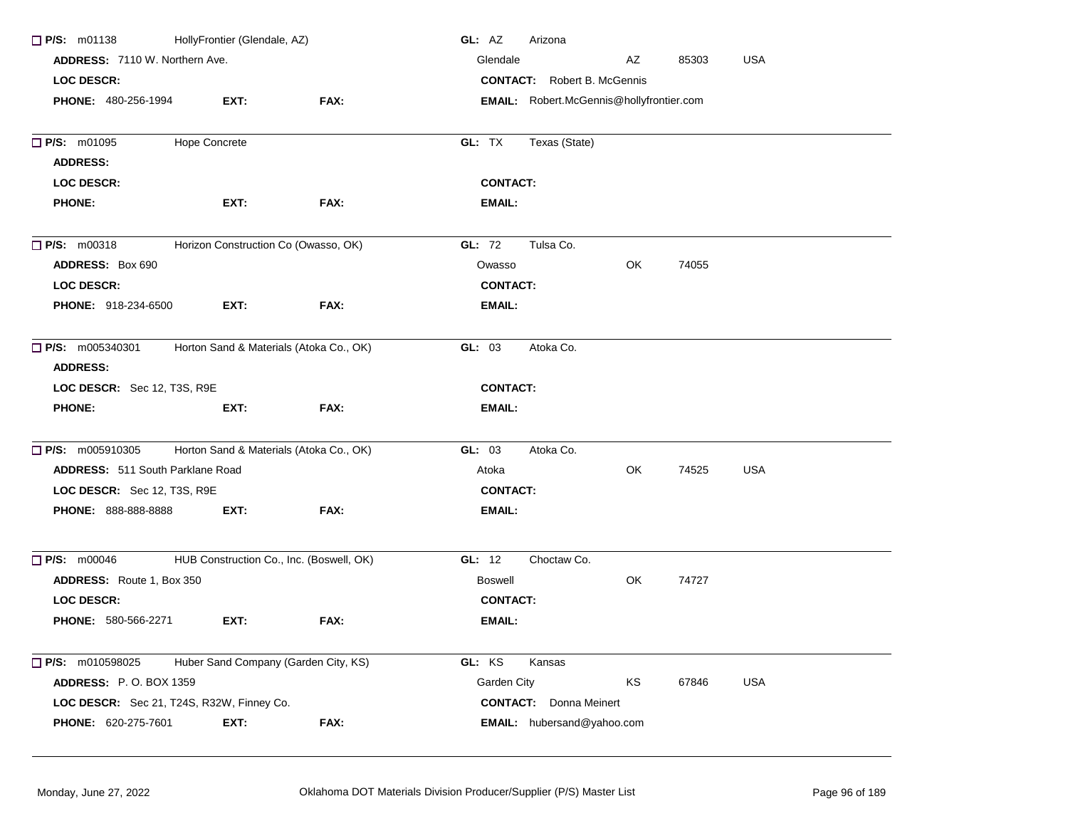| $\Box$ P/S: m01138                        | HollyFrontier (Glendale, AZ) |                                          | GL: AZ<br>Arizona                               |
|-------------------------------------------|------------------------------|------------------------------------------|-------------------------------------------------|
| <b>ADDRESS: 7110 W. Northern Ave.</b>     |                              |                                          | <b>USA</b><br>Glendale<br>AΖ<br>85303           |
| <b>LOC DESCR:</b>                         |                              |                                          | <b>CONTACT:</b> Robert B. McGennis              |
| PHONE: 480-256-1994                       | EXT:                         | FAX:                                     | <b>EMAIL:</b> Robert.McGennis@hollyfrontier.com |
|                                           |                              |                                          |                                                 |
| P/S: m01095                               | <b>Hope Concrete</b>         |                                          | GL: TX<br>Texas (State)                         |
| <b>ADDRESS:</b>                           |                              |                                          |                                                 |
| <b>LOC DESCR:</b>                         |                              |                                          | <b>CONTACT:</b>                                 |
| <b>PHONE:</b>                             | EXT:                         | FAX:                                     | EMAIL:                                          |
| $\Box$ P/S: m00318                        |                              | Horizon Construction Co (Owasso, OK)     | GL: 72<br>Tulsa Co.                             |
| <b>ADDRESS: Box 690</b>                   |                              |                                          | OK<br>Owasso<br>74055                           |
| <b>LOC DESCR:</b>                         |                              |                                          | <b>CONTACT:</b>                                 |
| PHONE: 918-234-6500                       | EXT:                         | FAX:                                     | <b>EMAIL:</b>                                   |
| $\Box$ P/S: m005340301<br><b>ADDRESS:</b> |                              | Horton Sand & Materials (Atoka Co., OK)  | Atoka Co.<br>GL: 03                             |
| LOC DESCR: Sec 12, T3S, R9E               |                              |                                          | <b>CONTACT:</b>                                 |
| <b>PHONE:</b>                             | EXT:                         | FAX:                                     | <b>EMAIL:</b>                                   |
| $\Box$ P/S: m005910305                    |                              | Horton Sand & Materials (Atoka Co., OK)  | GL: 03<br>Atoka Co.                             |
| ADDRESS: 511 South Parklane Road          |                              |                                          | OK<br>74525<br><b>USA</b><br>Atoka              |
| LOC DESCR: Sec 12, T3S, R9E               |                              |                                          | <b>CONTACT:</b>                                 |
| <b>PHONE: 888-888-8888</b>                | EXT:                         | FAX:                                     | <b>EMAIL:</b>                                   |
| $\Box$ P/S: m00046                        |                              | HUB Construction Co., Inc. (Boswell, OK) | GL: 12<br>Choctaw Co.                           |
| ADDRESS: Route 1, Box 350                 |                              |                                          | OK<br><b>Boswell</b><br>74727                   |
| <b>LOC DESCR:</b>                         |                              |                                          | <b>CONTACT:</b>                                 |
| <b>PHONE: 580-566-2271</b>                | EXT:                         | FAX:                                     | <b>EMAIL:</b>                                   |
|                                           |                              |                                          |                                                 |
| $\Box$ P/S: m010598025                    |                              | Huber Sand Company (Garden City, KS)     | GL: KS<br>Kansas                                |
| ADDRESS: P.O. BOX 1359                    |                              |                                          | Garden City<br>KS<br><b>USA</b><br>67846        |
| LOC DESCR: Sec 21, T24S, R32W, Finney Co. |                              |                                          | <b>CONTACT:</b> Donna Meinert                   |
| PHONE: 620-275-7601                       | EXT:                         | <b>FAX:</b>                              | EMAIL: hubersand@yahoo.com                      |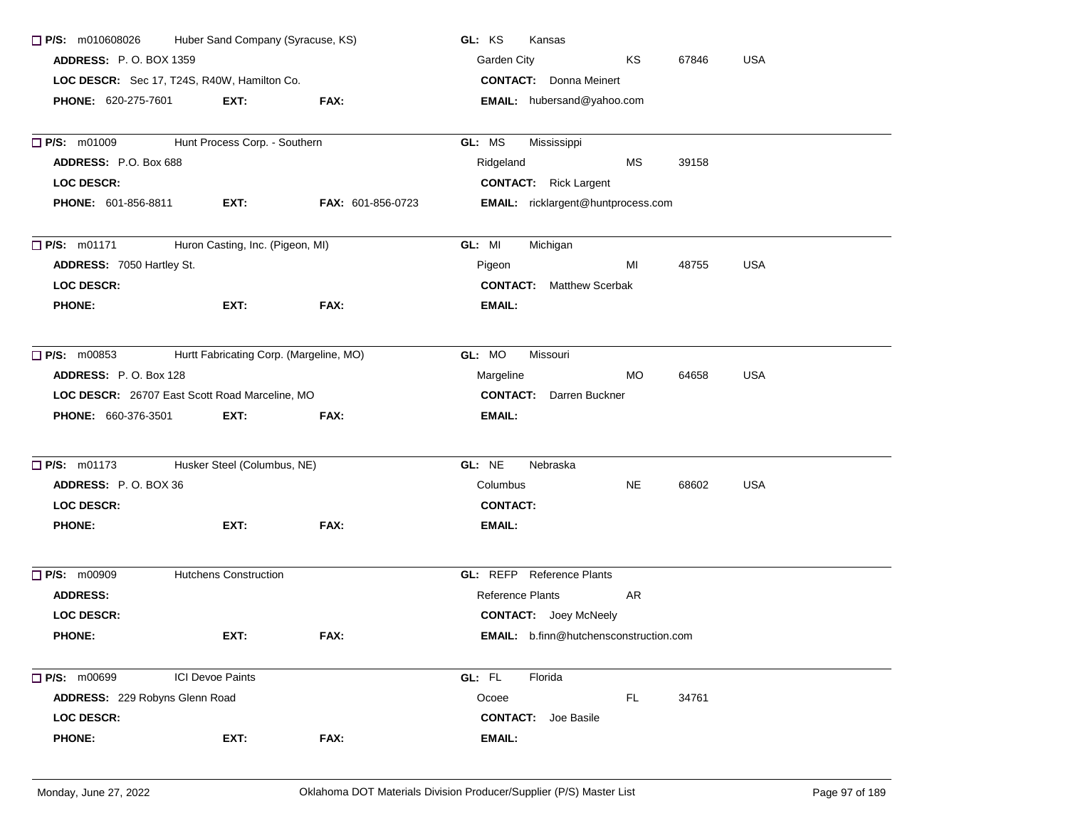| Huber Sand Company (Syracuse, KS)<br>$\Box$ P/S: m010608026 |                                                |                          | GL: KS<br>Kansas                         |  |  |  |
|-------------------------------------------------------------|------------------------------------------------|--------------------------|------------------------------------------|--|--|--|
| <b>ADDRESS: P.O. BOX 1359</b>                               |                                                |                          | Garden City<br>KS<br>67846<br><b>USA</b> |  |  |  |
|                                                             | LOC DESCR: Sec 17, T24S, R40W, Hamilton Co.    |                          | <b>CONTACT:</b> Donna Meinert            |  |  |  |
| <b>PHONE: 620-275-7601</b>                                  | EXT:                                           | <b>FAX:</b>              | EMAIL: hubersand@yahoo.com               |  |  |  |
| P/S: m01009                                                 | Hunt Process Corp. - Southern                  |                          | GL: MS<br>Mississippi                    |  |  |  |
| ADDRESS: P.O. Box 688                                       |                                                |                          | MS<br>39158<br>Ridgeland                 |  |  |  |
| <b>LOC DESCR:</b>                                           |                                                |                          | <b>CONTACT:</b> Rick Largent             |  |  |  |
| <b>PHONE: 601-856-8811</b>                                  | EXT:                                           | <b>FAX: 601-856-0723</b> | EMAIL: ricklargent@huntprocess.com       |  |  |  |
| P/S: m01171                                                 | Huron Casting, Inc. (Pigeon, MI)               |                          | GL: MI<br>Michigan                       |  |  |  |
| ADDRESS: 7050 Hartley St.                                   |                                                |                          | MI<br>48755<br><b>USA</b><br>Pigeon      |  |  |  |
| <b>LOC DESCR:</b>                                           |                                                |                          | <b>CONTACT:</b> Matthew Scerbak          |  |  |  |
| <b>PHONE:</b>                                               | EXT:                                           | FAX:                     | <b>EMAIL:</b>                            |  |  |  |
| $\Box$ P/S: m00853                                          | Hurtt Fabricating Corp. (Margeline, MO)        |                          | GL: MO<br>Missouri                       |  |  |  |
| ADDRESS: P.O. Box 128                                       |                                                |                          | <b>USA</b><br>Margeline<br>MO.<br>64658  |  |  |  |
|                                                             | LOC DESCR: 26707 East Scott Road Marceline, MO |                          | <b>CONTACT:</b> Darren Buckner           |  |  |  |
| <b>PHONE: 660-376-3501</b>                                  | EXT:                                           | FAX:                     | <b>EMAIL:</b>                            |  |  |  |
| $\Box$ P/S: m01173                                          | Husker Steel (Columbus, NE)                    |                          | GL: NE<br>Nebraska                       |  |  |  |
| ADDRESS: P.O. BOX 36                                        |                                                |                          | Columbus<br>NE.<br>68602<br><b>USA</b>   |  |  |  |
| <b>LOC DESCR:</b>                                           |                                                |                          | <b>CONTACT:</b>                          |  |  |  |
| <b>PHONE:</b>                                               | EXT:                                           | FAX:                     | <b>EMAIL:</b>                            |  |  |  |
| P/S: m00909                                                 | <b>Hutchens Construction</b>                   |                          | <b>GL:</b> REFP Reference Plants         |  |  |  |
| <b>ADDRESS:</b>                                             |                                                |                          | <b>Reference Plants</b><br>AR            |  |  |  |
| <b>LOC DESCR:</b>                                           |                                                |                          | <b>CONTACT:</b> Joey McNeely             |  |  |  |
| <b>PHONE:</b>                                               | EXT:                                           | FAX:                     | EMAIL: b.finn@hutchensconstruction.com   |  |  |  |
| P/S: m00699                                                 | <b>ICI Devoe Paints</b>                        |                          | GL: FL<br>Florida                        |  |  |  |
| ADDRESS: 229 Robyns Glenn Road                              |                                                |                          | Ocoee<br>FL.<br>34761                    |  |  |  |
| <b>LOC DESCR:</b>                                           |                                                |                          | <b>CONTACT:</b> Joe Basile               |  |  |  |
| <b>PHONE:</b>                                               | EXT:                                           | FAX:                     | <b>EMAIL:</b>                            |  |  |  |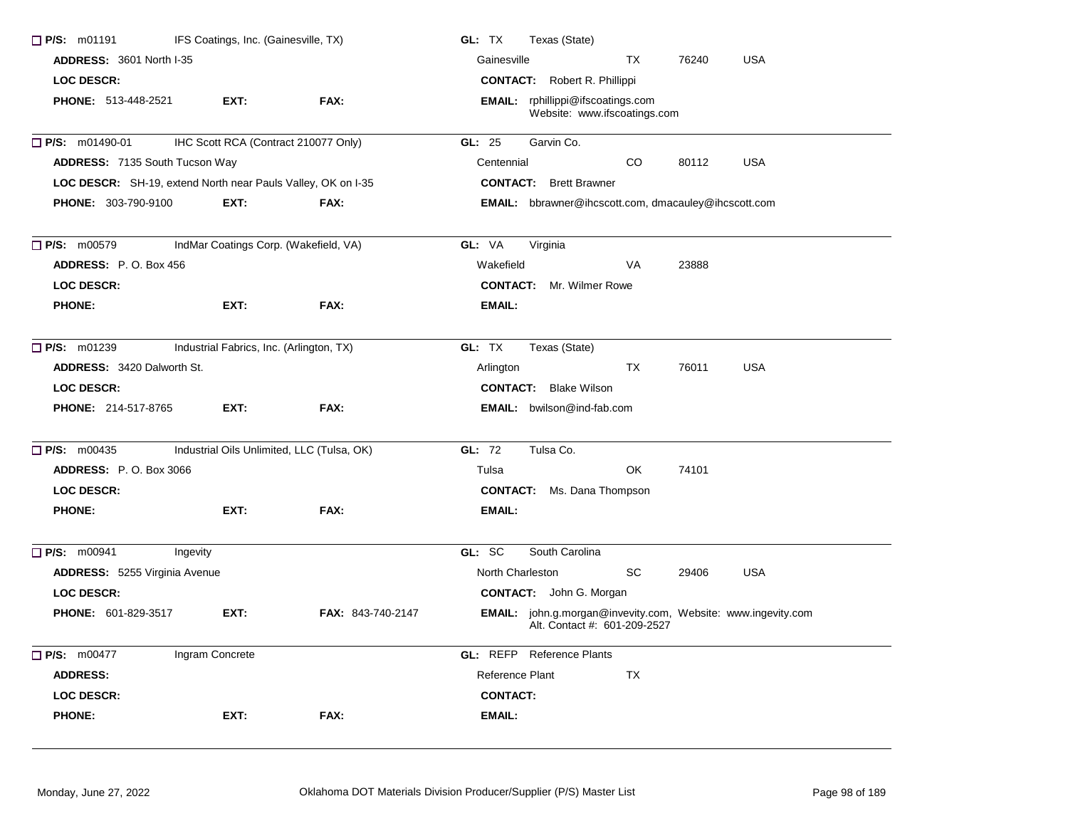| P/S: m01191<br>IFS Coatings, Inc. (Gainesville, TX) |                                                                     |                   | GL: TX<br>Texas (State)                                                                      |  |  |  |
|-----------------------------------------------------|---------------------------------------------------------------------|-------------------|----------------------------------------------------------------------------------------------|--|--|--|
|                                                     | <b>ADDRESS: 3601 North I-35</b>                                     |                   | <b>USA</b><br>Gainesville<br><b>TX</b><br>76240                                              |  |  |  |
| <b>LOC DESCR:</b>                                   |                                                                     |                   | <b>CONTACT:</b> Robert R. Phillippi                                                          |  |  |  |
| <b>PHONE: 513-448-2521</b>                          | EXT:                                                                | FAX:              | <b>EMAIL:</b> rphillippi@ifscoatings.com<br>Website: www.ifscoatings.com                     |  |  |  |
| $\Box$ P/S: m01490-01                               | IHC Scott RCA (Contract 210077 Only)                                |                   | GL: 25<br>Garvin Co.                                                                         |  |  |  |
| <b>ADDRESS: 7135 South Tucson Way</b>               |                                                                     |                   | <b>CO</b><br><b>USA</b><br>Centennial<br>80112                                               |  |  |  |
|                                                     | <b>LOC DESCR:</b> SH-19, extend North near Pauls Valley, OK on I-35 |                   | <b>CONTACT:</b> Brett Brawner                                                                |  |  |  |
| PHONE: 303-790-9100                                 | EXT:                                                                | FAX:              | <b>EMAIL:</b> bbrawner@ihcscott.com, dmacauley@ihcscott.com                                  |  |  |  |
| $\Box$ P/S: m00579                                  | IndMar Coatings Corp. (Wakefield, VA)                               |                   | GL: VA<br>Virginia                                                                           |  |  |  |
| ADDRESS: P.O. Box 456                               |                                                                     |                   | Wakefield<br>VA<br>23888                                                                     |  |  |  |
| <b>LOC DESCR:</b>                                   |                                                                     |                   | <b>CONTACT:</b> Mr. Wilmer Rowe                                                              |  |  |  |
| <b>PHONE:</b>                                       | EXT:                                                                | FAX:              | <b>EMAIL:</b>                                                                                |  |  |  |
| $\Box$ P/S: m01239                                  | Industrial Fabrics, Inc. (Arlington, TX)                            |                   | GL: TX<br>Texas (State)                                                                      |  |  |  |
| ADDRESS: 3420 Dalworth St.                          |                                                                     |                   | <b>TX</b><br>76011<br><b>USA</b><br>Arlington                                                |  |  |  |
| <b>LOC DESCR:</b>                                   |                                                                     |                   | <b>CONTACT:</b> Blake Wilson                                                                 |  |  |  |
| <b>PHONE: 214-517-8765</b>                          | EXT:                                                                | FAX:              | <b>EMAIL:</b> bwilson@ind-fab.com                                                            |  |  |  |
| $\Box$ P/S: m00435                                  | Industrial Oils Unlimited, LLC (Tulsa, OK)                          |                   | GL: 72<br>Tulsa Co.                                                                          |  |  |  |
| <b>ADDRESS: P.O. Box 3066</b>                       |                                                                     |                   | <b>OK</b><br>74101<br>Tulsa                                                                  |  |  |  |
| <b>LOC DESCR:</b>                                   |                                                                     |                   | <b>CONTACT:</b> Ms. Dana Thompson                                                            |  |  |  |
| <b>PHONE:</b>                                       | EXT:                                                                | FAX:              | <b>EMAIL:</b>                                                                                |  |  |  |
| $\Box$ P/S: m00941                                  | Ingevity                                                            |                   | GL: SC<br>South Carolina                                                                     |  |  |  |
| <b>ADDRESS:</b> 5255 Virginia Avenue                |                                                                     |                   | North Charleston<br><b>SC</b><br><b>USA</b><br>29406                                         |  |  |  |
| <b>LOC DESCR:</b>                                   |                                                                     |                   | <b>CONTACT:</b> John G. Morgan                                                               |  |  |  |
| <b>PHONE: 601-829-3517</b>                          | EXT:                                                                | FAX: 843-740-2147 | EMAIL: john.g.morgan@invevity.com, Website: www.ingevity.com<br>Alt. Contact #: 601-209-2527 |  |  |  |
| P/S: m00477                                         | Ingram Concrete                                                     |                   | <b>GL:</b> REFP Reference Plants                                                             |  |  |  |
| <b>ADDRESS:</b>                                     |                                                                     |                   | Reference Plant<br><b>TX</b>                                                                 |  |  |  |
| <b>LOC DESCR:</b>                                   |                                                                     |                   | <b>CONTACT:</b>                                                                              |  |  |  |
| <b>PHONE:</b>                                       | EXT:                                                                | FAX:              | <b>EMAIL:</b>                                                                                |  |  |  |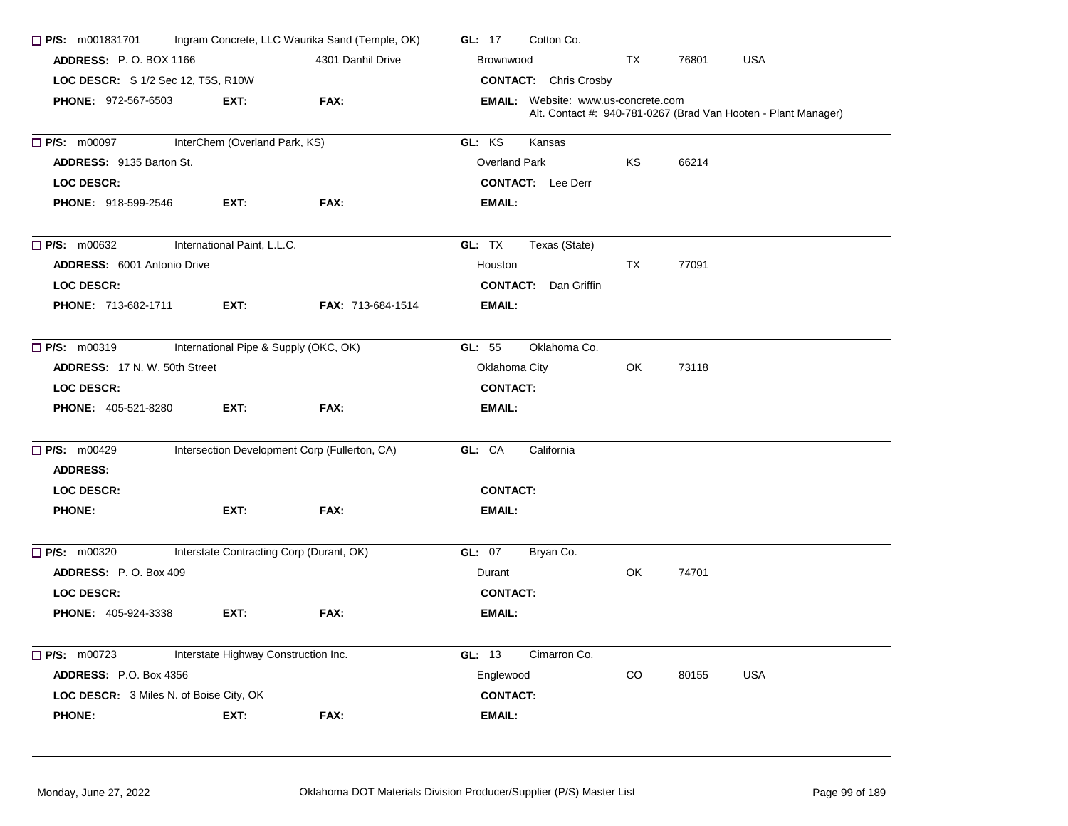| $\Box$ P/S: m001831701                                      |                                                    | Ingram Concrete, LLC Waurika Sand (Temple, OK) | GL: 17<br>Cotton Co.                                                                                         |  |  |  |
|-------------------------------------------------------------|----------------------------------------------------|------------------------------------------------|--------------------------------------------------------------------------------------------------------------|--|--|--|
|                                                             | <b>ADDRESS: P.O. BOX 1166</b><br>4301 Danhil Drive |                                                | <b>USA</b><br>Brownwood<br>TX<br>76801                                                                       |  |  |  |
| LOC DESCR: S 1/2 Sec 12, T5S, R10W                          |                                                    |                                                | <b>CONTACT:</b> Chris Crosby                                                                                 |  |  |  |
| PHONE: 972-567-6503<br>FAX:<br>EXT:                         |                                                    |                                                | <b>EMAIL:</b> Website: www.us-concrete.com<br>Alt. Contact #: 940-781-0267 (Brad Van Hooten - Plant Manager) |  |  |  |
| InterChem (Overland Park, KS)<br>$\Box$ P/S: m00097         |                                                    |                                                | GL: KS<br>Kansas                                                                                             |  |  |  |
| <b>ADDRESS: 9135 Barton St.</b>                             |                                                    |                                                | KS<br>66214<br>Overland Park                                                                                 |  |  |  |
| <b>LOC DESCR:</b>                                           |                                                    |                                                | <b>CONTACT:</b> Lee Derr                                                                                     |  |  |  |
| <b>PHONE: 918-599-2546</b>                                  | EXT:                                               | FAX:                                           | <b>EMAIL:</b>                                                                                                |  |  |  |
| $\Box$ P/S: m00632                                          | International Paint, L.L.C.                        |                                                | GL: TX<br>Texas (State)                                                                                      |  |  |  |
| <b>ADDRESS: 6001 Antonio Drive</b>                          |                                                    |                                                | <b>TX</b><br>77091<br>Houston                                                                                |  |  |  |
| LOC DESCR:                                                  |                                                    |                                                | <b>CONTACT:</b><br>Dan Griffin                                                                               |  |  |  |
| <b>PHONE: 713-682-1711</b>                                  | EXT:                                               | FAX: 713-684-1514                              | <b>EMAIL:</b>                                                                                                |  |  |  |
| International Pipe & Supply (OKC, OK)<br>$\Box$ P/S: m00319 |                                                    |                                                | GL: 55<br>Oklahoma Co.                                                                                       |  |  |  |
| ADDRESS: 17 N.W. 50th Street                                |                                                    |                                                | Oklahoma City<br>73118<br>OK                                                                                 |  |  |  |
| LOC DESCR:                                                  |                                                    |                                                | <b>CONTACT:</b>                                                                                              |  |  |  |
| <b>PHONE: 405-521-8280</b>                                  | EXT:                                               | FAX:                                           | <b>EMAIL:</b>                                                                                                |  |  |  |
| $\Box$ P/S: m00429                                          | Intersection Development Corp (Fullerton, CA)      |                                                | GL: CA<br>California                                                                                         |  |  |  |
| <b>ADDRESS:</b>                                             |                                                    |                                                |                                                                                                              |  |  |  |
| LOC DESCR:                                                  |                                                    |                                                | <b>CONTACT:</b>                                                                                              |  |  |  |
| <b>PHONE:</b>                                               | EXT:                                               | FAX:                                           | <b>EMAIL:</b>                                                                                                |  |  |  |
| $\Box$ P/S: m00320                                          | Interstate Contracting Corp (Durant, OK)           |                                                | <b>GL: 07</b><br>Bryan Co.                                                                                   |  |  |  |
| ADDRESS: P.O. Box 409                                       |                                                    |                                                | OK<br>74701<br>Durant                                                                                        |  |  |  |
| <b>LOC DESCR:</b>                                           |                                                    |                                                | <b>CONTACT:</b>                                                                                              |  |  |  |
| <b>PHONE: 405-924-3338</b>                                  | EXT:                                               | FAX:                                           | <b>EMAIL:</b>                                                                                                |  |  |  |
| $\Box$ P/S: m00723                                          | Interstate Highway Construction Inc.               |                                                | GL: 13<br>Cimarron Co.                                                                                       |  |  |  |
| <b>ADDRESS: P.O. Box 4356</b>                               |                                                    |                                                | Englewood<br>CO.<br>80155<br><b>USA</b>                                                                      |  |  |  |
| <b>LOC DESCR:</b> 3 Miles N. of Boise City, OK              |                                                    |                                                | <b>CONTACT:</b>                                                                                              |  |  |  |
| <b>PHONE:</b>                                               | EXT:                                               | FAX:                                           | <b>EMAIL:</b>                                                                                                |  |  |  |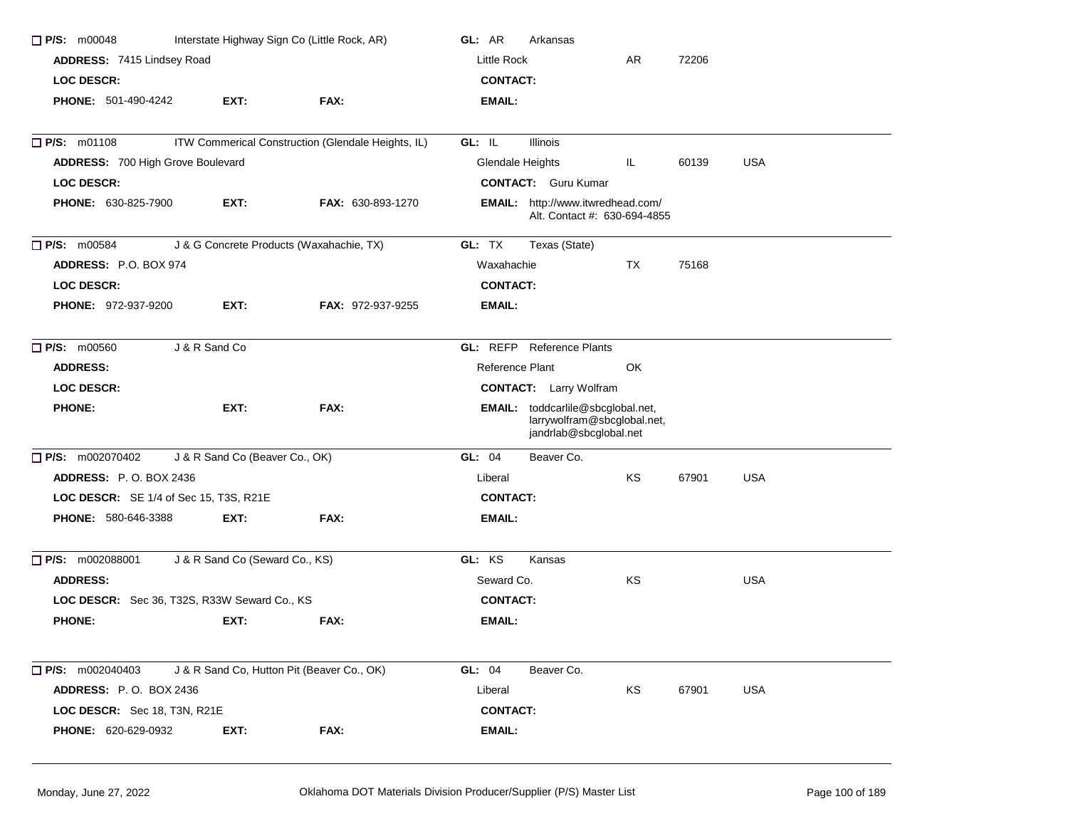| $\Box$ P/S: m00048<br>Interstate Highway Sign Co (Little Rock, AR) |                                |                                                    | GL: AR<br>Arkansas                                                                         |  |  |  |  |
|--------------------------------------------------------------------|--------------------------------|----------------------------------------------------|--------------------------------------------------------------------------------------------|--|--|--|--|
| ADDRESS: 7415 Lindsey Road                                         |                                |                                                    | <b>Little Rock</b><br>AR<br>72206                                                          |  |  |  |  |
| <b>LOC DESCR:</b>                                                  |                                |                                                    | <b>CONTACT:</b>                                                                            |  |  |  |  |
| <b>PHONE: 501-490-4242</b>                                         | EXT:                           | FAX:                                               | EMAIL:                                                                                     |  |  |  |  |
| P/S: m01108                                                        |                                | ITW Commerical Construction (Glendale Heights, IL) | GL: IL<br><b>Illinois</b>                                                                  |  |  |  |  |
| <b>ADDRESS: 700 High Grove Boulevard</b>                           |                                |                                                    | Glendale Heights<br>IL.<br><b>USA</b><br>60139                                             |  |  |  |  |
| <b>LOC DESCR:</b>                                                  |                                |                                                    | <b>CONTACT:</b> Guru Kumar                                                                 |  |  |  |  |
| <b>PHONE: 630-825-7900</b>                                         | EXT:                           | <b>FAX: 630-893-1270</b>                           | EMAIL: http://www.itwredhead.com/<br>Alt. Contact #: 630-694-4855                          |  |  |  |  |
| $\Box$ P/S: m00584                                                 |                                | J & G Concrete Products (Waxahachie, TX)           | GL: TX<br>Texas (State)                                                                    |  |  |  |  |
| <b>ADDRESS: P.O. BOX 974</b>                                       |                                |                                                    | TX<br>75168<br>Waxahachie                                                                  |  |  |  |  |
| <b>LOC DESCR:</b>                                                  |                                |                                                    | <b>CONTACT:</b>                                                                            |  |  |  |  |
| <b>PHONE: 972-937-9200</b>                                         | EXT.                           | <b>FAX: 972-937-9255</b>                           | <b>EMAIL:</b>                                                                              |  |  |  |  |
| <b>P/S: m00560</b>                                                 | J & R Sand Co                  |                                                    | <b>GL:</b> REFP Reference Plants                                                           |  |  |  |  |
| <b>ADDRESS:</b>                                                    |                                |                                                    | Reference Plant<br>OK                                                                      |  |  |  |  |
| <b>LOC DESCR:</b>                                                  |                                |                                                    | <b>CONTACT:</b> Larry Wolfram                                                              |  |  |  |  |
| <b>PHONE:</b>                                                      | EXT:                           | FAX:                                               | EMAIL: toddcarlile@sbcglobal.net,<br>larrywolfram@sbcglobal.net,<br>jandrlab@sbcglobal.net |  |  |  |  |
| $\Box$ P/S: m002070402                                             | J & R Sand Co (Beaver Co., OK) |                                                    | Beaver Co.<br>GL: 04                                                                       |  |  |  |  |
| <b>ADDRESS: P.O. BOX 2436</b>                                      |                                |                                                    | ΚS<br><b>USA</b><br>Liberal<br>67901                                                       |  |  |  |  |
| <b>LOC DESCR:</b> SE 1/4 of Sec 15, T3S, R21E                      |                                |                                                    | <b>CONTACT:</b>                                                                            |  |  |  |  |
| <b>PHONE: 580-646-3388</b>                                         | EXT:                           | FAX:                                               | EMAIL:                                                                                     |  |  |  |  |
| <b>P/S:</b> m002088001                                             | J & R Sand Co (Seward Co., KS) |                                                    | GL: KS<br>Kansas                                                                           |  |  |  |  |
| <b>ADDRESS:</b>                                                    |                                |                                                    | KS<br><b>USA</b><br>Seward Co.                                                             |  |  |  |  |
| LOC DESCR: Sec 36, T32S, R33W Seward Co., KS                       |                                |                                                    | <b>CONTACT:</b>                                                                            |  |  |  |  |
| <b>PHONE:</b>                                                      | EXT:                           | FAX:                                               | EMAIL:                                                                                     |  |  |  |  |
| $\Box$ P/S: m002040403                                             |                                | J & R Sand Co, Hutton Pit (Beaver Co., OK)         | GL: 04<br>Beaver Co.                                                                       |  |  |  |  |
| ADDRESS: P.O. BOX 2436                                             |                                |                                                    | Liberal<br>KS<br>67901<br>USA                                                              |  |  |  |  |
| LOC DESCR: Sec 18, T3N, R21E                                       |                                |                                                    | <b>CONTACT:</b>                                                                            |  |  |  |  |
| <b>PHONE: 620-629-0932</b>                                         | EXT:                           | FAX:                                               | EMAIL:                                                                                     |  |  |  |  |
|                                                                    |                                |                                                    |                                                                                            |  |  |  |  |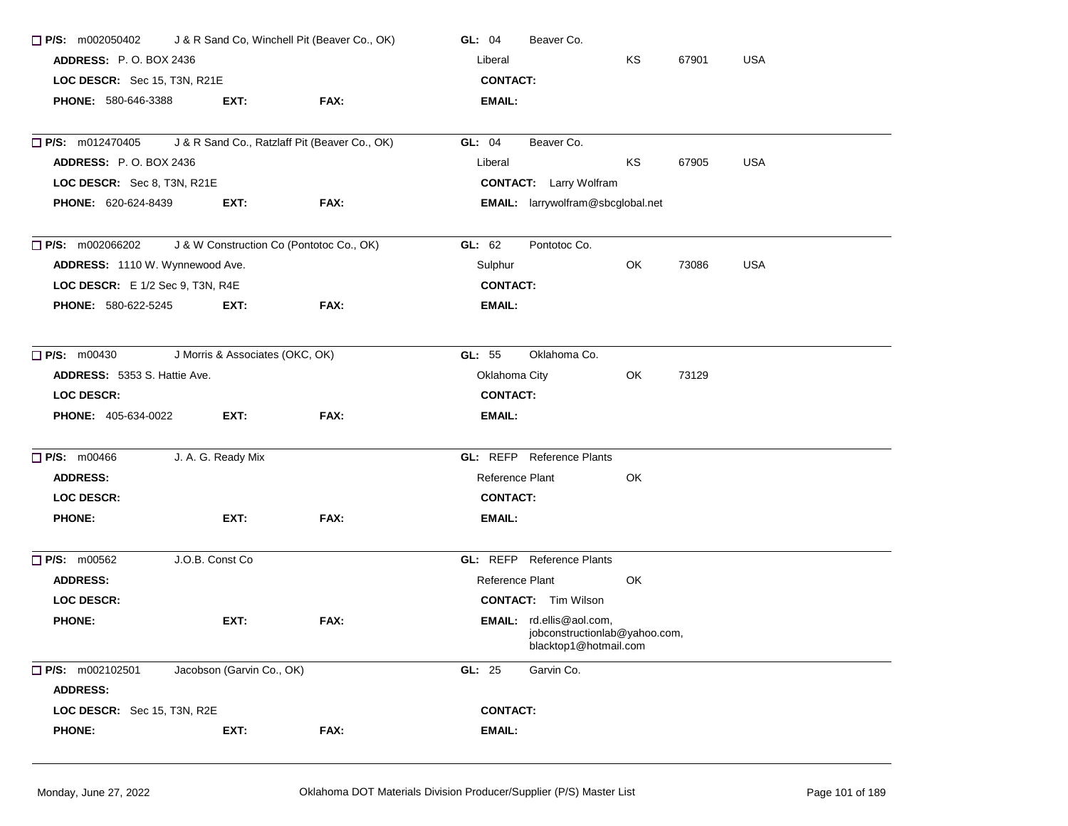| J & R Sand Co, Winchell Pit (Beaver Co., OK)<br>$\Box$ P/S: m002050402 |                                 |                                               | GL: 04<br>Beaver Co.                                                               |  |  |  |  |
|------------------------------------------------------------------------|---------------------------------|-----------------------------------------------|------------------------------------------------------------------------------------|--|--|--|--|
| <b>ADDRESS: P.O. BOX 2436</b>                                          |                                 |                                               | KS<br>67901<br><b>USA</b><br>Liberal                                               |  |  |  |  |
| LOC DESCR: Sec 15, T3N, R21E                                           |                                 |                                               | <b>CONTACT:</b>                                                                    |  |  |  |  |
| <b>PHONE: 580-646-3388</b>                                             | EXT:                            | <b>FAX:</b>                                   | EMAIL:                                                                             |  |  |  |  |
| $\Box$ P/S: m012470405                                                 |                                 | J & R Sand Co., Ratzlaff Pit (Beaver Co., OK) | Beaver Co.<br>GL: 04                                                               |  |  |  |  |
| <b>ADDRESS: P.O. BOX 2436</b>                                          |                                 |                                               | <b>USA</b><br>KS<br>Liberal<br>67905                                               |  |  |  |  |
| LOC DESCR: Sec 8, T3N, R21E                                            |                                 |                                               | <b>CONTACT:</b> Larry Wolfram                                                      |  |  |  |  |
| <b>PHONE: 620-624-8439</b>                                             | EXT:                            | FAX:                                          | <b>EMAIL:</b> larrywolfram@sbcglobal.net                                           |  |  |  |  |
| $\Box$ P/S: m002066202                                                 |                                 | J & W Construction Co (Pontotoc Co., OK)      | GL: $62$<br>Pontotoc Co.                                                           |  |  |  |  |
| ADDRESS: 1110 W. Wynnewood Ave.                                        |                                 |                                               | <b>USA</b><br>OK<br>Sulphur<br>73086                                               |  |  |  |  |
| LOC DESCR: E 1/2 Sec 9, T3N, R4E                                       |                                 |                                               | <b>CONTACT:</b>                                                                    |  |  |  |  |
| PHONE: 580-622-5245                                                    | EXT:                            | FAX:                                          | EMAIL:                                                                             |  |  |  |  |
| $\Box$ P/S: m00430                                                     | J Morris & Associates (OKC, OK) |                                               | Oklahoma Co.<br>GL: 55                                                             |  |  |  |  |
| ADDRESS: 5353 S. Hattie Ave.                                           |                                 |                                               | Oklahoma City<br>OK<br>73129                                                       |  |  |  |  |
| LOC DESCR:                                                             |                                 |                                               | <b>CONTACT:</b>                                                                    |  |  |  |  |
| <b>PHONE:</b> 405-634-0022                                             | EXT:                            | FAX:                                          | EMAIL:                                                                             |  |  |  |  |
| <b>P/S: m00466</b>                                                     | J. A. G. Ready Mix              |                                               | <b>GL: REFP</b> Reference Plants                                                   |  |  |  |  |
| <b>ADDRESS:</b>                                                        |                                 |                                               | Reference Plant<br>OK.                                                             |  |  |  |  |
| <b>LOC DESCR:</b>                                                      |                                 |                                               | <b>CONTACT:</b>                                                                    |  |  |  |  |
| <b>PHONE:</b>                                                          | EXT:                            | FAX:                                          | EMAIL:                                                                             |  |  |  |  |
| $\Box$ P/S: m00562                                                     | J.O.B. Const Co                 |                                               | <b>GL:</b> REFP Reference Plants                                                   |  |  |  |  |
| <b>ADDRESS:</b>                                                        |                                 |                                               | Reference Plant<br>OK.                                                             |  |  |  |  |
| <b>LOC DESCR:</b>                                                      |                                 |                                               | <b>CONTACT:</b> Tim Wilson                                                         |  |  |  |  |
| <b>PHONE:</b>                                                          | EXT:                            | FAX:                                          | EMAIL: rd.ellis@aol.com,<br>jobconstructionlab@yahoo.com,<br>blacktop1@hotmail.com |  |  |  |  |
| P/S: m002102501<br><b>ADDRESS:</b>                                     | Jacobson (Garvin Co., OK)       |                                               | GL: 25<br>Garvin Co.                                                               |  |  |  |  |
| LOC DESCR: Sec 15, T3N, R2E                                            |                                 |                                               | <b>CONTACT:</b>                                                                    |  |  |  |  |
| <b>PHONE:</b>                                                          | EXT:                            | FAX:                                          | EMAIL:                                                                             |  |  |  |  |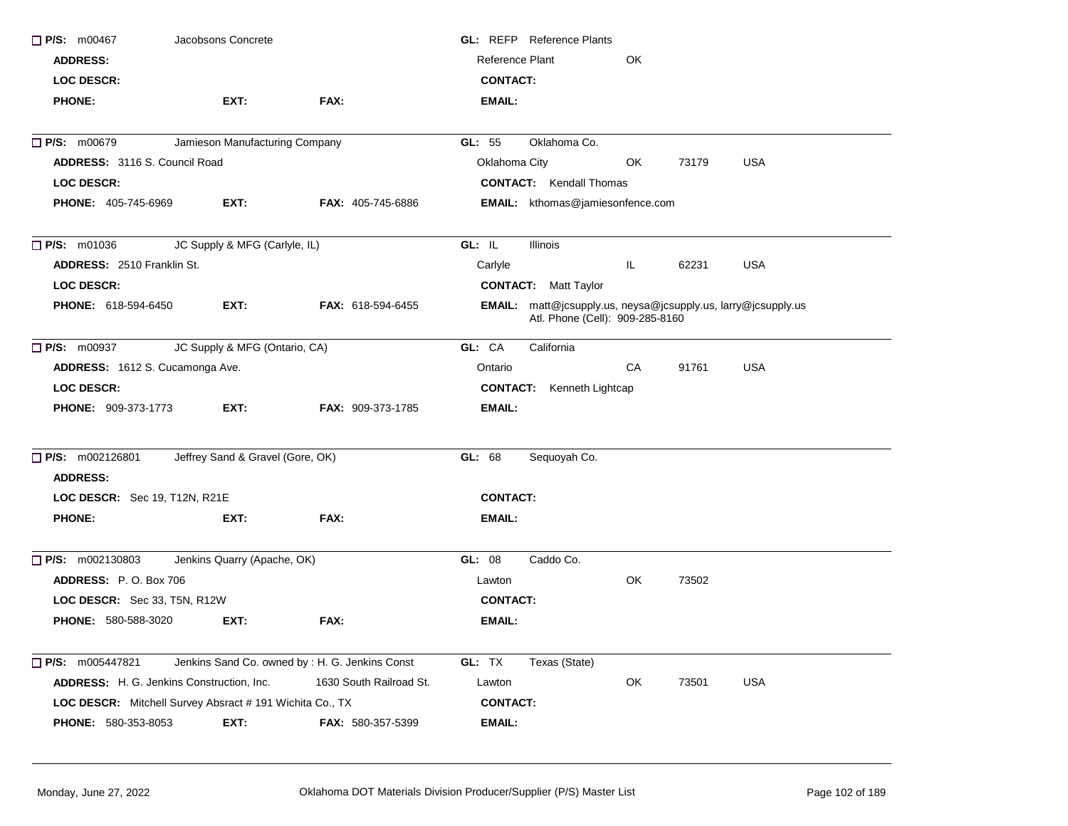| $\Box$ P/S: m00467                   | Jacobsons Concrete                                       |                                                | <b>GL: REFP</b> Reference Plants                                                                 |
|--------------------------------------|----------------------------------------------------------|------------------------------------------------|--------------------------------------------------------------------------------------------------|
| <b>ADDRESS:</b>                      |                                                          |                                                | <b>Reference Plant</b><br>OK                                                                     |
| <b>LOC DESCR:</b>                    |                                                          |                                                | <b>CONTACT:</b>                                                                                  |
| <b>PHONE:</b>                        | EXT:                                                     | FAX:                                           | EMAIL:                                                                                           |
| <b>P/S: m00679</b>                   | Jamieson Manufacturing Company                           |                                                | Oklahoma Co.<br>GL: 55                                                                           |
| <b>ADDRESS: 3116 S. Council Road</b> |                                                          |                                                | <b>USA</b><br>Oklahoma City<br>OK<br>73179                                                       |
| <b>LOC DESCR:</b>                    |                                                          |                                                | <b>CONTACT:</b> Kendall Thomas                                                                   |
| <b>PHONE: 405-745-6969</b>           | EXT:                                                     | <b>FAX: 405-745-6886</b>                       | <b>EMAIL:</b> kthomas@jamiesonfence.com                                                          |
| $\Box$ P/S: m01036                   | JC Supply & MFG (Carlyle, IL)                            |                                                | GL: IL<br>Illinois                                                                               |
| <b>ADDRESS: 2510 Franklin St.</b>    |                                                          |                                                | IL.<br><b>USA</b><br>Carlyle<br>62231                                                            |
| LOC DESCR:                           |                                                          |                                                | <b>CONTACT:</b> Matt Taylor                                                                      |
| <b>PHONE: 618-594-6450</b>           | EXT:                                                     | <b>FAX: 618-594-6455</b>                       | EMAIL: matt@jcsupply.us, neysa@jcsupply.us, larry@jcsupply.us<br>Atl. Phone (Cell): 909-285-8160 |
| P/S: m00937                          | JC Supply & MFG (Ontario, CA)                            |                                                | GL: CA<br>California                                                                             |
|                                      | ADDRESS: 1612 S. Cucamonga Ave.                          |                                                | CA<br>91761<br><b>USA</b><br>Ontario                                                             |
| <b>LOC DESCR:</b>                    |                                                          |                                                | <b>CONTACT:</b> Kenneth Lightcap                                                                 |
| <b>PHONE: 909-373-1773</b>           | EXT:                                                     | <b>FAX: 909-373-1785</b>                       | EMAIL:                                                                                           |
| P/S: m002126801                      | Jeffrey Sand & Gravel (Gore, OK)                         |                                                | GL: 68<br>Sequoyah Co.                                                                           |
| <b>ADDRESS:</b>                      |                                                          |                                                |                                                                                                  |
| LOC DESCR: Sec 19, T12N, R21E        |                                                          |                                                | <b>CONTACT:</b>                                                                                  |
| <b>PHONE:</b>                        | EXT:                                                     | FAX:                                           | EMAIL:                                                                                           |
| $\Box$ P/S: m002130803               | Jenkins Quarry (Apache, OK)                              |                                                | GL: 08<br>Caddo Co.                                                                              |
| <b>ADDRESS: P.O. Box 706</b>         |                                                          |                                                | OK<br>73502<br>Lawton                                                                            |
| LOC DESCR: Sec 33, T5N, R12W         |                                                          |                                                | <b>CONTACT:</b>                                                                                  |
| PHONE: 580-588-3020                  | EXT:                                                     | FAX:                                           | <b>EMAIL:</b>                                                                                    |
| $\Box$ P/S: m005447821               |                                                          | Jenkins Sand Co. owned by: H. G. Jenkins Const | GL: TX<br>Texas (State)                                                                          |
|                                      | ADDRESS: H. G. Jenkins Construction, Inc.                | 1630 South Railroad St.                        | Lawton<br>OK<br><b>USA</b><br>73501                                                              |
|                                      | LOC DESCR: Mitchell Survey Absract # 191 Wichita Co., TX |                                                | <b>CONTACT:</b>                                                                                  |
| PHONE: 580-353-8053                  | EXT:                                                     | FAX: 580-357-5399                              | <b>EMAIL:</b>                                                                                    |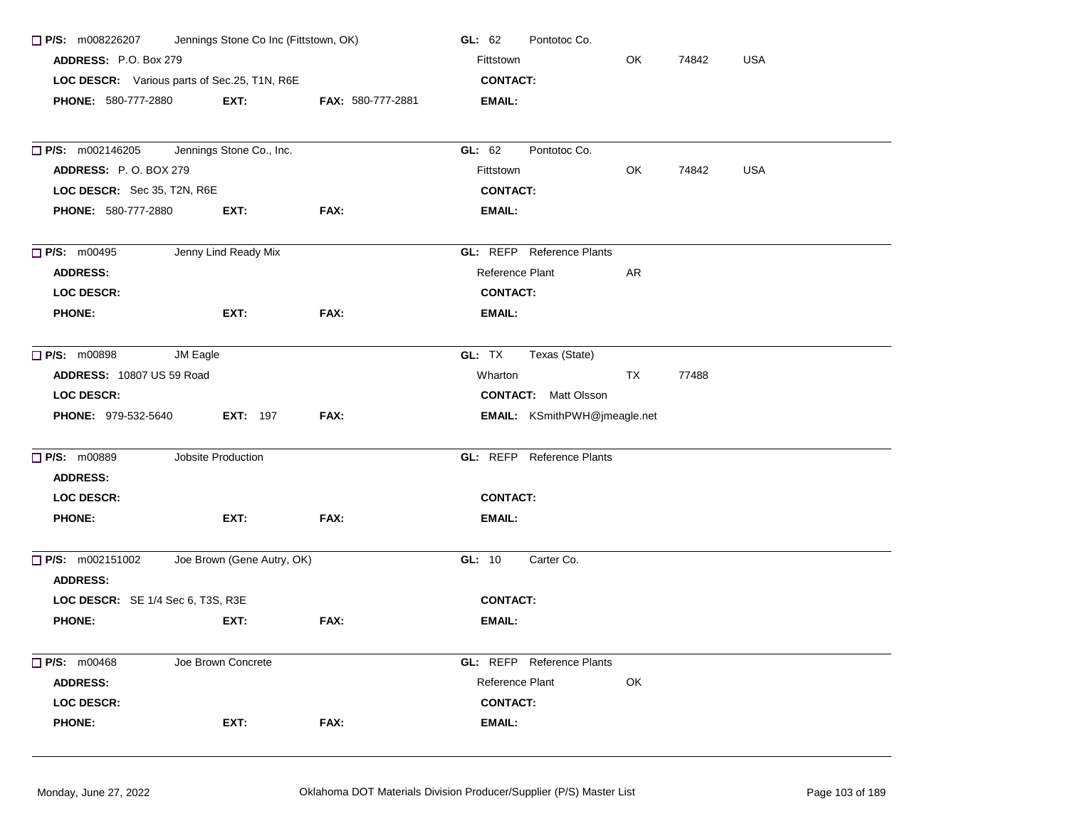| Jennings Stone Co Inc (Fittstown, OK)<br>$\Box$ P/S: m008226207<br>ADDRESS: P.O. Box 279 |                            |                   | GL: 62<br>Pontotoc Co.              |            |  |  |  |
|------------------------------------------------------------------------------------------|----------------------------|-------------------|-------------------------------------|------------|--|--|--|
|                                                                                          |                            |                   | OK<br>Fittstown<br>74842            | <b>USA</b> |  |  |  |
| LOC DESCR: Various parts of Sec.25, T1N, R6E                                             |                            |                   | <b>CONTACT:</b>                     |            |  |  |  |
| <b>PHONE: 580-777-2880</b>                                                               | EXT:                       | FAX: 580-777-2881 | EMAIL:                              |            |  |  |  |
|                                                                                          |                            |                   |                                     |            |  |  |  |
| $\Box$ P/S: m002146205                                                                   | Jennings Stone Co., Inc.   |                   | GL: 62<br>Pontotoc Co.              |            |  |  |  |
| <b>ADDRESS: P.O. BOX 279</b>                                                             |                            |                   | OK.<br>74842<br>Fittstown           | <b>USA</b> |  |  |  |
| LOC DESCR: Sec 35, T2N, R6E                                                              |                            |                   | <b>CONTACT:</b>                     |            |  |  |  |
| PHONE: 580-777-2880                                                                      | EXT:                       | FAX:              | <b>EMAIL:</b>                       |            |  |  |  |
| $\Box$ P/S: m00495                                                                       | Jenny Lind Ready Mix       |                   | <b>GL:</b> REFP Reference Plants    |            |  |  |  |
| <b>ADDRESS:</b>                                                                          |                            |                   | Reference Plant<br>AR               |            |  |  |  |
| <b>LOC DESCR:</b>                                                                        |                            |                   | <b>CONTACT:</b>                     |            |  |  |  |
| <b>PHONE:</b>                                                                            | EXT:                       | FAX:              | <b>EMAIL:</b>                       |            |  |  |  |
| <b>P/S: m00898</b><br>JM Eagle                                                           |                            |                   | GL: TX<br>Texas (State)             |            |  |  |  |
| ADDRESS: 10807 US 59 Road                                                                |                            |                   | Wharton<br>TX<br>77488              |            |  |  |  |
| <b>LOC DESCR:</b>                                                                        |                            |                   | <b>CONTACT:</b> Matt Olsson         |            |  |  |  |
| PHONE: 979-532-5640                                                                      | <b>EXT: 197</b>            | FAX:              | <b>EMAIL:</b> KSmithPWH@jmeagle.net |            |  |  |  |
| <b>P/S: m00889</b>                                                                       | Jobsite Production         |                   | <b>GL: REFP</b> Reference Plants    |            |  |  |  |
| <b>ADDRESS:</b>                                                                          |                            |                   |                                     |            |  |  |  |
| <b>LOC DESCR:</b>                                                                        |                            |                   | <b>CONTACT:</b>                     |            |  |  |  |
| <b>PHONE:</b>                                                                            | EXT:                       | FAX:              | <b>EMAIL:</b>                       |            |  |  |  |
| $\Box$ P/S: m002151002<br><b>ADDRESS:</b>                                                | Joe Brown (Gene Autry, OK) |                   | Carter Co.<br>GL: 10                |            |  |  |  |
| LOC DESCR: SE 1/4 Sec 6, T3S, R3E                                                        |                            |                   | <b>CONTACT:</b>                     |            |  |  |  |
| <b>PHONE:</b>                                                                            | EXT:                       | FAX:              | EMAIL:                              |            |  |  |  |
| P/S: m00468                                                                              | Joe Brown Concrete         |                   | <b>GL:</b> REFP Reference Plants    |            |  |  |  |
| <b>ADDRESS:</b>                                                                          |                            |                   | Reference Plant<br>OK               |            |  |  |  |
| LOC DESCR:                                                                               |                            |                   | <b>CONTACT:</b>                     |            |  |  |  |
| <b>PHONE:</b>                                                                            | EXT:                       | FAX:              | <b>EMAIL:</b>                       |            |  |  |  |
|                                                                                          |                            |                   |                                     |            |  |  |  |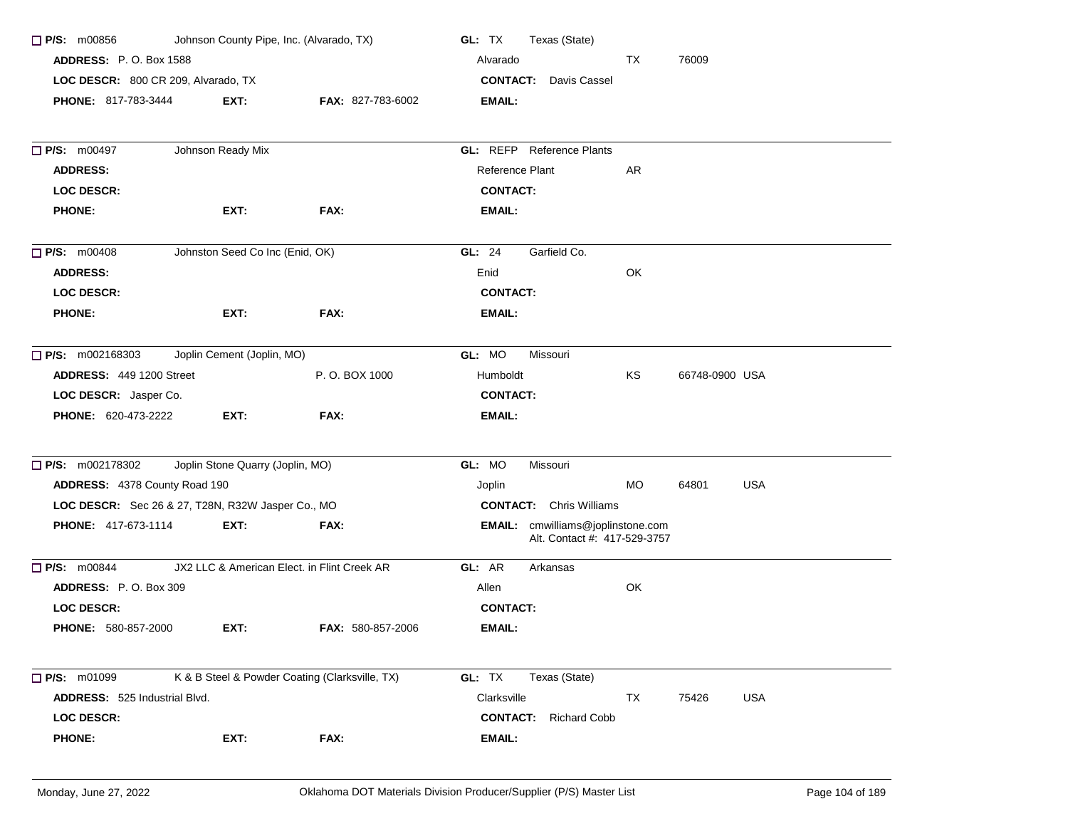| $\Box$ P/S: m00856                                | Johnson County Pipe, Inc. (Alvarado, TX)       |                          | GL: TX<br>Texas (State)                                           |  |  |  |
|---------------------------------------------------|------------------------------------------------|--------------------------|-------------------------------------------------------------------|--|--|--|
| <b>ADDRESS: P.O. Box 1588</b>                     |                                                |                          | TX<br>76009<br>Alvarado                                           |  |  |  |
| LOC DESCR: 800 CR 209, Alvarado, TX               |                                                |                          | <b>CONTACT:</b><br>Davis Cassel                                   |  |  |  |
| <b>PHONE: 817-783-3444</b>                        | EXT:                                           | <b>FAX: 827-783-6002</b> | <b>EMAIL:</b>                                                     |  |  |  |
| <b>P/S: m00497</b>                                | Johnson Ready Mix                              |                          | GL: REFP Reference Plants                                         |  |  |  |
| <b>ADDRESS:</b>                                   |                                                |                          | Reference Plant<br>AR                                             |  |  |  |
| <b>LOC DESCR:</b>                                 |                                                |                          | <b>CONTACT:</b>                                                   |  |  |  |
| <b>PHONE:</b>                                     | EXT:                                           | FAX:                     | <b>EMAIL:</b>                                                     |  |  |  |
| $\Box$ P/S: m00408                                | Johnston Seed Co Inc (Enid, OK)                |                          | Garfield Co.<br>GL: $24$                                          |  |  |  |
| <b>ADDRESS:</b>                                   |                                                |                          | OK<br>Enid                                                        |  |  |  |
| <b>LOC DESCR:</b>                                 |                                                |                          | <b>CONTACT:</b>                                                   |  |  |  |
| <b>PHONE:</b>                                     | EXT:                                           | FAX:                     | <b>EMAIL:</b>                                                     |  |  |  |
| $\Box$ P/S: m002168303                            | Joplin Cement (Joplin, MO)                     |                          | GL: MO<br>Missouri                                                |  |  |  |
| <b>ADDRESS: 449 1200 Street</b>                   |                                                | P.O. BOX 1000            | KS<br>66748-0900 USA<br>Humboldt                                  |  |  |  |
| LOC DESCR: Jasper Co.                             |                                                |                          | <b>CONTACT:</b>                                                   |  |  |  |
| <b>PHONE: 620-473-2222</b>                        | EXT:                                           | FAX:                     | EMAIL:                                                            |  |  |  |
| □ P/S: m002178302                                 | Joplin Stone Quarry (Joplin, MO)               |                          | GL: MO<br>Missouri                                                |  |  |  |
| ADDRESS: 4378 County Road 190                     |                                                |                          | MO<br>64801<br><b>USA</b><br>Joplin                               |  |  |  |
| LOC DESCR: Sec 26 & 27, T28N, R32W Jasper Co., MO |                                                |                          | <b>CONTACT:</b> Chris Williams                                    |  |  |  |
| PHONE: 417-673-1114                               | EXT:                                           | FAX:                     | EMAIL: cmwilliams@joplinstone.com<br>Alt. Contact #: 417-529-3757 |  |  |  |
| $\Box$ P/S: m00844                                | JX2 LLC & American Elect. in Flint Creek AR    |                          | GL: AR<br>Arkansas                                                |  |  |  |
| ADDRESS: P.O. Box 309                             |                                                |                          | OK<br>Allen                                                       |  |  |  |
| <b>LOC DESCR:</b>                                 |                                                |                          | <b>CONTACT:</b>                                                   |  |  |  |
| <b>PHONE: 580-857-2000</b>                        | EXT:                                           | <b>FAX: 580-857-2006</b> | <b>EMAIL:</b>                                                     |  |  |  |
| $\Box$ P/S: m01099                                | K & B Steel & Powder Coating (Clarksville, TX) |                          | GL: TX<br>Texas (State)                                           |  |  |  |
| ADDRESS: 525 Industrial Blvd.                     |                                                |                          | Clarksville<br>TX<br><b>USA</b><br>75426                          |  |  |  |
| <b>LOC DESCR:</b>                                 |                                                |                          | <b>CONTACT:</b><br><b>Richard Cobb</b>                            |  |  |  |
| <b>PHONE:</b>                                     | EXT:                                           | FAX:                     | <b>EMAIL:</b>                                                     |  |  |  |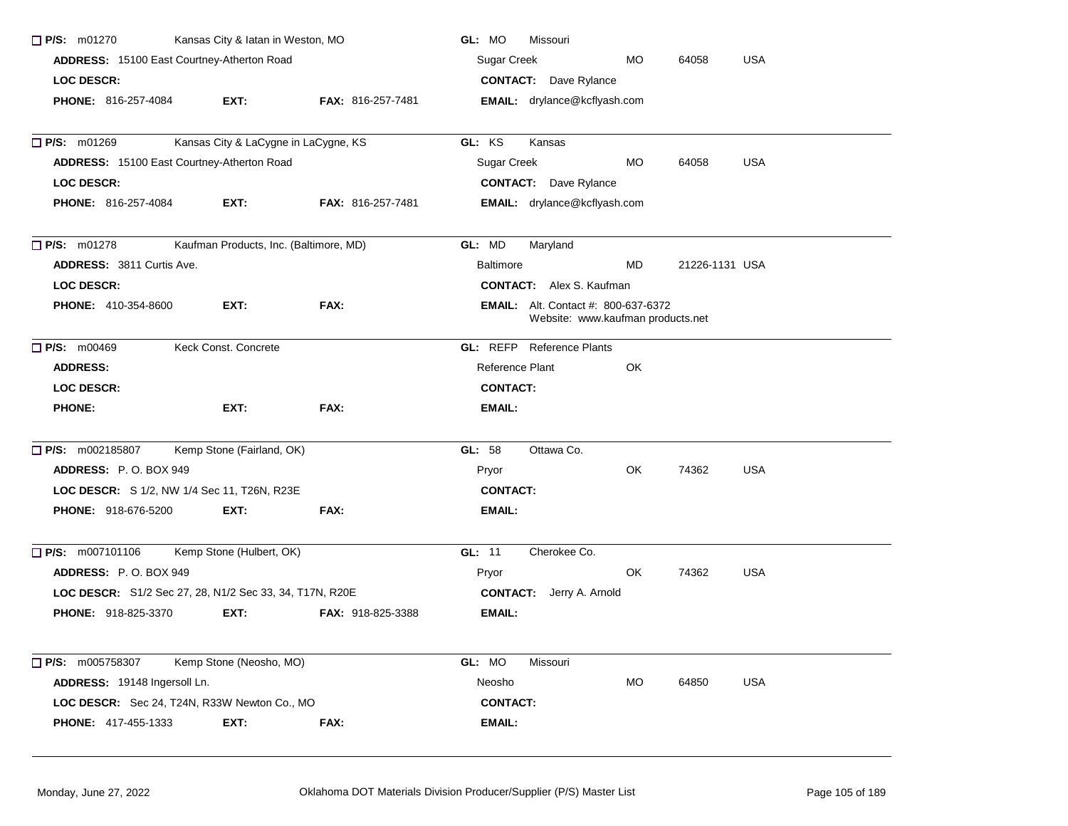| Kansas City & latan in Weston, MO<br>$\Box$ P/S: m01270 |                                                         | GL: MO<br><b>Missouri</b><br>Sugar Creek<br><b>USA</b><br>MO.<br>64058 |                                                                                 |     |                |            |
|---------------------------------------------------------|---------------------------------------------------------|------------------------------------------------------------------------|---------------------------------------------------------------------------------|-----|----------------|------------|
| ADDRESS: 15100 East Courtney-Atherton Road              |                                                         |                                                                        |                                                                                 |     |                |            |
| <b>LOC DESCR:</b>                                       |                                                         |                                                                        | <b>CONTACT:</b> Dave Rylance                                                    |     |                |            |
| <b>PHONE: 816-257-4084</b>                              | EXT:                                                    | FAX: 816-257-7481                                                      | <b>EMAIL:</b> drylance@kcflyash.com                                             |     |                |            |
|                                                         |                                                         |                                                                        |                                                                                 |     |                |            |
| P/S: m01269                                             | Kansas City & LaCygne in LaCygne, KS                    |                                                                        | GL: KS<br>Kansas                                                                |     |                |            |
|                                                         | ADDRESS: 15100 East Courtney-Atherton Road              |                                                                        | Sugar Creek                                                                     | MO  | 64058          | <b>USA</b> |
| <b>LOC DESCR:</b>                                       |                                                         |                                                                        | <b>CONTACT:</b> Dave Rylance                                                    |     |                |            |
| <b>PHONE: 816-257-4084</b>                              | EXT:                                                    | <b>FAX: 816-257-7481</b>                                               | EMAIL: drylance@kcflyash.com                                                    |     |                |            |
| $\Box$ P/S: m01278                                      | Kaufman Products, Inc. (Baltimore, MD)                  |                                                                        | GL: MD<br>Maryland                                                              |     |                |            |
| <b>ADDRESS: 3811 Curtis Ave.</b>                        |                                                         |                                                                        | <b>Baltimore</b>                                                                | MD  | 21226-1131 USA |            |
| <b>LOC DESCR:</b>                                       |                                                         |                                                                        | <b>CONTACT:</b> Alex S. Kaufman                                                 |     |                |            |
| <b>PHONE: 410-354-8600</b>                              | EXT:                                                    | FAX:                                                                   | <b>EMAIL:</b> Alt. Contact #: 800-637-6372<br>Website: www.kaufman products.net |     |                |            |
| P/S: m00469                                             | Keck Const. Concrete                                    |                                                                        | <b>GL:</b> REFP Reference Plants                                                |     |                |            |
| <b>ADDRESS:</b>                                         |                                                         |                                                                        | Reference Plant                                                                 | OK  |                |            |
| <b>LOC DESCR:</b>                                       |                                                         |                                                                        | <b>CONTACT:</b>                                                                 |     |                |            |
| <b>PHONE:</b>                                           | EXT:                                                    | FAX:                                                                   | <b>EMAIL:</b>                                                                   |     |                |            |
| □ P/S: m002185807                                       | Kemp Stone (Fairland, OK)                               |                                                                        | GL: 58<br>Ottawa Co.                                                            |     |                |            |
| ADDRESS: P.O. BOX 949                                   |                                                         |                                                                        | Pryor                                                                           | OK. | 74362          | <b>USA</b> |
|                                                         | LOC DESCR: S 1/2, NW 1/4 Sec 11, T26N, R23E             |                                                                        | <b>CONTACT:</b>                                                                 |     |                |            |
| PHONE: 918-676-5200                                     | EXT:                                                    | FAX:                                                                   | EMAIL:                                                                          |     |                |            |
| $\Box$ P/S: m007101106                                  | Kemp Stone (Hulbert, OK)                                |                                                                        | GL: 11<br>Cherokee Co.                                                          |     |                |            |
| <b>ADDRESS: P.O. BOX 949</b>                            |                                                         |                                                                        | Pryor                                                                           | OK. | 74362          | <b>USA</b> |
|                                                         | LOC DESCR: S1/2 Sec 27, 28, N1/2 Sec 33, 34, T17N, R20E |                                                                        | <b>CONTACT:</b> Jerry A. Arnold                                                 |     |                |            |
| <b>PHONE: 918-825-3370</b>                              | EXT:                                                    | FAX: 918-825-3388                                                      | EMAIL:                                                                          |     |                |            |
| $\Box$ P/S: m005758307                                  | Kemp Stone (Neosho, MO)                                 |                                                                        | GL: MO<br>Missouri                                                              |     |                |            |
| ADDRESS: 19148 Ingersoll Ln.                            |                                                         |                                                                        | Neosho                                                                          | MO  | 64850          | <b>USA</b> |
|                                                         | LOC DESCR: Sec 24, T24N, R33W Newton Co., MO            |                                                                        | <b>CONTACT:</b>                                                                 |     |                |            |
| PHONE: 417-455-1333                                     | EXT:                                                    | FAX:                                                                   | <b>EMAIL:</b>                                                                   |     |                |            |
|                                                         |                                                         |                                                                        |                                                                                 |     |                |            |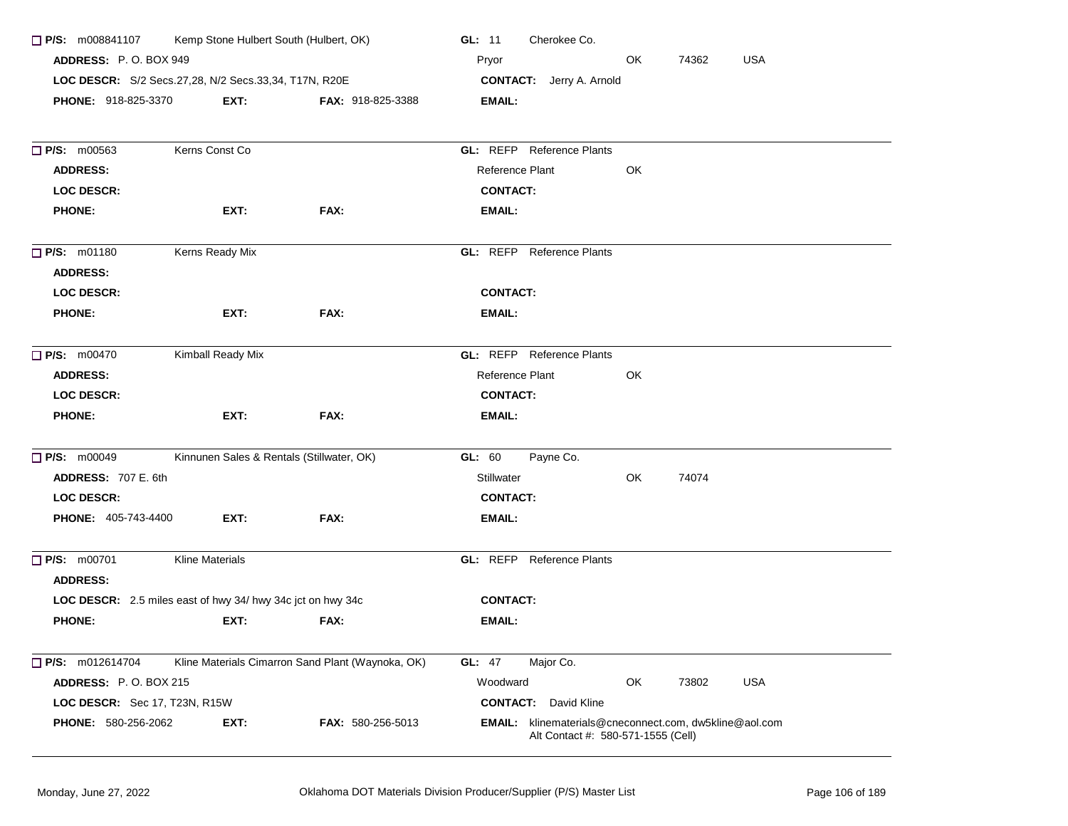| Kemp Stone Hulbert South (Hulbert, OK)<br>$\Box$ P/S: m008841107 |                                           |                                                   | Cherokee Co.<br>GL: $11$                                                                     |  |  |  |  |
|------------------------------------------------------------------|-------------------------------------------|---------------------------------------------------|----------------------------------------------------------------------------------------------|--|--|--|--|
| <b>ADDRESS: P.O. BOX 949</b>                                     |                                           |                                                   | OK<br>74362<br><b>USA</b><br>Pryor                                                           |  |  |  |  |
| LOC DESCR: S/2 Secs.27,28, N/2 Secs.33,34, T17N, R20E            |                                           |                                                   | <b>CONTACT:</b> Jerry A. Arnold                                                              |  |  |  |  |
| <b>PHONE: 918-825-3370</b>                                       | EXT:                                      | <b>FAX: 918-825-3388</b>                          | <b>EMAIL:</b>                                                                                |  |  |  |  |
| $\Box$ P/S: m00563                                               | Kerns Const Co                            |                                                   | <b>GL: REFP</b> Reference Plants                                                             |  |  |  |  |
| <b>ADDRESS:</b>                                                  |                                           |                                                   | Reference Plant<br>OK                                                                        |  |  |  |  |
| <b>LOC DESCR:</b>                                                |                                           |                                                   | <b>CONTACT:</b>                                                                              |  |  |  |  |
| <b>PHONE:</b>                                                    | EXT:                                      | FAX:                                              | <b>EMAIL:</b>                                                                                |  |  |  |  |
| <b>P/S: m01180</b><br><b>ADDRESS:</b>                            | Kerns Ready Mix                           |                                                   | <b>GL:</b> REFP Reference Plants                                                             |  |  |  |  |
| <b>LOC DESCR:</b>                                                |                                           |                                                   | <b>CONTACT:</b>                                                                              |  |  |  |  |
| <b>PHONE:</b>                                                    | EXT:                                      | FAX:                                              | EMAIL:                                                                                       |  |  |  |  |
| <b>P/S: m00470</b>                                               | Kimball Ready Mix                         |                                                   | <b>GL:</b> REFP Reference Plants                                                             |  |  |  |  |
| <b>ADDRESS:</b>                                                  |                                           |                                                   | OK<br>Reference Plant                                                                        |  |  |  |  |
| <b>LOC DESCR:</b>                                                |                                           |                                                   | <b>CONTACT:</b>                                                                              |  |  |  |  |
| <b>PHONE:</b>                                                    | EXT:                                      | FAX:                                              | EMAIL:                                                                                       |  |  |  |  |
| $\Box$ P/S: $m00049$                                             | Kinnunen Sales & Rentals (Stillwater, OK) |                                                   | GL: 60<br>Payne Co.                                                                          |  |  |  |  |
| <b>ADDRESS: 707 E. 6th</b>                                       |                                           |                                                   | <b>Stillwater</b><br>OK<br>74074                                                             |  |  |  |  |
| <b>LOC DESCR:</b>                                                |                                           |                                                   | <b>CONTACT:</b>                                                                              |  |  |  |  |
| <b>PHONE: 405-743-4400</b>                                       | EXT:                                      | FAX:                                              | <b>EMAIL:</b>                                                                                |  |  |  |  |
| P/S: m00701<br><b>ADDRESS:</b>                                   | <b>Kline Materials</b>                    |                                                   | <b>GL:</b> REFP Reference Plants                                                             |  |  |  |  |
| LOC DESCR: 2.5 miles east of hwy 34/ hwy 34c jct on hwy 34c      |                                           |                                                   | <b>CONTACT:</b>                                                                              |  |  |  |  |
| <b>PHONE:</b>                                                    | EXT:                                      | FAX:                                              | EMAIL:                                                                                       |  |  |  |  |
| <b>P/S:</b> m012614704                                           |                                           | Kline Materials Cimarron Sand Plant (Waynoka, OK) | <b>GL: 47</b><br>Major Co.                                                                   |  |  |  |  |
| <b>ADDRESS: P.O. BOX 215</b>                                     |                                           |                                                   | OK<br><b>USA</b><br>Woodward<br>73802                                                        |  |  |  |  |
| LOC DESCR: Sec 17, T23N, R15W                                    |                                           |                                                   | <b>CONTACT:</b><br>David Kline                                                               |  |  |  |  |
| PHONE: 580-256-2062                                              | EXT:                                      | FAX: 580-256-5013                                 | EMAIL: klinematerials@cneconnect.com, dw5kline@aol.com<br>Alt Contact #: 580-571-1555 (Cell) |  |  |  |  |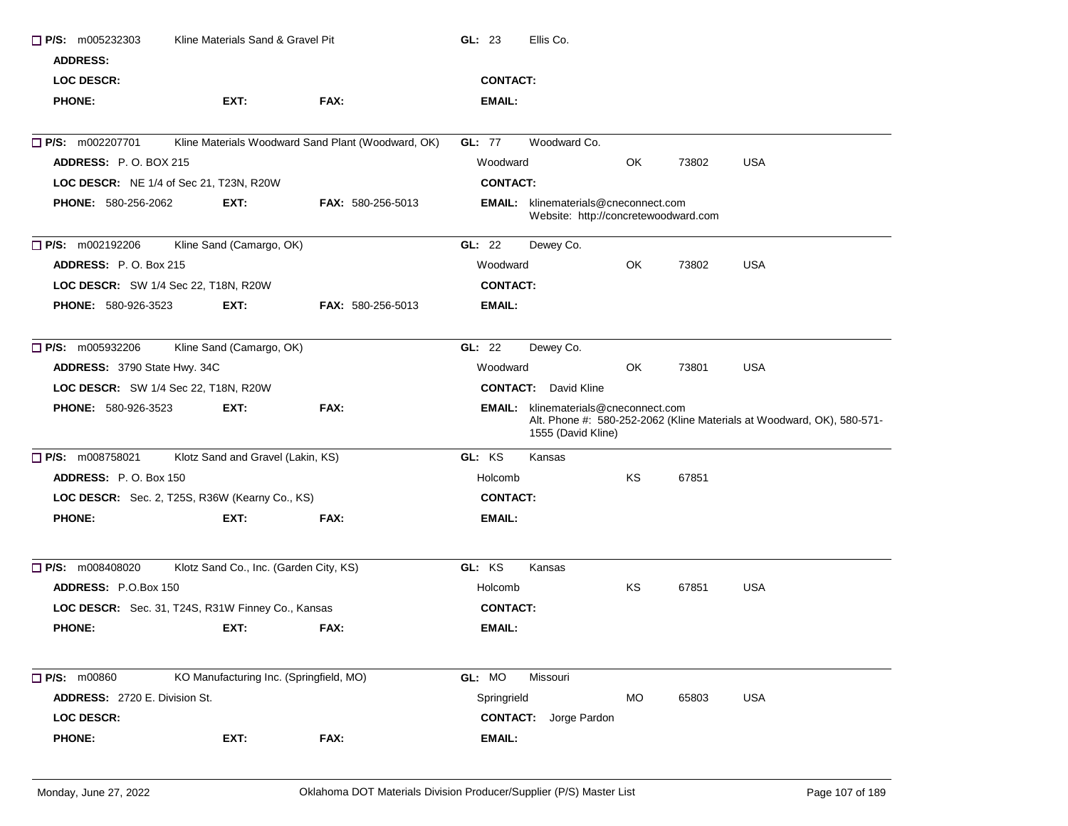| $\Box$ P/S: m005232303<br><b>ADDRESS:</b><br><b>LOC DESCR:</b> | Kline Materials Sand & Gravel Pit                 |                                                    | GL: 23<br>Ellis Co.<br><b>CONTACT:</b>                                              |           |       |                                                                        |  |
|----------------------------------------------------------------|---------------------------------------------------|----------------------------------------------------|-------------------------------------------------------------------------------------|-----------|-------|------------------------------------------------------------------------|--|
| <b>PHONE:</b>                                                  | EXT:                                              | FAX:                                               | <b>EMAIL:</b>                                                                       |           |       |                                                                        |  |
| <b>D</b> P/S: m002207701                                       |                                                   | Kline Materials Woodward Sand Plant (Woodward, OK) | GL: 77<br>Woodward Co.                                                              |           |       |                                                                        |  |
| <b>ADDRESS: P.O. BOX 215</b>                                   |                                                   |                                                    | Woodward                                                                            | OK.       | 73802 | <b>USA</b>                                                             |  |
|                                                                | LOC DESCR: NE 1/4 of Sec 21, T23N, R20W           |                                                    | <b>CONTACT:</b>                                                                     |           |       |                                                                        |  |
| <b>PHONE: 580-256-2062</b>                                     | EXT:                                              | <b>FAX: 580-256-5013</b>                           | <b>EMAIL:</b> klinematerials@cneconnect.com<br>Website: http://concretewoodward.com |           |       |                                                                        |  |
| $\Box$ P/S: m002192206                                         | Kline Sand (Camargo, OK)                          |                                                    | Dewey Co.<br>GL: $22$                                                               |           |       |                                                                        |  |
| ADDRESS: P.O. Box 215                                          |                                                   |                                                    | Woodward                                                                            | OK        | 73802 | <b>USA</b>                                                             |  |
| LOC DESCR: SW 1/4 Sec 22, T18N, R20W                           |                                                   |                                                    | <b>CONTACT:</b>                                                                     |           |       |                                                                        |  |
| <b>PHONE: 580-926-3523</b>                                     | EXT:                                              | <b>FAX: 580-256-5013</b>                           | <b>EMAIL:</b>                                                                       |           |       |                                                                        |  |
| $\Box$ P/S: m005932206                                         | Kline Sand (Camargo, OK)                          |                                                    | GL: 22<br>Dewey Co.                                                                 |           |       |                                                                        |  |
| ADDRESS: 3790 State Hwy. 34C                                   |                                                   |                                                    | Woodward                                                                            | OK        | 73801 | <b>USA</b>                                                             |  |
| LOC DESCR: SW 1/4 Sec 22, T18N, R20W                           |                                                   |                                                    | <b>CONTACT:</b> David Kline                                                         |           |       |                                                                        |  |
| <b>PHONE: 580-926-3523</b>                                     | EXT:                                              | FAX:                                               | <b>EMAIL:</b> klinematerials@cneconnect.com<br>1555 (David Kline)                   |           |       | Alt. Phone #: 580-252-2062 (Kline Materials at Woodward, OK), 580-571- |  |
| <b>P/S:</b> m008758021                                         | Klotz Sand and Gravel (Lakin, KS)                 |                                                    | GL: KS<br>Kansas                                                                    |           |       |                                                                        |  |
| <b>ADDRESS: P.O. Box 150</b>                                   |                                                   |                                                    | Holcomb                                                                             | <b>KS</b> | 67851 |                                                                        |  |
|                                                                | LOC DESCR: Sec. 2, T25S, R36W (Kearny Co., KS)    |                                                    | <b>CONTACT:</b>                                                                     |           |       |                                                                        |  |
| <b>PHONE:</b>                                                  | EXT:                                              | FAX:                                               | EMAIL:                                                                              |           |       |                                                                        |  |
| <b>P/S:</b> m008408020                                         | Klotz Sand Co., Inc. (Garden City, KS)            |                                                    | GL: KS<br>Kansas                                                                    |           |       |                                                                        |  |
| <b>ADDRESS: P.O.Box 150</b>                                    |                                                   |                                                    | Holcomb                                                                             | KS        | 67851 | <b>USA</b>                                                             |  |
|                                                                | LOC DESCR: Sec. 31, T24S, R31W Finney Co., Kansas |                                                    | <b>CONTACT:</b>                                                                     |           |       |                                                                        |  |
| <b>PHONE:</b>                                                  | EXT.                                              | FAX:                                               | EMAIL:                                                                              |           |       |                                                                        |  |
|                                                                |                                                   |                                                    |                                                                                     |           |       |                                                                        |  |
| <b>P/S: m00860</b>                                             |                                                   |                                                    |                                                                                     |           |       |                                                                        |  |
|                                                                | KO Manufacturing Inc. (Springfield, MO)           |                                                    | GL: MO<br>Missouri                                                                  |           |       |                                                                        |  |
| ADDRESS: 2720 E. Division St.                                  |                                                   |                                                    | Springrield                                                                         | MO        | 65803 | <b>USA</b>                                                             |  |
| <b>LOC DESCR:</b>                                              |                                                   |                                                    | <b>CONTACT:</b><br>Jorge Pardon                                                     |           |       |                                                                        |  |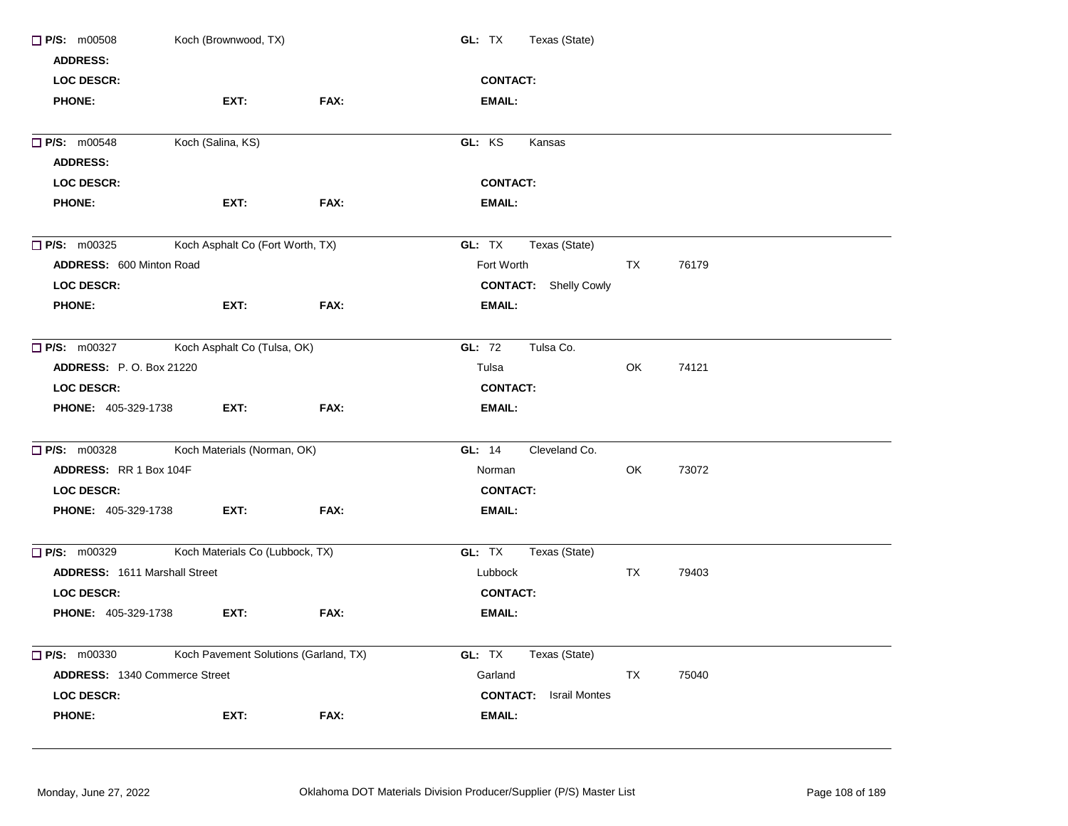| $\Box$ P/S: m00508<br>Koch (Brownwood, TX)        |                                       |      | GL: TX<br>Texas (State)       |  |  |  |
|---------------------------------------------------|---------------------------------------|------|-------------------------------|--|--|--|
| <b>ADDRESS:</b>                                   |                                       |      |                               |  |  |  |
| <b>LOC DESCR:</b>                                 |                                       |      | <b>CONTACT:</b>               |  |  |  |
| <b>PHONE:</b>                                     | EXT:                                  | FAX: | <b>EMAIL:</b>                 |  |  |  |
|                                                   | Koch (Salina, KS)                     |      |                               |  |  |  |
| $P/S:$ m00548                                     |                                       |      | GL: KS<br>Kansas              |  |  |  |
| <b>ADDRESS:</b>                                   |                                       |      |                               |  |  |  |
| <b>LOC DESCR:</b>                                 |                                       |      | <b>CONTACT:</b>               |  |  |  |
| <b>PHONE:</b>                                     | EXT:                                  | FAX: | <b>EMAIL:</b>                 |  |  |  |
| $\Box$ P/S: m00325                                | Koch Asphalt Co (Fort Worth, TX)      |      | GL: TX<br>Texas (State)       |  |  |  |
| ADDRESS: 600 Minton Road                          |                                       |      | Fort Worth<br>TX<br>76179     |  |  |  |
| <b>LOC DESCR:</b>                                 |                                       |      | <b>CONTACT:</b> Shelly Cowly  |  |  |  |
| <b>PHONE:</b>                                     | EXT:                                  | FAX: | <b>EMAIL:</b>                 |  |  |  |
|                                                   |                                       |      |                               |  |  |  |
| Koch Asphalt Co (Tulsa, OK)<br>$\Box$ P/S: m00327 |                                       |      | GL: 72<br>Tulsa Co.           |  |  |  |
| <b>ADDRESS: P.O. Box 21220</b>                    |                                       |      | Tulsa<br>OK<br>74121          |  |  |  |
| <b>LOC DESCR:</b>                                 |                                       |      | <b>CONTACT:</b>               |  |  |  |
| <b>PHONE: 405-329-1738</b>                        | EXT:                                  | FAX: | <b>EMAIL:</b>                 |  |  |  |
| $\Box$ P/S: m00328                                | Koch Materials (Norman, OK)           |      | GL: 14<br>Cleveland Co.       |  |  |  |
| ADDRESS: RR 1 Box 104F                            |                                       |      | Norman<br>OK<br>73072         |  |  |  |
| <b>LOC DESCR:</b>                                 |                                       |      | <b>CONTACT:</b>               |  |  |  |
| <b>PHONE: 405-329-1738</b>                        | EXT:                                  | FAX: | <b>EMAIL:</b>                 |  |  |  |
|                                                   |                                       |      |                               |  |  |  |
| P/S: m00329                                       | Koch Materials Co (Lubbock, TX)       |      | GL: TX<br>Texas (State)       |  |  |  |
| <b>ADDRESS: 1611 Marshall Street</b>              |                                       |      | <b>TX</b><br>Lubbock<br>79403 |  |  |  |
| LOC DESCR:                                        |                                       |      | <b>CONTACT:</b>               |  |  |  |
| <b>PHONE: 405-329-1738</b>                        | EXT:                                  | FAX: | <b>EMAIL:</b>                 |  |  |  |
|                                                   |                                       |      |                               |  |  |  |
| $\Box$ P/S: m00330                                | Koch Pavement Solutions (Garland, TX) |      | GL: TX<br>Texas (State)       |  |  |  |
| ADDRESS: 1340 Commerce Street                     |                                       |      | Garland<br>TX<br>75040        |  |  |  |
| <b>LOC DESCR:</b>                                 |                                       |      | <b>CONTACT:</b> Israil Montes |  |  |  |
| <b>PHONE:</b>                                     | EXT:                                  | FAX: | <b>EMAIL:</b>                 |  |  |  |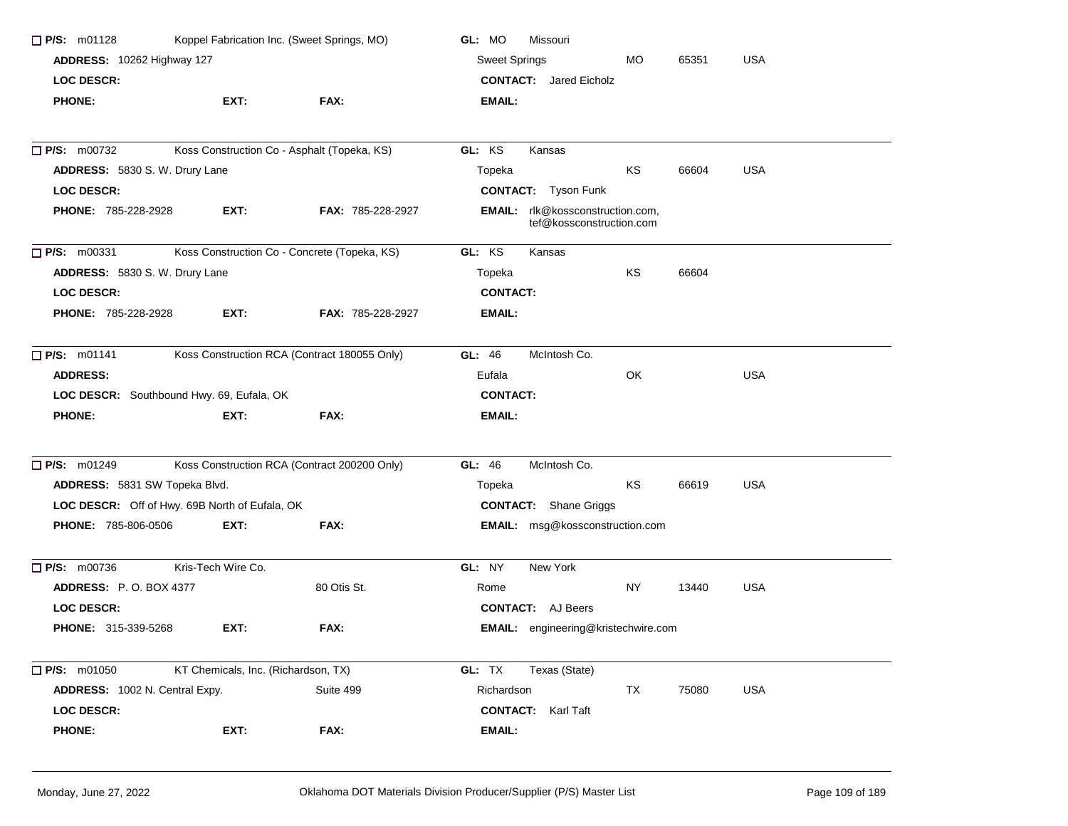| $\Box$ P/S: m01128                             |                                     | Koppel Fabrication Inc. (Sweet Springs, MO)  | GL: MO<br>Missouri                                           |  |  |  |  |
|------------------------------------------------|-------------------------------------|----------------------------------------------|--------------------------------------------------------------|--|--|--|--|
| ADDRESS: 10262 Highway 127                     |                                     |                                              | <b>Sweet Springs</b><br><b>MO</b><br>65351<br><b>USA</b>     |  |  |  |  |
| <b>LOC DESCR:</b>                              |                                     |                                              | <b>CONTACT:</b> Jared Eicholz                                |  |  |  |  |
| <b>PHONE:</b>                                  | EXT:                                | FAX:                                         | EMAIL:                                                       |  |  |  |  |
|                                                |                                     |                                              |                                                              |  |  |  |  |
| $\Box$ P/S: m00732                             |                                     | Koss Construction Co - Asphalt (Topeka, KS)  | GL: KS<br>Kansas                                             |  |  |  |  |
| ADDRESS: 5830 S. W. Drury Lane                 |                                     |                                              | KS<br>66604<br><b>USA</b><br>Topeka                          |  |  |  |  |
| <b>LOC DESCR:</b>                              |                                     |                                              | <b>CONTACT:</b> Tyson Funk                                   |  |  |  |  |
| <b>PHONE: 785-228-2928</b>                     | EXT:                                | FAX: 785-228-2927                            | EMAIL: rlk@kossconstruction.com,<br>tef@kossconstruction.com |  |  |  |  |
| $\Box$ P/S: m00331                             |                                     | Koss Construction Co - Concrete (Topeka, KS) | GL: KS<br>Kansas                                             |  |  |  |  |
| ADDRESS: 5830 S. W. Drury Lane                 |                                     |                                              | KS<br>66604<br>Topeka                                        |  |  |  |  |
| <b>LOC DESCR:</b>                              |                                     |                                              | <b>CONTACT:</b>                                              |  |  |  |  |
| <b>PHONE: 785-228-2928</b>                     | EXT:                                | <b>FAX: 785-228-2927</b>                     | EMAIL:                                                       |  |  |  |  |
| $\Box$ P/S: m01141                             |                                     | Koss Construction RCA (Contract 180055 Only) | GL: 46<br>McIntosh Co.                                       |  |  |  |  |
| <b>ADDRESS:</b>                                |                                     |                                              | <b>USA</b><br>OK<br>Eufala                                   |  |  |  |  |
| LOC DESCR: Southbound Hwy. 69, Eufala, OK      |                                     |                                              | <b>CONTACT:</b>                                              |  |  |  |  |
| <b>PHONE:</b>                                  | EXT:                                | FAX:                                         | <b>EMAIL:</b>                                                |  |  |  |  |
| $\Box$ P/S: m01249                             |                                     | Koss Construction RCA (Contract 200200 Only) | McIntosh Co.<br>GL: 46                                       |  |  |  |  |
| ADDRESS: 5831 SW Topeka Blvd.                  |                                     |                                              | ΚS<br>66619<br><b>USA</b><br>Topeka                          |  |  |  |  |
| LOC DESCR: Off of Hwy. 69B North of Eufala, OK |                                     |                                              | <b>CONTACT:</b> Shane Griggs                                 |  |  |  |  |
| PHONE: 785-806-0506                            | EXT:                                | FAX:                                         | EMAIL: msg@kossconstruction.com                              |  |  |  |  |
| $\Box$ P/S: m00736                             | Kris-Tech Wire Co.                  |                                              | GL: NY<br>New York                                           |  |  |  |  |
| <b>ADDRESS: P.O. BOX 4377</b>                  |                                     | 80 Otis St.                                  | NY<br>USA<br>Rome<br>13440                                   |  |  |  |  |
| <b>LOC DESCR:</b>                              |                                     |                                              | <b>CONTACT:</b> AJ Beers                                     |  |  |  |  |
| <b>PHONE: 315-339-5268</b>                     | EXT:                                | FAX:                                         | EMAIL: engineering@kristechwire.com                          |  |  |  |  |
| $\Box$ P/S: m01050                             | KT Chemicals, Inc. (Richardson, TX) |                                              | GL: TX<br>Texas (State)                                      |  |  |  |  |
| ADDRESS: 1002 N. Central Expy.                 |                                     | Suite 499                                    | <b>USA</b><br>Richardson<br>TX<br>75080                      |  |  |  |  |
| <b>LOC DESCR:</b>                              |                                     |                                              | <b>CONTACT:</b><br>Karl Taft                                 |  |  |  |  |
| <b>PHONE:</b>                                  | EXT:                                | FAX:                                         | <b>EMAIL:</b>                                                |  |  |  |  |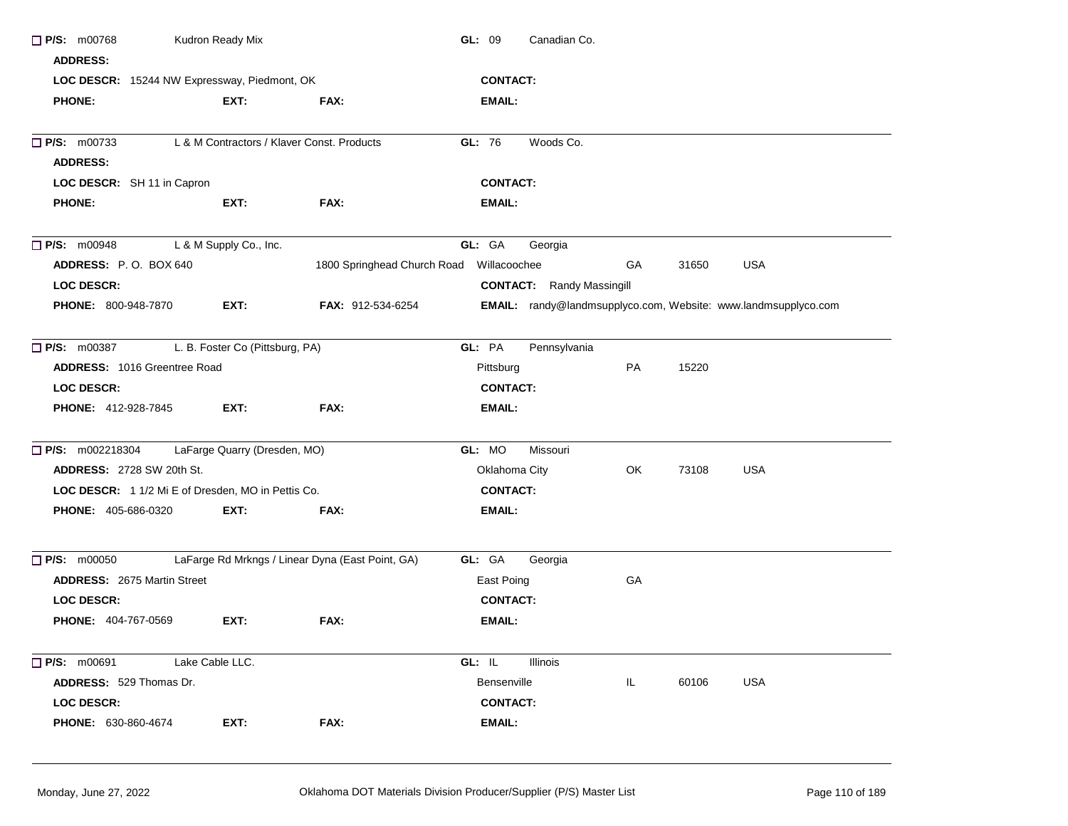| $\Box$ P/S: m00768<br><b>ADDRESS:</b>               | Kudron Ready Mix                           |                                                  | GL: 09<br>Canadian Co.                                                |  |
|-----------------------------------------------------|--------------------------------------------|--------------------------------------------------|-----------------------------------------------------------------------|--|
| LOC DESCR: 15244 NW Expressway, Piedmont, OK        |                                            |                                                  | <b>CONTACT:</b>                                                       |  |
| <b>PHONE:</b>                                       | EXT:                                       | FAX:                                             | EMAIL:                                                                |  |
| $\Box$ P/S: m00733                                  | L & M Contractors / Klaver Const. Products |                                                  | GL: 76<br>Woods Co.                                                   |  |
| <b>ADDRESS:</b>                                     |                                            |                                                  |                                                                       |  |
| LOC DESCR: SH 11 in Capron                          |                                            |                                                  | <b>CONTACT:</b>                                                       |  |
| <b>PHONE:</b>                                       | EXT:                                       | FAX:                                             | <b>EMAIL:</b>                                                         |  |
| $\Box$ P/S: m00948                                  | L & M Supply Co., Inc.                     |                                                  | GL: GA<br>Georgia                                                     |  |
| ADDRESS: P.O. BOX 640                               |                                            | 1800 Springhead Church Road Willacoochee         | <b>USA</b><br>GA<br>31650                                             |  |
| <b>LOC DESCR:</b>                                   |                                            |                                                  | <b>CONTACT:</b> Randy Massingill                                      |  |
| <b>PHONE: 800-948-7870</b>                          | EXT:                                       | FAX: 912-534-6254                                | <b>EMAIL:</b> randy@landmsupplyco.com, Website: www.landmsupplyco.com |  |
| $\Box$ P/S: m00387                                  | L. B. Foster Co (Pittsburg, PA)            |                                                  | GL: PA<br>Pennsylvania                                                |  |
| <b>ADDRESS: 1016 Greentree Road</b>                 |                                            |                                                  | Pittsburg<br>PA<br>15220                                              |  |
| <b>LOC DESCR:</b>                                   |                                            |                                                  | <b>CONTACT:</b>                                                       |  |
| PHONE: 412-928-7845                                 | EXT:                                       | FAX:                                             | EMAIL:                                                                |  |
| <b>P/S:</b> m002218304 LaFarge Quarry (Dresden, MO) |                                            |                                                  | GL: MO<br>Missouri                                                    |  |
| <b>ADDRESS: 2728 SW 20th St.</b>                    |                                            |                                                  | Oklahoma City<br>OK.<br>73108<br>USA                                  |  |
| LOC DESCR: 1 1/2 Mi E of Dresden, MO in Pettis Co.  |                                            |                                                  | <b>CONTACT:</b>                                                       |  |
| <b>PHONE: 405-686-0320</b>                          | EXT:                                       | FAX:                                             | <b>EMAIL:</b>                                                         |  |
| $\Box$ P/S: m00050                                  |                                            | LaFarge Rd Mrkngs / Linear Dyna (East Point, GA) | GL: GA<br>Georgia                                                     |  |
| <b>ADDRESS: 2675 Martin Street</b>                  |                                            |                                                  | GA<br>East Poing                                                      |  |
| LOC DESCR:                                          |                                            |                                                  | <b>CONTACT:</b>                                                       |  |
| <b>PHONE: 404-767-0569</b>                          | EXT:                                       | FAX:                                             | <b>EMAIL:</b>                                                         |  |
| $\Box$ P/S: $m00691$                                | Lake Cable LLC.                            |                                                  | GL: IL<br>Illinois                                                    |  |
| <b>ADDRESS: 529 Thomas Dr.</b>                      |                                            |                                                  | IL<br>60106<br><b>USA</b><br><b>Bensenville</b>                       |  |
| <b>LOC DESCR:</b>                                   |                                            |                                                  | <b>CONTACT:</b>                                                       |  |
| <b>PHONE: 630-860-4674</b>                          | EXT:                                       | FAX:                                             | EMAIL:                                                                |  |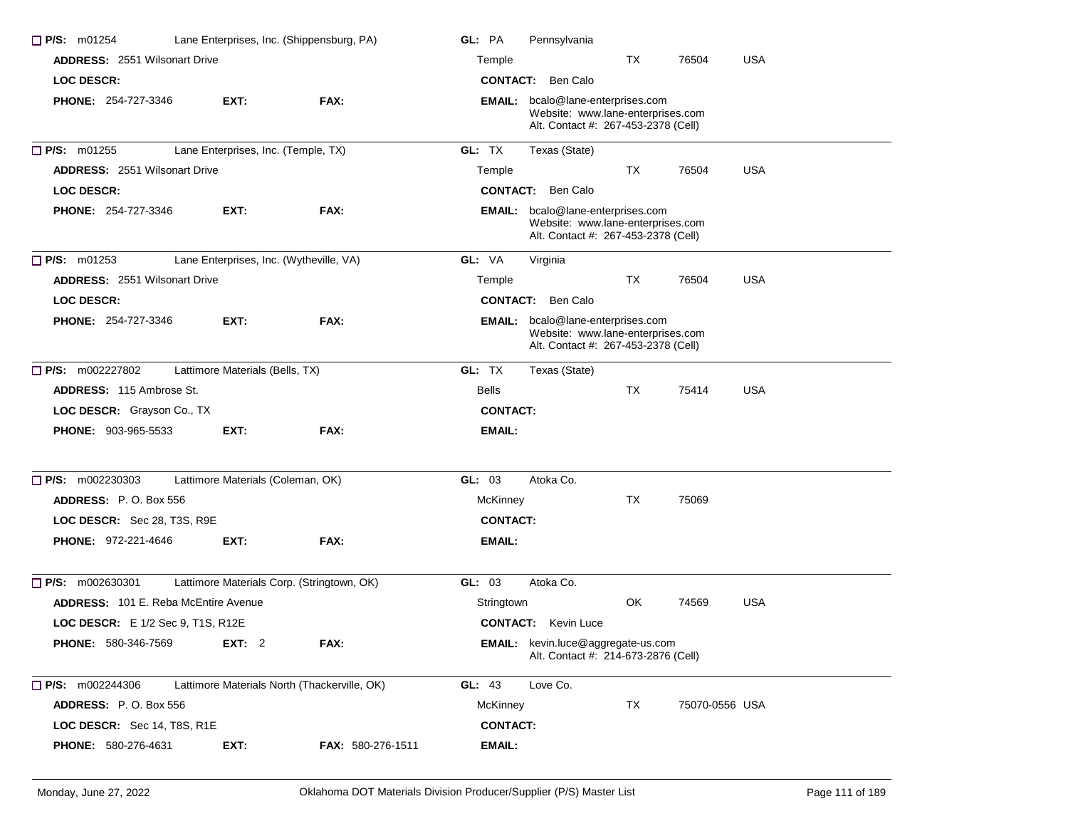| $\Box$ P/S: m01254                          | Lane Enterprises, Inc. (Shippensburg, PA)    |                   | GL: PA          | Pennsylvania                                                                                                  |    |                |            |
|---------------------------------------------|----------------------------------------------|-------------------|-----------------|---------------------------------------------------------------------------------------------------------------|----|----------------|------------|
| <b>ADDRESS: 2551 Wilsonart Drive</b>        |                                              |                   | Temple          |                                                                                                               | TX | 76504          | <b>USA</b> |
| <b>LOC DESCR:</b>                           |                                              |                   |                 | <b>CONTACT:</b> Ben Calo                                                                                      |    |                |            |
| <b>PHONE: 254-727-3346</b>                  | EXT:                                         | FAX:              |                 | EMAIL: bcalo@lane-enterprises.com<br>Website: www.lane-enterprises.com<br>Alt. Contact #: 267-453-2378 (Cell) |    |                |            |
| $\Box$ P/S: m01255                          | Lane Enterprises, Inc. (Temple, TX)          |                   | GL: TX          | Texas (State)                                                                                                 |    |                |            |
| <b>ADDRESS: 2551 Wilsonart Drive</b>        |                                              |                   | Temple          |                                                                                                               | TX | 76504          | <b>USA</b> |
| <b>LOC DESCR:</b>                           |                                              |                   |                 | <b>CONTACT:</b> Ben Calo                                                                                      |    |                |            |
| <b>PHONE: 254-727-3346</b>                  | EXT.                                         | FAX:              |                 | EMAIL: bcalo@lane-enterprises.com<br>Website: www.lane-enterprises.com<br>Alt. Contact #: 267-453-2378 (Cell) |    |                |            |
| $\Box$ P/S: m01253                          | Lane Enterprises, Inc. (Wytheville, VA)      |                   | GL: VA          | Virginia                                                                                                      |    |                |            |
| <b>ADDRESS: 2551 Wilsonart Drive</b>        |                                              |                   | Temple          |                                                                                                               | TX | 76504          | <b>USA</b> |
| <b>LOC DESCR:</b>                           |                                              |                   |                 | <b>CONTACT:</b> Ben Calo                                                                                      |    |                |            |
| <b>PHONE: 254-727-3346</b>                  | EXT:                                         | FAX:              | EMAIL:          | bcalo@lane-enterprises.com<br>Website: www.lane-enterprises.com<br>Alt. Contact #: 267-453-2378 (Cell)        |    |                |            |
| $\Box$ P/S: m002227802                      | Lattimore Materials (Bells, TX)              |                   | GL: TX          | Texas (State)                                                                                                 |    |                |            |
| <b>ADDRESS: 115 Ambrose St.</b>             |                                              |                   | <b>Bells</b>    |                                                                                                               | TX | 75414          | USA        |
| LOC DESCR: Grayson Co., TX                  |                                              |                   | <b>CONTACT:</b> |                                                                                                               |    |                |            |
| <b>PHONE: 903-965-5533</b>                  | EXT.                                         | FAX:              | EMAIL:          |                                                                                                               |    |                |            |
| $\Box$ P/S: m002230303                      | Lattimore Materials (Coleman, OK)            |                   | GL: 03          | Atoka Co.                                                                                                     |    |                |            |
| ADDRESS: P.O. Box 556                       |                                              |                   | McKinney        |                                                                                                               | TX | 75069          |            |
| LOC DESCR: Sec 28, T3S, R9E                 |                                              |                   | <b>CONTACT:</b> |                                                                                                               |    |                |            |
| PHONE: 972-221-4646                         | EXT:                                         | FAX:              | EMAIL:          |                                                                                                               |    |                |            |
| $\Box$ P/S: m002630301                      | Lattimore Materials Corp. (Stringtown, OK)   |                   | GL: 03          | Atoka Co.                                                                                                     |    |                |            |
| <b>ADDRESS:</b> 101 E. Reba McEntire Avenue |                                              |                   | Stringtown      |                                                                                                               | OK | 74569          | <b>USA</b> |
| LOC DESCR: E 1/2 Sec 9, T1S, R12E           |                                              |                   |                 | <b>CONTACT:</b> Kevin Luce                                                                                    |    |                |            |
| <b>PHONE: 580-346-7569</b>                  | <b>EXT: 2</b>                                | FAX:              |                 | EMAIL: kevin.luce@aggregate-us.com<br>Alt. Contact #: 214-673-2876 (Cell)                                     |    |                |            |
| $\Box$ P/S: m002244306                      | Lattimore Materials North (Thackerville, OK) |                   | GL: 43          | Love Co.                                                                                                      |    |                |            |
| ADDRESS: P.O. Box 556                       |                                              |                   | McKinney        |                                                                                                               | TX | 75070-0556 USA |            |
| LOC DESCR: Sec 14, T8S, R1E                 |                                              |                   | <b>CONTACT:</b> |                                                                                                               |    |                |            |
| <b>PHONE: 580-276-4631</b>                  | EXT:                                         | FAX: 580-276-1511 | EMAIL:          |                                                                                                               |    |                |            |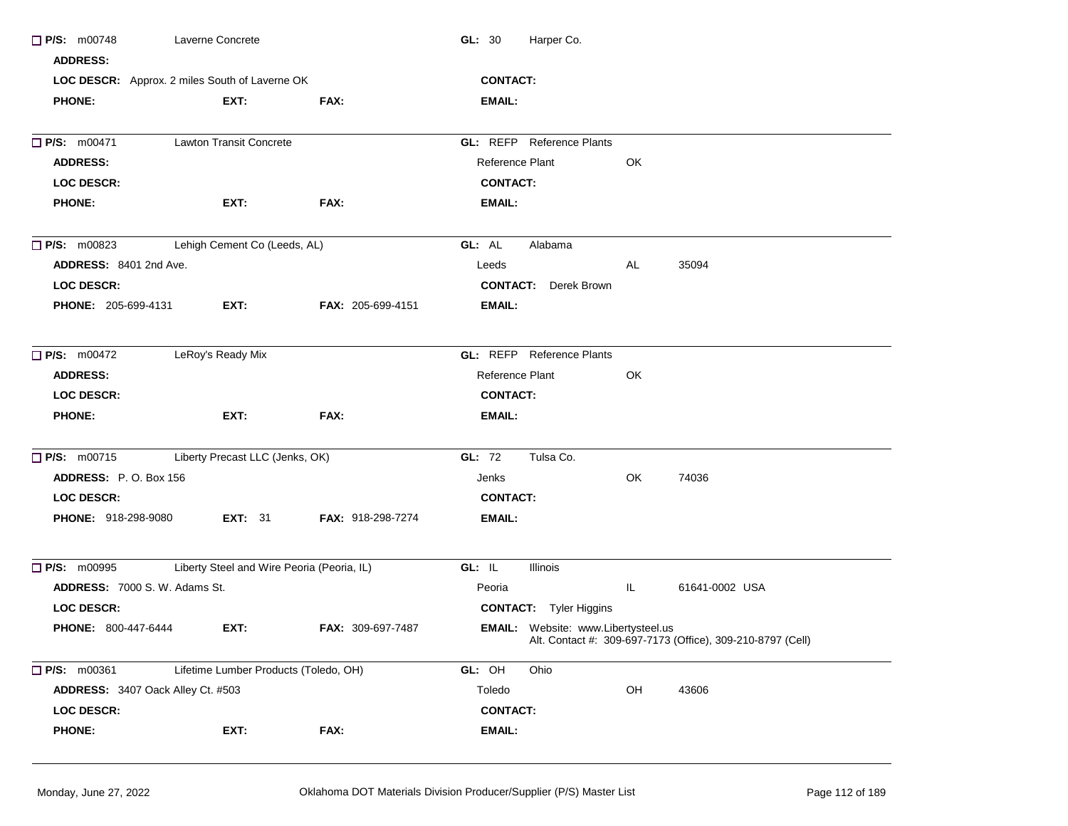| $\Box$ P/S: m00748                   | Laverne Concrete                               |                          | Harper Co.<br>GL: 30                       |     |                                                            |
|--------------------------------------|------------------------------------------------|--------------------------|--------------------------------------------|-----|------------------------------------------------------------|
| <b>ADDRESS:</b>                      |                                                |                          |                                            |     |                                                            |
|                                      | LOC DESCR: Approx. 2 miles South of Laverne OK |                          | <b>CONTACT:</b>                            |     |                                                            |
| <b>PHONE:</b>                        | EXT:                                           | FAX:                     | EMAIL:                                     |     |                                                            |
| <b>P/S: m00471</b>                   | <b>Lawton Transit Concrete</b>                 |                          | <b>GL:</b> REFP Reference Plants           |     |                                                            |
| <b>ADDRESS:</b>                      |                                                |                          | Reference Plant                            | OK  |                                                            |
| <b>LOC DESCR:</b>                    |                                                |                          | <b>CONTACT:</b>                            |     |                                                            |
| <b>PHONE:</b>                        | EXT:                                           | FAX:                     | <b>EMAIL:</b>                              |     |                                                            |
| $\Box$ P/S: m00823                   | Lehigh Cement Co (Leeds, AL)                   |                          | GL: AL<br>Alabama                          |     |                                                            |
| ADDRESS: 8401 2nd Ave.               |                                                |                          | Leeds                                      | AL  | 35094                                                      |
| <b>LOC DESCR:</b>                    |                                                |                          | <b>CONTACT:</b> Derek Brown                |     |                                                            |
| <b>PHONE: 205-699-4131</b>           | EXT.                                           | <b>FAX: 205-699-4151</b> | EMAIL:                                     |     |                                                            |
| $\Box$ P/S: m00472                   | LeRoy's Ready Mix                              |                          | <b>GL:</b> REFP Reference Plants           |     |                                                            |
| <b>ADDRESS:</b>                      |                                                |                          | Reference Plant                            | OK  |                                                            |
| <b>LOC DESCR:</b>                    |                                                |                          | <b>CONTACT:</b>                            |     |                                                            |
| <b>PHONE:</b>                        | EXT:                                           | FAX:                     | <b>EMAIL:</b>                              |     |                                                            |
| $\Box$ P/S: m00715                   | Liberty Precast LLC (Jenks, OK)                |                          | GL: 72<br>Tulsa Co.                        |     |                                                            |
| ADDRESS: P.O. Box 156                |                                                |                          | Jenks                                      | OK  | 74036                                                      |
| <b>LOC DESCR:</b>                    |                                                |                          | <b>CONTACT:</b>                            |     |                                                            |
| <b>PHONE: 918-298-9080</b>           | <b>EXT: 31</b>                                 | <b>FAX: 918-298-7274</b> | EMAIL:                                     |     |                                                            |
| $\Box$ P/S: m00995                   | Liberty Steel and Wire Peoria (Peoria, IL)     |                          | GL: IL<br>Illinois                         |     |                                                            |
| <b>ADDRESS: 7000 S. W. Adams St.</b> |                                                |                          | Peoria                                     | IL. | 61641-0002 USA                                             |
| <b>LOC DESCR:</b>                    |                                                |                          | <b>CONTACT:</b> Tyler Higgins              |     |                                                            |
| <b>PHONE: 800-447-6444</b>           | EXT:                                           | <b>FAX: 309-697-7487</b> | <b>EMAIL:</b> Website: www.Libertysteel.us |     | Alt. Contact #: 309-697-7173 (Office), 309-210-8797 (Cell) |
| P/S: m00361                          | Lifetime Lumber Products (Toledo, OH)          |                          | GL: OH<br>Ohio                             |     |                                                            |
| ADDRESS: 3407 Oack Alley Ct. #503    |                                                |                          | Toledo                                     | OH  | 43606                                                      |
| <b>LOC DESCR:</b>                    |                                                |                          | <b>CONTACT:</b>                            |     |                                                            |
| <b>PHONE:</b>                        | EXT:                                           | FAX:                     | EMAIL:                                     |     |                                                            |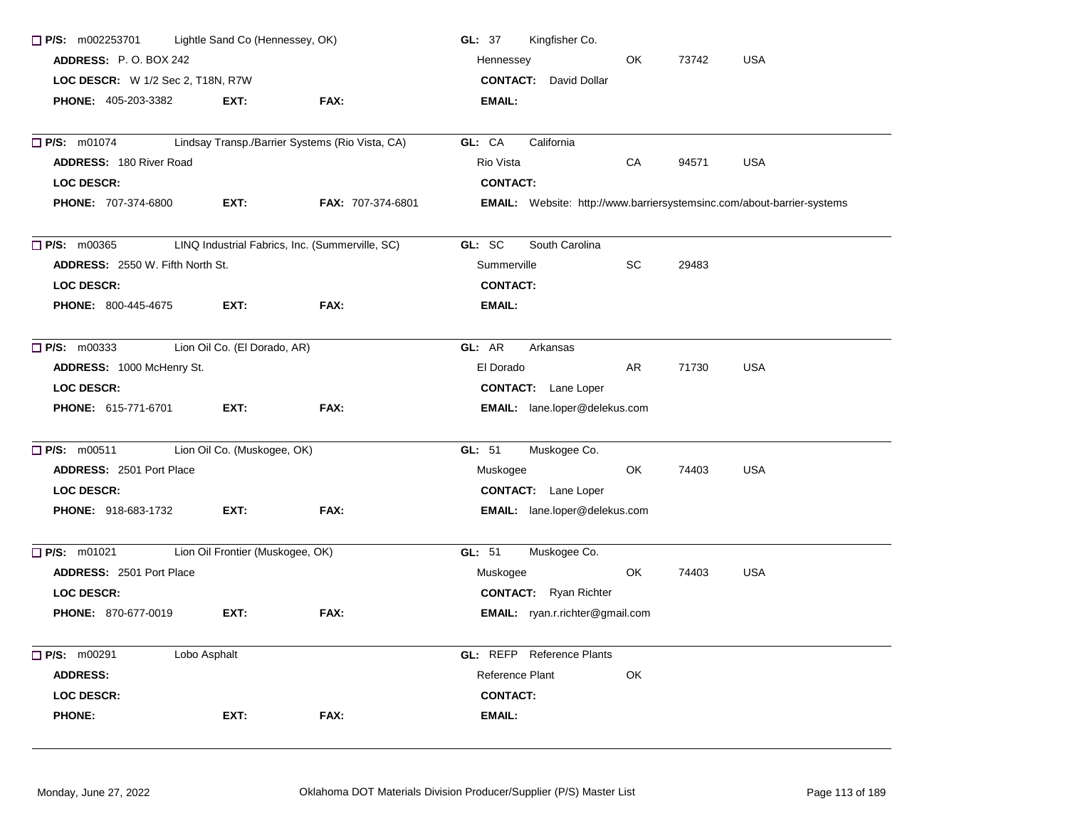| $\Box$ P/S: m002253701                  | Lightle Sand Co (Hennessey, OK)  |                                                 | Kingfisher Co.<br><b>GL: 37</b>                                               |
|-----------------------------------------|----------------------------------|-------------------------------------------------|-------------------------------------------------------------------------------|
| ADDRESS: P.O. BOX 242                   |                                  |                                                 | OK<br>73742<br><b>USA</b><br>Hennessey                                        |
| LOC DESCR: W 1/2 Sec 2, T18N, R7W       |                                  |                                                 | <b>CONTACT:</b><br>David Dollar                                               |
| <b>PHONE: 405-203-3382</b>              | EXT:                             | FAX:                                            | EMAIL:                                                                        |
| $P/S:$ m01074                           |                                  | Lindsay Transp./Barrier Systems (Rio Vista, CA) | GL: CA<br>California                                                          |
| <b>ADDRESS: 180 River Road</b>          |                                  |                                                 | Rio Vista<br>CA<br><b>USA</b><br>94571                                        |
| <b>LOC DESCR:</b>                       |                                  |                                                 | <b>CONTACT:</b>                                                               |
| <b>PHONE: 707-374-6800</b>              | EXT:                             | FAX: 707-374-6801                               | <b>EMAIL:</b> Website: http://www.barriersystemsinc.com/about-barrier-systems |
| P/S: m00365                             |                                  | LINQ Industrial Fabrics, Inc. (Summerville, SC) | GL: SC<br>South Carolina                                                      |
| <b>ADDRESS: 2550 W. Fifth North St.</b> |                                  |                                                 | Summerville<br>SC.<br>29483                                                   |
| <b>LOC DESCR:</b>                       |                                  |                                                 | <b>CONTACT:</b>                                                               |
| <b>PHONE: 800-445-4675</b>              | EXT:                             | FAX:                                            | EMAIL:                                                                        |
| $\Box$ P/S: m00333                      | Lion Oil Co. (El Dorado, AR)     |                                                 | GL: AR<br>Arkansas                                                            |
| ADDRESS: 1000 McHenry St.               |                                  |                                                 | El Dorado<br>AR<br>71730<br><b>USA</b>                                        |
| <b>LOC DESCR:</b>                       |                                  |                                                 | <b>CONTACT:</b> Lane Loper                                                    |
| <b>PHONE: 615-771-6701</b>              | EXT:                             | FAX:                                            | <b>EMAIL:</b> lane.loper@delekus.com                                          |
| $P/S:$ m00511                           | Lion Oil Co. (Muskogee, OK)      |                                                 | GL: 51<br>Muskogee Co.                                                        |
| <b>ADDRESS: 2501 Port Place</b>         |                                  |                                                 | OK<br>74403<br><b>USA</b><br>Muskogee                                         |
| <b>LOC DESCR:</b>                       |                                  |                                                 | <b>CONTACT:</b> Lane Loper                                                    |
| <b>PHONE: 918-683-1732</b>              | EXT:                             | FAX:                                            | <b>EMAIL:</b> lane.loper@delekus.com                                          |
| $\Box$ P/S: m01021                      | Lion Oil Frontier (Muskogee, OK) |                                                 | Muskogee Co.<br>GL: $51$                                                      |
| <b>ADDRESS: 2501 Port Place</b>         |                                  |                                                 | <b>USA</b><br>OK<br>74403<br>Muskogee                                         |
| <b>LOC DESCR:</b>                       |                                  |                                                 | <b>CONTACT:</b> Ryan Richter                                                  |
| <b>PHONE: 870-677-0019</b>              | EXT:                             | FAX:                                            | <b>EMAIL:</b> ryan.r.richter@gmail.com                                        |
| P/S: m00291<br>Lobo Asphalt             |                                  |                                                 | <b>GL:</b> REFP Reference Plants                                              |
| <b>ADDRESS:</b>                         |                                  |                                                 | Reference Plant<br>OK                                                         |
| <b>LOC DESCR:</b>                       |                                  |                                                 | <b>CONTACT:</b>                                                               |
| <b>PHONE:</b>                           | EXT:                             | FAX:                                            | <b>EMAIL:</b>                                                                 |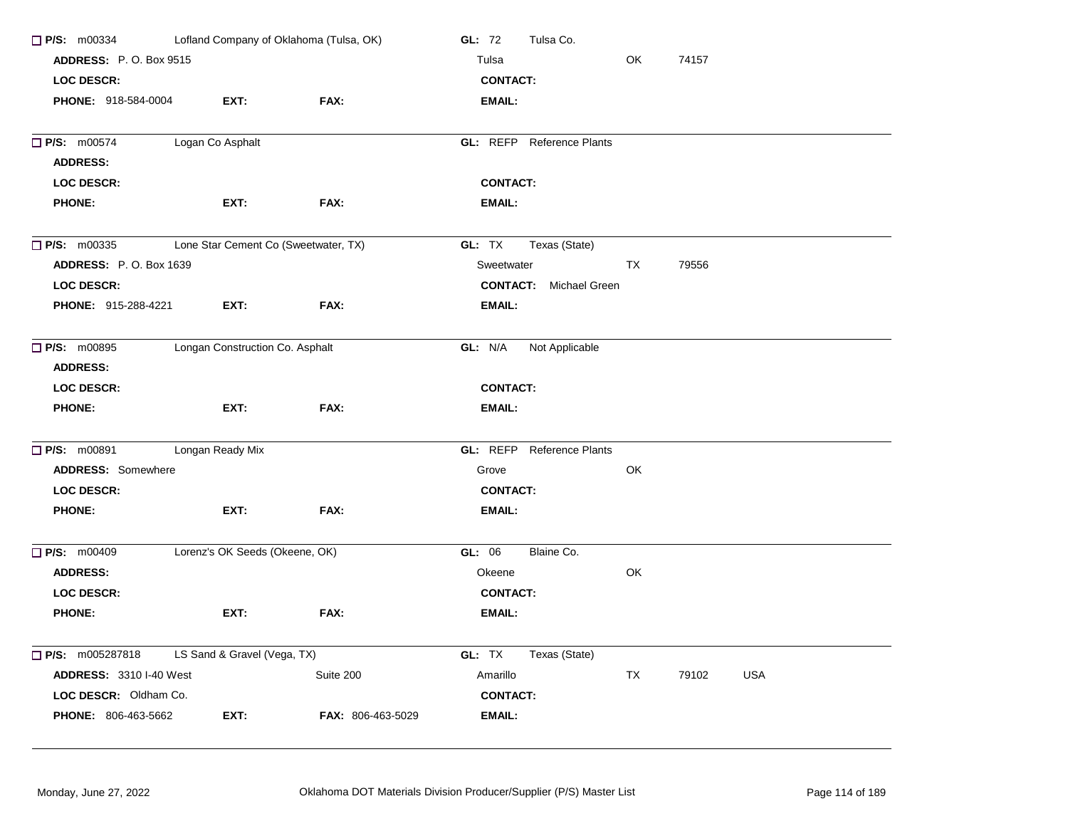| P/S: m00334                           | Lofland Company of Oklahoma (Tulsa, OK) |                   | Tulsa Co.<br>GL: 72                   |  |
|---------------------------------------|-----------------------------------------|-------------------|---------------------------------------|--|
| <b>ADDRESS: P.O. Box 9515</b>         |                                         |                   | OK<br>Tulsa<br>74157                  |  |
| <b>LOC DESCR:</b>                     |                                         |                   | <b>CONTACT:</b>                       |  |
| PHONE: 918-584-0004                   | EXT:                                    | FAX:              | <b>EMAIL:</b>                         |  |
| $\Box$ P/S: m00574                    | Logan Co Asphalt                        |                   | GL: REFP Reference Plants             |  |
| <b>ADDRESS:</b>                       |                                         |                   |                                       |  |
| <b>LOC DESCR:</b>                     |                                         |                   | <b>CONTACT:</b>                       |  |
| <b>PHONE:</b>                         | EXT:                                    | FAX:              | EMAIL:                                |  |
| $\Box$ P/S: m00335                    | Lone Star Cement Co (Sweetwater, TX)    |                   | GL: TX<br>Texas (State)               |  |
| <b>ADDRESS: P.O. Box 1639</b>         |                                         |                   | Sweetwater<br><b>TX</b><br>79556      |  |
| <b>LOC DESCR:</b>                     |                                         |                   | <b>CONTACT:</b> Michael Green         |  |
| PHONE: 915-288-4221                   | EXT:                                    | FAX:              | <b>EMAIL:</b>                         |  |
| $\Box$ P/S: m00895<br><b>ADDRESS:</b> | Longan Construction Co. Asphalt         |                   | GL: N/A<br>Not Applicable             |  |
| <b>LOC DESCR:</b>                     |                                         |                   | <b>CONTACT:</b>                       |  |
| <b>PHONE:</b>                         | EXT:                                    | FAX:              | EMAIL:                                |  |
| $\Box$ P/S: m00891                    | Longan Ready Mix                        |                   | GL: REFP Reference Plants             |  |
| <b>ADDRESS: Somewhere</b>             |                                         |                   | OK<br>Grove                           |  |
| <b>LOC DESCR:</b>                     |                                         |                   | <b>CONTACT:</b>                       |  |
| <b>PHONE:</b>                         | EXT:                                    | FAX:              | <b>EMAIL:</b>                         |  |
| $P/S:$ m00409                         | Lorenz's OK Seeds (Okeene, OK)          |                   | GL: 06<br>Blaine Co.                  |  |
| <b>ADDRESS:</b>                       |                                         |                   | OK<br>Okeene                          |  |
| <b>LOC DESCR:</b>                     |                                         |                   | <b>CONTACT:</b>                       |  |
| <b>PHONE:</b>                         | EXT:                                    | FAX:              | EMAIL:                                |  |
| $\Box$ P/S: m005287818                | LS Sand & Gravel (Vega, TX)             |                   | GL: TX<br>Texas (State)               |  |
| <b>ADDRESS: 3310 I-40 West</b>        |                                         | Suite 200         | TX<br><b>USA</b><br>Amarillo<br>79102 |  |
| LOC DESCR: Oldham Co.                 |                                         |                   | <b>CONTACT:</b>                       |  |
| PHONE: 806-463-5662                   | EXT:                                    | FAX: 806-463-5029 | <b>EMAIL:</b>                         |  |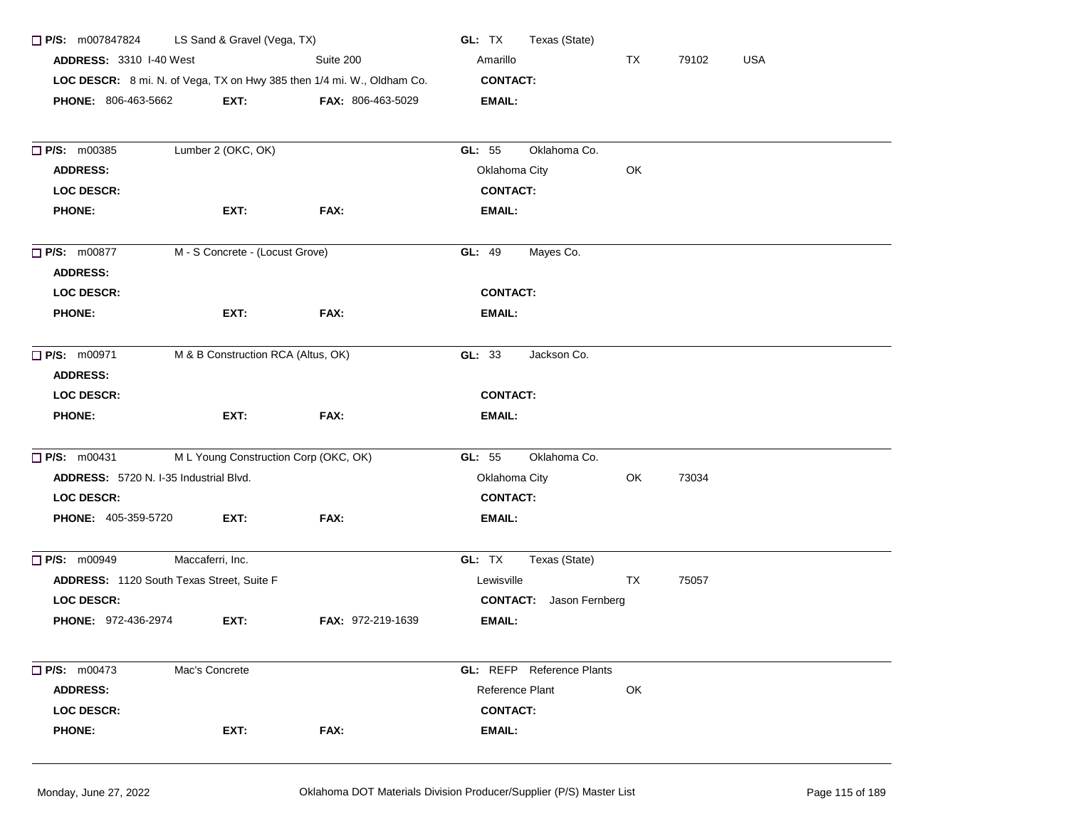| $\Box$ P/S: m007847824                    | LS Sand & Gravel (Vega, TX)           |                                                                        | Texas (State)<br>GL: TX               |
|-------------------------------------------|---------------------------------------|------------------------------------------------------------------------|---------------------------------------|
| <b>ADDRESS: 3310 I-40 West</b>            |                                       | Suite 200                                                              | <b>USA</b><br>Amarillo<br>TX<br>79102 |
|                                           |                                       | LOC DESCR: 8 mi. N. of Vega, TX on Hwy 385 then 1/4 mi. W., Oldham Co. | <b>CONTACT:</b>                       |
| PHONE: 806-463-5662                       | EXT:                                  | FAX: 806-463-5029                                                      | <b>EMAIL:</b>                         |
|                                           |                                       |                                                                        |                                       |
| <b>P/S: m00385</b>                        | Lumber 2 (OKC, OK)                    |                                                                        | GL: 55<br>Oklahoma Co.                |
| <b>ADDRESS:</b>                           |                                       |                                                                        | Oklahoma City<br>OK                   |
| <b>LOC DESCR:</b>                         |                                       |                                                                        | <b>CONTACT:</b>                       |
| <b>PHONE:</b>                             | EXT:                                  | FAX:                                                                   | <b>EMAIL:</b>                         |
| <b>P/S: m00877</b>                        | M - S Concrete - (Locust Grove)       |                                                                        | Mayes Co.<br>GL: 49                   |
| <b>ADDRESS:</b>                           |                                       |                                                                        |                                       |
| <b>LOC DESCR:</b>                         |                                       |                                                                        | <b>CONTACT:</b>                       |
| <b>PHONE:</b>                             | EXT:                                  | FAX:                                                                   | <b>EMAIL:</b>                         |
| <b>P/S:</b> m00971                        | M & B Construction RCA (Altus, OK)    |                                                                        | GL: 33<br>Jackson Co.                 |
| <b>ADDRESS:</b>                           |                                       |                                                                        |                                       |
| <b>LOC DESCR:</b>                         |                                       |                                                                        | <b>CONTACT:</b>                       |
| <b>PHONE:</b>                             | EXT:                                  | FAX:                                                                   | <b>EMAIL:</b>                         |
| <b>P/S: m00431</b>                        | M L Young Construction Corp (OKC, OK) |                                                                        | GL: 55<br>Oklahoma Co.                |
| ADDRESS: 5720 N. I-35 Industrial Blvd.    |                                       |                                                                        | Oklahoma City<br>OK<br>73034          |
| <b>LOC DESCR:</b>                         |                                       |                                                                        | <b>CONTACT:</b>                       |
| <b>PHONE: 405-359-5720</b>                | EXT:                                  | FAX:                                                                   | <b>EMAIL:</b>                         |
| P/S: m00949                               | Maccaferri, Inc.                      |                                                                        | GL: TX<br>Texas (State)               |
| ADDRESS: 1120 South Texas Street, Suite F |                                       |                                                                        | Lewisville<br>TX<br>75057             |
| <b>LOC DESCR:</b>                         |                                       |                                                                        | Jason Fernberg<br><b>CONTACT:</b>     |
| PHONE: 972-436-2974                       | EXT:                                  | <b>FAX: 972-219-1639</b>                                               | EMAIL:                                |
| $\Box$ P/S: m00473                        | Mac's Concrete                        |                                                                        | <b>GL:</b> REFP Reference Plants      |
| <b>ADDRESS:</b>                           |                                       |                                                                        | OK<br>Reference Plant                 |
| <b>LOC DESCR:</b>                         |                                       |                                                                        | <b>CONTACT:</b>                       |
| <b>PHONE:</b>                             | EXT:                                  | FAX:                                                                   | <b>EMAIL:</b>                         |
|                                           |                                       |                                                                        |                                       |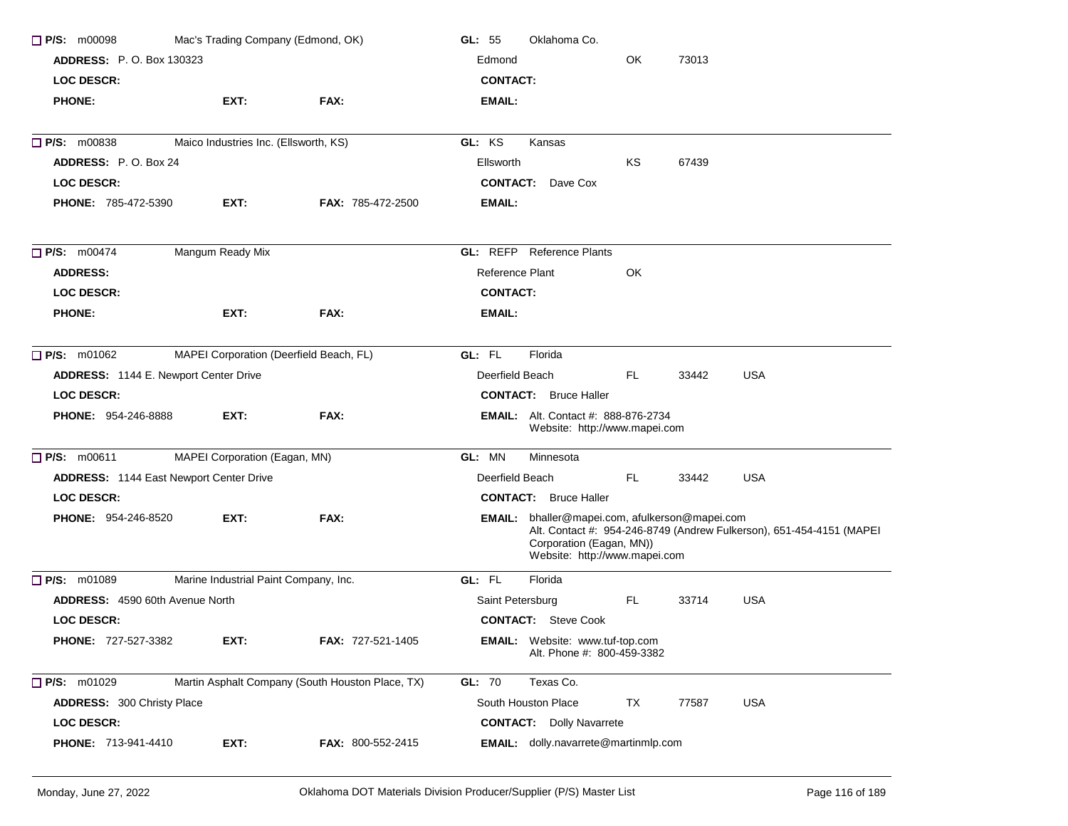| $\Box$ P/S: m00098              | Mac's Trading Company (Edmond, OK)             |                                                  | Oklahoma Co.<br>GL: $55$                                                                                                                                                            |
|---------------------------------|------------------------------------------------|--------------------------------------------------|-------------------------------------------------------------------------------------------------------------------------------------------------------------------------------------|
| <b>ADDRESS: P.O. Box 130323</b> |                                                |                                                  | OK<br>73013<br>Edmond                                                                                                                                                               |
| <b>LOC DESCR:</b>               |                                                |                                                  | <b>CONTACT:</b>                                                                                                                                                                     |
| <b>PHONE:</b>                   | EXT:                                           | FAX:                                             | EMAIL:                                                                                                                                                                              |
| $\Box$ P/S: m00838              | Maico Industries Inc. (Ellsworth, KS)          |                                                  | GL: KS<br>Kansas                                                                                                                                                                    |
| <b>ADDRESS: P.O. Box 24</b>     |                                                |                                                  | 67439<br>Ellsworth<br>ΚS                                                                                                                                                            |
| <b>LOC DESCR:</b>               |                                                |                                                  | <b>CONTACT:</b> Dave Cox                                                                                                                                                            |
| <b>PHONE: 785-472-5390</b>      | EXT:                                           | <b>FAX: 785-472-2500</b>                         | <b>EMAIL:</b>                                                                                                                                                                       |
| $\Box$ P/S: m00474              | Mangum Ready Mix                               |                                                  | <b>GL:</b> REFP Reference Plants                                                                                                                                                    |
| <b>ADDRESS:</b>                 |                                                |                                                  | Reference Plant<br>OK                                                                                                                                                               |
| LOC DESCR:                      |                                                |                                                  | <b>CONTACT:</b>                                                                                                                                                                     |
| <b>PHONE:</b>                   | EXT:                                           | FAX:                                             | EMAIL:                                                                                                                                                                              |
| $\Box$ P/S: m01062              | MAPEI Corporation (Deerfield Beach, FL)        |                                                  | GL: FL<br>Florida                                                                                                                                                                   |
|                                 | ADDRESS: 1144 E. Newport Center Drive          |                                                  | <b>USA</b><br>Deerfield Beach<br>FL.<br>33442                                                                                                                                       |
| <b>LOC DESCR:</b>               |                                                |                                                  | <b>CONTACT:</b> Bruce Haller                                                                                                                                                        |
| <b>PHONE: 954-246-8888</b>      | EXT:                                           | FAX:                                             | <b>EMAIL:</b> Alt. Contact #: 888-876-2734<br>Website: http://www.mapei.com                                                                                                         |
| $\Box$ P/S: m00611              | MAPEI Corporation (Eagan, MN)                  |                                                  | GL: MN<br>Minnesota                                                                                                                                                                 |
|                                 | <b>ADDRESS: 1144 East Newport Center Drive</b> |                                                  | FL.<br><b>USA</b><br>Deerfield Beach<br>33442                                                                                                                                       |
| <b>LOC DESCR:</b>               |                                                |                                                  | <b>CONTACT:</b> Bruce Haller                                                                                                                                                        |
| <b>PHONE: 954-246-8520</b>      | EXT.                                           | FAX:                                             | EMAIL: bhaller@mapei.com, afulkerson@mapei.com<br>Alt. Contact #: 954-246-8749 (Andrew Fulkerson), 651-454-4151 (MAPEI<br>Corporation (Eagan, MN))<br>Website: http://www.mapei.com |
| $\Box$ P/S: m01089              | Marine Industrial Paint Company, Inc.          |                                                  | GL: FL<br>Florida                                                                                                                                                                   |
| ADDRESS: 4590 60th Avenue North |                                                |                                                  | <b>USA</b><br>FL.<br>33714<br>Saint Petersburg                                                                                                                                      |
| <b>LOC DESCR:</b>               |                                                |                                                  | <b>CONTACT:</b> Steve Cook                                                                                                                                                          |
| PHONE: 727-527-3382             | EXT:                                           | FAX: 727-521-1405                                | EMAIL: Website: www.tuf-top.com<br>Alt. Phone #: 800-459-3382                                                                                                                       |
| <b>P/S: m01029</b>              |                                                | Martin Asphalt Company (South Houston Place, TX) | GL: 70<br>Texas Co.                                                                                                                                                                 |
| ADDRESS: 300 Christy Place      |                                                |                                                  | South Houston Place<br><b>USA</b><br>TX<br>77587                                                                                                                                    |
| LOC DESCR:                      |                                                |                                                  | <b>CONTACT:</b> Dolly Navarrete                                                                                                                                                     |
| PHONE: 713-941-4410             | EXT:                                           | FAX: 800-552-2415                                | EMAIL: dolly.navarrete@martinmlp.com                                                                                                                                                |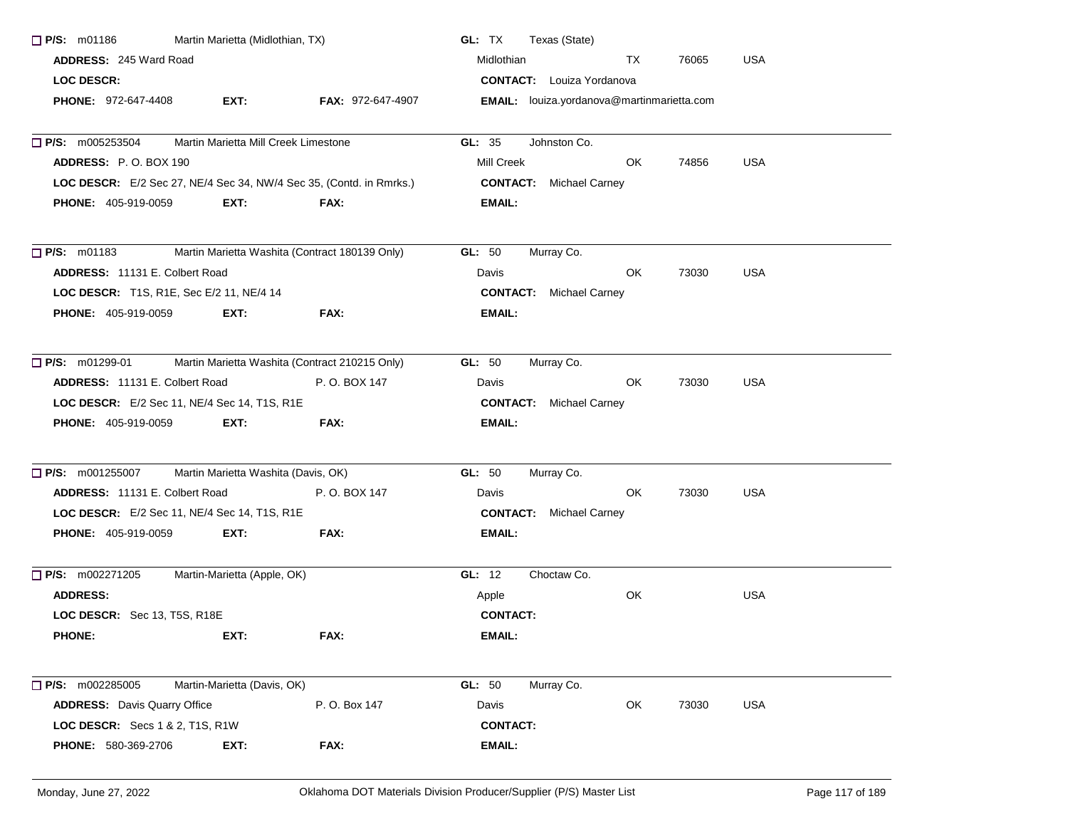| $\Box$ P/S: m01186                                                  | Martin Marietta (Midlothian, TX)     |                                                | GL: TX<br>Texas (State)                    |
|---------------------------------------------------------------------|--------------------------------------|------------------------------------------------|--------------------------------------------|
| <b>ADDRESS: 245 Ward Road</b>                                       |                                      |                                                | Midlothian<br>TX<br>76065<br><b>USA</b>    |
| LOC DESCR:                                                          |                                      |                                                | <b>CONTACT:</b> Louiza Yordanova           |
| <b>PHONE: 972-647-4408</b>                                          | EXT:                                 | <b>FAX: 972-647-4907</b>                       | EMAIL: louiza.yordanova@martinmarietta.com |
| $\Box$ P/S: m005253504                                              | Martin Marietta Mill Creek Limestone |                                                | GL: 35<br>Johnston Co.                     |
| ADDRESS: P.O. BOX 190                                               |                                      |                                                | Mill Creek<br>USA<br>OK.<br>74856          |
| LOC DESCR: E/2 Sec 27, NE/4 Sec 34, NW/4 Sec 35, (Contd. in Rmrks.) |                                      |                                                | <b>CONTACT:</b> Michael Carney             |
| <b>PHONE: 405-919-0059</b>                                          | EXT:                                 | FAX:                                           | <b>EMAIL:</b>                              |
| $\Box$ P/S: m01183                                                  |                                      | Martin Marietta Washita (Contract 180139 Only) | <b>GL: 50</b><br>Murray Co.                |
| ADDRESS: 11131 E. Colbert Road                                      |                                      |                                                | OK<br>73030<br>USA<br>Davis                |
| LOC DESCR: T1S, R1E, Sec E/2 11, NE/4 14                            |                                      |                                                | <b>CONTACT:</b> Michael Carney             |
| <b>PHONE: 405-919-0059</b>                                          | EXT:                                 | <b>FAX:</b>                                    | <b>EMAIL:</b>                              |
| $\Box$ P/S: m01299-01                                               |                                      | Martin Marietta Washita (Contract 210215 Only) | Murray Co.<br>GL: $50$                     |
| <b>ADDRESS: 11131 E. Colbert Road</b>                               |                                      | P. O. BOX 147                                  | OK<br>USA<br>Davis<br>73030                |
| <b>LOC DESCR:</b> E/2 Sec 11, NE/4 Sec 14, T1S, R1E                 |                                      |                                                | <b>CONTACT:</b> Michael Carney             |
| <b>PHONE: 405-919-0059</b>                                          | EXT:                                 | FAX:                                           | <b>EMAIL:</b>                              |
| $P/S:$ m001255007                                                   | Martin Marietta Washita (Davis, OK)  |                                                | GL: 50<br>Murray Co.                       |
| ADDRESS: 11131 E. Colbert Road                                      |                                      | P. O. BOX 147                                  | OK<br>73030<br><b>USA</b><br>Davis         |
| LOC DESCR: E/2 Sec 11, NE/4 Sec 14, T1S, R1E                        |                                      |                                                | <b>CONTACT:</b> Michael Carney             |
| <b>PHONE: 405-919-0059</b>                                          | EXT:                                 | FAX:                                           | <b>EMAIL:</b>                              |
| $\Box$ P/S: m002271205                                              | Martin-Marietta (Apple, OK)          |                                                | Choctaw Co.<br>GL: 12                      |
| <b>ADDRESS:</b>                                                     |                                      |                                                | OK<br><b>USA</b><br>Apple                  |
| LOC DESCR: Sec 13, T5S, R18E                                        |                                      |                                                | <b>CONTACT:</b>                            |
| <b>PHONE:</b>                                                       | EXT:                                 | FAX:                                           | <b>EMAIL:</b>                              |
| $\Box$ P/S: m002285005                                              | Martin-Marietta (Davis, OK)          |                                                | GL: 50<br>Murray Co.                       |
| <b>ADDRESS:</b> Davis Quarry Office                                 |                                      | P. O. Box 147                                  | OK<br>73030<br><b>USA</b><br>Davis         |
| <b>LOC DESCR:</b> Secs 1 & 2, T1S, R1W                              |                                      |                                                | <b>CONTACT:</b>                            |
| PHONE: 580-369-2706                                                 | EXT:                                 | FAX:                                           | <b>EMAIL:</b>                              |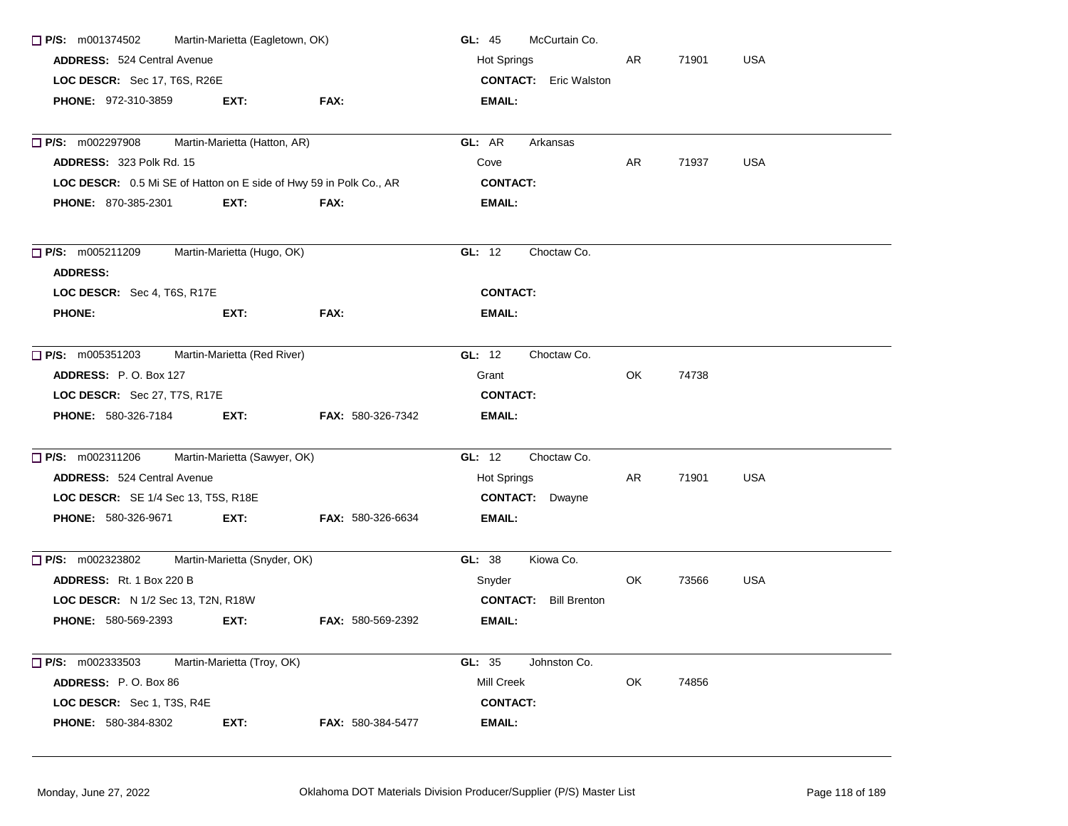| $\Box$ P/S: m001374502                                             | Martin-Marietta (Eagletown, OK) |                          | GL: 45<br>McCurtain Co.      |     |       |            |
|--------------------------------------------------------------------|---------------------------------|--------------------------|------------------------------|-----|-------|------------|
| <b>ADDRESS: 524 Central Avenue</b>                                 |                                 |                          | <b>Hot Springs</b>           | AR. | 71901 | <b>USA</b> |
| LOC DESCR: Sec 17, T6S, R26E                                       |                                 |                          | <b>CONTACT:</b> Eric Walston |     |       |            |
| <b>PHONE: 972-310-3859</b>                                         | EXT:                            | FAX:                     | EMAIL:                       |     |       |            |
|                                                                    |                                 |                          |                              |     |       |            |
| $\Box$ P/S: m002297908                                             | Martin-Marietta (Hatton, AR)    |                          | GL: AR<br>Arkansas           |     |       |            |
| ADDRESS: 323 Polk Rd. 15                                           |                                 |                          | Cove                         | AR  | 71937 | <b>USA</b> |
| LOC DESCR: 0.5 Mi SE of Hatton on E side of Hwy 59 in Polk Co., AR |                                 |                          | <b>CONTACT:</b>              |     |       |            |
| <b>PHONE: 870-385-2301</b>                                         | EXT:                            | FAX:                     | EMAIL:                       |     |       |            |
| $\Box$ P/S: m005211209                                             | Martin-Marietta (Hugo, OK)      |                          | Choctaw Co.<br>GL: 12        |     |       |            |
| <b>ADDRESS:</b>                                                    |                                 |                          |                              |     |       |            |
| LOC DESCR: Sec 4, T6S, R17E                                        |                                 |                          | <b>CONTACT:</b>              |     |       |            |
| <b>PHONE:</b>                                                      | EXT:                            | <b>FAX:</b>              | EMAIL:                       |     |       |            |
| $\Box$ P/S: m005351203                                             | Martin-Marietta (Red River)     |                          | GL: $12$<br>Choctaw Co.      |     |       |            |
| <b>ADDRESS: P.O. Box 127</b>                                       |                                 |                          | Grant                        | OK. | 74738 |            |
| <b>LOC DESCR:</b> Sec 27, T7S, R17E                                |                                 |                          | <b>CONTACT:</b>              |     |       |            |
| <b>PHONE: 580-326-7184</b>                                         | EXT:                            | <b>FAX: 580-326-7342</b> | EMAIL:                       |     |       |            |
| $\Box$ P/S: m002311206                                             | Martin-Marietta (Sawyer, OK)    |                          | GL: 12<br>Choctaw Co.        |     |       |            |
| <b>ADDRESS: 524 Central Avenue</b>                                 |                                 |                          | Hot Springs                  | AR. | 71901 | <b>USA</b> |
| LOC DESCR: SE 1/4 Sec 13, T5S, R18E                                |                                 |                          | <b>CONTACT:</b> Dwayne       |     |       |            |
| <b>PHONE: 580-326-9671</b>                                         | EXT:                            | <b>FAX: 580-326-6634</b> | EMAIL:                       |     |       |            |
| $\Box$ P/S: m002323802                                             | Martin-Marietta (Snyder, OK)    |                          | GL: 38<br>Kiowa Co.          |     |       |            |
| <b>ADDRESS:</b> Rt. 1 Box 220 B                                    |                                 |                          | Snyder                       | OK. | 73566 | <b>USA</b> |
| LOC DESCR: N 1/2 Sec 13, T2N, R18W                                 |                                 |                          | <b>CONTACT:</b> Bill Brenton |     |       |            |
| <b>PHONE: 580-569-2393</b>                                         | EXT:                            | <b>FAX: 580-569-2392</b> | EMAIL:                       |     |       |            |
| $\Box$ P/S: m002333503                                             | Martin-Marietta (Troy, OK)      |                          | GL: 35<br>Johnston Co.       |     |       |            |
| ADDRESS: P.O. Box 86                                               |                                 |                          | Mill Creek                   | OK  | 74856 |            |
| LOC DESCR: Sec 1, T3S, R4E                                         |                                 |                          | <b>CONTACT:</b>              |     |       |            |
| PHONE: 580-384-8302                                                | EXT:                            | FAX: 580-384-5477        | EMAIL:                       |     |       |            |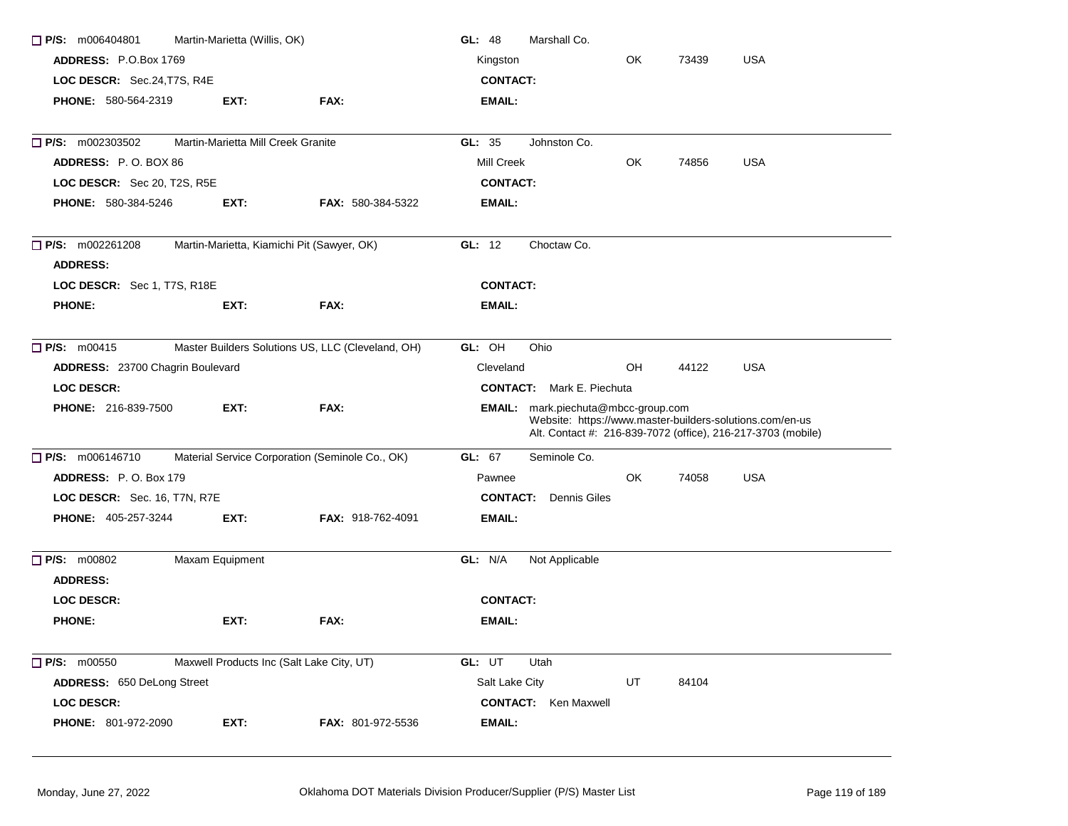| $\Box$ P/S: m006404801                    | Martin-Marietta (Willis, OK)       |                                                   | GL: 48<br>Marshall Co.                                                                                                                                                 |  |  |  |
|-------------------------------------------|------------------------------------|---------------------------------------------------|------------------------------------------------------------------------------------------------------------------------------------------------------------------------|--|--|--|
| ADDRESS: P.O.Box 1769                     |                                    |                                                   | OK<br><b>USA</b><br>Kingston<br>73439                                                                                                                                  |  |  |  |
| LOC DESCR: Sec.24, T7S, R4E               |                                    |                                                   | <b>CONTACT:</b>                                                                                                                                                        |  |  |  |
| <b>PHONE: 580-564-2319</b>                | EXT:                               | FAX:                                              | <b>EMAIL:</b>                                                                                                                                                          |  |  |  |
| $\Box$ P/S: m002303502                    | Martin-Marietta Mill Creek Granite |                                                   | GL: 35<br>Johnston Co.                                                                                                                                                 |  |  |  |
| ADDRESS: P.O. BOX 86                      |                                    |                                                   | <b>USA</b><br>Mill Creek<br>OK<br>74856                                                                                                                                |  |  |  |
| LOC DESCR: Sec 20, T2S, R5E               |                                    |                                                   | <b>CONTACT:</b>                                                                                                                                                        |  |  |  |
| PHONE: 580-384-5246                       | EXT:                               | <b>FAX: 580-384-5322</b>                          | <b>EMAIL:</b>                                                                                                                                                          |  |  |  |
| $\Box$ P/S: m002261208<br><b>ADDRESS:</b> |                                    | Martin-Marietta, Kiamichi Pit (Sawyer, OK)        | GL: $12$<br>Choctaw Co.                                                                                                                                                |  |  |  |
| LOC DESCR: Sec 1, T7S, R18E               |                                    |                                                   | <b>CONTACT:</b>                                                                                                                                                        |  |  |  |
| <b>PHONE:</b>                             | EXT:                               | FAX:                                              | <b>EMAIL:</b>                                                                                                                                                          |  |  |  |
| $\Box$ P/S: m00415                        |                                    | Master Builders Solutions US, LLC (Cleveland, OH) | GL: OH<br>Ohio                                                                                                                                                         |  |  |  |
| ADDRESS: 23700 Chagrin Boulevard          |                                    |                                                   | Cleveland<br>OH<br>44122<br><b>USA</b>                                                                                                                                 |  |  |  |
| <b>LOC DESCR:</b>                         |                                    |                                                   | <b>CONTACT:</b> Mark E. Piechuta                                                                                                                                       |  |  |  |
| <b>PHONE: 216-839-7500</b>                | EXT:                               | FAX:                                              | <b>EMAIL:</b> mark.piechuta@mbcc-group.com<br>Website: https://www.master-builders-solutions.com/en-us<br>Alt. Contact #: 216-839-7072 (office), 216-217-3703 (mobile) |  |  |  |
| P/S: m006146710                           |                                    | Material Service Corporation (Seminole Co., OK)   | Seminole Co.<br>GL: 67                                                                                                                                                 |  |  |  |
| ADDRESS: P.O. Box 179                     |                                    |                                                   | OK<br><b>USA</b><br>Pawnee<br>74058                                                                                                                                    |  |  |  |
| LOC DESCR: Sec. 16, T7N, R7E              |                                    |                                                   | <b>CONTACT:</b><br><b>Dennis Giles</b>                                                                                                                                 |  |  |  |
| PHONE: 405-257-3244                       | EXT:                               | <b>FAX: 918-762-4091</b>                          | <b>EMAIL:</b>                                                                                                                                                          |  |  |  |
| $\Box$ P/S: m00802<br><b>ADDRESS:</b>     | Maxam Equipment                    |                                                   | GL: N/A<br>Not Applicable                                                                                                                                              |  |  |  |
| <b>LOC DESCR:</b>                         |                                    |                                                   | <b>CONTACT:</b>                                                                                                                                                        |  |  |  |
| <b>PHONE:</b>                             | EXT:                               | FAX:                                              | <b>EMAIL:</b>                                                                                                                                                          |  |  |  |
| $\Box$ P/S: m00550                        |                                    | Maxwell Products Inc (Salt Lake City, UT)         | GL: UT<br>Utah                                                                                                                                                         |  |  |  |
| ADDRESS: 650 DeLong Street                |                                    |                                                   | Salt Lake City<br>UT<br>84104                                                                                                                                          |  |  |  |
| LOC DESCR:                                |                                    |                                                   | <b>CONTACT:</b> Ken Maxwell                                                                                                                                            |  |  |  |
| <b>PHONE: 801-972-2090</b>                | EXT:                               | FAX: 801-972-5536                                 | <b>EMAIL:</b>                                                                                                                                                          |  |  |  |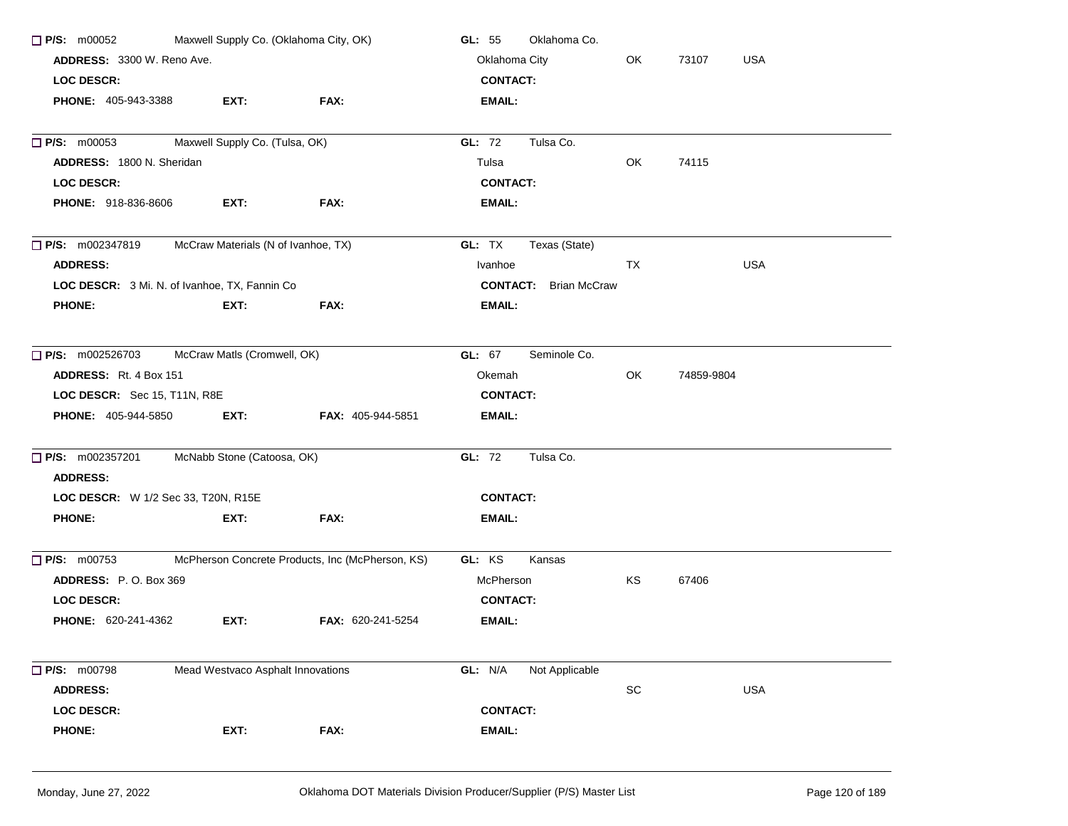| $\Box$ P/S: m00052                        | Maxwell Supply Co. (Oklahoma City, OK)         |                                                  | Oklahoma Co.<br>GL: $55$     |    |                     |  |
|-------------------------------------------|------------------------------------------------|--------------------------------------------------|------------------------------|----|---------------------|--|
|                                           | ADDRESS: 3300 W. Reno Ave.                     |                                                  |                              | OK | 73107<br><b>USA</b> |  |
| <b>LOC DESCR:</b>                         |                                                |                                                  | <b>CONTACT:</b>              |    |                     |  |
| <b>PHONE: 405-943-3388</b>                | EXT:                                           | FAX:                                             | <b>EMAIL:</b>                |    |                     |  |
| $\Box$ P/S: m00053                        | Maxwell Supply Co. (Tulsa, OK)                 |                                                  | Tulsa Co.<br>GL: 72          |    |                     |  |
| <b>ADDRESS: 1800 N. Sheridan</b>          |                                                |                                                  | Tulsa                        | OK | 74115               |  |
| <b>LOC DESCR:</b>                         |                                                |                                                  | <b>CONTACT:</b>              |    |                     |  |
| <b>PHONE: 918-836-8606</b>                | EXT:                                           | FAX:                                             | EMAIL:                       |    |                     |  |
| $\Box$ P/S: m002347819                    | McCraw Materials (N of Ivanhoe, TX)            |                                                  | GL: TX<br>Texas (State)      |    |                     |  |
| <b>ADDRESS:</b>                           |                                                |                                                  | Ivanhoe                      | TX | <b>USA</b>          |  |
|                                           | LOC DESCR: 3 Mi. N. of Ivanhoe, TX, Fannin Co. |                                                  | <b>CONTACT:</b> Brian McCraw |    |                     |  |
| <b>PHONE:</b>                             | EXT:                                           | FAX:                                             | EMAIL:                       |    |                     |  |
| $\Box$ P/S: m002526703                    | McCraw Matls (Cromwell, OK)                    |                                                  | GL: 67<br>Seminole Co.       |    |                     |  |
| <b>ADDRESS:</b> Rt. 4 Box 151             |                                                |                                                  | Okemah                       | OK | 74859-9804          |  |
| LOC DESCR: Sec 15, T11N, R8E              |                                                |                                                  | <b>CONTACT:</b>              |    |                     |  |
| <b>PHONE: 405-944-5850</b>                | EXT:                                           | <b>FAX: 405-944-5851</b>                         | <b>EMAIL:</b>                |    |                     |  |
| $\Box$ P/S: m002357201<br><b>ADDRESS:</b> | McNabb Stone (Catoosa, OK)                     |                                                  | GL: 72<br>Tulsa Co.          |    |                     |  |
| LOC DESCR: W 1/2 Sec 33, T20N, R15E       |                                                |                                                  | <b>CONTACT:</b>              |    |                     |  |
| <b>PHONE:</b>                             | EXT:                                           | FAX:                                             | EMAIL:                       |    |                     |  |
| $\Box$ P/S: m00753                        |                                                | McPherson Concrete Products, Inc (McPherson, KS) | GL: KS<br>Kansas             |    |                     |  |
| ADDRESS: P.O. Box 369                     |                                                |                                                  | McPherson                    | KS | 67406               |  |
| <b>LOC DESCR:</b>                         |                                                |                                                  | <b>CONTACT:</b>              |    |                     |  |
| <b>PHONE: 620-241-4362</b>                | EXT:                                           | FAX: 620-241-5254                                | EMAIL:                       |    |                     |  |
| $\Box$ P/S: m00798                        | Mead Westvaco Asphalt Innovations              |                                                  | GL: N/A<br>Not Applicable    |    |                     |  |
| <b>ADDRESS:</b>                           |                                                |                                                  |                              | SC | <b>USA</b>          |  |
| <b>LOC DESCR:</b>                         |                                                |                                                  | <b>CONTACT:</b>              |    |                     |  |
| <b>PHONE:</b>                             | EXT:                                           | FAX:                                             | EMAIL:                       |    |                     |  |
|                                           |                                                |                                                  |                              |    |                     |  |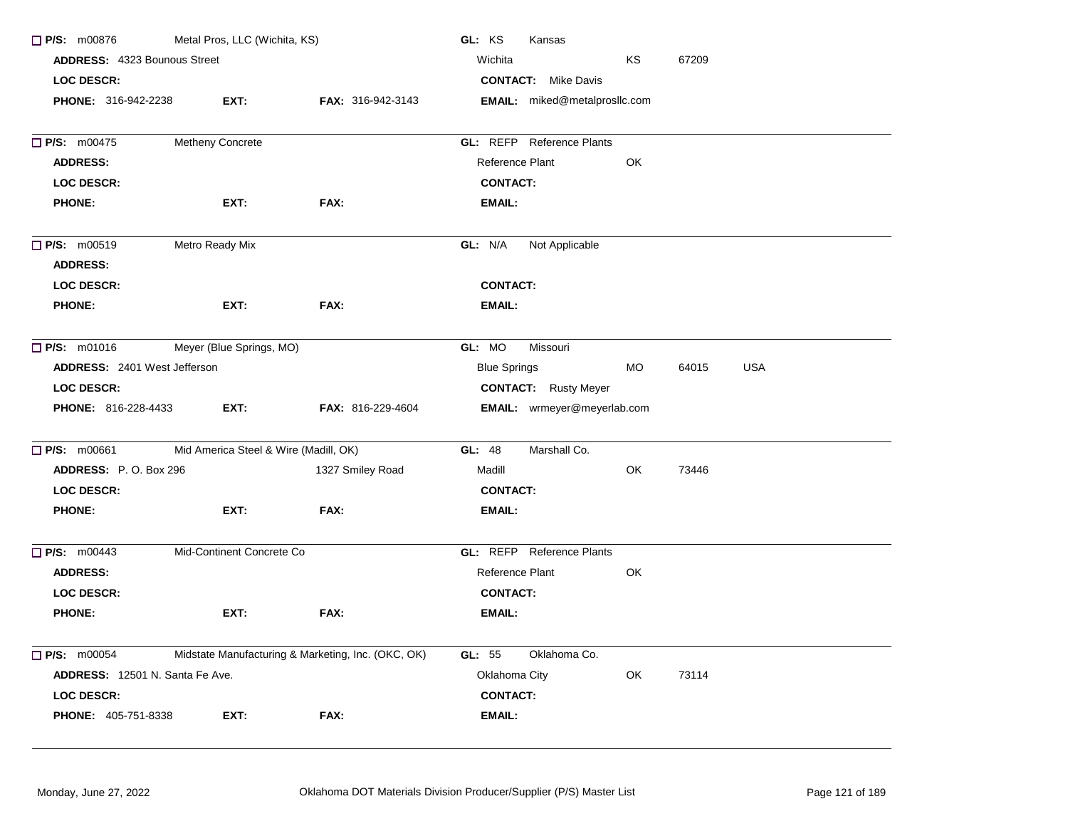| Metal Pros, LLC (Wichita, KS)<br>$\Box$ P/S: m00876<br>ADDRESS: 4323 Bounous Street |                                       |                                                    | GL: KS<br>Kansas                                        |  |
|-------------------------------------------------------------------------------------|---------------------------------------|----------------------------------------------------|---------------------------------------------------------|--|
|                                                                                     |                                       |                                                    | Wichita<br><b>KS</b><br>67209                           |  |
| LOC DESCR:                                                                          |                                       |                                                    | <b>CONTACT:</b> Mike Davis                              |  |
| <b>PHONE: 316-942-2238</b>                                                          | EXT:                                  | <b>FAX: 316-942-3143</b>                           | <b>EMAIL:</b> miked@metalprosllc.com                    |  |
|                                                                                     |                                       |                                                    |                                                         |  |
| $\Box$ P/S: m00475                                                                  | Metheny Concrete                      |                                                    | <b>GL:</b> REFP Reference Plants                        |  |
| <b>ADDRESS:</b>                                                                     |                                       |                                                    | Reference Plant<br>OK                                   |  |
| <b>LOC DESCR:</b>                                                                   |                                       |                                                    | <b>CONTACT:</b>                                         |  |
| <b>PHONE:</b>                                                                       | EXT:                                  | FAX:                                               | <b>EMAIL:</b>                                           |  |
| $\Box$ P/S: m00519                                                                  | Metro Ready Mix                       |                                                    | GL: N/A<br>Not Applicable                               |  |
| <b>ADDRESS:</b>                                                                     |                                       |                                                    |                                                         |  |
| <b>LOC DESCR:</b>                                                                   |                                       |                                                    | <b>CONTACT:</b>                                         |  |
| <b>PHONE:</b>                                                                       | EXT:                                  | FAX:                                               | <b>EMAIL:</b>                                           |  |
| $\Box$ P/S: m01016                                                                  | Meyer (Blue Springs, MO)              |                                                    | GL: MO<br>Missouri                                      |  |
| ADDRESS: 2401 West Jefferson                                                        |                                       |                                                    | <b>Blue Springs</b><br><b>MO</b><br>64015<br><b>USA</b> |  |
| LOC DESCR:                                                                          |                                       |                                                    | <b>CONTACT:</b> Rusty Meyer                             |  |
| <b>PHONE: 816-228-4433</b>                                                          | EXT:                                  | <b>FAX: 816-229-4604</b>                           | EMAIL: wrmeyer@meyerlab.com                             |  |
| $\Box$ P/S: m00661                                                                  | Mid America Steel & Wire (Madill, OK) |                                                    | Marshall Co.<br>GL: 48                                  |  |
| ADDRESS: P.O. Box 296                                                               |                                       | 1327 Smiley Road                                   | Madill<br>OK<br>73446                                   |  |
| <b>LOC DESCR:</b>                                                                   |                                       |                                                    | <b>CONTACT:</b>                                         |  |
| <b>PHONE:</b>                                                                       | EXT:                                  | FAX:                                               | <b>EMAIL:</b>                                           |  |
| $\Box$ P/S: m00443                                                                  | Mid-Continent Concrete Co             |                                                    | <b>GL:</b> REFP Reference Plants                        |  |
| <b>ADDRESS:</b>                                                                     |                                       |                                                    | Reference Plant<br>OK                                   |  |
| <b>LOC DESCR:</b>                                                                   |                                       |                                                    | <b>CONTACT:</b>                                         |  |
| <b>PHONE:</b>                                                                       | EXT:                                  | FAX:                                               | <b>EMAIL:</b>                                           |  |
| $\Box$ P/S: m00054                                                                  |                                       | Midstate Manufacturing & Marketing, Inc. (OKC, OK) | Oklahoma Co.<br>GL: 55                                  |  |
| ADDRESS: 12501 N. Santa Fe Ave.                                                     |                                       |                                                    | Oklahoma City<br>OK<br>73114                            |  |
| LOC DESCR:                                                                          |                                       |                                                    | <b>CONTACT:</b>                                         |  |
| <b>PHONE: 405-751-8338</b>                                                          | EXT:                                  | FAX:                                               | <b>EMAIL:</b>                                           |  |
|                                                                                     |                                       |                                                    |                                                         |  |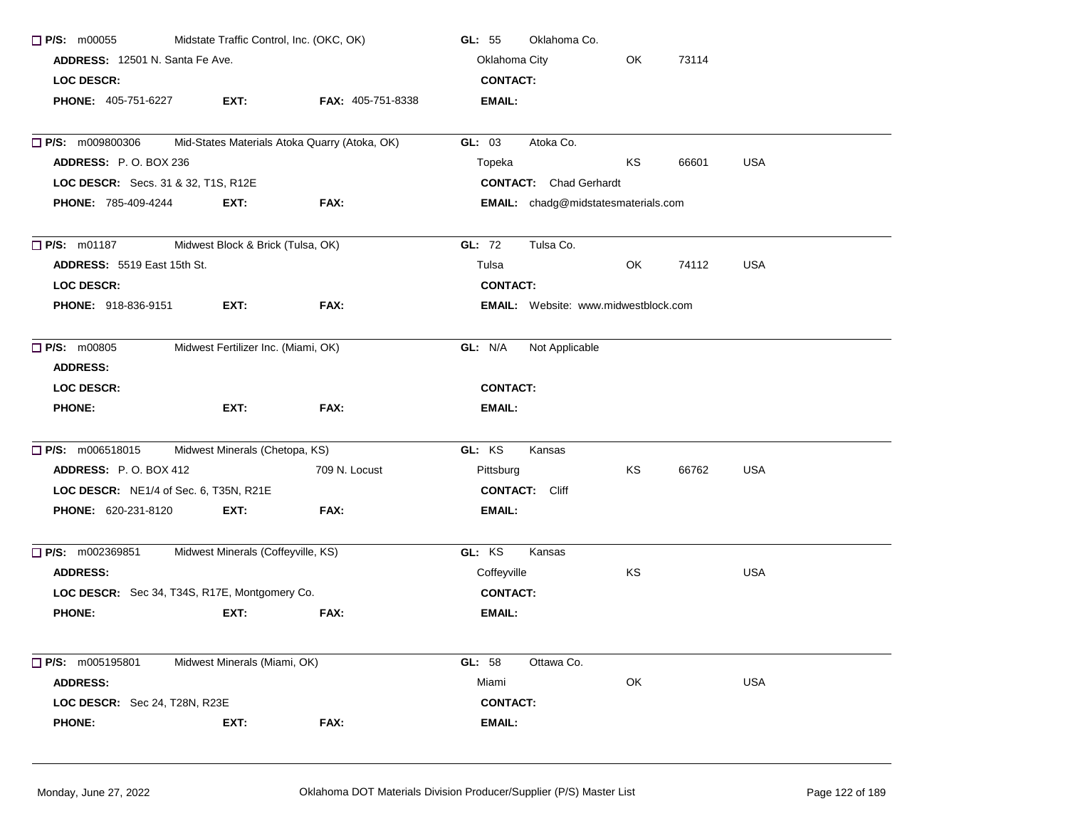| Midstate Traffic Control, Inc. (OKC, OK)<br>P/S: m00055<br>ADDRESS: 12501 N. Santa Fe Ave.<br><b>LOC DESCR:</b> |                                     |                                               | Oklahoma Co.<br>GL: 55                      |    |       |            |
|-----------------------------------------------------------------------------------------------------------------|-------------------------------------|-----------------------------------------------|---------------------------------------------|----|-------|------------|
|                                                                                                                 |                                     |                                               | Oklahoma City                               |    |       |            |
|                                                                                                                 |                                     |                                               | <b>CONTACT:</b>                             |    |       |            |
| <b>PHONE: 405-751-6227</b>                                                                                      | EXT:                                | FAX: 405-751-8338                             | <b>EMAIL:</b>                               |    |       |            |
| <b>P/S:</b> m009800306                                                                                          |                                     | Mid-States Materials Atoka Quarry (Atoka, OK) | GL: 03<br>Atoka Co.                         |    |       |            |
| <b>ADDRESS: P.O. BOX 236</b>                                                                                    |                                     |                                               | Topeka                                      | KS | 66601 | <b>USA</b> |
| LOC DESCR: Secs. 31 & 32, T1S, R12E                                                                             |                                     |                                               | <b>CONTACT:</b> Chad Gerhardt               |    |       |            |
| <b>PHONE: 785-409-4244</b>                                                                                      | EXT.                                | FAX:                                          | EMAIL: chadg@midstatesmaterials.com         |    |       |            |
| $\Box$ P/S: m01187                                                                                              | Midwest Block & Brick (Tulsa, OK)   |                                               | <b>GL: 72</b><br>Tulsa Co.                  |    |       |            |
| <b>ADDRESS: 5519 East 15th St.</b>                                                                              |                                     |                                               | Tulsa                                       | OK | 74112 | <b>USA</b> |
| <b>LOC DESCR:</b>                                                                                               |                                     |                                               | <b>CONTACT:</b>                             |    |       |            |
| <b>PHONE: 918-836-9151</b>                                                                                      | EXT:                                | FAX:                                          | <b>EMAIL:</b> Website: www.midwestblock.com |    |       |            |
| $\Box$ P/S: m00805<br><b>ADDRESS:</b>                                                                           | Midwest Fertilizer Inc. (Miami, OK) |                                               | GL: N/A<br>Not Applicable                   |    |       |            |
| <b>LOC DESCR:</b>                                                                                               |                                     |                                               | <b>CONTACT:</b>                             |    |       |            |
| <b>PHONE:</b>                                                                                                   | EXT:                                | FAX:                                          | <b>EMAIL:</b>                               |    |       |            |
| $\Box$ P/S: m006518015                                                                                          | Midwest Minerals (Chetopa, KS)      |                                               | GL: KS<br>Kansas                            |    |       |            |
| <b>ADDRESS:</b> P.O. BOX 412                                                                                    |                                     | 709 N. Locust                                 | Pittsburg                                   | KS | 66762 | <b>USA</b> |
| LOC DESCR: NE1/4 of Sec. 6, T35N, R21E                                                                          |                                     |                                               | <b>CONTACT:</b> Cliff                       |    |       |            |
| <b>PHONE: 620-231-8120</b>                                                                                      | EXT:                                | FAX:                                          | EMAIL:                                      |    |       |            |
| $\Box$ P/S: m002369851                                                                                          | Midwest Minerals (Coffeyville, KS)  |                                               | GL: KS<br>Kansas                            |    |       |            |
| <b>ADDRESS:</b>                                                                                                 |                                     |                                               | Coffeyville                                 | KS |       | <b>USA</b> |
| LOC DESCR: Sec 34, T34S, R17E, Montgomery Co.                                                                   |                                     |                                               | <b>CONTACT:</b>                             |    |       |            |
| <b>PHONE:</b>                                                                                                   | EXT:                                | FAX:                                          | <b>EMAIL:</b>                               |    |       |            |
| P/S: m005195801                                                                                                 | Midwest Minerals (Miami, OK)        |                                               | GL: 58<br>Ottawa Co.                        |    |       |            |
| <b>ADDRESS:</b>                                                                                                 |                                     |                                               | Miami                                       | OK |       | <b>USA</b> |
| LOC DESCR: Sec 24, T28N, R23E                                                                                   |                                     |                                               | <b>CONTACT:</b>                             |    |       |            |
| <b>PHONE:</b>                                                                                                   | EXT:                                | FAX:                                          | <b>EMAIL:</b>                               |    |       |            |
|                                                                                                                 |                                     |                                               |                                             |    |       |            |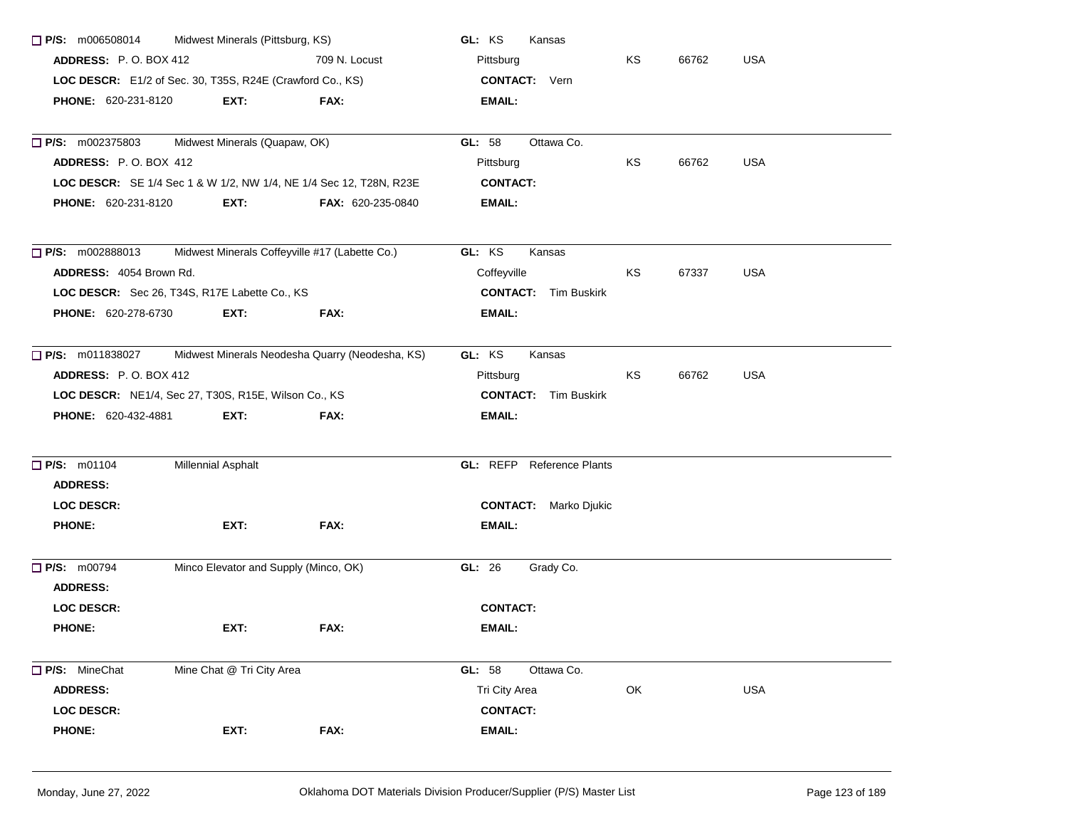| $\Box$ P/S: m006508014                                    | Midwest Minerals (Pittsburg, KS)                     |                                                                    | GL: KS<br>Kansas                 |    |       |            |
|-----------------------------------------------------------|------------------------------------------------------|--------------------------------------------------------------------|----------------------------------|----|-------|------------|
| <b>ADDRESS: P.O. BOX 412</b>                              |                                                      | 709 N. Locust                                                      | Pittsburg                        | KS | 66762 | <b>USA</b> |
| LOC DESCR: E1/2 of Sec. 30, T35S, R24E (Crawford Co., KS) |                                                      |                                                                    | <b>CONTACT:</b> Vern             |    |       |            |
| PHONE: 620-231-8120                                       | EXT:                                                 | FAX:                                                               | <b>EMAIL:</b>                    |    |       |            |
| $\Box$ P/S: m002375803                                    | Midwest Minerals (Quapaw, OK)                        |                                                                    | Ottawa Co.<br>GL: 58             |    |       |            |
| ADDRESS: P.O. BOX 412                                     |                                                      |                                                                    | Pittsburg                        | ΚS | 66762 | USA        |
|                                                           |                                                      | LOC DESCR: SE 1/4 Sec 1 & W 1/2, NW 1/4, NE 1/4 Sec 12, T28N, R23E | <b>CONTACT:</b>                  |    |       |            |
| PHONE: 620-231-8120                                       | EXT:                                                 | FAX: 620-235-0840                                                  | EMAIL:                           |    |       |            |
| $\Box$ P/S: m002888013                                    | Midwest Minerals Coffeyville #17 (Labette Co.)       |                                                                    | GL: KS<br>Kansas                 |    |       |            |
| ADDRESS: 4054 Brown Rd.                                   |                                                      |                                                                    | Coffeyville                      | KS | 67337 | <b>USA</b> |
|                                                           | LOC DESCR: Sec 26, T34S, R17E Labette Co., KS        |                                                                    | <b>CONTACT:</b> Tim Buskirk      |    |       |            |
| PHONE: 620-278-6730                                       | EXT:                                                 | FAX:                                                               | <b>EMAIL:</b>                    |    |       |            |
| $\Box$ P/S: m011838027                                    |                                                      | Midwest Minerals Neodesha Quarry (Neodesha, KS)                    | GL: KS<br>Kansas                 |    |       |            |
| <b>ADDRESS: P.O. BOX 412</b>                              |                                                      |                                                                    | Pittsburg                        | KS | 66762 | <b>USA</b> |
|                                                           | LOC DESCR: NE1/4, Sec 27, T30S, R15E, Wilson Co., KS |                                                                    | <b>CONTACT:</b> Tim Buskirk      |    |       |            |
| PHONE: 620-432-4881                                       | EXT:                                                 | FAX:                                                               | EMAIL:                           |    |       |            |
| <b>P/S: m01104</b>                                        | <b>Millennial Asphalt</b>                            |                                                                    | <b>GL: REFP</b> Reference Plants |    |       |            |
| <b>ADDRESS:</b>                                           |                                                      |                                                                    |                                  |    |       |            |
| <b>LOC DESCR:</b>                                         |                                                      |                                                                    | <b>CONTACT:</b> Marko Djukic     |    |       |            |
| <b>PHONE:</b>                                             | EXT:                                                 | FAX:                                                               | EMAIL:                           |    |       |            |
| $\Box$ P/S: m00794                                        | Minco Elevator and Supply (Minco, OK)                |                                                                    | Grady Co.<br>GL: 26              |    |       |            |
| <b>ADDRESS:</b>                                           |                                                      |                                                                    |                                  |    |       |            |
| <b>LOC DESCR:</b>                                         |                                                      |                                                                    | <b>CONTACT:</b>                  |    |       |            |
| <b>PHONE:</b>                                             | EXT:                                                 | FAX:                                                               | EMAIL:                           |    |       |            |
| P/S: MineChat                                             | Mine Chat @ Tri City Area                            |                                                                    | GL: 58<br>Ottawa Co.             |    |       |            |
| <b>ADDRESS:</b>                                           |                                                      |                                                                    | Tri City Area                    | OK |       | <b>USA</b> |
| <b>LOC DESCR:</b>                                         |                                                      |                                                                    | <b>CONTACT:</b>                  |    |       |            |
| <b>PHONE:</b>                                             | EXT:                                                 | FAX:                                                               | <b>EMAIL:</b>                    |    |       |            |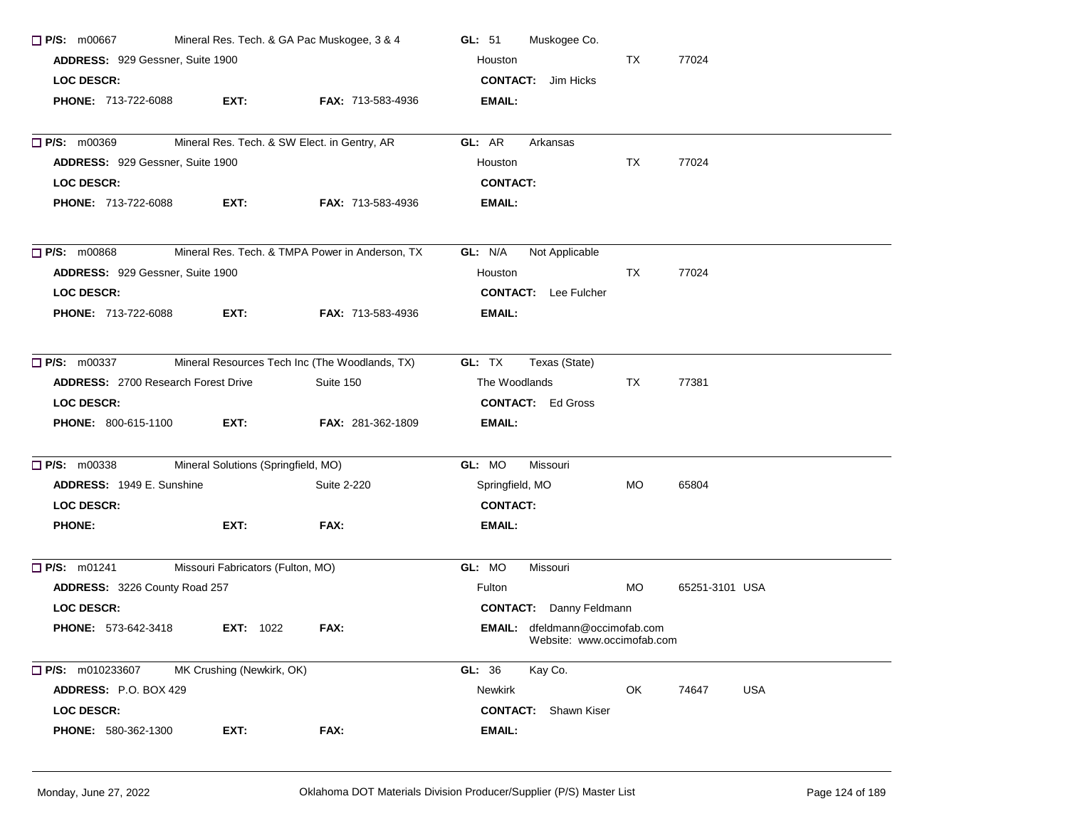| $\Box$ P/S: m00667                         | Mineral Res. Tech. & GA Pac Muskogee, 3 & 4  |                                                 | Muskogee Co.<br>GL: $51$                                            |           |                     |  |  |
|--------------------------------------------|----------------------------------------------|-------------------------------------------------|---------------------------------------------------------------------|-----------|---------------------|--|--|
| ADDRESS: 929 Gessner, Suite 1900           |                                              |                                                 | Houston                                                             | TX        | 77024               |  |  |
| <b>LOC DESCR:</b>                          |                                              |                                                 | <b>CONTACT:</b> Jim Hicks                                           |           |                     |  |  |
| <b>PHONE: 713-722-6088</b>                 | EXT:                                         | FAX: 713-583-4936                               | <b>EMAIL:</b>                                                       |           |                     |  |  |
| $\Box$ P/S: m00369                         | Mineral Res. Tech. & SW Elect. in Gentry, AR |                                                 | GL: AR<br>Arkansas                                                  |           |                     |  |  |
| ADDRESS: 929 Gessner, Suite 1900           |                                              |                                                 | Houston                                                             | TX        | 77024               |  |  |
| <b>LOC DESCR:</b>                          |                                              |                                                 | <b>CONTACT:</b>                                                     |           |                     |  |  |
| PHONE: 713-722-6088                        | EXT:                                         | <b>FAX: 713-583-4936</b>                        | EMAIL:                                                              |           |                     |  |  |
| $\Box$ P/S: m00868                         |                                              | Mineral Res. Tech. & TMPA Power in Anderson, TX | GL: N/A<br>Not Applicable                                           |           |                     |  |  |
| ADDRESS: 929 Gessner, Suite 1900           |                                              |                                                 | Houston                                                             | TX        | 77024               |  |  |
| <b>LOC DESCR:</b>                          |                                              |                                                 | <b>CONTACT:</b> Lee Fulcher                                         |           |                     |  |  |
| <b>PHONE: 713-722-6088</b>                 | EXT:                                         | <b>FAX: 713-583-4936</b>                        | <b>EMAIL:</b>                                                       |           |                     |  |  |
| $\Box$ P/S: m00337                         |                                              | Mineral Resources Tech Inc (The Woodlands, TX)  | GL: TX<br>Texas (State)                                             |           |                     |  |  |
| <b>ADDRESS: 2700 Research Forest Drive</b> |                                              | Suite 150                                       | The Woodlands                                                       | TX.       | 77381               |  |  |
| <b>LOC DESCR:</b>                          |                                              |                                                 | <b>CONTACT:</b> Ed Gross                                            |           |                     |  |  |
| <b>PHONE: 800-615-1100</b>                 | EXT:                                         | <b>FAX: 281-362-1809</b>                        | EMAIL:                                                              |           |                     |  |  |
| $\Box$ P/S: m00338                         | Mineral Solutions (Springfield, MO)          |                                                 | GL: MO<br>Missouri                                                  |           |                     |  |  |
| ADDRESS: 1949 E. Sunshine                  |                                              | Suite 2-220                                     | Springfield, MO                                                     | <b>MO</b> | 65804               |  |  |
| <b>LOC DESCR:</b>                          |                                              |                                                 | <b>CONTACT:</b>                                                     |           |                     |  |  |
| <b>PHONE:</b>                              | EXT:                                         | FAX:                                            | EMAIL:                                                              |           |                     |  |  |
| $\Box$ P/S: m01241                         | Missouri Fabricators (Fulton, MO)            |                                                 | GL: MO<br>Missouri                                                  |           |                     |  |  |
| ADDRESS: 3226 County Road 257              |                                              |                                                 | Fulton                                                              | MO.       | 65251-3101 USA      |  |  |
| <b>LOC DESCR:</b>                          |                                              |                                                 | <b>CONTACT:</b> Danny Feldmann                                      |           |                     |  |  |
| <b>PHONE: 573-642-3418</b>                 | <b>EXT: 1022</b>                             | FAX:                                            | <b>EMAIL:</b> dfeldmann@occimofab.com<br>Website: www.occimofab.com |           |                     |  |  |
| $\Box$ P/S: m010233607                     | MK Crushing (Newkirk, OK)                    |                                                 | GL: 36<br>Kay Co.                                                   |           |                     |  |  |
| ADDRESS: P.O. BOX 429                      |                                              |                                                 | Newkirk                                                             | OK        | <b>USA</b><br>74647 |  |  |
| <b>LOC DESCR:</b>                          |                                              |                                                 | <b>CONTACT:</b> Shawn Kiser                                         |           |                     |  |  |
| PHONE: 580-362-1300                        | EXT:                                         | FAX:                                            | <b>EMAIL:</b>                                                       |           |                     |  |  |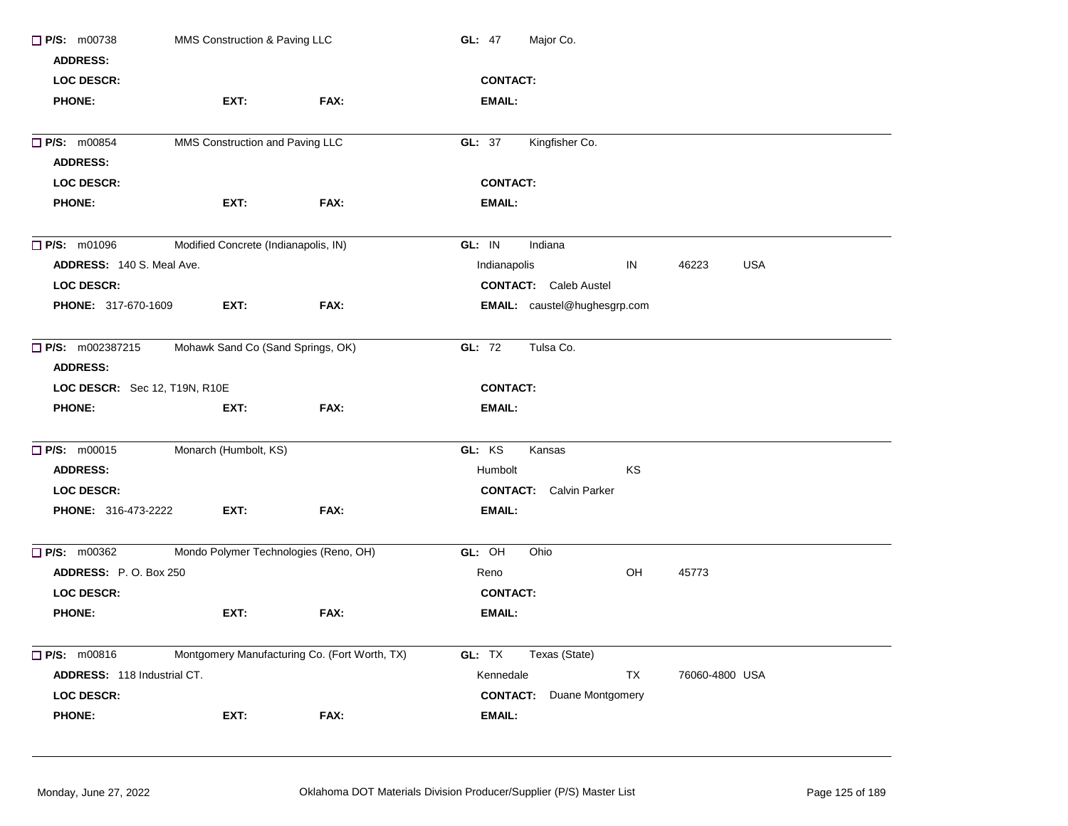| $\Box$ P/S: m00738<br><b>ADDRESS:</b> | MMS Construction & Paving LLC                 |      | <b>GL: 47</b><br>Major Co.                |
|---------------------------------------|-----------------------------------------------|------|-------------------------------------------|
| <b>LOC DESCR:</b>                     |                                               |      | <b>CONTACT:</b>                           |
| <b>PHONE:</b>                         | EXT:                                          | FAX: | <b>EMAIL:</b>                             |
|                                       |                                               |      |                                           |
| $\Box$ P/S: m00854                    | MMS Construction and Paving LLC               |      | Kingfisher Co.<br>GL: 37                  |
| <b>ADDRESS:</b>                       |                                               |      |                                           |
| <b>LOC DESCR:</b>                     |                                               |      | <b>CONTACT:</b>                           |
| <b>PHONE:</b>                         | EXT:                                          | FAX: | <b>EMAIL:</b>                             |
| P/S: m01096                           | Modified Concrete (Indianapolis, IN)          |      | GL: IN<br>Indiana                         |
| ADDRESS: 140 S. Meal Ave.             |                                               |      | <b>USA</b><br>Indianapolis<br>IN<br>46223 |
| <b>LOC DESCR:</b>                     |                                               |      | <b>CONTACT:</b> Caleb Austel              |
| PHONE: 317-670-1609                   | EXT:                                          | FAX: | <b>EMAIL:</b> caustel@hughesgrp.com       |
| $\Box$ P/S: m002387215                | Mohawk Sand Co (Sand Springs, OK)             |      | GL: 72<br>Tulsa Co.                       |
| <b>ADDRESS:</b>                       |                                               |      |                                           |
| LOC DESCR: Sec 12, T19N, R10E         |                                               |      | <b>CONTACT:</b>                           |
| <b>PHONE:</b>                         | EXT:                                          | FAX: | <b>EMAIL:</b>                             |
| $\Box$ P/S: m00015                    | Monarch (Humbolt, KS)                         |      | GL: KS<br>Kansas                          |
| <b>ADDRESS:</b>                       |                                               |      | KS<br>Humbolt                             |
| <b>LOC DESCR:</b>                     |                                               |      | <b>CONTACT:</b> Calvin Parker             |
| <b>PHONE: 316-473-2222</b>            | EXT:                                          | FAX: | <b>EMAIL:</b>                             |
| $\Box$ P/S: m00362                    | Mondo Polymer Technologies (Reno, OH)         |      | GL: OH<br>Ohio                            |
| ADDRESS: P.O. Box 250                 |                                               |      | OH<br>Reno<br>45773                       |
| <b>LOC DESCR:</b>                     |                                               |      | <b>CONTACT:</b>                           |
| <b>PHONE:</b>                         | EXT:                                          | FAX: | <b>EMAIL:</b>                             |
|                                       |                                               |      |                                           |
| $\Box$ P/S: m00816                    | Montgomery Manufacturing Co. (Fort Worth, TX) |      | GL: TX<br>Texas (State)                   |
| ADDRESS: 118 Industrial CT.           |                                               |      | Kennedale<br>TX<br>76060-4800 USA         |
| <b>LOC DESCR:</b>                     |                                               |      | <b>CONTACT:</b><br>Duane Montgomery       |
| <b>PHONE:</b>                         | EXT:                                          | FAX: | <b>EMAIL:</b>                             |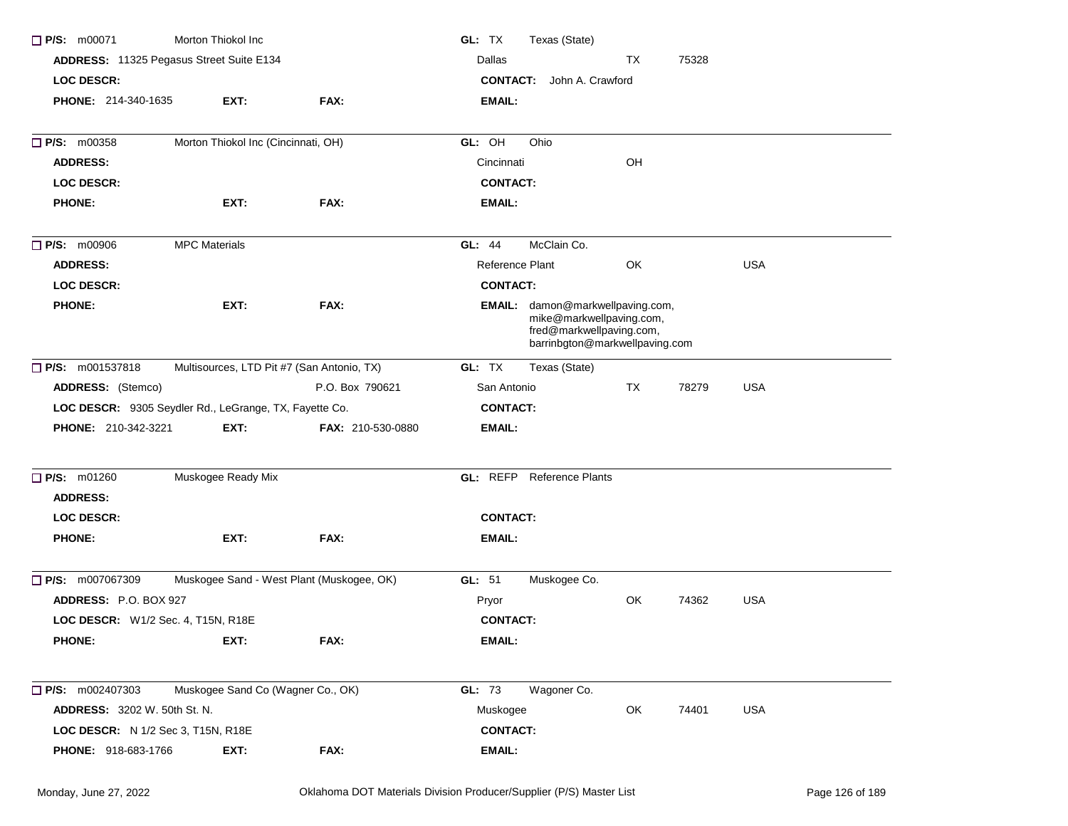| $\Box$ P/S: m00071                                     | Morton Thiokol Inc                  |                                            | GL: TX          | Texas (State)                                                                                                              |    |       |            |  |
|--------------------------------------------------------|-------------------------------------|--------------------------------------------|-----------------|----------------------------------------------------------------------------------------------------------------------------|----|-------|------------|--|
| ADDRESS: 11325 Pegasus Street Suite E134               |                                     |                                            | Dallas          |                                                                                                                            | TX | 75328 |            |  |
| <b>LOC DESCR:</b>                                      |                                     |                                            |                 | <b>CONTACT:</b> John A. Crawford                                                                                           |    |       |            |  |
| PHONE: 214-340-1635                                    | EXT:                                | FAX:                                       | <b>EMAIL:</b>   |                                                                                                                            |    |       |            |  |
| $\Box$ P/S: m00358                                     | Morton Thiokol Inc (Cincinnati, OH) |                                            | GL: OH          | Ohio                                                                                                                       |    |       |            |  |
| <b>ADDRESS:</b>                                        |                                     |                                            | Cincinnati      |                                                                                                                            | OH |       |            |  |
| <b>LOC DESCR:</b>                                      |                                     |                                            | <b>CONTACT:</b> |                                                                                                                            |    |       |            |  |
| <b>PHONE:</b>                                          | EXT:                                | FAX:                                       | <b>EMAIL:</b>   |                                                                                                                            |    |       |            |  |
| $\Box$ P/S: m00906                                     | <b>MPC Materials</b>                |                                            | GL: 44          | McClain Co.                                                                                                                |    |       |            |  |
| <b>ADDRESS:</b>                                        |                                     |                                            | Reference Plant |                                                                                                                            | OK |       | <b>USA</b> |  |
| <b>LOC DESCR:</b>                                      |                                     |                                            | <b>CONTACT:</b> |                                                                                                                            |    |       |            |  |
| <b>PHONE:</b>                                          | EXT:                                | FAX:                                       |                 | EMAIL: damon@markwellpaving.com,<br>mike@markwellpaving.com,<br>fred@markwellpaving.com,<br>barrinbgton@markwellpaving.com |    |       |            |  |
| □ P/S: m001537818                                      |                                     | Multisources, LTD Pit #7 (San Antonio, TX) | GL: TX          | Texas (State)                                                                                                              |    |       |            |  |
| ADDRESS: (Stemco)                                      |                                     | P.O. Box 790621                            | San Antonio     |                                                                                                                            | TX | 78279 | <b>USA</b> |  |
| LOC DESCR: 9305 Seydler Rd., LeGrange, TX, Fayette Co. |                                     |                                            | <b>CONTACT:</b> |                                                                                                                            |    |       |            |  |
| PHONE: 210-342-3221                                    | EXT:                                | FAX: 210-530-0880                          | <b>EMAIL:</b>   |                                                                                                                            |    |       |            |  |
| P/S: m01260                                            | Muskogee Ready Mix                  |                                            |                 | <b>GL:</b> REFP Reference Plants                                                                                           |    |       |            |  |
| <b>ADDRESS:</b>                                        |                                     |                                            |                 |                                                                                                                            |    |       |            |  |
| <b>LOC DESCR:</b>                                      |                                     |                                            | <b>CONTACT:</b> |                                                                                                                            |    |       |            |  |
| <b>PHONE:</b>                                          | EXT:                                | FAX:                                       | <b>EMAIL:</b>   |                                                                                                                            |    |       |            |  |
| P/S: m007067309                                        |                                     | Muskogee Sand - West Plant (Muskogee, OK)  | GL: 51          | Muskogee Co.                                                                                                               |    |       |            |  |
| ADDRESS: P.O. BOX 927                                  |                                     |                                            | Pryor           |                                                                                                                            | OK | 74362 | <b>USA</b> |  |
| LOC DESCR: W1/2 Sec. 4, T15N, R18E                     |                                     |                                            | <b>CONTACT:</b> |                                                                                                                            |    |       |            |  |
| <b>PHONE:</b>                                          | EXT:                                | FAX:                                       | EMAIL:          |                                                                                                                            |    |       |            |  |
| $\Box$ P/S: m002407303                                 | Muskogee Sand Co (Wagner Co., OK)   |                                            | GL: 73          | Wagoner Co.                                                                                                                |    |       |            |  |
| <b>ADDRESS: 3202 W. 50th St. N.</b>                    |                                     |                                            | Muskogee        |                                                                                                                            | OK | 74401 | USA        |  |
| LOC DESCR: N 1/2 Sec 3, T15N, R18E                     |                                     |                                            | <b>CONTACT:</b> |                                                                                                                            |    |       |            |  |
| PHONE: 918-683-1766                                    | EXT:                                | FAX:                                       | EMAIL:          |                                                                                                                            |    |       |            |  |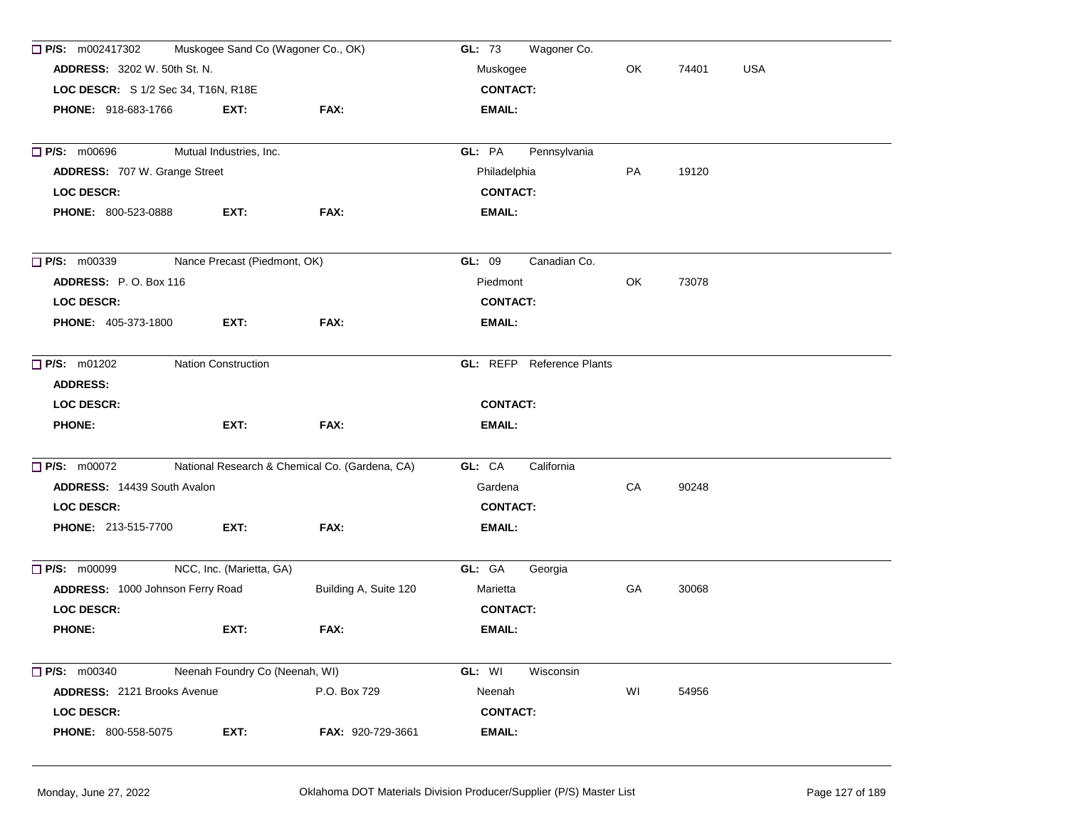| Muskogee Sand Co (Wagoner Co., OK)<br>$\Box$ P/S: m002417302<br><b>ADDRESS: 3202 W. 50th St. N.</b><br>LOC DESCR: S 1/2 Sec 34, T16N, R18E |                                |                                                | Wagoner Co.<br>GL: 73            | OK         | 74401 |  |
|--------------------------------------------------------------------------------------------------------------------------------------------|--------------------------------|------------------------------------------------|----------------------------------|------------|-------|--|
|                                                                                                                                            |                                |                                                | Muskogee                         | <b>USA</b> |       |  |
|                                                                                                                                            |                                |                                                | <b>CONTACT:</b>                  |            |       |  |
| <b>PHONE: 918-683-1766</b>                                                                                                                 | EXT:                           | FAX:                                           | EMAIL:                           |            |       |  |
| $\Box$ P/S: m00696                                                                                                                         | Mutual Industries, Inc.        |                                                | GL: PA<br>Pennsylvania           |            |       |  |
| ADDRESS: 707 W. Grange Street                                                                                                              |                                |                                                | Philadelphia                     | PA         | 19120 |  |
| <b>LOC DESCR:</b>                                                                                                                          |                                |                                                | <b>CONTACT:</b>                  |            |       |  |
| <b>PHONE: 800-523-0888</b>                                                                                                                 | EXT:                           | FAX:                                           | <b>EMAIL:</b>                    |            |       |  |
| $\Box$ P/S: m00339                                                                                                                         | Nance Precast (Piedmont, OK)   |                                                | GL: 09<br>Canadian Co.           |            |       |  |
| ADDRESS: P.O. Box 116                                                                                                                      |                                |                                                | Piedmont                         | OK         | 73078 |  |
| <b>LOC DESCR:</b>                                                                                                                          |                                |                                                | <b>CONTACT:</b>                  |            |       |  |
| <b>PHONE: 405-373-1800</b>                                                                                                                 | EXT:                           | FAX:                                           | <b>EMAIL:</b>                    |            |       |  |
| <b>P/S:</b> m01202<br><b>Nation Construction</b>                                                                                           |                                |                                                | <b>GL:</b> REFP Reference Plants |            |       |  |
| <b>ADDRESS:</b>                                                                                                                            |                                |                                                |                                  |            |       |  |
| <b>LOC DESCR:</b>                                                                                                                          |                                |                                                | <b>CONTACT:</b>                  |            |       |  |
| <b>PHONE:</b>                                                                                                                              | EXT:                           | FAX:                                           | <b>EMAIL:</b>                    |            |       |  |
| P/S: m00072                                                                                                                                |                                | National Research & Chemical Co. (Gardena, CA) | GL: CA<br>California             |            |       |  |
| ADDRESS: 14439 South Avalon                                                                                                                |                                |                                                | Gardena                          | CA         | 90248 |  |
| <b>LOC DESCR:</b>                                                                                                                          |                                |                                                | <b>CONTACT:</b>                  |            |       |  |
| <b>PHONE: 213-515-7700</b>                                                                                                                 | EXT:                           | FAX:                                           | <b>EMAIL:</b>                    |            |       |  |
| <b>P/S: m00099</b>                                                                                                                         | NCC, Inc. (Marietta, GA)       |                                                | GL: GA<br>Georgia                |            |       |  |
| ADDRESS: 1000 Johnson Ferry Road                                                                                                           |                                | Building A, Suite 120                          | Marietta                         | GA         | 30068 |  |
| <b>LOC DESCR:</b>                                                                                                                          |                                |                                                | <b>CONTACT:</b>                  |            |       |  |
| <b>PHONE:</b>                                                                                                                              | EXT:                           | FAX:                                           | <b>EMAIL:</b>                    |            |       |  |
| <b>P/S:</b> m00340                                                                                                                         | Neenah Foundry Co (Neenah, WI) |                                                | GL: WI<br>Wisconsin              |            |       |  |
| ADDRESS: 2121 Brooks Avenue                                                                                                                |                                | P.O. Box 729                                   | Neenah                           | WI         | 54956 |  |
| <b>LOC DESCR:</b>                                                                                                                          |                                |                                                | <b>CONTACT:</b>                  |            |       |  |
| <b>PHONE: 800-558-5075</b>                                                                                                                 | EXT:                           | FAX: 920-729-3661                              | <b>EMAIL:</b>                    |            |       |  |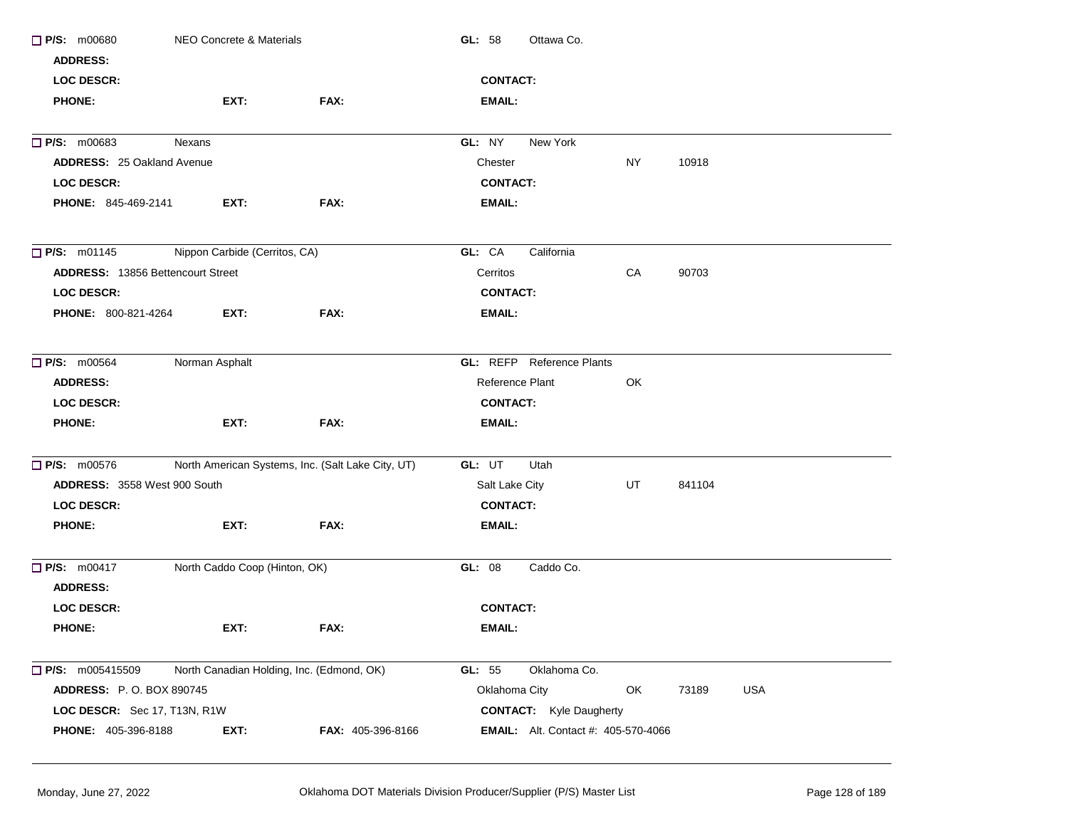| <b>P/S: m00680</b>                       | NEO Concrete & Materials                  |                                                   | GL: 58<br>Ottawa Co.                       |           |        |     |  |
|------------------------------------------|-------------------------------------------|---------------------------------------------------|--------------------------------------------|-----------|--------|-----|--|
| <b>ADDRESS:</b>                          |                                           |                                                   |                                            |           |        |     |  |
| LOC DESCR:                               |                                           |                                                   | <b>CONTACT:</b>                            |           |        |     |  |
| <b>PHONE:</b>                            | EXT:                                      | FAX:                                              | EMAIL:                                     |           |        |     |  |
| $\Box$ P/S: m00683                       | Nexans                                    |                                                   | New York<br>GL: NY                         |           |        |     |  |
| <b>ADDRESS: 25 Oakland Avenue</b>        |                                           |                                                   | Chester                                    | <b>NY</b> | 10918  |     |  |
| LOC DESCR:                               |                                           |                                                   | <b>CONTACT:</b>                            |           |        |     |  |
| PHONE: 845-469-2141                      | EXT:                                      | FAX:                                              | <b>EMAIL:</b>                              |           |        |     |  |
| $\Box$ P/S: m01145                       | Nippon Carbide (Cerritos, CA)             |                                                   | GL: CA<br>California                       |           |        |     |  |
| <b>ADDRESS: 13856 Bettencourt Street</b> |                                           |                                                   | Cerritos                                   | CA        | 90703  |     |  |
| <b>LOC DESCR:</b>                        |                                           |                                                   | <b>CONTACT:</b>                            |           |        |     |  |
| <b>PHONE: 800-821-4264</b>               | EXT:                                      | FAX:                                              | <b>EMAIL:</b>                              |           |        |     |  |
| <b>P/S: m00564</b>                       | Norman Asphalt                            |                                                   | GL: REFP Reference Plants                  |           |        |     |  |
| <b>ADDRESS:</b>                          |                                           |                                                   | Reference Plant                            | OK        |        |     |  |
| <b>LOC DESCR:</b>                        |                                           |                                                   | <b>CONTACT:</b>                            |           |        |     |  |
| <b>PHONE:</b>                            | EXT:                                      | FAX:                                              | EMAIL:                                     |           |        |     |  |
| $\Box$ P/S: m00576                       |                                           | North American Systems, Inc. (Salt Lake City, UT) | GL: UT<br>Utah                             |           |        |     |  |
| ADDRESS: 3558 West 900 South             |                                           |                                                   | Salt Lake City                             | UT        | 841104 |     |  |
| <b>LOC DESCR:</b>                        |                                           |                                                   | <b>CONTACT:</b>                            |           |        |     |  |
| <b>PHONE:</b>                            | EXT:                                      | FAX:                                              | <b>EMAIL:</b>                              |           |        |     |  |
| <b>P/S: m00417</b>                       | North Caddo Coop (Hinton, OK)             |                                                   | GL: 08<br>Caddo Co.                        |           |        |     |  |
| <b>ADDRESS:</b>                          |                                           |                                                   |                                            |           |        |     |  |
| LOC DESCR:                               |                                           |                                                   | <b>CONTACT:</b>                            |           |        |     |  |
| <b>PHONE:</b>                            | EXT:                                      | FAX:                                              | EMAIL:                                     |           |        |     |  |
| $\Box$ P/S: m005415509                   | North Canadian Holding, Inc. (Edmond, OK) |                                                   | GL: 55<br>Oklahoma Co.                     |           |        |     |  |
| <b>ADDRESS: P.O. BOX 890745</b>          |                                           |                                                   | Oklahoma City                              | OK        | 73189  | USA |  |
| LOC DESCR: Sec 17, T13N, R1W             |                                           |                                                   | <b>CONTACT:</b> Kyle Daugherty             |           |        |     |  |
| <b>PHONE: 405-396-8188</b>               | EXT:                                      | FAX: 405-396-8166                                 | <b>EMAIL:</b> Alt. Contact #: 405-570-4066 |           |        |     |  |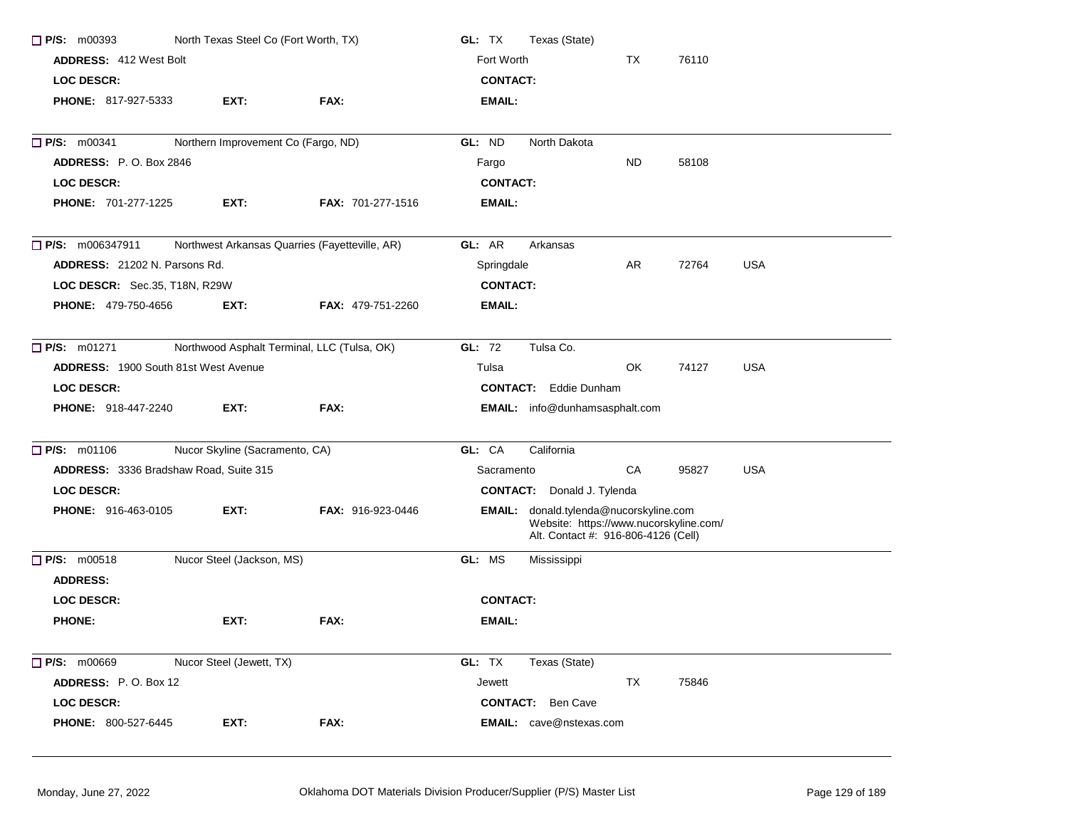| $\Box$ P/S: m00393<br>North Texas Steel Co (Fort Worth, TX)<br><b>ADDRESS: 412 West Bolt</b> |                                             |                                                | GL: TX<br>Texas (State)<br>Fort Worth<br>TX<br>76110                                                                           |           |       |            |  |
|----------------------------------------------------------------------------------------------|---------------------------------------------|------------------------------------------------|--------------------------------------------------------------------------------------------------------------------------------|-----------|-------|------------|--|
|                                                                                              |                                             |                                                |                                                                                                                                |           |       |            |  |
| <b>PHONE: 817-927-5333</b>                                                                   | EXT:                                        | FAX:                                           | <b>EMAIL:</b>                                                                                                                  |           |       |            |  |
| <b>P/S: m00341</b>                                                                           | Northern Improvement Co (Fargo, ND)         |                                                | GL: ND<br>North Dakota                                                                                                         |           |       |            |  |
| <b>ADDRESS: P.O. Box 2846</b>                                                                |                                             |                                                | Fargo                                                                                                                          | <b>ND</b> | 58108 |            |  |
| <b>LOC DESCR:</b>                                                                            |                                             |                                                | <b>CONTACT:</b>                                                                                                                |           |       |            |  |
| PHONE: 701-277-1225                                                                          | EXT:                                        | <b>FAX: 701-277-1516</b>                       | EMAIL:                                                                                                                         |           |       |            |  |
| <b>P/S:</b> m006347911                                                                       |                                             | Northwest Arkansas Quarries (Fayetteville, AR) | GL: AR<br>Arkansas                                                                                                             |           |       |            |  |
| ADDRESS: 21202 N. Parsons Rd.                                                                |                                             |                                                | Springdale                                                                                                                     | AR        | 72764 | <b>USA</b> |  |
| LOC DESCR: Sec.35, T18N, R29W                                                                |                                             |                                                | <b>CONTACT:</b>                                                                                                                |           |       |            |  |
| <b>PHONE: 479-750-4656</b>                                                                   | EXT:                                        | <b>FAX: 479-751-2260</b>                       | <b>EMAIL:</b>                                                                                                                  |           |       |            |  |
| $\Box$ P/S: m01271                                                                           | Northwood Asphalt Terminal, LLC (Tulsa, OK) |                                                | Tulsa Co.<br>GL: 72                                                                                                            |           |       |            |  |
| <b>ADDRESS: 1900 South 81st West Avenue</b>                                                  |                                             |                                                | Tulsa                                                                                                                          | OK        | 74127 | <b>USA</b> |  |
| <b>LOC DESCR:</b>                                                                            |                                             |                                                | <b>CONTACT:</b> Eddie Dunham                                                                                                   |           |       |            |  |
| <b>PHONE: 918-447-2240</b>                                                                   | EXT:                                        | FAX:                                           | EMAIL: info@dunhamsasphalt.com                                                                                                 |           |       |            |  |
| <b>D</b> P/S: m01106                                                                         | Nucor Skyline (Sacramento, CA)              |                                                | GL: CA<br>California                                                                                                           |           |       |            |  |
| ADDRESS: 3336 Bradshaw Road, Suite 315                                                       |                                             |                                                | Sacramento                                                                                                                     | CA        | 95827 | <b>USA</b> |  |
| <b>LOC DESCR:</b>                                                                            |                                             |                                                | <b>CONTACT:</b> Donald J. Tylenda                                                                                              |           |       |            |  |
| PHONE: 916-463-0105                                                                          | EXT:                                        | <b>FAX: 916-923-0446</b>                       | <b>EMAIL:</b> donald.tylenda@nucorskyline.com<br>Website: https://www.nucorskyline.com/<br>Alt. Contact #: 916-806-4126 (Cell) |           |       |            |  |
| $\Box$ P/S: m00518<br><b>ADDRESS:</b>                                                        | Nucor Steel (Jackson, MS)                   |                                                | GL: MS<br>Mississippi                                                                                                          |           |       |            |  |
| LOC DESCR:                                                                                   |                                             |                                                | <b>CONTACT:</b>                                                                                                                |           |       |            |  |
| <b>PHONE:</b>                                                                                | EXT:                                        | FAX:                                           | EMAIL:                                                                                                                         |           |       |            |  |
| $\Box$ P/S: m00669                                                                           | Nucor Steel (Jewett, TX)                    |                                                | GL: TX<br>Texas (State)                                                                                                        |           |       |            |  |
| ADDRESS: P.O. Box 12                                                                         |                                             |                                                | Jewett                                                                                                                         | TX        | 75846 |            |  |
| LOC DESCR:                                                                                   |                                             |                                                | <b>CONTACT:</b> Ben Cave                                                                                                       |           |       |            |  |
| PHONE: 800-527-6445                                                                          | EXT:                                        | FAX:                                           | <b>EMAIL:</b> cave@nstexas.com                                                                                                 |           |       |            |  |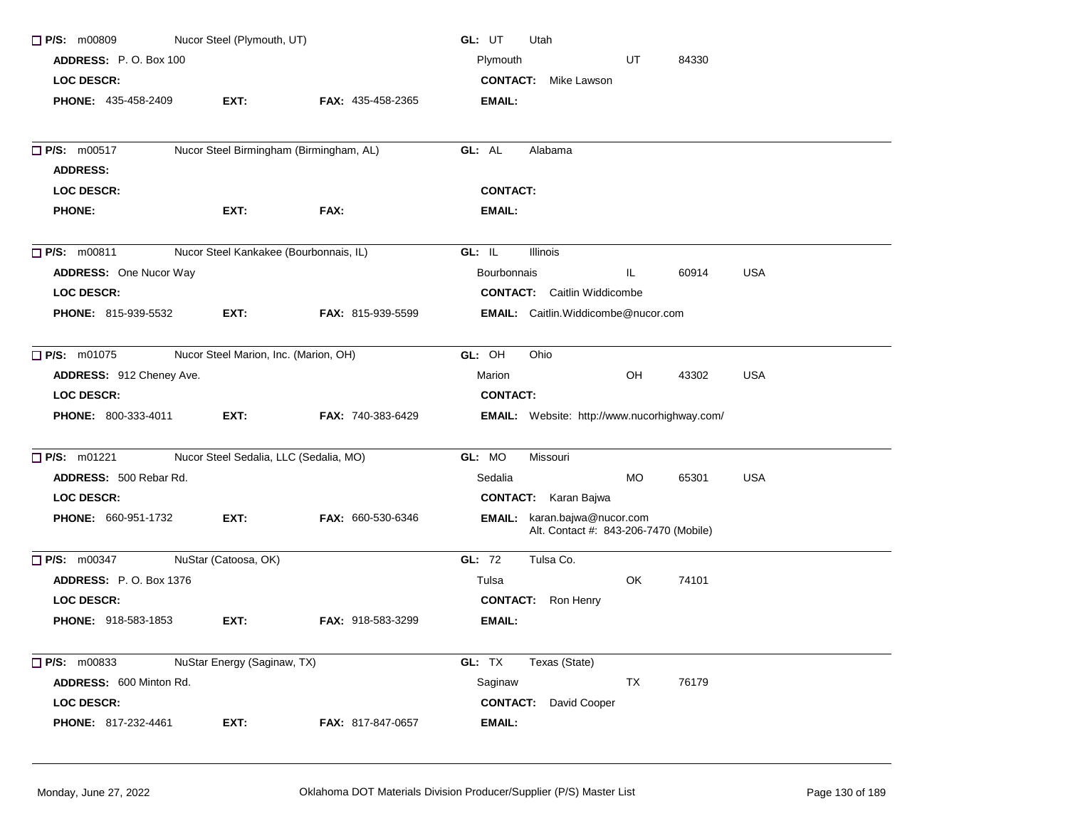| $\Box$ P/S: m00809            | Nucor Steel (Plymouth, UT)              |                          | GL: UT<br>Utah                                                               |
|-------------------------------|-----------------------------------------|--------------------------|------------------------------------------------------------------------------|
| ADDRESS: P.O. Box 100         |                                         |                          | Plymouth<br>UT<br>84330                                                      |
| <b>LOC DESCR:</b>             |                                         |                          | <b>CONTACT:</b><br>Mike Lawson                                               |
| <b>PHONE: 435-458-2409</b>    | EXT:                                    | <b>FAX: 435-458-2365</b> | <b>EMAIL:</b>                                                                |
|                               |                                         |                          |                                                                              |
| <b>P/S: m00517</b>            | Nucor Steel Birmingham (Birmingham, AL) |                          | GL: AL<br>Alabama                                                            |
| <b>ADDRESS:</b>               |                                         |                          |                                                                              |
| <b>LOC DESCR:</b>             |                                         |                          | <b>CONTACT:</b>                                                              |
| <b>PHONE:</b>                 | EXT:                                    | FAX:                     | <b>EMAIL:</b>                                                                |
| $\Box$ P/S: m00811            | Nucor Steel Kankakee (Bourbonnais, IL)  |                          | GL: IL<br>Illinois                                                           |
| <b>ADDRESS:</b> One Nucor Way |                                         |                          | <b>USA</b><br>IL.<br><b>Bourbonnais</b><br>60914                             |
| <b>LOC DESCR:</b>             |                                         |                          | <b>CONTACT:</b> Caitlin Widdicombe                                           |
| <b>PHONE: 815-939-5532</b>    | EXT:                                    | FAX: 815-939-5599        | <b>EMAIL:</b> Caitlin. Widdicombe@nucor.com                                  |
| $\Box$ P/S: m01075            | Nucor Steel Marion, Inc. (Marion, OH)   |                          | GL: OH<br>Ohio                                                               |
| ADDRESS: 912 Cheney Ave.      |                                         |                          | OH<br><b>USA</b><br>43302<br>Marion                                          |
| <b>LOC DESCR:</b>             |                                         |                          | <b>CONTACT:</b>                                                              |
| PHONE: 800-333-4011           | EXT:                                    | FAX: 740-383-6429        | <b>EMAIL:</b> Website: http://www.nucorhighway.com/                          |
| $\Box$ P/S: m01221            | Nucor Steel Sedalia, LLC (Sedalia, MO)  |                          | GL: MO<br>Missouri                                                           |
| ADDRESS: 500 Rebar Rd.        |                                         |                          | Sedalia<br>MO.<br>65301<br><b>USA</b>                                        |
| <b>LOC DESCR:</b>             |                                         |                          | <b>CONTACT:</b> Karan Bajwa                                                  |
| <b>PHONE: 660-951-1732</b>    | EXT:                                    | FAX: 660-530-6346        | <b>EMAIL:</b> karan.bajwa@nucor.com<br>Alt. Contact #: 843-206-7470 (Mobile) |
| $\Box$ P/S: m00347            | NuStar (Catoosa, OK)                    |                          | GL: 72<br>Tulsa Co.                                                          |
| <b>ADDRESS: P.O. Box 1376</b> |                                         |                          | OK<br>74101<br>Tulsa                                                         |
| <b>LOC DESCR:</b>             |                                         |                          | <b>CONTACT:</b><br>Ron Henry                                                 |
| <b>PHONE: 918-583-1853</b>    | EXT:                                    | <b>FAX: 918-583-3299</b> | <b>EMAIL:</b>                                                                |
| $\Box$ P/S: m00833            | NuStar Energy (Saginaw, TX)             |                          | GL: TX<br>Texas (State)                                                      |
| ADDRESS: 600 Minton Rd.       |                                         |                          | Saginaw<br>TX<br>76179                                                       |
| <b>LOC DESCR:</b>             |                                         |                          | <b>CONTACT:</b><br>David Cooper                                              |
| PHONE: 817-232-4461           | EXT:                                    | FAX: 817-847-0657        | EMAIL:                                                                       |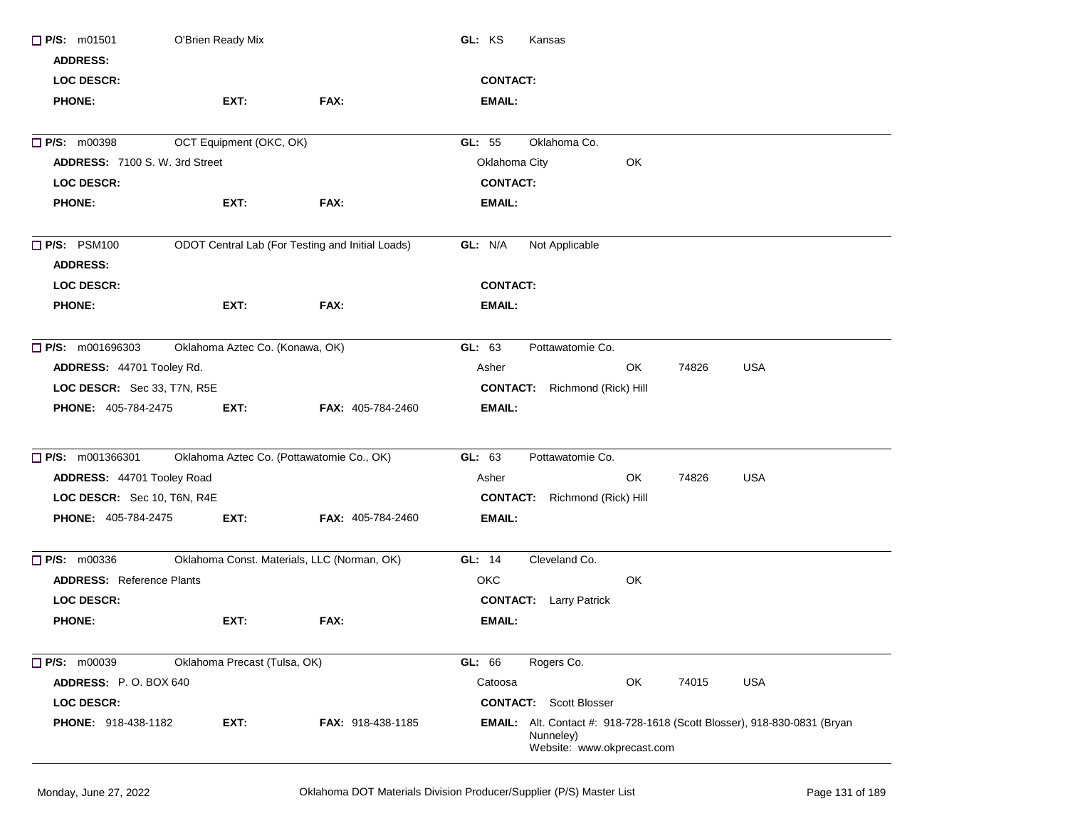| $\Box$ P/S: m01501                    | O'Brien Ready Mix                           |                                                  | GL: KS<br>Kansas                                                                                                           |
|---------------------------------------|---------------------------------------------|--------------------------------------------------|----------------------------------------------------------------------------------------------------------------------------|
| <b>ADDRESS:</b>                       |                                             |                                                  |                                                                                                                            |
| <b>LOC DESCR:</b>                     |                                             |                                                  | <b>CONTACT:</b>                                                                                                            |
| <b>PHONE:</b>                         | EXT:                                        | FAX:                                             | <b>EMAIL:</b>                                                                                                              |
| <b>P/S: m00398</b>                    | OCT Equipment (OKC, OK)                     |                                                  | Oklahoma Co.<br>GL: $55$                                                                                                   |
| <b>ADDRESS: 7100 S. W. 3rd Street</b> |                                             |                                                  | Oklahoma City<br>OK                                                                                                        |
| <b>LOC DESCR:</b>                     |                                             |                                                  | <b>CONTACT:</b>                                                                                                            |
| <b>PHONE:</b>                         | EXT:                                        | FAX:                                             | <b>EMAIL:</b>                                                                                                              |
| <b>P/S: PSM100</b>                    |                                             | ODOT Central Lab (For Testing and Initial Loads) | GL: N/A<br>Not Applicable                                                                                                  |
| <b>ADDRESS:</b>                       |                                             |                                                  |                                                                                                                            |
| <b>LOC DESCR:</b>                     |                                             |                                                  | <b>CONTACT:</b>                                                                                                            |
| <b>PHONE:</b>                         | EXT:                                        | FAX:                                             | <b>EMAIL:</b>                                                                                                              |
| $\Box$ P/S: m001696303                | Oklahoma Aztec Co. (Konawa, OK)             |                                                  | GL: 63<br>Pottawatomie Co.                                                                                                 |
| ADDRESS: 44701 Tooley Rd.             |                                             |                                                  | <b>USA</b><br>OK<br>74826<br>Asher                                                                                         |
| LOC DESCR: Sec 33, T7N, R5E           |                                             |                                                  | <b>CONTACT:</b> Richmond (Rick) Hill                                                                                       |
| <b>PHONE: 405-784-2475</b>            | EXT:                                        | FAX: 405-784-2460                                | <b>EMAIL:</b>                                                                                                              |
| $\Box$ P/S: m001366301                | Oklahoma Aztec Co. (Pottawatomie Co., OK)   |                                                  | GL: 63<br>Pottawatomie Co.                                                                                                 |
| ADDRESS: 44701 Tooley Road            |                                             |                                                  | OK<br><b>USA</b><br>74826<br>Asher                                                                                         |
| LOC DESCR: Sec 10, T6N, R4E           |                                             |                                                  | <b>CONTACT:</b> Richmond (Rick) Hill                                                                                       |
| PHONE: 405-784-2475                   | EXT:                                        | FAX: 405-784-2460                                | <b>EMAIL:</b>                                                                                                              |
| $\Box$ P/S: m00336                    | Oklahoma Const. Materials, LLC (Norman, OK) |                                                  | GL: 14<br>Cleveland Co.                                                                                                    |
| <b>ADDRESS:</b> Reference Plants      |                                             |                                                  | OK<br>ОКС                                                                                                                  |
| <b>LOC DESCR:</b>                     |                                             |                                                  | <b>CONTACT:</b> Larry Patrick                                                                                              |
| <b>PHONE:</b>                         | EXT:                                        | FAX:                                             | <b>EMAIL:</b>                                                                                                              |
| $\Box$ P/S: m00039                    | Oklahoma Precast (Tulsa, OK)                |                                                  | GL: 66<br>Rogers Co.                                                                                                       |
| ADDRESS: P.O. BOX 640                 |                                             |                                                  | OK<br><b>USA</b><br>Catoosa<br>74015                                                                                       |
| LOC DESCR:                            |                                             |                                                  | <b>CONTACT:</b> Scott Blosser                                                                                              |
| <b>PHONE: 918-438-1182</b>            | EXT:                                        | <b>FAX: 918-438-1185</b>                         | <b>EMAIL:</b> Alt. Contact #: 918-728-1618 (Scott Blosser), 918-830-0831 (Bryan<br>Nunneley)<br>Website: www.okprecast.com |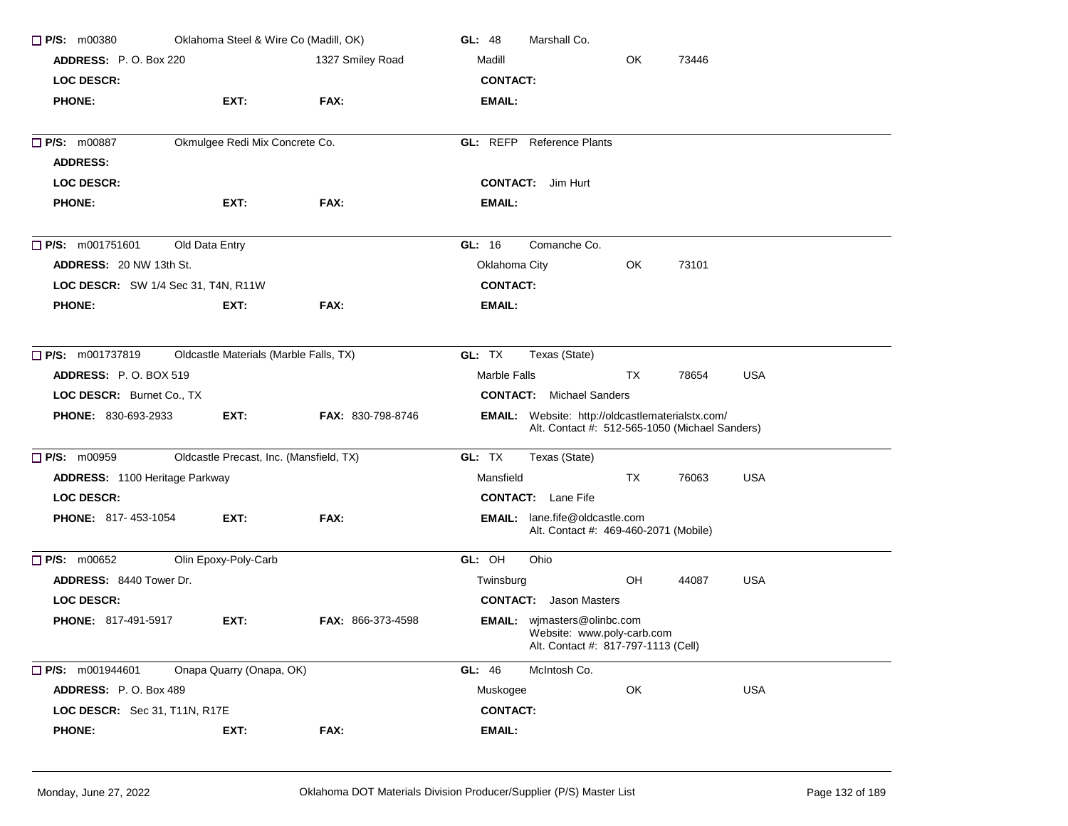| $\Box$ P/S: m00380                  | Oklahoma Steel & Wire Co (Madill, OK)   |                   | Marshall Co.<br>GL: 48                                                                                    |
|-------------------------------------|-----------------------------------------|-------------------|-----------------------------------------------------------------------------------------------------------|
| ADDRESS: P.O. Box 220               |                                         | 1327 Smiley Road  | OK<br>Madill<br>73446                                                                                     |
| <b>LOC DESCR:</b>                   |                                         |                   | <b>CONTACT:</b>                                                                                           |
| <b>PHONE:</b>                       | EXT:                                    | FAX:              | EMAIL:                                                                                                    |
| <b>P/S: m00887</b>                  | Okmulgee Redi Mix Concrete Co.          |                   | <b>GL: REFP</b> Reference Plants                                                                          |
| <b>ADDRESS:</b>                     |                                         |                   |                                                                                                           |
| <b>LOC DESCR:</b>                   |                                         |                   | <b>CONTACT:</b> Jim Hurt                                                                                  |
| <b>PHONE:</b>                       | EXT:                                    | FAX:              | <b>EMAIL:</b>                                                                                             |
| $\Box$ P/S: m001751601              | Old Data Entry                          |                   | GL: 16<br>Comanche Co.                                                                                    |
| <b>ADDRESS: 20 NW 13th St.</b>      |                                         |                   | Oklahoma City<br>OK.<br>73101                                                                             |
| LOC DESCR: SW 1/4 Sec 31, T4N, R11W |                                         |                   | <b>CONTACT:</b>                                                                                           |
| <b>PHONE:</b>                       | EXT:                                    | FAX:              | <b>EMAIL:</b>                                                                                             |
| <b>P/S:</b> m001737819              | Oldcastle Materials (Marble Falls, TX)  |                   | GL: TX<br>Texas (State)                                                                                   |
| <b>ADDRESS: P.O. BOX 519</b>        |                                         |                   | Marble Falls<br>TX<br>78654<br><b>USA</b>                                                                 |
| LOC DESCR: Burnet Co., TX           |                                         |                   | <b>CONTACT:</b> Michael Sanders                                                                           |
| <b>PHONE: 830-693-2933</b>          | EXT:                                    | FAX: 830-798-8746 | <b>EMAIL:</b> Website: http://oldcastlematerialstx.com/<br>Alt. Contact #: 512-565-1050 (Michael Sanders) |
| $\Box$ P/S: m00959                  | Oldcastle Precast, Inc. (Mansfield, TX) |                   | GL: TX<br>Texas (State)                                                                                   |
| ADDRESS: 1100 Heritage Parkway      |                                         |                   | Mansfield<br>TX<br><b>USA</b><br>76063                                                                    |
| <b>LOC DESCR:</b>                   |                                         |                   | <b>CONTACT:</b> Lane Fife                                                                                 |
| <b>PHONE: 817-453-1054</b>          | EXT:                                    | FAX:              | <b>EMAIL:</b> lane.fife@oldcastle.com<br>Alt. Contact #: 469-460-2071 (Mobile)                            |
| $\Box$ P/S: m00652                  | Olin Epoxy-Poly-Carb                    |                   | GL: OH<br>Ohio                                                                                            |
| <b>ADDRESS: 8440 Tower Dr.</b>      |                                         |                   | <b>USA</b><br>OH<br>Twinsburg<br>44087                                                                    |
| <b>LOC DESCR:</b>                   |                                         |                   | <b>CONTACT:</b> Jason Masters                                                                             |
| <b>PHONE: 817-491-5917</b>          | EXT:                                    | FAX: 866-373-4598 | EMAIL: wjmasters@olinbc.com<br>Website: www.poly-carb.com<br>Alt. Contact #: 817-797-1113 (Cell)          |
| $\Box$ P/S: m001944601              | Onapa Quarry (Onapa, OK)                |                   | GL: 46<br>McIntosh Co.                                                                                    |
| ADDRESS: P.O. Box 489               |                                         |                   | USA<br>OK<br>Muskogee                                                                                     |
| LOC DESCR: Sec 31, T11N, R17E       |                                         |                   | <b>CONTACT:</b>                                                                                           |
| <b>PHONE:</b>                       | EXT:                                    | FAX:              | <b>EMAIL:</b>                                                                                             |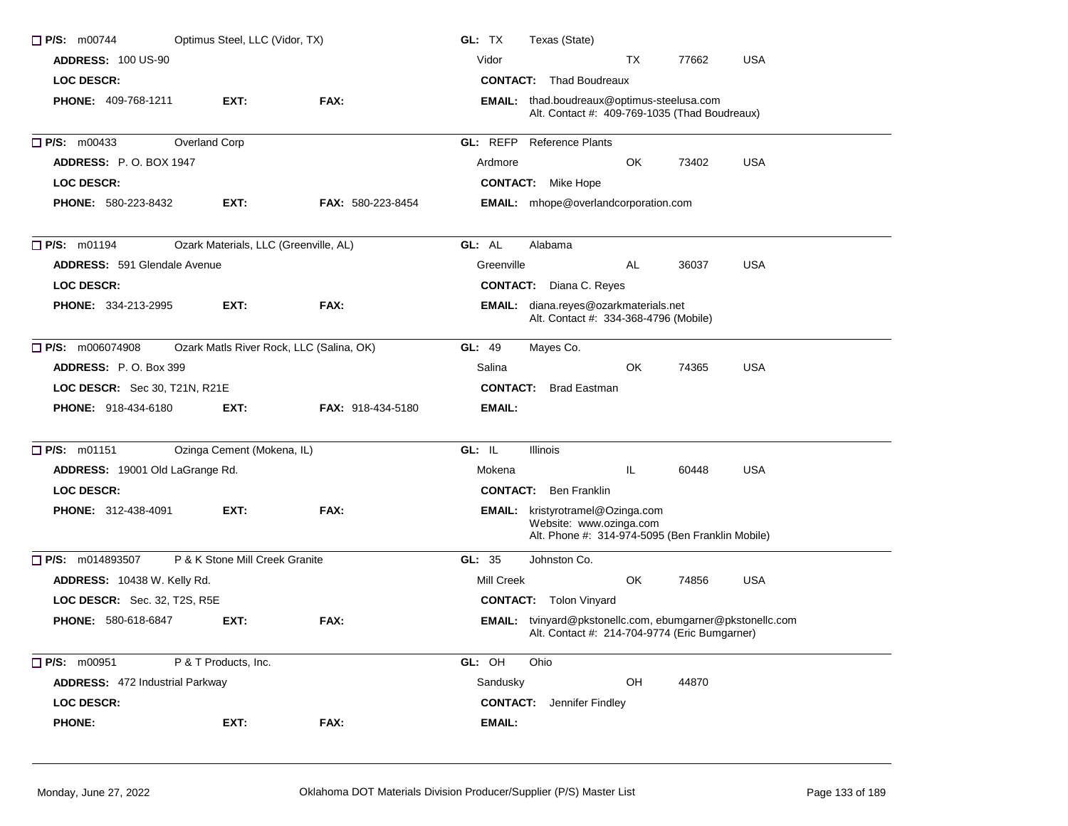| $\Box$ P/S: m00744                  | Optimus Steel, LLC (Vidor, TX)           |                          | Texas (State)<br>GL: TX                                                                                                |
|-------------------------------------|------------------------------------------|--------------------------|------------------------------------------------------------------------------------------------------------------------|
| <b>ADDRESS: 100 US-90</b>           |                                          |                          | Vidor<br>TX<br>77662<br><b>USA</b>                                                                                     |
| <b>LOC DESCR:</b>                   |                                          |                          | <b>CONTACT:</b> Thad Boudreaux                                                                                         |
| <b>PHONE: 409-768-1211</b>          | EXT:                                     | FAX:                     | EMAIL: thad.boudreaux@optimus-steelusa.com<br>Alt. Contact #: 409-769-1035 (Thad Boudreaux)                            |
| $\Box$ P/S: m00433                  | Overland Corp                            |                          | <b>GL: REFP</b> Reference Plants                                                                                       |
| <b>ADDRESS: P.O. BOX 1947</b>       |                                          |                          | 73402<br><b>USA</b><br>Ardmore<br>OK.                                                                                  |
| <b>LOC DESCR:</b>                   |                                          |                          | <b>CONTACT:</b> Mike Hope                                                                                              |
| <b>PHONE: 580-223-8432</b>          | EXT.                                     | <b>FAX: 580-223-8454</b> | EMAIL: mhope@overlandcorporation.com                                                                                   |
| $\Box$ P/S: m01194                  | Ozark Materials, LLC (Greenville, AL)    |                          | GL: AL<br>Alabama                                                                                                      |
| <b>ADDRESS: 591 Glendale Avenue</b> |                                          |                          | AL<br><b>USA</b><br>Greenville<br>36037                                                                                |
| <b>LOC DESCR:</b>                   |                                          |                          | <b>CONTACT:</b> Diana C. Reyes                                                                                         |
| <b>PHONE: 334-213-2995</b>          | EXT.                                     | FAX:                     | EMAIL: diana.reyes@ozarkmaterials.net<br>Alt. Contact #: 334-368-4796 (Mobile)                                         |
| $\Box$ P/S: m006074908              | Ozark Matls River Rock, LLC (Salina, OK) |                          | GL: 49<br>Mayes Co.                                                                                                    |
| <b>ADDRESS: P.O. Box 399</b>        |                                          |                          | OK<br>74365<br><b>USA</b><br>Salina                                                                                    |
| LOC DESCR: Sec 30, T21N, R21E       |                                          |                          | <b>CONTACT:</b> Brad Eastman                                                                                           |
| PHONE: 918-434-6180                 | EXT:                                     | <b>FAX: 918-434-5180</b> | EMAIL:                                                                                                                 |
| $\Box$ P/S: m01151                  | Ozinga Cement (Mokena, IL)               |                          | GL: IL<br><b>Illinois</b>                                                                                              |
| ADDRESS: 19001 Old LaGrange Rd.     |                                          |                          | IL.<br>60448<br><b>USA</b><br>Mokena                                                                                   |
| <b>LOC DESCR:</b>                   |                                          |                          | <b>CONTACT:</b> Ben Franklin                                                                                           |
| <b>PHONE: 312-438-4091</b>          | EXT:                                     | FAX:                     | <b>EMAIL:</b> kristyrotramel@Ozinga.com<br>Website: www.ozinga.com<br>Alt. Phone #: 314-974-5095 (Ben Franklin Mobile) |
| P/S: m014893507                     | P & K Stone Mill Creek Granite           |                          | GL: $35$<br>Johnston Co.                                                                                               |
| ADDRESS: 10438 W. Kelly Rd.         |                                          |                          | OK.<br>74856<br><b>USA</b><br>Mill Creek                                                                               |
| LOC DESCR: Sec. 32, T2S, R5E        |                                          |                          | <b>CONTACT:</b> Tolon Vinyard                                                                                          |
| <b>PHONE: 580-618-6847</b>          | EXT:                                     | FAX:                     | EMAIL: tvinyard@pkstonellc.com, ebumgarner@pkstonellc.com<br>Alt. Contact #: 214-704-9774 (Eric Bumgarner)             |
| P/S: m00951                         | P & T Products, Inc.                     |                          | GL: OH<br>Ohio                                                                                                         |
| ADDRESS: 472 Industrial Parkway     |                                          |                          | Sandusky<br>OH<br>44870                                                                                                |
| <b>LOC DESCR:</b>                   |                                          |                          | <b>CONTACT:</b> Jennifer Findley                                                                                       |
| <b>PHONE:</b>                       | EXT:                                     | FAX:                     | <b>EMAIL:</b>                                                                                                          |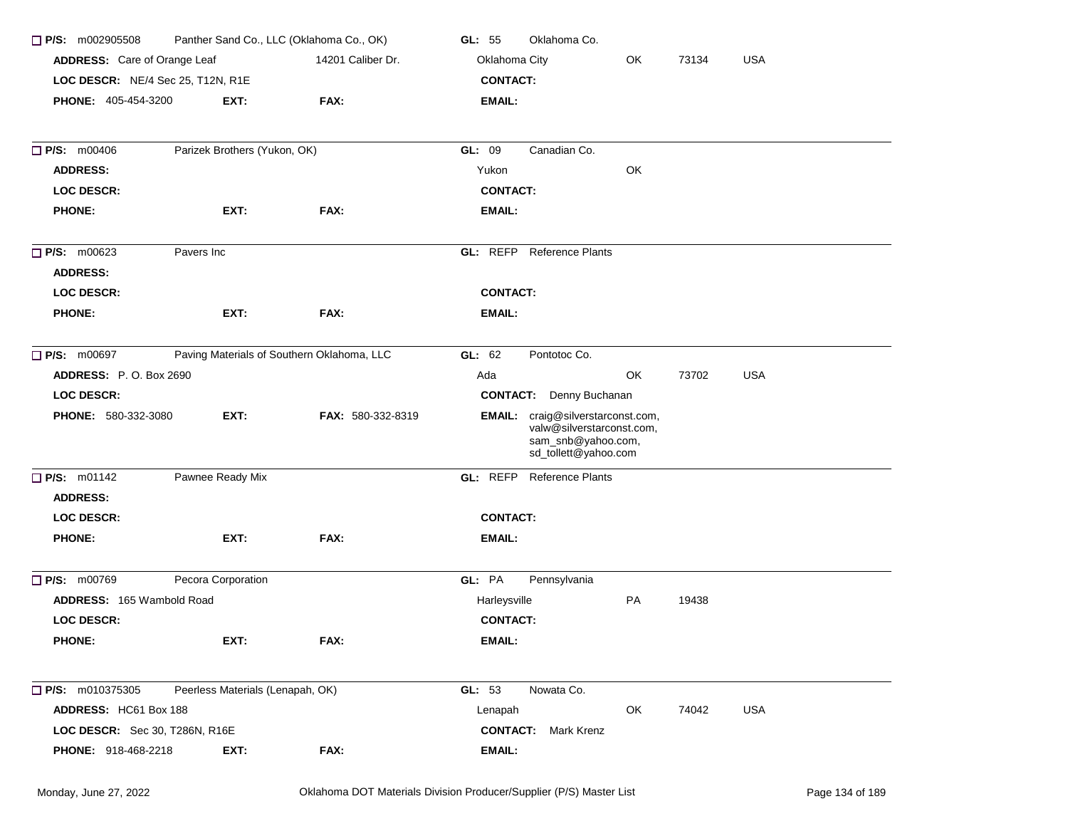| $\Box$ P/S: m002905508            | Panther Sand Co., LLC (Oklahoma Co., OK)   |                   | Oklahoma Co.<br>GL: 55                                                                                       |
|-----------------------------------|--------------------------------------------|-------------------|--------------------------------------------------------------------------------------------------------------|
| ADDRESS: Care of Orange Leaf      |                                            | 14201 Caliber Dr. | Oklahoma City<br>OK<br>73134<br><b>USA</b>                                                                   |
| LOC DESCR: NE/4 Sec 25, T12N, R1E |                                            |                   | <b>CONTACT:</b>                                                                                              |
| <b>PHONE: 405-454-3200</b>        | EXT:                                       | FAX:              | <b>EMAIL:</b>                                                                                                |
|                                   |                                            |                   |                                                                                                              |
| P/S: m00406                       | Parizek Brothers (Yukon, OK)               |                   | GL: 09<br>Canadian Co.                                                                                       |
| <b>ADDRESS:</b>                   |                                            |                   | OK<br>Yukon                                                                                                  |
| <b>LOC DESCR:</b>                 |                                            |                   | <b>CONTACT:</b>                                                                                              |
| <b>PHONE:</b>                     | EXT:                                       | FAX:              | <b>EMAIL:</b>                                                                                                |
| P/S: m00623                       | Pavers Inc                                 |                   | <b>GL:</b> REFP Reference Plants                                                                             |
| <b>ADDRESS:</b>                   |                                            |                   |                                                                                                              |
| <b>LOC DESCR:</b>                 |                                            |                   | <b>CONTACT:</b>                                                                                              |
| <b>PHONE:</b>                     | EXT:                                       | FAX:              | <b>EMAIL:</b>                                                                                                |
| $\Box$ P/S: m00697                | Paving Materials of Southern Oklahoma, LLC |                   | GL: 62<br>Pontotoc Co.                                                                                       |
| <b>ADDRESS: P.O. Box 2690</b>     |                                            |                   | OK<br>73702<br><b>USA</b><br>Ada                                                                             |
| <b>LOC DESCR:</b>                 |                                            |                   | <b>CONTACT:</b> Denny Buchanan                                                                               |
| PHONE: 580-332-3080               | EXT:                                       | FAX: 580-332-8319 | EMAIL: craig@silverstarconst.com,<br>valw@silverstarconst.com,<br>sam_snb@yahoo.com,<br>sd_tollett@yahoo.com |
| P/S: m01142                       | Pawnee Ready Mix                           |                   | GL: REFP<br><b>Reference Plants</b>                                                                          |
| <b>ADDRESS:</b>                   |                                            |                   |                                                                                                              |
| <b>LOC DESCR:</b>                 |                                            |                   | <b>CONTACT:</b>                                                                                              |
| <b>PHONE:</b>                     | EXT:                                       | FAX:              | <b>EMAIL:</b>                                                                                                |
| P/S: m00769                       | Pecora Corporation                         |                   | GL: PA<br>Pennsylvania                                                                                       |
| ADDRESS: 165 Wambold Road         |                                            |                   | Harleysville<br>PA<br>19438                                                                                  |
| <b>LOC DESCR:</b>                 |                                            |                   | <b>CONTACT:</b>                                                                                              |
| <b>PHONE:</b>                     | EXT:                                       | FAX:              | EMAIL:                                                                                                       |
| $\Box$ P/S: m010375305            | Peerless Materials (Lenapah, OK)           |                   | GL: 53<br>Nowata Co.                                                                                         |
| ADDRESS: HC61 Box 188             |                                            |                   | OK<br>74042<br><b>USA</b><br>Lenapah                                                                         |
| LOC DESCR: Sec 30, T286N, R16E    |                                            |                   | <b>CONTACT:</b> Mark Krenz                                                                                   |
| <b>PHONE: 918-468-2218</b>        | EXT.                                       | FAX:              | EMAIL:                                                                                                       |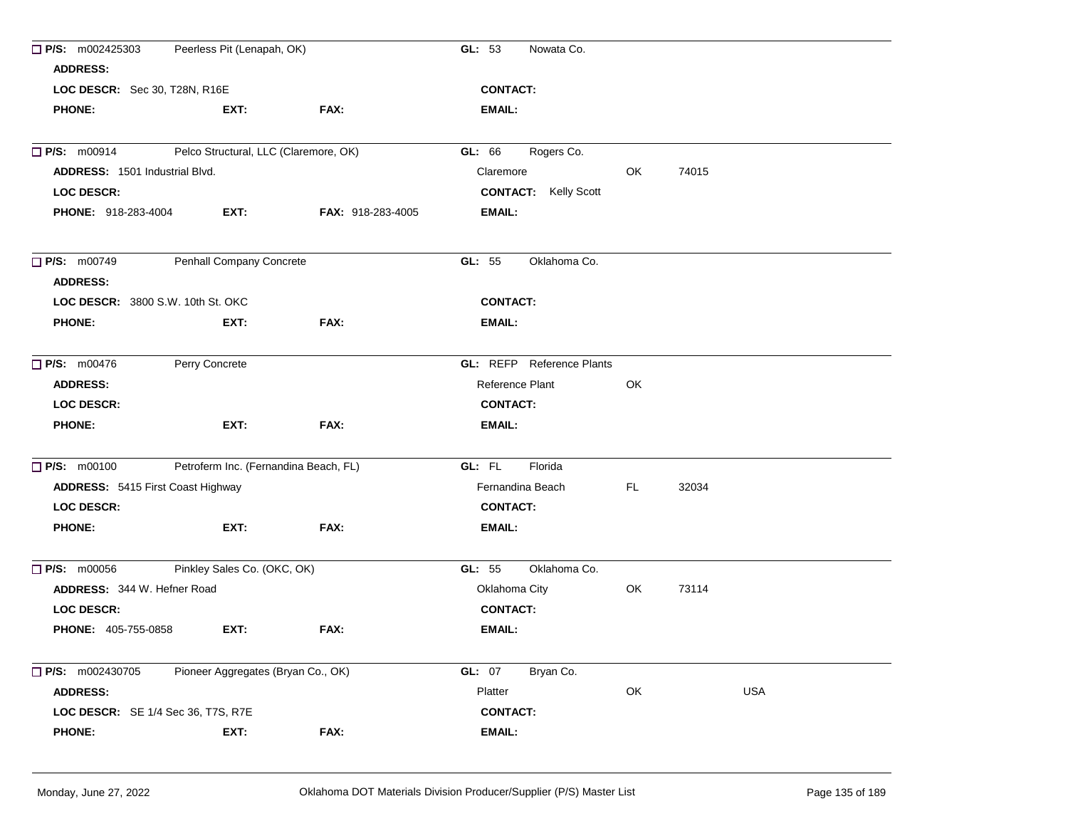| $\Box$ P/S: m002425303                   | Peerless Pit (Lenapah, OK)            |                          | GL: 53<br>Nowata Co.                         |     |       |            |
|------------------------------------------|---------------------------------------|--------------------------|----------------------------------------------|-----|-------|------------|
| <b>ADDRESS:</b>                          |                                       |                          |                                              |     |       |            |
| LOC DESCR: Sec 30, T28N, R16E            |                                       |                          | <b>CONTACT:</b>                              |     |       |            |
| <b>PHONE:</b>                            | EXT:                                  | FAX:                     | <b>EMAIL:</b>                                |     |       |            |
| $\Box$ P/S: m00914                       | Pelco Structural, LLC (Claremore, OK) |                          | GL: 66                                       |     |       |            |
| <b>ADDRESS: 1501 Industrial Blvd.</b>    |                                       |                          | Rogers Co.<br>Claremore                      | OK  | 74015 |            |
|                                          |                                       |                          |                                              |     |       |            |
| <b>LOC DESCR:</b>                        |                                       |                          | <b>CONTACT:</b> Kelly Scott<br><b>EMAIL:</b> |     |       |            |
| <b>PHONE: 918-283-4004</b>               | EXT:                                  | <b>FAX: 918-283-4005</b> |                                              |     |       |            |
| $\Box$ P/S: m00749                       | Penhall Company Concrete              |                          | GL: 55<br>Oklahoma Co.                       |     |       |            |
| <b>ADDRESS:</b>                          |                                       |                          |                                              |     |       |            |
| LOC DESCR: 3800 S.W. 10th St. OKC        |                                       |                          | <b>CONTACT:</b>                              |     |       |            |
| <b>PHONE:</b>                            | EXT:                                  | FAX:                     | EMAIL:                                       |     |       |            |
| $\Box$ P/S: m00476                       | Perry Concrete                        |                          | <b>GL:</b> REFP Reference Plants             |     |       |            |
| <b>ADDRESS:</b>                          |                                       |                          | Reference Plant                              | OK  |       |            |
| <b>LOC DESCR:</b>                        |                                       |                          | <b>CONTACT:</b>                              |     |       |            |
| <b>PHONE:</b>                            | EXT:                                  | FAX:                     | <b>EMAIL:</b>                                |     |       |            |
| $\Box$ P/S: m00100                       | Petroferm Inc. (Fernandina Beach, FL) |                          | GL: FL<br>Florida                            |     |       |            |
| <b>ADDRESS: 5415 First Coast Highway</b> |                                       |                          | Fernandina Beach                             | FL. | 32034 |            |
| <b>LOC DESCR:</b>                        |                                       |                          | <b>CONTACT:</b>                              |     |       |            |
| <b>PHONE:</b>                            | EXT:                                  | FAX:                     | EMAIL:                                       |     |       |            |
| $\Box$ P/S: m00056                       | Pinkley Sales Co. (OKC, OK)           |                          | Oklahoma Co.<br>GL: 55                       |     |       |            |
| ADDRESS: 344 W. Hefner Road              |                                       |                          | Oklahoma City                                | OK  | 73114 |            |
| <b>LOC DESCR:</b>                        |                                       |                          | <b>CONTACT:</b>                              |     |       |            |
| <b>PHONE: 405-755-0858</b>               | EXT:                                  | FAX:                     | EMAIL:                                       |     |       |            |
| P/S: m002430705                          | Pioneer Aggregates (Bryan Co., OK)    |                          | GL: 07<br>Bryan Co.                          |     |       |            |
| <b>ADDRESS:</b>                          |                                       |                          | Platter                                      | OK  |       | <b>USA</b> |
| LOC DESCR: SE 1/4 Sec 36, T7S, R7E       |                                       |                          | <b>CONTACT:</b>                              |     |       |            |
| <b>PHONE:</b>                            | EXT:                                  | FAX:                     | <b>EMAIL:</b>                                |     |       |            |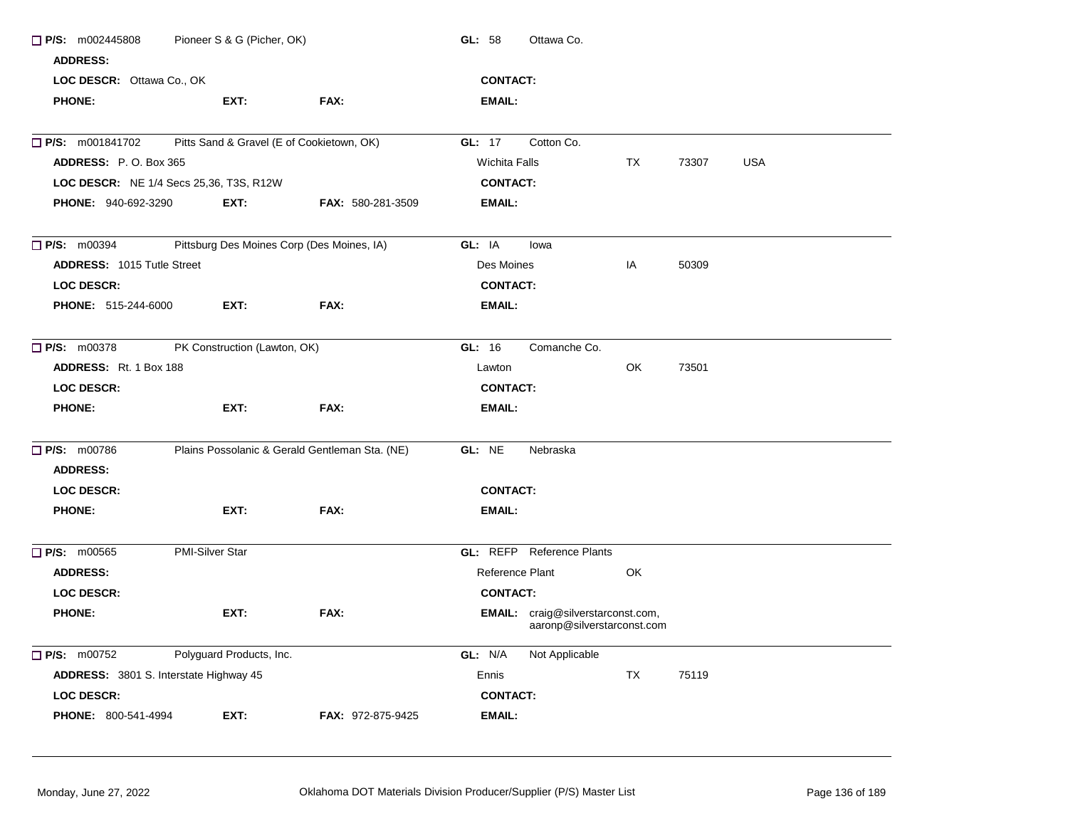| $\Box$ P/S: m002445808<br><b>ADDRESS:</b> | Pioneer S & G (Picher, OK)                     |                          | GL: 58               | Ottawa Co.                                                             |           |       |            |
|-------------------------------------------|------------------------------------------------|--------------------------|----------------------|------------------------------------------------------------------------|-----------|-------|------------|
| LOC DESCR: Ottawa Co., OK                 |                                                |                          | <b>CONTACT:</b>      |                                                                        |           |       |            |
| <b>PHONE:</b>                             | EXT:                                           | FAX:                     | <b>EMAIL:</b>        |                                                                        |           |       |            |
| <b>P/S: m001841702</b>                    | Pitts Sand & Gravel (E of Cookietown, OK)      |                          | GL: 17               | Cotton Co.                                                             |           |       |            |
| ADDRESS: P.O. Box 365                     |                                                |                          | <b>Wichita Falls</b> |                                                                        | TX        | 73307 | <b>USA</b> |
| LOC DESCR: NE 1/4 Secs 25,36, T3S, R12W   |                                                |                          | <b>CONTACT:</b>      |                                                                        |           |       |            |
| <b>PHONE: 940-692-3290</b>                | EXT:                                           | <b>FAX: 580-281-3509</b> | <b>EMAIL:</b>        |                                                                        |           |       |            |
| $\Box$ P/S: m00394                        | Pittsburg Des Moines Corp (Des Moines, IA)     |                          | GL: IA               | lowa                                                                   |           |       |            |
| <b>ADDRESS: 1015 Tutle Street</b>         |                                                |                          | Des Moines           |                                                                        | IA        | 50309 |            |
| <b>LOC DESCR:</b>                         |                                                |                          | <b>CONTACT:</b>      |                                                                        |           |       |            |
| <b>PHONE: 515-244-6000</b>                | EXT:                                           | FAX:                     | <b>EMAIL:</b>        |                                                                        |           |       |            |
| $\Box$ P/S: m00378                        | PK Construction (Lawton, OK)                   |                          | GL: 16               | Comanche Co.                                                           |           |       |            |
| <b>ADDRESS:</b> Rt. 1 Box 188             |                                                |                          | Lawton               |                                                                        | OK        | 73501 |            |
| <b>LOC DESCR:</b>                         |                                                |                          | <b>CONTACT:</b>      |                                                                        |           |       |            |
| <b>PHONE:</b>                             | EXT:                                           | FAX:                     | <b>EMAIL:</b>        |                                                                        |           |       |            |
| $P/S:$ m00786                             | Plains Possolanic & Gerald Gentleman Sta. (NE) |                          | GL: NE               | Nebraska                                                               |           |       |            |
| <b>ADDRESS:</b>                           |                                                |                          |                      |                                                                        |           |       |            |
| LOC DESCR:                                |                                                |                          | <b>CONTACT:</b>      |                                                                        |           |       |            |
| <b>PHONE:</b>                             | EXT:                                           | FAX:                     | <b>EMAIL:</b>        |                                                                        |           |       |            |
| $\Box$ P/S: m00565                        | <b>PMI-Silver Star</b>                         |                          |                      | <b>GL:</b> REFP Reference Plants                                       |           |       |            |
| <b>ADDRESS:</b>                           |                                                |                          | Reference Plant      |                                                                        | OK        |       |            |
| <b>LOC DESCR:</b>                         |                                                |                          | <b>CONTACT:</b>      |                                                                        |           |       |            |
| <b>PHONE:</b>                             | EXT:                                           | FAX:                     |                      | <b>EMAIL:</b> craig@silverstarconst.com,<br>aaronp@silverstarconst.com |           |       |            |
| $P/S:$ m00752                             | Polyguard Products, Inc.                       |                          | GL: N/A              | Not Applicable                                                         |           |       |            |
| ADDRESS: 3801 S. Interstate Highway 45    |                                                |                          | Ennis                |                                                                        | <b>TX</b> | 75119 |            |
| <b>LOC DESCR:</b>                         |                                                |                          | <b>CONTACT:</b>      |                                                                        |           |       |            |
| <b>PHONE: 800-541-4994</b>                | EXT:                                           | <b>FAX: 972-875-9425</b> | <b>EMAIL:</b>        |                                                                        |           |       |            |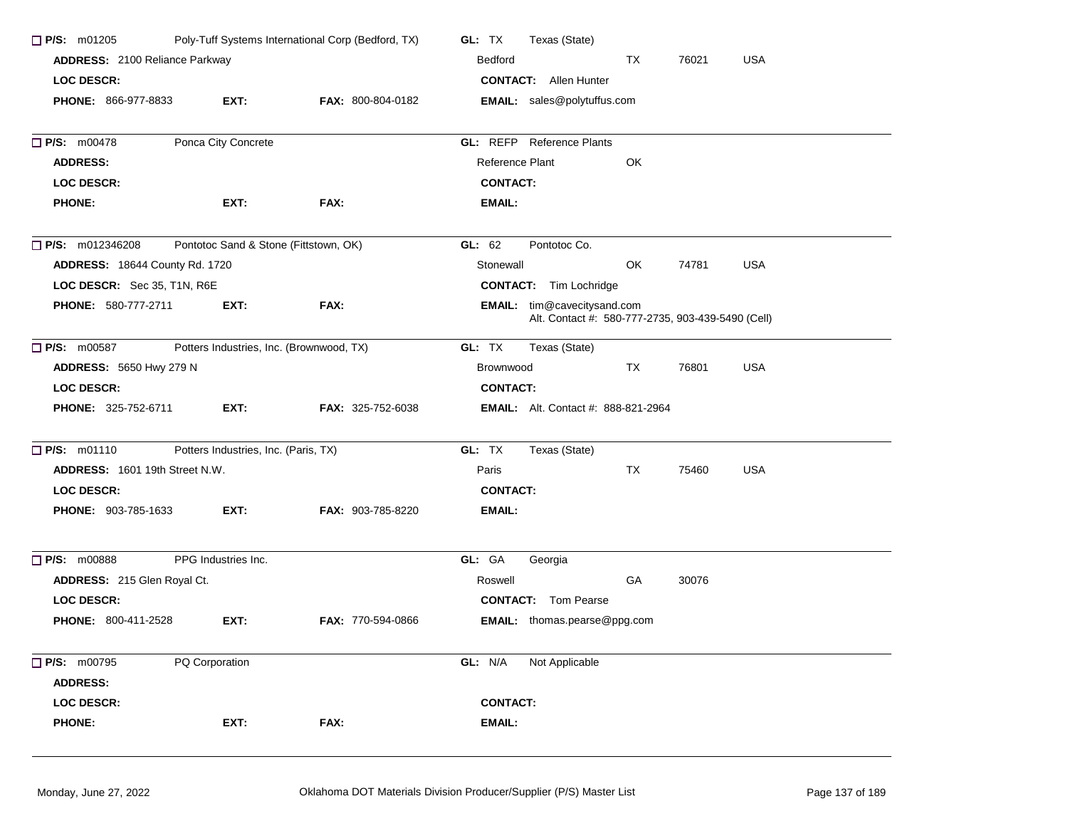| $\Box$ P/S: m01205                    |                                      | Poly-Tuff Systems International Corp (Bedford, TX) | GL: TX                                      | Texas (State)                                                                           |     |       |            |  |
|---------------------------------------|--------------------------------------|----------------------------------------------------|---------------------------------------------|-----------------------------------------------------------------------------------------|-----|-------|------------|--|
| ADDRESS: 2100 Reliance Parkway        |                                      |                                                    | <b>Bedford</b><br>TX<br>76021<br><b>USA</b> |                                                                                         |     |       |            |  |
| <b>LOC DESCR:</b>                     |                                      |                                                    |                                             | <b>CONTACT:</b> Allen Hunter                                                            |     |       |            |  |
| <b>PHONE: 866-977-8833</b>            | EXT:                                 | FAX: 800-804-0182                                  |                                             | <b>EMAIL:</b> sales@polytuffus.com                                                      |     |       |            |  |
| P/S: m00478                           | Ponca City Concrete                  |                                                    |                                             | GL: REFP Reference Plants                                                               |     |       |            |  |
| <b>ADDRESS:</b>                       |                                      |                                                    | Reference Plant                             |                                                                                         | OK  |       |            |  |
| <b>LOC DESCR:</b>                     |                                      |                                                    | <b>CONTACT:</b>                             |                                                                                         |     |       |            |  |
| <b>PHONE:</b>                         | EXT:                                 | FAX:                                               | EMAIL:                                      |                                                                                         |     |       |            |  |
| $\Box$ P/S: m012346208                |                                      | Pontotoc Sand & Stone (Fittstown, OK)              | GL: $62$                                    | Pontotoc Co.                                                                            |     |       |            |  |
| <b>ADDRESS: 18644 County Rd. 1720</b> |                                      |                                                    | Stonewall                                   |                                                                                         | OK. | 74781 | <b>USA</b> |  |
| LOC DESCR: Sec 35, T1N, R6E           |                                      |                                                    |                                             | <b>CONTACT:</b> Tim Lochridge                                                           |     |       |            |  |
| <b>PHONE: 580-777-2711</b>            | EXT:                                 | FAX:                                               |                                             | <b>EMAIL:</b> tim@cavecitysand.com<br>Alt. Contact #: 580-777-2735, 903-439-5490 (Cell) |     |       |            |  |
| $\Box$ P/S: m00587                    |                                      | Potters Industries, Inc. (Brownwood, TX)           | GL: TX                                      | Texas (State)                                                                           |     |       |            |  |
| <b>ADDRESS: 5650 Hwy 279 N</b>        |                                      |                                                    | Brownwood                                   |                                                                                         | TX  | 76801 | <b>USA</b> |  |
| <b>LOC DESCR:</b>                     |                                      |                                                    | <b>CONTACT:</b>                             |                                                                                         |     |       |            |  |
| <b>PHONE: 325-752-6711</b>            | EXT:                                 | FAX: 325-752-6038                                  |                                             | <b>EMAIL:</b> Alt. Contact #: 888-821-2964                                              |     |       |            |  |
| $P/S:$ m01110                         | Potters Industries, Inc. (Paris, TX) |                                                    | GL: TX                                      | Texas (State)                                                                           |     |       |            |  |
| <b>ADDRESS: 1601 19th Street N.W.</b> |                                      |                                                    | Paris                                       |                                                                                         | TX  | 75460 | <b>USA</b> |  |
| <b>LOC DESCR:</b>                     |                                      |                                                    | <b>CONTACT:</b>                             |                                                                                         |     |       |            |  |
| <b>PHONE: 903-785-1633</b>            | EXT:                                 | FAX: 903-785-8220                                  | EMAIL:                                      |                                                                                         |     |       |            |  |
| P/S: m00888                           | PPG Industries Inc.                  |                                                    | GL: GA                                      | Georgia                                                                                 |     |       |            |  |
| ADDRESS: 215 Glen Royal Ct.           |                                      |                                                    | Roswell                                     |                                                                                         | GA  | 30076 |            |  |
| <b>LOC DESCR:</b>                     |                                      |                                                    |                                             | <b>CONTACT:</b> Tom Pearse                                                              |     |       |            |  |
| <b>PHONE: 800-411-2528</b>            | EXT:                                 | <b>FAX: 770-594-0866</b>                           |                                             | <b>EMAIL:</b> thomas.pearse@ppg.com                                                     |     |       |            |  |
| P/S: m00795                           | PQ Corporation                       |                                                    | GL: N/A                                     | Not Applicable                                                                          |     |       |            |  |
| <b>ADDRESS:</b>                       |                                      |                                                    |                                             |                                                                                         |     |       |            |  |
| <b>LOC DESCR:</b>                     |                                      |                                                    | <b>CONTACT:</b>                             |                                                                                         |     |       |            |  |
| <b>PHONE:</b>                         | EXT:                                 | FAX:                                               | <b>EMAIL:</b>                               |                                                                                         |     |       |            |  |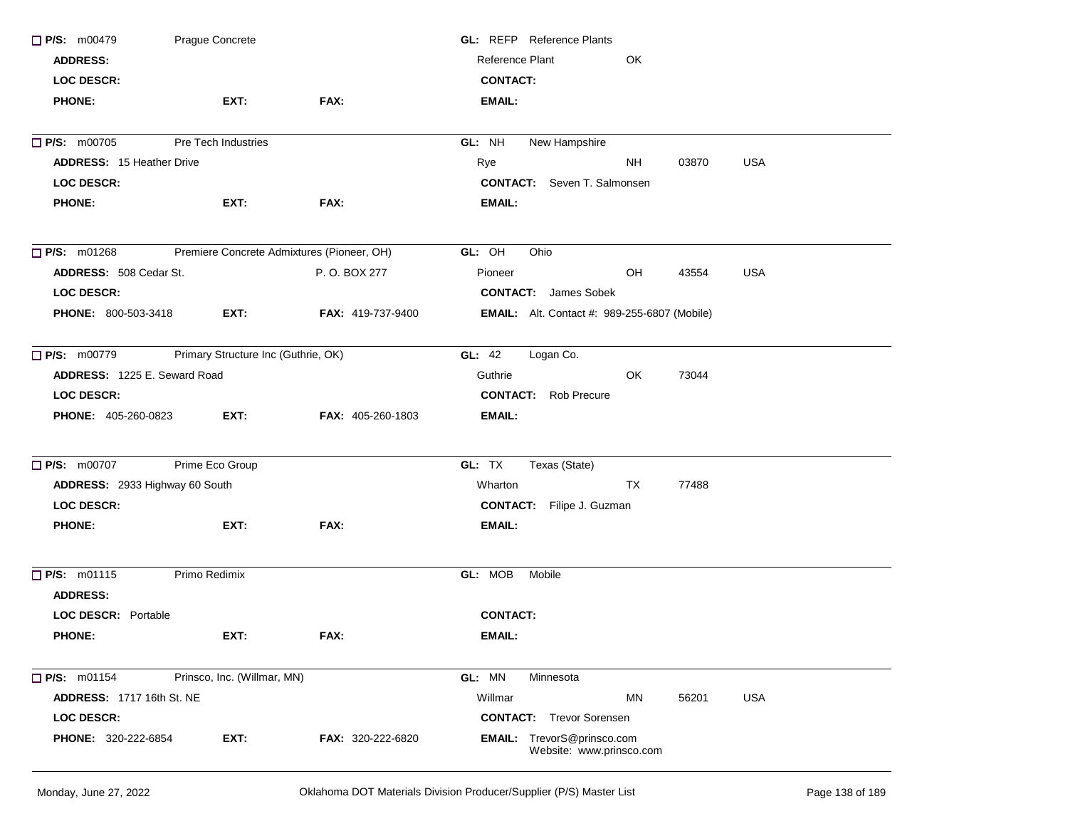| P/S: m00479                      | Prague Concrete                            |                          | <b>GL:</b> REFP Reference Plants                       |  |
|----------------------------------|--------------------------------------------|--------------------------|--------------------------------------------------------|--|
| <b>ADDRESS:</b>                  |                                            |                          | Reference Plant<br>OK                                  |  |
| <b>LOC DESCR:</b>                |                                            |                          | <b>CONTACT:</b>                                        |  |
| <b>PHONE:</b>                    | EXT:                                       | FAX:                     | <b>EMAIL:</b>                                          |  |
| P/S: m00705                      | Pre Tech Industries                        |                          | GL: NH<br>New Hampshire                                |  |
| <b>ADDRESS: 15 Heather Drive</b> |                                            |                          | 03870<br><b>USA</b><br>Rye<br>ΝH                       |  |
| <b>LOC DESCR:</b>                |                                            |                          | <b>CONTACT:</b> Seven T. Salmonsen                     |  |
| <b>PHONE:</b>                    | EXT:                                       | FAX:                     | EMAIL:                                                 |  |
| $P/S:$ m01268                    | Premiere Concrete Admixtures (Pioneer, OH) |                          | GL: OH<br>Ohio                                         |  |
| ADDRESS: 508 Cedar St.           |                                            | P. O. BOX 277            | OH<br>43554<br><b>USA</b><br>Pioneer                   |  |
| <b>LOC DESCR:</b>                |                                            |                          | <b>CONTACT:</b> James Sobek                            |  |
| <b>PHONE: 800-503-3418</b>       | EXT:                                       | <b>FAX: 419-737-9400</b> | <b>EMAIL:</b> Alt. Contact #: 989-255-6807 (Mobile)    |  |
| $\Box$ P/S: m00779               | Primary Structure Inc (Guthrie, OK)        |                          | GL: 42<br>Logan Co.                                    |  |
| ADDRESS: 1225 E. Seward Road     |                                            |                          | Guthrie<br>OK.<br>73044                                |  |
| <b>LOC DESCR:</b>                |                                            |                          | <b>CONTACT:</b> Rob Precure                            |  |
| <b>PHONE: 405-260-0823</b>       | EXT:                                       | FAX: 405-260-1803        | EMAIL:                                                 |  |
| $\Box$ P/S: m00707               | Prime Eco Group                            |                          | GL: TX<br>Texas (State)                                |  |
| ADDRESS: 2933 Highway 60 South   |                                            |                          | TX<br>77488<br>Wharton                                 |  |
| <b>LOC DESCR:</b>                |                                            |                          | <b>CONTACT:</b> Filipe J. Guzman                       |  |
| <b>PHONE:</b>                    | EXT:                                       | FAX:                     | EMAIL:                                                 |  |
| P/S: m01115                      | Primo Redimix                              |                          | GL: MOB<br>Mobile                                      |  |
| <b>ADDRESS:</b>                  |                                            |                          |                                                        |  |
| <b>LOC DESCR: Portable</b>       |                                            |                          | <b>CONTACT:</b>                                        |  |
| <b>PHONE:</b>                    | EXT:                                       | FAX:                     | <b>EMAIL:</b>                                          |  |
| P/S: m01154                      | Prinsco, Inc. (Willmar, MN)                |                          | GL: MN<br>Minnesota                                    |  |
| <b>ADDRESS: 1717 16th St. NE</b> |                                            |                          | Willmar<br><b>USA</b><br>MN<br>56201                   |  |
| <b>LOC DESCR:</b>                |                                            |                          | <b>CONTACT:</b> Trevor Sorensen                        |  |
| PHONE: 320-222-6854              | EXT:                                       | FAX: 320-222-6820        | EMAIL: TrevorS@prinsco.com<br>Website: www.prinsco.com |  |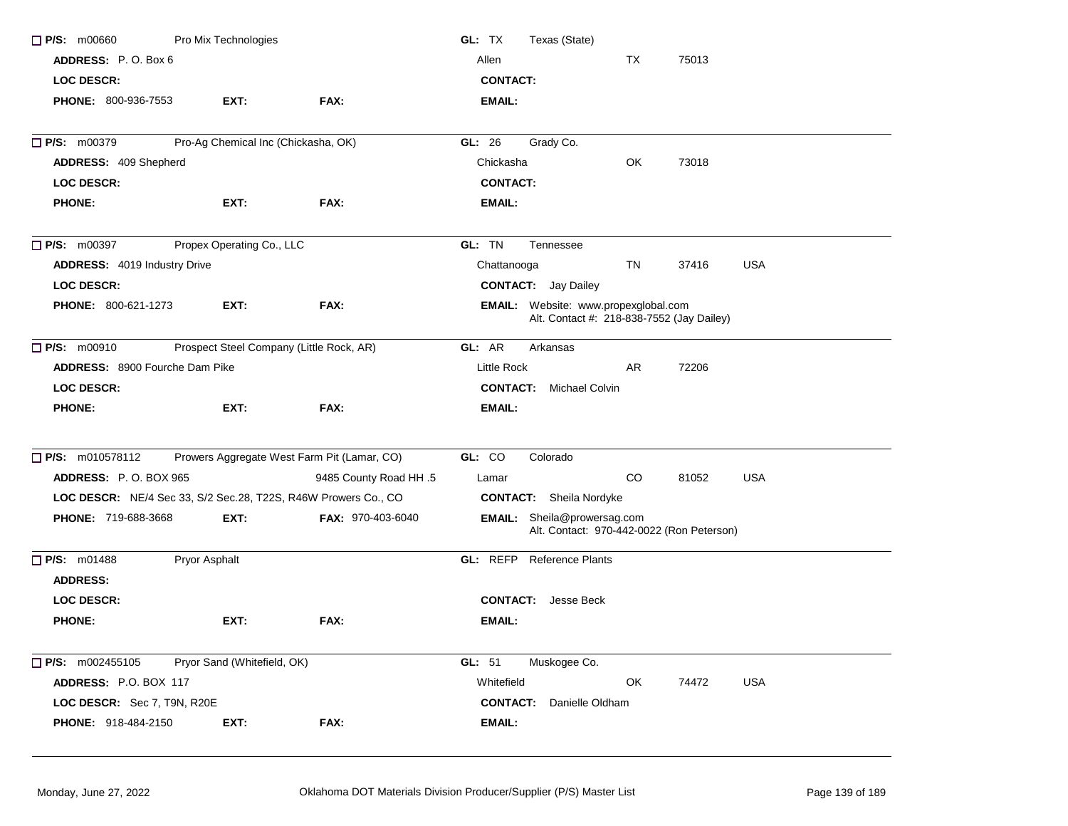| $\Box$ P/S: m00660                                             | Pro Mix Technologies                     |                                             | GL: TX<br>Texas (State)                                                                  |
|----------------------------------------------------------------|------------------------------------------|---------------------------------------------|------------------------------------------------------------------------------------------|
| ADDRESS: P.O. Box 6                                            |                                          |                                             | Allen<br>TX<br>75013                                                                     |
| <b>LOC DESCR:</b>                                              |                                          |                                             | <b>CONTACT:</b>                                                                          |
| PHONE: 800-936-7553                                            | EXT:                                     | FAX:                                        | <b>EMAIL:</b>                                                                            |
| P/S: m00379                                                    | Pro-Ag Chemical Inc (Chickasha, OK)      |                                             | Grady Co.<br>GL: 26                                                                      |
| ADDRESS: 409 Shepherd                                          |                                          |                                             | Chickasha<br>OK<br>73018                                                                 |
| <b>LOC DESCR:</b>                                              |                                          |                                             | <b>CONTACT:</b>                                                                          |
| <b>PHONE:</b>                                                  | EXT:                                     | FAX:                                        | <b>EMAIL:</b>                                                                            |
| $\Box$ P/S: m00397                                             | Propex Operating Co., LLC                |                                             | GL: TN<br>Tennessee                                                                      |
| ADDRESS: 4019 Industry Drive                                   |                                          |                                             | Chattanooga<br>TN<br>37416<br><b>USA</b>                                                 |
| <b>LOC DESCR:</b>                                              |                                          |                                             | <b>CONTACT:</b> Jay Dailey                                                               |
| <b>PHONE: 800-621-1273</b>                                     | EXT:                                     | FAX:                                        | <b>EMAIL:</b> Website: www.propexglobal.com<br>Alt. Contact #: 218-838-7552 (Jay Dailey) |
| P/S: m00910                                                    | Prospect Steel Company (Little Rock, AR) |                                             | GL: AR<br>Arkansas                                                                       |
| <b>ADDRESS: 8900 Fourche Dam Pike</b>                          |                                          |                                             | Little Rock<br>AR<br>72206                                                               |
| <b>LOC DESCR:</b>                                              |                                          |                                             | <b>CONTACT:</b><br><b>Michael Colvin</b>                                                 |
| <b>PHONE:</b>                                                  | EXT:                                     | FAX:                                        | <b>EMAIL:</b>                                                                            |
| P/S: m010578112                                                |                                          | Prowers Aggregate West Farm Pit (Lamar, CO) | GL: CO<br>Colorado                                                                       |
| <b>ADDRESS: P.O. BOX 965</b>                                   |                                          | 9485 County Road HH .5                      | CO<br>81052<br><b>USA</b><br>Lamar                                                       |
| LOC DESCR: NE/4 Sec 33, S/2 Sec.28, T22S, R46W Prowers Co., CO |                                          |                                             | <b>CONTACT:</b> Sheila Nordyke                                                           |
| PHONE: 719-688-3668                                            | EXT:                                     | <b>FAX: 970-403-6040</b>                    | <b>EMAIL:</b> Sheila@prowersag.com<br>Alt. Contact: 970-442-0022 (Ron Peterson)          |
| $\Box$ P/S: m01488                                             | Pryor Asphalt                            |                                             | <b>GL:</b> REFP Reference Plants                                                         |
| <b>ADDRESS:</b>                                                |                                          |                                             |                                                                                          |
| <b>LOC DESCR:</b>                                              |                                          |                                             | <b>CONTACT:</b><br>Jesse Beck                                                            |
| <b>PHONE:</b>                                                  | EXT:                                     | FAX:                                        | EMAIL:                                                                                   |
| $\Box$ P/S: m002455105                                         | Pryor Sand (Whitefield, OK)              |                                             | GL: 51<br>Muskogee Co.                                                                   |
| ADDRESS: P.O. BOX 117                                          |                                          |                                             | Whitefield<br>OK<br>74472<br><b>USA</b>                                                  |
| LOC DESCR: Sec 7, T9N, R20E                                    |                                          |                                             | <b>CONTACT:</b> Danielle Oldham                                                          |
| <b>PHONE: 918-484-2150</b>                                     | EXT:                                     | FAX:                                        | <b>EMAIL:</b>                                                                            |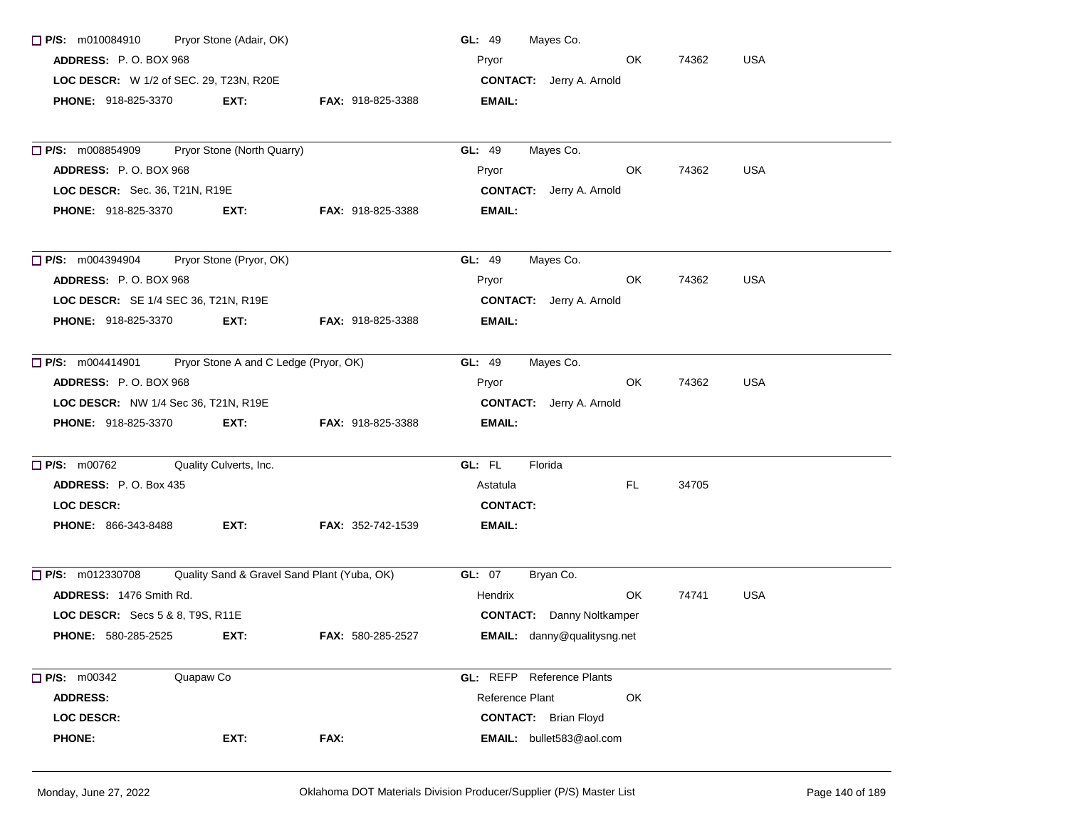| $\Box$ P/S: m010084910                  | Pryor Stone (Adair, OK)                     |                          | Mayes Co.<br>GL: $49$              |           |       |            |
|-----------------------------------------|---------------------------------------------|--------------------------|------------------------------------|-----------|-------|------------|
| ADDRESS: P.O. BOX 968                   |                                             |                          | Pryor                              | OK.       | 74362 | <b>USA</b> |
| LOC DESCR: W 1/2 of SEC. 29, T23N, R20E |                                             |                          | <b>CONTACT:</b> Jerry A. Arnold    |           |       |            |
| <b>PHONE: 918-825-3370</b>              | EXT:                                        | FAX: 918-825-3388        | EMAIL:                             |           |       |            |
| $\Box$ P/S: m008854909                  | Pryor Stone (North Quarry)                  |                          | GL: 49<br>Mayes Co.                |           |       |            |
| ADDRESS: P.O. BOX 968                   |                                             |                          | Pryor                              | OK.       | 74362 | <b>USA</b> |
| LOC DESCR: Sec. 36, T21N, R19E          |                                             |                          | <b>CONTACT:</b> Jerry A. Arnold    |           |       |            |
| PHONE: 918-825-3370                     | EXT:                                        | <b>FAX: 918-825-3388</b> | EMAIL:                             |           |       |            |
|                                         |                                             |                          |                                    |           |       |            |
| $\Box$ P/S: m004394904                  | Pryor Stone (Pryor, OK)                     |                          | GL: 49<br>Mayes Co.                |           |       |            |
| ADDRESS: P.O. BOX 968                   |                                             |                          | Pryor                              | OK.       | 74362 | <b>USA</b> |
| LOC DESCR: SE 1/4 SEC 36, T21N, R19E    |                                             |                          | <b>CONTACT:</b> Jerry A. Arnold    |           |       |            |
| <b>PHONE: 918-825-3370</b>              | EXT:                                        | <b>FAX: 918-825-3388</b> | EMAIL:                             |           |       |            |
| $\Box$ P/S: m004414901                  | Pryor Stone A and C Ledge (Pryor, OK)       |                          | GL: 49<br>Mayes Co.                |           |       |            |
| <b>ADDRESS: P.O. BOX 968</b>            |                                             |                          | Pryor                              | OK.       | 74362 | <b>USA</b> |
| LOC DESCR: NW 1/4 Sec 36, T21N, R19E    |                                             |                          | <b>CONTACT:</b> Jerry A. Arnold    |           |       |            |
| <b>PHONE: 918-825-3370</b>              | EXT:                                        | <b>FAX: 918-825-3388</b> | EMAIL:                             |           |       |            |
| $\Box$ P/S: m00762                      | Quality Culverts, Inc.                      |                          | GL: FL<br>Florida                  |           |       |            |
| ADDRESS: P.O. Box 435                   |                                             |                          | Astatula                           | FL.       | 34705 |            |
| <b>LOC DESCR:</b>                       |                                             |                          | <b>CONTACT:</b>                    |           |       |            |
| <b>PHONE: 866-343-8488</b>              | EXT:                                        | <b>FAX: 352-742-1539</b> | EMAIL:                             |           |       |            |
| $\Box$ P/S: m012330708                  | Quality Sand & Gravel Sand Plant (Yuba, OK) |                          | <b>GL: 07</b><br>Bryan Co.         |           |       |            |
| ADDRESS: 1476 Smith Rd.                 |                                             |                          | Hendrix                            | <b>OK</b> | 74741 | <b>USA</b> |
| LOC DESCR: Secs 5 & 8, T9S, R11E        |                                             |                          | <b>CONTACT:</b> Danny Noltkamper   |           |       |            |
| <b>PHONE: 580-285-2525</b>              | EXT:                                        | FAX: 580-285-2527        | <b>EMAIL:</b> danny@qualitysng.net |           |       |            |
| $\Box$ P/S: m00342<br>Quapaw Co         |                                             |                          | <b>GL:</b> REFP Reference Plants   |           |       |            |
| <b>ADDRESS:</b>                         |                                             |                          | Reference Plant                    | OK        |       |            |
| <b>LOC DESCR:</b>                       |                                             |                          | <b>CONTACT:</b> Brian Floyd        |           |       |            |
| <b>PHONE:</b>                           | EXT:                                        | FAX:                     | EMAIL: bullet583@aol.com           |           |       |            |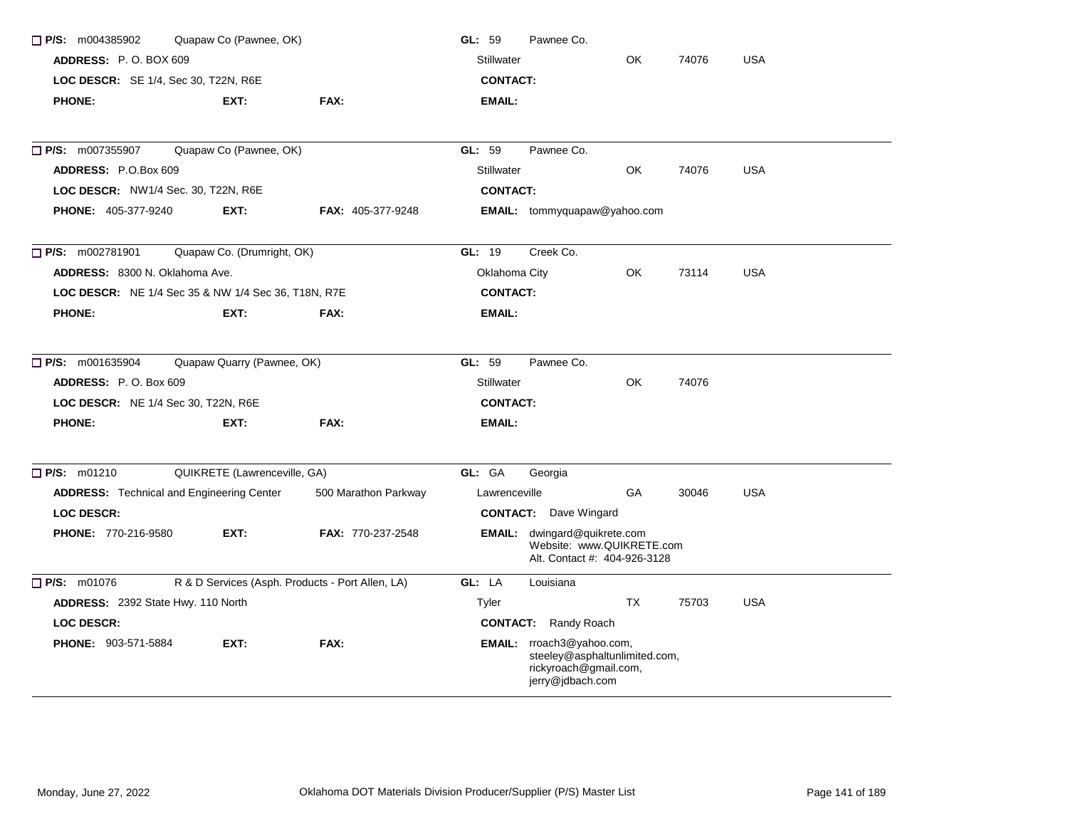| $\Box$ P/S: m004385902                              | Quapaw Co (Pawnee, OK)       |                                                  | GL: 59<br>Pawnee Co.                                                                                    |  |  |  |  |  |
|-----------------------------------------------------|------------------------------|--------------------------------------------------|---------------------------------------------------------------------------------------------------------|--|--|--|--|--|
| <b>ADDRESS:</b> P.O. BOX 609                        |                              |                                                  | OK<br>74076<br><b>USA</b><br>Stillwater                                                                 |  |  |  |  |  |
| LOC DESCR: SE 1/4, Sec 30, T22N, R6E                |                              |                                                  | <b>CONTACT:</b>                                                                                         |  |  |  |  |  |
| <b>PHONE:</b>                                       | EXT:                         | FAX:                                             | EMAIL:                                                                                                  |  |  |  |  |  |
| □ P/S: m007355907                                   | Quapaw Co (Pawnee, OK)       |                                                  | Pawnee Co.<br>GL: 59                                                                                    |  |  |  |  |  |
| ADDRESS: P.O.Box 609                                |                              |                                                  | Stillwater<br>OK<br><b>USA</b><br>74076                                                                 |  |  |  |  |  |
| LOC DESCR: NW1/4 Sec. 30, T22N, R6E                 |                              |                                                  | <b>CONTACT:</b>                                                                                         |  |  |  |  |  |
| <b>PHONE: 405-377-9240</b>                          | EXT:                         | FAX: 405-377-9248                                | <b>EMAIL:</b> tommyquapaw@yahoo.com                                                                     |  |  |  |  |  |
| <b>P/S:</b> m002781901                              | Quapaw Co. (Drumright, OK)   |                                                  | GL: 19<br>Creek Co.                                                                                     |  |  |  |  |  |
| ADDRESS: 8300 N. Oklahoma Ave.                      |                              |                                                  | Oklahoma City<br>OK<br><b>USA</b><br>73114                                                              |  |  |  |  |  |
| LOC DESCR: NE 1/4 Sec 35 & NW 1/4 Sec 36, T18N, R7E |                              |                                                  | <b>CONTACT:</b>                                                                                         |  |  |  |  |  |
| <b>PHONE:</b>                                       | EXT:                         | FAX:                                             | <b>EMAIL:</b>                                                                                           |  |  |  |  |  |
| $\Box$ P/S: m001635904                              | Quapaw Quarry (Pawnee, OK)   |                                                  | GL: 59<br>Pawnee Co.                                                                                    |  |  |  |  |  |
| ADDRESS: P.O. Box 609                               |                              |                                                  | <b>OK</b><br><b>Stillwater</b><br>74076                                                                 |  |  |  |  |  |
| LOC DESCR: NE 1/4 Sec 30, T22N, R6E                 |                              |                                                  | <b>CONTACT:</b>                                                                                         |  |  |  |  |  |
| <b>PHONE:</b>                                       | EXT:                         | FAX:                                             | <b>EMAIL:</b>                                                                                           |  |  |  |  |  |
| P/S: m01210                                         | QUIKRETE (Lawrenceville, GA) |                                                  | GL: GA<br>Georgia                                                                                       |  |  |  |  |  |
| <b>ADDRESS:</b> Technical and Engineering Center    |                              | 500 Marathon Parkway                             | GA<br><b>USA</b><br>Lawrenceville<br>30046                                                              |  |  |  |  |  |
| <b>LOC DESCR:</b>                                   |                              |                                                  | <b>CONTACT:</b> Dave Wingard                                                                            |  |  |  |  |  |
| <b>PHONE: 770-216-9580</b>                          | EXT:                         | FAX: 770-237-2548                                | <b>EMAIL:</b> dwingard@quikrete.com<br>Website: www.QUIKRETE.com<br>Alt. Contact #: 404-926-3128        |  |  |  |  |  |
| $P/S:$ m01076                                       |                              | R & D Services (Asph. Products - Port Allen, LA) | GL: LA<br>Louisiana                                                                                     |  |  |  |  |  |
| ADDRESS: 2392 State Hwy. 110 North                  |                              |                                                  | <b>TX</b><br><b>USA</b><br>75703<br>Tyler                                                               |  |  |  |  |  |
| <b>LOC DESCR:</b>                                   |                              |                                                  | <b>CONTACT:</b> Randy Roach                                                                             |  |  |  |  |  |
| <b>PHONE: 903-571-5884</b>                          | EXT:                         | FAX:                                             | EMAIL: rroach3@yahoo.com,<br>steeley@asphaltunlimited.com,<br>rickyroach@gmail.com,<br>jerry@jdbach.com |  |  |  |  |  |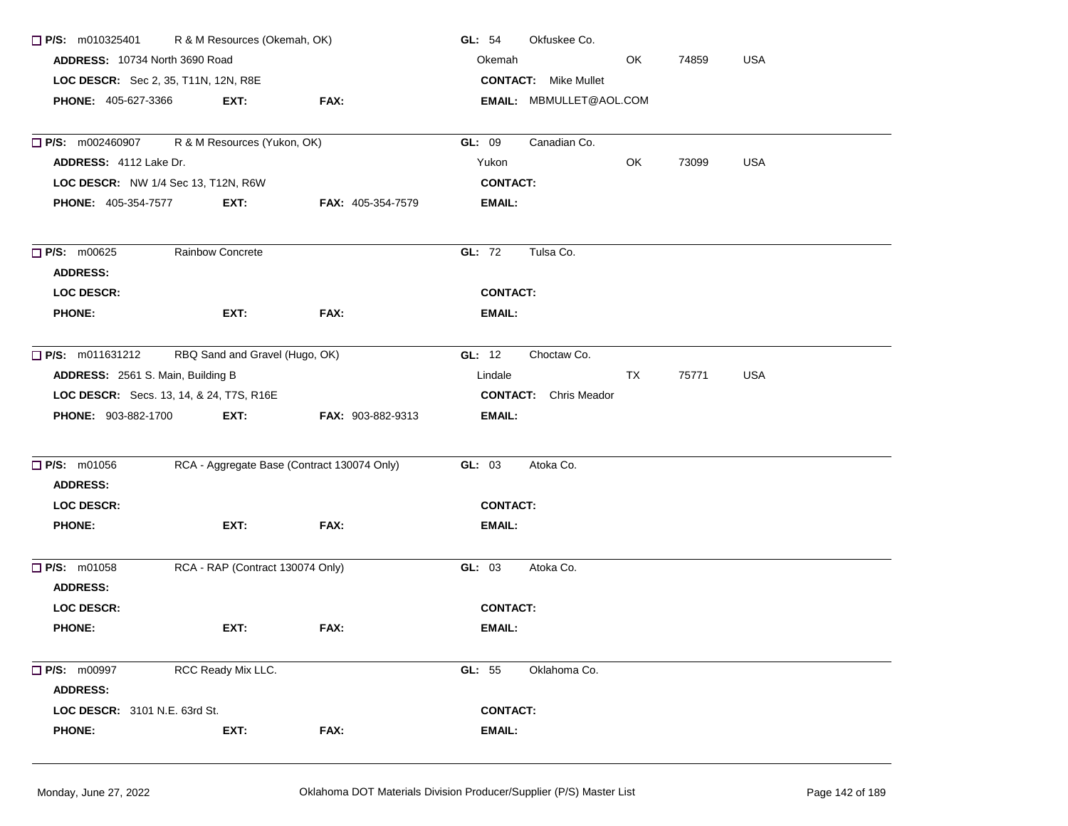| $\Box$ P/S: m010325401                                                 | R & M Resources (Okemah, OK)                |                          | GL: 54<br>Okfuskee Co.               |  |  |
|------------------------------------------------------------------------|---------------------------------------------|--------------------------|--------------------------------------|--|--|
| ADDRESS: 10734 North 3690 Road<br>LOC DESCR: Sec 2, 35, T11N, 12N, R8E |                                             |                          | Okemah<br>OK<br>74859<br><b>USA</b>  |  |  |
|                                                                        |                                             |                          | <b>CONTACT:</b> Mike Mullet          |  |  |
| <b>PHONE: 405-627-3366</b>                                             | EXT:                                        | FAX:                     | <b>EMAIL: MBMULLET@AOL.COM</b>       |  |  |
| $P/S:$ m002460907                                                      | R & M Resources (Yukon, OK)                 |                          | Canadian Co.<br>GL: 09               |  |  |
| ADDRESS: 4112 Lake Dr.                                                 |                                             |                          | <b>USA</b><br>Yukon<br>OK<br>73099   |  |  |
|                                                                        | LOC DESCR: NW 1/4 Sec 13, T12N, R6W         |                          | <b>CONTACT:</b>                      |  |  |
| <b>PHONE: 405-354-7577</b>                                             | EXT:                                        | <b>FAX: 405-354-7579</b> | <b>EMAIL:</b>                        |  |  |
| $\Box$ P/S: m00625                                                     | <b>Rainbow Concrete</b>                     |                          | GL: 72<br>Tulsa Co.                  |  |  |
| <b>ADDRESS:</b>                                                        |                                             |                          |                                      |  |  |
| <b>LOC DESCR:</b>                                                      |                                             |                          | <b>CONTACT:</b>                      |  |  |
| <b>PHONE:</b>                                                          | EXT:                                        | FAX:                     | EMAIL:                               |  |  |
| $\Box$ P/S: m011631212                                                 | RBQ Sand and Gravel (Hugo, OK)              |                          | GL: $12$<br>Choctaw Co.              |  |  |
| ADDRESS: 2561 S. Main, Building B                                      |                                             |                          | 75771<br><b>USA</b><br>Lindale<br>TX |  |  |
|                                                                        | LOC DESCR: Secs. 13, 14, & 24, T7S, R16E    |                          | <b>CONTACT:</b> Chris Meador         |  |  |
| <b>PHONE: 903-882-1700</b>                                             | EXT:                                        | <b>FAX: 903-882-9313</b> | <b>EMAIL:</b>                        |  |  |
| <b>P/S: m01056</b>                                                     | RCA - Aggregate Base (Contract 130074 Only) |                          | GL: 03<br>Atoka Co.                  |  |  |
| <b>ADDRESS:</b>                                                        |                                             |                          |                                      |  |  |
| <b>LOC DESCR:</b>                                                      |                                             |                          | <b>CONTACT:</b>                      |  |  |
| <b>PHONE:</b>                                                          | EXT:                                        | FAX:                     | EMAIL:                               |  |  |
| $\Box$ P/S: m01058                                                     | RCA - RAP (Contract 130074 Only)            |                          | GL: 03<br>Atoka Co.                  |  |  |
| <b>ADDRESS:</b>                                                        |                                             |                          |                                      |  |  |
| <b>LOC DESCR:</b>                                                      |                                             |                          | <b>CONTACT:</b>                      |  |  |
| <b>PHONE:</b>                                                          | EXT:                                        | FAX:                     | EMAIL:                               |  |  |
| P/S: m00997                                                            | RCC Ready Mix LLC.                          |                          | GL: 55<br>Oklahoma Co.               |  |  |
| <b>ADDRESS:</b>                                                        |                                             |                          |                                      |  |  |
| LOC DESCR: 3101 N.E. 63rd St.                                          |                                             |                          | <b>CONTACT:</b>                      |  |  |
| <b>PHONE:</b>                                                          | EXT:                                        | FAX:                     | <b>EMAIL:</b>                        |  |  |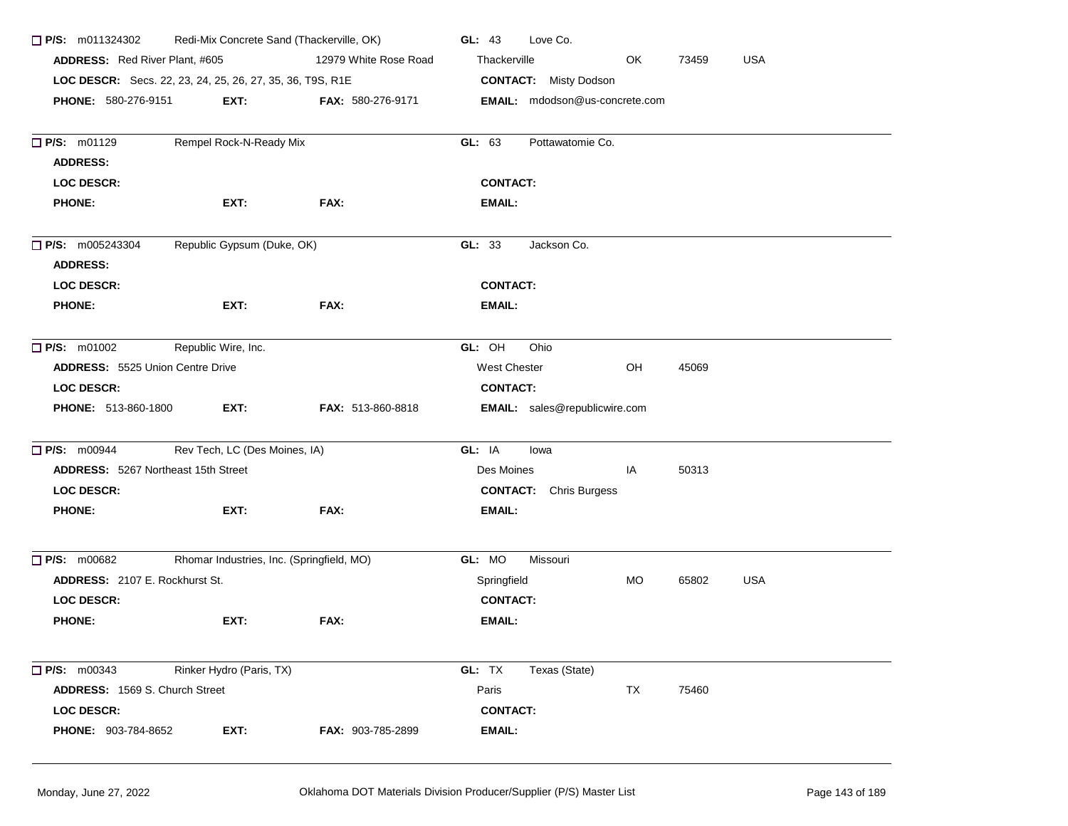| $\Box$ P/S: m011324302                     | Redi-Mix Concrete Sand (Thackerville, OK)                 |                          | GL: 43<br>Love Co.                              |
|--------------------------------------------|-----------------------------------------------------------|--------------------------|-------------------------------------------------|
| ADDRESS: Red River Plant, #605             |                                                           | 12979 White Rose Road    | OK<br><b>USA</b><br>Thackerville<br>73459       |
|                                            | LOC DESCR: Secs. 22, 23, 24, 25, 26, 27, 35, 36, T9S, R1E |                          | <b>CONTACT:</b> Misty Dodson                    |
| <b>PHONE: 580-276-9151</b>                 | EXT:                                                      | <b>FAX: 580-276-9171</b> | EMAIL: mdodson@us-concrete.com                  |
| <b>P/S: m01129</b><br><b>ADDRESS:</b>      | Rempel Rock-N-Ready Mix                                   |                          | GL: 63<br>Pottawatomie Co.                      |
| <b>LOC DESCR:</b>                          |                                                           |                          | <b>CONTACT:</b>                                 |
| <b>PHONE:</b>                              | EXT:                                                      | FAX:                     | <b>EMAIL:</b>                                   |
| $\Box$ P/S: m005243304<br><b>ADDRESS:</b>  | Republic Gypsum (Duke, OK)                                |                          | GL: 33<br>Jackson Co.                           |
| <b>LOC DESCR:</b>                          |                                                           |                          | <b>CONTACT:</b>                                 |
| <b>PHONE:</b>                              | EXT:                                                      | FAX:                     | <b>EMAIL:</b>                                   |
| $\Box$ P/S: m01002                         | Republic Wire, Inc.                                       |                          | GL: OH<br>Ohio                                  |
| <b>ADDRESS: 5525 Union Centre Drive</b>    |                                                           |                          | OH<br><b>West Chester</b><br>45069              |
| <b>LOC DESCR:</b>                          |                                                           |                          | <b>CONTACT:</b>                                 |
| <b>PHONE: 513-860-1800</b>                 | EXT:                                                      | FAX: 513-860-8818        | <b>EMAIL:</b> sales@republicwire.com            |
| $\Box$ P/S: m00944                         | Rev Tech, LC (Des Moines, IA)                             |                          | GL: IA<br>lowa                                  |
| <b>ADDRESS: 5267 Northeast 15th Street</b> |                                                           |                          | Des Moines<br>50313<br>IA                       |
| <b>LOC DESCR:</b>                          |                                                           |                          | <b>CONTACT:</b> Chris Burgess                   |
| <b>PHONE:</b>                              | EXT:                                                      | FAX:                     | <b>EMAIL:</b>                                   |
| $\Box$ P/S: m00682                         | Rhomar Industries, Inc. (Springfield, MO)                 |                          | GL: MO<br>Missouri                              |
| <b>ADDRESS: 2107 E. Rockhurst St.</b>      |                                                           |                          | <b>USA</b><br><b>MO</b><br>65802<br>Springfield |
| <b>LOC DESCR:</b>                          |                                                           |                          | <b>CONTACT:</b>                                 |
| <b>PHONE:</b>                              | EXT:                                                      | FAX:                     | <b>EMAIL:</b>                                   |
| $\Box$ P/S: m00343                         | Rinker Hydro (Paris, TX)                                  |                          | GL: TX<br>Texas (State)                         |
| <b>ADDRESS: 1569 S. Church Street</b>      |                                                           |                          | Paris<br>TX<br>75460                            |
| <b>LOC DESCR:</b>                          |                                                           |                          | <b>CONTACT:</b>                                 |
| PHONE: 903-784-8652                        | EXT:                                                      | FAX: 903-785-2899        | <b>EMAIL:</b>                                   |
|                                            |                                                           |                          |                                                 |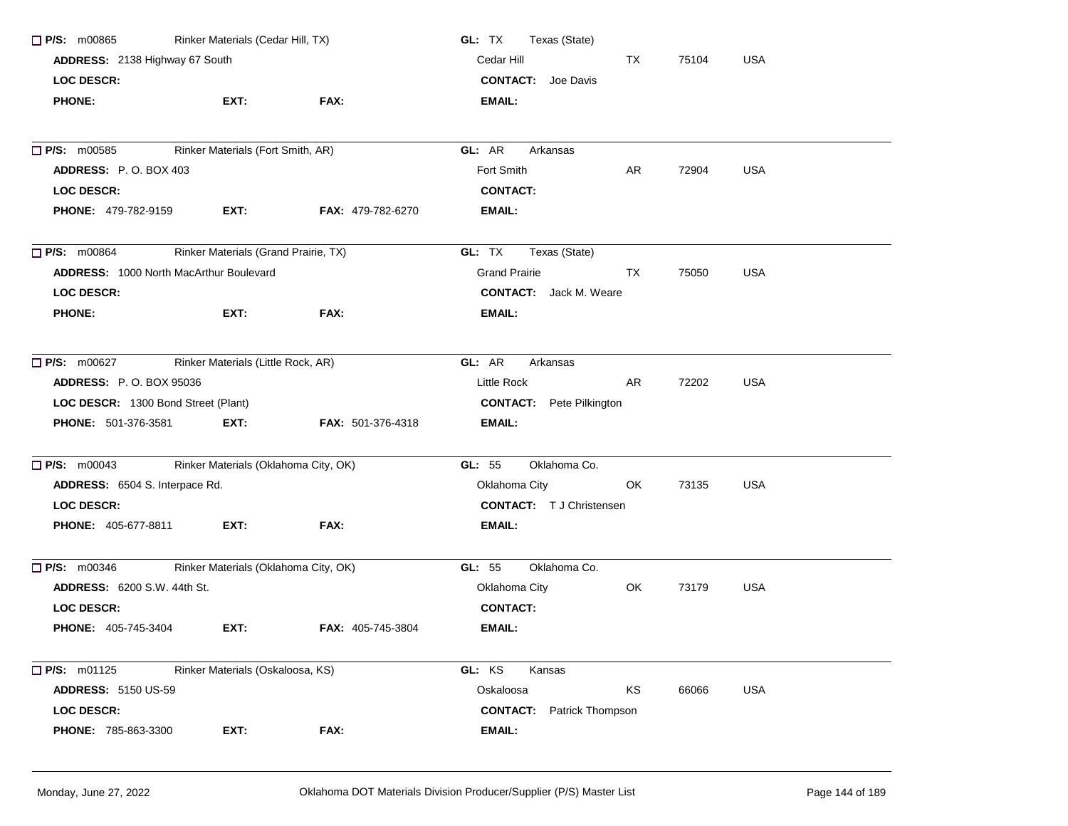| P/S: m00865                                    | Rinker Materials (Cedar Hill, TX)    |                          | Texas (State)<br>GL: TX          |     |       |            |
|------------------------------------------------|--------------------------------------|--------------------------|----------------------------------|-----|-------|------------|
| ADDRESS: 2138 Highway 67 South                 |                                      |                          | Cedar Hill                       | TX  | 75104 | <b>USA</b> |
| <b>LOC DESCR:</b>                              |                                      |                          | <b>CONTACT:</b> Joe Davis        |     |       |            |
| <b>PHONE:</b>                                  | EXT:                                 | FAX:                     | <b>EMAIL:</b>                    |     |       |            |
| P/S: m00585                                    | Rinker Materials (Fort Smith, AR)    |                          | GL: AR<br>Arkansas               |     |       |            |
| ADDRESS: P.O. BOX 403                          |                                      |                          | Fort Smith                       | AR. | 72904 | <b>USA</b> |
| <b>LOC DESCR:</b>                              |                                      |                          | <b>CONTACT:</b>                  |     |       |            |
| <b>PHONE: 479-782-9159</b>                     | EXT.                                 | <b>FAX: 479-782-6270</b> | <b>EMAIL:</b>                    |     |       |            |
| $\Box$ P/S: m00864                             | Rinker Materials (Grand Prairie, TX) |                          | GL: TX<br>Texas (State)          |     |       |            |
| <b>ADDRESS: 1000 North MacArthur Boulevard</b> |                                      |                          | <b>Grand Prairie</b>             | TX  | 75050 | <b>USA</b> |
| <b>LOC DESCR:</b>                              |                                      |                          | <b>CONTACT:</b> Jack M. Weare    |     |       |            |
| <b>PHONE:</b>                                  | EXT:                                 | FAX:                     | <b>EMAIL:</b>                    |     |       |            |
| <b>P/S:</b> m00627                             | Rinker Materials (Little Rock, AR)   |                          | GL: AR<br>Arkansas               |     |       |            |
| <b>ADDRESS: P.O. BOX 95036</b>                 |                                      |                          | Little Rock                      | AR. | 72202 | <b>USA</b> |
| LOC DESCR: 1300 Bond Street (Plant)            |                                      |                          | <b>CONTACT:</b> Pete Pilkington  |     |       |            |
| <b>PHONE: 501-376-3581</b>                     | EXT.                                 | <b>FAX: 501-376-4318</b> | <b>EMAIL:</b>                    |     |       |            |
| $\Box$ P/S: $m00043$                           | Rinker Materials (Oklahoma City, OK) |                          | Oklahoma Co.<br>GL: 55           |     |       |            |
| ADDRESS: 6504 S. Interpace Rd.                 |                                      |                          | Oklahoma City                    | OK  | 73135 | <b>USA</b> |
| <b>LOC DESCR:</b>                              |                                      |                          | <b>CONTACT:</b> T J Christensen  |     |       |            |
| <b>PHONE: 405-677-8811</b>                     | EXT:                                 | FAX:                     | EMAIL:                           |     |       |            |
| $\Box$ P/S: m00346                             | Rinker Materials (Oklahoma City, OK) |                          | GL: 55<br>Oklahoma Co.           |     |       |            |
| <b>ADDRESS: 6200 S.W. 44th St.</b>             |                                      |                          | Oklahoma City                    | OK  | 73179 | <b>USA</b> |
| <b>LOC DESCR:</b>                              |                                      |                          | <b>CONTACT:</b>                  |     |       |            |
| <b>PHONE: 405-745-3404</b>                     | EXT:                                 | FAX: 405-745-3804        | EMAIL:                           |     |       |            |
| $\Box$ P/S: m01125                             | Rinker Materials (Oskaloosa, KS)     |                          | GL: KS<br>Kansas                 |     |       |            |
| <b>ADDRESS: 5150 US-59</b>                     |                                      |                          | Oskaloosa                        | KS  | 66066 | <b>USA</b> |
| <b>LOC DESCR:</b>                              |                                      |                          | <b>CONTACT:</b> Patrick Thompson |     |       |            |
| PHONE: 785-863-3300                            | EXT:                                 | FAX:                     | <b>EMAIL:</b>                    |     |       |            |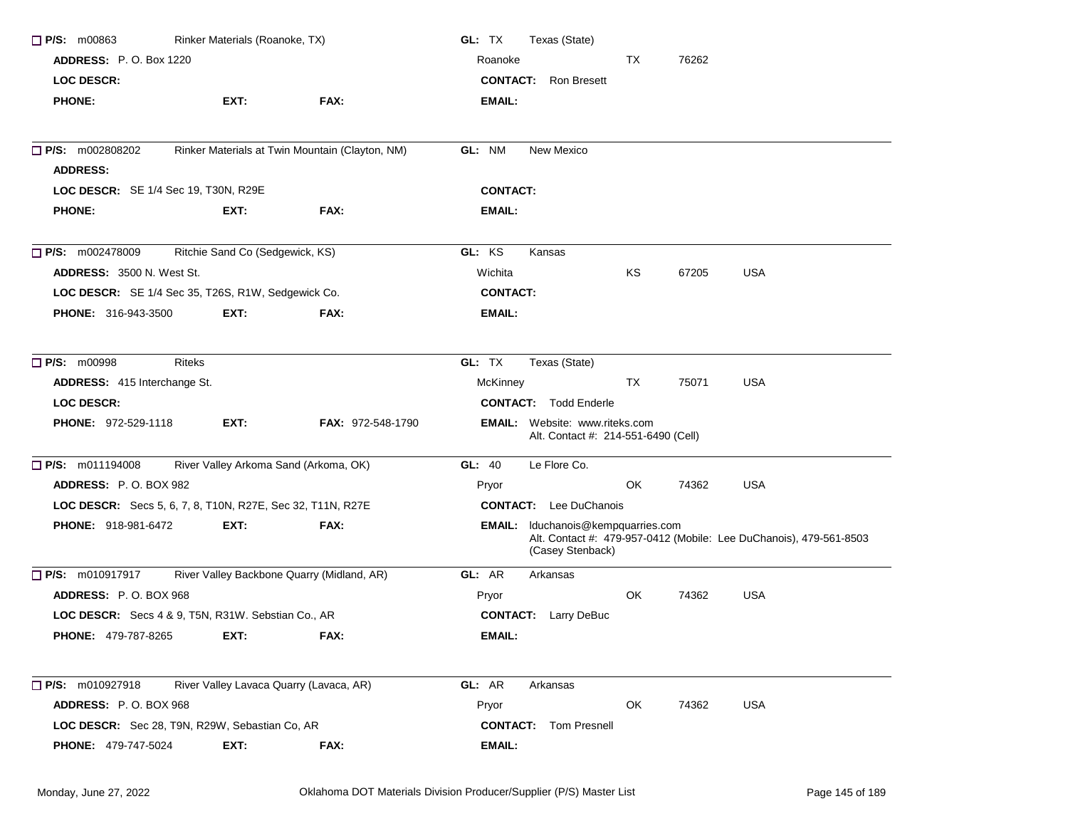| Rinker Materials (Roanoke, TX)<br>$\Box$ P/S: m00863       |                                         |                                                 | GL: TX<br>Texas (State) |                                                                              |       |                                                                    |
|------------------------------------------------------------|-----------------------------------------|-------------------------------------------------|-------------------------|------------------------------------------------------------------------------|-------|--------------------------------------------------------------------|
| <b>ADDRESS:</b> P.O. Box 1220                              |                                         |                                                 | Roanoke                 | TX                                                                           | 76262 |                                                                    |
| <b>LOC DESCR:</b>                                          |                                         |                                                 |                         | <b>CONTACT:</b> Ron Bresett                                                  |       |                                                                    |
| <b>PHONE:</b>                                              | EXT:                                    | FAX:                                            | <b>EMAIL:</b>           |                                                                              |       |                                                                    |
| $\Box$ P/S: m002808202                                     |                                         | Rinker Materials at Twin Mountain (Clayton, NM) | GL: NM                  | New Mexico                                                                   |       |                                                                    |
| <b>ADDRESS:</b>                                            |                                         |                                                 |                         |                                                                              |       |                                                                    |
| LOC DESCR: SE 1/4 Sec 19, T30N, R29E                       |                                         |                                                 | <b>CONTACT:</b>         |                                                                              |       |                                                                    |
| <b>PHONE:</b>                                              | EXT:                                    | FAX:                                            | <b>EMAIL:</b>           |                                                                              |       |                                                                    |
| P/S: m002478009                                            | Ritchie Sand Co (Sedgewick, KS)         |                                                 | GL: KS                  | Kansas                                                                       |       |                                                                    |
| <b>ADDRESS: 3500 N. West St.</b>                           |                                         |                                                 | Wichita                 | KS                                                                           | 67205 | <b>USA</b>                                                         |
| LOC DESCR: SE 1/4 Sec 35, T26S, R1W, Sedgewick Co.         |                                         |                                                 | <b>CONTACT:</b>         |                                                                              |       |                                                                    |
| <b>PHONE: 316-943-3500</b>                                 | EXT:                                    | FAX:                                            | <b>EMAIL:</b>           |                                                                              |       |                                                                    |
| <b>P/S: m00998</b>                                         | <b>Riteks</b>                           |                                                 | GL: TX                  | Texas (State)                                                                |       |                                                                    |
| ADDRESS: 415 Interchange St.                               |                                         |                                                 | McKinney                | TX                                                                           | 75071 | <b>USA</b>                                                         |
| <b>LOC DESCR:</b>                                          |                                         |                                                 |                         | <b>CONTACT:</b> Todd Enderle                                                 |       |                                                                    |
| <b>PHONE: 972-529-1118</b>                                 | EXT:                                    | <b>FAX: 972-548-1790</b>                        |                         | <b>EMAIL:</b> Website: www.riteks.com<br>Alt. Contact #: 214-551-6490 (Cell) |       |                                                                    |
| $\Box$ P/S: m011194008                                     | River Valley Arkoma Sand (Arkoma, OK)   |                                                 | GL: 40                  | Le Flore Co.                                                                 |       |                                                                    |
| ADDRESS: P.O. BOX 982                                      |                                         |                                                 | Pryor                   | OK                                                                           | 74362 | <b>USA</b>                                                         |
| LOC DESCR: Secs 5, 6, 7, 8, T10N, R27E, Sec 32, T11N, R27E |                                         |                                                 |                         | <b>CONTACT:</b> Lee DuChanois                                                |       |                                                                    |
| <b>PHONE: 918-981-6472</b>                                 | EXT:                                    | FAX:                                            |                         | <b>EMAIL:</b> Iduchanois@kempquarries.com<br>(Casey Stenback)                |       | Alt. Contact #: 479-957-0412 (Mobile: Lee DuChanois), 479-561-8503 |
| P/S: m010917917                                            |                                         | River Valley Backbone Quarry (Midland, AR)      | GL: AR                  | Arkansas                                                                     |       |                                                                    |
| <b>ADDRESS: P.O. BOX 968</b>                               |                                         |                                                 | Pryor                   | OK                                                                           | 74362 | <b>USA</b>                                                         |
| LOC DESCR: Secs 4 & 9, T5N, R31W. Sebstian Co., AR         |                                         |                                                 |                         | <b>CONTACT:</b> Larry DeBuc                                                  |       |                                                                    |
| <b>PHONE: 479-787-8265</b>                                 | EXT:                                    | FAX:                                            | <b>EMAIL:</b>           |                                                                              |       |                                                                    |
| P/S: m010927918                                            | River Valley Lavaca Quarry (Lavaca, AR) |                                                 | GL: AR                  | Arkansas                                                                     |       |                                                                    |
| ADDRESS: P.O. BOX 968                                      |                                         |                                                 | Pryor                   | OK                                                                           | 74362 | <b>USA</b>                                                         |
| LOC DESCR: Sec 28, T9N, R29W, Sebastian Co, AR             |                                         |                                                 |                         | <b>CONTACT:</b> Tom Presnell                                                 |       |                                                                    |
| PHONE: 479-747-5024                                        | EXT:                                    | FAX:                                            | <b>EMAIL:</b>           |                                                                              |       |                                                                    |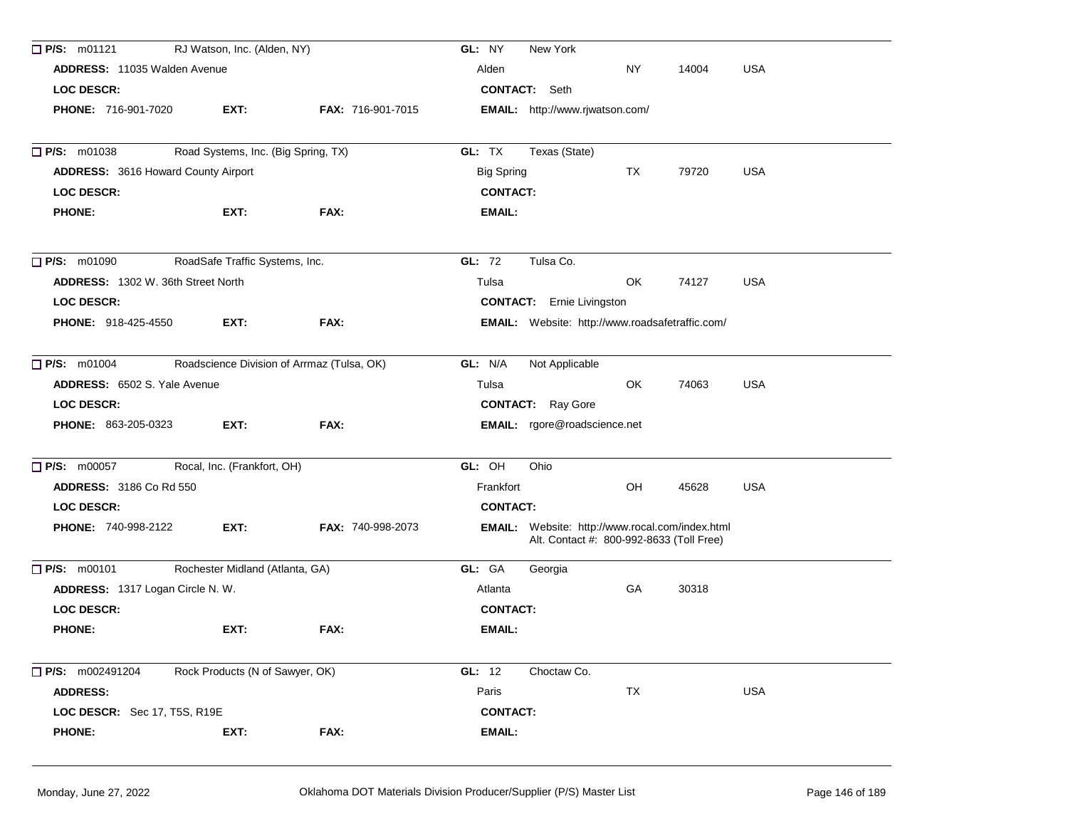| $\Box$ P/S: m01121                         | RJ Watson, Inc. (Alden, NY)         |                                            | New York<br>GL: NY                                                                          |            |
|--------------------------------------------|-------------------------------------|--------------------------------------------|---------------------------------------------------------------------------------------------|------------|
| ADDRESS: 11035 Walden Avenue               |                                     |                                            | Alden<br><b>NY</b><br>14004                                                                 | <b>USA</b> |
| <b>LOC DESCR:</b>                          |                                     |                                            | <b>CONTACT:</b> Seth                                                                        |            |
| PHONE: 716-901-7020                        | EXT:                                | <b>FAX: 716-901-7015</b>                   | EMAIL: http://www.rjwatson.com/                                                             |            |
| $\Box$ P/S: m01038                         | Road Systems, Inc. (Big Spring, TX) |                                            | GL: TX<br>Texas (State)                                                                     |            |
| <b>ADDRESS: 3616 Howard County Airport</b> |                                     |                                            | <b>Big Spring</b><br>TX<br>79720                                                            | <b>USA</b> |
| <b>LOC DESCR:</b>                          |                                     |                                            | <b>CONTACT:</b>                                                                             |            |
| <b>PHONE:</b>                              | EXT:                                | FAX:                                       | <b>EMAIL:</b>                                                                               |            |
| $\Box$ P/S: m01090                         | RoadSafe Traffic Systems, Inc.      |                                            | GL: 72<br>Tulsa Co.                                                                         |            |
| <b>ADDRESS: 1302 W. 36th Street North</b>  |                                     |                                            | OK<br>Tulsa<br>74127                                                                        | <b>USA</b> |
| <b>LOC DESCR:</b>                          |                                     |                                            | <b>CONTACT:</b> Ernie Livingston                                                            |            |
| <b>PHONE: 918-425-4550</b>                 | EXT:                                | FAX:                                       | <b>EMAIL:</b> Website: http://www.roadsafetraffic.com/                                      |            |
| <b>P/S: m01004</b>                         |                                     | Roadscience Division of Arrmaz (Tulsa, OK) | GL: N/A<br>Not Applicable                                                                   |            |
| <b>ADDRESS:</b> 6502 S. Yale Avenue        |                                     |                                            | Tulsa<br>OK<br>74063                                                                        | <b>USA</b> |
| <b>LOC DESCR:</b>                          |                                     |                                            | <b>CONTACT:</b> Ray Gore                                                                    |            |
| <b>PHONE: 863-205-0323</b>                 | EXT:                                | FAX:                                       | <b>EMAIL:</b> rgore@roadscience.net                                                         |            |
| $\Box$ P/S: m00057                         | Rocal, Inc. (Frankfort, OH)         |                                            | GL: OH<br>Ohio                                                                              |            |
| <b>ADDRESS: 3186 Co Rd 550</b>             |                                     |                                            | OH<br>Frankfort<br>45628                                                                    | <b>USA</b> |
| <b>LOC DESCR:</b>                          |                                     |                                            | <b>CONTACT:</b>                                                                             |            |
| <b>PHONE: 740-998-2122</b>                 | EXT:                                | <b>FAX: 740-998-2073</b>                   | EMAIL: Website: http://www.rocal.com/index.html<br>Alt. Contact #: 800-992-8633 (Toll Free) |            |
| P/S: m00101                                | Rochester Midland (Atlanta, GA)     |                                            | GL: GA<br>Georgia                                                                           |            |
| ADDRESS: 1317 Logan Circle N.W.            |                                     |                                            | GA<br>30318<br>Atlanta                                                                      |            |
| <b>LOC DESCR:</b>                          |                                     |                                            | <b>CONTACT:</b>                                                                             |            |
| <b>PHONE:</b>                              | EXT:                                | FAX:                                       | <b>EMAIL:</b>                                                                               |            |
| P/S: m002491204                            | Rock Products (N of Sawyer, OK)     |                                            | GL: 12<br>Choctaw Co.                                                                       |            |
| <b>ADDRESS:</b>                            |                                     |                                            | Paris<br>TX                                                                                 | <b>USA</b> |
| LOC DESCR: Sec 17, T5S, R19E               |                                     |                                            | <b>CONTACT:</b>                                                                             |            |
| <b>PHONE:</b>                              | EXT:                                | FAX:                                       | <b>EMAIL:</b>                                                                               |            |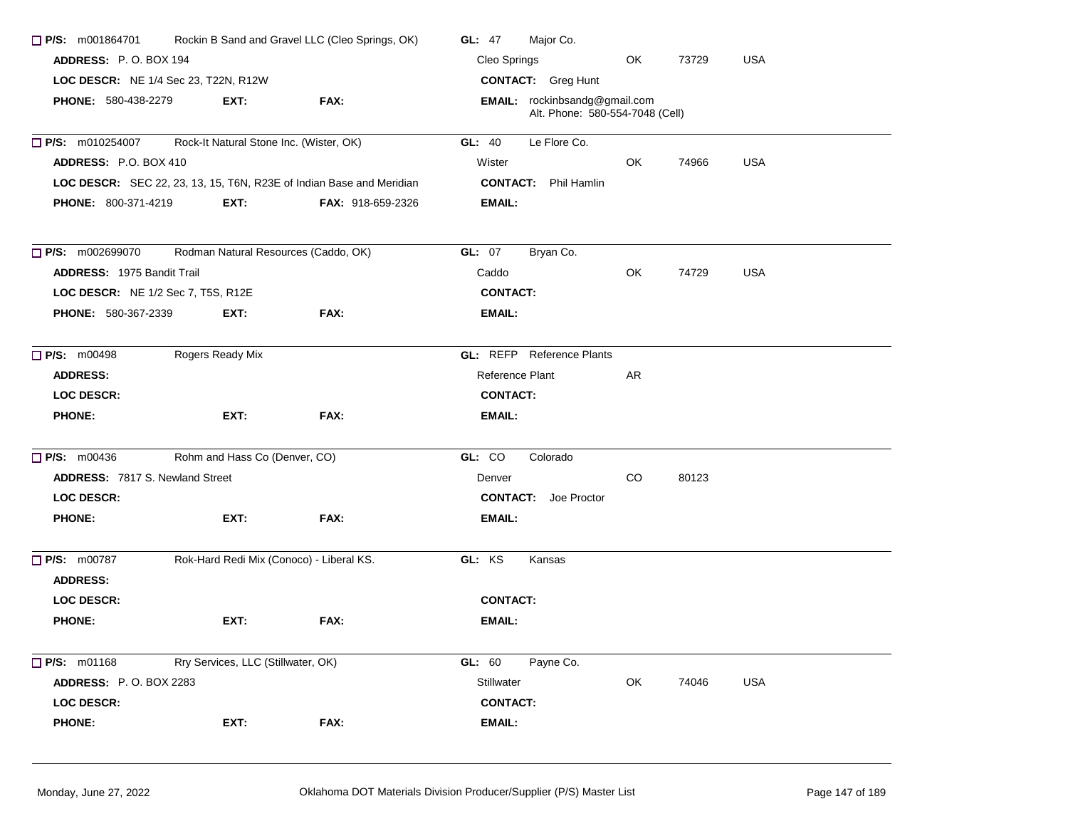| Rockin B Sand and Gravel LLC (Cleo Springs, OK)<br>$\Box$ P/S: m001864701 |                                          |                                                                      | Major Co.<br>GL: $47$                                            |  |  |  |  |
|---------------------------------------------------------------------------|------------------------------------------|----------------------------------------------------------------------|------------------------------------------------------------------|--|--|--|--|
| ADDRESS: P.O. BOX 194                                                     |                                          |                                                                      | Cleo Springs<br>OK<br>73729<br><b>USA</b>                        |  |  |  |  |
| LOC DESCR: NE 1/4 Sec 23, T22N, R12W                                      |                                          |                                                                      | <b>CONTACT:</b> Greg Hunt                                        |  |  |  |  |
| <b>PHONE: 580-438-2279</b>                                                | EXT:                                     | FAX:                                                                 | EMAIL: rockinbsandg@gmail.com<br>Alt. Phone: 580-554-7048 (Cell) |  |  |  |  |
| $\Box$ P/S: m010254007                                                    | Rock-It Natural Stone Inc. (Wister, OK)  |                                                                      | GL: 40<br>Le Flore Co.                                           |  |  |  |  |
| ADDRESS: P.O. BOX 410                                                     |                                          |                                                                      | <b>USA</b><br>74966<br>Wister<br>OK.                             |  |  |  |  |
|                                                                           |                                          | LOC DESCR: SEC 22, 23, 13, 15, T6N, R23E of Indian Base and Meridian | <b>CONTACT:</b> Phil Hamlin                                      |  |  |  |  |
| <b>PHONE: 800-371-4219</b>                                                | EXT:                                     | <b>FAX: 918-659-2326</b>                                             | EMAIL:                                                           |  |  |  |  |
| $\Box$ P/S: m002699070                                                    | Rodman Natural Resources (Caddo, OK)     |                                                                      | <b>GL: 07</b><br>Bryan Co.                                       |  |  |  |  |
| <b>ADDRESS: 1975 Bandit Trail</b>                                         |                                          |                                                                      | OK.<br>74729<br>USA<br>Caddo                                     |  |  |  |  |
| LOC DESCR: NE 1/2 Sec 7, T5S, R12E                                        |                                          |                                                                      | <b>CONTACT:</b>                                                  |  |  |  |  |
| <b>PHONE: 580-367-2339</b>                                                | EXT:                                     | FAX:                                                                 | EMAIL:                                                           |  |  |  |  |
| <b>P/S: m00498</b>                                                        | Rogers Ready Mix                         |                                                                      | <b>GL:</b> REFP Reference Plants                                 |  |  |  |  |
| <b>ADDRESS:</b>                                                           |                                          |                                                                      | Reference Plant<br>AR                                            |  |  |  |  |
| <b>LOC DESCR:</b>                                                         |                                          |                                                                      | <b>CONTACT:</b>                                                  |  |  |  |  |
| <b>PHONE:</b>                                                             | EXT:                                     | FAX:                                                                 | EMAIL:                                                           |  |  |  |  |
| $\Box$ P/S: m00436                                                        | Rohm and Hass Co (Denver, CO)            |                                                                      | GL: CO<br>Colorado                                               |  |  |  |  |
| ADDRESS: 7817 S. Newland Street                                           |                                          |                                                                      | CO.<br>80123<br>Denver                                           |  |  |  |  |
| <b>LOC DESCR:</b>                                                         |                                          |                                                                      | <b>CONTACT:</b> Joe Proctor                                      |  |  |  |  |
| <b>PHONE:</b>                                                             | EXT:                                     | FAX:                                                                 | <b>EMAIL:</b>                                                    |  |  |  |  |
| $\Box$ P/S: m00787<br><b>ADDRESS:</b>                                     | Rok-Hard Redi Mix (Conoco) - Liberal KS. |                                                                      | GL: KS<br>Kansas                                                 |  |  |  |  |
| <b>LOC DESCR:</b>                                                         |                                          |                                                                      | <b>CONTACT:</b>                                                  |  |  |  |  |
| <b>PHONE:</b>                                                             | EXT:                                     | FAX:                                                                 | EMAIL:                                                           |  |  |  |  |
|                                                                           |                                          |                                                                      |                                                                  |  |  |  |  |
| $\Box$ P/S: m01168                                                        | Rry Services, LLC (Stillwater, OK)       |                                                                      | GL: 60<br>Payne Co.                                              |  |  |  |  |
| <b>ADDRESS: P.O. BOX 2283</b>                                             |                                          |                                                                      | Stillwater<br>OK<br>USA<br>74046                                 |  |  |  |  |
| LOC DESCR:                                                                |                                          |                                                                      | <b>CONTACT:</b>                                                  |  |  |  |  |
| <b>PHONE:</b>                                                             | EXT:                                     | FAX:                                                                 | <b>EMAIL:</b>                                                    |  |  |  |  |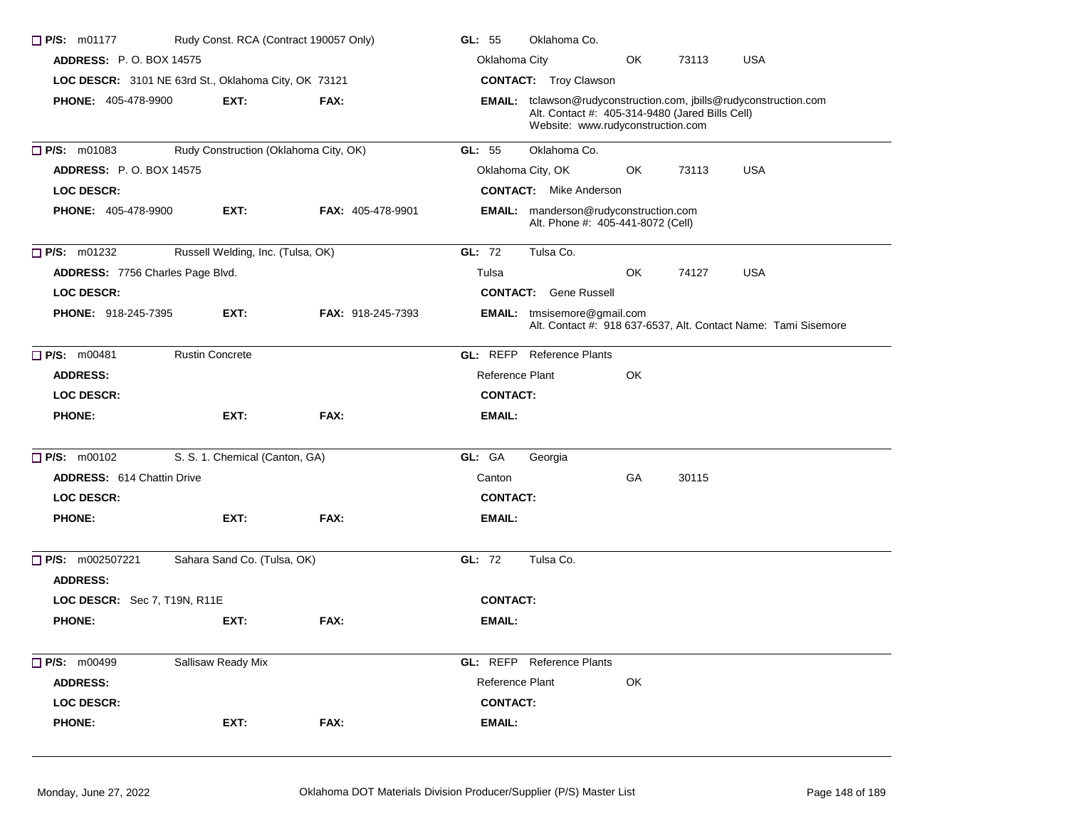| <b>P/S: m01177</b><br>Rudy Const. RCA (Contract 190057 Only) |                                                      | GL: 55                   | Oklahoma Co.    |                                                                                      |    |       |                                                                   |  |
|--------------------------------------------------------------|------------------------------------------------------|--------------------------|-----------------|--------------------------------------------------------------------------------------|----|-------|-------------------------------------------------------------------|--|
| <b>ADDRESS: P.O. BOX 14575</b>                               |                                                      |                          | Oklahoma City   |                                                                                      | OK | 73113 | <b>USA</b>                                                        |  |
|                                                              | LOC DESCR: 3101 NE 63rd St., Oklahoma City, OK 73121 |                          |                 | <b>CONTACT:</b> Troy Clawson                                                         |    |       |                                                                   |  |
| <b>PHONE: 405-478-9900</b>                                   | EXT:                                                 | FAX:                     |                 | Alt. Contact #: 405-314-9480 (Jared Bills Cell)<br>Website: www.rudyconstruction.com |    |       | EMAIL: tclawson@rudyconstruction.com, jbills@rudyconstruction.com |  |
| $P/S:$ m01083                                                | Rudy Construction (Oklahoma City, OK)                |                          | GL: 55          | Oklahoma Co.                                                                         |    |       |                                                                   |  |
| <b>ADDRESS: P.O. BOX 14575</b>                               |                                                      |                          |                 | Oklahoma City, OK                                                                    | OK | 73113 | <b>USA</b>                                                        |  |
| <b>LOC DESCR:</b>                                            |                                                      |                          |                 | <b>CONTACT:</b> Mike Anderson                                                        |    |       |                                                                   |  |
| <b>PHONE: 405-478-9900</b>                                   | EXT:                                                 | <b>FAX: 405-478-9901</b> |                 | <b>EMAIL:</b> manderson@rudyconstruction.com<br>Alt. Phone #: 405-441-8072 (Cell)    |    |       |                                                                   |  |
| P/S: m01232                                                  | Russell Welding, Inc. (Tulsa, OK)                    |                          | GL: 72          | Tulsa Co.                                                                            |    |       |                                                                   |  |
| ADDRESS: 7756 Charles Page Blvd.                             |                                                      |                          | Tulsa           |                                                                                      | OK | 74127 | <b>USA</b>                                                        |  |
| <b>LOC DESCR:</b>                                            |                                                      |                          |                 | <b>CONTACT:</b> Gene Russell                                                         |    |       |                                                                   |  |
| PHONE: 918-245-7395                                          | EXT:                                                 | FAX: 918-245-7393        |                 | <b>EMAIL:</b> tmsisemore@gmail.com                                                   |    |       | Alt. Contact #: 918 637-6537, Alt. Contact Name: Tami Sisemore    |  |
| P/S: m00481                                                  | <b>Rustin Concrete</b>                               |                          |                 | <b>GL: REFP</b> Reference Plants                                                     |    |       |                                                                   |  |
| <b>ADDRESS:</b>                                              |                                                      |                          | Reference Plant |                                                                                      | OK |       |                                                                   |  |
| <b>LOC DESCR:</b>                                            |                                                      |                          | <b>CONTACT:</b> |                                                                                      |    |       |                                                                   |  |
| <b>PHONE:</b>                                                | EXT:                                                 | FAX:                     | <b>EMAIL:</b>   |                                                                                      |    |       |                                                                   |  |
| $P/S:$ m00102                                                | S. S. 1. Chemical (Canton, GA)                       |                          | GL: GA          | Georgia                                                                              |    |       |                                                                   |  |
| <b>ADDRESS: 614 Chattin Drive</b>                            |                                                      |                          | Canton          |                                                                                      | GA | 30115 |                                                                   |  |
| <b>LOC DESCR:</b>                                            |                                                      |                          | <b>CONTACT:</b> |                                                                                      |    |       |                                                                   |  |
| <b>PHONE:</b>                                                | EXT:                                                 | FAX:                     | <b>EMAIL:</b>   |                                                                                      |    |       |                                                                   |  |
| $\Box$ P/S: m002507221<br><b>ADDRESS:</b>                    | Sahara Sand Co. (Tulsa, OK)                          |                          | GL: 72          | Tulsa Co.                                                                            |    |       |                                                                   |  |
| LOC DESCR: Sec 7, T19N, R11E                                 |                                                      |                          | <b>CONTACT:</b> |                                                                                      |    |       |                                                                   |  |
| <b>PHONE:</b>                                                | EXT:                                                 | FAX:                     | <b>EMAIL:</b>   |                                                                                      |    |       |                                                                   |  |
| P/S: m00499                                                  | Sallisaw Ready Mix                                   |                          |                 | <b>GL:</b> REFP Reference Plants                                                     |    |       |                                                                   |  |
| <b>ADDRESS:</b>                                              |                                                      |                          | Reference Plant |                                                                                      | OK |       |                                                                   |  |
| <b>LOC DESCR:</b>                                            |                                                      |                          | <b>CONTACT:</b> |                                                                                      |    |       |                                                                   |  |
| <b>PHONE:</b>                                                | EXT:                                                 | FAX:                     | <b>EMAIL:</b>   |                                                                                      |    |       |                                                                   |  |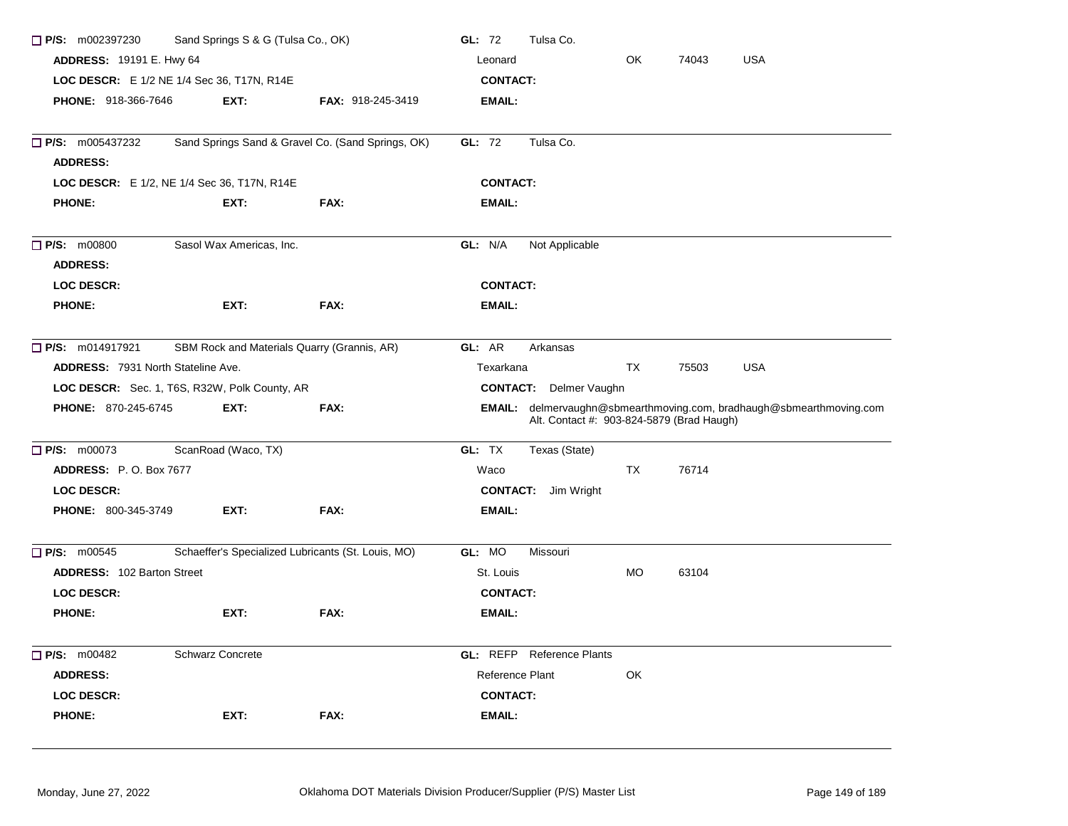| $\Box$ P/S: m002397230                    | Sand Springs S & G (Tulsa Co., OK)            |                                                    |                                           |           |       |                                                                      |
|-------------------------------------------|-----------------------------------------------|----------------------------------------------------|-------------------------------------------|-----------|-------|----------------------------------------------------------------------|
| <b>ADDRESS: 19191 E. Hwy 64</b>           |                                               |                                                    | Leonard                                   | OK        | 74043 | <b>USA</b>                                                           |
|                                           | LOC DESCR: E 1/2 NE 1/4 Sec 36, T17N, R14E    |                                                    | <b>CONTACT:</b>                           |           |       |                                                                      |
| <b>PHONE: 918-366-7646</b>                | EXT:                                          | <b>FAX: 918-245-3419</b>                           | <b>EMAIL:</b>                             |           |       |                                                                      |
|                                           |                                               |                                                    |                                           |           |       |                                                                      |
| $\Box$ P/S: m005437232                    |                                               | Sand Springs Sand & Gravel Co. (Sand Springs, OK)  | Tulsa Co.<br>GL: 72                       |           |       |                                                                      |
| <b>ADDRESS:</b>                           |                                               |                                                    |                                           |           |       |                                                                      |
|                                           | LOC DESCR: E 1/2, NE 1/4 Sec 36, T17N, R14E   |                                                    | <b>CONTACT:</b>                           |           |       |                                                                      |
| <b>PHONE:</b>                             | EXT:                                          | FAX:                                               | EMAIL:                                    |           |       |                                                                      |
| <b>P/S:</b> m00800<br><b>ADDRESS:</b>     | Sasol Wax Americas, Inc.                      |                                                    | GL: N/A<br>Not Applicable                 |           |       |                                                                      |
| <b>LOC DESCR:</b>                         |                                               |                                                    | <b>CONTACT:</b>                           |           |       |                                                                      |
| <b>PHONE:</b>                             | EXT:                                          | FAX:                                               | <b>EMAIL:</b>                             |           |       |                                                                      |
|                                           |                                               |                                                    |                                           |           |       |                                                                      |
| <b>P/S:</b> m014917921                    | SBM Rock and Materials Quarry (Grannis, AR)   |                                                    | GL: AR<br>Arkansas                        |           |       |                                                                      |
| <b>ADDRESS: 7931 North Stateline Ave.</b> |                                               |                                                    | Texarkana                                 | <b>TX</b> | 75503 | <b>USA</b>                                                           |
|                                           | LOC DESCR: Sec. 1, T6S, R32W, Polk County, AR |                                                    | <b>CONTACT:</b><br>Delmer Vaughn          |           |       |                                                                      |
| <b>PHONE: 870-245-6745</b>                | EXT:                                          | FAX:                                               | Alt. Contact #: 903-824-5879 (Brad Haugh) |           |       | EMAIL: delmervaughn@sbmearthmoving.com, bradhaugh@sbmearthmoving.com |
| $P/S:$ m00073                             | ScanRoad (Waco, TX)                           |                                                    | GL: TX<br>Texas (State)                   |           |       |                                                                      |
| <b>ADDRESS: P.O. Box 7677</b>             |                                               |                                                    | Waco                                      | <b>TX</b> | 76714 |                                                                      |
| LOC DESCR:                                |                                               |                                                    | <b>CONTACT:</b> Jim Wright                |           |       |                                                                      |
| <b>PHONE: 800-345-3749</b>                | EXT:                                          | FAX:                                               | <b>EMAIL:</b>                             |           |       |                                                                      |
|                                           |                                               |                                                    |                                           |           |       |                                                                      |
| $\Box$ P/S: m00545                        |                                               | Schaeffer's Specialized Lubricants (St. Louis, MO) | GL: MO<br>Missouri                        |           |       |                                                                      |
| <b>ADDRESS: 102 Barton Street</b>         |                                               |                                                    | St. Louis                                 | <b>MO</b> | 63104 |                                                                      |
| <b>LOC DESCR:</b>                         |                                               |                                                    | <b>CONTACT:</b>                           |           |       |                                                                      |
| <b>PHONE:</b>                             | EXT:                                          | FAX:                                               | <b>EMAIL:</b>                             |           |       |                                                                      |
| <b>P/S: m00482</b>                        | <b>Schwarz Concrete</b>                       |                                                    | <b>GL: REFP</b> Reference Plants          |           |       |                                                                      |
| <b>ADDRESS:</b>                           |                                               |                                                    | Reference Plant                           | OK        |       |                                                                      |
| <b>LOC DESCR:</b>                         |                                               |                                                    | <b>CONTACT:</b>                           |           |       |                                                                      |
| <b>PHONE:</b>                             | EXT:                                          | FAX:                                               | <b>EMAIL:</b>                             |           |       |                                                                      |
|                                           |                                               |                                                    |                                           |           |       |                                                                      |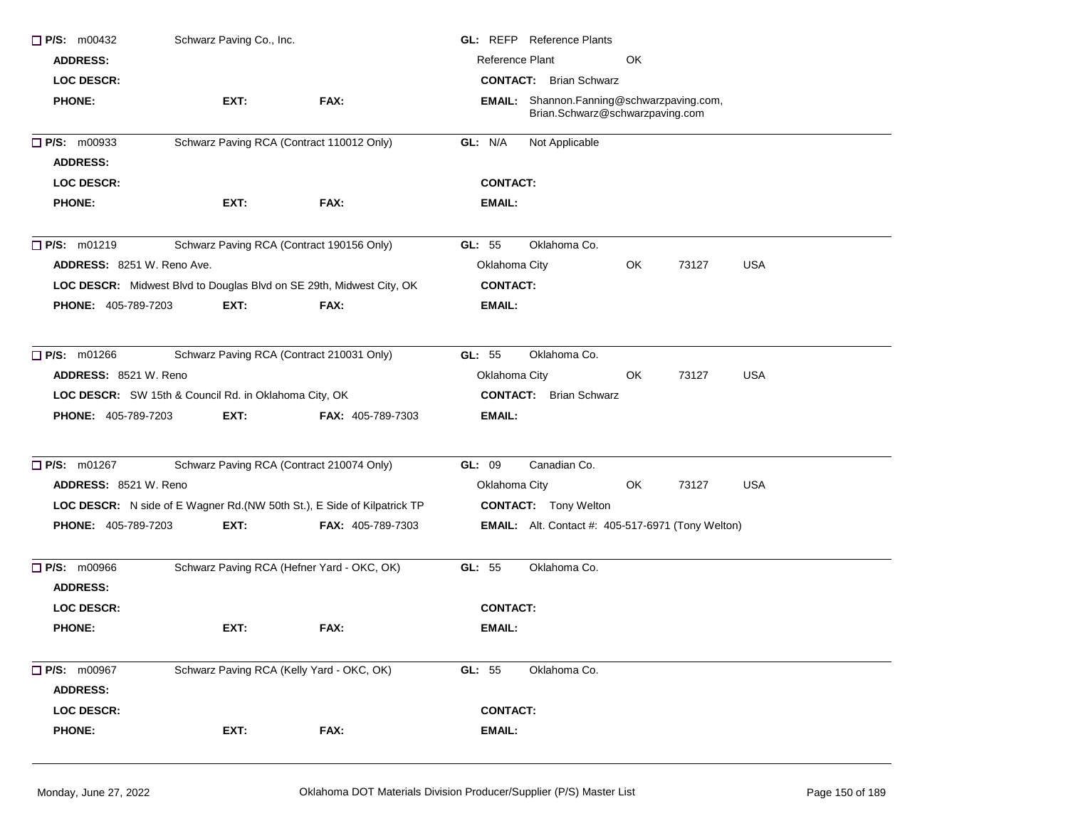| $\Box$ P/S: m00432                    | Schwarz Paving Co., Inc.                                             |                                                                          | <b>GL:</b> REFP Reference Plants                                             |  |  |  |  |
|---------------------------------------|----------------------------------------------------------------------|--------------------------------------------------------------------------|------------------------------------------------------------------------------|--|--|--|--|
| <b>ADDRESS:</b>                       |                                                                      |                                                                          | Reference Plant<br>OK                                                        |  |  |  |  |
| <b>LOC DESCR:</b>                     |                                                                      |                                                                          | <b>CONTACT:</b> Brian Schwarz                                                |  |  |  |  |
| <b>PHONE:</b>                         | EXT:                                                                 | FAX:                                                                     | EMAIL: Shannon.Fanning@schwarzpaving.com,<br>Brian.Schwarz@schwarzpaving.com |  |  |  |  |
| $\Box$ P/S: m00933                    | Schwarz Paving RCA (Contract 110012 Only)                            |                                                                          | GL: N/A<br>Not Applicable                                                    |  |  |  |  |
| <b>ADDRESS:</b>                       |                                                                      |                                                                          |                                                                              |  |  |  |  |
| <b>LOC DESCR:</b>                     |                                                                      |                                                                          | <b>CONTACT:</b>                                                              |  |  |  |  |
| <b>PHONE:</b>                         | EXT:                                                                 | FAX:                                                                     | EMAIL:                                                                       |  |  |  |  |
| $\Box$ P/S: m01219                    | Schwarz Paving RCA (Contract 190156 Only)                            |                                                                          | Oklahoma Co.<br>GL: $55$                                                     |  |  |  |  |
| <b>ADDRESS: 8251 W. Reno Ave.</b>     |                                                                      |                                                                          | Oklahoma City<br>OK<br>73127<br>USA                                          |  |  |  |  |
|                                       | LOC DESCR: Midwest Blvd to Douglas Blvd on SE 29th, Midwest City, OK |                                                                          | <b>CONTACT:</b>                                                              |  |  |  |  |
| <b>PHONE: 405-789-7203</b>            | EXT:                                                                 | FAX:                                                                     | EMAIL:                                                                       |  |  |  |  |
| $\Box$ P/S: m01266                    | Schwarz Paving RCA (Contract 210031 Only)                            |                                                                          | GL: 55<br>Oklahoma Co.                                                       |  |  |  |  |
| ADDRESS: 8521 W. Reno                 |                                                                      |                                                                          | <b>USA</b><br>Oklahoma City<br>OK<br>73127                                   |  |  |  |  |
|                                       | LOC DESCR: SW 15th & Council Rd. in Oklahoma City, OK                |                                                                          | <b>CONTACT:</b> Brian Schwarz                                                |  |  |  |  |
| <b>PHONE: 405-789-7203</b>            | EXT:                                                                 | FAX: 405-789-7303                                                        | EMAIL:                                                                       |  |  |  |  |
| $\Box$ P/S: m01267                    | Schwarz Paving RCA (Contract 210074 Only)                            |                                                                          | Canadian Co.<br>GL: 09                                                       |  |  |  |  |
| ADDRESS: 8521 W. Reno                 |                                                                      |                                                                          | <b>USA</b><br>Oklahoma City<br>OK<br>73127                                   |  |  |  |  |
|                                       |                                                                      | LOC DESCR: N side of E Wagner Rd. (NW 50th St.), E Side of Kilpatrick TP | <b>CONTACT:</b> Tony Welton                                                  |  |  |  |  |
| PHONE: 405-789-7203                   | EXT:                                                                 | <b>FAX: 405-789-7303</b>                                                 | <b>EMAIL:</b> Alt. Contact #: 405-517-6971 (Tony Welton)                     |  |  |  |  |
| <b>P/S: m00966</b><br><b>ADDRESS:</b> |                                                                      | Schwarz Paving RCA (Hefner Yard - OKC, OK)                               | GL: 55<br>Oklahoma Co.                                                       |  |  |  |  |
| <b>LOC DESCR:</b>                     |                                                                      |                                                                          | <b>CONTACT:</b>                                                              |  |  |  |  |
| <b>PHONE:</b>                         | EXT:                                                                 | FAX:                                                                     | <b>EMAIL:</b>                                                                |  |  |  |  |
| $\Box$ P/S: m00967                    | Schwarz Paving RCA (Kelly Yard - OKC, OK)                            |                                                                          | GL: 55<br>Oklahoma Co.                                                       |  |  |  |  |
| <b>ADDRESS:</b>                       |                                                                      |                                                                          |                                                                              |  |  |  |  |
| <b>LOC DESCR:</b>                     |                                                                      |                                                                          | <b>CONTACT:</b>                                                              |  |  |  |  |
| <b>PHONE:</b>                         | EXT:                                                                 | FAX:                                                                     | EMAIL:                                                                       |  |  |  |  |
|                                       |                                                                      |                                                                          |                                                                              |  |  |  |  |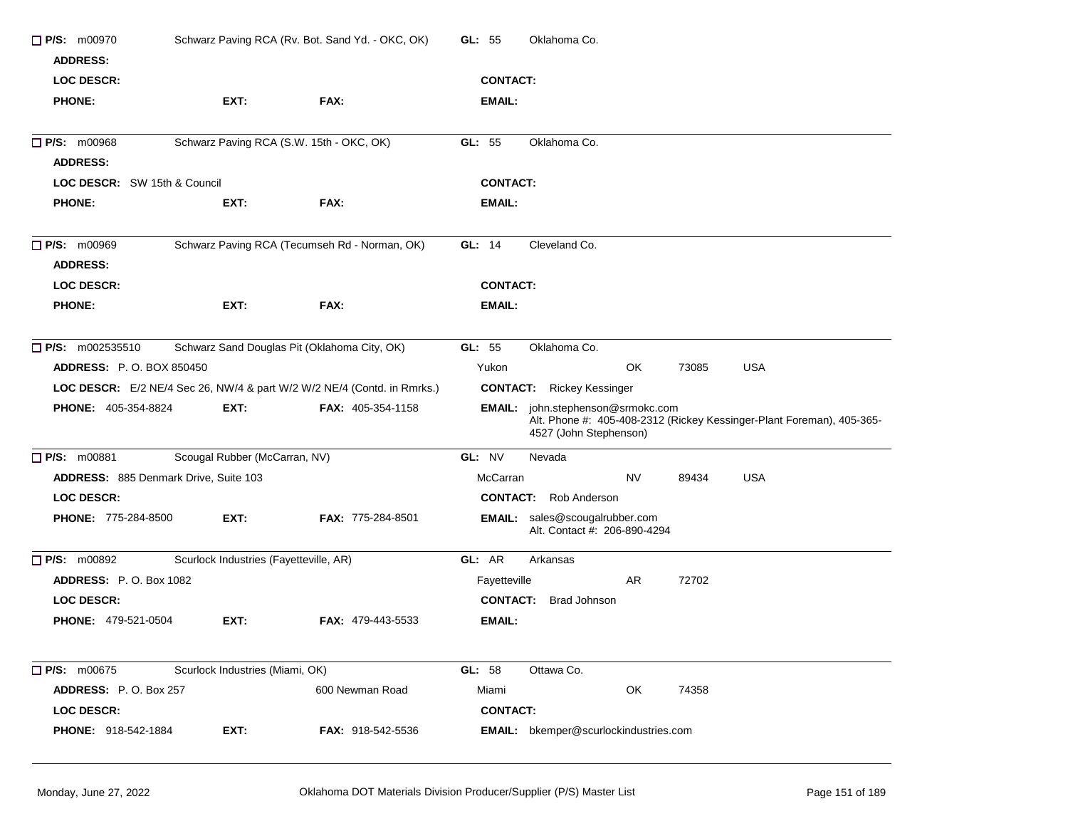| $P/S:$ m00970<br><b>ADDRESS:</b><br><b>LOC DESCR:</b> |                                              | Schwarz Paving RCA (Rv. Bot. Sand Yd. - OKC, OK)                        | GL: 55<br>Oklahoma Co.<br><b>CONTACT:</b>                                                                                            |  |  |  |
|-------------------------------------------------------|----------------------------------------------|-------------------------------------------------------------------------|--------------------------------------------------------------------------------------------------------------------------------------|--|--|--|
| <b>PHONE:</b>                                         | EXT:                                         | FAX:                                                                    | EMAIL:                                                                                                                               |  |  |  |
| <b>P/S: m00968</b><br><b>ADDRESS:</b>                 | Schwarz Paving RCA (S.W. 15th - OKC, OK)     |                                                                         | Oklahoma Co.<br>GL: $55$                                                                                                             |  |  |  |
| LOC DESCR: SW 15th & Council                          |                                              |                                                                         | <b>CONTACT:</b>                                                                                                                      |  |  |  |
| <b>PHONE:</b>                                         | EXT:                                         | FAX:                                                                    | EMAIL:                                                                                                                               |  |  |  |
| $\Box$ P/S: m00969<br><b>ADDRESS:</b>                 |                                              | Schwarz Paving RCA (Tecumseh Rd - Norman, OK)                           | GL: 14<br>Cleveland Co.                                                                                                              |  |  |  |
| <b>LOC DESCR:</b>                                     |                                              |                                                                         | <b>CONTACT:</b>                                                                                                                      |  |  |  |
| <b>PHONE:</b>                                         | EXT:                                         | FAX:                                                                    | EMAIL:                                                                                                                               |  |  |  |
| $\Box$ P/S: m002535510                                | Schwarz Sand Douglas Pit (Oklahoma City, OK) |                                                                         | GL: 55<br>Oklahoma Co.                                                                                                               |  |  |  |
| <b>ADDRESS: P.O. BOX 850450</b>                       |                                              |                                                                         | OK<br>Yukon<br>73085<br><b>USA</b>                                                                                                   |  |  |  |
|                                                       |                                              | LOC DESCR: E/2 NE/4 Sec 26, NW/4 & part W/2 W/2 NE/4 (Contd. in Rmrks.) | <b>CONTACT:</b> Rickey Kessinger                                                                                                     |  |  |  |
| PHONE: 405-354-8824                                   | EXT:                                         | <b>FAX: 405-354-1158</b>                                                | EMAIL: john.stephenson@srmokc.com<br>Alt. Phone #: 405-408-2312 (Rickey Kessinger-Plant Foreman), 405-365-<br>4527 (John Stephenson) |  |  |  |
| <b>P/S: m00881</b>                                    | Scougal Rubber (McCarran, NV)                |                                                                         | GL: NV<br>Nevada                                                                                                                     |  |  |  |
| ADDRESS: 885 Denmark Drive, Suite 103                 |                                              |                                                                         | McCarran<br>NV<br><b>USA</b><br>89434                                                                                                |  |  |  |
| <b>LOC DESCR:</b>                                     |                                              |                                                                         | <b>CONTACT:</b> Rob Anderson                                                                                                         |  |  |  |
| PHONE: 775-284-8500                                   | EXT:                                         | FAX: 775-284-8501                                                       | <b>EMAIL:</b> sales@scougalrubber.com<br>Alt. Contact #: 206-890-4294                                                                |  |  |  |
| $\Box$ P/S: m00892                                    | Scurlock Industries (Fayetteville, AR)       |                                                                         | GL: AR<br>Arkansas                                                                                                                   |  |  |  |
| <b>ADDRESS:</b> P.O. Box 1082                         |                                              |                                                                         | AR<br>72702<br>Fayetteville                                                                                                          |  |  |  |
| <b>LOC DESCR:</b>                                     |                                              |                                                                         | <b>Brad Johnson</b><br><b>CONTACT:</b>                                                                                               |  |  |  |
| <b>PHONE: 479-521-0504</b>                            | EXT:                                         | <b>FAX: 479-443-5533</b>                                                | EMAIL:                                                                                                                               |  |  |  |
| $\Box$ P/S: m00675                                    | Scurlock Industries (Miami, OK)              |                                                                         | GL: 58<br>Ottawa Co.                                                                                                                 |  |  |  |
| ADDRESS: P.O. Box 257                                 |                                              | 600 Newman Road                                                         | OK<br>Miami<br>74358                                                                                                                 |  |  |  |
| LOC DESCR:                                            |                                              |                                                                         | <b>CONTACT:</b>                                                                                                                      |  |  |  |
| PHONE: 918-542-1884                                   | EXT:                                         | <b>FAX: 918-542-5536</b>                                                | EMAIL: bkemper@scurlockindustries.com                                                                                                |  |  |  |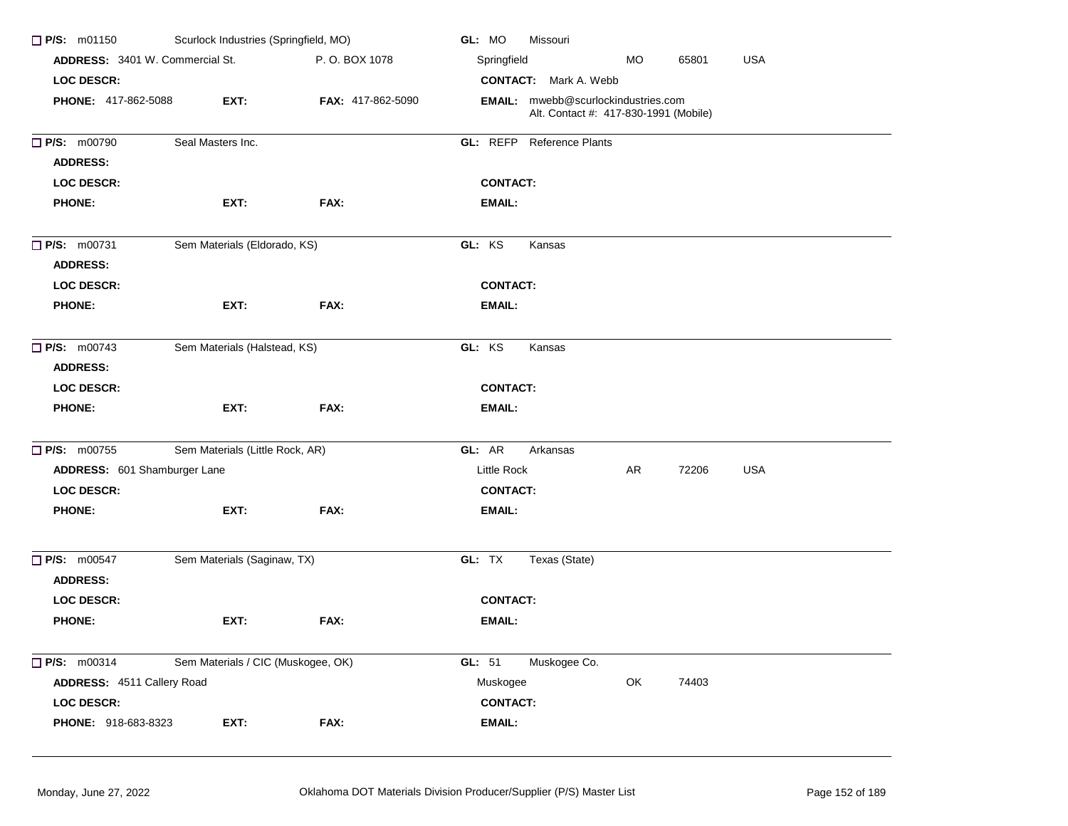| $\Box$ P/S: m01150                     | Scurlock Industries (Springfield, MO) |                   | GL: MO<br>Missouri                                                                  |
|----------------------------------------|---------------------------------------|-------------------|-------------------------------------------------------------------------------------|
| <b>ADDRESS:</b> 3401 W. Commercial St. |                                       | P.O. BOX 1078     | Springfield<br><b>MO</b><br><b>USA</b><br>65801                                     |
| <b>LOC DESCR:</b>                      |                                       |                   | <b>CONTACT:</b> Mark A. Webb                                                        |
| <b>PHONE: 417-862-5088</b>             | EXT:                                  | FAX: 417-862-5090 | <b>EMAIL:</b> mwebb@scurlockindustries.com<br>Alt. Contact #: 417-830-1991 (Mobile) |
| <b>P/S: m00790</b>                     | Seal Masters Inc.                     |                   | GL: REFP Reference Plants                                                           |
| <b>ADDRESS:</b>                        |                                       |                   |                                                                                     |
| <b>LOC DESCR:</b>                      |                                       |                   | <b>CONTACT:</b>                                                                     |
| <b>PHONE:</b>                          | EXT:                                  | FAX:              | EMAIL:                                                                              |
| $\Box$ P/S: m00731<br><b>ADDRESS:</b>  | Sem Materials (Eldorado, KS)          |                   | GL: KS<br>Kansas                                                                    |
| <b>LOC DESCR:</b>                      |                                       |                   | <b>CONTACT:</b>                                                                     |
| <b>PHONE:</b>                          | EXT:                                  | FAX:              | EMAIL:                                                                              |
| $\Box$ P/S: m00743<br><b>ADDRESS:</b>  | Sem Materials (Halstead, KS)          |                   | GL: KS<br>Kansas                                                                    |
| <b>LOC DESCR:</b>                      |                                       |                   | <b>CONTACT:</b>                                                                     |
| <b>PHONE:</b>                          | EXT:                                  | FAX:              | EMAIL:                                                                              |
|                                        |                                       |                   |                                                                                     |
| <b>P/S: m00755</b>                     | Sem Materials (Little Rock, AR)       |                   | GL: AR<br>Arkansas                                                                  |
| ADDRESS: 601 Shamburger Lane           |                                       |                   | Little Rock<br>AR<br>72206<br><b>USA</b>                                            |
| <b>LOC DESCR:</b>                      |                                       |                   | <b>CONTACT:</b>                                                                     |
| <b>PHONE:</b>                          | EXT:                                  | FAX:              | EMAIL:                                                                              |
| <b>P/S: m00547</b><br><b>ADDRESS:</b>  | Sem Materials (Saginaw, TX)           |                   | GL: TX<br>Texas (State)                                                             |
| <b>LOC DESCR:</b>                      |                                       |                   | <b>CONTACT:</b>                                                                     |
| <b>PHONE:</b>                          | EXT:                                  | FAX:              | EMAIL:                                                                              |
| P/S: m00314                            | Sem Materials / CIC (Muskogee, OK)    |                   | GL: 51<br>Muskogee Co.                                                              |
| ADDRESS: 4511 Callery Road             |                                       |                   | OK<br>74403<br>Muskogee                                                             |
| <b>LOC DESCR:</b>                      |                                       |                   | <b>CONTACT:</b>                                                                     |
| PHONE: 918-683-8323                    | EXT:                                  | FAX:              | EMAIL:                                                                              |
|                                        |                                       |                   |                                                                                     |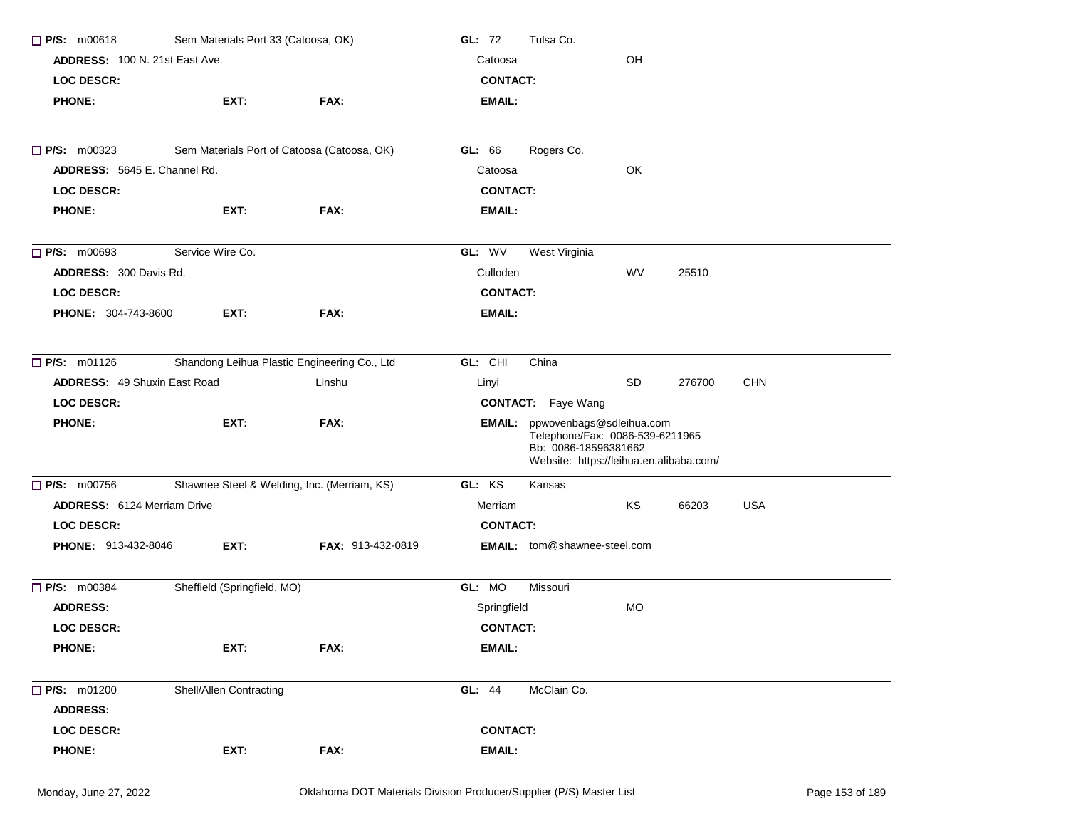| $\Box$ P/S: m00618<br>Sem Materials Port 33 (Catoosa, OK) |                                              |                   | Tulsa Co.<br>GL: 72 |                                                                                                                                       |           |        |            |  |
|-----------------------------------------------------------|----------------------------------------------|-------------------|---------------------|---------------------------------------------------------------------------------------------------------------------------------------|-----------|--------|------------|--|
| <b>ADDRESS: 100 N. 21st East Ave.</b>                     |                                              |                   | Catoosa             |                                                                                                                                       | OH        |        |            |  |
| <b>LOC DESCR:</b>                                         |                                              |                   | <b>CONTACT:</b>     |                                                                                                                                       |           |        |            |  |
| <b>PHONE:</b>                                             | EXT:                                         | FAX:              | <b>EMAIL:</b>       |                                                                                                                                       |           |        |            |  |
|                                                           |                                              |                   |                     |                                                                                                                                       |           |        |            |  |
| P/S: m00323                                               | Sem Materials Port of Catoosa (Catoosa, OK)  |                   | GL: 66              | Rogers Co.                                                                                                                            |           |        |            |  |
| ADDRESS: 5645 E. Channel Rd.                              |                                              |                   | Catoosa             |                                                                                                                                       | OK        |        |            |  |
| <b>LOC DESCR:</b>                                         |                                              |                   | <b>CONTACT:</b>     |                                                                                                                                       |           |        |            |  |
| <b>PHONE:</b>                                             | EXT:                                         | FAX:              | <b>EMAIL:</b>       |                                                                                                                                       |           |        |            |  |
| $\Box$ P/S: m00693                                        | Service Wire Co.                             |                   | GL: WV              | West Virginia                                                                                                                         |           |        |            |  |
| ADDRESS: 300 Davis Rd.                                    |                                              |                   | Culloden            |                                                                                                                                       | WV        | 25510  |            |  |
| <b>LOC DESCR:</b>                                         |                                              |                   | <b>CONTACT:</b>     |                                                                                                                                       |           |        |            |  |
| PHONE: 304-743-8600                                       | EXT:                                         | FAX:              | <b>EMAIL:</b>       |                                                                                                                                       |           |        |            |  |
|                                                           |                                              |                   |                     |                                                                                                                                       |           |        |            |  |
| P/S: m01126                                               | Shandong Leihua Plastic Engineering Co., Ltd |                   | GL: CHI             | China                                                                                                                                 |           |        |            |  |
| <b>ADDRESS: 49 Shuxin East Road</b>                       |                                              | Linshu            | Linyi               |                                                                                                                                       | <b>SD</b> | 276700 | <b>CHN</b> |  |
| <b>LOC DESCR:</b>                                         |                                              |                   |                     | <b>CONTACT:</b> Faye Wang                                                                                                             |           |        |            |  |
| <b>PHONE:</b>                                             | EXT:                                         | FAX:              |                     | EMAIL: ppwovenbags@sdleihua.com<br>Telephone/Fax: 0086-539-6211965<br>Bb: 0086-18596381662<br>Website: https://leihua.en.alibaba.com/ |           |        |            |  |
| $\Box$ P/S: m00756                                        | Shawnee Steel & Welding, Inc. (Merriam, KS)  |                   | GL: KS              | Kansas                                                                                                                                |           |        |            |  |
| <b>ADDRESS:</b> 6124 Merriam Drive                        |                                              |                   | Merriam             |                                                                                                                                       | KS        | 66203  | <b>USA</b> |  |
| LOC DESCR:                                                |                                              |                   | <b>CONTACT:</b>     |                                                                                                                                       |           |        |            |  |
| <b>PHONE: 913-432-8046</b>                                | EXT:                                         | FAX: 913-432-0819 |                     | <b>EMAIL:</b> tom@shawnee-steel.com                                                                                                   |           |        |            |  |
| P/S: m00384                                               | Sheffield (Springfield, MO)                  |                   | GL: MO              | Missouri                                                                                                                              |           |        |            |  |
| <b>ADDRESS:</b>                                           |                                              |                   | Springfield         |                                                                                                                                       | <b>MO</b> |        |            |  |
| <b>LOC DESCR:</b>                                         |                                              |                   | <b>CONTACT:</b>     |                                                                                                                                       |           |        |            |  |
| <b>PHONE:</b>                                             | EXT:                                         | FAX:              | <b>EMAIL:</b>       |                                                                                                                                       |           |        |            |  |
| $\Box$ P/S: m01200                                        | Shell/Allen Contracting                      |                   | GL: 44              | McClain Co.                                                                                                                           |           |        |            |  |
| <b>ADDRESS:</b>                                           |                                              |                   |                     |                                                                                                                                       |           |        |            |  |
| <b>LOC DESCR:</b>                                         |                                              |                   | <b>CONTACT:</b>     |                                                                                                                                       |           |        |            |  |
| <b>PHONE:</b>                                             | EXT:                                         | FAX:              | <b>EMAIL:</b>       |                                                                                                                                       |           |        |            |  |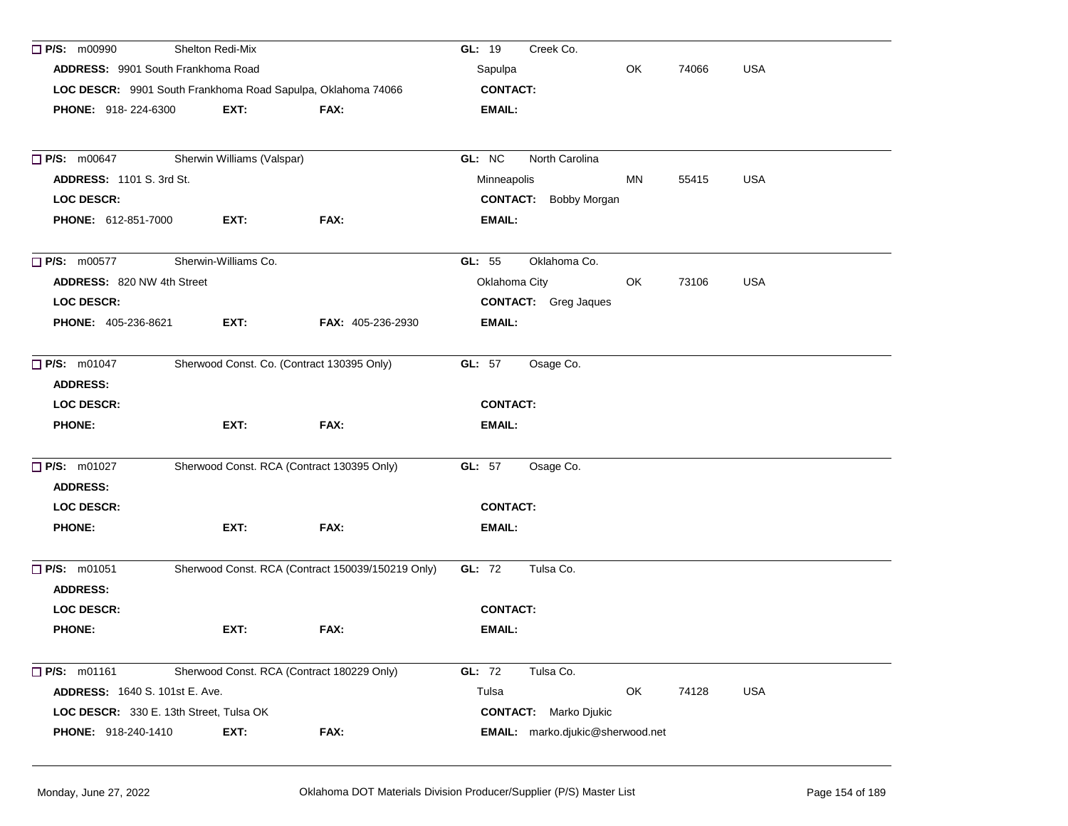| $\Box$ P/S: m00990                                           | Shelton Redi-Mix           |                                                   | GL: 19<br>Creek Co.                         |
|--------------------------------------------------------------|----------------------------|---------------------------------------------------|---------------------------------------------|
| ADDRESS: 9901 South Frankhoma Road                           |                            |                                                   | <b>USA</b><br>Sapulpa<br>OK<br>74066        |
| LOC DESCR: 9901 South Frankhoma Road Sapulpa, Oklahoma 74066 |                            |                                                   | <b>CONTACT:</b>                             |
| <b>PHONE: 918-224-6300</b>                                   | EXT:                       | FAX:                                              | EMAIL:                                      |
|                                                              |                            |                                                   |                                             |
| $\Box$ P/S: m00647                                           | Sherwin Williams (Valspar) |                                                   | GL: NC<br>North Carolina                    |
| <b>ADDRESS: 1101 S. 3rd St.</b>                              |                            |                                                   | Minneapolis<br>MN<br>USA<br>55415           |
| LOC DESCR:                                                   |                            |                                                   | <b>CONTACT:</b> Bobby Morgan                |
| PHONE: 612-851-7000                                          | EXT:                       | FAX:                                              | <b>EMAIL:</b>                               |
| $\Box$ P/S: m00577                                           | Sherwin-Williams Co.       |                                                   | Oklahoma Co.<br>GL: $55$                    |
| ADDRESS: 820 NW 4th Street                                   |                            |                                                   | Oklahoma City<br><b>USA</b><br>OK.<br>73106 |
| LOC DESCR:                                                   |                            |                                                   | <b>CONTACT:</b> Greg Jaques                 |
| <b>PHONE: 405-236-8621</b>                                   | EXT:                       | <b>FAX: 405-236-2930</b>                          | EMAIL:                                      |
|                                                              |                            |                                                   |                                             |
| $\Box$ P/S: m01047                                           |                            | Sherwood Const. Co. (Contract 130395 Only)        | <b>GL: 57</b><br>Osage Co.                  |
| <b>ADDRESS:</b>                                              |                            |                                                   |                                             |
| <b>LOC DESCR:</b>                                            |                            |                                                   | <b>CONTACT:</b>                             |
| <b>PHONE:</b>                                                | EXT:                       | FAX:                                              | <b>EMAIL:</b>                               |
| <b>P/S: m01027</b>                                           |                            | Sherwood Const. RCA (Contract 130395 Only)        | <b>GL: 57</b><br>Osage Co.                  |
| <b>ADDRESS:</b>                                              |                            |                                                   |                                             |
| <b>LOC DESCR:</b>                                            |                            |                                                   | <b>CONTACT:</b>                             |
| <b>PHONE:</b>                                                | EXT:                       | FAX:                                              | <b>EMAIL:</b>                               |
|                                                              |                            |                                                   |                                             |
| $\Box$ P/S: m01051                                           |                            | Sherwood Const. RCA (Contract 150039/150219 Only) | <b>GL: 72</b><br>Tulsa Co.                  |
| <b>ADDRESS:</b>                                              |                            |                                                   |                                             |
| <b>LOC DESCR:</b>                                            |                            |                                                   | <b>CONTACT:</b>                             |
| <b>PHONE:</b>                                                | EXT:                       | FAX:                                              | EMAIL:                                      |
|                                                              |                            |                                                   |                                             |
| P/S: m01161                                                  |                            | Sherwood Const. RCA (Contract 180229 Only)        | GL: 72<br>Tulsa Co.                         |
| <b>ADDRESS: 1640 S. 101st E. Ave.</b>                        |                            |                                                   | OK<br>Tulsa<br>74128<br><b>USA</b>          |
| LOC DESCR: 330 E. 13th Street, Tulsa OK                      |                            |                                                   | <b>CONTACT:</b><br>Marko Djukic             |
| <b>PHONE: 918-240-1410</b>                                   | EXT:                       | FAX:                                              | EMAIL: marko.djukic@sherwood.net            |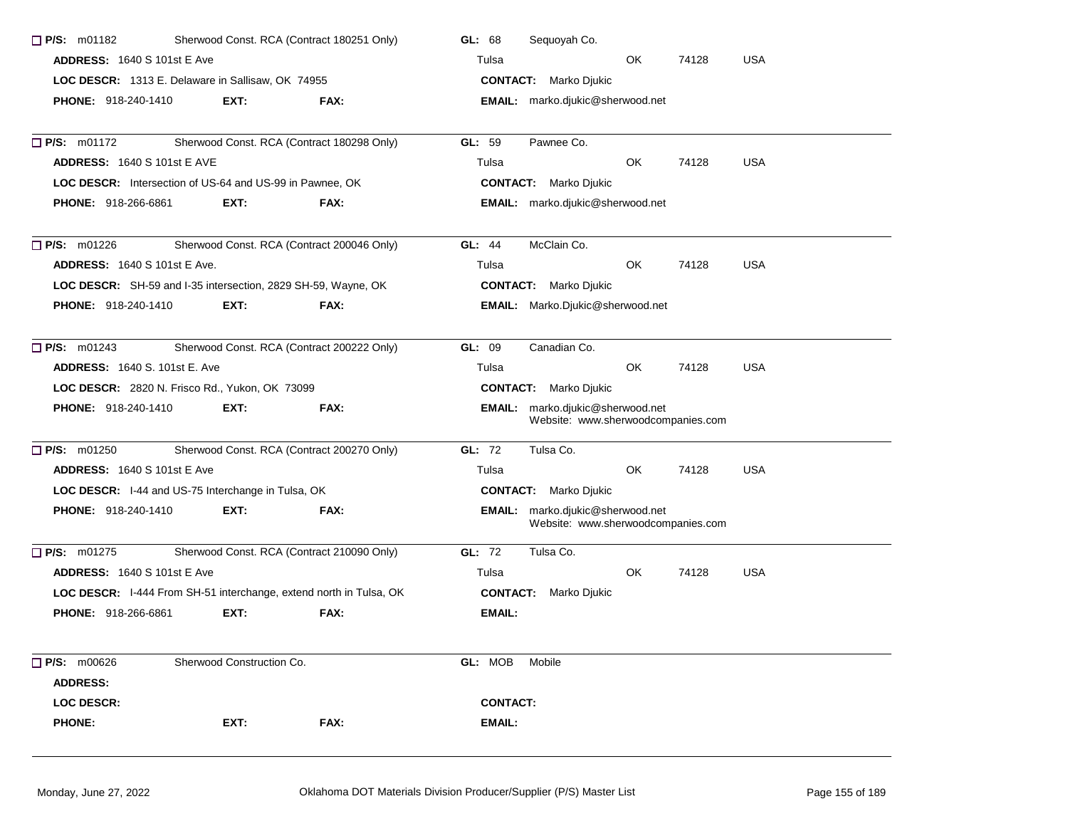| <b>P/S: m01182</b>                                                 |                           | Sherwood Const. RCA (Contract 180251 Only) | Sequoyah Co.<br>GL: 68                                                 |
|--------------------------------------------------------------------|---------------------------|--------------------------------------------|------------------------------------------------------------------------|
| <b>ADDRESS: 1640 S 101st E Ave</b>                                 |                           |                                            | Tulsa<br>OK.<br>74128<br><b>USA</b>                                    |
| LOC DESCR: 1313 E. Delaware in Sallisaw, OK 74955                  |                           |                                            | <b>CONTACT:</b> Marko Djukic                                           |
| <b>PHONE: 918-240-1410</b>                                         | EXT:                      | FAX:                                       | EMAIL: marko.djukic@sherwood.net                                       |
| $\Box$ P/S: m01172                                                 |                           | Sherwood Const. RCA (Contract 180298 Only) | GL: 59<br>Pawnee Co.                                                   |
| <b>ADDRESS: 1640 S 101st E AVE</b>                                 |                           |                                            | <b>USA</b><br>OK<br>Tulsa<br>74128                                     |
| LOC DESCR: Intersection of US-64 and US-99 in Pawnee, OK           |                           |                                            | <b>CONTACT:</b> Marko Djukic                                           |
| <b>PHONE: 918-266-6861</b>                                         | EXT:                      | FAX:                                       | EMAIL: marko.djukic@sherwood.net                                       |
| $\Box$ P/S: m01226                                                 |                           | Sherwood Const. RCA (Contract 200046 Only) | McClain Co.<br><b>GL: 44</b>                                           |
| <b>ADDRESS: 1640 S 101st E Ave.</b>                                |                           |                                            | <b>USA</b><br>OK.<br>74128<br>Tulsa                                    |
| LOC DESCR: SH-59 and I-35 intersection, 2829 SH-59, Wayne, OK      |                           |                                            | <b>CONTACT:</b> Marko Djukic                                           |
| <b>PHONE: 918-240-1410</b>                                         | EXT:                      | FAX:                                       | EMAIL: Marko.Djukic@sherwood.net                                       |
| $\Box$ P/S: m01243                                                 |                           | Sherwood Const. RCA (Contract 200222 Only) | GL: 09<br>Canadian Co.                                                 |
| <b>ADDRESS: 1640 S. 101st E. Ave</b>                               |                           |                                            | <b>OK</b><br><b>USA</b><br>74128<br>Tulsa                              |
| LOC DESCR: 2820 N. Frisco Rd., Yukon, OK 73099                     |                           |                                            | <b>CONTACT:</b> Marko Djukic                                           |
| <b>PHONE: 918-240-1410</b>                                         | EXT:                      | FAX:                                       | EMAIL: marko.djukic@sherwood.net<br>Website: www.sherwoodcompanies.com |
| $\Box$ P/S: m01250                                                 |                           | Sherwood Const. RCA (Contract 200270 Only) | GL: 72<br>Tulsa Co.                                                    |
| <b>ADDRESS: 1640 S 101st E Ave</b>                                 |                           |                                            | Tulsa<br>OK<br>74128<br><b>USA</b>                                     |
| LOC DESCR: I-44 and US-75 Interchange in Tulsa, OK                 |                           |                                            | <b>CONTACT:</b> Marko Djukic                                           |
| <b>PHONE: 918-240-1410</b>                                         | EXT:                      | FAX:                                       | EMAIL: marko.djukic@sherwood.net<br>Website: www.sherwoodcompanies.com |
| $\Box$ P/S: m01275                                                 |                           | Sherwood Const. RCA (Contract 210090 Only) | GL: 72<br>Tulsa Co.                                                    |
| <b>ADDRESS: 1640 S 101st E Ave</b>                                 |                           |                                            | OK.<br>74128<br><b>USA</b><br>Tulsa                                    |
| LOC DESCR: I-444 From SH-51 interchange, extend north in Tulsa, OK |                           |                                            | <b>CONTACT:</b> Marko Djukic                                           |
| <b>PHONE: 918-266-6861</b>                                         | EXT:                      | FAX:                                       | EMAIL:                                                                 |
| $\Box$ P/S: m00626                                                 | Sherwood Construction Co. |                                            | GL: MOB<br>Mobile                                                      |
| <b>ADDRESS:</b>                                                    |                           |                                            |                                                                        |
| <b>LOC DESCR:</b>                                                  |                           |                                            | <b>CONTACT:</b>                                                        |
| <b>PHONE:</b>                                                      | EXT:                      | FAX:                                       | <b>EMAIL:</b>                                                          |
|                                                                    |                           |                                            |                                                                        |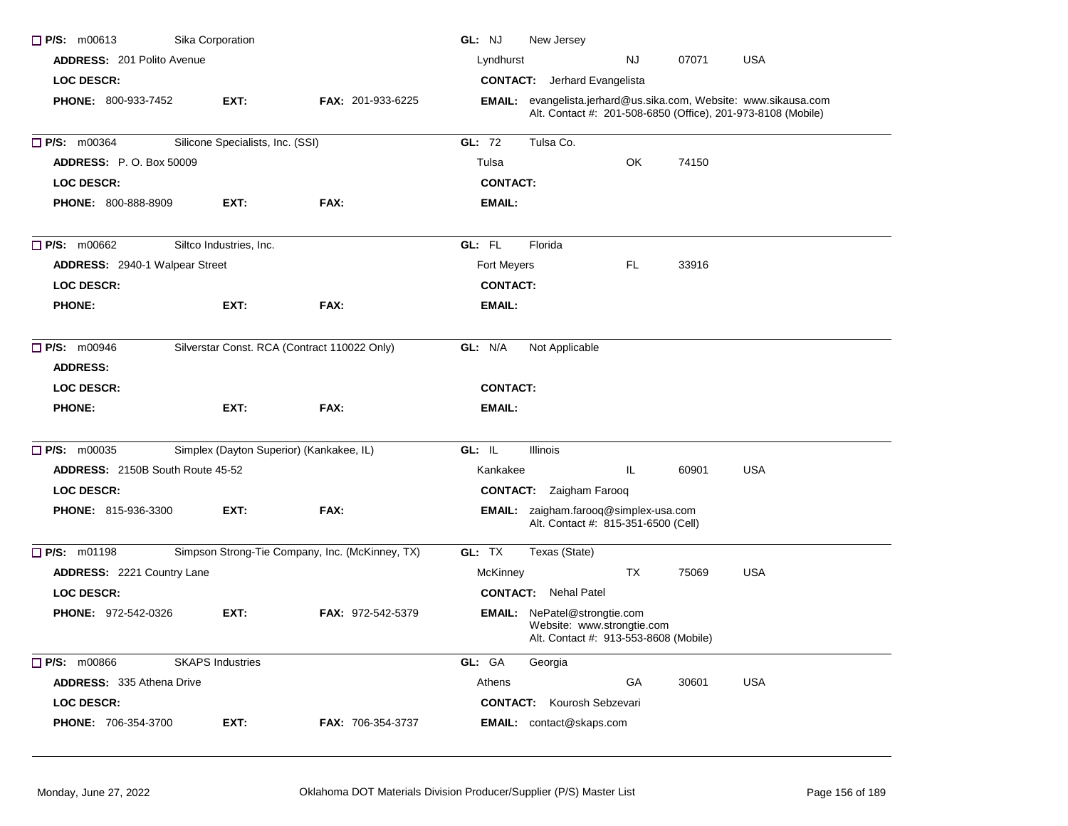| $\Box$ P/S: m00613                      | Sika Corporation                         |                                                 | GL: NJ<br>New Jersey                                                                                                             |
|-----------------------------------------|------------------------------------------|-------------------------------------------------|----------------------------------------------------------------------------------------------------------------------------------|
| <b>ADDRESS: 201 Polito Avenue</b>       |                                          |                                                 | Lyndhurst<br>07071<br><b>USA</b><br>NJ                                                                                           |
| LOC DESCR:                              |                                          |                                                 | <b>CONTACT:</b> Jerhard Evangelista                                                                                              |
| PHONE: 800-933-7452                     | EXT:                                     | FAX: 201-933-6225                               | EMAIL: evangelista.jerhard@us.sika.com, Website: www.sikausa.com<br>Alt. Contact #: 201-508-6850 (Office), 201-973-8108 (Mobile) |
| <b>P/S: m00364</b>                      | Silicone Specialists, Inc. (SSI)         |                                                 | GL: 72<br>Tulsa Co.                                                                                                              |
| <b>ADDRESS: P.O. Box 50009</b>          |                                          |                                                 | OK<br>74150<br>Tulsa                                                                                                             |
| <b>LOC DESCR:</b>                       |                                          |                                                 | <b>CONTACT:</b>                                                                                                                  |
| <b>PHONE: 800-888-8909</b>              | EXT:                                     | FAX:                                            | <b>EMAIL:</b>                                                                                                                    |
| $\Box$ P/S: m00662                      | Siltco Industries, Inc.                  |                                                 | GL: FL<br>Florida                                                                                                                |
| ADDRESS: 2940-1 Walpear Street          |                                          |                                                 | FL.<br>Fort Meyers<br>33916                                                                                                      |
| <b>LOC DESCR:</b>                       |                                          |                                                 | <b>CONTACT:</b>                                                                                                                  |
| <b>PHONE:</b>                           | EXT:                                     | FAX:                                            | EMAIL:                                                                                                                           |
| $\Box$ P/S: m00946<br><b>ADDRESS:</b>   |                                          | Silverstar Const. RCA (Contract 110022 Only)    | GL: N/A<br>Not Applicable                                                                                                        |
| <b>LOC DESCR:</b>                       |                                          |                                                 | <b>CONTACT:</b>                                                                                                                  |
| <b>PHONE:</b>                           | EXT:                                     | FAX:                                            | <b>EMAIL:</b>                                                                                                                    |
| $\Box$ P/S: m00035                      | Simplex (Dayton Superior) (Kankakee, IL) |                                                 | GL: IL<br><b>Illinois</b>                                                                                                        |
| <b>ADDRESS: 2150B South Route 45-52</b> |                                          |                                                 | Kankakee<br>IL<br>60901<br><b>USA</b>                                                                                            |
| <b>LOC DESCR:</b>                       |                                          |                                                 | <b>CONTACT:</b> Zaigham Farooq                                                                                                   |
| PHONE: 815-936-3300                     | EXT:                                     | FAX:                                            | <b>EMAIL:</b> zaigham.farooq@simplex-usa.com<br>Alt. Contact #: 815-351-6500 (Cell)                                              |
| $\Box$ P/S: m01198                      |                                          | Simpson Strong-Tie Company, Inc. (McKinney, TX) | GL: TX<br>Texas (State)                                                                                                          |
| <b>ADDRESS: 2221 Country Lane</b>       |                                          |                                                 | TX<br><b>USA</b><br>McKinney<br>75069                                                                                            |
| LOC DESCR:                              |                                          |                                                 | <b>CONTACT:</b> Nehal Patel                                                                                                      |
| <b>PHONE: 972-542-0326</b>              | EXT:                                     | <b>FAX: 972-542-5379</b>                        | <b>EMAIL:</b> NePatel@strongtie.com<br>Website: www.strongtie.com<br>Alt. Contact #: 913-553-8608 (Mobile)                       |
| $\Box$ P/S: m00866                      | <b>SKAPS Industries</b>                  |                                                 | GL: GA<br>Georgia                                                                                                                |
| <b>ADDRESS: 335 Athena Drive</b>        |                                          |                                                 | <b>USA</b><br>Athens<br>GA<br>30601                                                                                              |
| <b>LOC DESCR:</b>                       |                                          |                                                 | <b>CONTACT:</b> Kourosh Sebzevari                                                                                                |
| PHONE: 706-354-3700                     | EXT:                                     | <b>FAX: 706-354-3737</b>                        | <b>EMAIL:</b> contact@skaps.com                                                                                                  |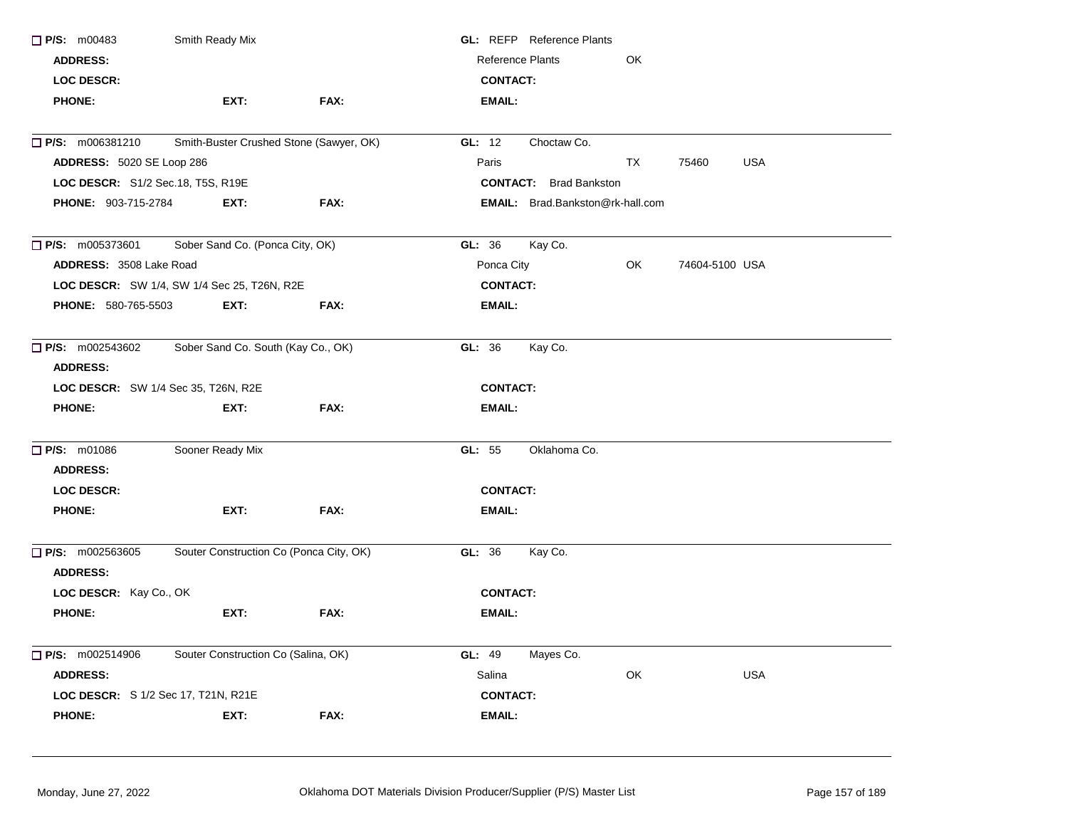| P/S: m00483                      | Smith Ready Mix                             |      | <b>GL:</b> REFP Reference Plants        |                     |
|----------------------------------|---------------------------------------------|------|-----------------------------------------|---------------------|
| <b>ADDRESS:</b>                  |                                             |      | <b>Reference Plants</b><br>OK           |                     |
| LOC DESCR:                       |                                             |      | <b>CONTACT:</b>                         |                     |
| <b>PHONE:</b>                    | EXT:                                        | FAX: | <b>EMAIL:</b>                           |                     |
| $\Box$ P/S: m006381210           | Smith-Buster Crushed Stone (Sawyer, OK)     |      | GL: 12<br>Choctaw Co.                   |                     |
| <b>ADDRESS: 5020 SE Loop 286</b> |                                             |      | Paris<br>ТX                             | <b>USA</b><br>75460 |
|                                  | LOC DESCR: S1/2 Sec.18, T5S, R19E           |      | <b>CONTACT:</b> Brad Bankston           |                     |
| <b>PHONE: 903-715-2784</b>       | EXT:                                        | FAX: | <b>EMAIL:</b> Brad.Bankston@rk-hall.com |                     |
| $\Box$ P/S: m005373601           | Sober Sand Co. (Ponca City, OK)             |      | Kay Co.<br>GL: 36                       |                     |
| ADDRESS: 3508 Lake Road          |                                             |      | OK<br>Ponca City                        | 74604-5100 USA      |
|                                  | LOC DESCR: SW 1/4, SW 1/4 Sec 25, T26N, R2E |      | <b>CONTACT:</b>                         |                     |
| <b>PHONE: 580-765-5503</b>       | EXT:                                        | FAX: | <b>EMAIL:</b>                           |                     |
| $\Box$ P/S: m002543602           | Sober Sand Co. South (Kay Co., OK)          |      | GL: 36<br>Kay Co.                       |                     |
| <b>ADDRESS:</b>                  |                                             |      |                                         |                     |
|                                  | <b>LOC DESCR:</b> SW 1/4 Sec 35, T26N, R2E  |      | <b>CONTACT:</b>                         |                     |
| <b>PHONE:</b>                    | EXT:                                        | FAX: | <b>EMAIL:</b>                           |                     |
| P/S: m01086                      | Sooner Ready Mix                            |      | GL: 55<br>Oklahoma Co.                  |                     |
| <b>ADDRESS:</b>                  |                                             |      |                                         |                     |
| LOC DESCR:                       |                                             |      | <b>CONTACT:</b>                         |                     |
| <b>PHONE:</b>                    | EXT:                                        | FAX: | <b>EMAIL:</b>                           |                     |
| $\Box$ P/S: m002563605           | Souter Construction Co (Ponca City, OK)     |      | GL: 36<br>Kay Co.                       |                     |
| <b>ADDRESS:</b>                  |                                             |      |                                         |                     |
| LOC DESCR: Kay Co., OK           |                                             |      | <b>CONTACT:</b>                         |                     |
| <b>PHONE:</b>                    | EXT:                                        | FAX: | <b>EMAIL:</b>                           |                     |
| $\Box$ P/S: m002514906           | Souter Construction Co (Salina, OK)         |      | GL: 49<br>Mayes Co.                     |                     |
| <b>ADDRESS:</b>                  |                                             |      | OK<br>Salina                            | <b>USA</b>          |
|                                  |                                             |      |                                         |                     |
|                                  | <b>LOC DESCR:</b> S 1/2 Sec 17, T21N, R21E  |      | <b>CONTACT:</b>                         |                     |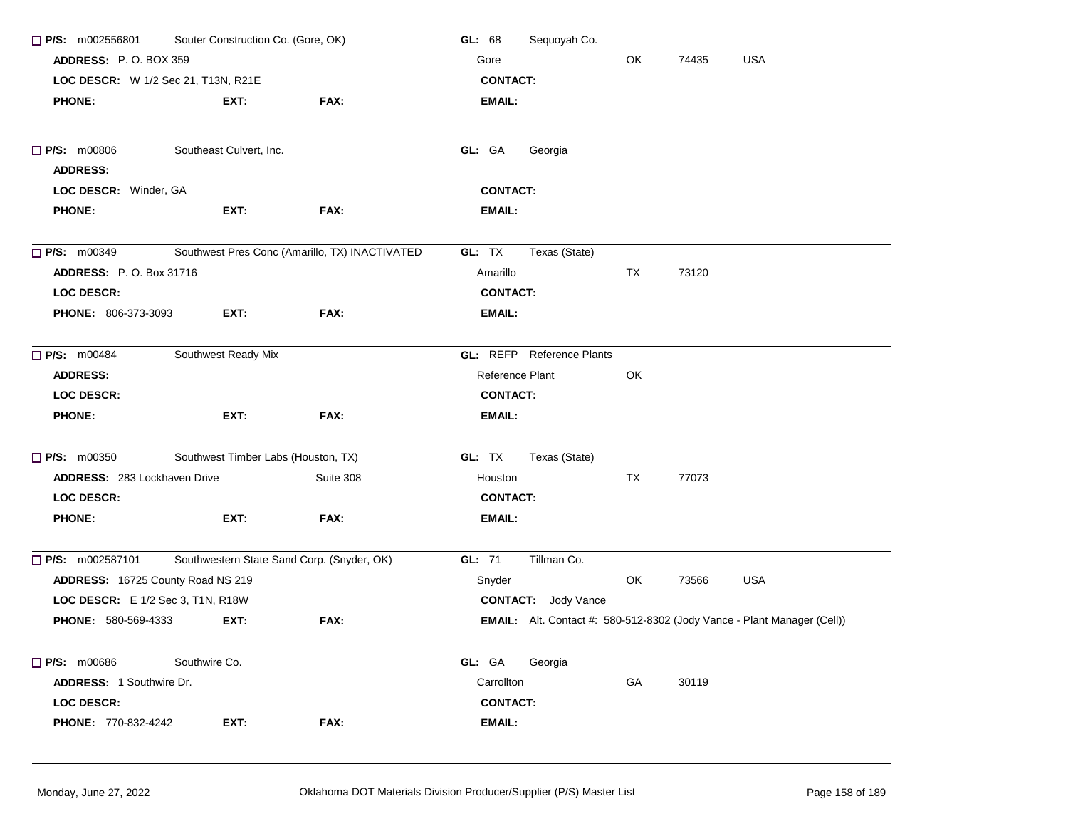| P/S: m002556801                     | Souter Construction Co. (Gore, OK)         |                                                | GL: 68          | Sequoyah Co.               |    |       |                                                                         |
|-------------------------------------|--------------------------------------------|------------------------------------------------|-----------------|----------------------------|----|-------|-------------------------------------------------------------------------|
| <b>ADDRESS: P.O. BOX 359</b>        |                                            |                                                | Gore            |                            | OK | 74435 | <b>USA</b>                                                              |
| LOC DESCR: W 1/2 Sec 21, T13N, R21E |                                            |                                                | <b>CONTACT:</b> |                            |    |       |                                                                         |
| <b>PHONE:</b>                       | EXT:                                       | FAX:                                           | EMAIL:          |                            |    |       |                                                                         |
| P/S: m00806                         | Southeast Culvert, Inc.                    |                                                | GL: GA          | Georgia                    |    |       |                                                                         |
| <b>ADDRESS:</b>                     |                                            |                                                |                 |                            |    |       |                                                                         |
| LOC DESCR: Winder, GA               |                                            |                                                | <b>CONTACT:</b> |                            |    |       |                                                                         |
| <b>PHONE:</b>                       | EXT:                                       | FAX:                                           | EMAIL:          |                            |    |       |                                                                         |
| $\Box$ P/S: m00349                  |                                            | Southwest Pres Conc (Amarillo, TX) INACTIVATED | GL: TX          | Texas (State)              |    |       |                                                                         |
| <b>ADDRESS: P.O. Box 31716</b>      |                                            |                                                | Amarillo        |                            | TX | 73120 |                                                                         |
| <b>LOC DESCR:</b>                   |                                            |                                                | <b>CONTACT:</b> |                            |    |       |                                                                         |
| <b>PHONE: 806-373-3093</b>          | EXT:                                       | FAX:                                           | EMAIL:          |                            |    |       |                                                                         |
| P/S: m00484                         | Southwest Ready Mix                        |                                                | GL: REFP        | <b>Reference Plants</b>    |    |       |                                                                         |
| <b>ADDRESS:</b>                     |                                            |                                                | Reference Plant |                            | OK |       |                                                                         |
| <b>LOC DESCR:</b>                   |                                            |                                                | <b>CONTACT:</b> |                            |    |       |                                                                         |
| <b>PHONE:</b>                       | EXT:                                       | FAX:                                           | EMAIL:          |                            |    |       |                                                                         |
| $P/S:$ m00350                       | Southwest Timber Labs (Houston, TX)        |                                                | GL: TX          | Texas (State)              |    |       |                                                                         |
| <b>ADDRESS: 283 Lockhaven Drive</b> |                                            | Suite 308                                      | Houston         |                            | TX | 77073 |                                                                         |
| <b>LOC DESCR:</b>                   |                                            |                                                | <b>CONTACT:</b> |                            |    |       |                                                                         |
| <b>PHONE:</b>                       | EXT:                                       | FAX:                                           | EMAIL:          |                            |    |       |                                                                         |
| P/S: m002587101                     | Southwestern State Sand Corp. (Snyder, OK) |                                                | GL: 71          | Tillman Co.                |    |       |                                                                         |
| ADDRESS: 16725 County Road NS 219   |                                            |                                                | Snyder          |                            | OK | 73566 | <b>USA</b>                                                              |
| LOC DESCR: E 1/2 Sec 3, T1N, R18W   |                                            |                                                |                 | <b>CONTACT:</b> Jody Vance |    |       |                                                                         |
| <b>PHONE: 580-569-4333</b>          | EXT:                                       | FAX:                                           |                 |                            |    |       | EMAIL: Alt. Contact #: 580-512-8302 (Jody Vance - Plant Manager (Cell)) |
| $\Box$ P/S: m00686                  | Southwire Co.                              |                                                | GL: GA          | Georgia                    |    |       |                                                                         |
| ADDRESS: 1 Southwire Dr.            |                                            |                                                | Carrollton      |                            | GA | 30119 |                                                                         |
| LOC DESCR:                          |                                            |                                                | <b>CONTACT:</b> |                            |    |       |                                                                         |
| PHONE: 770-832-4242                 | EXT:                                       | FAX:                                           | <b>EMAIL:</b>   |                            |    |       |                                                                         |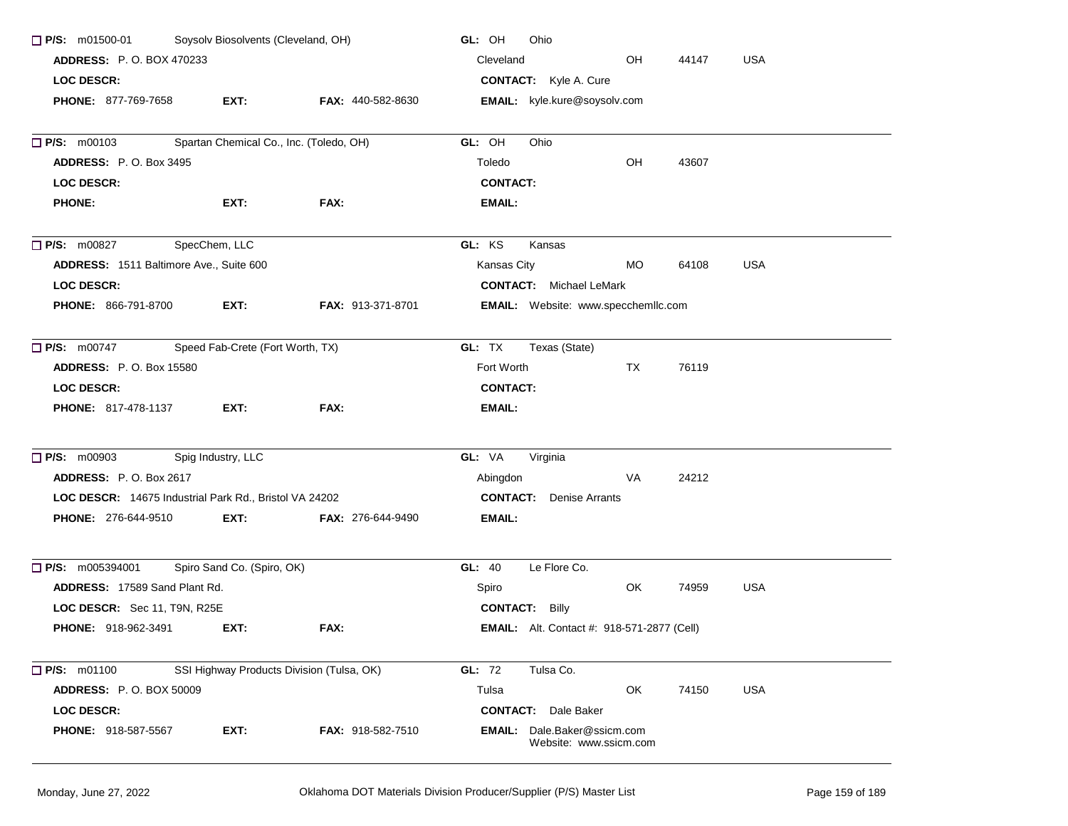| $\Box$ P/S: m01500-01                                  | Soysolv Biosolvents (Cleveland, OH) |                                           | GL: OH<br>Ohio                                               |       |            |
|--------------------------------------------------------|-------------------------------------|-------------------------------------------|--------------------------------------------------------------|-------|------------|
| <b>ADDRESS: P.O. BOX 470233</b>                        |                                     |                                           | Cleveland<br>OH                                              | 44147 | <b>USA</b> |
| <b>LOC DESCR:</b>                                      |                                     |                                           | <b>CONTACT:</b> Kyle A. Cure                                 |       |            |
| <b>PHONE: 877-769-7658</b>                             | EXT:                                | <b>FAX: 440-582-8630</b>                  | <b>EMAIL:</b> kyle.kure@soysolv.com                          |       |            |
|                                                        |                                     |                                           |                                                              |       |            |
| $\Box$ P/S: m00103                                     |                                     | Spartan Chemical Co., Inc. (Toledo, OH)   | Ohio<br>GL: OH                                               |       |            |
| <b>ADDRESS: P.O. Box 3495</b>                          |                                     |                                           | OH<br>Toledo                                                 | 43607 |            |
| <b>LOC DESCR:</b>                                      |                                     |                                           | <b>CONTACT:</b>                                              |       |            |
| <b>PHONE:</b>                                          | EXT:                                | FAX:                                      | EMAIL:                                                       |       |            |
| $\Box$ P/S: m00827                                     | SpecChem, LLC                       |                                           | GL: KS<br>Kansas                                             |       |            |
| ADDRESS: 1511 Baltimore Ave., Suite 600                |                                     |                                           | Kansas City<br>MO.                                           | 64108 | <b>USA</b> |
| <b>LOC DESCR:</b>                                      |                                     |                                           | <b>CONTACT:</b> Michael LeMark                               |       |            |
| PHONE: 866-791-8700                                    | EXT:                                | <b>FAX: 913-371-8701</b>                  | EMAIL: Website: www.specchemllc.com                          |       |            |
| <b>P/S:</b> m00747                                     | Speed Fab-Crete (Fort Worth, TX)    |                                           | GL: TX<br>Texas (State)                                      |       |            |
| <b>ADDRESS: P.O. Box 15580</b>                         |                                     |                                           | Fort Worth<br>TX                                             | 76119 |            |
| <b>LOC DESCR:</b>                                      |                                     |                                           | <b>CONTACT:</b>                                              |       |            |
| <b>PHONE: 817-478-1137</b>                             | EXT:                                | FAX:                                      | EMAIL:                                                       |       |            |
| $\Box$ P/S: m00903                                     | Spig Industry, LLC                  |                                           | GL: VA<br>Virginia                                           |       |            |
|                                                        |                                     |                                           |                                                              |       |            |
| <b>ADDRESS: P.O. Box 2617</b>                          |                                     |                                           | Abingdon<br>VA                                               | 24212 |            |
| LOC DESCR: 14675 Industrial Park Rd., Bristol VA 24202 |                                     |                                           | <b>CONTACT:</b> Denise Arrants                               |       |            |
| PHONE: 276-644-9510                                    | EXT:                                | <b>FAX: 276-644-9490</b>                  | EMAIL:                                                       |       |            |
| $\Box$ P/S: m005394001                                 | Spiro Sand Co. (Spiro, OK)          |                                           | GL: 40<br>Le Flore Co.                                       |       |            |
| ADDRESS: 17589 Sand Plant Rd.                          |                                     |                                           | OK.<br>Spiro                                                 | 74959 | <b>USA</b> |
| LOC DESCR: Sec 11, T9N, R25E                           |                                     |                                           | <b>CONTACT: Billy</b>                                        |       |            |
| <b>PHONE: 918-962-3491</b>                             | EXT:                                | FAX:                                      | <b>EMAIL:</b> Alt. Contact #: 918-571-2877 (Cell)            |       |            |
| $\Box$ P/S: m01100                                     |                                     | SSI Highway Products Division (Tulsa, OK) | GL: 72<br>Tulsa Co.                                          |       |            |
| <b>ADDRESS: P.O. BOX 50009</b>                         |                                     |                                           | OK<br>Tulsa                                                  | 74150 | <b>USA</b> |
| LOC DESCR:                                             |                                     |                                           | <b>CONTACT:</b> Dale Baker                                   |       |            |
| <b>PHONE: 918-587-5567</b>                             | EXT:                                | <b>FAX: 918-582-7510</b>                  | <b>EMAIL:</b> Dale.Baker@ssicm.com<br>Website: www.ssicm.com |       |            |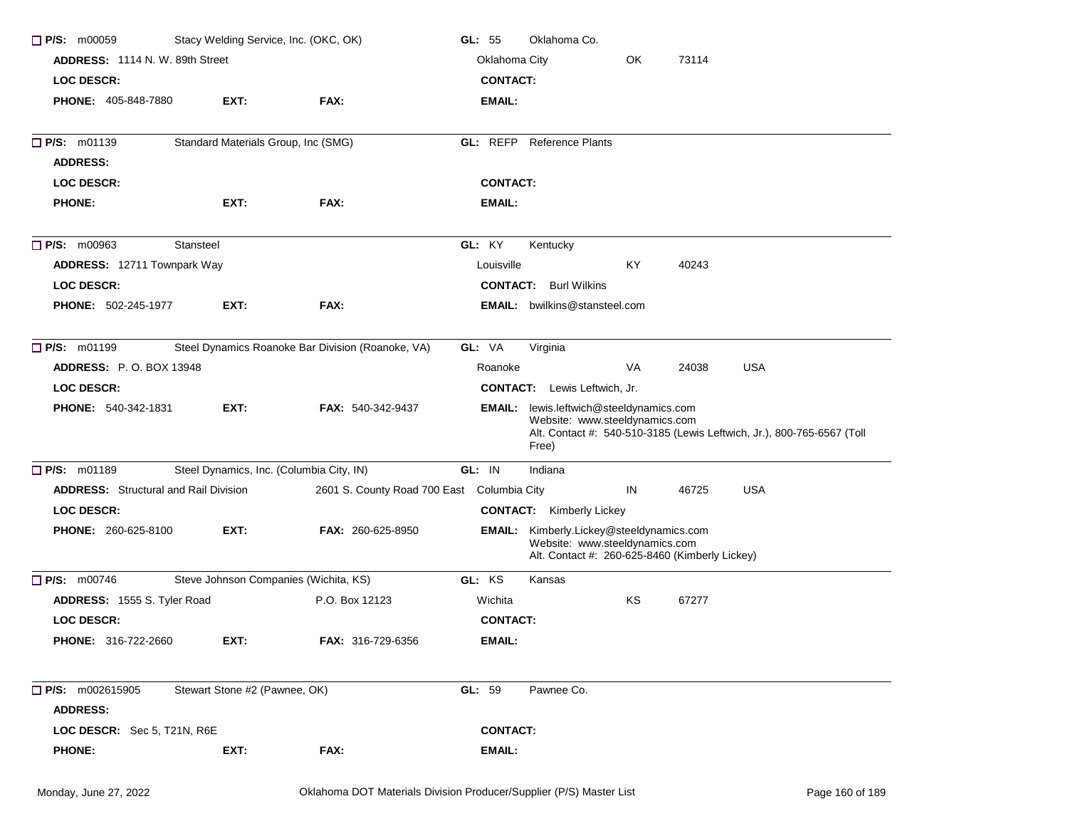| $\Box$ P/S: m00059                           | Stacy Welding Service, Inc. (OKC, OK)    |                                                   | GL: $55$        | Oklahoma Co.                                                                                                                                                        |    |       |            |  |
|----------------------------------------------|------------------------------------------|---------------------------------------------------|-----------------|---------------------------------------------------------------------------------------------------------------------------------------------------------------------|----|-------|------------|--|
| <b>ADDRESS: 1114 N. W. 89th Street</b>       |                                          |                                                   | Oklahoma City   |                                                                                                                                                                     | OK | 73114 |            |  |
| <b>LOC DESCR:</b>                            |                                          |                                                   | <b>CONTACT:</b> |                                                                                                                                                                     |    |       |            |  |
| <b>PHONE: 405-848-7880</b>                   | EXT:                                     | FAX:                                              | <b>EMAIL:</b>   |                                                                                                                                                                     |    |       |            |  |
| $\Box$ P/S: m01139                           | Standard Materials Group, Inc (SMG)      |                                                   |                 | <b>GL:</b> REFP Reference Plants                                                                                                                                    |    |       |            |  |
| <b>ADDRESS:</b>                              |                                          |                                                   |                 |                                                                                                                                                                     |    |       |            |  |
| <b>LOC DESCR:</b>                            |                                          |                                                   | <b>CONTACT:</b> |                                                                                                                                                                     |    |       |            |  |
| <b>PHONE:</b>                                | EXT:                                     | FAX:                                              | <b>EMAIL:</b>   |                                                                                                                                                                     |    |       |            |  |
| $\Box$ P/S: m00963                           | Stansteel                                |                                                   | GL: KY          | Kentucky                                                                                                                                                            |    |       |            |  |
| <b>ADDRESS: 12711 Townpark Way</b>           |                                          |                                                   | Louisville      |                                                                                                                                                                     | KY | 40243 |            |  |
| <b>LOC DESCR:</b>                            |                                          |                                                   |                 | <b>CONTACT:</b> Burl Wilkins                                                                                                                                        |    |       |            |  |
| <b>PHONE: 502-245-1977</b>                   | EXT:                                     | FAX:                                              |                 | <b>EMAIL:</b> bwilkins@stansteel.com                                                                                                                                |    |       |            |  |
| P/S: m01199                                  |                                          | Steel Dynamics Roanoke Bar Division (Roanoke, VA) | GL: VA          | Virginia                                                                                                                                                            |    |       |            |  |
| <b>ADDRESS: P.O. BOX 13948</b>               |                                          |                                                   | Roanoke         |                                                                                                                                                                     | VA | 24038 | <b>USA</b> |  |
| <b>LOC DESCR:</b>                            |                                          |                                                   |                 | <b>CONTACT:</b> Lewis Leftwich, Jr.                                                                                                                                 |    |       |            |  |
| <b>PHONE: 540-342-1831</b>                   | EXT:                                     | <b>FAX: 540-342-9437</b>                          |                 | <b>EMAIL:</b> lewis.leftwich@steeldynamics.com<br>Website: www.steeldynamics.com<br>Alt. Contact #: 540-510-3185 (Lewis Leftwich, Jr.), 800-765-6567 (Toll<br>Free) |    |       |            |  |
| $\Box$ P/S: m01189                           | Steel Dynamics, Inc. (Columbia City, IN) |                                                   | GL: IN          | Indiana                                                                                                                                                             |    |       |            |  |
| <b>ADDRESS:</b> Structural and Rail Division |                                          | 2601 S. County Road 700 East Columbia City        |                 |                                                                                                                                                                     | IN | 46725 | <b>USA</b> |  |
| <b>LOC DESCR:</b>                            |                                          |                                                   |                 | <b>CONTACT:</b> Kimberly Lickey                                                                                                                                     |    |       |            |  |
| PHONE: 260-625-8100                          | EXT:                                     | FAX: 260-625-8950                                 |                 | <b>EMAIL:</b> Kimberly.Lickey@steeldynamics.com<br>Website: www.steeldynamics.com<br>Alt. Contact #: 260-625-8460 (Kimberly Lickey)                                 |    |       |            |  |
| $\Box$ P/S: m00746                           | Steve Johnson Companies (Wichita, KS)    |                                                   | GL: KS          | Kansas                                                                                                                                                              |    |       |            |  |
| ADDRESS: 1555 S. Tyler Road                  |                                          | P.O. Box 12123                                    | Wichita         |                                                                                                                                                                     | ΚS | 67277 |            |  |
| <b>LOC DESCR:</b>                            |                                          |                                                   | <b>CONTACT:</b> |                                                                                                                                                                     |    |       |            |  |
| <b>PHONE: 316-722-2660</b>                   | EXT:                                     | FAX: 316-729-6356                                 | EMAIL:          |                                                                                                                                                                     |    |       |            |  |
| $P/S:$ m002615905                            | Stewart Stone #2 (Pawnee, OK)            |                                                   | GL: 59          | Pawnee Co.                                                                                                                                                          |    |       |            |  |
| <b>ADDRESS:</b>                              |                                          |                                                   |                 |                                                                                                                                                                     |    |       |            |  |
| LOC DESCR: Sec 5, T21N, R6E                  |                                          |                                                   | <b>CONTACT:</b> |                                                                                                                                                                     |    |       |            |  |
| <b>PHONE:</b>                                | EXT:                                     | FAX:                                              | <b>EMAIL:</b>   |                                                                                                                                                                     |    |       |            |  |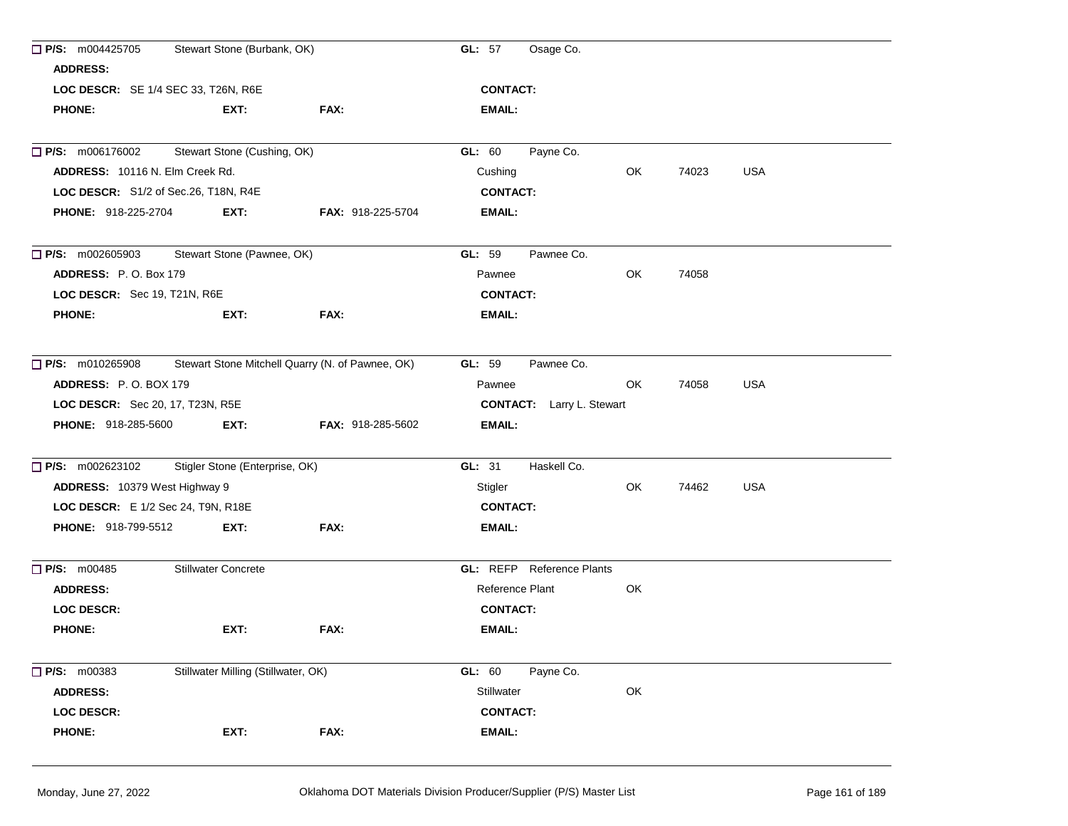| $\Box$ P/S: m004425705                 | Stewart Stone (Burbank, OK)                      |                          | GL: 57          | Osage Co.                        |     |       |            |
|----------------------------------------|--------------------------------------------------|--------------------------|-----------------|----------------------------------|-----|-------|------------|
| <b>ADDRESS:</b>                        |                                                  |                          |                 |                                  |     |       |            |
| LOC DESCR: SE 1/4 SEC 33, T26N, R6E    |                                                  |                          | <b>CONTACT:</b> |                                  |     |       |            |
| <b>PHONE:</b>                          | EXT:                                             | FAX:                     | EMAIL:          |                                  |     |       |            |
|                                        |                                                  |                          |                 |                                  |     |       |            |
| $\Box$ P/S: m006176002                 | Stewart Stone (Cushing, OK)                      |                          | GL: 60          | Payne Co.                        |     |       |            |
| <b>ADDRESS: 10116 N. Elm Creek Rd.</b> |                                                  |                          | Cushing         |                                  | OK  | 74023 | <b>USA</b> |
| LOC DESCR: S1/2 of Sec.26, T18N, R4E   |                                                  |                          | <b>CONTACT:</b> |                                  |     |       |            |
| <b>PHONE: 918-225-2704</b>             | EXT:                                             | <b>FAX: 918-225-5704</b> | <b>EMAIL:</b>   |                                  |     |       |            |
| $\Box$ P/S: m002605903                 | Stewart Stone (Pawnee, OK)                       |                          | GL: 59          | Pawnee Co.                       |     |       |            |
| ADDRESS: P.O. Box 179                  |                                                  |                          | Pawnee          |                                  | OK  | 74058 |            |
| LOC DESCR: Sec 19, T21N, R6E           |                                                  |                          | <b>CONTACT:</b> |                                  |     |       |            |
| <b>PHONE:</b>                          | EXT:                                             | FAX:                     | <b>EMAIL:</b>   |                                  |     |       |            |
| $\Box$ P/S: m010265908                 | Stewart Stone Mitchell Quarry (N. of Pawnee, OK) |                          | <b>GL: 59</b>   | Pawnee Co.                       |     |       |            |
| <b>ADDRESS: P.O. BOX 179</b>           |                                                  |                          | Pawnee          |                                  | OK. | 74058 | <b>USA</b> |
| LOC DESCR: Sec 20, 17, T23N, R5E       |                                                  |                          |                 | <b>CONTACT:</b> Larry L. Stewart |     |       |            |
| <b>PHONE: 918-285-5600</b>             | EXT:                                             | <b>FAX: 918-285-5602</b> | <b>EMAIL:</b>   |                                  |     |       |            |
| $\Box$ P/S: m002623102                 | Stigler Stone (Enterprise, OK)                   |                          | GL: 31          | Haskell Co.                      |     |       |            |
| ADDRESS: 10379 West Highway 9          |                                                  |                          | Stigler         |                                  | OK  | 74462 | <b>USA</b> |
| LOC DESCR: E 1/2 Sec 24, T9N, R18E     |                                                  |                          | <b>CONTACT:</b> |                                  |     |       |            |
| <b>PHONE: 918-799-5512</b>             | EXT:                                             | FAX:                     | EMAIL:          |                                  |     |       |            |
| $\Box$ P/S: m00485                     | <b>Stillwater Concrete</b>                       |                          |                 | <b>GL:</b> REFP Reference Plants |     |       |            |
| <b>ADDRESS:</b>                        |                                                  |                          | Reference Plant |                                  | OK  |       |            |
| <b>LOC DESCR:</b>                      |                                                  |                          | <b>CONTACT:</b> |                                  |     |       |            |
| <b>PHONE:</b>                          | EXT:                                             | FAX:                     | EMAIL:          |                                  |     |       |            |
| $\Box$ P/S: m00383                     | Stillwater Milling (Stillwater, OK)              |                          | GL: 60          | Payne Co.                        |     |       |            |
| <b>ADDRESS:</b>                        |                                                  |                          | Stillwater      |                                  | OK  |       |            |
| <b>LOC DESCR:</b>                      |                                                  |                          | <b>CONTACT:</b> |                                  |     |       |            |
| <b>PHONE:</b>                          | EXT:                                             | FAX:                     | <b>EMAIL:</b>   |                                  |     |       |            |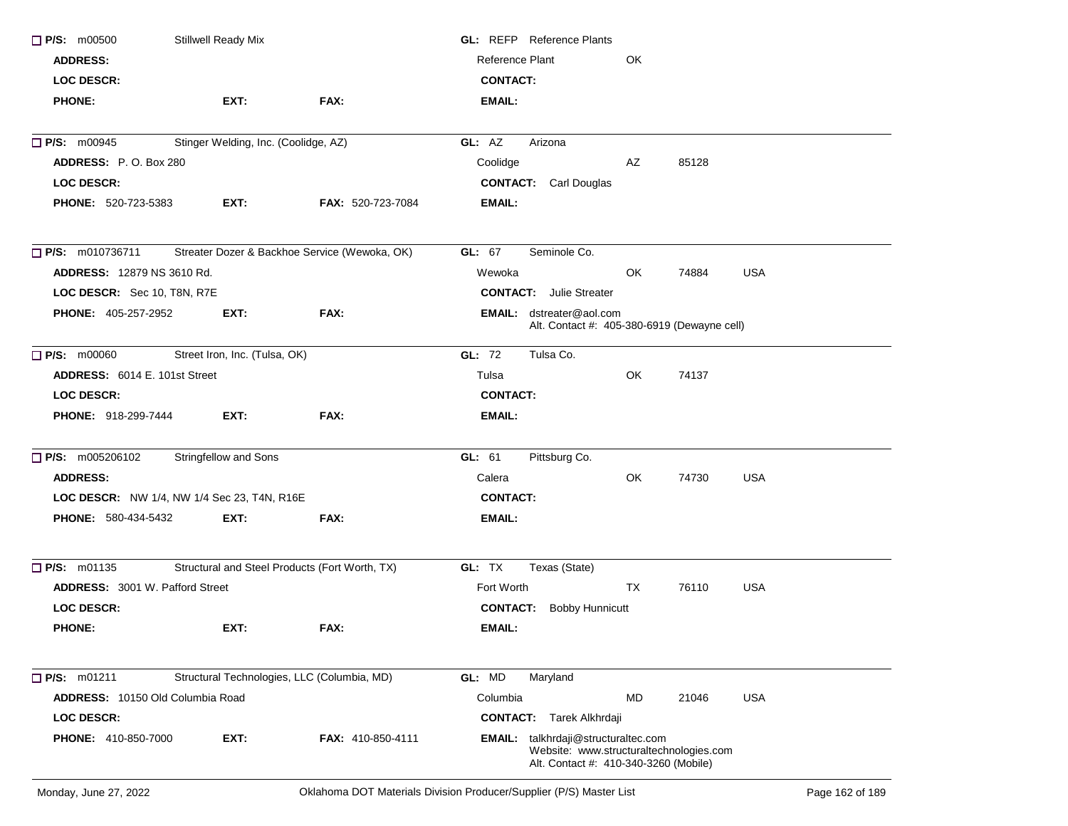| $\Box$ P/S: m00500                                 | Stillwell Ready Mix                  |                                                | <b>GL:</b> REFP Reference Plants                                                                                               |     |       |            |  |
|----------------------------------------------------|--------------------------------------|------------------------------------------------|--------------------------------------------------------------------------------------------------------------------------------|-----|-------|------------|--|
| <b>ADDRESS:</b>                                    |                                      |                                                | Reference Plant                                                                                                                | OK  |       |            |  |
| <b>LOC DESCR:</b>                                  |                                      |                                                | <b>CONTACT:</b>                                                                                                                |     |       |            |  |
| <b>PHONE:</b>                                      | EXT:                                 | FAX:                                           | EMAIL:                                                                                                                         |     |       |            |  |
| $\Box$ P/S: m00945                                 | Stinger Welding, Inc. (Coolidge, AZ) |                                                | GL: AZ<br>Arizona                                                                                                              |     |       |            |  |
| ADDRESS: P.O. Box 280                              |                                      |                                                | Coolidge                                                                                                                       | AZ  | 85128 |            |  |
| <b>LOC DESCR:</b>                                  |                                      |                                                | <b>CONTACT:</b> Carl Douglas                                                                                                   |     |       |            |  |
| <b>PHONE: 520-723-5383</b>                         | EXT:                                 | <b>FAX: 520-723-7084</b>                       | EMAIL:                                                                                                                         |     |       |            |  |
| $\Box$ P/S: m010736711                             |                                      | Streater Dozer & Backhoe Service (Wewoka, OK)  | GL: 67<br>Seminole Co.                                                                                                         |     |       |            |  |
| <b>ADDRESS: 12879 NS 3610 Rd.</b>                  |                                      |                                                | Wewoka                                                                                                                         | OK. | 74884 | <b>USA</b> |  |
| LOC DESCR: Sec 10, T8N, R7E                        |                                      |                                                | <b>CONTACT:</b> Julie Streater                                                                                                 |     |       |            |  |
| <b>PHONE: 405-257-2952</b>                         | EXT:                                 | FAX:                                           | EMAIL: dstreater@aol.com<br>Alt. Contact #: 405-380-6919 (Dewayne cell)                                                        |     |       |            |  |
| $\Box$ P/S: m00060                                 | Street Iron, Inc. (Tulsa, OK)        |                                                | GL: 72<br>Tulsa Co.                                                                                                            |     |       |            |  |
| <b>ADDRESS: 6014 E. 101st Street</b>               |                                      |                                                | Tulsa                                                                                                                          | OK  | 74137 |            |  |
| <b>LOC DESCR:</b>                                  |                                      |                                                | <b>CONTACT:</b>                                                                                                                |     |       |            |  |
| <b>PHONE: 918-299-7444</b>                         | EXT:                                 | FAX:                                           | <b>EMAIL:</b>                                                                                                                  |     |       |            |  |
| $P/S:$ m005206102                                  | Stringfellow and Sons                |                                                | Pittsburg Co.<br>GL: 61                                                                                                        |     |       |            |  |
| <b>ADDRESS:</b>                                    |                                      |                                                | Calera                                                                                                                         | OK  | 74730 | <b>USA</b> |  |
| <b>LOC DESCR:</b> NW 1/4, NW 1/4 Sec 23, T4N, R16E |                                      |                                                | <b>CONTACT:</b>                                                                                                                |     |       |            |  |
| <b>PHONE: 580-434-5432</b>                         | EXT:                                 | FAX:                                           | EMAIL:                                                                                                                         |     |       |            |  |
| $\Box$ P/S: m01135                                 |                                      | Structural and Steel Products (Fort Worth, TX) | GL: TX<br>Texas (State)                                                                                                        |     |       |            |  |
| <b>ADDRESS: 3001 W. Pafford Street</b>             |                                      |                                                | Fort Worth                                                                                                                     | TX  | 76110 | USA        |  |
| <b>LOC DESCR:</b>                                  |                                      |                                                | <b>CONTACT:</b> Bobby Hunnicutt                                                                                                |     |       |            |  |
| <b>PHONE:</b>                                      | EXT:                                 | FAX:                                           | EMAIL:                                                                                                                         |     |       |            |  |
| P/S: m01211                                        |                                      | Structural Technologies, LLC (Columbia, MD)    | GL: MD<br>Maryland                                                                                                             |     |       |            |  |
| ADDRESS: 10150 Old Columbia Road                   |                                      |                                                | Columbia                                                                                                                       | MD  | 21046 | <b>USA</b> |  |
| <b>LOC DESCR:</b>                                  |                                      |                                                | <b>CONTACT:</b> Tarek Alkhrdaji                                                                                                |     |       |            |  |
| <b>PHONE:</b> 410-850-7000                         | EXT:                                 | FAX: 410-850-4111                              | <b>EMAIL:</b> talkhrdaji@structuraltec.com<br>Website: www.structuraltechnologies.com<br>Alt. Contact #: 410-340-3260 (Mobile) |     |       |            |  |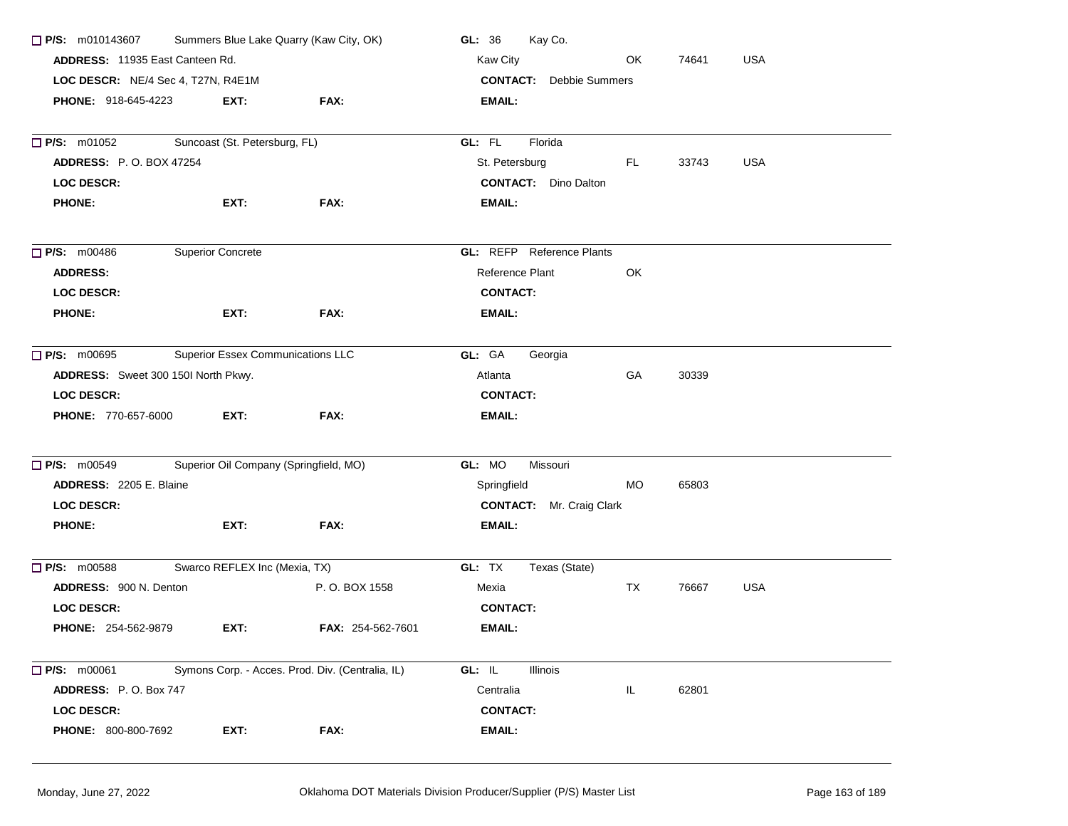| <b>P/S:</b> m010143607 Summers Blue Lake Quarry (Kaw City, OK) |                                          |                                                  | Kay Co.<br>GL: 36                |           |       |            |
|----------------------------------------------------------------|------------------------------------------|--------------------------------------------------|----------------------------------|-----------|-------|------------|
| <b>ADDRESS: 11935 East Canteen Rd.</b>                         |                                          |                                                  | Kaw City                         | OK        | 74641 | <b>USA</b> |
| LOC DESCR: NE/4 Sec 4, T27N, R4E1M                             |                                          |                                                  | <b>CONTACT:</b> Debbie Summers   |           |       |            |
| <b>PHONE: 918-645-4223</b>                                     | EXT:                                     | FAX:                                             | <b>EMAIL:</b>                    |           |       |            |
| $\Box$ P/S: m01052                                             | Suncoast (St. Petersburg, FL)            |                                                  | GL: FL<br>Florida                |           |       |            |
| <b>ADDRESS: P.O. BOX 47254</b>                                 |                                          |                                                  | St. Petersburg                   | FL.       | 33743 | <b>USA</b> |
| <b>LOC DESCR:</b>                                              |                                          |                                                  | <b>CONTACT:</b> Dino Dalton      |           |       |            |
| <b>PHONE:</b>                                                  | EXT:                                     | FAX:                                             | EMAIL:                           |           |       |            |
| $\Box$ P/S: m00486                                             | <b>Superior Concrete</b>                 |                                                  | <b>GL:</b> REFP Reference Plants |           |       |            |
| <b>ADDRESS:</b>                                                |                                          |                                                  | Reference Plant                  | OK        |       |            |
| <b>LOC DESCR:</b>                                              |                                          |                                                  | <b>CONTACT:</b>                  |           |       |            |
| <b>PHONE:</b>                                                  | EXT:                                     | <b>FAX:</b>                                      | EMAIL:                           |           |       |            |
| <b>P/S: m00695</b>                                             | <b>Superior Essex Communications LLC</b> |                                                  | GL: GA<br>Georgia                |           |       |            |
| ADDRESS: Sweet 300 150I North Pkwy.                            |                                          |                                                  | Atlanta                          | GA        | 30339 |            |
| <b>LOC DESCR:</b>                                              |                                          |                                                  | <b>CONTACT:</b>                  |           |       |            |
| <b>PHONE: 770-657-6000</b>                                     | EXT:                                     | FAX:                                             | EMAIL:                           |           |       |            |
| $\Box$ P/S: m00549                                             | Superior Oil Company (Springfield, MO)   |                                                  | GL: MO<br>Missouri               |           |       |            |
| ADDRESS: 2205 E. Blaine                                        |                                          |                                                  | Springfield                      | MO        | 65803 |            |
| <b>LOC DESCR:</b>                                              |                                          |                                                  | <b>CONTACT:</b> Mr. Craig Clark  |           |       |            |
| <b>PHONE:</b>                                                  | EXT:                                     | FAX:                                             | EMAIL:                           |           |       |            |
| $\Box$ P/S: m00588                                             | Swarco REFLEX Inc (Mexia, TX)            |                                                  | GL: TX<br>Texas (State)          |           |       |            |
| ADDRESS: 900 N. Denton                                         |                                          | P.O. BOX 1558                                    | Mexia                            | <b>TX</b> | 76667 | <b>USA</b> |
| <b>LOC DESCR:</b>                                              |                                          |                                                  | <b>CONTACT:</b>                  |           |       |            |
| <b>PHONE: 254-562-9879</b>                                     | EXT:                                     | <b>FAX: 254-562-7601</b>                         | EMAIL:                           |           |       |            |
| $\Box$ P/S: m00061                                             |                                          | Symons Corp. - Acces. Prod. Div. (Centralia, IL) | GL: IL<br>Illinois               |           |       |            |
| ADDRESS: P.O. Box 747                                          |                                          |                                                  | Centralia                        | IL        | 62801 |            |
| <b>LOC DESCR:</b>                                              |                                          |                                                  | <b>CONTACT:</b>                  |           |       |            |
| <b>PHONE: 800-800-7692</b>                                     | EXT:                                     | FAX:                                             | <b>EMAIL:</b>                    |           |       |            |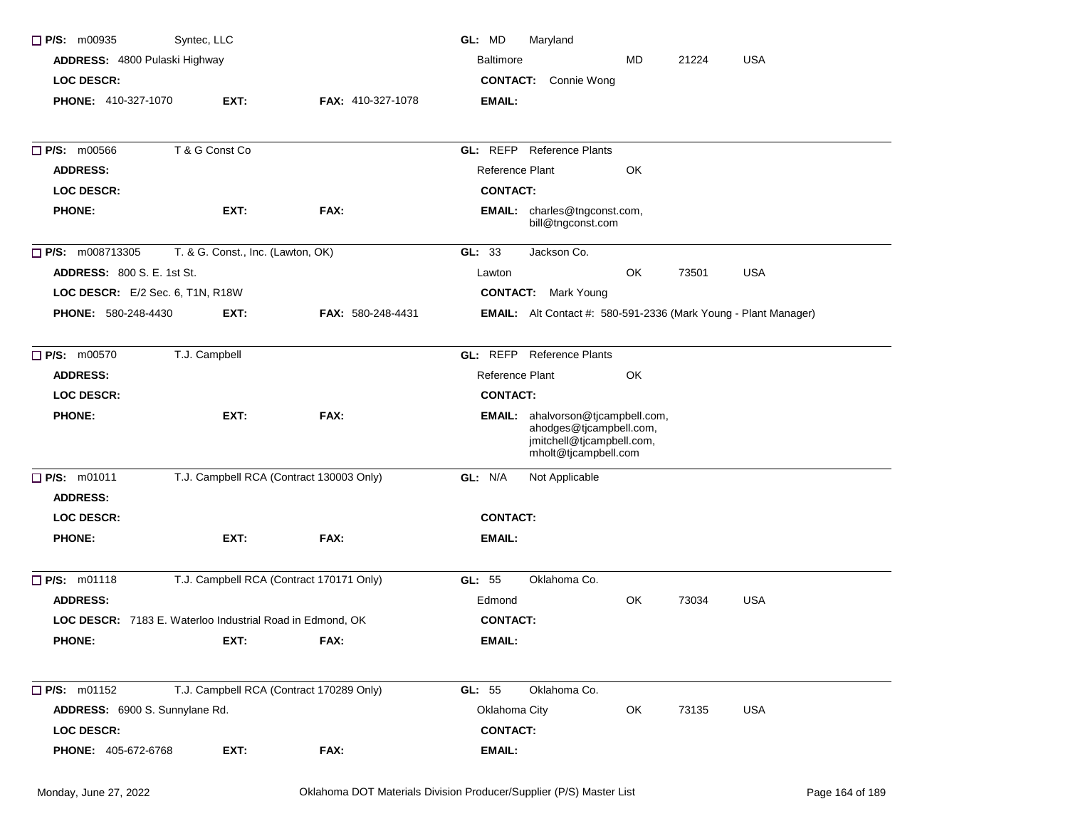| $\Box$ P/S: m00935                    | Syntec, LLC                                               |                          | GL: MD<br>Maryland                  |                                                                                                                          |       |            |
|---------------------------------------|-----------------------------------------------------------|--------------------------|-------------------------------------|--------------------------------------------------------------------------------------------------------------------------|-------|------------|
| ADDRESS: 4800 Pulaski Highway         |                                                           |                          | <b>Baltimore</b>                    | MD                                                                                                                       | 21224 | <b>USA</b> |
| <b>LOC DESCR:</b>                     |                                                           |                          | <b>CONTACT:</b>                     | Connie Wong                                                                                                              |       |            |
| PHONE: 410-327-1070                   | EXT:                                                      | <b>FAX: 410-327-1078</b> | <b>EMAIL:</b>                       |                                                                                                                          |       |            |
| $\Box$ P/S: m00566                    | T & G Const Co                                            |                          | <b>GL: REFP</b> Reference Plants    |                                                                                                                          |       |            |
| <b>ADDRESS:</b>                       |                                                           |                          | Reference Plant                     | OK                                                                                                                       |       |            |
| <b>LOC DESCR:</b>                     |                                                           |                          | <b>CONTACT:</b>                     |                                                                                                                          |       |            |
| <b>PHONE:</b>                         | EXT:                                                      | FAX:                     | <b>EMAIL:</b> charles@tngconst.com, | bill@tngconst.com                                                                                                        |       |            |
| <b>P/S:</b> m008713305                | T. & G. Const., Inc. (Lawton, OK)                         |                          | GL: 33<br>Jackson Co.               |                                                                                                                          |       |            |
| <b>ADDRESS: 800 S. E. 1st St.</b>     |                                                           |                          | Lawton                              | OK                                                                                                                       | 73501 | <b>USA</b> |
| LOC DESCR: E/2 Sec. 6, T1N, R18W      |                                                           |                          | <b>CONTACT:</b> Mark Young          |                                                                                                                          |       |            |
| <b>PHONE: 580-248-4430</b>            | EXT:                                                      | FAX: 580-248-4431        |                                     | <b>EMAIL:</b> Alt Contact #: 580-591-2336 (Mark Young - Plant Manager)                                                   |       |            |
| $\Box$ P/S: m00570                    | T.J. Campbell                                             |                          | GL: REFP                            | <b>Reference Plants</b>                                                                                                  |       |            |
| <b>ADDRESS:</b>                       |                                                           |                          | Reference Plant                     | OK                                                                                                                       |       |            |
| <b>LOC DESCR:</b>                     |                                                           |                          | <b>CONTACT:</b>                     |                                                                                                                          |       |            |
| <b>PHONE:</b>                         | EXT:                                                      | FAX:                     |                                     | <b>EMAIL:</b> ahalvorson@tjcampbell.com,<br>ahodges@tjcampbell.com,<br>jmitchell@tjcampbell.com,<br>mholt@tjcampbell.com |       |            |
| $\Box$ P/S: m01011<br><b>ADDRESS:</b> | T.J. Campbell RCA (Contract 130003 Only)                  |                          | GL: N/A<br>Not Applicable           |                                                                                                                          |       |            |
| <b>LOC DESCR:</b>                     |                                                           |                          | <b>CONTACT:</b>                     |                                                                                                                          |       |            |
| <b>PHONE:</b>                         | EXT:                                                      | FAX:                     | EMAIL:                              |                                                                                                                          |       |            |
| $\Box$ P/S: m01118                    | T.J. Campbell RCA (Contract 170171 Only)                  |                          | GL: 55<br>Oklahoma Co.              |                                                                                                                          |       |            |
| <b>ADDRESS:</b>                       |                                                           |                          | Edmond                              | OK                                                                                                                       | 73034 | <b>USA</b> |
|                                       | LOC DESCR: 7183 E. Waterloo Industrial Road in Edmond, OK |                          | <b>CONTACT:</b>                     |                                                                                                                          |       |            |
| <b>PHONE:</b>                         | EXT:                                                      | FAX:                     | EMAIL:                              |                                                                                                                          |       |            |
| $\Box$ P/S: m01152                    | T.J. Campbell RCA (Contract 170289 Only)                  |                          | GL: 55<br>Oklahoma Co.              |                                                                                                                          |       |            |
| ADDRESS: 6900 S. Sunnylane Rd.        |                                                           |                          | Oklahoma City                       | OK                                                                                                                       | 73135 | <b>USA</b> |
| <b>LOC DESCR:</b>                     |                                                           |                          | <b>CONTACT:</b>                     |                                                                                                                          |       |            |
| <b>PHONE: 405-672-6768</b>            | EXT:                                                      | FAX:                     | <b>EMAIL:</b>                       |                                                                                                                          |       |            |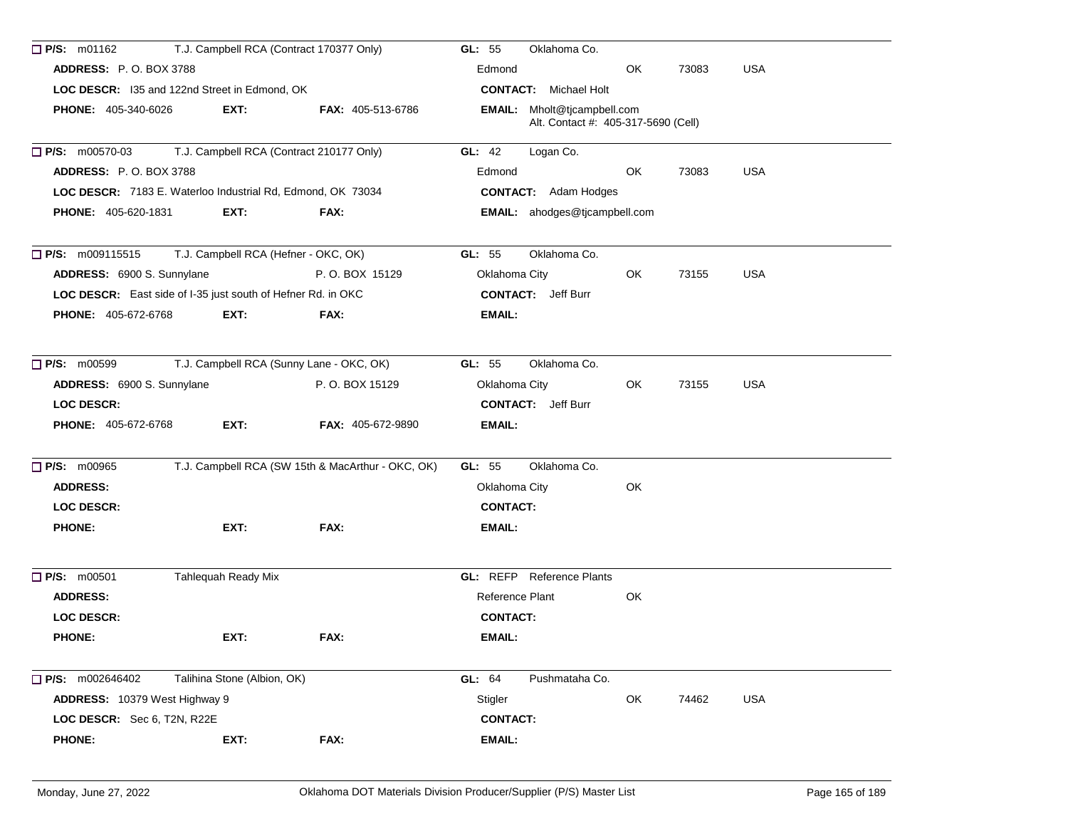| $\Box$ P/S: m01162            | T.J. Campbell RCA (Contract 170377 Only)                     |                                                   | GL: 55<br>Oklahoma Co.                                             |     |       |            |
|-------------------------------|--------------------------------------------------------------|---------------------------------------------------|--------------------------------------------------------------------|-----|-------|------------|
| <b>ADDRESS: P.O. BOX 3788</b> |                                                              |                                                   | Edmond                                                             | OK  | 73083 | <b>USA</b> |
|                               | LOC DESCR: I35 and 122nd Street in Edmond, OK                |                                                   | <b>CONTACT:</b> Michael Holt                                       |     |       |            |
| <b>PHONE: 405-340-6026</b>    | EXT:                                                         | <b>FAX: 405-513-6786</b>                          | EMAIL: Mholt@tjcampbell.com<br>Alt. Contact #: 405-317-5690 (Cell) |     |       |            |
| $\Box$ P/S: m00570-03         | T.J. Campbell RCA (Contract 210177 Only)                     |                                                   | GL: 42<br>Logan Co.                                                |     |       |            |
| <b>ADDRESS: P.O. BOX 3788</b> |                                                              |                                                   | Edmond                                                             | OK. | 73083 | <b>USA</b> |
|                               | LOC DESCR: 7183 E. Waterloo Industrial Rd, Edmond, OK 73034  |                                                   | <b>CONTACT:</b> Adam Hodges                                        |     |       |            |
| <b>PHONE: 405-620-1831</b>    | EXT:                                                         | FAX:                                              | EMAIL: ahodges@tjcampbell.com                                      |     |       |            |
| <b>P/S:</b> m009115515        | T.J. Campbell RCA (Hefner - OKC, OK)                         |                                                   | GL: $55$<br>Oklahoma Co.                                           |     |       |            |
| ADDRESS: 6900 S. Sunnylane    |                                                              | P.O. BOX 15129                                    | Oklahoma City                                                      | OK. | 73155 | <b>USA</b> |
|                               | LOC DESCR: East side of I-35 just south of Hefner Rd. in OKC |                                                   | <b>CONTACT:</b> Jeff Burr                                          |     |       |            |
| <b>PHONE: 405-672-6768</b>    | EXT:                                                         | FAX:                                              | EMAIL:                                                             |     |       |            |
| $\Box$ P/S: m00599            | T.J. Campbell RCA (Sunny Lane - OKC, OK)                     |                                                   | Oklahoma Co.<br>GL: 55                                             |     |       |            |
| ADDRESS: 6900 S. Sunnylane    |                                                              | P.O. BOX 15129                                    | Oklahoma City                                                      | OK  | 73155 | <b>USA</b> |
| <b>LOC DESCR:</b>             |                                                              |                                                   | <b>CONTACT:</b> Jeff Burr                                          |     |       |            |
| <b>PHONE: 405-672-6768</b>    | EXT:                                                         | <b>FAX: 405-672-9890</b>                          | EMAIL:                                                             |     |       |            |
| P/S: m00965                   |                                                              | T.J. Campbell RCA (SW 15th & MacArthur - OKC, OK) | Oklahoma Co.<br>GL: $55$                                           |     |       |            |
| <b>ADDRESS:</b>               |                                                              |                                                   | Oklahoma City                                                      | OK  |       |            |
| <b>LOC DESCR:</b>             |                                                              |                                                   | <b>CONTACT:</b>                                                    |     |       |            |
| <b>PHONE:</b>                 | EXT:                                                         | FAX:                                              | EMAIL:                                                             |     |       |            |
| $\Box$ P/S: m00501            | Tahlequah Ready Mix                                          |                                                   | <b>GL:</b> REFP Reference Plants                                   |     |       |            |
| <b>ADDRESS:</b>               |                                                              |                                                   | Reference Plant                                                    | OK  |       |            |
| LOC DESCR:                    |                                                              |                                                   | <b>CONTACT:</b>                                                    |     |       |            |
| <b>PHONE:</b>                 | EXT:                                                         | FAX:                                              | <b>EMAIL:</b>                                                      |     |       |            |
| $\Box$ P/S: m002646402        | Talihina Stone (Albion, OK)                                  |                                                   | GL: 64<br>Pushmataha Co.                                           |     |       |            |
| ADDRESS: 10379 West Highway 9 |                                                              |                                                   | Stigler                                                            | OK  | 74462 | USA        |
| LOC DESCR: Sec 6, T2N, R22E   |                                                              |                                                   | <b>CONTACT:</b>                                                    |     |       |            |
| <b>PHONE:</b>                 | EXT:                                                         | FAX:                                              | <b>EMAIL:</b>                                                      |     |       |            |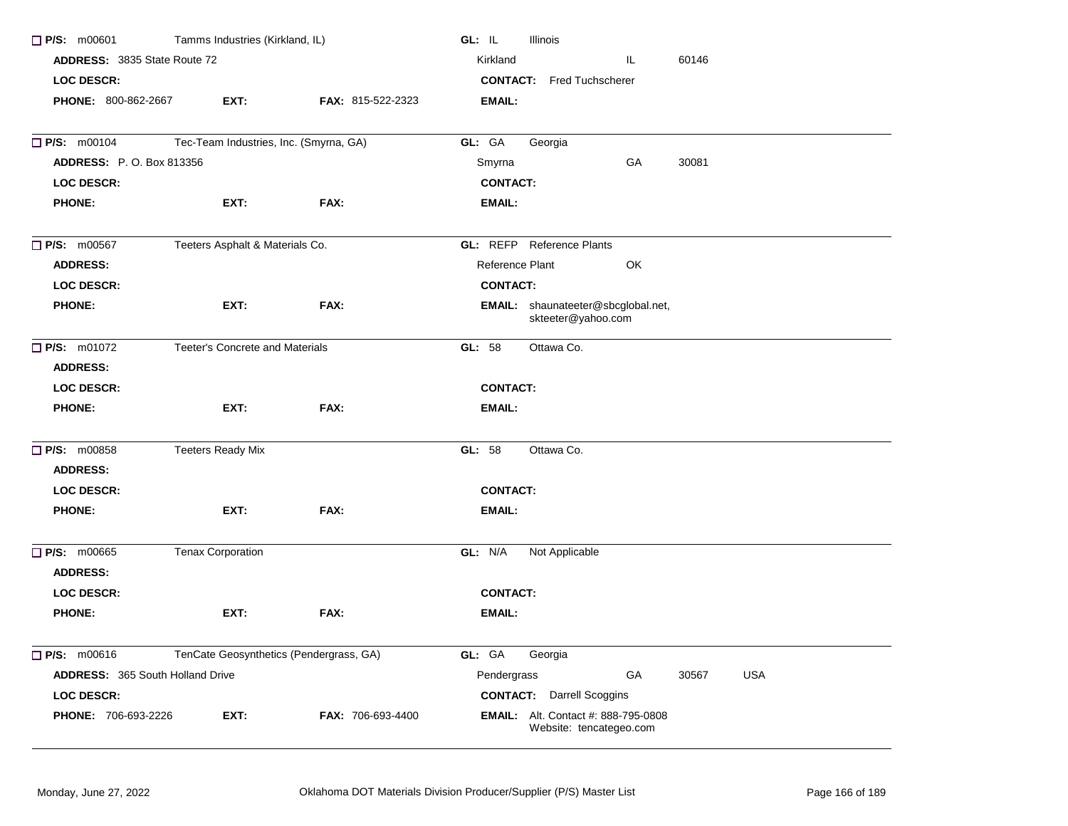| $\Box$ P/S: m00601                    | Tamms Industries (Kirkland, IL)         |                   | GL: IL<br>Illinois                                                    |
|---------------------------------------|-----------------------------------------|-------------------|-----------------------------------------------------------------------|
| <b>ADDRESS: 3835 State Route 72</b>   |                                         |                   | Kirkland<br>60146<br>IL.                                              |
| <b>LOC DESCR:</b>                     |                                         |                   | <b>CONTACT:</b> Fred Tuchscherer                                      |
| PHONE: 800-862-2667                   | EXT:                                    | FAX: 815-522-2323 | <b>EMAIL:</b>                                                         |
| <b>D</b> P/S: m00104                  | Tec-Team Industries, Inc. (Smyrna, GA)  |                   | GL: GA<br>Georgia                                                     |
| <b>ADDRESS: P.O. Box 813356</b>       |                                         |                   | Smyrna<br>GA<br>30081                                                 |
| <b>LOC DESCR:</b>                     |                                         |                   | <b>CONTACT:</b>                                                       |
| <b>PHONE:</b>                         | EXT:                                    | FAX:              | <b>EMAIL:</b>                                                         |
| $\Box$ P/S: m00567                    | Teeters Asphalt & Materials Co.         |                   | <b>GL:</b> REFP Reference Plants                                      |
| <b>ADDRESS:</b>                       |                                         |                   | OK<br>Reference Plant                                                 |
| <b>LOC DESCR:</b>                     |                                         |                   | <b>CONTACT:</b>                                                       |
| <b>PHONE:</b>                         | EXT:                                    | FAX:              | EMAIL: shaunateeter@sbcglobal.net,<br>skteeter@yahoo.com              |
| $\Box$ P/S: m01072                    | Teeter's Concrete and Materials         |                   | Ottawa Co.<br>GL: $58$                                                |
| <b>ADDRESS:</b>                       |                                         |                   |                                                                       |
| <b>LOC DESCR:</b>                     |                                         |                   | <b>CONTACT:</b>                                                       |
| <b>PHONE:</b>                         | EXT:                                    | FAX:              | <b>EMAIL:</b>                                                         |
| <b>P/S: m00858</b><br><b>ADDRESS:</b> | <b>Teeters Ready Mix</b>                |                   | Ottawa Co.<br>GL: 58                                                  |
| <b>LOC DESCR:</b>                     |                                         |                   | <b>CONTACT:</b>                                                       |
| <b>PHONE:</b>                         | EXT:                                    | FAX:              | <b>EMAIL:</b>                                                         |
| $\Box$ P/S: m00665<br><b>ADDRESS:</b> | <b>Tenax Corporation</b>                |                   | GL: N/A<br>Not Applicable                                             |
| <b>LOC DESCR:</b>                     |                                         |                   | <b>CONTACT:</b>                                                       |
| <b>PHONE:</b>                         | EXT:                                    | FAX:              | EMAIL:                                                                |
| $\Box$ P/S: m00616                    | TenCate Geosynthetics (Pendergrass, GA) |                   | GL: GA<br>Georgia                                                     |
| ADDRESS: 365 South Holland Drive      |                                         |                   | USA<br>Pendergrass<br>GA<br>30567                                     |
| LOC DESCR:                            |                                         |                   | <b>CONTACT:</b> Darrell Scoggins                                      |
| PHONE: 706-693-2226                   | EXT:                                    | FAX: 706-693-4400 | <b>EMAIL:</b> Alt. Contact #: 888-795-0808<br>Website: tencategeo.com |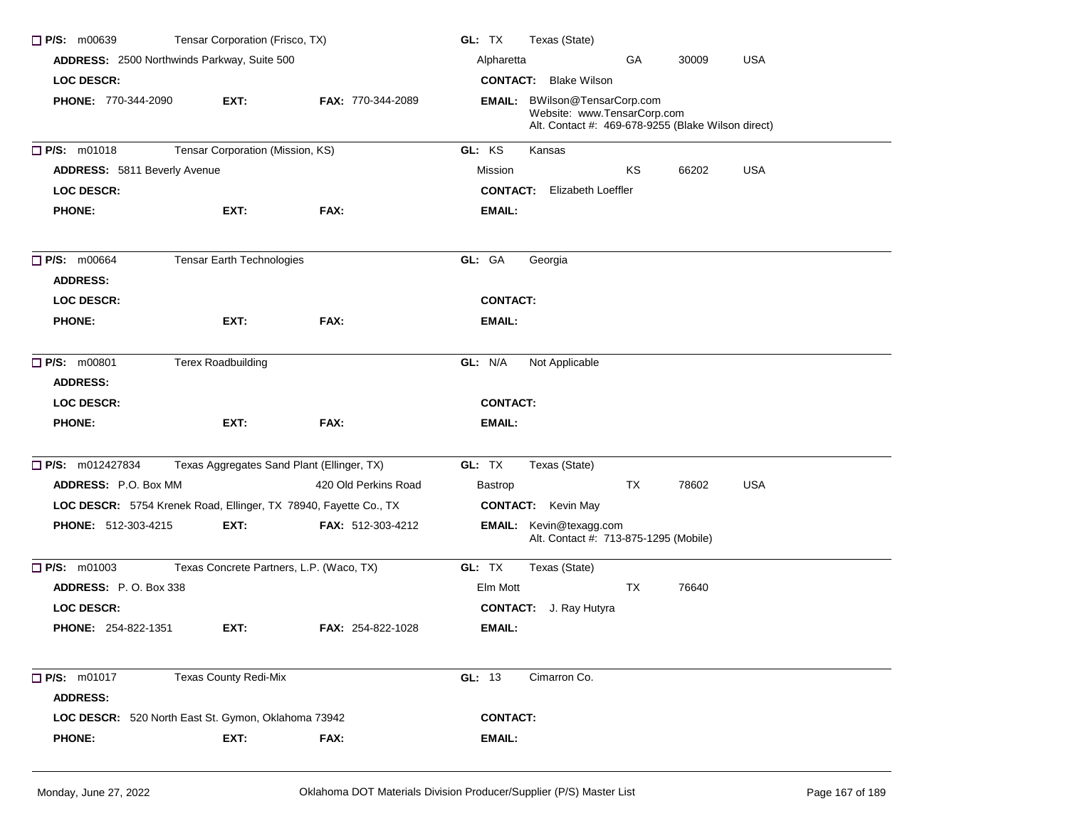| $\Box$ P/S: m00639                    | Tensar Corporation (Frisco, TX)                                  |                          | GL: TX<br>Texas (State)                                                                                                   |
|---------------------------------------|------------------------------------------------------------------|--------------------------|---------------------------------------------------------------------------------------------------------------------------|
|                                       | ADDRESS: 2500 Northwinds Parkway, Suite 500                      |                          | GA<br>30009<br><b>USA</b><br>Alpharetta                                                                                   |
| <b>LOC DESCR:</b>                     |                                                                  |                          | <b>CONTACT:</b> Blake Wilson                                                                                              |
| <b>PHONE: 770-344-2090</b>            | EXT:                                                             | <b>FAX: 770-344-2089</b> | <b>EMAIL:</b> BWilson@TensarCorp.com<br>Website: www.TensarCorp.com<br>Alt. Contact #: 469-678-9255 (Blake Wilson direct) |
| $\Box$ P/S: m01018                    | Tensar Corporation (Mission, KS)                                 |                          | GL: KS<br>Kansas                                                                                                          |
| <b>ADDRESS: 5811 Beverly Avenue</b>   |                                                                  |                          | <b>USA</b><br>ΚS<br>66202<br>Mission                                                                                      |
| <b>LOC DESCR:</b>                     |                                                                  |                          | <b>CONTACT:</b> Elizabeth Loeffler                                                                                        |
| <b>PHONE:</b>                         | EXT:                                                             | FAX:                     | EMAIL:                                                                                                                    |
| $\Box$ P/S: m00664<br><b>ADDRESS:</b> | Tensar Earth Technologies                                        |                          | GL: GA<br>Georgia                                                                                                         |
| <b>LOC DESCR:</b>                     |                                                                  |                          | <b>CONTACT:</b>                                                                                                           |
| <b>PHONE:</b>                         | EXT:                                                             | FAX:                     | EMAIL:                                                                                                                    |
| P/S: m00801                           | <b>Terex Roadbuilding</b>                                        |                          | GL: N/A<br>Not Applicable                                                                                                 |
| <b>ADDRESS:</b>                       |                                                                  |                          |                                                                                                                           |
| <b>LOC DESCR:</b>                     |                                                                  |                          | <b>CONTACT:</b>                                                                                                           |
| <b>PHONE:</b>                         | EXT:                                                             | FAX:                     | EMAIL:                                                                                                                    |
| <b>P/S:</b> m012427834                | Texas Aggregates Sand Plant (Ellinger, TX)                       |                          | GL: TX<br>Texas (State)                                                                                                   |
| <b>ADDRESS: P.O. Box MM</b>           |                                                                  | 420 Old Perkins Road     | TX<br>78602<br>USA<br><b>Bastrop</b>                                                                                      |
|                                       | LOC DESCR: 5754 Krenek Road, Ellinger, TX 78940, Fayette Co., TX |                          | <b>CONTACT:</b> Kevin May                                                                                                 |
| <b>PHONE: 512-303-4215</b>            | EXT:                                                             | FAX: 512-303-4212        | <b>EMAIL:</b> Kevin@texagg.com<br>Alt. Contact #: 713-875-1295 (Mobile)                                                   |
| $\Box$ P/S: m01003                    | Texas Concrete Partners, L.P. (Waco, TX)                         |                          | GL: TX<br>Texas (State)                                                                                                   |
| ADDRESS: P.O. Box 338                 |                                                                  |                          | Elm Mott<br>TX<br>76640                                                                                                   |
| <b>LOC DESCR:</b>                     |                                                                  |                          | <b>CONTACT:</b> J. Ray Hutyra                                                                                             |
| <b>PHONE: 254-822-1351</b>            | EXT:                                                             | <b>FAX: 254-822-1028</b> | EMAIL:                                                                                                                    |
| P/S: m01017                           | <b>Texas County Redi-Mix</b>                                     |                          | GL: 13<br>Cimarron Co.                                                                                                    |
| <b>ADDRESS:</b>                       |                                                                  |                          |                                                                                                                           |
|                                       | LOC DESCR: 520 North East St. Gymon, Oklahoma 73942              |                          | <b>CONTACT:</b>                                                                                                           |
| <b>PHONE:</b>                         | EXT:                                                             | FAX:                     | <b>EMAIL:</b>                                                                                                             |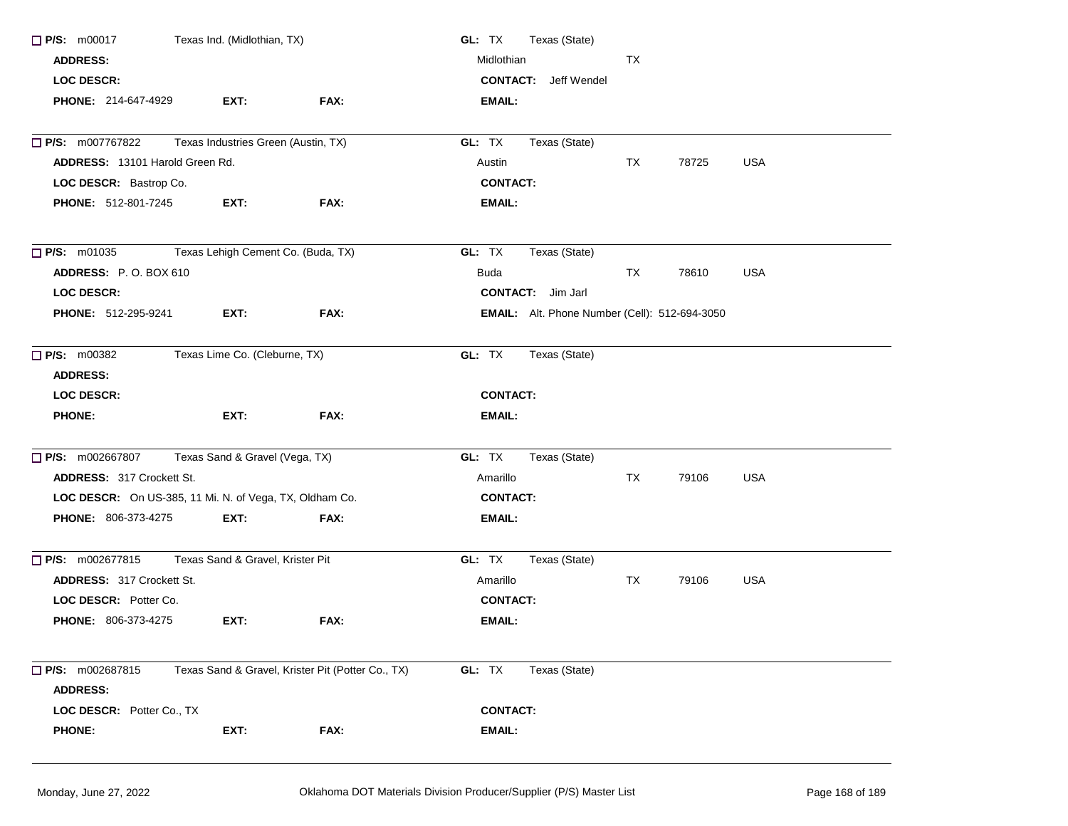| $\Box$ P/S: m00017                                      | Texas Ind. (Midlothian, TX)         |                                                   | GL: TX<br>Texas (State)                              |    |       |            |  |
|---------------------------------------------------------|-------------------------------------|---------------------------------------------------|------------------------------------------------------|----|-------|------------|--|
| <b>ADDRESS:</b>                                         |                                     |                                                   | Midlothian                                           | ТX |       |            |  |
| <b>LOC DESCR:</b>                                       |                                     |                                                   | <b>CONTACT:</b> Jeff Wendel                          |    |       |            |  |
| <b>PHONE: 214-647-4929</b>                              | EXT:                                | FAX:                                              | <b>EMAIL:</b>                                        |    |       |            |  |
| P/S: m007767822                                         | Texas Industries Green (Austin, TX) |                                                   | Texas (State)<br>GL: TX                              |    |       |            |  |
| <b>ADDRESS: 13101 Harold Green Rd.</b>                  |                                     |                                                   | Austin                                               | TX | 78725 | <b>USA</b> |  |
| LOC DESCR: Bastrop Co.                                  |                                     |                                                   | <b>CONTACT:</b>                                      |    |       |            |  |
| <b>PHONE: 512-801-7245</b>                              | EXT:                                | FAX:                                              | <b>EMAIL:</b>                                        |    |       |            |  |
| $\Box$ P/S: m01035                                      | Texas Lehigh Cement Co. (Buda, TX)  |                                                   | GL: TX<br>Texas (State)                              |    |       |            |  |
| ADDRESS: P.O. BOX 610                                   |                                     |                                                   | <b>Buda</b>                                          | TX | 78610 | <b>USA</b> |  |
| <b>LOC DESCR:</b>                                       |                                     |                                                   | <b>CONTACT:</b> Jim Jarl                             |    |       |            |  |
| <b>PHONE: 512-295-9241</b>                              | EXT:                                | FAX:                                              | <b>EMAIL:</b> Alt. Phone Number (Cell): 512-694-3050 |    |       |            |  |
| <b>P/S: m00382</b>                                      | Texas Lime Co. (Cleburne, TX)       |                                                   | GL: TX<br>Texas (State)                              |    |       |            |  |
| <b>ADDRESS:</b>                                         |                                     |                                                   |                                                      |    |       |            |  |
| <b>LOC DESCR:</b>                                       |                                     |                                                   | <b>CONTACT:</b>                                      |    |       |            |  |
| <b>PHONE:</b>                                           | EXT:                                | FAX:                                              | <b>EMAIL:</b>                                        |    |       |            |  |
| P/S: m002667807                                         | Texas Sand & Gravel (Vega, TX)      |                                                   | GL: TX<br>Texas (State)                              |    |       |            |  |
| ADDRESS: 317 Crockett St.                               |                                     |                                                   | Amarillo                                             | ТX | 79106 | <b>USA</b> |  |
| LOC DESCR: On US-385, 11 Mi. N. of Vega, TX, Oldham Co. |                                     |                                                   | <b>CONTACT:</b>                                      |    |       |            |  |
| PHONE: 806-373-4275                                     | EXT:                                | FAX:                                              | <b>EMAIL:</b>                                        |    |       |            |  |
| P/S: m002677815                                         | Texas Sand & Gravel, Krister Pit    |                                                   | GL: TX<br>Texas (State)                              |    |       |            |  |
| <b>ADDRESS: 317 Crockett St.</b>                        |                                     |                                                   | Amarillo                                             | TX | 79106 | <b>USA</b> |  |
| LOC DESCR: Potter Co.                                   |                                     |                                                   | <b>CONTACT:</b>                                      |    |       |            |  |
| PHONE: 806-373-4275                                     | EXT:                                | FAX:                                              | <b>EMAIL:</b>                                        |    |       |            |  |
| $\Box$ P/S: m002687815                                  |                                     | Texas Sand & Gravel, Krister Pit (Potter Co., TX) | GL: TX<br>Texas (State)                              |    |       |            |  |
| <b>ADDRESS:</b>                                         |                                     |                                                   |                                                      |    |       |            |  |
| LOC DESCR: Potter Co., TX                               |                                     |                                                   | <b>CONTACT:</b>                                      |    |       |            |  |
| <b>PHONE:</b>                                           | EXT:                                | FAX:                                              | EMAIL:                                               |    |       |            |  |
|                                                         |                                     |                                                   |                                                      |    |       |            |  |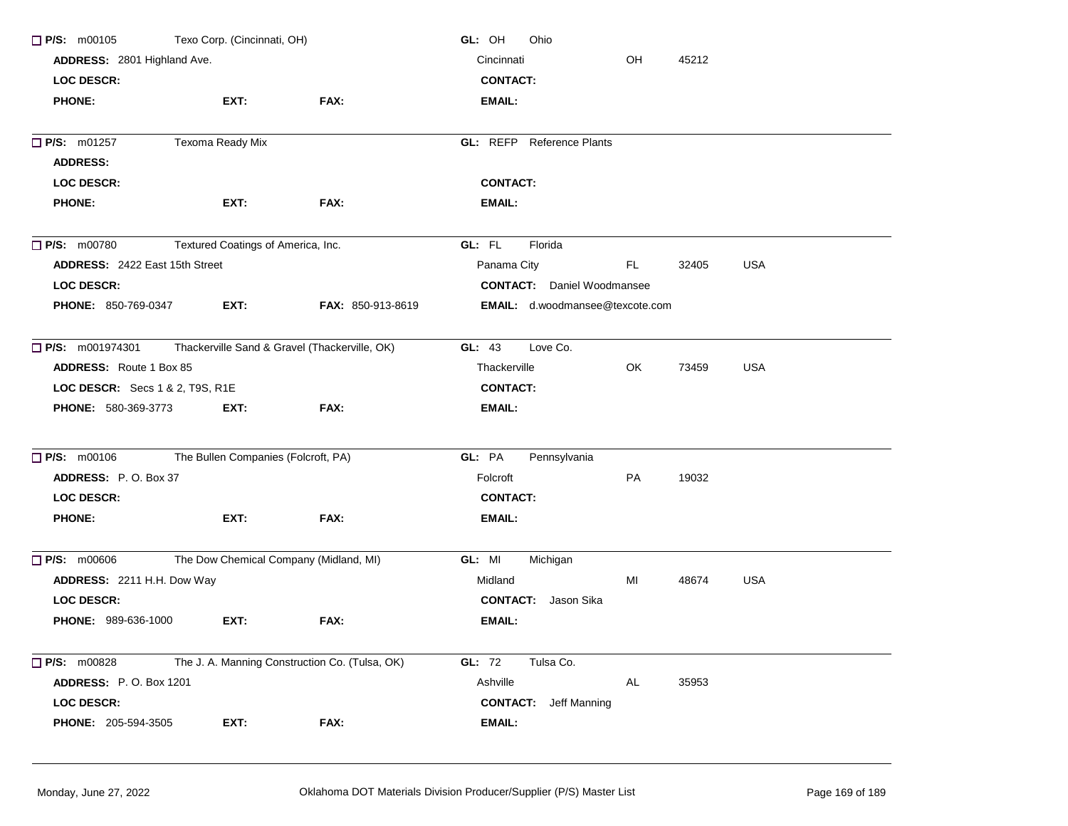| $\Box$ P/S: m00105                     | Texo Corp. (Cincinnati, OH)                   |                                                | GL: OH<br>Ohio                    |     |       |            |  |  |  |
|----------------------------------------|-----------------------------------------------|------------------------------------------------|-----------------------------------|-----|-------|------------|--|--|--|
| ADDRESS: 2801 Highland Ave.            |                                               |                                                | Cincinnati<br>OH<br>45212         |     |       |            |  |  |  |
| <b>LOC DESCR:</b>                      |                                               |                                                | <b>CONTACT:</b>                   |     |       |            |  |  |  |
| <b>PHONE:</b>                          | EXT:                                          | FAX:                                           | <b>EMAIL:</b>                     |     |       |            |  |  |  |
| P/S: m01257                            | Texoma Ready Mix                              |                                                | <b>GL: REFP</b> Reference Plants  |     |       |            |  |  |  |
| <b>ADDRESS:</b>                        |                                               |                                                |                                   |     |       |            |  |  |  |
| <b>LOC DESCR:</b>                      |                                               |                                                | <b>CONTACT:</b>                   |     |       |            |  |  |  |
| <b>PHONE:</b>                          | EXT:                                          | FAX:                                           | EMAIL:                            |     |       |            |  |  |  |
| $\Box$ P/S: m00780                     | Textured Coatings of America, Inc.            |                                                | GL: FL<br>Florida                 |     |       |            |  |  |  |
| ADDRESS: 2422 East 15th Street         |                                               |                                                | Panama City                       | FL. | 32405 | <b>USA</b> |  |  |  |
| <b>LOC DESCR:</b>                      |                                               |                                                | <b>CONTACT:</b> Daniel Woodmansee |     |       |            |  |  |  |
| <b>PHONE: 850-769-0347</b>             | EXT:                                          | FAX: 850-913-8619                              | EMAIL: d.woodmansee@texcote.com   |     |       |            |  |  |  |
| $\Box$ P/S: m001974301                 | Thackerville Sand & Gravel (Thackerville, OK) |                                                | GL: 43<br>Love Co.                |     |       |            |  |  |  |
| <b>ADDRESS:</b> Route 1 Box 85         |                                               |                                                | Thackerville                      | OK. | 73459 | <b>USA</b> |  |  |  |
| <b>LOC DESCR:</b> Secs 1 & 2, T9S, R1E |                                               | <b>CONTACT:</b>                                |                                   |     |       |            |  |  |  |
| <b>PHONE: 580-369-3773</b>             | EXT:                                          | FAX:                                           | EMAIL:                            |     |       |            |  |  |  |
| $\Box$ P/S: m00106                     | The Bullen Companies (Folcroft, PA)           |                                                | GL: PA<br>Pennsylvania            |     |       |            |  |  |  |
| ADDRESS: P.O. Box 37                   |                                               |                                                | Folcroft                          | PA  | 19032 |            |  |  |  |
| <b>LOC DESCR:</b>                      |                                               |                                                | <b>CONTACT:</b>                   |     |       |            |  |  |  |
| <b>PHONE:</b>                          | EXT:                                          | FAX:                                           | EMAIL:                            |     |       |            |  |  |  |
| P/S: m00606                            | The Dow Chemical Company (Midland, MI)        |                                                | GL: MI<br>Michigan                |     |       |            |  |  |  |
| ADDRESS: 2211 H.H. Dow Way             |                                               |                                                | Midland                           | MI  | 48674 | <b>USA</b> |  |  |  |
| <b>LOC DESCR:</b>                      |                                               |                                                | Jason Sika<br><b>CONTACT:</b>     |     |       |            |  |  |  |
| PHONE: 989-636-1000                    | EXT:                                          | FAX:                                           | EMAIL:                            |     |       |            |  |  |  |
| <b>P/S:</b> m00828                     |                                               | The J. A. Manning Construction Co. (Tulsa, OK) | GL: 72<br>Tulsa Co.               |     |       |            |  |  |  |
| <b>ADDRESS: P.O. Box 1201</b>          |                                               |                                                | Ashville                          | AL  | 35953 |            |  |  |  |
| <b>LOC DESCR:</b>                      |                                               |                                                | <b>CONTACT:</b> Jeff Manning      |     |       |            |  |  |  |
| <b>PHONE: 205-594-3505</b>             | EXT:                                          | FAX:                                           | <b>EMAIL:</b>                     |     |       |            |  |  |  |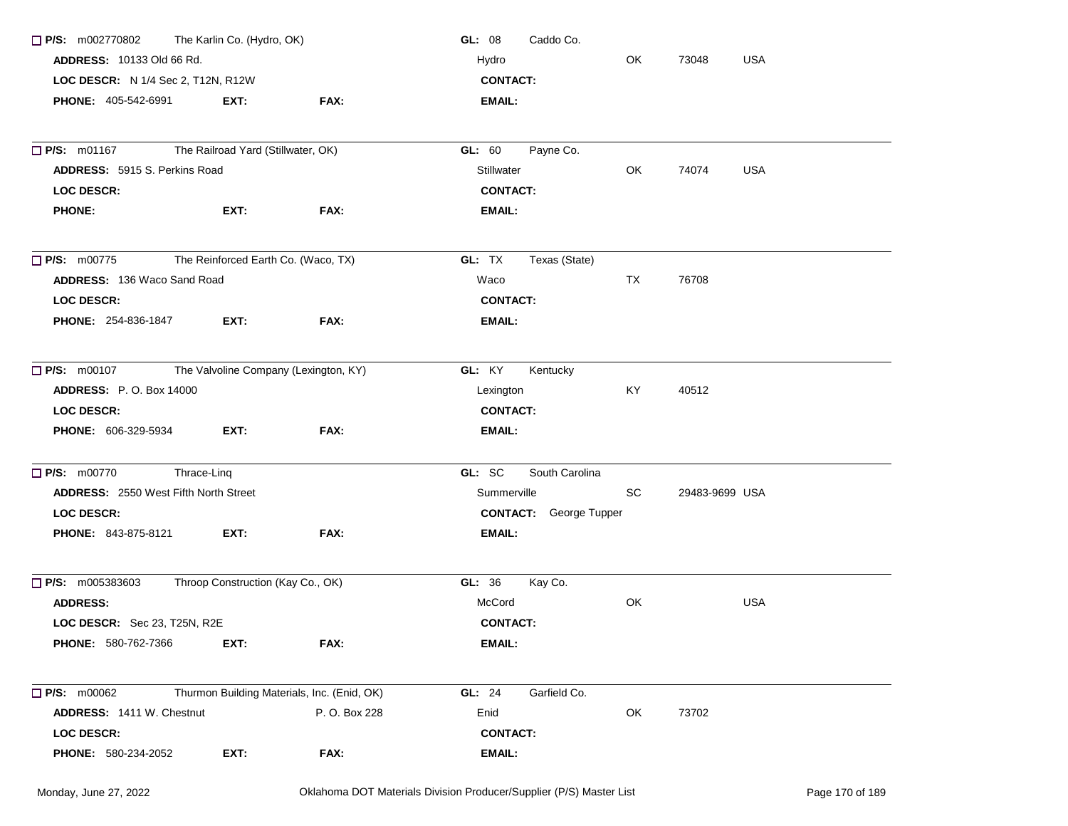| $\Box$ P/S: m002770802                              | The Karlin Co. (Hydro, OK)          |                                             | GL: 08<br>Caddo Co.           |           |                     |  |
|-----------------------------------------------------|-------------------------------------|---------------------------------------------|-------------------------------|-----------|---------------------|--|
| <b>ADDRESS: 10133 Old 66 Rd.</b>                    |                                     |                                             | Hydro                         | OK        | <b>USA</b><br>73048 |  |
| LOC DESCR: N 1/4 Sec 2, T12N, R12W                  |                                     |                                             | <b>CONTACT:</b>               |           |                     |  |
| <b>PHONE: 405-542-6991</b>                          | EXT:                                | FAX:                                        | EMAIL:                        |           |                     |  |
|                                                     |                                     |                                             |                               |           |                     |  |
| $\Box$ P/S: m01167                                  | The Railroad Yard (Stillwater, OK)  |                                             | GL: 60<br>Payne Co.           |           |                     |  |
| <b>ADDRESS: 5915 S. Perkins Road</b>                |                                     |                                             | <b>Stillwater</b>             | OK.       | 74074<br><b>USA</b> |  |
| <b>LOC DESCR:</b>                                   |                                     |                                             | <b>CONTACT:</b>               |           |                     |  |
| <b>PHONE:</b>                                       | EXT:                                | FAX:                                        | EMAIL:                        |           |                     |  |
| $\Box$ P/S: m00775                                  | The Reinforced Earth Co. (Waco, TX) |                                             | GL: TX<br>Texas (State)       |           |                     |  |
| ADDRESS: 136 Waco Sand Road                         |                                     |                                             | Waco                          | <b>TX</b> | 76708               |  |
| <b>LOC DESCR:</b>                                   |                                     |                                             | <b>CONTACT:</b>               |           |                     |  |
| <b>PHONE: 254-836-1847</b>                          | EXT:                                | FAX:                                        | <b>EMAIL:</b>                 |           |                     |  |
| □ P/S: m00107 The Valvoline Company (Lexington, KY) |                                     |                                             | GL: KY<br>Kentucky            |           |                     |  |
| <b>ADDRESS:</b> P.O. Box 14000                      |                                     |                                             | Lexington                     | KY        | 40512               |  |
| <b>LOC DESCR:</b>                                   |                                     |                                             | <b>CONTACT:</b>               |           |                     |  |
| <b>PHONE: 606-329-5934</b>                          | EXT:                                | FAX:                                        | EMAIL:                        |           |                     |  |
| $\Box$ P/S: m00770                                  | Thrace-Ling                         |                                             | GL: SC<br>South Carolina      |           |                     |  |
| <b>ADDRESS: 2550 West Fifth North Street</b>        |                                     |                                             | Summerville                   | SC.       | 29483-9699 USA      |  |
| <b>LOC DESCR:</b>                                   |                                     |                                             | <b>CONTACT:</b> George Tupper |           |                     |  |
| <b>PHONE: 843-875-8121</b>                          | EXT:                                | FAX:                                        | EMAIL:                        |           |                     |  |
| $\Box$ P/S: m005383603                              | Throop Construction (Kay Co., OK)   |                                             | GL: 36<br>Kay Co.             |           |                     |  |
| <b>ADDRESS:</b>                                     |                                     |                                             | McCord                        | OK        | USA                 |  |
| LOC DESCR: Sec 23, T25N, R2E                        |                                     |                                             | <b>CONTACT:</b>               |           |                     |  |
| PHONE: 580-762-7366                                 | EXT:                                | FAX:                                        | <b>EMAIL:</b>                 |           |                     |  |
| <b>P/S:</b> m00062                                  |                                     | Thurmon Building Materials, Inc. (Enid, OK) | <b>GL: 24</b><br>Garfield Co. |           |                     |  |
| ADDRESS: 1411 W. Chestnut                           |                                     | P. O. Box 228                               | Enid                          | OK        | 73702               |  |
| LOC DESCR:                                          |                                     |                                             | <b>CONTACT:</b>               |           |                     |  |
| <b>PHONE: 580-234-2052</b>                          | EXT:                                | FAX:                                        | <b>EMAIL:</b>                 |           |                     |  |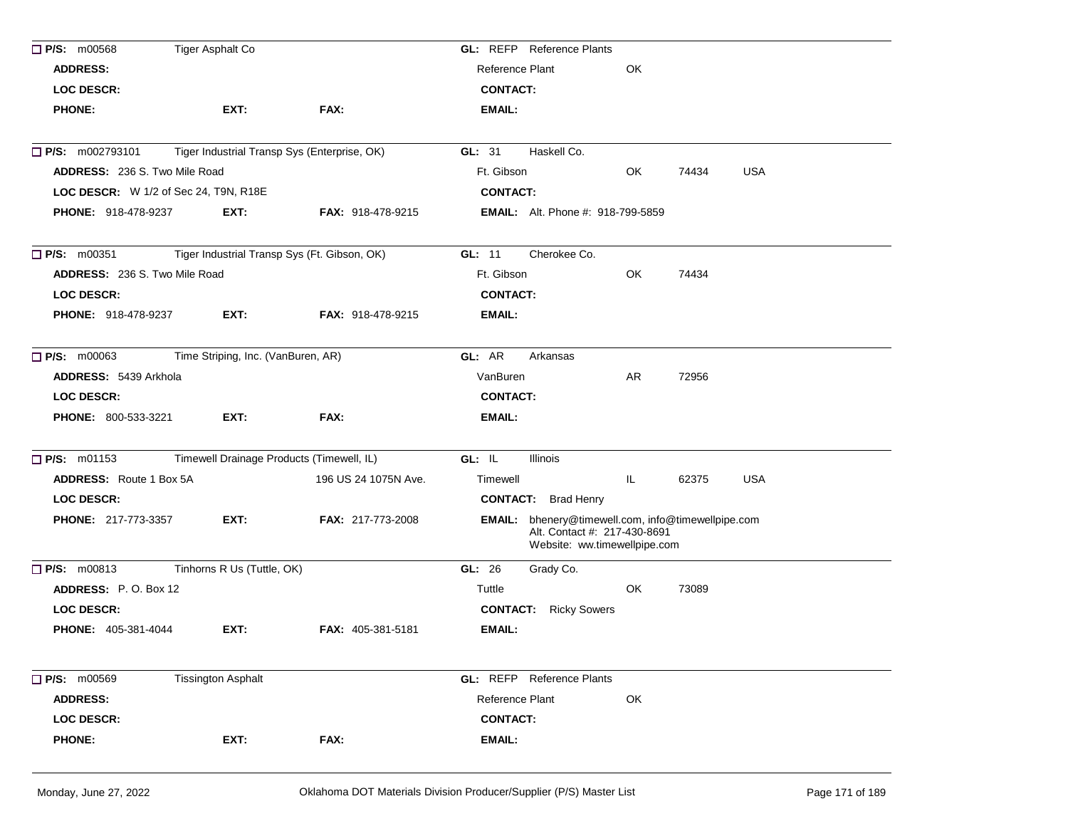| <b>ADDRESS:</b><br><b>Reference Plant</b><br>OK<br><b>LOC DESCR:</b><br><b>CONTACT:</b><br>EXT:<br><b>PHONE:</b><br>FAX:<br><b>EMAIL:</b><br>P/S: m002793101<br>Tiger Industrial Transp Sys (Enterprise, OK)<br>GL: 31<br>Haskell Co.<br><b>USA</b><br><b>ADDRESS: 236 S. Two Mile Road</b><br>Ft. Gibson<br>OK<br>74434<br>LOC DESCR: W 1/2 of Sec 24, T9N, R18E<br><b>CONTACT:</b> |  |
|--------------------------------------------------------------------------------------------------------------------------------------------------------------------------------------------------------------------------------------------------------------------------------------------------------------------------------------------------------------------------------------|--|
|                                                                                                                                                                                                                                                                                                                                                                                      |  |
|                                                                                                                                                                                                                                                                                                                                                                                      |  |
|                                                                                                                                                                                                                                                                                                                                                                                      |  |
|                                                                                                                                                                                                                                                                                                                                                                                      |  |
|                                                                                                                                                                                                                                                                                                                                                                                      |  |
|                                                                                                                                                                                                                                                                                                                                                                                      |  |
| <b>PHONE: 918-478-9237</b><br>EXT:<br><b>FAX: 918-478-9215</b><br><b>EMAIL:</b> Alt. Phone #: 918-799-5859                                                                                                                                                                                                                                                                           |  |
| $\Box$ P/S: m00351<br>Tiger Industrial Transp Sys (Ft. Gibson, OK)<br>GL: 11<br>Cherokee Co.                                                                                                                                                                                                                                                                                         |  |
| OK<br><b>ADDRESS: 236 S. Two Mile Road</b><br>Ft. Gibson<br>74434                                                                                                                                                                                                                                                                                                                    |  |
| <b>LOC DESCR:</b><br><b>CONTACT:</b>                                                                                                                                                                                                                                                                                                                                                 |  |
| <b>PHONE: 918-478-9237</b><br>EXT:<br><b>EMAIL:</b><br><b>FAX: 918-478-9215</b>                                                                                                                                                                                                                                                                                                      |  |
| Time Striping, Inc. (VanBuren, AR)<br>$\Box$ P/S: m00063<br>GL: AR<br>Arkansas                                                                                                                                                                                                                                                                                                       |  |
| ADDRESS: 5439 Arkhola<br>VanBuren<br>AR<br>72956                                                                                                                                                                                                                                                                                                                                     |  |
| <b>LOC DESCR:</b><br><b>CONTACT:</b>                                                                                                                                                                                                                                                                                                                                                 |  |
| <b>PHONE: 800-533-3221</b><br>EXT:<br>FAX:<br><b>EMAIL:</b>                                                                                                                                                                                                                                                                                                                          |  |
| P/S: m01153<br>Timewell Drainage Products (Timewell, IL)<br>GL: IL<br>Illinois                                                                                                                                                                                                                                                                                                       |  |
| <b>ADDRESS:</b> Route 1 Box 5A<br>196 US 24 1075N Ave.<br><b>USA</b><br>Timewell<br>IL.<br>62375                                                                                                                                                                                                                                                                                     |  |
| <b>LOC DESCR:</b><br><b>CONTACT:</b> Brad Henry                                                                                                                                                                                                                                                                                                                                      |  |
| EMAIL: bhenery@timewell.com, info@timewellpipe.com<br><b>PHONE: 217-773-3357</b><br>EXT:<br><b>FAX: 217-773-2008</b><br>Alt. Contact #: 217-430-8691<br>Website: ww.timewellpipe.com                                                                                                                                                                                                 |  |
| Tinhorns R Us (Tuttle, OK)<br>$\Box$ P/S: $m00813$<br>GL: 26<br>Grady Co.                                                                                                                                                                                                                                                                                                            |  |
| ADDRESS: P.O. Box 12<br>Tuttle<br>OK<br>73089                                                                                                                                                                                                                                                                                                                                        |  |
| <b>LOC DESCR:</b><br><b>CONTACT:</b> Ricky Sowers                                                                                                                                                                                                                                                                                                                                    |  |
| <b>PHONE: 405-381-4044</b><br>EXT:<br><b>FAX: 405-381-5181</b><br>EMAIL:                                                                                                                                                                                                                                                                                                             |  |
| P/S: m00569<br>GL: REFP Reference Plants<br><b>Tissington Asphalt</b>                                                                                                                                                                                                                                                                                                                |  |
| <b>ADDRESS:</b><br>Reference Plant<br>OK                                                                                                                                                                                                                                                                                                                                             |  |
| <b>LOC DESCR:</b><br><b>CONTACT:</b>                                                                                                                                                                                                                                                                                                                                                 |  |
| <b>PHONE:</b><br>EXT:<br>FAX:<br>EMAIL:                                                                                                                                                                                                                                                                                                                                              |  |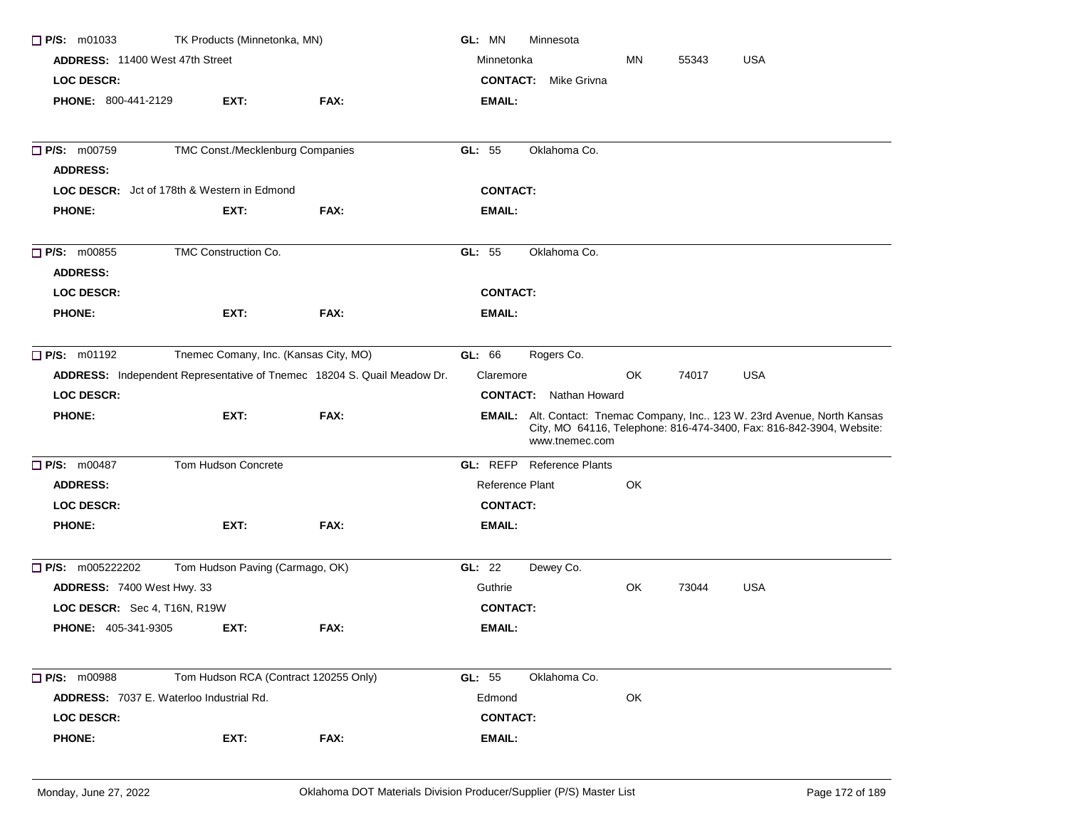| $\Box$ P/S: m01033              | TK Products (Minnetonka, MN)                       |                                                                         | GL: MN          | Minnesota                        |    |       |                                                                                                                                                   |
|---------------------------------|----------------------------------------------------|-------------------------------------------------------------------------|-----------------|----------------------------------|----|-------|---------------------------------------------------------------------------------------------------------------------------------------------------|
| ADDRESS: 11400 West 47th Street |                                                    |                                                                         | Minnetonka      |                                  | ΜN | 55343 | <b>USA</b>                                                                                                                                        |
| LOC DESCR:                      |                                                    |                                                                         | <b>CONTACT:</b> | Mike Grivna                      |    |       |                                                                                                                                                   |
| PHONE: 800-441-2129             | EXT:                                               | FAX:                                                                    | EMAIL:          |                                  |    |       |                                                                                                                                                   |
| <b>P/S: m00759</b>              | TMC Const./Mecklenburg Companies                   |                                                                         | GL: 55          | Oklahoma Co.                     |    |       |                                                                                                                                                   |
| <b>ADDRESS:</b>                 |                                                    |                                                                         |                 |                                  |    |       |                                                                                                                                                   |
|                                 | <b>LOC DESCR:</b> Jct of 178th & Western in Edmond |                                                                         | <b>CONTACT:</b> |                                  |    |       |                                                                                                                                                   |
| <b>PHONE:</b>                   | EXT:                                               | FAX:                                                                    | EMAIL:          |                                  |    |       |                                                                                                                                                   |
| <b>P/S: m00855</b>              | TMC Construction Co.                               |                                                                         | GL: 55          | Oklahoma Co.                     |    |       |                                                                                                                                                   |
| <b>ADDRESS:</b>                 |                                                    |                                                                         |                 |                                  |    |       |                                                                                                                                                   |
| <b>LOC DESCR:</b>               |                                                    |                                                                         | <b>CONTACT:</b> |                                  |    |       |                                                                                                                                                   |
| <b>PHONE:</b>                   | EXT:                                               | FAX:                                                                    | EMAIL:          |                                  |    |       |                                                                                                                                                   |
| $\Box$ P/S: m01192              | Tnemec Comany, Inc. (Kansas City, MO)              |                                                                         | GL: 66          | Rogers Co.                       |    |       |                                                                                                                                                   |
|                                 |                                                    | ADDRESS: Independent Representative of Tnemec 18204 S. Quail Meadow Dr. | Claremore       |                                  | OK | 74017 | USA                                                                                                                                               |
| <b>LOC DESCR:</b>               |                                                    |                                                                         |                 | <b>CONTACT:</b> Nathan Howard    |    |       |                                                                                                                                                   |
| <b>PHONE:</b>                   | EXT:                                               | FAX:                                                                    |                 | www.tnemec.com                   |    |       | EMAIL: Alt. Contact: Tnemac Company, Inc 123 W. 23rd Avenue, North Kansas<br>City, MO 64116, Telephone: 816-474-3400, Fax: 816-842-3904, Website: |
| $\Box$ P/S: m00487              | Tom Hudson Concrete                                |                                                                         |                 | <b>GL: REFP</b> Reference Plants |    |       |                                                                                                                                                   |
| <b>ADDRESS:</b>                 |                                                    |                                                                         | Reference Plant |                                  | OK |       |                                                                                                                                                   |
| <b>LOC DESCR:</b>               |                                                    |                                                                         | <b>CONTACT:</b> |                                  |    |       |                                                                                                                                                   |
| <b>PHONE:</b>                   | EXT:                                               | FAX:                                                                    | EMAIL:          |                                  |    |       |                                                                                                                                                   |
| $\Box$ P/S: m005222202          | Tom Hudson Paving (Carmago, OK)                    |                                                                         | GL: 22          | Dewey Co.                        |    |       |                                                                                                                                                   |
| ADDRESS: 7400 West Hwy. 33      |                                                    |                                                                         | Guthrie         |                                  | OK | 73044 | <b>USA</b>                                                                                                                                        |
| LOC DESCR: Sec 4, T16N, R19W    |                                                    | <b>CONTACT:</b>                                                         |                 |                                  |    |       |                                                                                                                                                   |
| <b>PHONE: 405-341-9305</b>      | EXT:                                               | FAX:                                                                    | <b>EMAIL:</b>   |                                  |    |       |                                                                                                                                                   |
| <b>P/S: m00988</b>              | Tom Hudson RCA (Contract 120255 Only)              |                                                                         | GL: 55          | Oklahoma Co.                     |    |       |                                                                                                                                                   |
|                                 | <b>ADDRESS:</b> 7037 E. Waterloo Industrial Rd.    |                                                                         | Edmond          |                                  | OK |       |                                                                                                                                                   |
| <b>LOC DESCR:</b>               |                                                    |                                                                         | <b>CONTACT:</b> |                                  |    |       |                                                                                                                                                   |
| <b>PHONE:</b>                   | EXT:                                               | FAX:                                                                    | EMAIL:          |                                  |    |       |                                                                                                                                                   |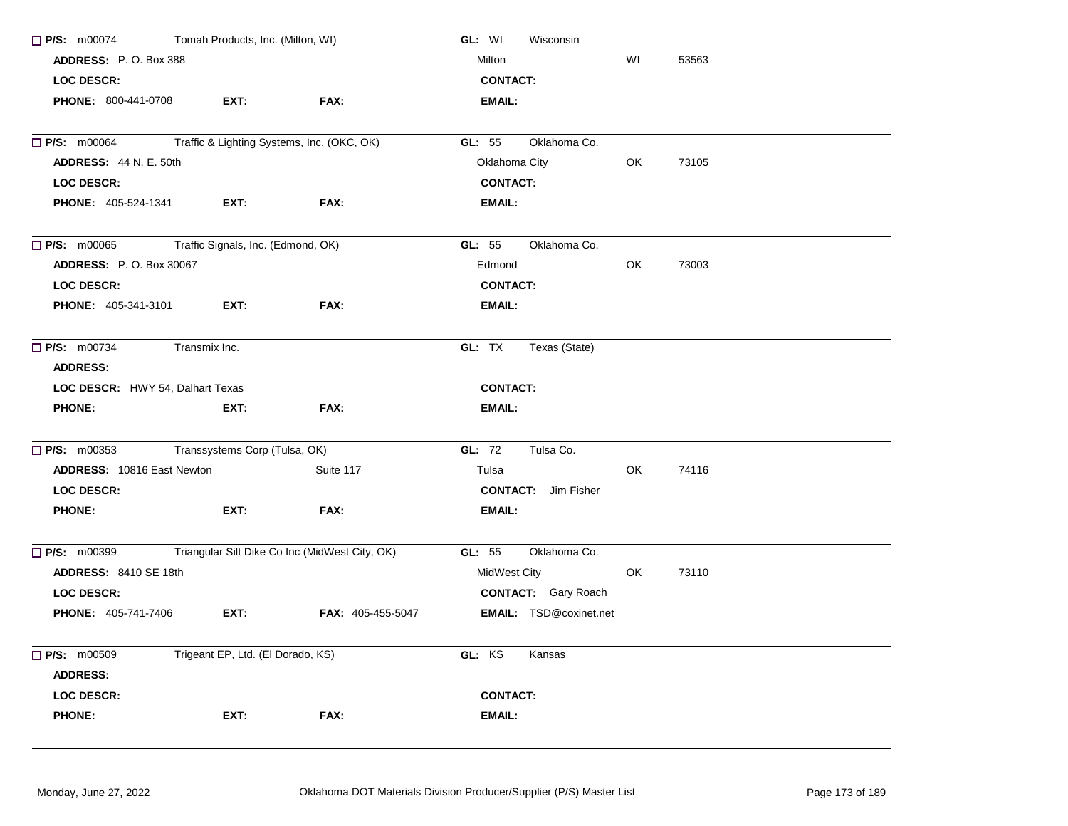| $\Box$ P/S: m00074                      | Tomah Products, Inc. (Milton, WI)          |                                                | GL: WI<br>Wisconsin           |     |       |  |
|-----------------------------------------|--------------------------------------------|------------------------------------------------|-------------------------------|-----|-------|--|
| ADDRESS: P.O. Box 388                   |                                            |                                                | Milton                        | WI  | 53563 |  |
| <b>LOC DESCR:</b>                       |                                            |                                                | <b>CONTACT:</b>               |     |       |  |
| PHONE: 800-441-0708                     | EXT:                                       | FAX:                                           | <b>EMAIL:</b>                 |     |       |  |
| $\Box$ P/S: m00064                      | Traffic & Lighting Systems, Inc. (OKC, OK) |                                                | GL: 55<br>Oklahoma Co.        |     |       |  |
| <b>ADDRESS: 44 N. E. 50th</b>           |                                            |                                                | Oklahoma City                 | OK. | 73105 |  |
| <b>LOC DESCR:</b>                       |                                            |                                                | <b>CONTACT:</b>               |     |       |  |
| <b>PHONE: 405-524-1341</b>              | EXT:                                       | FAX:                                           | <b>EMAIL:</b>                 |     |       |  |
| $\Box$ P/S: m00065                      | Traffic Signals, Inc. (Edmond, OK)         |                                                | GL: 55<br>Oklahoma Co.        |     |       |  |
| <b>ADDRESS: P.O. Box 30067</b>          |                                            |                                                | Edmond                        | OK  | 73003 |  |
| <b>LOC DESCR:</b>                       |                                            |                                                | <b>CONTACT:</b>               |     |       |  |
| PHONE: 405-341-3101                     | EXT:                                       | FAX:                                           | EMAIL:                        |     |       |  |
| $\Box$ P/S: m00734                      | Transmix Inc.                              |                                                | GL: TX<br>Texas (State)       |     |       |  |
| <b>ADDRESS:</b>                         |                                            |                                                |                               |     |       |  |
| <b>LOC DESCR:</b> HWY 54, Dalhart Texas |                                            |                                                | <b>CONTACT:</b>               |     |       |  |
| <b>PHONE:</b>                           | EXT:                                       | FAX:                                           | <b>EMAIL:</b>                 |     |       |  |
| $\Box$ P/S: m00353                      | Transsystems Corp (Tulsa, OK)              |                                                | GL: 72<br>Tulsa Co.           |     |       |  |
| ADDRESS: 10816 East Newton              |                                            | Suite 117                                      | Tulsa                         | OK. | 74116 |  |
| <b>LOC DESCR:</b>                       |                                            |                                                | <b>CONTACT:</b> Jim Fisher    |     |       |  |
| <b>PHONE:</b>                           | EXT:                                       | FAX:                                           | <b>EMAIL:</b>                 |     |       |  |
| $\Box$ P/S: m00399                      |                                            | Triangular Silt Dike Co Inc (MidWest City, OK) | GL: 55<br>Oklahoma Co.        |     |       |  |
| <b>ADDRESS: 8410 SE 18th</b>            |                                            |                                                | MidWest City                  | OK. | 73110 |  |
| <b>LOC DESCR:</b>                       |                                            |                                                | <b>CONTACT:</b> Gary Roach    |     |       |  |
| <b>PHONE: 405-741-7406</b>              | EXT:                                       | FAX: 405-455-5047                              | <b>EMAIL:</b> TSD@coxinet.net |     |       |  |
| $\Box$ P/S: m00509                      | Trigeant EP, Ltd. (El Dorado, KS)          |                                                | GL: KS<br>Kansas              |     |       |  |
| <b>ADDRESS:</b>                         |                                            |                                                |                               |     |       |  |
| LOC DESCR:                              |                                            |                                                | <b>CONTACT:</b>               |     |       |  |
| <b>PHONE:</b>                           | EXT:                                       | FAX:                                           | EMAIL:                        |     |       |  |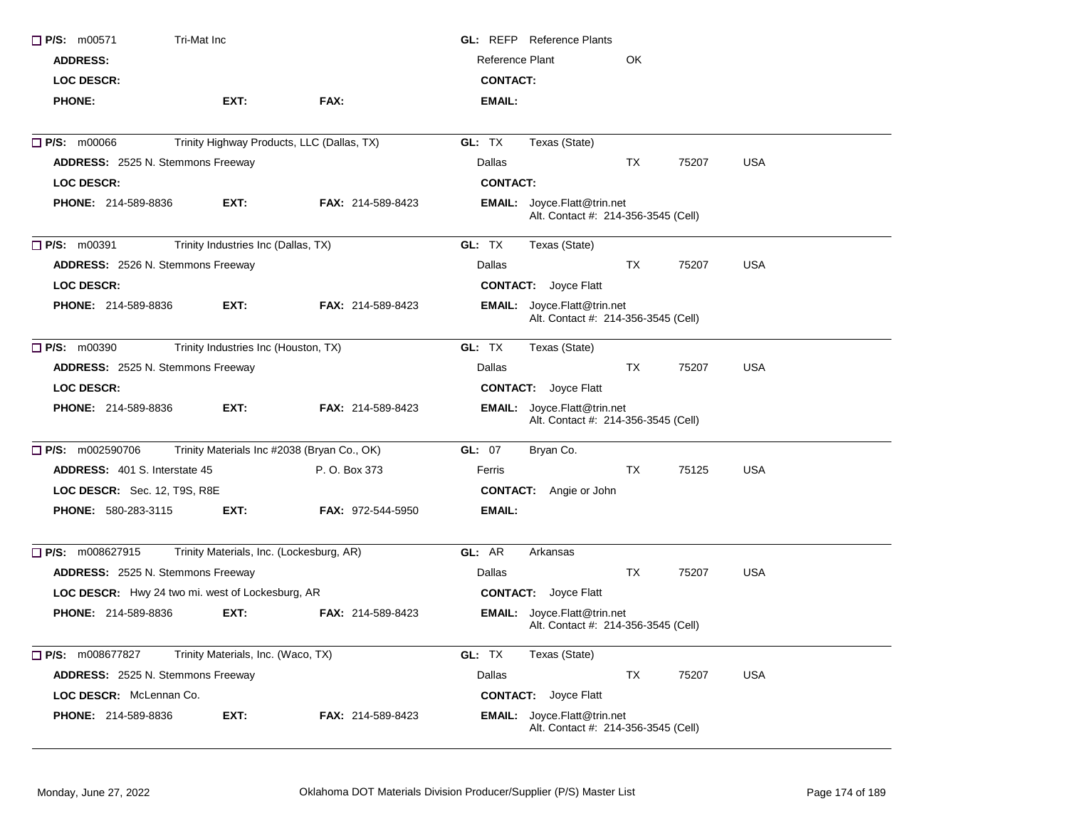| $\Box$ P/S: m00571                               | Tri-Mat Inc                                 |                          | <b>GL:</b> REFP Reference Plants                                          |  |
|--------------------------------------------------|---------------------------------------------|--------------------------|---------------------------------------------------------------------------|--|
| <b>ADDRESS:</b>                                  |                                             |                          | Reference Plant<br>OK                                                     |  |
| LOC DESCR:                                       |                                             |                          | <b>CONTACT:</b>                                                           |  |
| <b>PHONE:</b>                                    | EXT:                                        | FAX:                     | <b>EMAIL:</b>                                                             |  |
| <b>P/S: m00066</b>                               | Trinity Highway Products, LLC (Dallas, TX)  |                          | Texas (State)<br>GL: TX                                                   |  |
| ADDRESS: 2525 N. Stemmons Freeway                |                                             |                          | Dallas<br>75207<br><b>USA</b><br>ТX                                       |  |
| <b>LOC DESCR:</b>                                |                                             |                          | <b>CONTACT:</b>                                                           |  |
| <b>PHONE: 214-589-8836</b>                       | EXT:                                        | <b>FAX: 214-589-8423</b> | EMAIL: Joyce.Flatt@trin.net<br>Alt. Contact #: 214-356-3545 (Cell)        |  |
| $\Box$ P/S: m00391                               | Trinity Industries Inc (Dallas, TX)         |                          | GL: TX<br>Texas (State)                                                   |  |
| ADDRESS: 2526 N. Stemmons Freeway                |                                             |                          | Dallas<br>TX<br>75207<br><b>USA</b>                                       |  |
| <b>LOC DESCR:</b>                                |                                             |                          | <b>CONTACT:</b> Joyce Flatt                                               |  |
| <b>PHONE: 214-589-8836</b>                       | EXT:                                        | <b>FAX: 214-589-8423</b> | <b>EMAIL:</b> Joyce.Flatt@trin.net<br>Alt. Contact #: 214-356-3545 (Cell) |  |
| $\Box$ P/S: m00390                               | Trinity Industries Inc (Houston, TX)        |                          | GL: TX<br>Texas (State)                                                   |  |
| ADDRESS: 2525 N. Stemmons Freeway                |                                             |                          | Dallas<br>TX<br>75207<br><b>USA</b>                                       |  |
| LOC DESCR:                                       |                                             |                          | <b>CONTACT:</b> Joyce Flatt                                               |  |
| PHONE: 214-589-8836                              | EXT:                                        | FAX: 214-589-8423        | <b>EMAIL:</b> Joyce.Flatt@trin.net<br>Alt. Contact #: 214-356-3545 (Cell) |  |
| $\Box$ P/S: m002590706                           | Trinity Materials Inc #2038 (Bryan Co., OK) |                          | GL: 07<br>Bryan Co.                                                       |  |
| <b>ADDRESS: 401 S. Interstate 45</b>             |                                             | P. O. Box 373            | <b>USA</b><br>TX.<br>75125<br>Ferris                                      |  |
| LOC DESCR: Sec. 12, T9S, R8E                     |                                             |                          | <b>CONTACT:</b> Angie or John                                             |  |
| <b>PHONE: 580-283-3115</b>                       | EXT:                                        | <b>FAX: 972-544-5950</b> | EMAIL:                                                                    |  |
| $\Box$ P/S: m008627915                           | Trinity Materials, Inc. (Lockesburg, AR)    |                          | GL: AR<br>Arkansas                                                        |  |
| ADDRESS: 2525 N. Stemmons Freeway                |                                             |                          | TX<br>75207<br><b>USA</b><br>Dallas                                       |  |
| LOC DESCR: Hwy 24 two mi. west of Lockesburg, AR |                                             |                          | <b>CONTACT:</b> Joyce Flatt                                               |  |
| <b>PHONE: 214-589-8836</b>                       | EXT:                                        | <b>FAX: 214-589-8423</b> | <b>EMAIL:</b> Joyce.Flatt@trin.net<br>Alt. Contact #: 214-356-3545 (Cell) |  |
| $\Box$ P/S: m008677827                           | Trinity Materials, Inc. (Waco, TX)          |                          | GL: TX<br>Texas (State)                                                   |  |
| ADDRESS: 2525 N. Stemmons Freeway                |                                             |                          | Dallas<br>75207<br><b>USA</b><br>TX                                       |  |
| LOC DESCR: McLennan Co.                          |                                             |                          | <b>CONTACT:</b> Joyce Flatt                                               |  |
| PHONE: 214-589-8836                              | EXT:                                        | FAX: 214-589-8423        | <b>EMAIL:</b> Joyce.Flatt@trin.net<br>Alt. Contact #: 214-356-3545 (Cell) |  |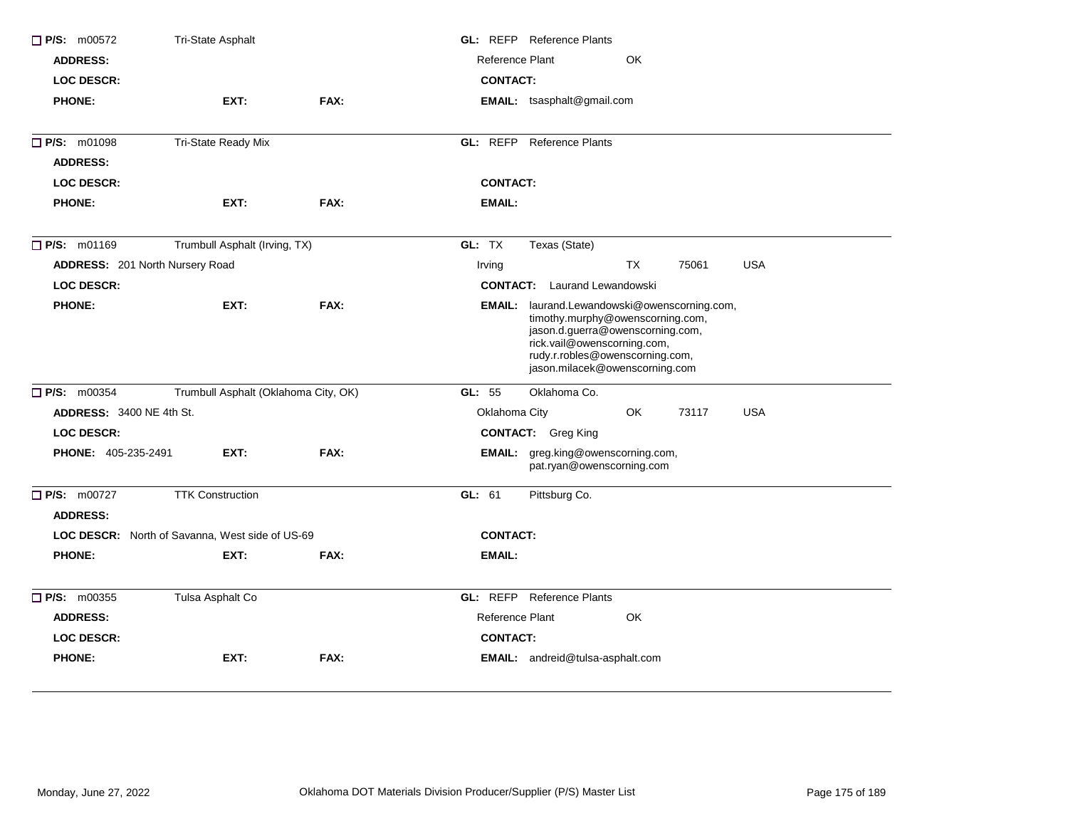| P/S: m00572                     | Tri-State Asphalt                                      |      | <b>GL: REFP</b> Reference Plants                                                                                                                                                                                         |
|---------------------------------|--------------------------------------------------------|------|--------------------------------------------------------------------------------------------------------------------------------------------------------------------------------------------------------------------------|
| <b>ADDRESS:</b>                 |                                                        |      | Reference Plant<br>OK                                                                                                                                                                                                    |
| <b>LOC DESCR:</b>               |                                                        |      | <b>CONTACT:</b>                                                                                                                                                                                                          |
| <b>PHONE:</b>                   | EXT:                                                   | FAX: | <b>EMAIL:</b> tsasphalt@gmail.com                                                                                                                                                                                        |
| P/S: m01098                     | Tri-State Ready Mix                                    |      | <b>GL: REFP</b> Reference Plants                                                                                                                                                                                         |
| <b>ADDRESS:</b>                 |                                                        |      |                                                                                                                                                                                                                          |
| <b>LOC DESCR:</b>               |                                                        |      | <b>CONTACT:</b>                                                                                                                                                                                                          |
| <b>PHONE:</b>                   | EXT:                                                   | FAX: | <b>EMAIL:</b>                                                                                                                                                                                                            |
| P/S: m01169                     | Trumbull Asphalt (Irving, TX)                          |      | GL: TX<br>Texas (State)                                                                                                                                                                                                  |
| ADDRESS: 201 North Nursery Road |                                                        |      | <b>USA</b><br><b>TX</b><br>75061<br>Irving                                                                                                                                                                               |
| <b>LOC DESCR:</b>               |                                                        |      | <b>CONTACT:</b> Laurand Lewandowski                                                                                                                                                                                      |
| <b>PHONE:</b>                   | EXT:                                                   | FAX: | EMAIL: laurand.Lewandowski@owenscorning.com,<br>timothy.murphy@owenscorning.com,<br>jason.d.guerra@owenscorning.com,<br>rick.vail@owenscorning.com,<br>rudy.r.robles@owenscorning.com,<br>jason.milacek@owenscorning.com |
| $\Box$ P/S: m00354              | Trumbull Asphalt (Oklahoma City, OK)                   |      | GL: 55<br>Oklahoma Co.                                                                                                                                                                                                   |
| <b>ADDRESS: 3400 NE 4th St.</b> |                                                        |      | <b>USA</b><br>Oklahoma City<br>OK.<br>73117                                                                                                                                                                              |
| <b>LOC DESCR:</b>               |                                                        |      | <b>CONTACT:</b> Greg King                                                                                                                                                                                                |
| PHONE: 405-235-2491             | EXT:                                                   | FAX: | EMAIL: greg.king@owenscorning.com,<br>pat.ryan@owenscorning.com                                                                                                                                                          |
| P/S: m00727<br><b>ADDRESS:</b>  | <b>TTK Construction</b>                                |      | GL: 61<br>Pittsburg Co.                                                                                                                                                                                                  |
|                                 | <b>LOC DESCR:</b> North of Savanna, West side of US-69 |      | <b>CONTACT:</b>                                                                                                                                                                                                          |
| <b>PHONE:</b>                   | EXT:                                                   | FAX: | <b>EMAIL:</b>                                                                                                                                                                                                            |
| $\Box$ P/S: m00355              | Tulsa Asphalt Co                                       |      | GL: REFP<br><b>Reference Plants</b>                                                                                                                                                                                      |
| <b>ADDRESS:</b>                 |                                                        |      | Reference Plant<br>OK                                                                                                                                                                                                    |
| <b>LOC DESCR:</b>               |                                                        |      | <b>CONTACT:</b>                                                                                                                                                                                                          |
| <b>PHONE:</b>                   | EXT:                                                   | FAX: | EMAIL: andreid@tulsa-asphalt.com                                                                                                                                                                                         |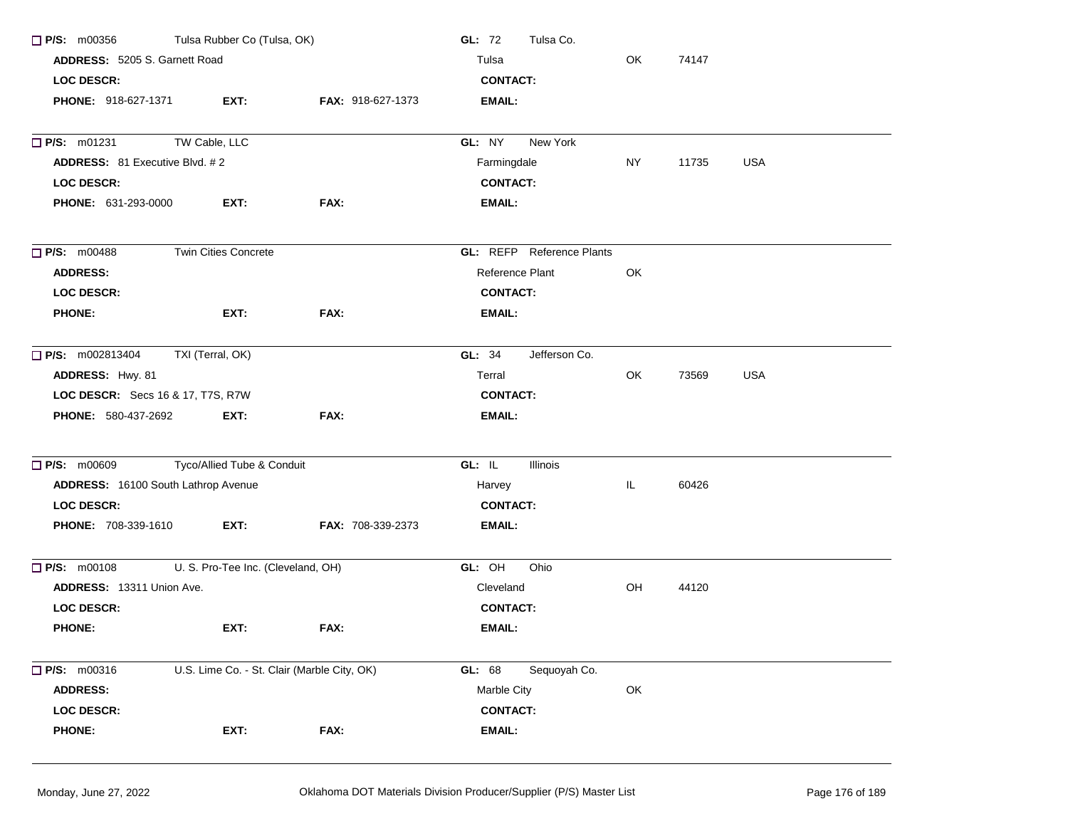| $\Box$ P/S: m00356                       | Tulsa Rubber Co (Tulsa, OK)                 |                   | GL: 72<br>Tulsa Co.              |    |       |            |  |  |
|------------------------------------------|---------------------------------------------|-------------------|----------------------------------|----|-------|------------|--|--|
| ADDRESS: 5205 S. Garnett Road            |                                             |                   | Tulsa                            | OK | 74147 |            |  |  |
| <b>LOC DESCR:</b>                        |                                             |                   | <b>CONTACT:</b>                  |    |       |            |  |  |
| <b>PHONE: 918-627-1371</b>               | EXT:                                        | FAX: 918-627-1373 | <b>EMAIL:</b>                    |    |       |            |  |  |
| P/S: m01231                              | TW Cable, LLC                               |                   | GL: NY<br>New York               |    |       |            |  |  |
| <b>ADDRESS:</b> 81 Executive Blvd. #2    |                                             |                   | Farmingdale                      | NY | 11735 | <b>USA</b> |  |  |
| <b>LOC DESCR:</b>                        |                                             |                   | <b>CONTACT:</b>                  |    |       |            |  |  |
| PHONE: 631-293-0000                      | EXT:                                        | FAX:              | <b>EMAIL:</b>                    |    |       |            |  |  |
| <b>P/S: m00488</b>                       | Twin Cities Concrete                        |                   | <b>GL:</b> REFP Reference Plants |    |       |            |  |  |
| <b>ADDRESS:</b>                          |                                             |                   | Reference Plant                  | OK |       |            |  |  |
| <b>LOC DESCR:</b>                        |                                             |                   | <b>CONTACT:</b>                  |    |       |            |  |  |
| <b>PHONE:</b>                            | EXT:                                        | FAX:              | <b>EMAIL:</b>                    |    |       |            |  |  |
| <b>P/S:</b> m002813404                   | TXI (Terral, OK)                            |                   | GL: 34<br>Jefferson Co.          |    |       |            |  |  |
| ADDRESS: Hwy. 81                         |                                             |                   | Terral                           | OK | 73569 | <b>USA</b> |  |  |
| <b>LOC DESCR:</b> Secs 16 & 17, T7S, R7W |                                             |                   | <b>CONTACT:</b>                  |    |       |            |  |  |
| FAX:<br>PHONE: 580-437-2692<br>EXT:      |                                             | <b>EMAIL:</b>     |                                  |    |       |            |  |  |
| <b>D</b> P/S: m00609                     | Tyco/Allied Tube & Conduit                  |                   | GL: IL<br>Illinois               |    |       |            |  |  |
| ADDRESS: 16100 South Lathrop Avenue      |                                             |                   | IL<br>60426<br>Harvey            |    |       |            |  |  |
| <b>LOC DESCR:</b>                        |                                             |                   | <b>CONTACT:</b>                  |    |       |            |  |  |
| PHONE: 708-339-1610                      | EXT:                                        | FAX: 708-339-2373 | EMAIL:                           |    |       |            |  |  |
| $\Box$ P/S: m00108                       | U. S. Pro-Tee Inc. (Cleveland, OH)          |                   | GL: OH<br>Ohio                   |    |       |            |  |  |
| ADDRESS: 13311 Union Ave.                |                                             |                   | Cleveland                        | OH | 44120 |            |  |  |
| <b>LOC DESCR:</b>                        |                                             |                   | <b>CONTACT:</b>                  |    |       |            |  |  |
| <b>PHONE:</b>                            | EXT:                                        | FAX:              | EMAIL:                           |    |       |            |  |  |
| $\Box$ P/S: m00316                       | U.S. Lime Co. - St. Clair (Marble City, OK) |                   | GL: 68<br>Sequoyah Co.           |    |       |            |  |  |
| <b>ADDRESS:</b>                          |                                             |                   | Marble City                      | OK |       |            |  |  |
| <b>LOC DESCR:</b>                        |                                             |                   | <b>CONTACT:</b>                  |    |       |            |  |  |
| <b>PHONE:</b>                            | EXT:                                        | FAX:              | EMAIL:                           |    |       |            |  |  |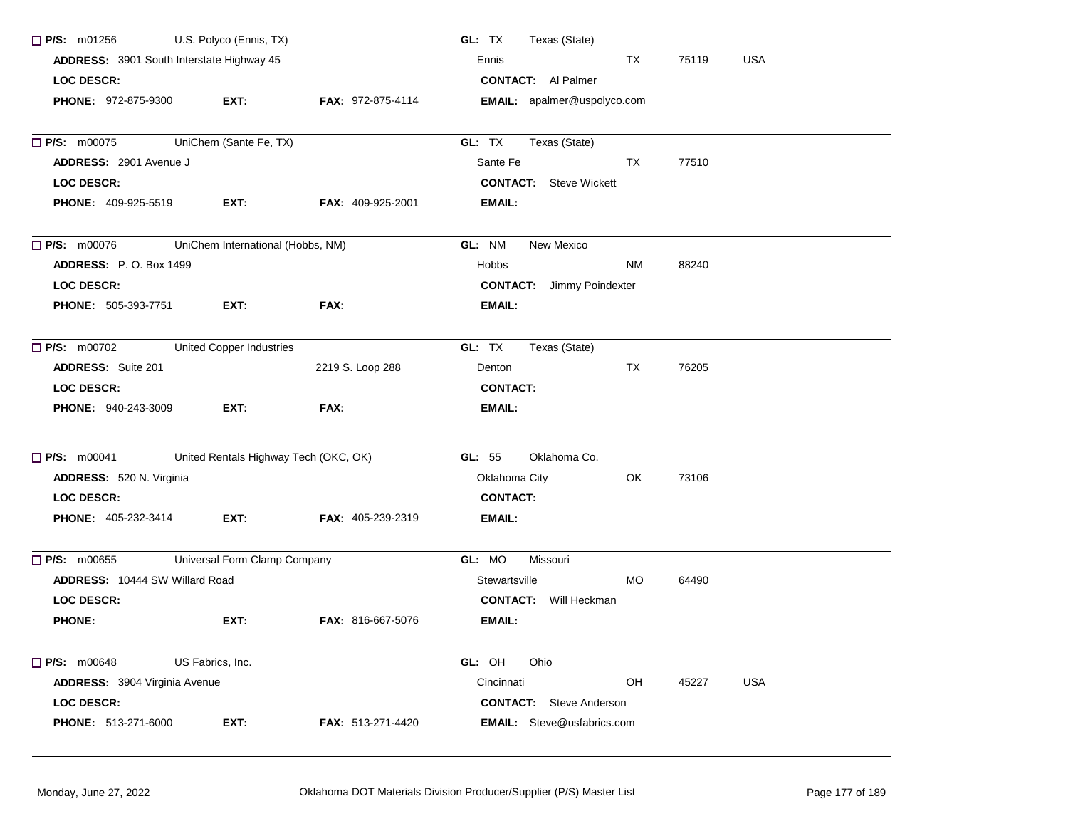| $\Box$ P/S: m01256                        | U.S. Polyco (Ennis, TX)           |                                       | GL: TX<br>Texas (State)            |           |       |            |
|-------------------------------------------|-----------------------------------|---------------------------------------|------------------------------------|-----------|-------|------------|
| ADDRESS: 3901 South Interstate Highway 45 |                                   |                                       | Ennis                              | TX        | 75119 | <b>USA</b> |
| <b>LOC DESCR:</b>                         |                                   |                                       | <b>CONTACT:</b> Al Palmer          |           |       |            |
| <b>PHONE: 972-875-9300</b>                | EXT:                              | <b>FAX: 972-875-4114</b>              | <b>EMAIL:</b> apalmer@uspolyco.com |           |       |            |
|                                           |                                   |                                       |                                    |           |       |            |
| <b>P/S: m00075</b>                        | UniChem (Sante Fe, TX)            |                                       | GL: TX<br>Texas (State)            |           |       |            |
| ADDRESS: 2901 Avenue J                    |                                   |                                       | Sante Fe                           | TX        | 77510 |            |
| <b>LOC DESCR:</b>                         |                                   |                                       | <b>CONTACT:</b> Steve Wickett      |           |       |            |
| <b>PHONE: 409-925-5519</b>                | EXT:                              | <b>FAX: 409-925-2001</b>              | <b>EMAIL:</b>                      |           |       |            |
| $\Box$ P/S: m00076                        | UniChem International (Hobbs, NM) |                                       | GL: NM<br>New Mexico               |           |       |            |
| <b>ADDRESS: P.O. Box 1499</b>             |                                   |                                       | <b>Hobbs</b>                       | <b>NM</b> | 88240 |            |
| <b>LOC DESCR:</b>                         |                                   |                                       | <b>CONTACT:</b> Jimmy Poindexter   |           |       |            |
| <b>PHONE: 505-393-7751</b>                | EXT:                              | FAX:                                  | <b>EMAIL:</b>                      |           |       |            |
| $\Box$ P/S: m00702                        | <b>United Copper Industries</b>   |                                       | GL: TX<br>Texas (State)            |           |       |            |
| <b>ADDRESS:</b> Suite 201                 |                                   | 2219 S. Loop 288                      | Denton                             | TX        | 76205 |            |
| <b>LOC DESCR:</b>                         |                                   |                                       | <b>CONTACT:</b>                    |           |       |            |
| <b>PHONE: 940-243-3009</b>                | EXT:                              | FAX:                                  | <b>EMAIL:</b>                      |           |       |            |
| $\Box$ P/S: m00041                        |                                   | United Rentals Highway Tech (OKC, OK) | Oklahoma Co.<br>GL: 55             |           |       |            |
| ADDRESS: 520 N. Virginia                  |                                   |                                       | Oklahoma City                      | OK        | 73106 |            |
| <b>LOC DESCR:</b>                         |                                   |                                       | <b>CONTACT:</b>                    |           |       |            |
| PHONE: 405-232-3414                       | EXT:                              | FAX: 405-239-2319                     | <b>EMAIL:</b>                      |           |       |            |
| P/S: m00655                               | Universal Form Clamp Company      |                                       | GL: MO<br>Missouri                 |           |       |            |
| <b>ADDRESS: 10444 SW Willard Road</b>     |                                   |                                       | Stewartsville                      | MO.       | 64490 |            |
| <b>LOC DESCR:</b>                         |                                   |                                       | <b>CONTACT:</b> Will Heckman       |           |       |            |
| <b>PHONE:</b>                             | EXT:                              | FAX: 816-667-5076                     | <b>EMAIL:</b>                      |           |       |            |
| <b>P/S: m00648</b>                        | US Fabrics, Inc.                  |                                       | GL: OH<br>Ohio                     |           |       |            |
| <b>ADDRESS: 3904 Virginia Avenue</b>      |                                   |                                       | Cincinnati                         | OH        | 45227 | <b>USA</b> |
| <b>LOC DESCR:</b>                         |                                   |                                       | <b>CONTACT:</b> Steve Anderson     |           |       |            |
| PHONE: 513-271-6000                       | EXT:                              | FAX: 513-271-4420                     | <b>EMAIL:</b> Steve@usfabrics.com  |           |       |            |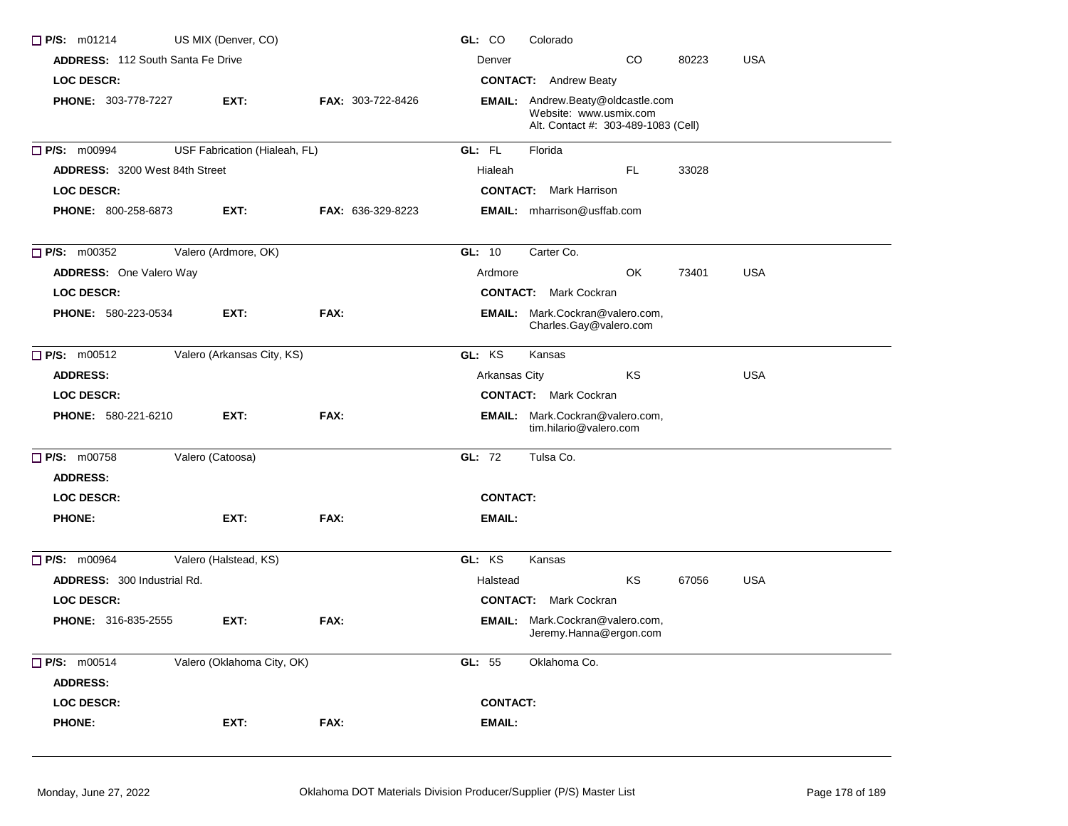| <b>ADDRESS: 112 South Santa Fe Drive</b><br>CO.<br>80223<br><b>USA</b><br>Denver<br>LOC DESCR:<br><b>CONTACT:</b> Andrew Beaty<br><b>PHONE: 303-778-7227</b><br>EXT:<br>FAX: 303-722-8426<br><b>EMAIL:</b> Andrew.Beaty@oldcastle.com<br>Website: www.usmix.com<br>Alt. Contact #: 303-489-1083 (Cell)<br>P/S: m00994<br>USF Fabrication (Hialeah, FL)<br>GL: FL<br>Florida<br>FL.<br><b>ADDRESS: 3200 West 84th Street</b><br>Hialeah<br>33028<br><b>LOC DESCR:</b><br><b>CONTACT:</b> Mark Harrison<br><b>PHONE: 800-258-6873</b><br>EXT:<br><b>FAX: 636-329-8223</b><br><b>EMAIL:</b> mharrison@usffab.com<br>P/S: m00352<br>Valero (Ardmore, OK)<br>Carter Co.<br>GL: 10<br>OK<br><b>ADDRESS:</b> One Valero Way<br><b>USA</b><br>Ardmore<br>73401 |  |
|--------------------------------------------------------------------------------------------------------------------------------------------------------------------------------------------------------------------------------------------------------------------------------------------------------------------------------------------------------------------------------------------------------------------------------------------------------------------------------------------------------------------------------------------------------------------------------------------------------------------------------------------------------------------------------------------------------------------------------------------------------|--|
|                                                                                                                                                                                                                                                                                                                                                                                                                                                                                                                                                                                                                                                                                                                                                        |  |
|                                                                                                                                                                                                                                                                                                                                                                                                                                                                                                                                                                                                                                                                                                                                                        |  |
|                                                                                                                                                                                                                                                                                                                                                                                                                                                                                                                                                                                                                                                                                                                                                        |  |
|                                                                                                                                                                                                                                                                                                                                                                                                                                                                                                                                                                                                                                                                                                                                                        |  |
|                                                                                                                                                                                                                                                                                                                                                                                                                                                                                                                                                                                                                                                                                                                                                        |  |
|                                                                                                                                                                                                                                                                                                                                                                                                                                                                                                                                                                                                                                                                                                                                                        |  |
|                                                                                                                                                                                                                                                                                                                                                                                                                                                                                                                                                                                                                                                                                                                                                        |  |
|                                                                                                                                                                                                                                                                                                                                                                                                                                                                                                                                                                                                                                                                                                                                                        |  |
|                                                                                                                                                                                                                                                                                                                                                                                                                                                                                                                                                                                                                                                                                                                                                        |  |
| LOC DESCR:<br><b>CONTACT:</b> Mark Cockran                                                                                                                                                                                                                                                                                                                                                                                                                                                                                                                                                                                                                                                                                                             |  |
| FAX:<br>PHONE: 580-223-0534<br>EXT:<br><b>EMAIL:</b> Mark.Cockran@valero.com,<br>Charles.Gay@valero.com                                                                                                                                                                                                                                                                                                                                                                                                                                                                                                                                                                                                                                                |  |
| GL: KS<br>$P/S:$ m00512<br>Valero (Arkansas City, KS)<br>Kansas                                                                                                                                                                                                                                                                                                                                                                                                                                                                                                                                                                                                                                                                                        |  |
| <b>USA</b><br><b>ADDRESS:</b><br>Arkansas City<br>KS                                                                                                                                                                                                                                                                                                                                                                                                                                                                                                                                                                                                                                                                                                   |  |
| <b>LOC DESCR:</b><br><b>CONTACT:</b> Mark Cockran                                                                                                                                                                                                                                                                                                                                                                                                                                                                                                                                                                                                                                                                                                      |  |
| PHONE: 580-221-6210<br>EXT:<br>FAX:<br><b>EMAIL:</b> Mark.Cockran@valero.com,<br>tim.hilario@valero.com                                                                                                                                                                                                                                                                                                                                                                                                                                                                                                                                                                                                                                                |  |
| P/S: m00758<br>Valero (Catoosa)<br>GL: 72<br>Tulsa Co.                                                                                                                                                                                                                                                                                                                                                                                                                                                                                                                                                                                                                                                                                                 |  |
| <b>ADDRESS:</b>                                                                                                                                                                                                                                                                                                                                                                                                                                                                                                                                                                                                                                                                                                                                        |  |
| <b>LOC DESCR:</b><br><b>CONTACT:</b>                                                                                                                                                                                                                                                                                                                                                                                                                                                                                                                                                                                                                                                                                                                   |  |
| <b>PHONE:</b><br>EXT:<br>FAX:<br><b>EMAIL:</b>                                                                                                                                                                                                                                                                                                                                                                                                                                                                                                                                                                                                                                                                                                         |  |
| P/S: m00964<br>GL: KS<br>Valero (Halstead, KS)<br>Kansas                                                                                                                                                                                                                                                                                                                                                                                                                                                                                                                                                                                                                                                                                               |  |
| KS<br><b>ADDRESS: 300 Industrial Rd.</b><br>67056<br><b>USA</b><br>Halstead                                                                                                                                                                                                                                                                                                                                                                                                                                                                                                                                                                                                                                                                            |  |
| <b>LOC DESCR:</b><br><b>CONTACT:</b> Mark Cockran                                                                                                                                                                                                                                                                                                                                                                                                                                                                                                                                                                                                                                                                                                      |  |
| PHONE: 316-835-2555<br><b>EMAIL:</b> Mark.Cockran@valero.com,<br>EXT:<br>FAX:<br>Jeremy.Hanna@ergon.com                                                                                                                                                                                                                                                                                                                                                                                                                                                                                                                                                                                                                                                |  |
| P/S: m00514<br>Valero (Oklahoma City, OK)<br>GL: 55<br>Oklahoma Co.<br><b>ADDRESS:</b>                                                                                                                                                                                                                                                                                                                                                                                                                                                                                                                                                                                                                                                                 |  |
| LOC DESCR:<br><b>CONTACT:</b>                                                                                                                                                                                                                                                                                                                                                                                                                                                                                                                                                                                                                                                                                                                          |  |
| <b>PHONE:</b><br>FAX:<br>EMAIL:<br>EXT:                                                                                                                                                                                                                                                                                                                                                                                                                                                                                                                                                                                                                                                                                                                |  |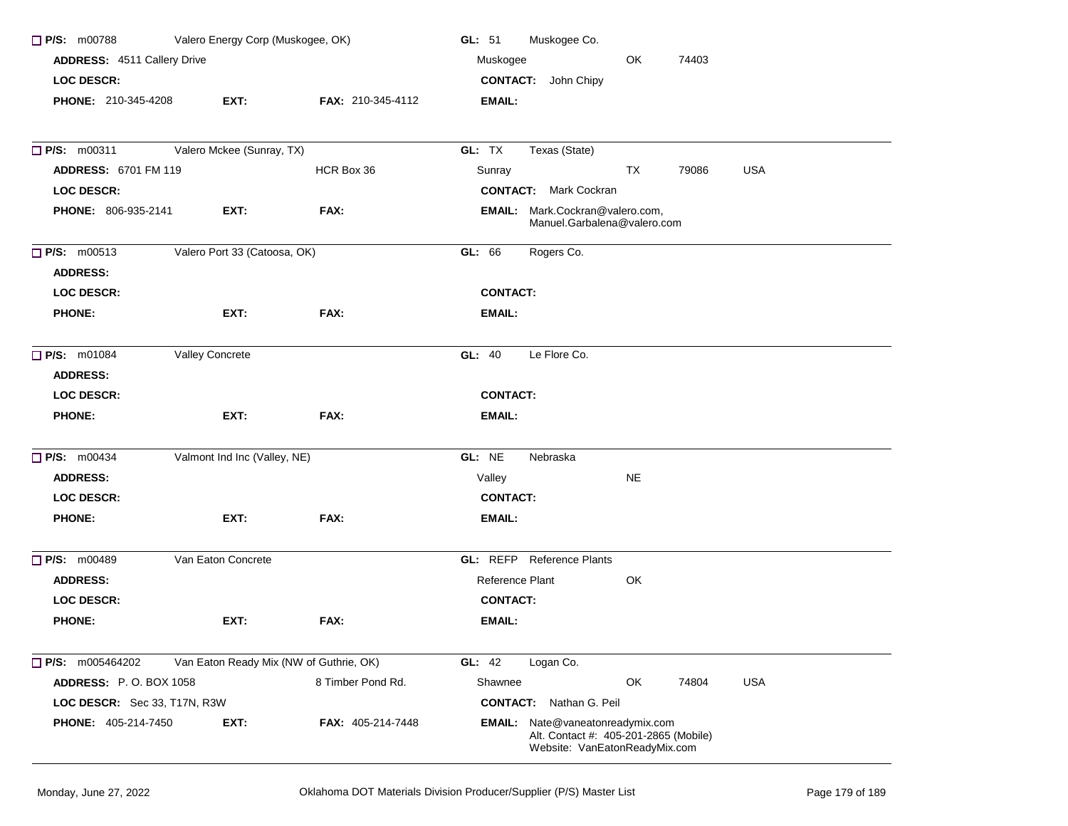| $\Box$ P/S: m00788                    | Valero Energy Corp (Muskogee, OK)       |                   | GL: 51<br>Muskogee Co.                                                                                     |
|---------------------------------------|-----------------------------------------|-------------------|------------------------------------------------------------------------------------------------------------|
| ADDRESS: 4511 Callery Drive           |                                         |                   | OK<br>Muskogee<br>74403                                                                                    |
| LOC DESCR:                            |                                         |                   | <b>CONTACT:</b> John Chipy                                                                                 |
| PHONE: 210-345-4208                   | EXT:                                    | FAX: 210-345-4112 | EMAIL:                                                                                                     |
| $\Box$ P/S: m00311                    | Valero Mckee (Sunray, TX)               |                   | GL: TX<br>Texas (State)                                                                                    |
| <b>ADDRESS: 6701 FM 119</b>           |                                         | HCR Box 36        | Sunray<br>TX<br><b>USA</b><br>79086                                                                        |
| <b>LOC DESCR:</b>                     |                                         |                   | <b>CONTACT:</b> Mark Cockran                                                                               |
| PHONE: 806-935-2141                   | EXT:                                    | FAX:              | <b>EMAIL:</b> Mark.Cockran@valero.com,<br>Manuel.Garbalena@valero.com                                      |
| $\Box$ P/S: m00513<br><b>ADDRESS:</b> | Valero Port 33 (Catoosa, OK)            |                   | Rogers Co.<br>GL: 66                                                                                       |
| <b>LOC DESCR:</b>                     |                                         |                   | <b>CONTACT:</b>                                                                                            |
| <b>PHONE:</b>                         | EXT:                                    | FAX:              | EMAIL:                                                                                                     |
| $\Box$ P/S: m01084<br><b>ADDRESS:</b> | Valley Concrete                         |                   | Le Flore Co.<br><b>GL: 40</b>                                                                              |
| <b>LOC DESCR:</b>                     |                                         |                   | <b>CONTACT:</b>                                                                                            |
| <b>PHONE:</b>                         | EXT:                                    | FAX:              | EMAIL:                                                                                                     |
| <b>P/S: m00434</b>                    | Valmont Ind Inc (Valley, NE)            |                   | GL: NE<br>Nebraska                                                                                         |
| <b>ADDRESS:</b>                       |                                         |                   | <b>NE</b><br>Valley                                                                                        |
| <b>LOC DESCR:</b>                     |                                         |                   | <b>CONTACT:</b>                                                                                            |
| <b>PHONE:</b>                         | EXT:                                    | FAX:              | <b>EMAIL:</b>                                                                                              |
| <b>P/S: m00489</b>                    | Van Eaton Concrete                      |                   | <b>GL:</b> REFP Reference Plants                                                                           |
| <b>ADDRESS:</b>                       |                                         |                   | Reference Plant<br>OK                                                                                      |
| <b>LOC DESCR:</b>                     |                                         |                   | <b>CONTACT:</b>                                                                                            |
| <b>PHONE:</b>                         | EXT:                                    | FAX:              | EMAIL:                                                                                                     |
| $\Box$ P/S: m005464202                | Van Eaton Ready Mix (NW of Guthrie, OK) |                   | <b>GL: 42</b><br>Logan Co.                                                                                 |
| <b>ADDRESS: P.O. BOX 1058</b>         |                                         | 8 Timber Pond Rd. | OK<br><b>USA</b><br>Shawnee<br>74804                                                                       |
| LOC DESCR: Sec 33, T17N, R3W          |                                         |                   | <b>CONTACT:</b> Nathan G. Peil                                                                             |
| <b>PHONE: 405-214-7450</b>            | EXT:                                    | FAX: 405-214-7448 | EMAIL: Nate@vaneatonreadymix.com<br>Alt. Contact #: 405-201-2865 (Mobile)<br>Website: VanEatonReadyMix.com |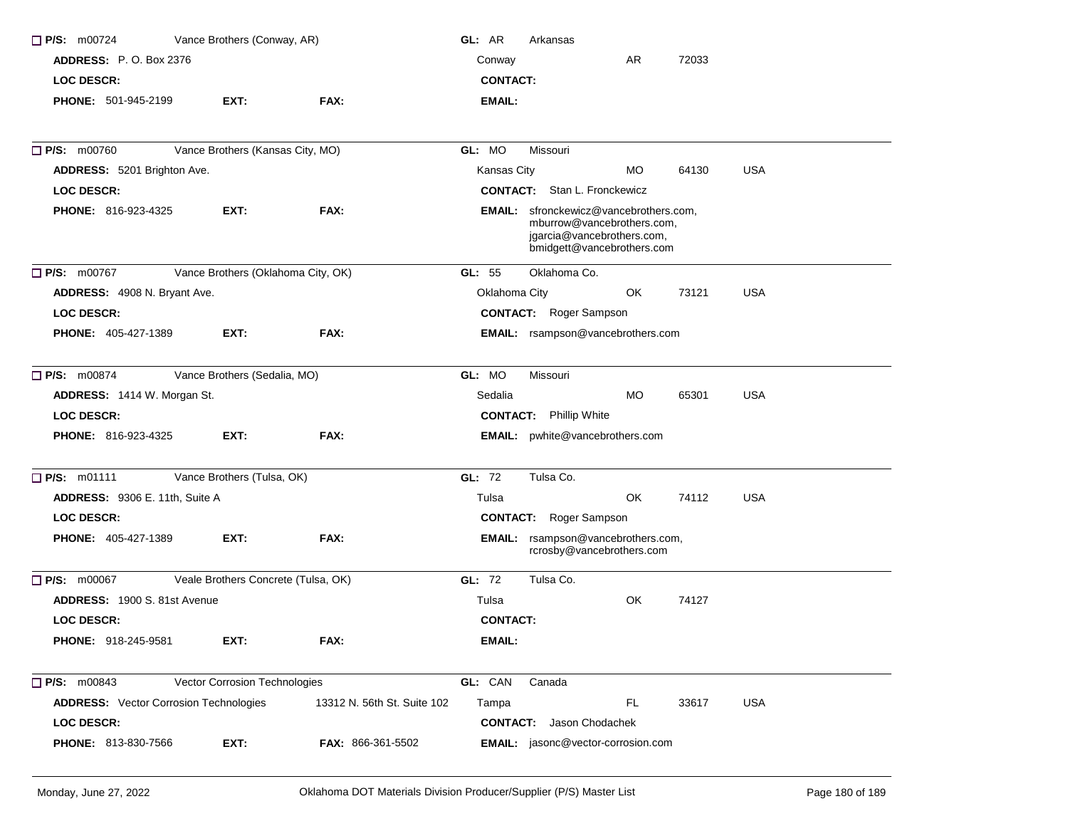| P/S: m00724                                   | Vance Brothers (Conway, AR)         |                             | GL: AR          | Arkansas                                                                                                                                |           |       |            |
|-----------------------------------------------|-------------------------------------|-----------------------------|-----------------|-----------------------------------------------------------------------------------------------------------------------------------------|-----------|-------|------------|
| <b>ADDRESS:</b> P. O. Box 2376                |                                     |                             | Conway          |                                                                                                                                         | AR        | 72033 |            |
| <b>LOC DESCR:</b>                             |                                     |                             | <b>CONTACT:</b> |                                                                                                                                         |           |       |            |
| PHONE: 501-945-2199                           | EXT:                                | FAX:                        | <b>EMAIL:</b>   |                                                                                                                                         |           |       |            |
| P/S: m00760                                   | Vance Brothers (Kansas City, MO)    |                             | GL: MO          | Missouri                                                                                                                                |           |       |            |
| ADDRESS: 5201 Brighton Ave.                   |                                     |                             | Kansas City     |                                                                                                                                         | МO        | 64130 | <b>USA</b> |
| <b>LOC DESCR:</b>                             |                                     |                             |                 | <b>CONTACT:</b> Stan L. Fronckewicz                                                                                                     |           |       |            |
| <b>PHONE: 816-923-4325</b>                    | EXT:                                | FAX:                        |                 | <b>EMAIL:</b> sfronckewicz@vancebrothers.com,<br>mburrow@vancebrothers.com,<br>jgarcia@vancebrothers.com,<br>bmidgett@vancebrothers.com |           |       |            |
| P/S: m00767                                   | Vance Brothers (Oklahoma City, OK)  |                             | GL: 55          | Oklahoma Co.                                                                                                                            |           |       |            |
| ADDRESS: 4908 N. Bryant Ave.                  |                                     |                             | Oklahoma City   |                                                                                                                                         | OK        | 73121 | <b>USA</b> |
| <b>LOC DESCR:</b>                             |                                     |                             |                 | <b>CONTACT:</b> Roger Sampson                                                                                                           |           |       |            |
| <b>PHONE: 405-427-1389</b>                    | EXT:                                | FAX:                        |                 | EMAIL: rsampson@vancebrothers.com                                                                                                       |           |       |            |
| P/S: m00874                                   | Vance Brothers (Sedalia, MO)        |                             | GL: MO          | Missouri                                                                                                                                |           |       |            |
| <b>ADDRESS: 1414 W. Morgan St.</b>            |                                     |                             | Sedalia         |                                                                                                                                         | <b>MO</b> | 65301 | <b>USA</b> |
| <b>LOC DESCR:</b>                             |                                     |                             |                 | <b>CONTACT:</b> Phillip White                                                                                                           |           |       |            |
| PHONE: 816-923-4325                           | EXT:                                | FAX:                        |                 | EMAIL: pwhite@vancebrothers.com                                                                                                         |           |       |            |
| P/S: m01111                                   | Vance Brothers (Tulsa, OK)          |                             | GL: 72          | Tulsa Co.                                                                                                                               |           |       |            |
| ADDRESS: 9306 E. 11th, Suite A                |                                     |                             | Tulsa           |                                                                                                                                         | OK        | 74112 | <b>USA</b> |
| <b>LOC DESCR:</b>                             |                                     |                             |                 | <b>CONTACT:</b> Roger Sampson                                                                                                           |           |       |            |
| <b>PHONE: 405-427-1389</b>                    | EXT:                                | FAX:                        |                 | EMAIL: rsampson@vancebrothers.com,<br>rcrosby@vancebrothers.com                                                                         |           |       |            |
| $\Box$ P/S: m00067                            | Veale Brothers Concrete (Tulsa, OK) |                             | GL: 72          | Tulsa Co.                                                                                                                               |           |       |            |
| ADDRESS: 1900 S. 81st Avenue                  |                                     |                             | Tulsa           |                                                                                                                                         | OK        | 74127 |            |
| <b>LOC DESCR:</b>                             |                                     |                             | <b>CONTACT:</b> |                                                                                                                                         |           |       |            |
| PHONE: 918-245-9581                           | EXT:                                | FAX:                        | EMAIL:          |                                                                                                                                         |           |       |            |
| P/S: m00843                                   | Vector Corrosion Technologies       |                             | GL: CAN         | Canada                                                                                                                                  |           |       |            |
| <b>ADDRESS:</b> Vector Corrosion Technologies |                                     | 13312 N. 56th St. Suite 102 | Tampa           |                                                                                                                                         | <b>FL</b> | 33617 | <b>USA</b> |
| <b>LOC DESCR:</b>                             |                                     |                             |                 | <b>CONTACT:</b> Jason Chodachek                                                                                                         |           |       |            |
| PHONE: 813-830-7566                           | EXT:                                | <b>FAX: 866-361-5502</b>    |                 | <b>EMAIL:</b> jasonc@vector-corrosion.com                                                                                               |           |       |            |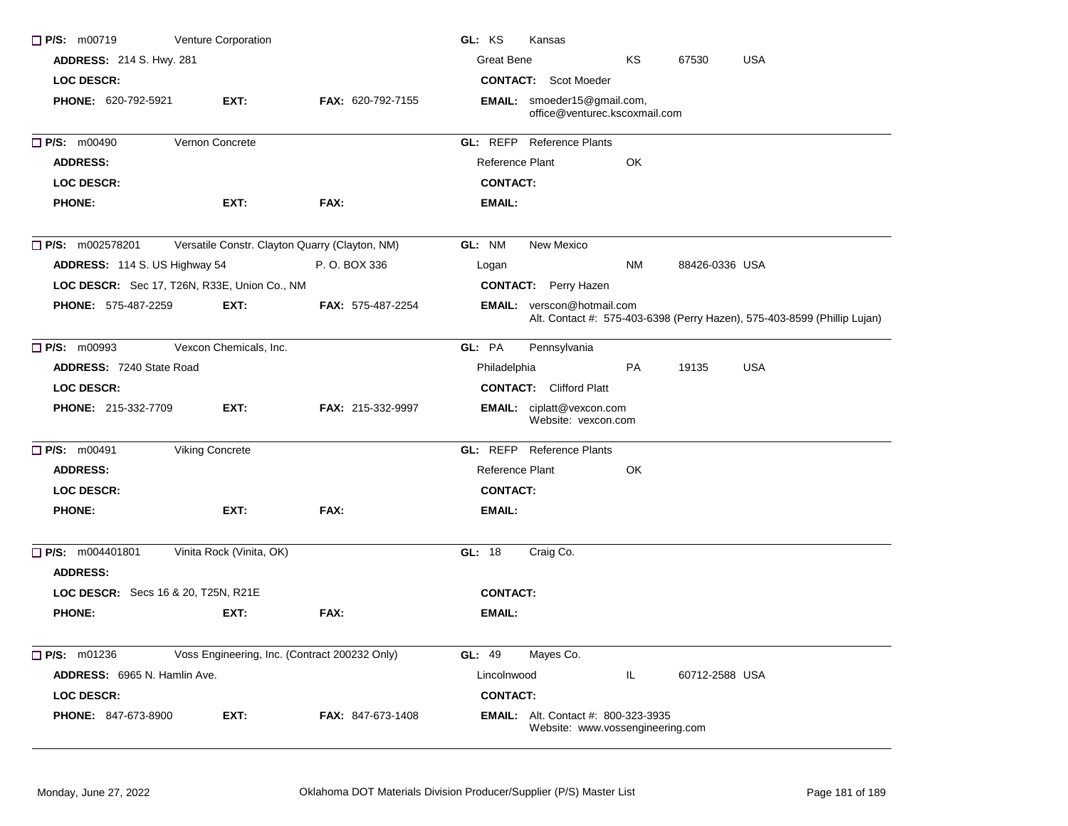| $\Box$ P/S: m00719                        | Venture Corporation                            |                          | GL: KS<br>Kansas                                                                                              |
|-------------------------------------------|------------------------------------------------|--------------------------|---------------------------------------------------------------------------------------------------------------|
| <b>ADDRESS: 214 S. Hwy. 281</b>           |                                                |                          | <b>Great Bene</b><br><b>USA</b><br>ΚS<br>67530                                                                |
| <b>LOC DESCR:</b>                         |                                                |                          | <b>CONTACT:</b> Scot Moeder                                                                                   |
| <b>PHONE: 620-792-5921</b>                | EXT:                                           | FAX: 620-792-7155        | <b>EMAIL:</b> smoeder15@gmail.com,<br>office@venturec.kscoxmail.com                                           |
| P/S: m00490                               | Vernon Concrete                                |                          | <b>GL: REFP</b> Reference Plants                                                                              |
| <b>ADDRESS:</b>                           |                                                |                          | Reference Plant<br>OK                                                                                         |
| <b>LOC DESCR:</b>                         |                                                |                          | <b>CONTACT:</b>                                                                                               |
| <b>PHONE:</b>                             | EXT:                                           | FAX:                     | EMAIL:                                                                                                        |
| P/S: m002578201                           | Versatile Constr. Clayton Quarry (Clayton, NM) |                          | GL: NM<br>New Mexico                                                                                          |
| ADDRESS: 114 S. US Highway 54             |                                                | P. O. BOX 336            | <b>NM</b><br>88426-0336 USA<br>Logan                                                                          |
|                                           | LOC DESCR: Sec 17, T26N, R33E, Union Co., NM   |                          | <b>CONTACT:</b> Perry Hazen                                                                                   |
| <b>PHONE: 575-487-2259</b>                | EXT:                                           | <b>FAX: 575-487-2254</b> | <b>EMAIL:</b> verscon@hotmail.com<br>Alt. Contact #: 575-403-6398 (Perry Hazen), 575-403-8599 (Phillip Lujan) |
| $\Box$ P/S: m00993                        | Vexcon Chemicals, Inc.                         |                          | GL: PA<br>Pennsylvania                                                                                        |
| <b>ADDRESS: 7240 State Road</b>           |                                                |                          | PA<br><b>USA</b><br>Philadelphia<br>19135                                                                     |
| <b>LOC DESCR:</b>                         |                                                |                          | <b>CONTACT:</b> Clifford Platt                                                                                |
| PHONE: 215-332-7709                       | EXT:                                           | FAX: 215-332-9997        | <b>EMAIL:</b> ciplatt@vexcon.com<br>Website: vexcon.com                                                       |
| P/S: m00491                               | <b>Viking Concrete</b>                         |                          | <b>GL: REFP</b> Reference Plants                                                                              |
| <b>ADDRESS:</b>                           |                                                |                          | Reference Plant<br>OK                                                                                         |
| <b>LOC DESCR:</b>                         |                                                |                          | <b>CONTACT:</b>                                                                                               |
| <b>PHONE:</b>                             | EXT:                                           | FAX:                     | EMAIL:                                                                                                        |
| $\Box$ P/S: m004401801<br><b>ADDRESS:</b> | Vinita Rock (Vinita, OK)                       |                          | GL: 18<br>Craig Co.                                                                                           |
| LOC DESCR: Secs 16 & 20, T25N, R21E       |                                                |                          | <b>CONTACT:</b>                                                                                               |
| <b>PHONE:</b>                             | EXT:                                           | FAX:                     | EMAIL:                                                                                                        |
| $\Box$ P/S: m01236                        | Voss Engineering, Inc. (Contract 200232 Only)  |                          | <b>GL: 49</b><br>Mayes Co.                                                                                    |
| <b>ADDRESS:</b> 6965 N. Hamlin Ave.       |                                                |                          | Lincolnwood<br>IL.<br>60712-2588 USA                                                                          |
| <b>LOC DESCR:</b>                         |                                                |                          | <b>CONTACT:</b>                                                                                               |
| PHONE: 847-673-8900                       | EXT:                                           | <b>FAX: 847-673-1408</b> | <b>EMAIL:</b> Alt. Contact #: 800-323-3935<br>Website: www.vossengineering.com                                |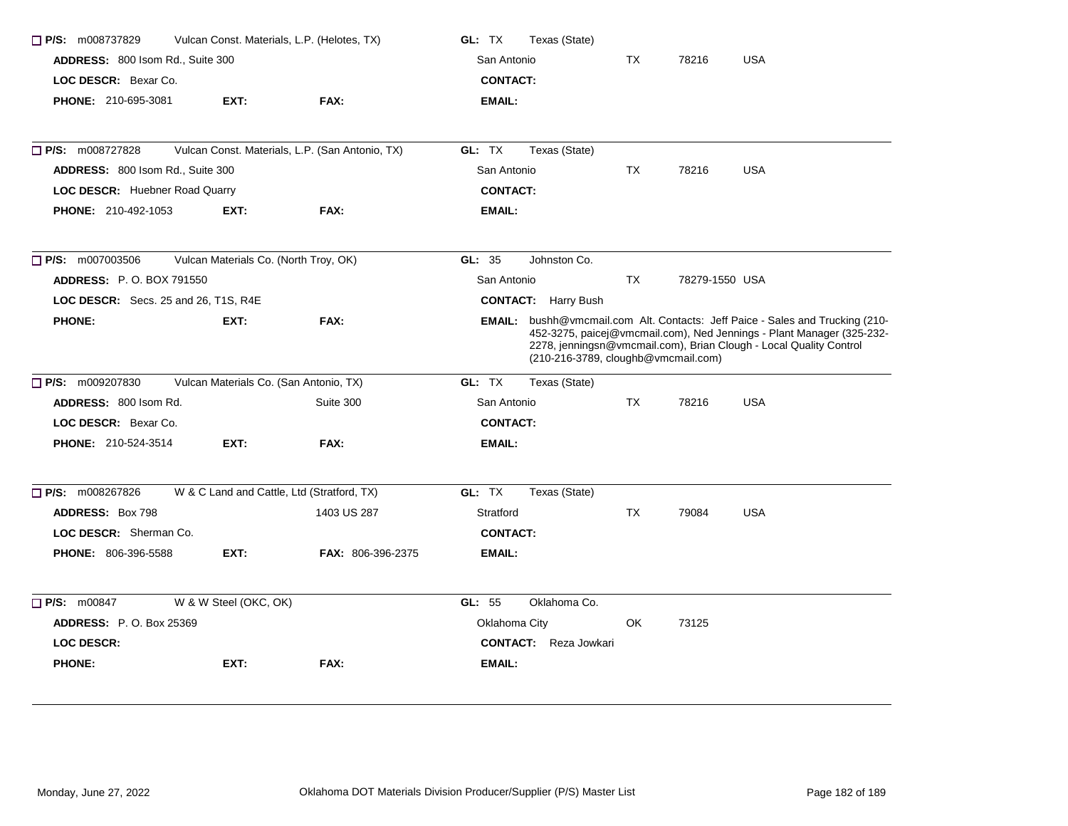| $\Box$ P/S: m008737829               | Vulcan Const. Materials, L.P. (Helotes, TX)     |                          | GL: TX          | Texas (State)                       |           |                |                                                                                                                                                                                                                              |
|--------------------------------------|-------------------------------------------------|--------------------------|-----------------|-------------------------------------|-----------|----------------|------------------------------------------------------------------------------------------------------------------------------------------------------------------------------------------------------------------------------|
| ADDRESS: 800 Isom Rd., Suite 300     |                                                 |                          | San Antonio     |                                     | <b>TX</b> | 78216          | <b>USA</b>                                                                                                                                                                                                                   |
| LOC DESCR: Bexar Co.                 |                                                 |                          | <b>CONTACT:</b> |                                     |           |                |                                                                                                                                                                                                                              |
| PHONE: 210-695-3081                  | EXT:                                            | FAX:                     | <b>EMAIL:</b>   |                                     |           |                |                                                                                                                                                                                                                              |
|                                      |                                                 |                          |                 |                                     |           |                |                                                                                                                                                                                                                              |
| $\Box$ P/S: m008727828               | Vulcan Const. Materials, L.P. (San Antonio, TX) |                          | GL: TX          | Texas (State)                       |           |                |                                                                                                                                                                                                                              |
| ADDRESS: 800 Isom Rd., Suite 300     |                                                 |                          | San Antonio     |                                     | ТX        | 78216          | <b>USA</b>                                                                                                                                                                                                                   |
| LOC DESCR: Huebner Road Quarry       |                                                 |                          | <b>CONTACT:</b> |                                     |           |                |                                                                                                                                                                                                                              |
| <b>PHONE: 210-492-1053</b>           | EXT:                                            | FAX:                     | <b>EMAIL:</b>   |                                     |           |                |                                                                                                                                                                                                                              |
| $\Box$ P/S: m007003506               | Vulcan Materials Co. (North Troy, OK)           |                          | GL: 35          | Johnston Co.                        |           |                |                                                                                                                                                                                                                              |
| <b>ADDRESS: P.O. BOX 791550</b>      |                                                 |                          | San Antonio     |                                     | <b>TX</b> | 78279-1550 USA |                                                                                                                                                                                                                              |
| LOC DESCR: Secs. 25 and 26, T1S, R4E |                                                 |                          |                 | <b>CONTACT:</b> Harry Bush          |           |                |                                                                                                                                                                                                                              |
| <b>PHONE:</b>                        | EXT:                                            | FAX:                     |                 | (210-216-3789, cloughb@vmcmail.com) |           |                | EMAIL: bushh@vmcmail.com Alt. Contacts: Jeff Paice - Sales and Trucking (210-<br>452-3275, paicej@vmcmail.com), Ned Jennings - Plant Manager (325-232-<br>2278, jenningsn@vmcmail.com), Brian Clough - Local Quality Control |
| $\Box$ P/S: m009207830               | Vulcan Materials Co. (San Antonio, TX)          |                          | GL: TX          | Texas (State)                       |           |                |                                                                                                                                                                                                                              |
| ADDRESS: 800 Isom Rd.                |                                                 | Suite 300                | San Antonio     |                                     | <b>TX</b> | 78216          | <b>USA</b>                                                                                                                                                                                                                   |
| LOC DESCR: Bexar Co.                 |                                                 |                          | <b>CONTACT:</b> |                                     |           |                |                                                                                                                                                                                                                              |
| <b>PHONE: 210-524-3514</b>           | EXT:                                            | FAX:                     | <b>EMAIL:</b>   |                                     |           |                |                                                                                                                                                                                                                              |
| $\Box$ P/S: m008267826               | W & C Land and Cattle, Ltd (Stratford, TX)      |                          | GL: TX          | Texas (State)                       |           |                |                                                                                                                                                                                                                              |
| <b>ADDRESS: Box 798</b>              |                                                 | 1403 US 287              | Stratford       |                                     | TX        | 79084          | <b>USA</b>                                                                                                                                                                                                                   |
| LOC DESCR: Sherman Co.               |                                                 |                          | <b>CONTACT:</b> |                                     |           |                |                                                                                                                                                                                                                              |
| <b>PHONE: 806-396-5588</b>           | EXT:                                            | <b>FAX: 806-396-2375</b> | EMAIL:          |                                     |           |                |                                                                                                                                                                                                                              |
| $\Box$ P/S: m00847                   | W & W Steel (OKC, OK)                           |                          | GL: 55          | Oklahoma Co.                        |           |                |                                                                                                                                                                                                                              |
| <b>ADDRESS: P.O. Box 25369</b>       |                                                 |                          | Oklahoma City   |                                     | OK        | 73125          |                                                                                                                                                                                                                              |
| <b>LOC DESCR:</b>                    |                                                 |                          |                 | <b>CONTACT:</b> Reza Jowkari        |           |                |                                                                                                                                                                                                                              |
| <b>PHONE:</b>                        | EXT:                                            | FAX:                     | <b>EMAIL:</b>   |                                     |           |                |                                                                                                                                                                                                                              |
|                                      |                                                 |                          |                 |                                     |           |                |                                                                                                                                                                                                                              |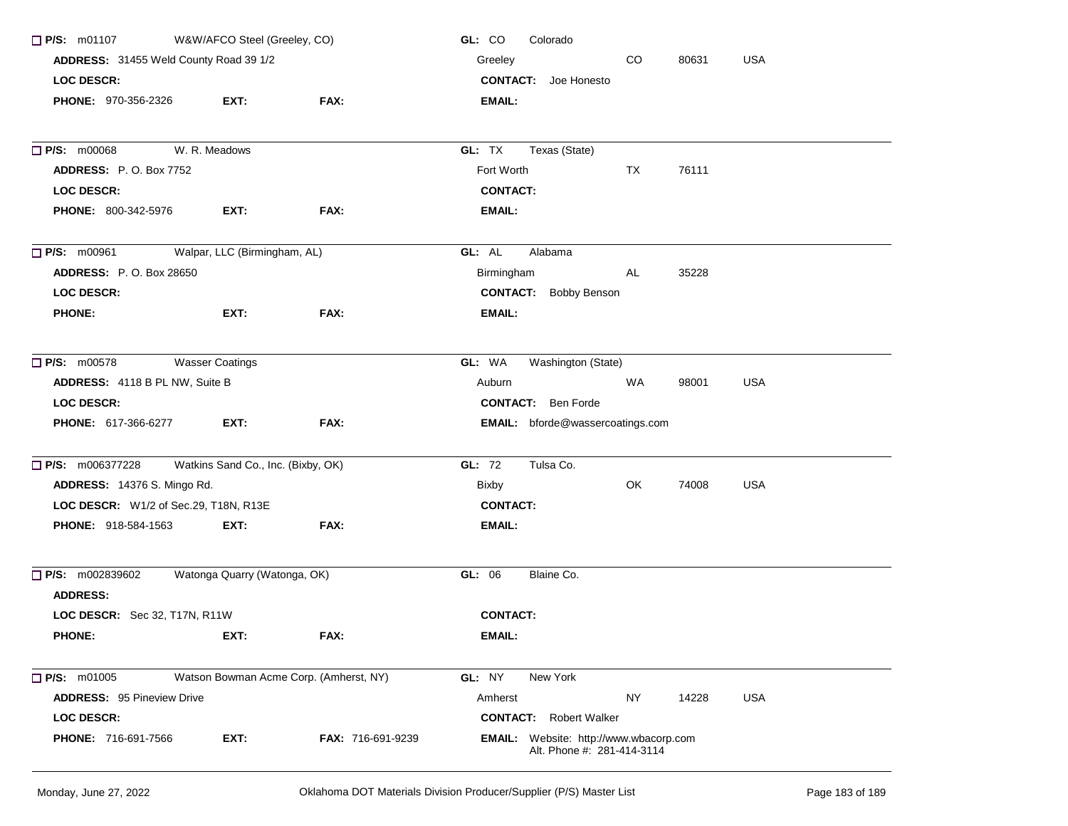| $\Box$ P/S: m01107                     | W&W/AFCO Steel (Greeley, CO)       |                                        | GL: CO<br>Colorado                                                          |            |       |            |
|----------------------------------------|------------------------------------|----------------------------------------|-----------------------------------------------------------------------------|------------|-------|------------|
| ADDRESS: 31455 Weld County Road 39 1/2 |                                    |                                        | Greeley                                                                     | <b>USA</b> |       |            |
| <b>LOC DESCR:</b>                      |                                    |                                        | <b>CONTACT:</b> Joe Honesto                                                 |            |       |            |
| PHONE: 970-356-2326                    | EXT:                               | FAX:                                   | EMAIL:                                                                      |            |       |            |
| <b>P/S: m00068</b>                     | W. R. Meadows                      |                                        | GL: TX<br>Texas (State)                                                     |            |       |            |
| <b>ADDRESS: P.O. Box 7752</b>          |                                    |                                        | Fort Worth                                                                  | TX         | 76111 |            |
| <b>LOC DESCR:</b>                      |                                    |                                        | <b>CONTACT:</b>                                                             |            |       |            |
| PHONE: 800-342-5976                    | EXT:                               | FAX:                                   | <b>EMAIL:</b>                                                               |            |       |            |
| $\Box$ P/S: m00961                     | Walpar, LLC (Birmingham, AL)       |                                        | GL: AL<br>Alabama                                                           |            |       |            |
| <b>ADDRESS: P.O. Box 28650</b>         |                                    |                                        | Birmingham                                                                  | AL         | 35228 |            |
| <b>LOC DESCR:</b>                      |                                    |                                        | <b>CONTACT:</b> Bobby Benson                                                |            |       |            |
| <b>PHONE:</b>                          | EXT:                               | FAX:                                   | EMAIL:                                                                      |            |       |            |
| $\Box$ P/S: m00578                     | <b>Wasser Coatings</b>             |                                        | GL: WA<br>Washington (State)                                                |            |       |            |
| ADDRESS: 4118 B PL NW, Suite B         |                                    |                                        | Auburn                                                                      | WA         | 98001 | <b>USA</b> |
| <b>LOC DESCR:</b>                      |                                    |                                        | <b>CONTACT:</b> Ben Forde                                                   |            |       |            |
| PHONE: 617-366-6277                    | EXT:                               | FAX:                                   | <b>EMAIL:</b> bforde@wassercoatings.com                                     |            |       |            |
| P/S: m006377228                        | Watkins Sand Co., Inc. (Bixby, OK) |                                        | GL: 72<br>Tulsa Co.                                                         |            |       |            |
| ADDRESS: 14376 S. Mingo Rd.            |                                    |                                        | Bixby                                                                       | OK         | 74008 | <b>USA</b> |
| LOC DESCR: W1/2 of Sec.29, T18N, R13E  |                                    |                                        | <b>CONTACT:</b>                                                             |            |       |            |
| <b>PHONE: 918-584-1563</b>             | EXT.                               | FAX:                                   | EMAIL:                                                                      |            |       |            |
| P/S: m002839602                        | Watonga Quarry (Watonga, OK)       |                                        | Blaine Co.<br>GL: 06                                                        |            |       |            |
| <b>ADDRESS:</b>                        |                                    |                                        |                                                                             |            |       |            |
| LOC DESCR: Sec 32, T17N, R11W          |                                    |                                        | <b>CONTACT:</b>                                                             |            |       |            |
| <b>PHONE:</b>                          | EXT:                               | FAX:                                   | EMAIL:                                                                      |            |       |            |
| <b>P/S: m01005</b>                     |                                    | Watson Bowman Acme Corp. (Amherst, NY) | GL: NY<br>New York                                                          |            |       |            |
| <b>ADDRESS: 95 Pineview Drive</b>      |                                    |                                        | Amherst                                                                     | <b>NY</b>  | 14228 | <b>USA</b> |
| <b>LOC DESCR:</b>                      |                                    |                                        | <b>CONTACT:</b> Robert Walker                                               |            |       |            |
| PHONE: 716-691-7566                    | EXT:                               | <b>FAX: 716-691-9239</b>               | <b>EMAIL:</b> Website: http://www.wbacorp.com<br>Alt. Phone #: 281-414-3114 |            |       |            |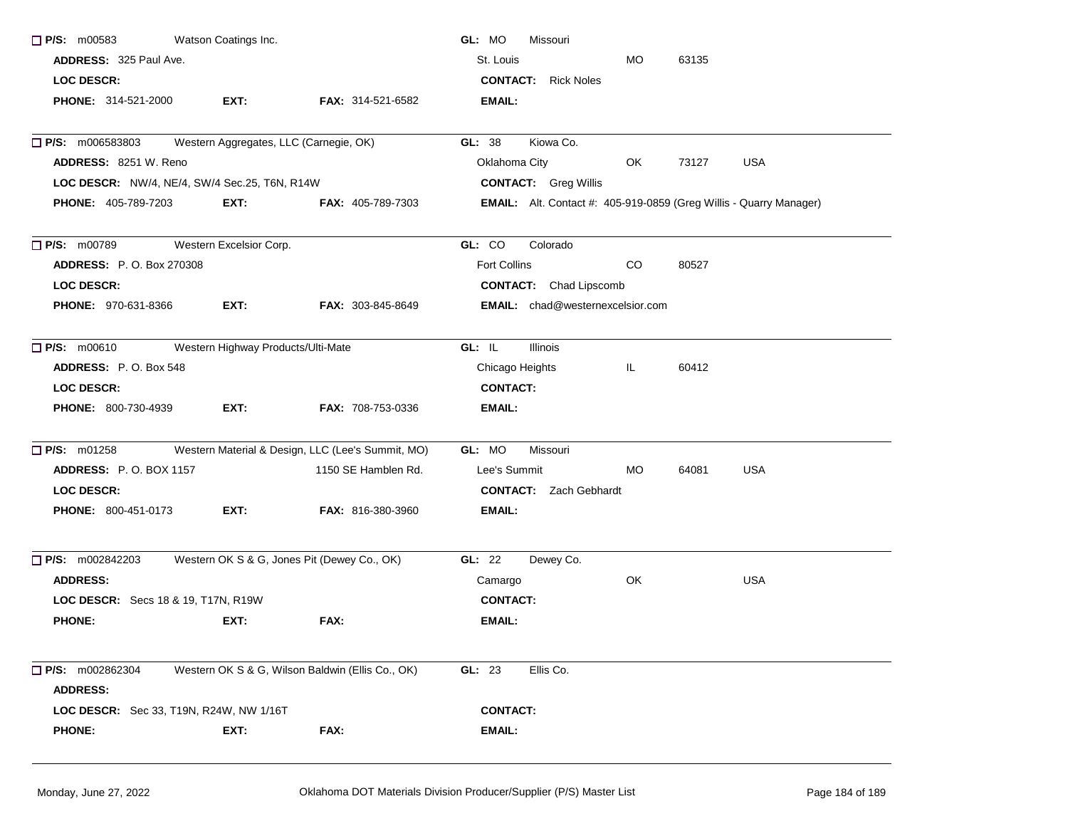| $\Box$ P/S: m00583                            | Watson Coatings Inc.               |                                                   | GL: MO<br>Missouri                                                        |  |
|-----------------------------------------------|------------------------------------|---------------------------------------------------|---------------------------------------------------------------------------|--|
| ADDRESS: 325 Paul Ave.                        |                                    |                                                   | St. Louis<br>MO.<br>63135                                                 |  |
| <b>LOC DESCR:</b>                             |                                    |                                                   | <b>CONTACT:</b> Rick Noles                                                |  |
| <b>PHONE: 314-521-2000</b>                    | EXT:                               | FAX: 314-521-6582                                 | <b>EMAIL:</b>                                                             |  |
| $\Box$ P/S: m006583803                        |                                    | Western Aggregates, LLC (Carnegie, OK)            | GL: 38<br>Kiowa Co.                                                       |  |
| <b>ADDRESS: 8251 W. Reno</b>                  |                                    |                                                   | Oklahoma City<br>OK.<br>73127<br><b>USA</b>                               |  |
| LOC DESCR: NW/4, NE/4, SW/4 Sec.25, T6N, R14W |                                    |                                                   | <b>CONTACT:</b> Greg Willis                                               |  |
| <b>PHONE: 405-789-7203</b>                    | EXT:                               | <b>FAX: 405-789-7303</b>                          | <b>EMAIL:</b> Alt. Contact #: 405-919-0859 (Greg Willis - Quarry Manager) |  |
| $\Box$ P/S: m00789                            | Western Excelsior Corp.            |                                                   | GL: CO<br>Colorado                                                        |  |
| <b>ADDRESS: P.O. Box 270308</b>               |                                    |                                                   | Fort Collins<br>CO<br>80527                                               |  |
| <b>LOC DESCR:</b>                             |                                    |                                                   | <b>CONTACT:</b> Chad Lipscomb                                             |  |
| <b>PHONE: 970-631-8366</b>                    | EXT:                               | <b>FAX: 303-845-8649</b>                          | <b>EMAIL:</b> chad@westernexcelsior.com                                   |  |
| P/S: m00610                                   | Western Highway Products/Ulti-Mate |                                                   | GL: IL<br><b>Illinois</b>                                                 |  |
| ADDRESS: P.O. Box 548                         |                                    |                                                   | Chicago Heights<br>IL.<br>60412                                           |  |
| <b>LOC DESCR:</b>                             |                                    |                                                   | <b>CONTACT:</b>                                                           |  |
| <b>PHONE: 800-730-4939</b>                    | EXT:                               | FAX: 708-753-0336                                 | <b>EMAIL:</b>                                                             |  |
| $P/S:$ m01258                                 |                                    | Western Material & Design, LLC (Lee's Summit, MO) | GL: MO<br>Missouri                                                        |  |
| <b>ADDRESS: P.O. BOX 1157</b>                 |                                    | 1150 SE Hamblen Rd.                               | <b>USA</b><br>Lee's Summit<br>MO.<br>64081                                |  |
| <b>LOC DESCR:</b>                             |                                    |                                                   | <b>CONTACT:</b> Zach Gebhardt                                             |  |
| <b>PHONE: 800-451-0173</b>                    | EXT:                               | <b>FAX: 816-380-3960</b>                          | EMAIL:                                                                    |  |
| P/S: m002842203                               |                                    | Western OK S & G, Jones Pit (Dewey Co., OK)       | GL: 22<br>Dewey Co.                                                       |  |
| <b>ADDRESS:</b>                               |                                    |                                                   | OK<br><b>USA</b><br>Camargo                                               |  |
| LOC DESCR: Secs 18 & 19, T17N, R19W           |                                    |                                                   | <b>CONTACT:</b>                                                           |  |
| <b>PHONE:</b>                                 | EXT:                               | FAX:                                              | <b>EMAIL:</b>                                                             |  |
| $\Box$ P/S: m002862304<br><b>ADDRESS:</b>     |                                    | Western OK S & G, Wilson Baldwin (Ellis Co., OK)  | GL: 23<br>Ellis Co.                                                       |  |
| LOC DESCR: Sec 33, T19N, R24W, NW 1/16T       |                                    |                                                   | <b>CONTACT:</b>                                                           |  |
| <b>PHONE:</b>                                 | EXT:                               | FAX:                                              | <b>EMAIL:</b>                                                             |  |
|                                               |                                    |                                                   |                                                                           |  |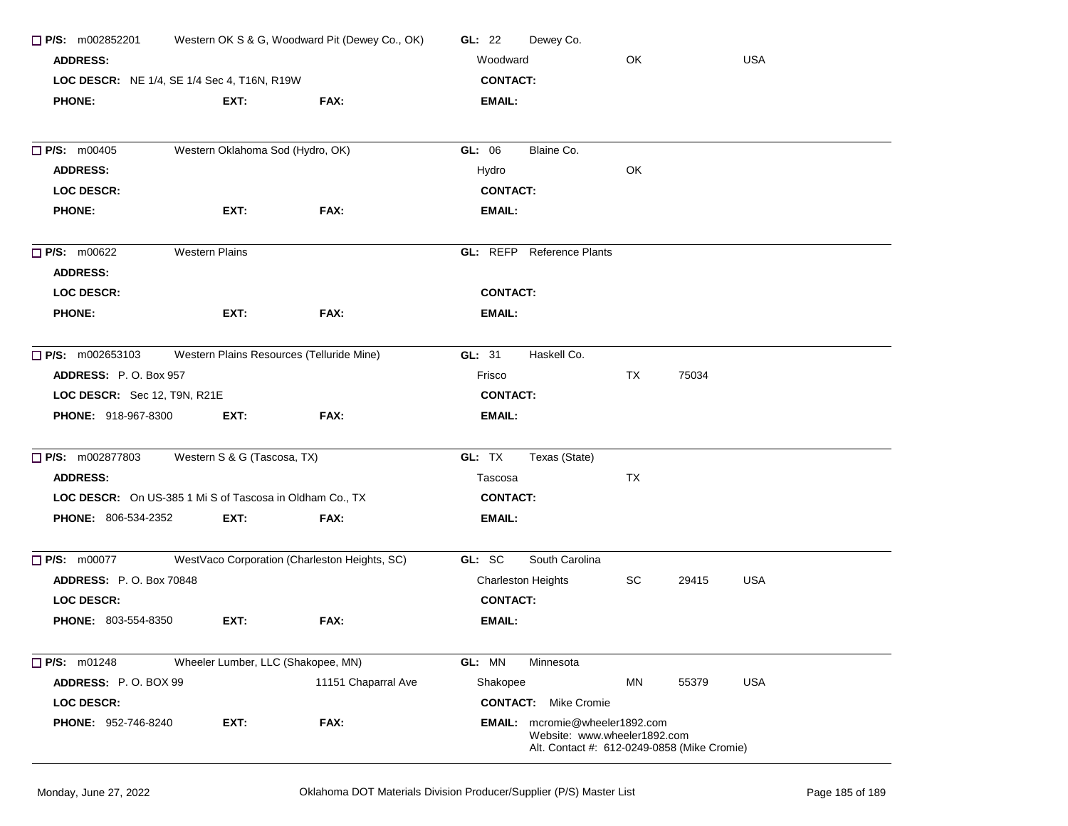| Western OK S & G, Woodward Pit (Dewey Co., OK)<br>$\Box$ P/S: m002852201<br><b>ADDRESS:</b><br>LOC DESCR: NE 1/4, SE 1/4 Sec 4, T16N, R19W |                                                          |                                               | GL: $22$<br>Dewey Co.                                                                                         |  |
|--------------------------------------------------------------------------------------------------------------------------------------------|----------------------------------------------------------|-----------------------------------------------|---------------------------------------------------------------------------------------------------------------|--|
|                                                                                                                                            |                                                          |                                               | OK<br><b>USA</b><br>Woodward                                                                                  |  |
|                                                                                                                                            |                                                          |                                               | <b>CONTACT:</b>                                                                                               |  |
| <b>PHONE:</b>                                                                                                                              | EXT:                                                     | FAX:                                          | EMAIL:                                                                                                        |  |
| P/S: m00405                                                                                                                                | Western Oklahoma Sod (Hydro, OK)                         |                                               | Blaine Co.<br>GL: 06                                                                                          |  |
| <b>ADDRESS:</b>                                                                                                                            |                                                          |                                               | OK<br>Hydro                                                                                                   |  |
| <b>LOC DESCR:</b>                                                                                                                          |                                                          |                                               | <b>CONTACT:</b>                                                                                               |  |
| <b>PHONE:</b>                                                                                                                              | EXT:                                                     | FAX:                                          | <b>EMAIL:</b>                                                                                                 |  |
| $\Box$ P/S: m00622<br><b>ADDRESS:</b>                                                                                                      | <b>Western Plains</b>                                    |                                               | <b>GL:</b> REFP Reference Plants                                                                              |  |
| <b>LOC DESCR:</b>                                                                                                                          |                                                          |                                               | <b>CONTACT:</b>                                                                                               |  |
| <b>PHONE:</b>                                                                                                                              | EXT:                                                     | FAX:                                          | EMAIL:                                                                                                        |  |
| $\Box$ P/S: m002653103                                                                                                                     | Western Plains Resources (Telluride Mine)                |                                               | Haskell Co.<br>GL: 31                                                                                         |  |
| ADDRESS: P.O. Box 957                                                                                                                      |                                                          |                                               | TX<br>75034<br>Frisco                                                                                         |  |
| LOC DESCR: Sec 12, T9N, R21E                                                                                                               |                                                          |                                               | <b>CONTACT:</b>                                                                                               |  |
| <b>PHONE: 918-967-8300</b>                                                                                                                 | EXT:                                                     | FAX:                                          | EMAIL:                                                                                                        |  |
| P/S: m002877803                                                                                                                            | Western S & G (Tascosa, TX)                              |                                               | GL: TX<br>Texas (State)                                                                                       |  |
| <b>ADDRESS:</b>                                                                                                                            |                                                          |                                               | TX<br>Tascosa                                                                                                 |  |
|                                                                                                                                            | LOC DESCR: On US-385 1 Mi S of Tascosa in Oldham Co., TX |                                               | <b>CONTACT:</b>                                                                                               |  |
| <b>PHONE: 806-534-2352</b>                                                                                                                 | EXT:                                                     | FAX:                                          | <b>EMAIL:</b>                                                                                                 |  |
| $\Box$ P/S: m00077                                                                                                                         |                                                          | WestVaco Corporation (Charleston Heights, SC) | South Carolina<br>GL: SC                                                                                      |  |
| <b>ADDRESS: P.O. Box 70848</b>                                                                                                             |                                                          |                                               | SC<br><b>USA</b><br><b>Charleston Heights</b><br>29415                                                        |  |
| <b>LOC DESCR:</b>                                                                                                                          |                                                          |                                               | <b>CONTACT:</b>                                                                                               |  |
| <b>PHONE: 803-554-8350</b>                                                                                                                 | EXT:                                                     | FAX:                                          | EMAIL:                                                                                                        |  |
| P/S: m01248                                                                                                                                | Wheeler Lumber, LLC (Shakopee, MN)                       |                                               | GL: MN<br>Minnesota                                                                                           |  |
| ADDRESS: P.O. BOX 99                                                                                                                       |                                                          | 11151 Chaparral Ave                           | <b>USA</b><br>Shakopee<br>ΜN<br>55379                                                                         |  |
| <b>LOC DESCR:</b>                                                                                                                          |                                                          |                                               | <b>CONTACT:</b> Mike Cromie                                                                                   |  |
| <b>PHONE: 952-746-8240</b>                                                                                                                 | EXT:                                                     | FAX:                                          | EMAIL: mcromie@wheeler1892.com<br>Website: www.wheeler1892.com<br>Alt. Contact #: 612-0249-0858 (Mike Cromie) |  |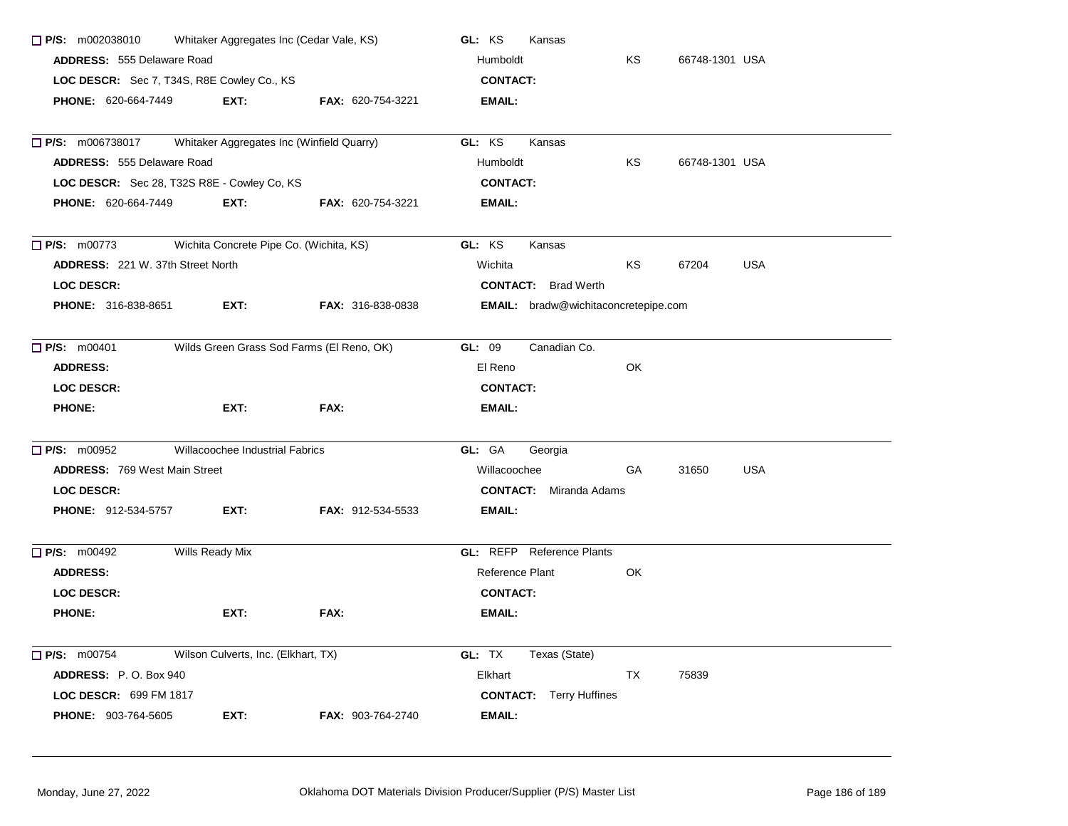| $\Box$ P/S: m002038010                                                          |                                     | Whitaker Aggregates Inc (Cedar Vale, KS)  | GL: KS<br>Kansas                            |           |                |            |
|---------------------------------------------------------------------------------|-------------------------------------|-------------------------------------------|---------------------------------------------|-----------|----------------|------------|
| <b>ADDRESS: 555 Delaware Road</b><br>LOC DESCR: Sec 7, T34S, R8E Cowley Co., KS |                                     |                                           | Humboldt                                    | ΚS        | 66748-1301 USA |            |
|                                                                                 |                                     |                                           | <b>CONTACT:</b>                             |           |                |            |
| PHONE: 620-664-7449                                                             | EXT:                                | FAX: 620-754-3221                         | <b>EMAIL:</b>                               |           |                |            |
| $\Box$ P/S: m006738017                                                          |                                     | Whitaker Aggregates Inc (Winfield Quarry) | GL: KS<br>Kansas                            |           |                |            |
| ADDRESS: 555 Delaware Road                                                      |                                     |                                           | Humboldt                                    | ΚS        | 66748-1301 USA |            |
| LOC DESCR: Sec 28, T32S R8E - Cowley Co, KS                                     |                                     |                                           | <b>CONTACT:</b>                             |           |                |            |
| PHONE: 620-664-7449                                                             | EXT:                                | FAX: 620-754-3221                         | EMAIL:                                      |           |                |            |
| P/S: m00773                                                                     |                                     | Wichita Concrete Pipe Co. (Wichita, KS)   | GL: KS<br>Kansas                            |           |                |            |
| ADDRESS: 221 W. 37th Street North                                               |                                     |                                           | Wichita                                     | KS        | 67204          | <b>USA</b> |
| <b>LOC DESCR:</b>                                                               |                                     |                                           | <b>CONTACT:</b> Brad Werth                  |           |                |            |
| <b>PHONE: 316-838-8651</b>                                                      | EXT:                                | <b>FAX: 316-838-0838</b>                  | <b>EMAIL:</b> bradw@wichitaconcretepipe.com |           |                |            |
| P/S: m00401                                                                     |                                     | Wilds Green Grass Sod Farms (El Reno, OK) | GL: 09<br>Canadian Co.                      |           |                |            |
| <b>ADDRESS:</b>                                                                 |                                     |                                           | El Reno                                     | OK        |                |            |
| <b>LOC DESCR:</b>                                                               |                                     |                                           | <b>CONTACT:</b>                             |           |                |            |
| <b>PHONE:</b>                                                                   | EXT:                                | FAX:                                      | EMAIL:                                      |           |                |            |
| $\Box$ P/S: m00952                                                              | Willacoochee Industrial Fabrics     |                                           | GL: GA<br>Georgia                           |           |                |            |
| <b>ADDRESS: 769 West Main Street</b>                                            |                                     |                                           | Willacoochee                                | <b>GA</b> | 31650          | <b>USA</b> |
| <b>LOC DESCR:</b>                                                               |                                     |                                           | <b>CONTACT:</b> Miranda Adams               |           |                |            |
| <b>PHONE: 912-534-5757</b>                                                      | EXT:                                | <b>FAX: 912-534-5533</b>                  | EMAIL:                                      |           |                |            |
| $\Box$ P/S: m00492                                                              | Wills Ready Mix                     |                                           | <b>GL:</b> REFP Reference Plants            |           |                |            |
| <b>ADDRESS:</b>                                                                 |                                     |                                           | Reference Plant                             | OK        |                |            |
| <b>LOC DESCR:</b>                                                               |                                     |                                           | <b>CONTACT:</b>                             |           |                |            |
| <b>PHONE:</b>                                                                   | EXT:                                | FAX:                                      | EMAIL:                                      |           |                |            |
| $\Box$ P/S: m00754                                                              | Wilson Culverts, Inc. (Elkhart, TX) |                                           | GL: TX<br>Texas (State)                     |           |                |            |
| <b>ADDRESS: P.O. Box 940</b>                                                    |                                     |                                           | Elkhart                                     | TX        | 75839          |            |
| <b>LOC DESCR: 699 FM 1817</b>                                                   |                                     |                                           | <b>CONTACT:</b> Terry Huffines              |           |                |            |
| PHONE: 903-764-5605                                                             | EXT:                                | FAX: 903-764-2740                         | <b>EMAIL:</b>                               |           |                |            |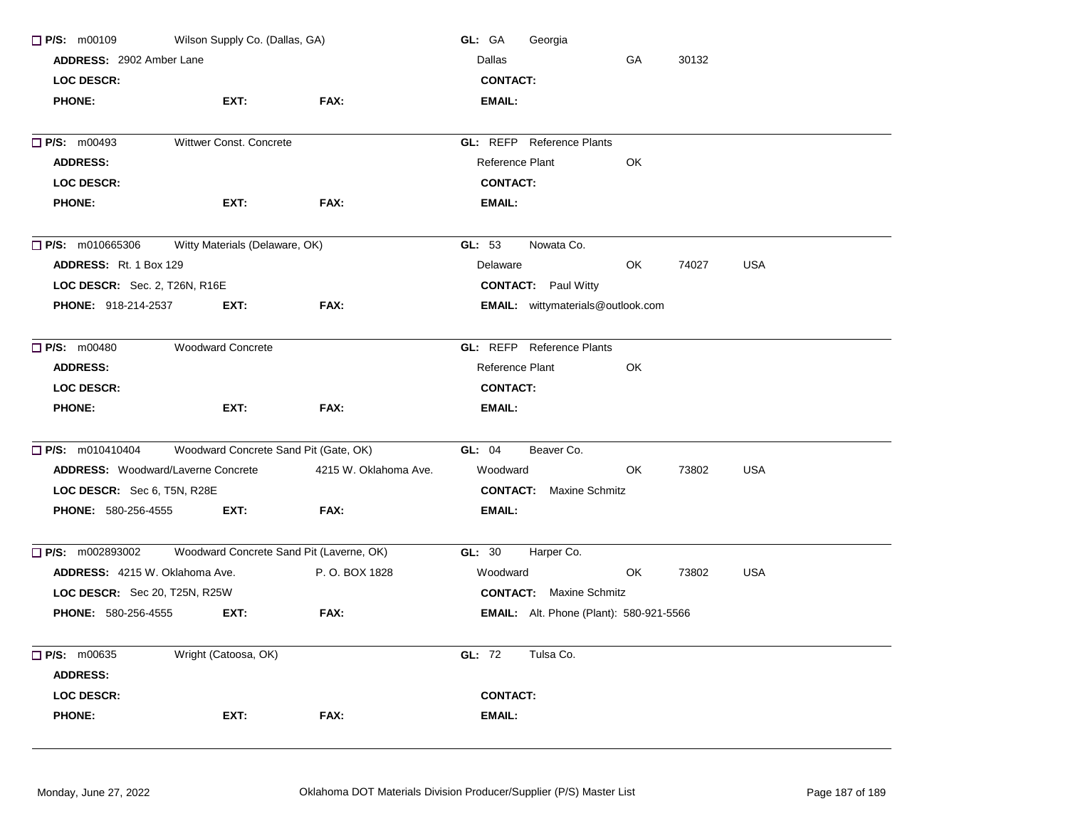| $\Box$ P/S: m00109                        | Wilson Supply Co. (Dallas, GA)           |                       | GL: GA<br>Georgia                              |    |       |            |
|-------------------------------------------|------------------------------------------|-----------------------|------------------------------------------------|----|-------|------------|
| ADDRESS: 2902 Amber Lane                  |                                          |                       | Dallas                                         |    |       |            |
| LOC DESCR:                                |                                          |                       | <b>CONTACT:</b>                                |    |       |            |
| <b>PHONE:</b>                             | EXT:                                     | FAX:                  | <b>EMAIL:</b>                                  |    |       |            |
| $\Box$ P/S: m00493                        | Wittwer Const. Concrete                  |                       | <b>GL:</b> REFP Reference Plants               |    |       |            |
| <b>ADDRESS:</b>                           |                                          |                       | Reference Plant                                | OK |       |            |
| <b>LOC DESCR:</b>                         |                                          |                       | <b>CONTACT:</b>                                |    |       |            |
| <b>PHONE:</b>                             | EXT:                                     | FAX:                  | <b>EMAIL:</b>                                  |    |       |            |
| $\Box$ P/S: m010665306                    | Witty Materials (Delaware, OK)           |                       | GL: 53<br>Nowata Co.                           |    |       |            |
| <b>ADDRESS:</b> Rt. 1 Box 129             |                                          |                       | Delaware                                       | OK | 74027 | <b>USA</b> |
| <b>LOC DESCR:</b> Sec. 2, T26N, R16E      |                                          |                       | <b>CONTACT:</b> Paul Witty                     |    |       |            |
| <b>PHONE: 918-214-2537</b>                | EXT:                                     | FAX:                  | <b>EMAIL:</b> wittymaterials@outlook.com       |    |       |            |
| $\Box$ P/S: m00480                        | <b>Woodward Concrete</b>                 |                       | <b>GL:</b> REFP Reference Plants               |    |       |            |
| <b>ADDRESS:</b>                           |                                          |                       | Reference Plant                                | OK |       |            |
| <b>LOC DESCR:</b>                         |                                          |                       | <b>CONTACT:</b>                                |    |       |            |
| <b>PHONE:</b>                             | EXT:                                     | FAX:                  | <b>EMAIL:</b>                                  |    |       |            |
| P/S: m010410404                           | Woodward Concrete Sand Pit (Gate, OK)    |                       | GL: 04<br>Beaver Co.                           |    |       |            |
| <b>ADDRESS:</b> Woodward/Laverne Concrete |                                          | 4215 W. Oklahoma Ave. | Woodward                                       | OK | 73802 | <b>USA</b> |
| LOC DESCR: Sec 6, T5N, R28E               |                                          |                       | <b>CONTACT:</b> Maxine Schmitz                 |    |       |            |
| <b>PHONE: 580-256-4555</b>                | EXT:                                     | FAX:                  | <b>EMAIL:</b>                                  |    |       |            |
| $\Box$ P/S: m002893002                    | Woodward Concrete Sand Pit (Laverne, OK) |                       | GL: 30<br>Harper Co.                           |    |       |            |
| <b>ADDRESS:</b> 4215 W. Oklahoma Ave.     |                                          | P.O. BOX 1828         | Woodward                                       | OK | 73802 | <b>USA</b> |
| <b>LOC DESCR:</b> Sec 20, T25N, R25W      |                                          |                       | <b>CONTACT:</b> Maxine Schmitz                 |    |       |            |
| <b>PHONE: 580-256-4555</b>                | EXT:                                     | FAX:                  | <b>EMAIL:</b> Alt. Phone (Plant): 580-921-5566 |    |       |            |
| $\Box$ P/S: m00635<br><b>ADDRESS:</b>     | Wright (Catoosa, OK)                     |                       | GL: 72<br>Tulsa Co.                            |    |       |            |
| <b>LOC DESCR:</b>                         |                                          |                       | <b>CONTACT:</b>                                |    |       |            |
| <b>PHONE:</b>                             | EXT:                                     | FAX:                  | <b>EMAIL:</b>                                  |    |       |            |
|                                           |                                          |                       |                                                |    |       |            |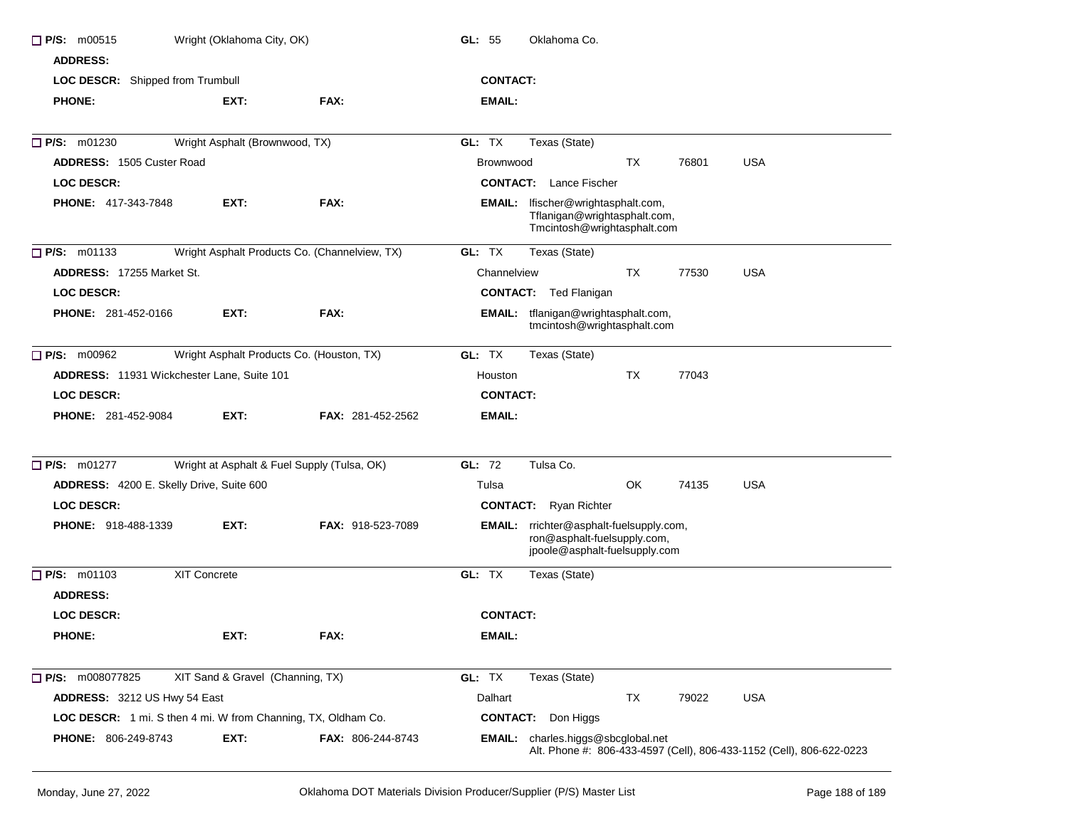| $\Box$ P/S: m00515<br><b>ADDRESS:</b>                         | Wright (Oklahoma City, OK)       |                                               | GL: 55<br>Oklahoma Co.                                                                                            |  |
|---------------------------------------------------------------|----------------------------------|-----------------------------------------------|-------------------------------------------------------------------------------------------------------------------|--|
| LOC DESCR: Shipped from Trumbull                              |                                  |                                               | <b>CONTACT:</b>                                                                                                   |  |
| <b>PHONE:</b>                                                 | EXT:                             | FAX:                                          | EMAIL:                                                                                                            |  |
| $\Box$ P/S: m01230                                            | Wright Asphalt (Brownwood, TX)   |                                               | GL: TX<br>Texas (State)                                                                                           |  |
| <b>ADDRESS: 1505 Custer Road</b>                              |                                  |                                               | TX<br><b>USA</b><br>Brownwood<br>76801                                                                            |  |
| LOC DESCR:                                                    |                                  |                                               | <b>CONTACT:</b> Lance Fischer                                                                                     |  |
| <b>PHONE: 417-343-7848</b>                                    | EXT:                             | FAX:                                          | lfischer@wrightasphalt.com,<br>EMAIL:<br>Tflanigan@wrightasphalt.com,<br>Tmcintosh@wrightasphalt.com              |  |
| $\Box$ P/S: m01133                                            |                                  | Wright Asphalt Products Co. (Channelview, TX) | GL: TX<br>Texas (State)                                                                                           |  |
| <b>ADDRESS: 17255 Market St.</b>                              |                                  |                                               | TX<br>77530<br><b>USA</b><br>Channelview                                                                          |  |
| <b>LOC DESCR:</b>                                             |                                  |                                               | <b>CONTACT:</b> Ted Flanigan                                                                                      |  |
| <b>PHONE: 281-452-0166</b>                                    | EXT:                             | FAX:                                          | tflanigan@wrightasphalt.com,<br>EMAIL:<br>tmcintosh@wrightasphalt.com                                             |  |
| $\Box$ P/S: m00962                                            |                                  | Wright Asphalt Products Co. (Houston, TX)     | GL: TX<br>Texas (State)                                                                                           |  |
| <b>ADDRESS:</b> 11931 Wickchester Lane, Suite 101             |                                  |                                               | <b>TX</b><br>77043<br>Houston                                                                                     |  |
| <b>LOC DESCR:</b>                                             |                                  |                                               | <b>CONTACT:</b>                                                                                                   |  |
| <b>PHONE: 281-452-9084</b>                                    | EXT:                             | <b>FAX: 281-452-2562</b>                      | EMAIL:                                                                                                            |  |
| $\Box$ P/S: m01277                                            |                                  | Wright at Asphalt & Fuel Supply (Tulsa, OK)   | GL: 72<br>Tulsa Co.                                                                                               |  |
| ADDRESS: 4200 E. Skelly Drive, Suite 600                      |                                  |                                               | OK<br>74135<br><b>USA</b><br>Tulsa                                                                                |  |
| <b>LOC DESCR:</b>                                             |                                  |                                               | <b>CONTACT:</b> Ryan Richter                                                                                      |  |
| <b>PHONE: 918-488-1339</b>                                    | EXT.                             | <b>FAX: 918-523-7089</b>                      | rrichter@asphalt-fuelsupply.com,<br>EMAIL:<br>ron@asphalt-fuelsupply.com,<br>jpoole@asphalt-fuelsupply.com        |  |
| $\Box$ P/S: m01103                                            | XIT Concrete                     |                                               | GL: TX<br>Texas (State)                                                                                           |  |
| <b>ADDRESS:</b>                                               |                                  |                                               |                                                                                                                   |  |
| <b>LOC DESCR:</b>                                             |                                  |                                               | <b>CONTACT:</b>                                                                                                   |  |
| <b>PHONE:</b>                                                 | EXT:                             | FAX:                                          | EMAIL:                                                                                                            |  |
| P/S: m008077825                                               | XIT Sand & Gravel (Channing, TX) |                                               | GL: TX<br>Texas (State)                                                                                           |  |
| ADDRESS: 3212 US Hwy 54 East                                  |                                  |                                               | Dalhart<br>TX<br>79022<br><b>USA</b>                                                                              |  |
| LOC DESCR: 1 mi. S then 4 mi. W from Channing, TX, Oldham Co. |                                  |                                               | <b>CONTACT:</b> Don Higgs                                                                                         |  |
| PHONE: 806-249-8743                                           | EXT:                             | FAX: 806-244-8743                             | <b>EMAIL:</b> charles.higgs@sbcglobal.net<br>Alt. Phone #: 806-433-4597 (Cell), 806-433-1152 (Cell), 806-622-0223 |  |